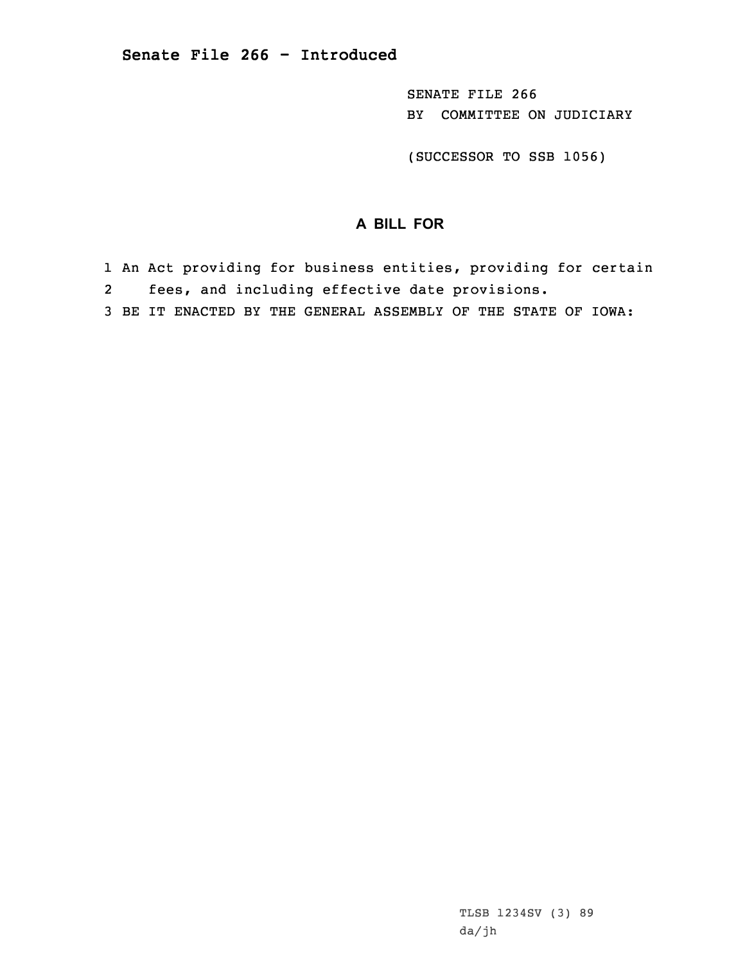SENATE FILE 266 BY COMMITTEE ON JUDICIARY

(SUCCESSOR TO SSB 1056)

## **A BILL FOR**

- 1 An Act providing for business entities, providing for certain
- 2fees, and including effective date provisions.
- 3 BE IT ENACTED BY THE GENERAL ASSEMBLY OF THE STATE OF IOWA: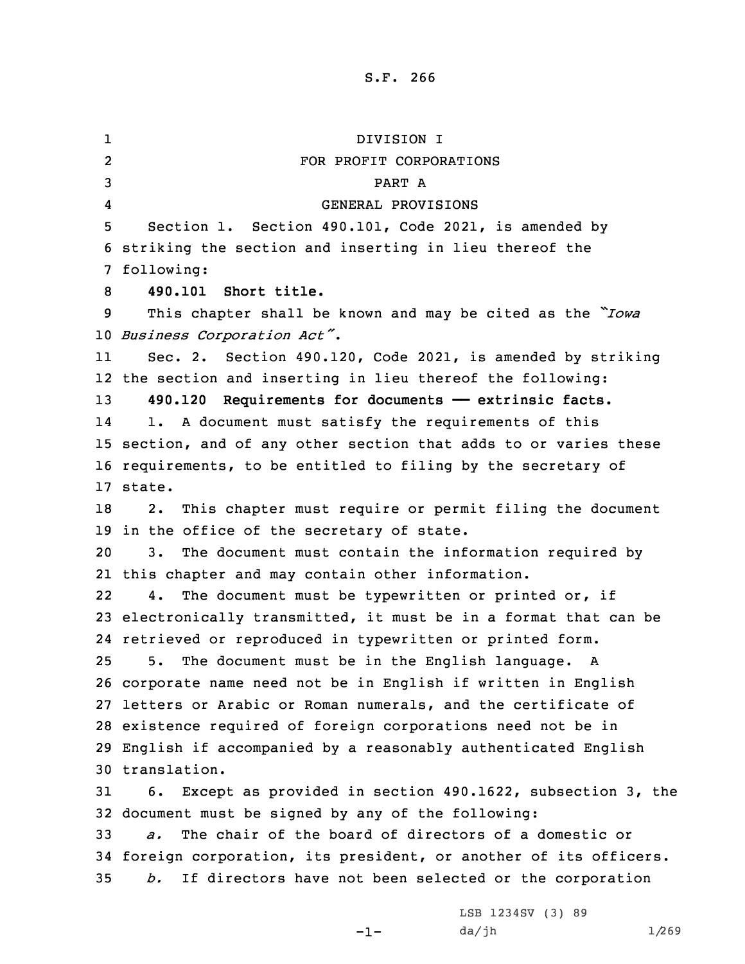1 DIVISION I  $\overline{2}$  FOR PROFIT CORPORATIONS 3 PART A 4 GENERAL PROVISIONS Section 1. Section 490.101, Code 2021, is amended by striking the section and inserting in lieu thereof the following: **490.101 Short title.** This chapter shall be known and may be cited as the *"Iowa Business Corporation Act"*. 11 Sec. 2. Section 490.120, Code 2021, is amended by striking the section and inserting in lieu thereof the following: **490.120 Requirements for documents —— extrinsic facts.** 14 1. <sup>A</sup> document must satisfy the requirements of this section, and of any other section that adds to or varies these requirements, to be entitled to filing by the secretary of 17 state. 2. This chapter must require or permit filing the document in the office of the secretary of state. 3. The document must contain the information required by this chapter and may contain other information. 22 4. The document must be typewritten or printed or, if electronically transmitted, it must be in <sup>a</sup> format that can be retrieved or reproduced in typewritten or printed form. 5. The document must be in the English language. <sup>A</sup> corporate name need not be in English if written in English letters or Arabic or Roman numerals, and the certificate of existence required of foreign corporations need not be in English if accompanied by <sup>a</sup> reasonably authenticated English translation. 6. Except as provided in section 490.1622, subsection 3, the document must be signed by any of the following: *a.* The chair of the board of directors of <sup>a</sup> domestic or foreign corporation, its president, or another of its officers. *b.* If directors have not been selected or the corporation

 $-1-$ 

LSB 1234SV (3) 89 da/jh 1/269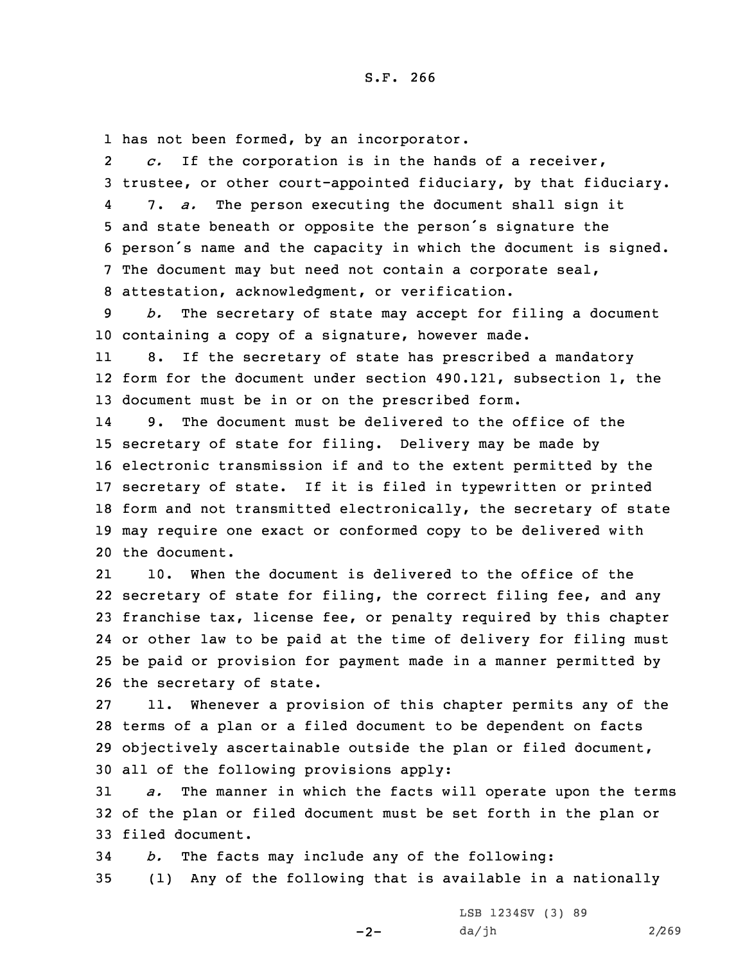1 has not been formed, by an incorporator.

2 *c.* If the corporation is in the hands of <sup>a</sup> receiver, 3 trustee, or other court-appointed fiduciary, by that fiduciary. 4 7. *a.* The person executing the document shall sign it <sup>5</sup> and state beneath or opposite the person's signature the <sup>6</sup> person's name and the capacity in which the document is signed. 7 The document may but need not contain <sup>a</sup> corporate seal, 8 attestation, acknowledgment, or verification.

9 *b.* The secretary of state may accept for filing <sup>a</sup> document 10 containing <sup>a</sup> copy of <sup>a</sup> signature, however made.

11 8. If the secretary of state has prescribed <sup>a</sup> mandatory 12 form for the document under section 490.121, subsection 1, the 13 document must be in or on the prescribed form.

14 9. The document must be delivered to the office of the secretary of state for filing. Delivery may be made by electronic transmission if and to the extent permitted by the secretary of state. If it is filed in typewritten or printed form and not transmitted electronically, the secretary of state may require one exact or conformed copy to be delivered with the document.

21 10. When the document is delivered to the office of the secretary of state for filing, the correct filing fee, and any franchise tax, license fee, or penalty required by this chapter or other law to be paid at the time of delivery for filing must be paid or provision for payment made in <sup>a</sup> manner permitted by the secretary of state.

 11. Whenever <sup>a</sup> provision of this chapter permits any of the terms of <sup>a</sup> plan or <sup>a</sup> filed document to be dependent on facts objectively ascertainable outside the plan or filed document, all of the following provisions apply:

31 *a.* The manner in which the facts will operate upon the terms 32 of the plan or filed document must be set forth in the plan or 33 filed document.

34 *b.* The facts may include any of the following:

35 (1) Any of the following that is available in <sup>a</sup> nationally

 $-2-$ 

LSB 1234SV (3) 89 da/jh 2/269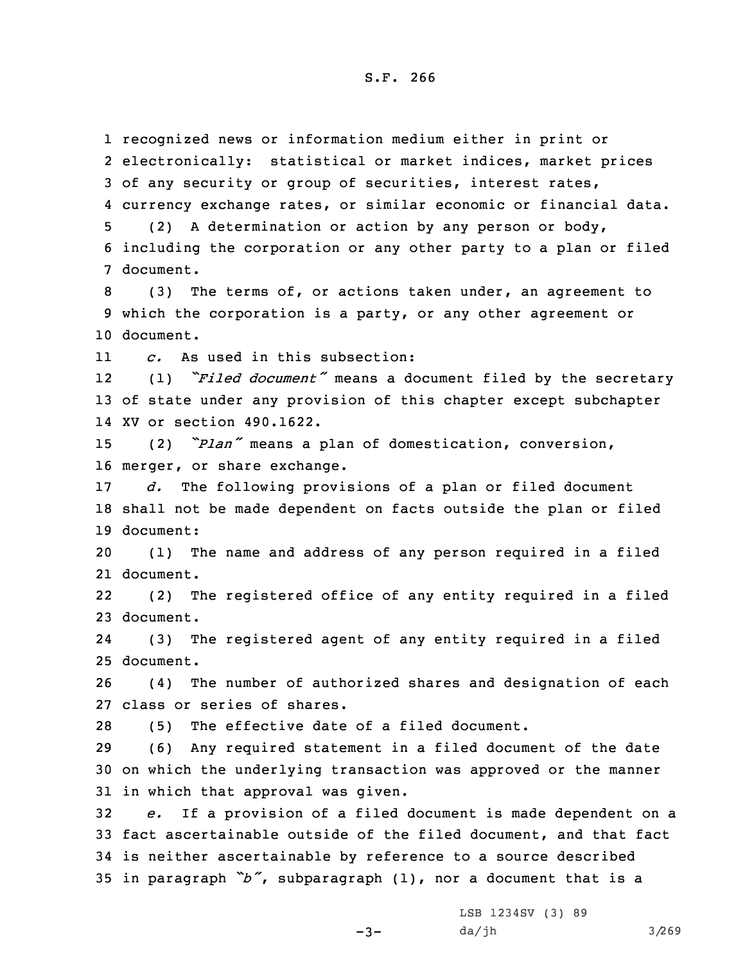recognized news or information medium either in print or electronically: statistical or market indices, market prices of any security or group of securities, interest rates, currency exchange rates, or similar economic or financial data. (2) <sup>A</sup> determination or action by any person or body, including the corporation or any other party to <sup>a</sup> plan or filed document. (3) The terms of, or actions taken under, an agreement to which the corporation is <sup>a</sup> party, or any other agreement or document. 11 *c.* As used in this subsection: 12 (1) *"Filed document"* means <sup>a</sup> document filed by the secretary of state under any provision of this chapter except subchapter XV or section 490.1622. (2) *"Plan"* means <sup>a</sup> plan of domestication, conversion, merger, or share exchange. *d.* The following provisions of <sup>a</sup> plan or filed document shall not be made dependent on facts outside the plan or filed document: (1) The name and address of any person required in <sup>a</sup> filed document. 22 (2) The registered office of any entity required in <sup>a</sup> filed document. 24 (3) The registered agent of any entity required in <sup>a</sup> filed document. (4) The number of authorized shares and designation of each class or series of shares. (5) The effective date of <sup>a</sup> filed document. (6) Any required statement in <sup>a</sup> filed document of the date on which the underlying transaction was approved or the manner in which that approval was given. *e.* If <sup>a</sup> provision of <sup>a</sup> filed document is made dependent on <sup>a</sup> fact ascertainable outside of the filed document, and that fact is neither ascertainable by reference to <sup>a</sup> source described in paragraph *"b"*, subparagraph (1), nor <sup>a</sup> document that is <sup>a</sup>

 $-3-$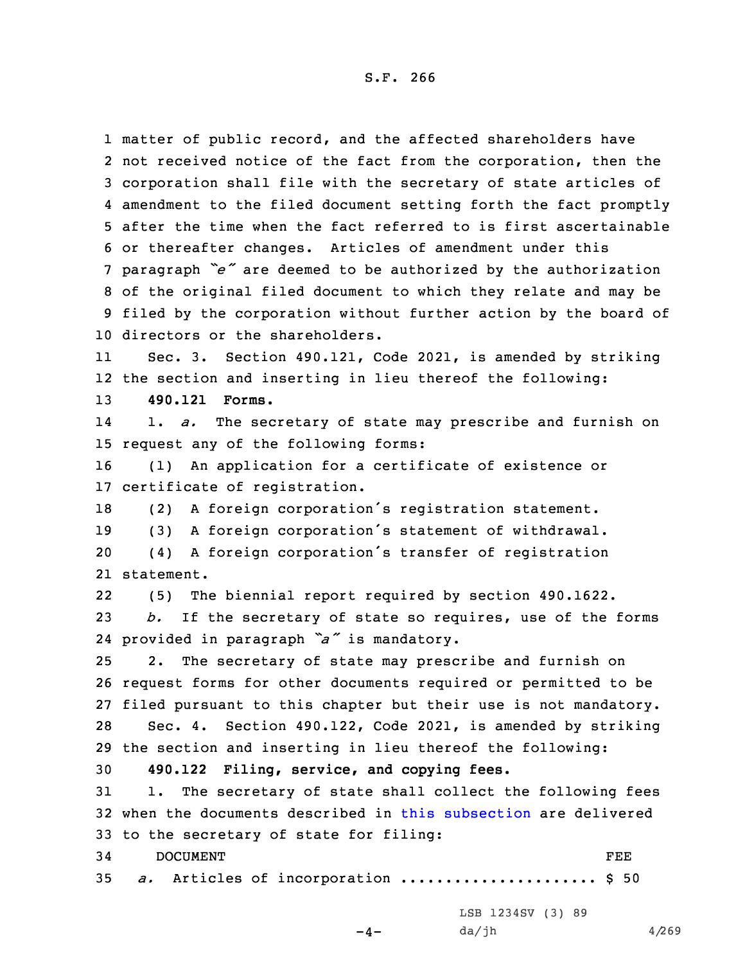matter of public record, and the affected shareholders have not received notice of the fact from the corporation, then the corporation shall file with the secretary of state articles of amendment to the filed document setting forth the fact promptly after the time when the fact referred to is first ascertainable or thereafter changes. Articles of amendment under this paragraph *"e"* are deemed to be authorized by the authorization of the original filed document to which they relate and may be filed by the corporation without further action by the board of directors or the shareholders.

11 Sec. 3. Section 490.121, Code 2021, is amended by striking 12 the section and inserting in lieu thereof the following: 13 **490.121 Forms.**

14 1. *a.* The secretary of state may prescribe and furnish on 15 request any of the following forms:

16 (1) An application for <sup>a</sup> certificate of existence or 17 certificate of registration.

<sup>18</sup> (2) <sup>A</sup> foreign corporation's registration statement.

<sup>19</sup> (3) <sup>A</sup> foreign corporation's statement of withdrawal.

<sup>20</sup> (4) <sup>A</sup> foreign corporation's transfer of registration 21 statement.

22(5) The biennial report required by section 490.1622.

23 *b.* If the secretary of state so requires, use of the forms 24 provided in paragraph *"a"* is mandatory.

 2. The secretary of state may prescribe and furnish on request forms for other documents required or permitted to be filed pursuant to this chapter but their use is not mandatory. Sec. 4. Section 490.122, Code 2021, is amended by striking the section and inserting in lieu thereof the following:

30 **490.122 Filing, service, and copying fees.**

31 1. The secretary of state shall collect the following fees 32 when the documents described in this [subsection](https://www.legis.iowa.gov/docs/code/2021/490.122.pdf) are delivered 33 to the secretary of state for filing:

34 DOCUMENT **FEE** 

|  |  |  |  |  | 35 a. Articles of incorporation  \$ 50 |  |  |  |
|--|--|--|--|--|----------------------------------------|--|--|--|
|--|--|--|--|--|----------------------------------------|--|--|--|

 $-4-$ 

LSB 1234SV (3) 89  $da/jh$  4/269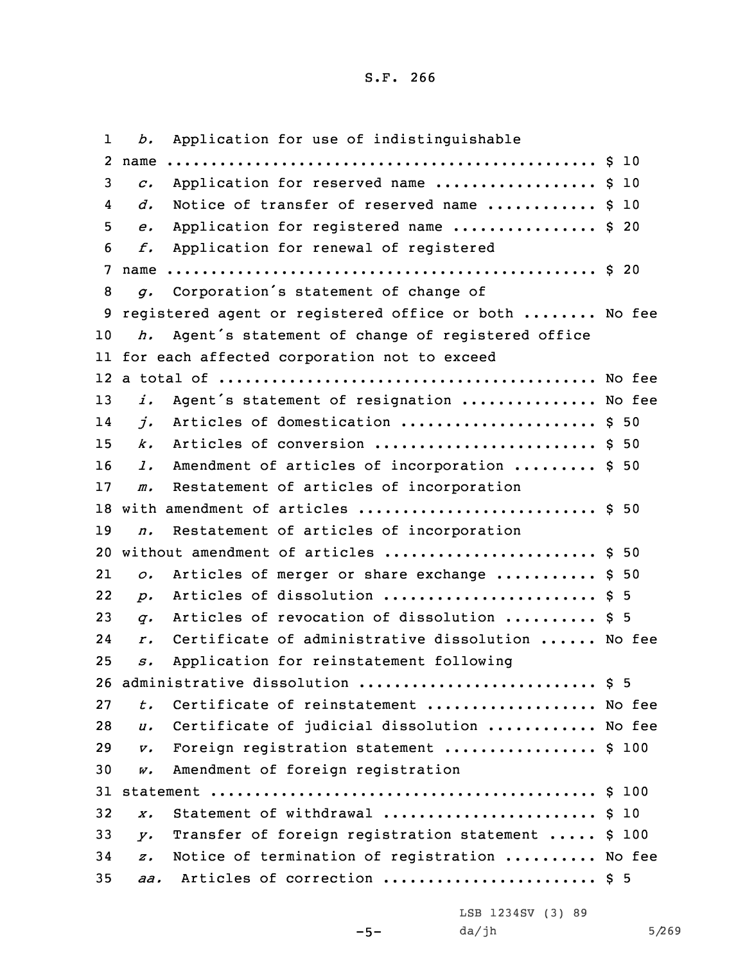1 *b.* Application for use of indistinguishable name ................................................. \$ 10 *c.* Application for reserved name .................. \$ 10 4 *d.* Notice of transfer of reserved name ............ \$ 10 *e.* Application for registered name .................. \$ 20 *f.* Application for renewal of registered name ................................................. \$ 20 *g.* Corporation's statement of change of registered agent or registered office or both ........ No fee *h.* Agent's statement of change of registered office for each affected corporation not to exceed a total of ........................................... No fee *i.* Agent's statement of resignation ............... No fee 14 *j.* Articles of domestication ...................... \$ 50 *k.* Articles of conversion ......................... \$ 50 *l.* Amendment of articles of incorporation ......... \$ 50 *m.* Restatement of articles of incorporation 18 with amendment of articles .............................. \$ 50 *n.* Restatement of articles of incorporation 20 without amendment of articles ........................... \$ 50 21 *o.* Articles of merger or share exchange ........... \$ 50 22 *p.* Articles of dissolution ........................ \$ 5 *q.* Articles of revocation of dissolution .......... \$ 5 24 *r.* Certificate of administrative dissolution ...... No fee *s.* Application for reinstatement following 26 administrative dissolution .............................. \$ 5 *t.* Certificate of reinstatement ................... No fee *u.* Certificate of judicial dissolution ............ No fee *v.* Foreign registration statement ................. \$ 100 *w.* Amendment of foreign registration statement ............................................ \$ 100 32 x. Statement of withdrawal ............................ \$ 10 *y.* Transfer of foreign registration statement ..... \$ 100 *z.* Notice of termination of registration .......... No fee *aa.* Articles of correction ........................ \$ 5

LSB 1234SV (3) 89

 $-5-$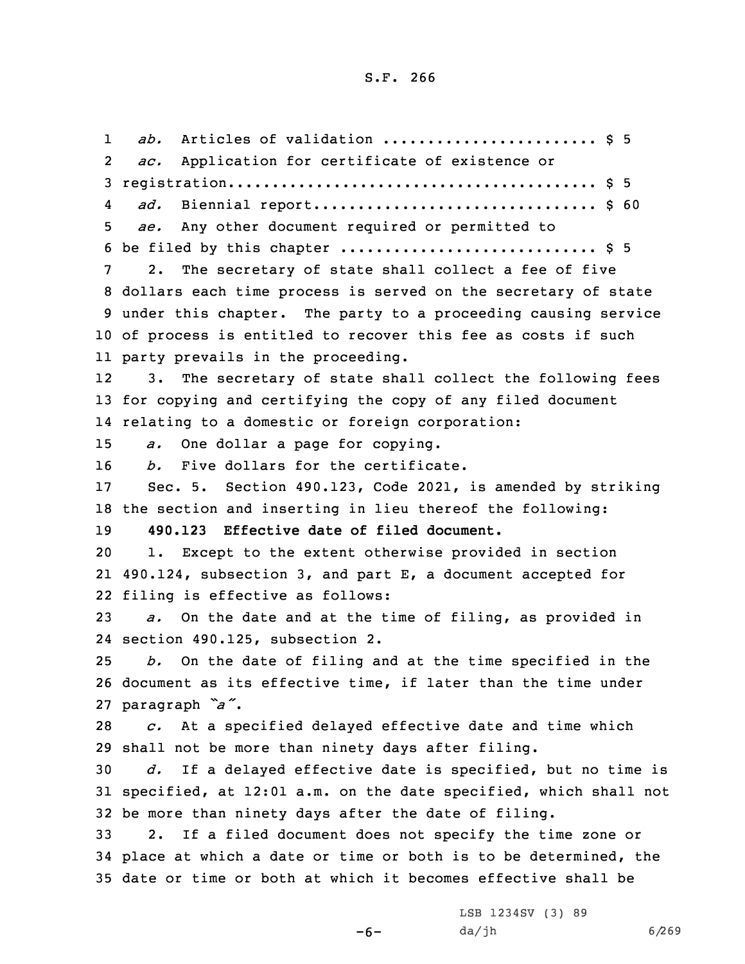1 *ab.* Articles of validation ........................ \$ 5 2 *ac.* Application for certificate of existence or registration.......................................... \$ 5 4 *ad.* Biennial report................................ \$ 60 *ae.* Any other document required or permitted to 6 be filed by this chapter ................................ \$ 5 2. The secretary of state shall collect <sup>a</sup> fee of five dollars each time process is served on the secretary of state under this chapter. The party to <sup>a</sup> proceeding causing service of process is entitled to recover this fee as costs if such party prevails in the proceeding. 12 3. The secretary of state shall collect the following fees for copying and certifying the copy of any filed document relating to <sup>a</sup> domestic or foreign corporation: *a.* One dollar <sup>a</sup> page for copying. *b.* Five dollars for the certificate. Sec. 5. Section 490.123, Code 2021, is amended by striking the section and inserting in lieu thereof the following: **490.123 Effective date of filed document.** 1. Except to the extent otherwise provided in section 490.124, subsection 3, and part E, <sup>a</sup> document accepted for filing is effective as follows: *a.* On the date and at the time of filing, as provided in section 490.125, subsection 2. *b.* On the date of filing and at the time specified in the document as its effective time, if later than the time under paragraph *"a"*. *c.* At <sup>a</sup> specified delayed effective date and time which shall not be more than ninety days after filing. *d.* If <sup>a</sup> delayed effective date is specified, but no time is specified, at 12:01 a.m. on the date specified, which shall not be more than ninety days after the date of filing. 2. If <sup>a</sup> filed document does not specify the time zone or place at which <sup>a</sup> date or time or both is to be determined, the date or time or both at which it becomes effective shall be

-6-

LSB 1234SV (3) 89  $da/jh$  6/269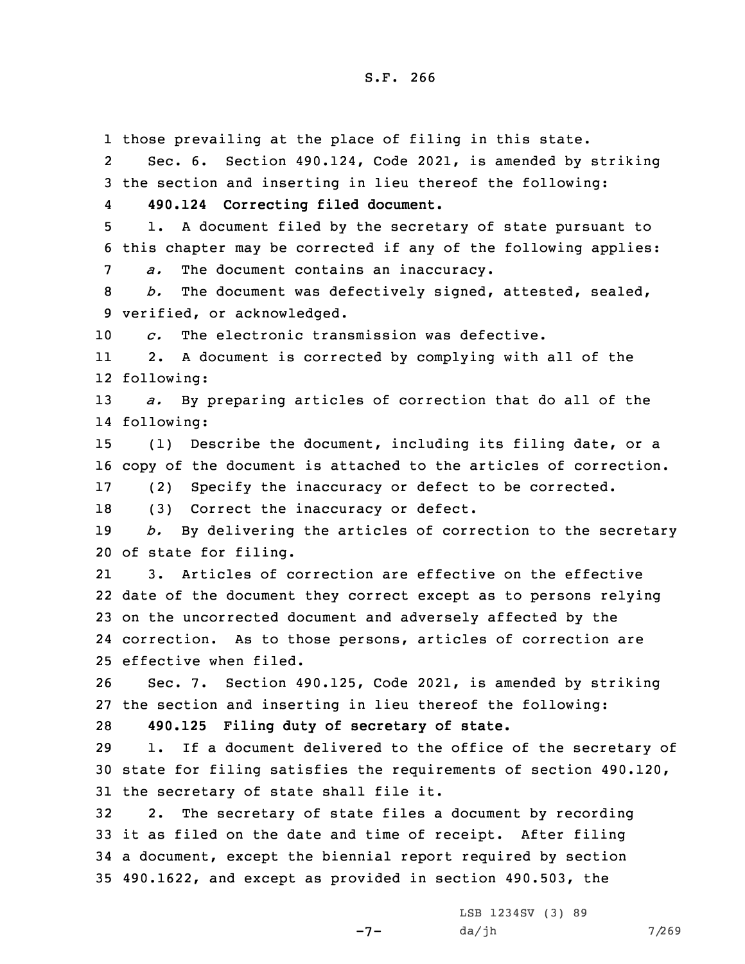1 those prevailing at the place of filing in this state.

2 Sec. 6. Section 490.124, Code 2021, is amended by striking 3 the section and inserting in lieu thereof the following:

4**490.124 Correcting filed document.**

5 1. <sup>A</sup> document filed by the secretary of state pursuant to 6 this chapter may be corrected if any of the following applies: 7 *a.* The document contains an inaccuracy.

8 *b.* The document was defectively signed, attested, sealed, 9 verified, or acknowledged.

10 *c.* The electronic transmission was defective.

11 2. <sup>A</sup> document is corrected by complying with all of the 12 following:

13 *a.* By preparing articles of correction that do all of the 14 following:

15 (1) Describe the document, including its filing date, or <sup>a</sup> 16 copy of the document is attached to the articles of correction.

17 (2) Specify the inaccuracy or defect to be corrected.

18 (3) Correct the inaccuracy or defect.

19 *b.* By delivering the articles of correction to the secretary 20 of state for filing.

21 3. Articles of correction are effective on the effective date of the document they correct except as to persons relying on the uncorrected document and adversely affected by the correction. As to those persons, articles of correction are effective when filed.

26 Sec. 7. Section 490.125, Code 2021, is amended by striking 27 the section and inserting in lieu thereof the following:

28 **490.125 Filing duty of secretary of state.**

29 1. If <sup>a</sup> document delivered to the office of the secretary of 30 state for filing satisfies the requirements of section 490.120, 31 the secretary of state shall file it.

 2. The secretary of state files <sup>a</sup> document by recording it as filed on the date and time of receipt. After filing <sup>a</sup> document, except the biennial report required by section 490.1622, and except as provided in section 490.503, the

 $-7-$ 

LSB 1234SV (3) 89 da/jh 7/269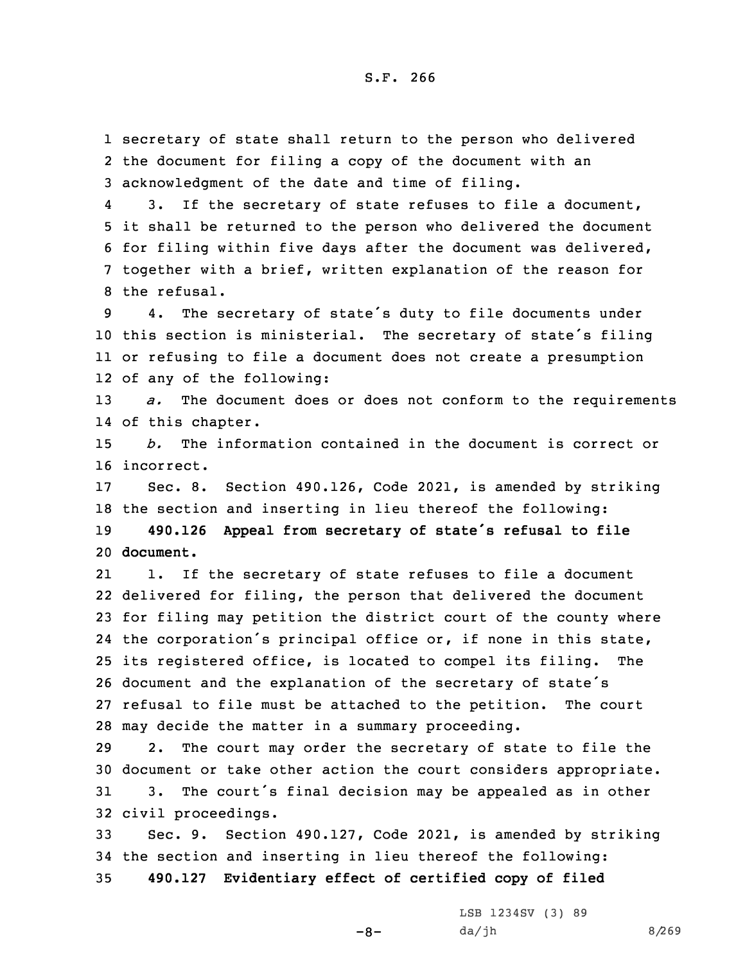1 secretary of state shall return to the person who delivered 2 the document for filing <sup>a</sup> copy of the document with an 3 acknowledgment of the date and time of filing.

4 3. If the secretary of state refuses to file <sup>a</sup> document, it shall be returned to the person who delivered the document for filing within five days after the document was delivered, together with <sup>a</sup> brief, written explanation of the reason for the refusal.

 4. The secretary of state's duty to file documents under this section is ministerial. The secretary of state's filing or refusing to file <sup>a</sup> document does not create <sup>a</sup> presumption of any of the following:

13 *a.* The document does or does not conform to the requirements 14 of this chapter.

15 *b.* The information contained in the document is correct or 16 incorrect.

17 Sec. 8. Section 490.126, Code 2021, is amended by striking 18 the section and inserting in lieu thereof the following:

<sup>19</sup> **490.126 Appeal from secretary of state's refusal to file** 20 **document.**

21 1. If the secretary of state refuses to file <sup>a</sup> document delivered for filing, the person that delivered the document for filing may petition the district court of the county where the corporation's principal office or, if none in this state, its registered office, is located to compel its filing. The document and the explanation of the secretary of state's refusal to file must be attached to the petition. The court may decide the matter in <sup>a</sup> summary proceeding.

 2. The court may order the secretary of state to file the document or take other action the court considers appropriate. 3. The court's final decision may be appealed as in other civil proceedings.

33 Sec. 9. Section 490.127, Code 2021, is amended by striking 34 the section and inserting in lieu thereof the following: 35 **490.127 Evidentiary effect of certified copy of filed**

> LSB 1234SV (3) 89  $da/jh$  8/269

 $-8-$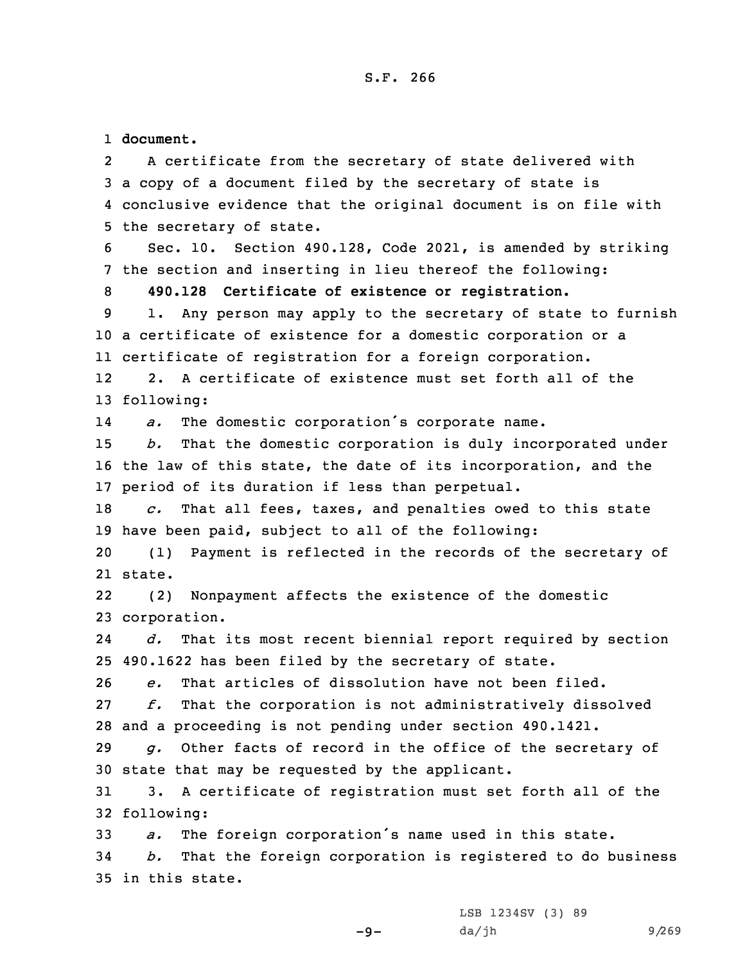**document.** 2 <sup>A</sup> certificate from the secretary of state delivered with <sup>a</sup> copy of <sup>a</sup> document filed by the secretary of state is conclusive evidence that the original document is on file with the secretary of state. Sec. 10. Section 490.128, Code 2021, is amended by striking the section and inserting in lieu thereof the following: **490.128 Certificate of existence or registration.** 1. Any person may apply to the secretary of state to furnish <sup>a</sup> certificate of existence for <sup>a</sup> domestic corporation or <sup>a</sup> certificate of registration for <sup>a</sup> foreign corporation. 12 2. A certificate of existence must set forth all of the following: 14 *a.* The domestic corporation's corporate name. *b.* That the domestic corporation is duly incorporated under the law of this state, the date of its incorporation, and the period of its duration if less than perpetual. *c.* That all fees, taxes, and penalties owed to this state have been paid, subject to all of the following: (1) Payment is reflected in the records of the secretary of 21 state. 22 (2) Nonpayment affects the existence of the domestic corporation. 24 *d.* That its most recent biennial report required by section 490.1622 has been filed by the secretary of state. *e.* That articles of dissolution have not been filed. *f.* That the corporation is not administratively dissolved and <sup>a</sup> proceeding is not pending under section 490.1421. *g.* Other facts of record in the office of the secretary of state that may be requested by the applicant. 3. <sup>A</sup> certificate of registration must set forth all of the following: *a.* The foreign corporation's name used in this state. *b.* That the foreign corporation is registered to do business in this state.

 $-9-$ 

LSB 1234SV (3) 89 da/jh 9/269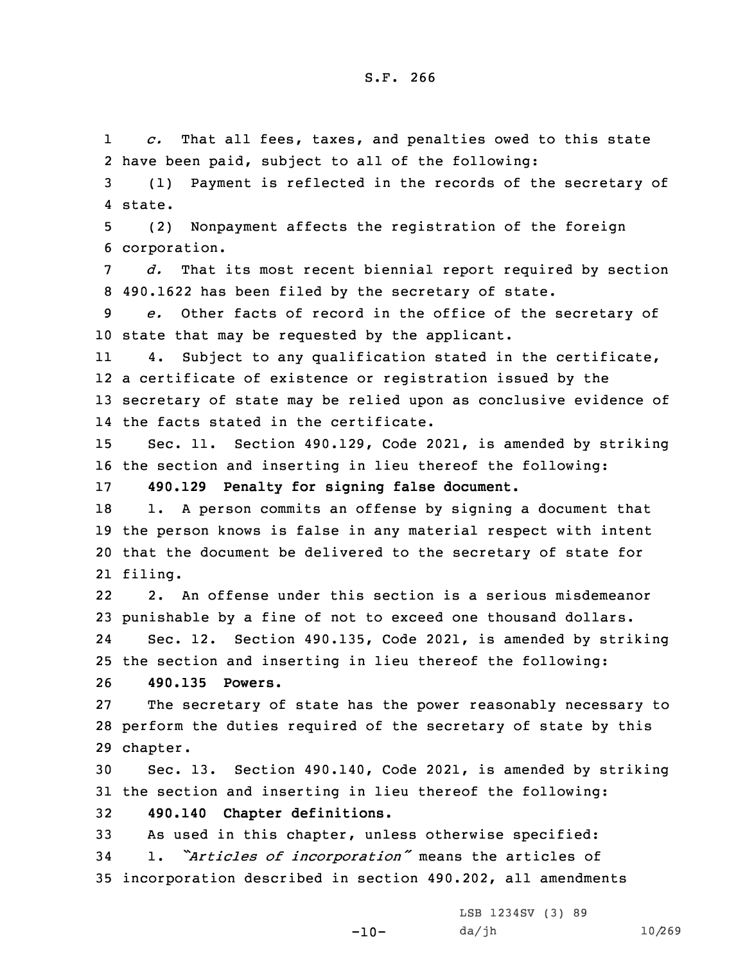1 *c.* That all fees, taxes, and penalties owed to this state 2 have been paid, subject to all of the following:

3 (1) Payment is reflected in the records of the secretary of 4 state.

5 (2) Nonpayment affects the registration of the foreign 6 corporation.

7 *d.* That its most recent biennial report required by section 8 490.1622 has been filed by the secretary of state.

9 *e.* Other facts of record in the office of the secretary of 10 state that may be requested by the applicant.

11 4. Subject to any qualification stated in the certificate, 12 <sup>a</sup> certificate of existence or registration issued by the 13 secretary of state may be relied upon as conclusive evidence of 14 the facts stated in the certificate.

15 Sec. 11. Section 490.129, Code 2021, is amended by striking 16 the section and inserting in lieu thereof the following:

17 **490.129 Penalty for signing false document.**

18 1. A person commits an offense by signing a document that 19 the person knows is false in any material respect with intent 20 that the document be delivered to the secretary of state for 21 filing.

22 2. An offense under this section is <sup>a</sup> serious misdemeanor 23 punishable by <sup>a</sup> fine of not to exceed one thousand dollars.

24 Sec. 12. Section 490.135, Code 2021, is amended by striking 25 the section and inserting in lieu thereof the following:

26 **490.135 Powers.**

27 The secretary of state has the power reasonably necessary to 28 perform the duties required of the secretary of state by this 29 chapter.

30 Sec. 13. Section 490.140, Code 2021, is amended by striking 31 the section and inserting in lieu thereof the following:

32 **490.140 Chapter definitions.**

33 As used in this chapter, unless otherwise specified:

<sup>34</sup> 1. *"Articles of incorporation"* means the articles of 35 incorporation described in section 490.202, all amendments

 $-10-$ 

LSB 1234SV (3) 89 da/jh 10/269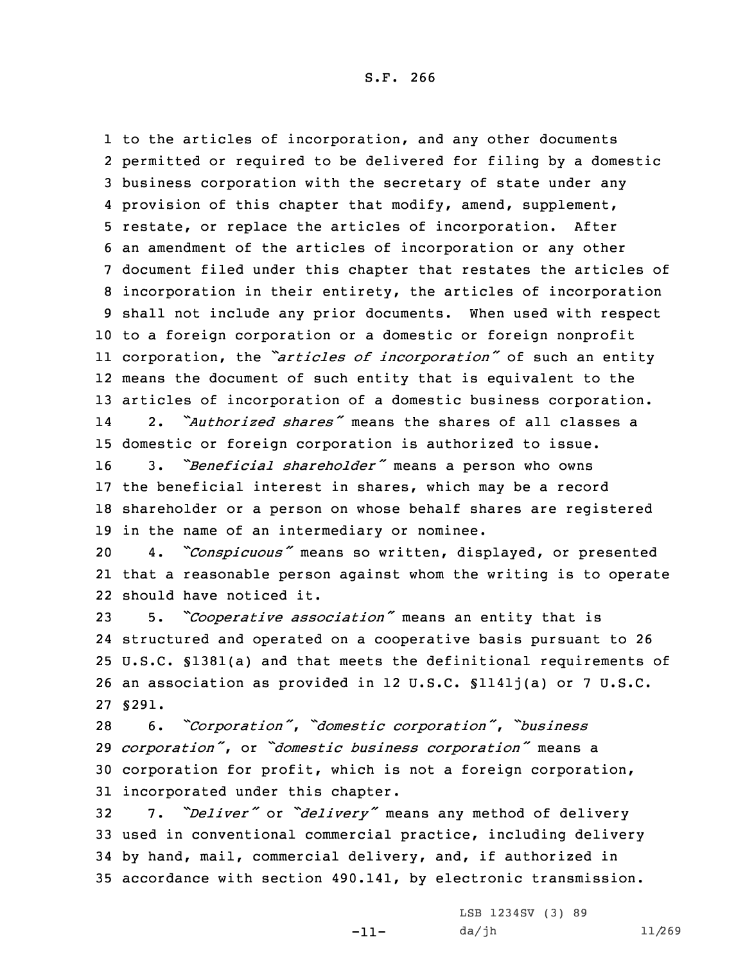to the articles of incorporation, and any other documents permitted or required to be delivered for filing by <sup>a</sup> domestic business corporation with the secretary of state under any provision of this chapter that modify, amend, supplement, restate, or replace the articles of incorporation. After an amendment of the articles of incorporation or any other document filed under this chapter that restates the articles of incorporation in their entirety, the articles of incorporation shall not include any prior documents. When used with respect to <sup>a</sup> foreign corporation or <sup>a</sup> domestic or foreign nonprofit corporation, the *"articles of incorporation"* of such an entity means the document of such entity that is equivalent to the articles of incorporation of <sup>a</sup> domestic business corporation. 14 2. *"Authorized shares"* means the shares of all classes <sup>a</sup> domestic or foreign corporation is authorized to issue. 3. *"Beneficial shareholder"* means <sup>a</sup> person who owns the beneficial interest in shares, which may be <sup>a</sup> record shareholder or <sup>a</sup> person on whose behalf shares are registered in the name of an intermediary or nominee.

<sup>20</sup> 4. *"Conspicuous"* means so written, displayed, or presented 21 that <sup>a</sup> reasonable person against whom the writing is to operate 22 should have noticed it.

 5. *"Cooperative association"* means an entity that is structured and operated on <sup>a</sup> cooperative basis pursuant to 26 U.S.C. §1381(a) and that meets the definitional requirements of an association as provided in 12 U.S.C. §1141j(a) or 7 U.S.C. 27 §291.

 6. *"Corporation"*, *"domestic corporation"*, *"business corporation"*, or *"domestic business corporation"* means <sup>a</sup> corporation for profit, which is not <sup>a</sup> foreign corporation, incorporated under this chapter.

 7. *"Deliver"* or *"delivery"* means any method of delivery used in conventional commercial practice, including delivery by hand, mail, commercial delivery, and, if authorized in accordance with section 490.141, by electronic transmission.

-11-

LSB 1234SV (3) 89 da/jh 11/269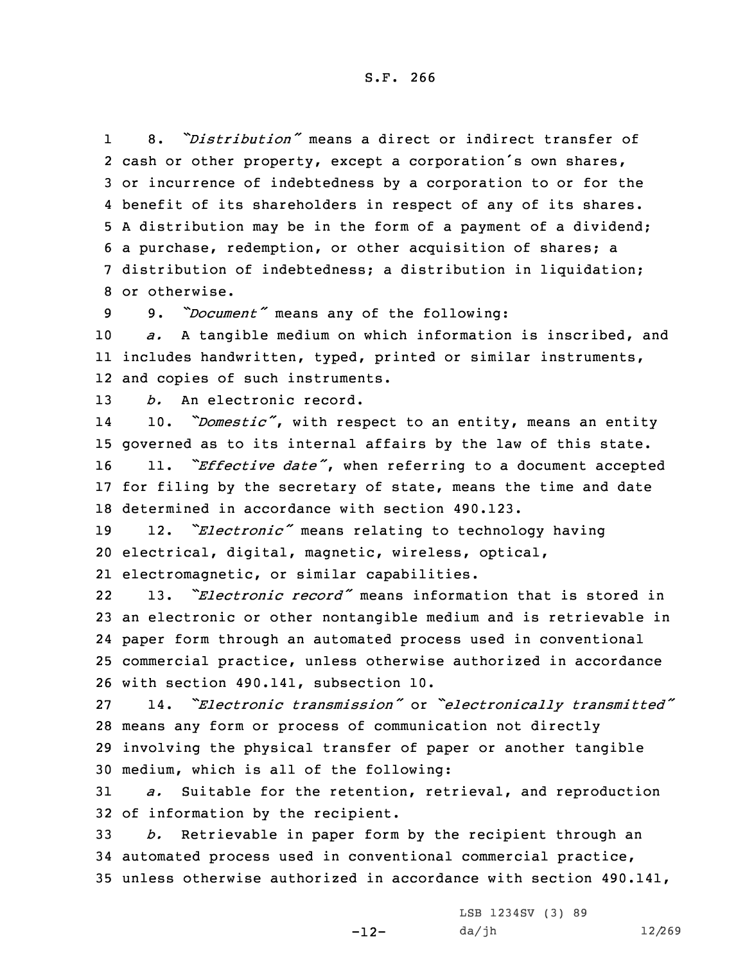1 8. *"Distribution"* means <sup>a</sup> direct or indirect transfer of cash or other property, except <sup>a</sup> corporation's own shares, or incurrence of indebtedness by <sup>a</sup> corporation to or for the benefit of its shareholders in respect of any of its shares. <sup>A</sup> distribution may be in the form of <sup>a</sup> payment of <sup>a</sup> dividend; <sup>a</sup> purchase, redemption, or other acquisition of shares; <sup>a</sup> distribution of indebtedness; <sup>a</sup> distribution in liquidation; or otherwise.

<sup>9</sup> 9. *"Document"* means any of the following:

10 *a.* <sup>A</sup> tangible medium on which information is inscribed, and 11 includes handwritten, typed, printed or similar instruments, 12 and copies of such instruments.

13 *b.* An electronic record.

14 10. *"Domestic"*, with respect to an entity, means an entity governed as to its internal affairs by the law of this state. 11. *"Effective date"*, when referring to <sup>a</sup> document accepted for filing by the secretary of state, means the time and date determined in accordance with section 490.123.

<sup>19</sup> 12. *"Electronic"* means relating to technology having 20 electrical, digital, magnetic, wireless, optical, 21 electromagnetic, or similar capabilities.

22 13. *"Electronic record"* means information that is stored in an electronic or other nontangible medium and is retrievable in paper form through an automated process used in conventional commercial practice, unless otherwise authorized in accordance with section 490.141, subsection 10.

 14. *"Electronic transmission"* or *"electronically transmitted"* means any form or process of communication not directly involving the physical transfer of paper or another tangible medium, which is all of the following:

31 *a.* Suitable for the retention, retrieval, and reproduction 32 of information by the recipient.

33 *b.* Retrievable in paper form by the recipient through an 34 automated process used in conventional commercial practice, 35 unless otherwise authorized in accordance with section 490.141,

-12-

LSB 1234SV (3) 89 da/jh 12/269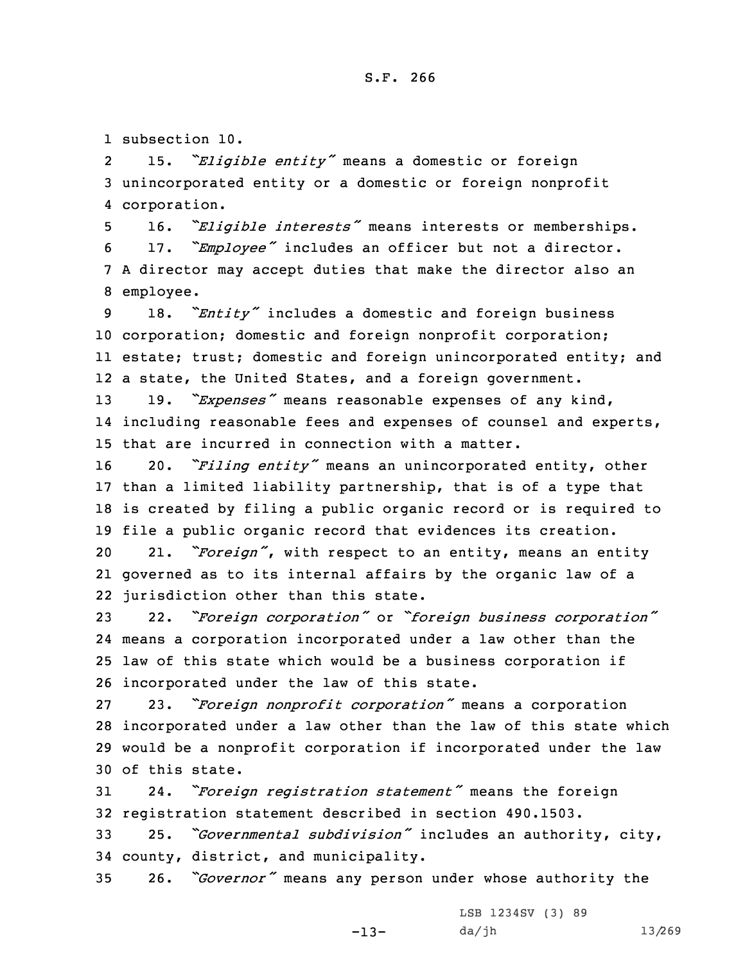1 subsection 10.

2 15. *"Eligible entity"* means <sup>a</sup> domestic or foreign 3 unincorporated entity or <sup>a</sup> domestic or foreign nonprofit 4 corporation.

 16. *"Eligible interests"* means interests or memberships. 17. *"Employee"* includes an officer but not <sup>a</sup> director. <sup>A</sup> director may accept duties that make the director also an employee.

 18. *"Entity"* includes <sup>a</sup> domestic and foreign business corporation; domestic and foreign nonprofit corporation; estate; trust; domestic and foreign unincorporated entity; and <sup>a</sup> state, the United States, and <sup>a</sup> foreign government.

<sup>13</sup> 19. *"Expenses"* means reasonable expenses of any kind, 14 including reasonable fees and expenses of counsel and experts, 15 that are incurred in connection with <sup>a</sup> matter.

 20. *"Filing entity"* means an unincorporated entity, other than <sup>a</sup> limited liability partnership, that is of <sup>a</sup> type that is created by filing <sup>a</sup> public organic record or is required to file <sup>a</sup> public organic record that evidences its creation.

<sup>20</sup> 21. *"Foreign"*, with respect to an entity, means an entity 21 governed as to its internal affairs by the organic law of <sup>a</sup> 22 jurisdiction other than this state.

 22. *"Foreign corporation"* or *"foreign business corporation"* means <sup>a</sup> corporation incorporated under <sup>a</sup> law other than the law of this state which would be <sup>a</sup> business corporation if incorporated under the law of this state.

 23. *"Foreign nonprofit corporation"* means <sup>a</sup> corporation incorporated under <sup>a</sup> law other than the law of this state which would be <sup>a</sup> nonprofit corporation if incorporated under the law of this state.

<sup>31</sup> 24. *"Foreign registration statement"* means the foreign 32 registration statement described in section 490.1503.

<sup>33</sup> 25. *"Governmental subdivision"* includes an authority, city, 34 county, district, and municipality.

<sup>35</sup> 26. *"Governor"* means any person under whose authority the

-13-

LSB 1234SV (3) 89 da/jh 13/269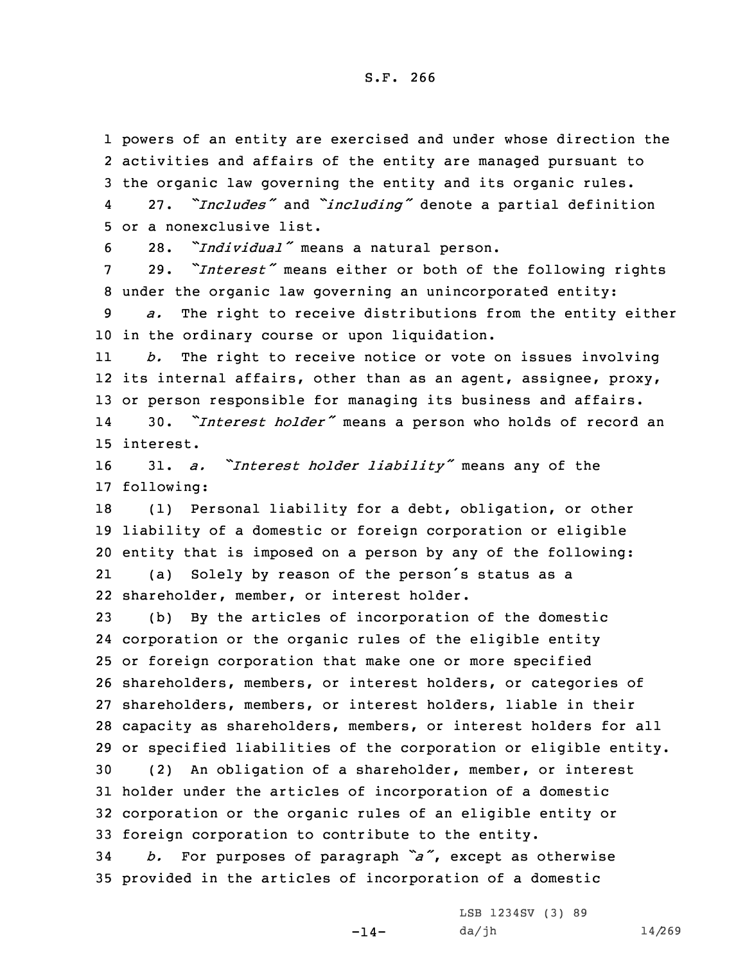1 powers of an entity are exercised and under whose direction the 2 activities and affairs of the entity are managed pursuant to 3 the organic law governing the entity and its organic rules.

4 27. *"Includes"* and *"including"* denote <sup>a</sup> partial definition 5 or <sup>a</sup> nonexclusive list.

<sup>6</sup> 28. *"Individual"* means <sup>a</sup> natural person.

<sup>7</sup> 29. *"Interest"* means either or both of the following rights 8 under the organic law governing an unincorporated entity:

9 *a.* The right to receive distributions from the entity either 10 in the ordinary course or upon liquidation.

11 *b.* The right to receive notice or vote on issues involving 12 its internal affairs, other than as an agent, assignee, proxy, 13 or person responsible for managing its business and affairs. 1430. *"Interest holder"* means <sup>a</sup> person who holds of record an

15 interest.

<sup>16</sup> 31. *a. "Interest holder liability"* means any of the 17 following:

 (1) Personal liability for <sup>a</sup> debt, obligation, or other liability of <sup>a</sup> domestic or foreign corporation or eligible entity that is imposed on <sup>a</sup> person by any of the following: 21 (a) Solely by reason of the person's status as <sup>a</sup> shareholder, member, or interest holder.

 (b) By the articles of incorporation of the domestic corporation or the organic rules of the eligible entity or foreign corporation that make one or more specified shareholders, members, or interest holders, or categories of shareholders, members, or interest holders, liable in their capacity as shareholders, members, or interest holders for all or specified liabilities of the corporation or eligible entity. (2) An obligation of <sup>a</sup> shareholder, member, or interest holder under the articles of incorporation of <sup>a</sup> domestic corporation or the organic rules of an eligible entity or foreign corporation to contribute to the entity.

<sup>34</sup> *b.* For purposes of paragraph *"a"*, except as otherwise 35 provided in the articles of incorporation of <sup>a</sup> domestic

 $-14-$ 

LSB 1234SV (3) 89 da/jh 14/269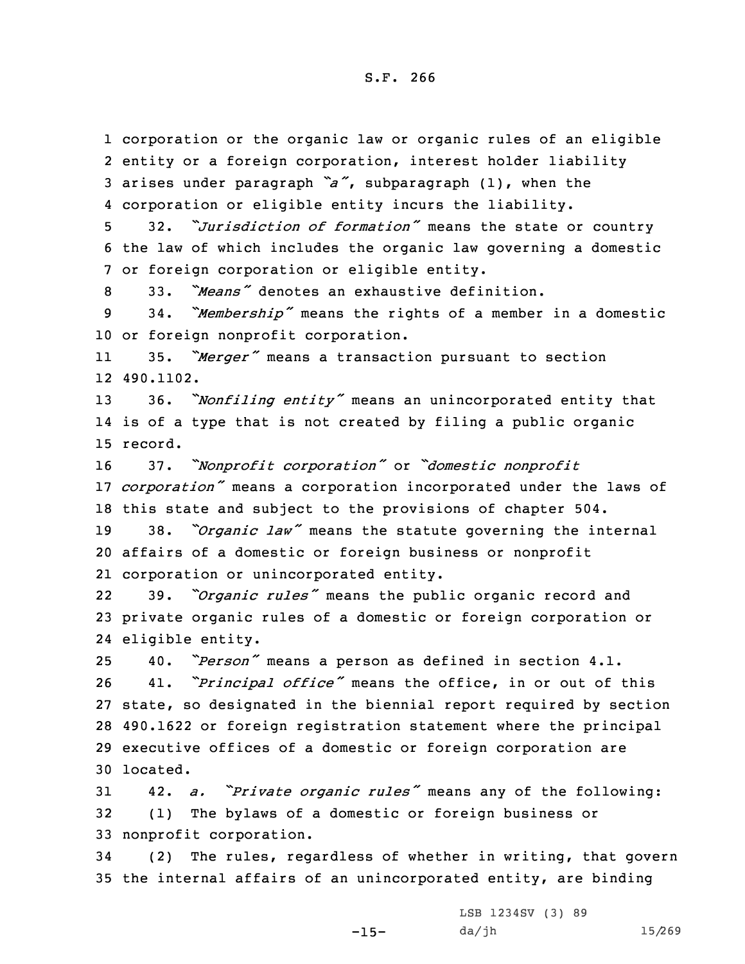corporation or the organic law or organic rules of an eligible entity or <sup>a</sup> foreign corporation, interest holder liability arises under paragraph *"a"*, subparagraph (1), when the corporation or eligible entity incurs the liability.

<sup>5</sup> 32. *"Jurisdiction of formation"* means the state or country 6 the law of which includes the organic law governing <sup>a</sup> domestic 7 or foreign corporation or eligible entity.

8 33. *"Means"* denotes an exhaustive definition.

<sup>9</sup> 34. *"Membership"* means the rights of <sup>a</sup> member in <sup>a</sup> domestic 10 or foreign nonprofit corporation.

11 35. *"Merger"* means <sup>a</sup> transaction pursuant to section 12 490.1102.

<sup>13</sup> 36. *"Nonfiling entity"* means an unincorporated entity that 14 is of <sup>a</sup> type that is not created by filing <sup>a</sup> public organic 15 record.

<sup>16</sup> 37. *"Nonprofit corporation"* or *"domestic nonprofit* <sup>17</sup> *corporation"* means <sup>a</sup> corporation incorporated under the laws of 18 this state and subject to the provisions of chapter 504.

<sup>19</sup> 38. *"Organic law"* means the statute governing the internal 20 affairs of <sup>a</sup> domestic or foreign business or nonprofit 21 corporation or unincorporated entity.

22 39. *"Organic rules"* means the public organic record and 23 private organic rules of <sup>a</sup> domestic or foreign corporation or 24 eligible entity.

 40. *"Person"* means <sup>a</sup> person as defined in section 4.1. 41. *"Principal office"* means the office, in or out of this state, so designated in the biennial report required by section 490.1622 or foreign registration statement where the principal executive offices of <sup>a</sup> domestic or foreign corporation are 30 located.

<sup>31</sup> 42. *a. "Private organic rules"* means any of the following: 32 (1) The bylaws of <sup>a</sup> domestic or foreign business or 33 nonprofit corporation.

34 (2) The rules, regardless of whether in writing, that govern 35 the internal affairs of an unincorporated entity, are binding

 $-15-$ 

LSB 1234SV (3) 89 da/jh 15/269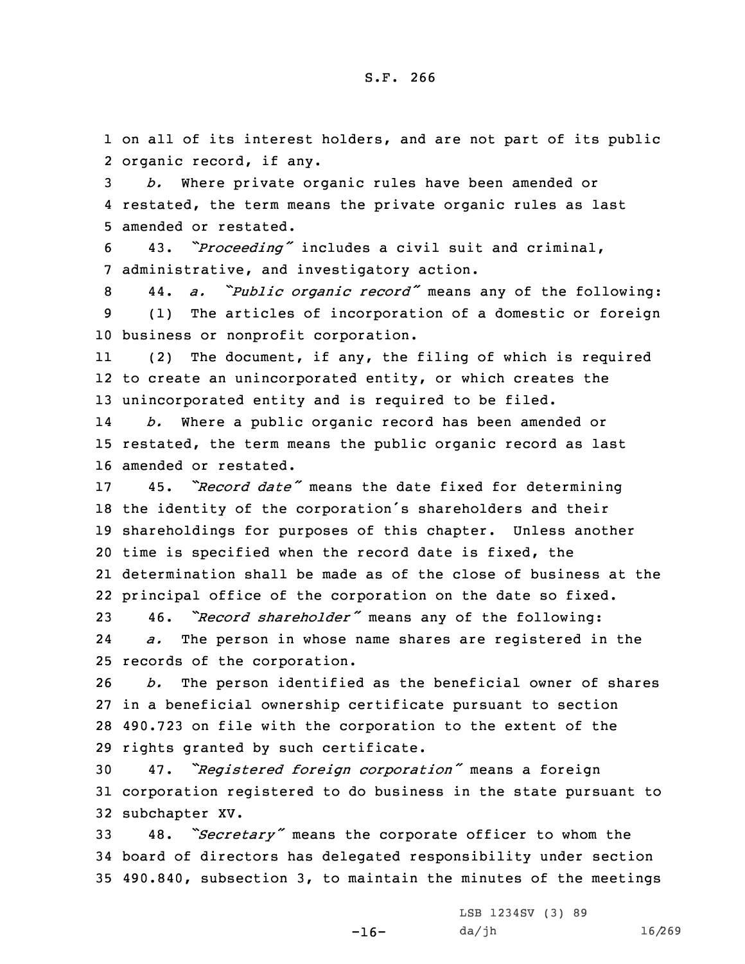1 on all of its interest holders, and are not part of its public 2 organic record, if any.

3 *b.* Where private organic rules have been amended or 4 restated, the term means the private organic rules as last 5 amended or restated.

<sup>6</sup> 43. *"Proceeding"* includes <sup>a</sup> civil suit and criminal, 7 administrative, and investigatory action.

<sup>8</sup> 44. *a. "Public organic record"* means any of the following: 9 (1) The articles of incorporation of <sup>a</sup> domestic or foreign 10 business or nonprofit corporation.

11 (2) The document, if any, the filing of which is required 12 to create an unincorporated entity, or which creates the 13 unincorporated entity and is required to be filed.

14 *b.* Where <sup>a</sup> public organic record has been amended or 15 restated, the term means the public organic record as last 16 amended or restated.

 45. *"Record date"* means the date fixed for determining the identity of the corporation's shareholders and their shareholdings for purposes of this chapter. Unless another time is specified when the record date is fixed, the determination shall be made as of the close of business at the principal office of the corporation on the date so fixed.

<sup>23</sup> 46. *"Record shareholder"* means any of the following: 24 *a.* The person in whose name shares are registered in the 25 records of the corporation.

 *b.* The person identified as the beneficial owner of shares in <sup>a</sup> beneficial ownership certificate pursuant to section 490.723 on file with the corporation to the extent of the rights granted by such certificate.

<sup>30</sup> 47. *"Registered foreign corporation"* means <sup>a</sup> foreign 31 corporation registered to do business in the state pursuant to 32 subchapter XV.

<sup>33</sup> 48. *"Secretary"* means the corporate officer to whom the 34 board of directors has delegated responsibility under section 35 490.840, subsection 3, to maintain the minutes of the meetings

-16-

LSB 1234SV (3) 89 da/jh 16/269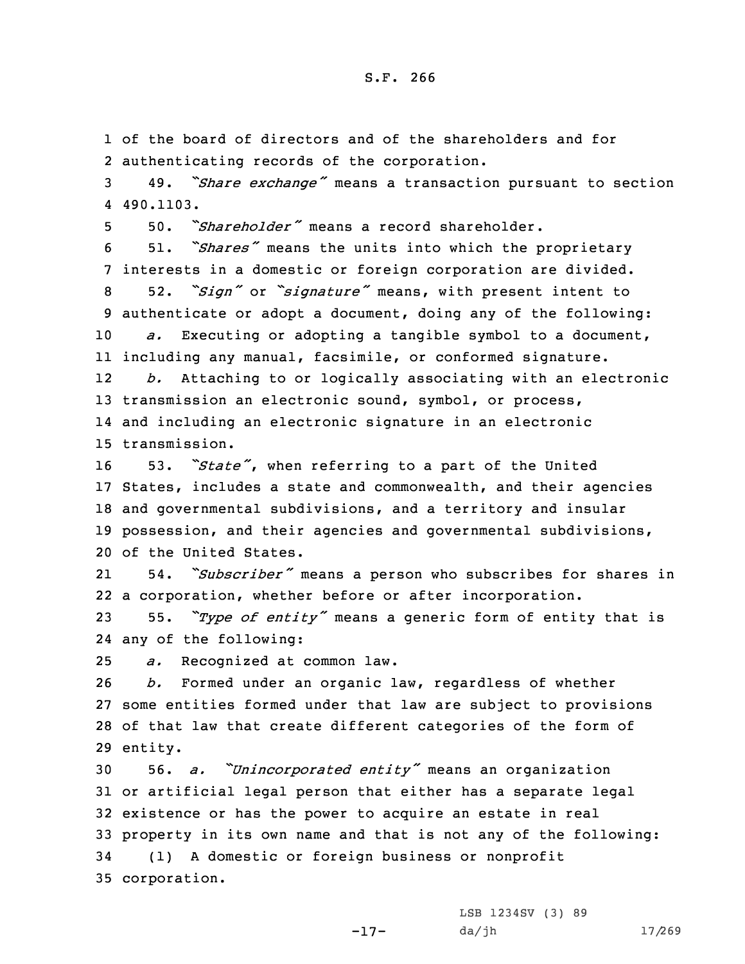1 of the board of directors and of the shareholders and for 2 authenticating records of the corporation.

<sup>3</sup> 49. *"Share exchange"* means <sup>a</sup> transaction pursuant to section 4 490.1103.

5 50. *"Shareholder"* means <sup>a</sup> record shareholder.

 51. *"Shares"* means the units into which the proprietary interests in <sup>a</sup> domestic or foreign corporation are divided. 52. *"Sign"* or *"signature"* means, with present intent to authenticate or adopt <sup>a</sup> document, doing any of the following: *a.* Executing or adopting <sup>a</sup> tangible symbol to <sup>a</sup> document, including any manual, facsimile, or conformed signature. 12 *b.* Attaching to or logically associating with an electronic 13 transmission an electronic sound, symbol, or process, and including an electronic signature in an electronic transmission.

 53. *"State"*, when referring to <sup>a</sup> part of the United States, includes <sup>a</sup> state and commonwealth, and their agencies and governmental subdivisions, and <sup>a</sup> territory and insular possession, and their agencies and governmental subdivisions, of the United States.

21 54. *"Subscriber"* means <sup>a</sup> person who subscribes for shares in 22 <sup>a</sup> corporation, whether before or after incorporation.

<sup>23</sup> 55. *"Type of entity"* means <sup>a</sup> generic form of entity that is 24 any of the following:

25 *a.* Recognized at common law.

 *b.* Formed under an organic law, regardless of whether some entities formed under that law are subject to provisions of that law that create different categories of the form of 29 entity.

 56. *a. "Unincorporated entity"* means an organization or artificial legal person that either has <sup>a</sup> separate legal existence or has the power to acquire an estate in real property in its own name and that is not any of the following: (1) <sup>A</sup> domestic or foreign business or nonprofit corporation.

-17-

LSB 1234SV (3) 89 da/jh 17/269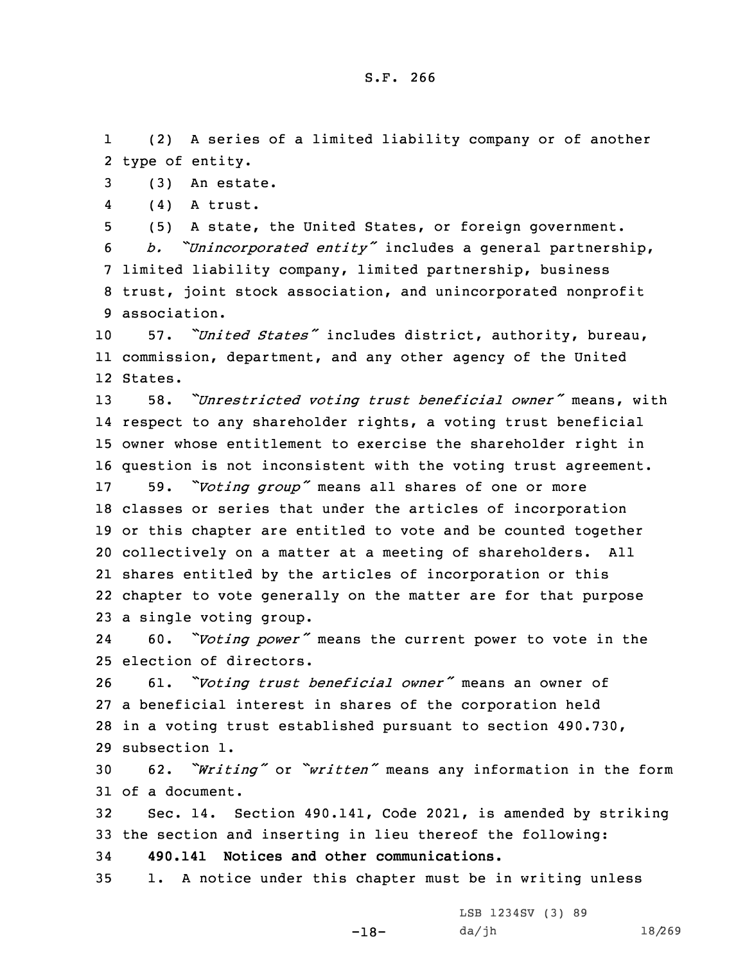1 (2) <sup>A</sup> series of <sup>a</sup> limited liability company or of another 2 type of entity.

3 (3) An estate.

4(4) A trust.

5 (5) <sup>A</sup> state, the United States, or foreign government.

 *b. "Unincorporated entity"* includes <sup>a</sup> general partnership, limited liability company, limited partnership, business trust, joint stock association, and unincorporated nonprofit association.

<sup>10</sup> 57. *"United States"* includes district, authority, bureau, 11 commission, department, and any other agency of the United 12 States.

 58. *"Unrestricted voting trust beneficial owner"* means, with respect to any shareholder rights, <sup>a</sup> voting trust beneficial owner whose entitlement to exercise the shareholder right in question is not inconsistent with the voting trust agreement. 59. *"Voting group"* means all shares of one or more

 classes or series that under the articles of incorporation or this chapter are entitled to vote and be counted together collectively on <sup>a</sup> matter at <sup>a</sup> meeting of shareholders. All shares entitled by the articles of incorporation or this chapter to vote generally on the matter are for that purpose <sup>a</sup> single voting group.

24 60. *"Voting power"* means the current power to vote in the 25 election of directors.

 61. *"Voting trust beneficial owner"* means an owner of <sup>a</sup> beneficial interest in shares of the corporation held in <sup>a</sup> voting trust established pursuant to section 490.730, subsection 1.

<sup>30</sup> 62. *"Writing"* or *"written"* means any information in the form 31 of a document.

32 Sec. 14. Section 490.141, Code 2021, is amended by striking 33 the section and inserting in lieu thereof the following:

34 **490.141 Notices and other communications.**

35 1. <sup>A</sup> notice under this chapter must be in writing unless

-18-

LSB 1234SV (3) 89 da/jh 18/269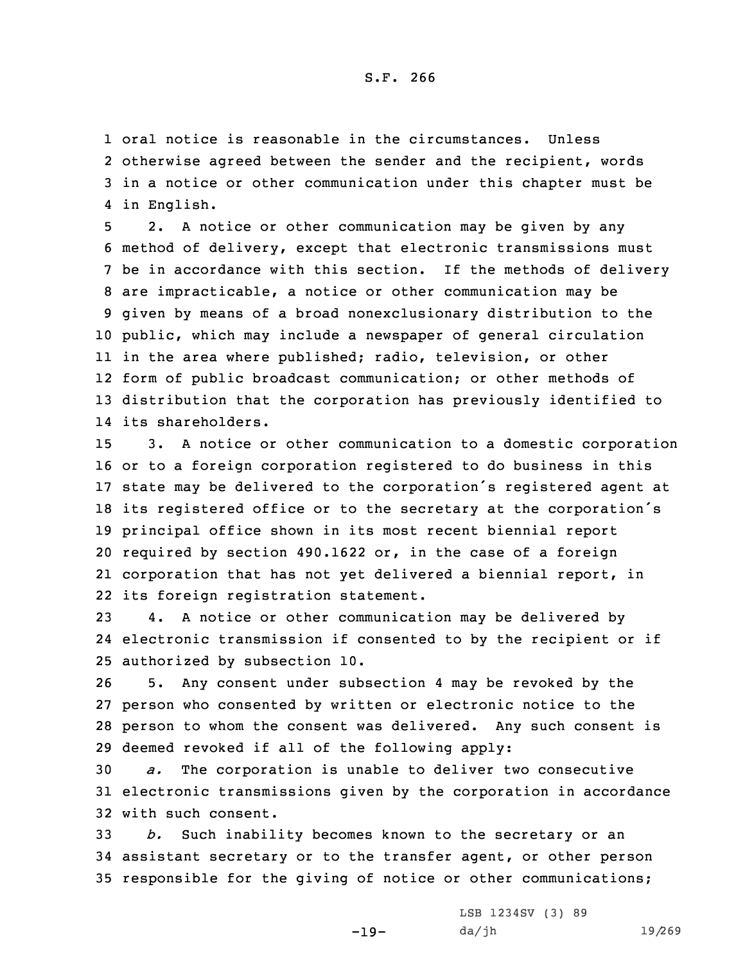oral notice is reasonable in the circumstances. Unless otherwise agreed between the sender and the recipient, words in <sup>a</sup> notice or other communication under this chapter must be in English.

 2. <sup>A</sup> notice or other communication may be given by any method of delivery, except that electronic transmissions must be in accordance with this section. If the methods of delivery are impracticable, <sup>a</sup> notice or other communication may be given by means of <sup>a</sup> broad nonexclusionary distribution to the public, which may include <sup>a</sup> newspaper of general circulation in the area where published; radio, television, or other form of public broadcast communication; or other methods of distribution that the corporation has previously identified to its shareholders.

 3. <sup>A</sup> notice or other communication to <sup>a</sup> domestic corporation or to <sup>a</sup> foreign corporation registered to do business in this state may be delivered to the corporation's registered agent at its registered office or to the secretary at the corporation's principal office shown in its most recent biennial report required by section 490.1622 or, in the case of <sup>a</sup> foreign corporation that has not yet delivered <sup>a</sup> biennial report, in its foreign registration statement.

23 4. <sup>A</sup> notice or other communication may be delivered by 24 electronic transmission if consented to by the recipient or if 25 authorized by subsection 10.

 5. Any consent under subsection 4 may be revoked by the person who consented by written or electronic notice to the person to whom the consent was delivered. Any such consent is deemed revoked if all of the following apply:

30 *a.* The corporation is unable to deliver two consecutive 31 electronic transmissions given by the corporation in accordance 32 with such consent.

33 *b.* Such inability becomes known to the secretary or an 34 assistant secretary or to the transfer agent, or other person 35 responsible for the giving of notice or other communications;

-19-

LSB 1234SV (3) 89 da/jh 19/269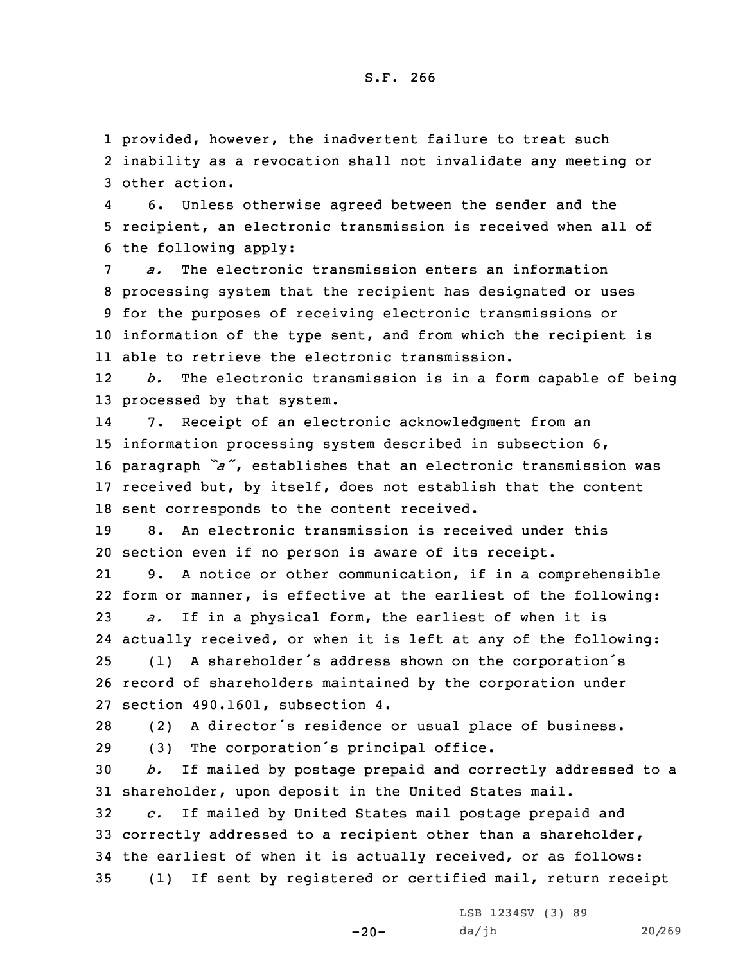1 provided, however, the inadvertent failure to treat such 2 inability as <sup>a</sup> revocation shall not invalidate any meeting or 3 other action.

4 6. Unless otherwise agreed between the sender and the 5 recipient, an electronic transmission is received when all of 6 the following apply:

 *a.* The electronic transmission enters an information processing system that the recipient has designated or uses for the purposes of receiving electronic transmissions or information of the type sent, and from which the recipient is able to retrieve the electronic transmission.

12 *b.* The electronic transmission is in <sup>a</sup> form capable of being 13 processed by that system.

14 7. Receipt of an electronic acknowledgment from an information processing system described in subsection 6, paragraph *"a"*, establishes that an electronic transmission was received but, by itself, does not establish that the content sent corresponds to the content received.

19 8. An electronic transmission is received under this 20 section even if no person is aware of its receipt.

21 9. <sup>A</sup> notice or other communication, if in <sup>a</sup> comprehensible form or manner, is effective at the earliest of the following: *a.* If in <sup>a</sup> physical form, the earliest of when it is actually received, or when it is left at any of the following: (1) <sup>A</sup> shareholder's address shown on the corporation's record of shareholders maintained by the corporation under section 490.1601, subsection 4.

<sup>28</sup> (2) <sup>A</sup> director's residence or usual place of business.

<sup>29</sup> (3) The corporation's principal office.

30 *b.* If mailed by postage prepaid and correctly addressed to <sup>a</sup> 31 shareholder, upon deposit in the United States mail.

 *c.* If mailed by United States mail postage prepaid and correctly addressed to <sup>a</sup> recipient other than <sup>a</sup> shareholder, the earliest of when it is actually received, or as follows: (1) If sent by registered or certified mail, return receipt

 $-20-$ 

LSB 1234SV (3) 89 da/jh 20/269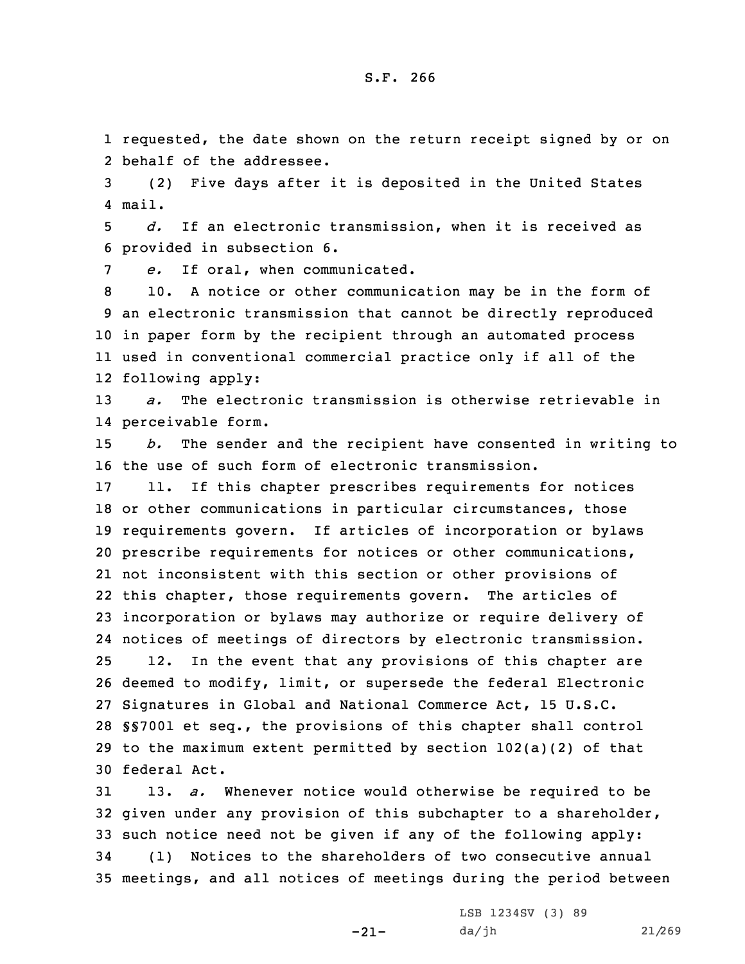1 requested, the date shown on the return receipt signed by or on 2 behalf of the addressee.

3 (2) Five days after it is deposited in the United States 4 mail.

5 *d.* If an electronic transmission, when it is received as 6 provided in subsection 6.

7 *e.* If oral, when communicated.

 10. <sup>A</sup> notice or other communication may be in the form of an electronic transmission that cannot be directly reproduced in paper form by the recipient through an automated process used in conventional commercial practice only if all of the following apply:

13 *a.* The electronic transmission is otherwise retrievable in 14 perceivable form.

15 *b.* The sender and the recipient have consented in writing to 16 the use of such form of electronic transmission.

 11. If this chapter prescribes requirements for notices or other communications in particular circumstances, those requirements govern. If articles of incorporation or bylaws prescribe requirements for notices or other communications, not inconsistent with this section or other provisions of this chapter, those requirements govern. The articles of incorporation or bylaws may authorize or require delivery of notices of meetings of directors by electronic transmission. 12. In the event that any provisions of this chapter are deemed to modify, limit, or supersede the federal Electronic Signatures in Global and National Commerce Act, 15 U.S.C. §§7001 et seq., the provisions of this chapter shall control to the maximum extent permitted by section 102(a)(2) of that federal Act.

 13. *a.* Whenever notice would otherwise be required to be given under any provision of this subchapter to <sup>a</sup> shareholder, such notice need not be given if any of the following apply: (1) Notices to the shareholders of two consecutive annual meetings, and all notices of meetings during the period between

-21-

LSB 1234SV (3) 89 da/jh 21/269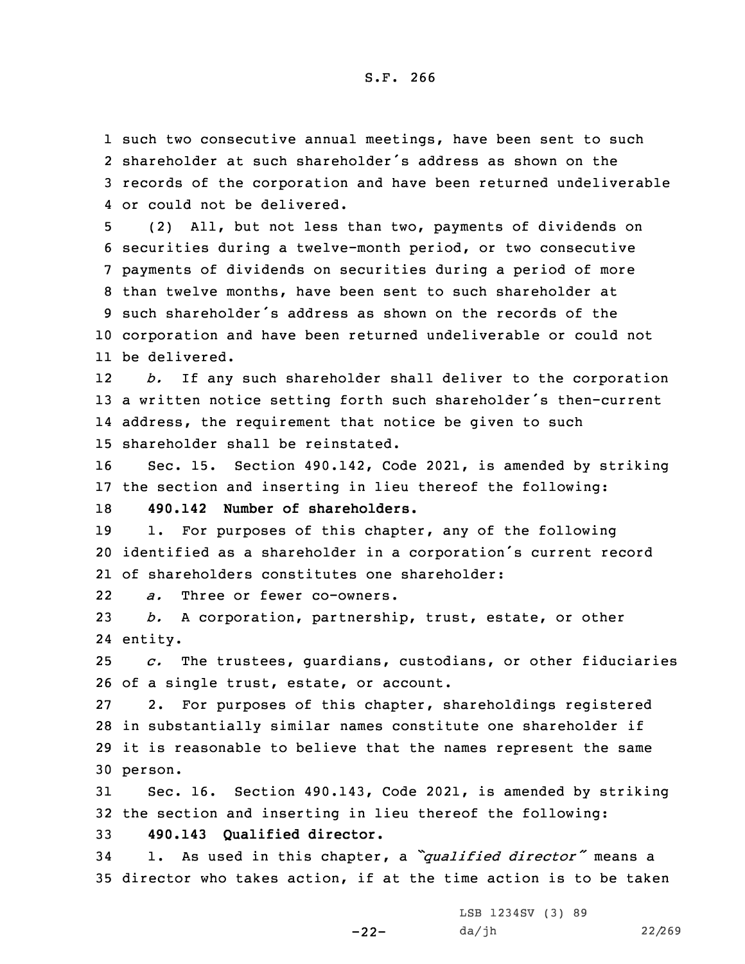such two consecutive annual meetings, have been sent to such shareholder at such shareholder's address as shown on the records of the corporation and have been returned undeliverable or could not be delivered.

 (2) All, but not less than two, payments of dividends on securities during <sup>a</sup> twelve-month period, or two consecutive payments of dividends on securities during <sup>a</sup> period of more than twelve months, have been sent to such shareholder at such shareholder's address as shown on the records of the corporation and have been returned undeliverable or could not be delivered.

12 *b.* If any such shareholder shall deliver to the corporation <sup>13</sup> <sup>a</sup> written notice setting forth such shareholder's then-current 14 address, the requirement that notice be given to such 15 shareholder shall be reinstated.

16 Sec. 15. Section 490.142, Code 2021, is amended by striking 17 the section and inserting in lieu thereof the following:

18 **490.142 Number of shareholders.**

19 1. For purposes of this chapter, any of the following <sup>20</sup> identified as <sup>a</sup> shareholder in <sup>a</sup> corporation's current record 21 of shareholders constitutes one shareholder:

22*a.* Three or fewer co-owners.

23 *b.* <sup>A</sup> corporation, partnership, trust, estate, or other 24 entity.

25 *c.* The trustees, guardians, custodians, or other fiduciaries 26 of <sup>a</sup> single trust, estate, or account.

 2. For purposes of this chapter, shareholdings registered in substantially similar names constitute one shareholder if it is reasonable to believe that the names represent the same 30 person.

31 Sec. 16. Section 490.143, Code 2021, is amended by striking 32 the section and inserting in lieu thereof the following:

33 **490.143 Qualified director.**

<sup>34</sup> 1. As used in this chapter, <sup>a</sup> *"qualified director"* means <sup>a</sup> 35 director who takes action, if at the time action is to be taken

-22-

LSB 1234SV (3) 89 da/jh 22/269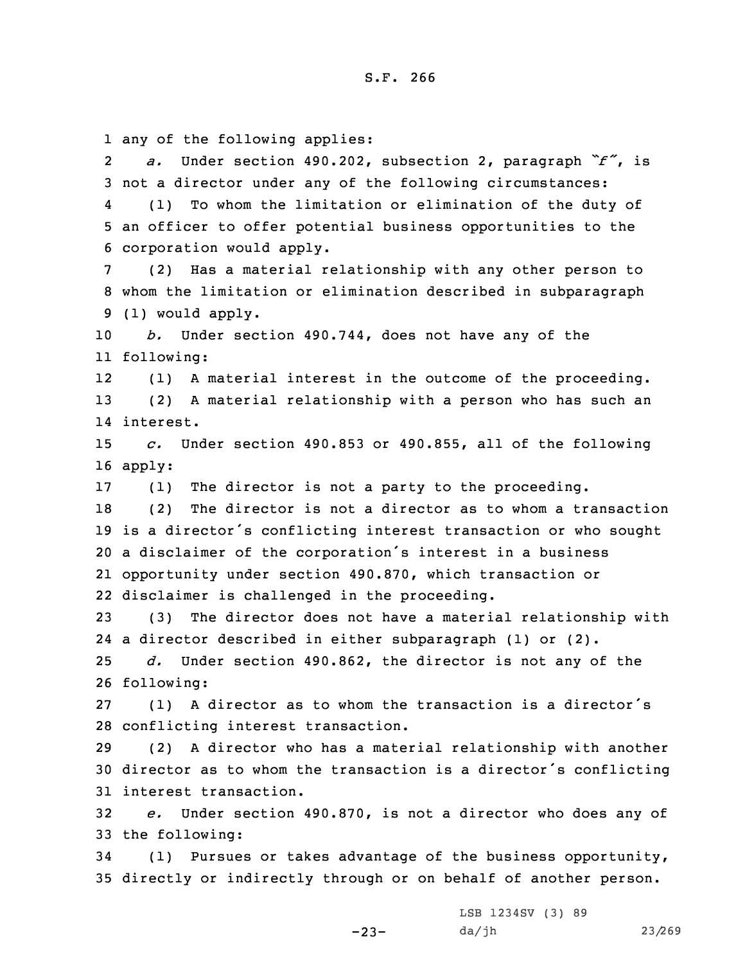1 any of the following applies:

2 *a.* Under section 490.202, subsection 2, paragraph *"f"*, is 3 not <sup>a</sup> director under any of the following circumstances:

4 (1) To whom the limitation or elimination of the duty of 5 an officer to offer potential business opportunities to the 6 corporation would apply.

7 (2) Has <sup>a</sup> material relationship with any other person to 8 whom the limitation or elimination described in subparagraph 9 (1) would apply.

10 *b.* Under section 490.744, does not have any of the 11 following:

12 (1) <sup>A</sup> material interest in the outcome of the proceeding. 13 (2) <sup>A</sup> material relationship with <sup>a</sup> person who has such an 14 interest.

15 *c.* Under section 490.853 or 490.855, all of the following 16 apply:

17 (1) The director is not <sup>a</sup> party to the proceeding.

 (2) The director is not <sup>a</sup> director as to whom <sup>a</sup> transaction is <sup>a</sup> director's conflicting interest transaction or who sought <sup>a</sup> disclaimer of the corporation's interest in <sup>a</sup> business opportunity under section 490.870, which transaction or disclaimer is challenged in the proceeding.

23 (3) The director does not have <sup>a</sup> material relationship with 24 <sup>a</sup> director described in either subparagraph (1) or (2).

25 *d.* Under section 490.862, the director is not any of the 26 following:

27 (1) <sup>A</sup> director as to whom the transaction is <sup>a</sup> director's 28 conflicting interest transaction.

29 (2) <sup>A</sup> director who has <sup>a</sup> material relationship with another <sup>30</sup> director as to whom the transaction is <sup>a</sup> director's conflicting 31 interest transaction.

32 *e.* Under section 490.870, is not <sup>a</sup> director who does any of 33 the following:

34 (1) Pursues or takes advantage of the business opportunity, 35 directly or indirectly through or on behalf of another person.

-23-

LSB 1234SV (3) 89 da/jh 23/269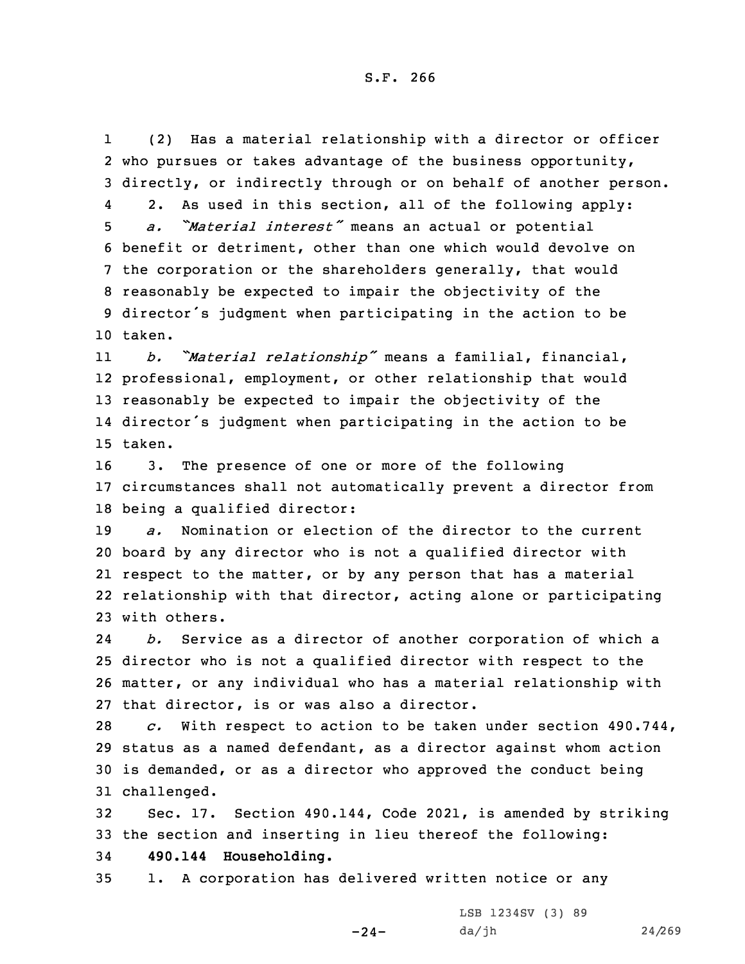1 (2) Has <sup>a</sup> material relationship with <sup>a</sup> director or officer 2 who pursues or takes advantage of the business opportunity, 3 directly, or indirectly through or on behalf of another person. 4 2. As used in this section, all of the following apply: <sup>5</sup> *a. "Material interest"* means an actual or potential 6 benefit or detriment, other than one which would devolve on

 the corporation or the shareholders generally, that would reasonably be expected to impair the objectivity of the director's judgment when participating in the action to be 10 taken.

11 *b. "Material relationship"* means <sup>a</sup> familial, financial, 12 professional, employment, or other relationship that would 13 reasonably be expected to impair the objectivity of the 14 director's judgment when participating in the action to be 15 taken.

16 3. The presence of one or more of the following 17 circumstances shall not automatically prevent <sup>a</sup> director from 18 being <sup>a</sup> qualified director:

 *a.* Nomination or election of the director to the current board by any director who is not <sup>a</sup> qualified director with respect to the matter, or by any person that has <sup>a</sup> material relationship with that director, acting alone or participating with others.

24 *b.* Service as <sup>a</sup> director of another corporation of which <sup>a</sup> 25 director who is not <sup>a</sup> qualified director with respect to the 26 matter, or any individual who has <sup>a</sup> material relationship with 27 that director, is or was also <sup>a</sup> director.

 *c.* With respect to action to be taken under section 490.744, status as <sup>a</sup> named defendant, as <sup>a</sup> director against whom action is demanded, or as <sup>a</sup> director who approved the conduct being challenged.

32 Sec. 17. Section 490.144, Code 2021, is amended by striking 33 the section and inserting in lieu thereof the following: 34 **490.144 Householding.**

35 1. <sup>A</sup> corporation has delivered written notice or any

 $-24-$ 

LSB 1234SV (3) 89 da/jh 24/269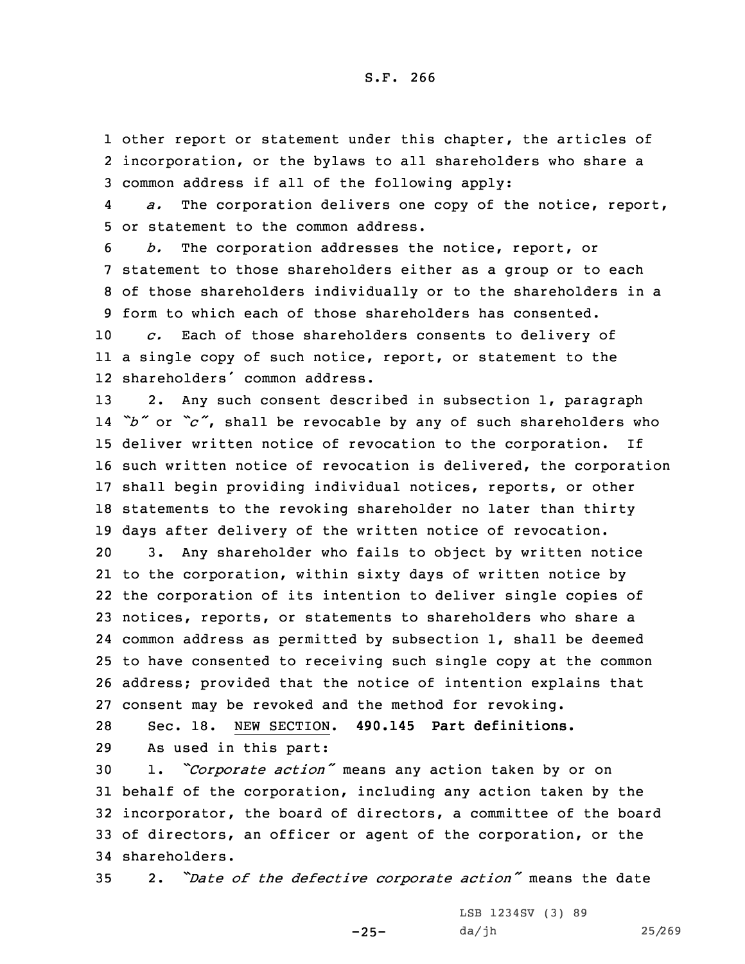1 other report or statement under this chapter, the articles of 2 incorporation, or the bylaws to all shareholders who share <sup>a</sup> 3 common address if all of the following apply:

4 *a.* The corporation delivers one copy of the notice, report, 5 or statement to the common address.

 *b.* The corporation addresses the notice, report, or statement to those shareholders either as <sup>a</sup> group or to each of those shareholders individually or to the shareholders in <sup>a</sup> form to which each of those shareholders has consented. *c.* Each of those shareholders consents to delivery of

11 <sup>a</sup> single copy of such notice, report, or statement to the 12 shareholders' common address.

13 2. Any such consent described in subsection 1, paragraph *"b"* or *"c"*, shall be revocable by any of such shareholders who deliver written notice of revocation to the corporation. If such written notice of revocation is delivered, the corporation shall begin providing individual notices, reports, or other statements to the revoking shareholder no later than thirty days after delivery of the written notice of revocation. 3. Any shareholder who fails to object by written notice to the corporation, within sixty days of written notice by the corporation of its intention to deliver single copies of notices, reports, or statements to shareholders who share <sup>a</sup> common address as permitted by subsection 1, shall be deemed to have consented to receiving such single copy at the common address; provided that the notice of intention explains that consent may be revoked and the method for revoking.

28 Sec. 18. NEW SECTION. **490.145 Part definitions.** 29 As used in this part:

 1. *"Corporate action"* means any action taken by or on behalf of the corporation, including any action taken by the incorporator, the board of directors, <sup>a</sup> committee of the board of directors, an officer or agent of the corporation, or the shareholders.

<sup>35</sup> 2. *"Date of the defective corporate action"* means the date

 $-25-$ 

LSB 1234SV (3) 89 da/jh 25/269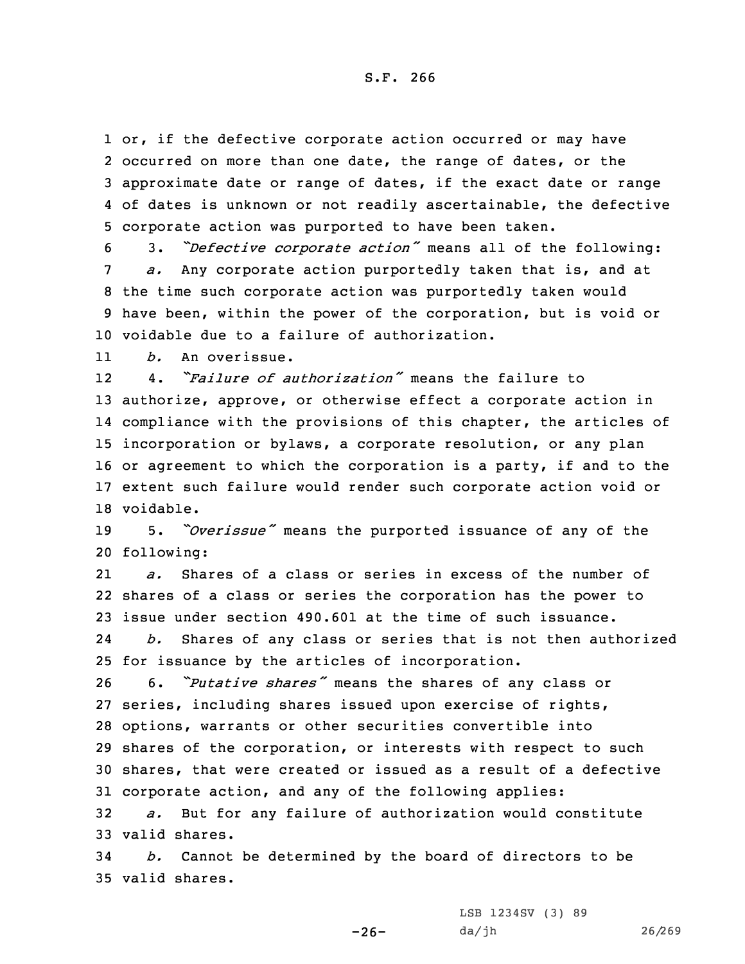1 or, if the defective corporate action occurred or may have occurred on more than one date, the range of dates, or the approximate date or range of dates, if the exact date or range of dates is unknown or not readily ascertainable, the defective corporate action was purported to have been taken.

 3. *"Defective corporate action"* means all of the following: *a.* Any corporate action purportedly taken that is, and at the time such corporate action was purportedly taken would have been, within the power of the corporation, but is void or voidable due to <sup>a</sup> failure of authorization.

11*b.* An overissue.

12 4. *"Failure of authorization"* means the failure to authorize, approve, or otherwise effect <sup>a</sup> corporate action in compliance with the provisions of this chapter, the articles of incorporation or bylaws, <sup>a</sup> corporate resolution, or any plan or agreement to which the corporation is <sup>a</sup> party, if and to the extent such failure would render such corporate action void or voidable.

<sup>19</sup> 5. *"Overissue"* means the purported issuance of any of the 20 following:

21 *a.* Shares of <sup>a</sup> class or series in excess of the number of 22 shares of <sup>a</sup> class or series the corporation has the power to 23 issue under section 490.601 at the time of such issuance.

24 *b.* Shares of any class or series that is not then authorized 25 for issuance by the articles of incorporation.

 6. *"Putative shares"* means the shares of any class or series, including shares issued upon exercise of rights, options, warrants or other securities convertible into shares of the corporation, or interests with respect to such shares, that were created or issued as <sup>a</sup> result of <sup>a</sup> defective corporate action, and any of the following applies:

32 *a.* But for any failure of authorization would constitute 33 valid shares.

34 *b.* Cannot be determined by the board of directors to be 35 valid shares.

 $-26-$ 

LSB 1234SV (3) 89 da/jh 26/269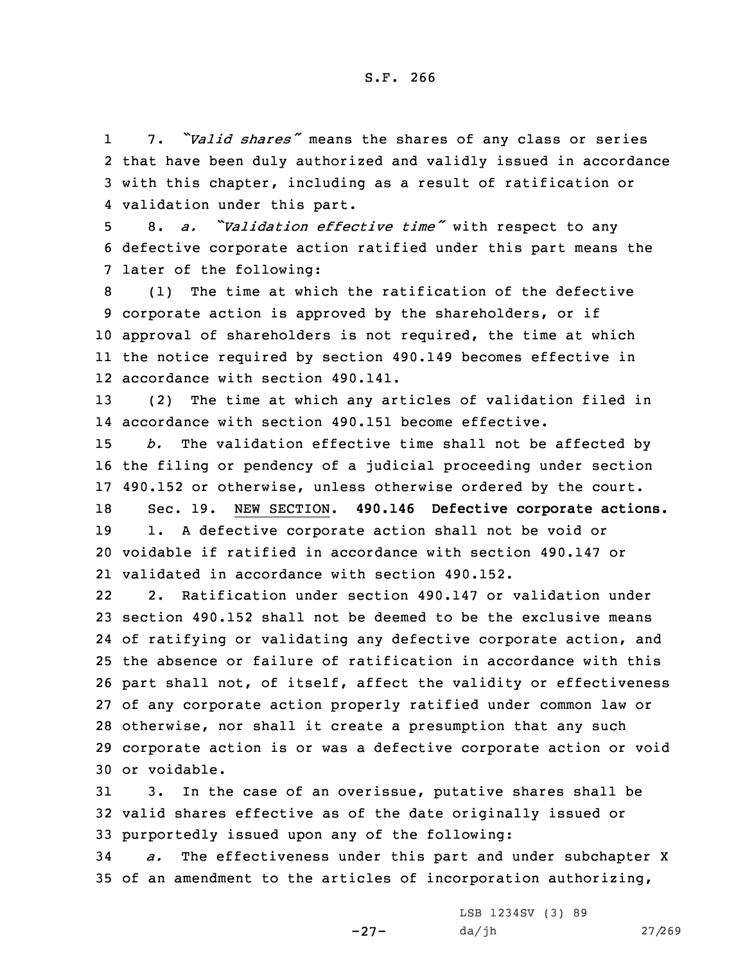1 7. *"Valid shares"* means the shares of any class or series 2 that have been duly authorized and validly issued in accordance 3 with this chapter, including as <sup>a</sup> result of ratification or 4 validation under this part.

<sup>5</sup> 8. *a. "Validation effective time"* with respect to any 6 defective corporate action ratified under this part means the 7 later of the following:

 (1) The time at which the ratification of the defective corporate action is approved by the shareholders, or if approval of shareholders is not required, the time at which the notice required by section 490.149 becomes effective in accordance with section 490.141.

13 (2) The time at which any articles of validation filed in 14 accordance with section 490.151 become effective.

15 *b.* The validation effective time shall not be affected by 16 the filing or pendency of <sup>a</sup> judicial proceeding under section 17 490.152 or otherwise, unless otherwise ordered by the court.

 Sec. 19. NEW SECTION. **490.146 Defective corporate actions.** 1. <sup>A</sup> defective corporate action shall not be void or voidable if ratified in accordance with section 490.147 or validated in accordance with section 490.152.

22 2. Ratification under section 490.147 or validation under section 490.152 shall not be deemed to be the exclusive means of ratifying or validating any defective corporate action, and the absence or failure of ratification in accordance with this part shall not, of itself, affect the validity or effectiveness of any corporate action properly ratified under common law or otherwise, nor shall it create <sup>a</sup> presumption that any such corporate action is or was <sup>a</sup> defective corporate action or void or voidable.

31 3. In the case of an overissue, putative shares shall be 32 valid shares effective as of the date originally issued or 33 purportedly issued upon any of the following:

-27-

34 *a.* The effectiveness under this part and under subchapter <sup>X</sup> 35 of an amendment to the articles of incorporation authorizing,

> LSB 1234SV (3) 89 da/jh 27/269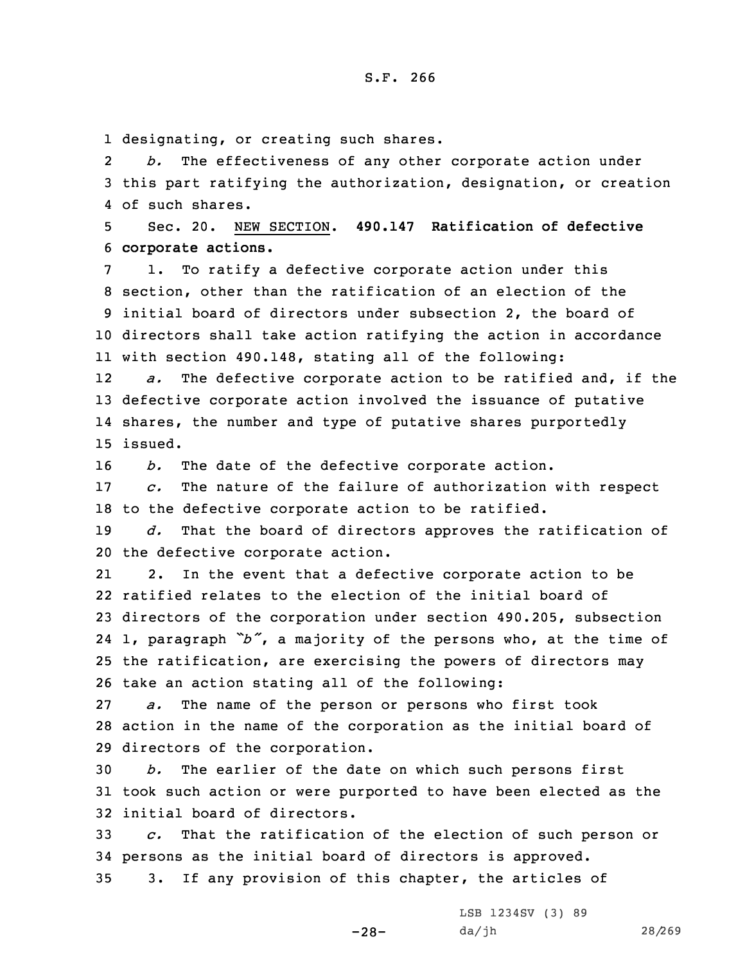1 designating, or creating such shares.

2 *b.* The effectiveness of any other corporate action under 3 this part ratifying the authorization, designation, or creation 4 of such shares.

5 Sec. 20. NEW SECTION. **490.147 Ratification of defective** 6 **corporate actions.**

 1. To ratify <sup>a</sup> defective corporate action under this section, other than the ratification of an election of the initial board of directors under subsection 2, the board of directors shall take action ratifying the action in accordance with section 490.148, stating all of the following:

12 *a.* The defective corporate action to be ratified and, if the 13 defective corporate action involved the issuance of putative 14 shares, the number and type of putative shares purportedly 15 issued.

16 *b.* The date of the defective corporate action.

17 *c.* The nature of the failure of authorization with respect 18 to the defective corporate action to be ratified.

19 *d.* That the board of directors approves the ratification of 20 the defective corporate action.

21 2. In the event that <sup>a</sup> defective corporate action to be ratified relates to the election of the initial board of directors of the corporation under section 490.205, subsection 1, paragraph *"b"*, <sup>a</sup> majority of the persons who, at the time of the ratification, are exercising the powers of directors may take an action stating all of the following:

27 *a.* The name of the person or persons who first took 28 action in the name of the corporation as the initial board of 29 directors of the corporation.

30 *b.* The earlier of the date on which such persons first 31 took such action or were purported to have been elected as the 32 initial board of directors.

33 *c.* That the ratification of the election of such person or 34 persons as the initial board of directors is approved.

-28-

35 3. If any provision of this chapter, the articles of

LSB 1234SV (3) 89 da/jh 28/269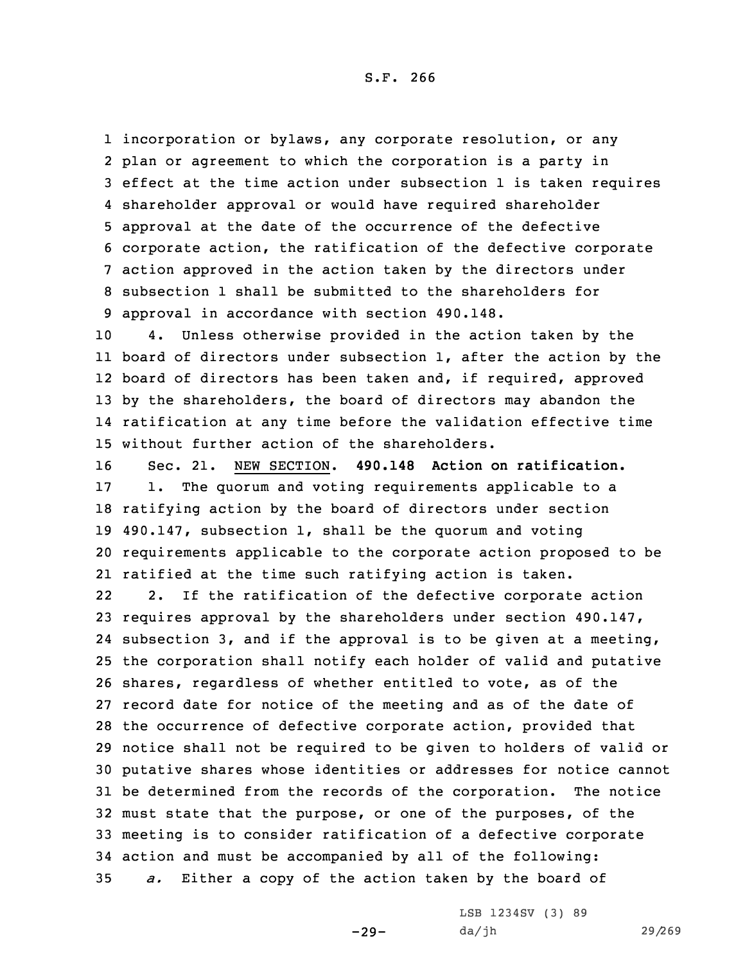incorporation or bylaws, any corporate resolution, or any plan or agreement to which the corporation is <sup>a</sup> party in effect at the time action under subsection 1 is taken requires shareholder approval or would have required shareholder approval at the date of the occurrence of the defective corporate action, the ratification of the defective corporate action approved in the action taken by the directors under subsection 1 shall be submitted to the shareholders for approval in accordance with section 490.148.

 4. Unless otherwise provided in the action taken by the board of directors under subsection 1, after the action by the board of directors has been taken and, if required, approved by the shareholders, the board of directors may abandon the ratification at any time before the validation effective time without further action of the shareholders.

 Sec. 21. NEW SECTION. **490.148 Action on ratification.** 1. The quorum and voting requirements applicable to <sup>a</sup> ratifying action by the board of directors under section 490.147, subsection 1, shall be the quorum and voting requirements applicable to the corporate action proposed to be ratified at the time such ratifying action is taken.

22 2. If the ratification of the defective corporate action requires approval by the shareholders under section 490.147, subsection 3, and if the approval is to be given at <sup>a</sup> meeting, the corporation shall notify each holder of valid and putative shares, regardless of whether entitled to vote, as of the record date for notice of the meeting and as of the date of the occurrence of defective corporate action, provided that notice shall not be required to be given to holders of valid or putative shares whose identities or addresses for notice cannot be determined from the records of the corporation. The notice must state that the purpose, or one of the purposes, of the meeting is to consider ratification of <sup>a</sup> defective corporate action and must be accompanied by all of the following: *a.* Either <sup>a</sup> copy of the action taken by the board of

 $-29-$ 

LSB 1234SV (3) 89 da/jh 29/269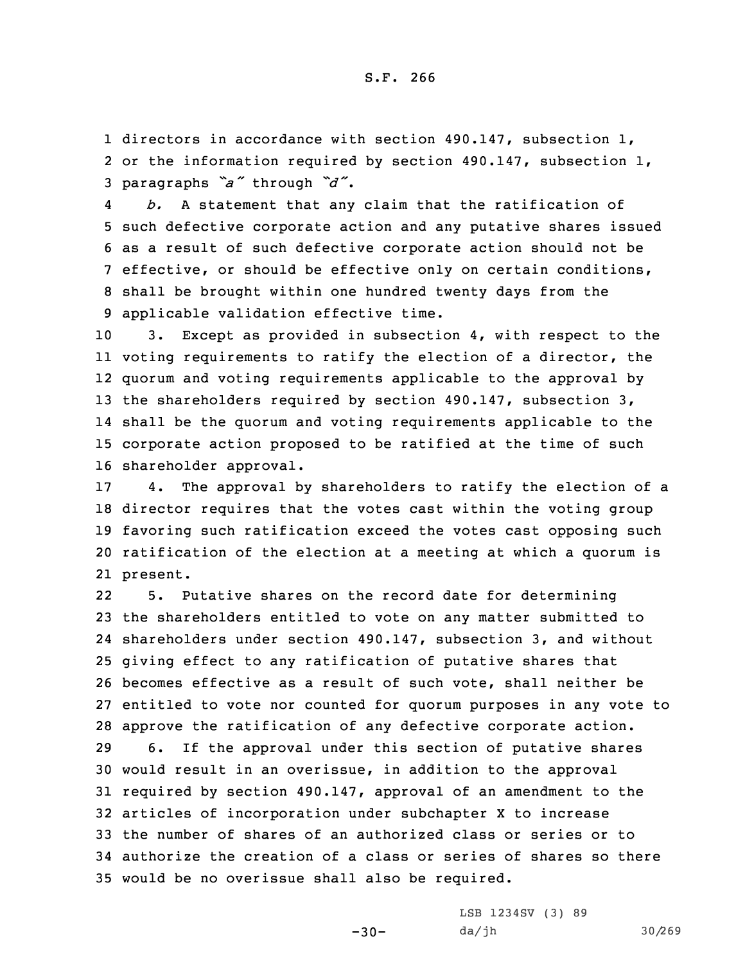1 directors in accordance with section 490.147, subsection 1, 2 or the information required by section 490.147, subsection 1, <sup>3</sup> paragraphs *"a"* through *"d"*.

4 *b.* <sup>A</sup> statement that any claim that the ratification of such defective corporate action and any putative shares issued as <sup>a</sup> result of such defective corporate action should not be effective, or should be effective only on certain conditions, shall be brought within one hundred twenty days from the applicable validation effective time.

 3. Except as provided in subsection 4, with respect to the voting requirements to ratify the election of <sup>a</sup> director, the quorum and voting requirements applicable to the approval by the shareholders required by section 490.147, subsection 3, shall be the quorum and voting requirements applicable to the corporate action proposed to be ratified at the time of such shareholder approval.

 4. The approval by shareholders to ratify the election of <sup>a</sup> director requires that the votes cast within the voting group favoring such ratification exceed the votes cast opposing such ratification of the election at <sup>a</sup> meeting at which <sup>a</sup> quorum is 21 present.

22 5. Putative shares on the record date for determining the shareholders entitled to vote on any matter submitted to shareholders under section 490.147, subsection 3, and without giving effect to any ratification of putative shares that becomes effective as <sup>a</sup> result of such vote, shall neither be entitled to vote nor counted for quorum purposes in any vote to approve the ratification of any defective corporate action. 6. If the approval under this section of putative shares would result in an overissue, in addition to the approval required by section 490.147, approval of an amendment to the articles of incorporation under subchapter <sup>X</sup> to increase the number of shares of an authorized class or series or to authorize the creation of <sup>a</sup> class or series of shares so there would be no overissue shall also be required.

 $-30-$ 

LSB 1234SV (3) 89 da/jh 30/269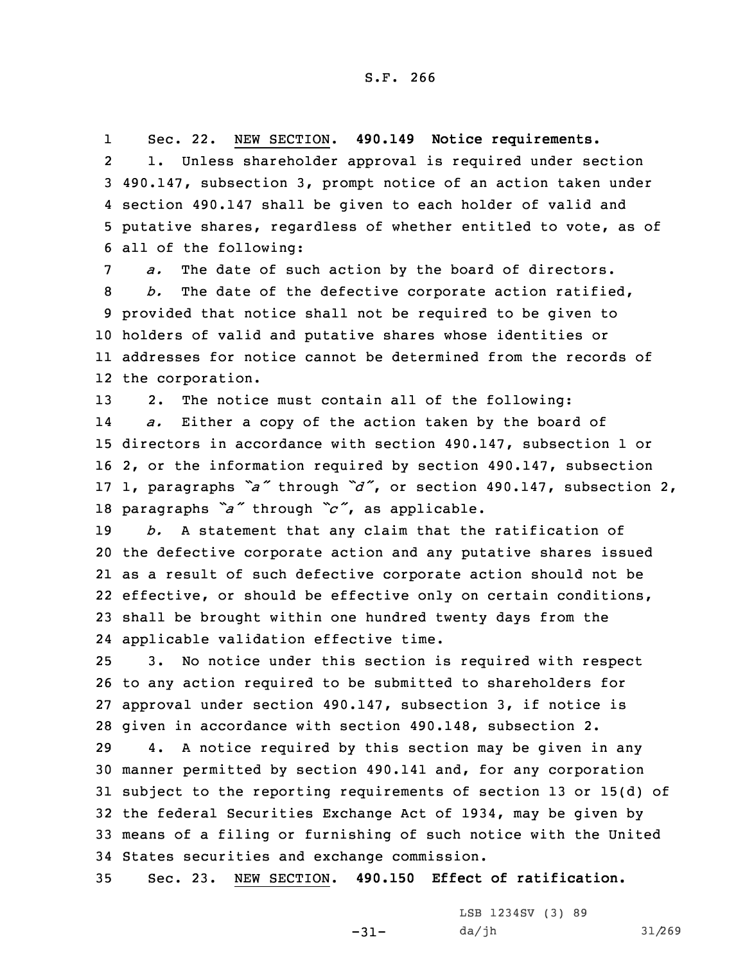1 Sec. 22. NEW SECTION. **490.149 Notice requirements.** 2 1. Unless shareholder approval is required under section 3 490.147, subsection 3, prompt notice of an action taken under 4 section 490.147 shall be given to each holder of valid and 5 putative shares, regardless of whether entitled to vote, as of 6 all of the following:

 *a.* The date of such action by the board of directors. *b.* The date of the defective corporate action ratified, provided that notice shall not be required to be given to holders of valid and putative shares whose identities or addresses for notice cannot be determined from the records of the corporation.

13 2. The notice must contain all of the following:

14 *a.* Either <sup>a</sup> copy of the action taken by the board of directors in accordance with section 490.147, subsection 1 or 2, or the information required by section 490.147, subsection 1, paragraphs *"a"* through *"d"*, or section 490.147, subsection 2, paragraphs *"a"* through *"c"*, as applicable.

 *b.* <sup>A</sup> statement that any claim that the ratification of the defective corporate action and any putative shares issued as <sup>a</sup> result of such defective corporate action should not be effective, or should be effective only on certain conditions, shall be brought within one hundred twenty days from the applicable validation effective time.

 3. No notice under this section is required with respect to any action required to be submitted to shareholders for approval under section 490.147, subsection 3, if notice is given in accordance with section 490.148, subsection 2.

 4. <sup>A</sup> notice required by this section may be given in any manner permitted by section 490.141 and, for any corporation subject to the reporting requirements of section 13 or 15(d) of the federal Securities Exchange Act of 1934, may be given by means of <sup>a</sup> filing or furnishing of such notice with the United States securities and exchange commission.

35 Sec. 23. NEW SECTION. **490.150 Effect of ratification.**

-31-

LSB 1234SV (3) 89 da/jh 31/269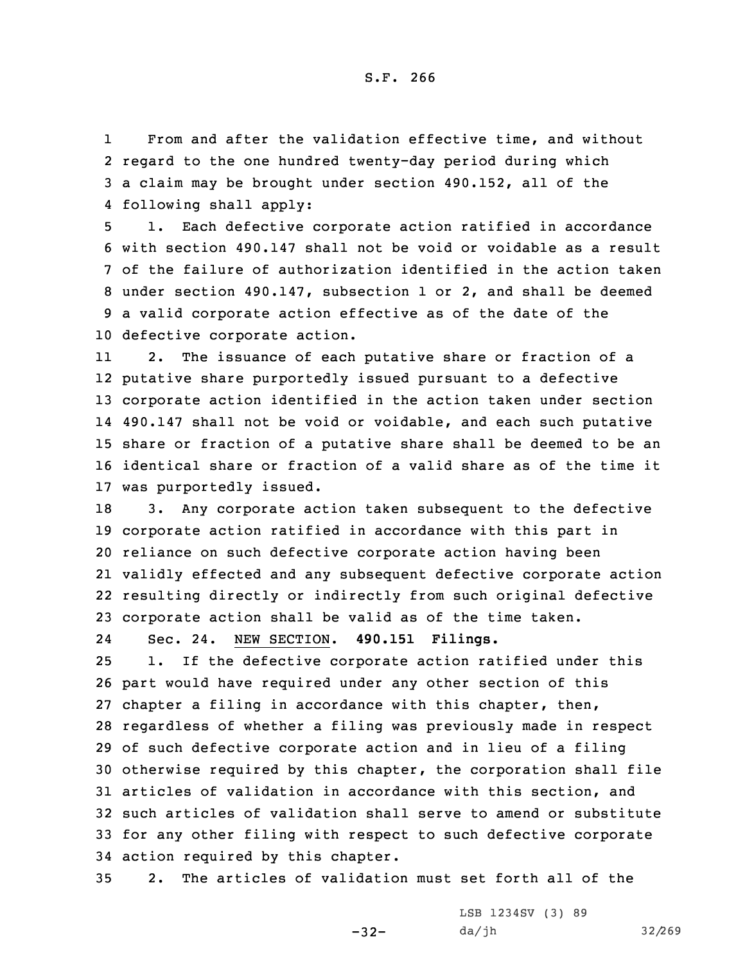1 From and after the validation effective time, and without 2 regard to the one hundred twenty-day period during which 3 <sup>a</sup> claim may be brought under section 490.152, all of the 4 following shall apply:

 1. Each defective corporate action ratified in accordance with section 490.147 shall not be void or voidable as <sup>a</sup> result of the failure of authorization identified in the action taken under section 490.147, subsection 1 or 2, and shall be deemed <sup>a</sup> valid corporate action effective as of the date of the defective corporate action.

11 2. The issuance of each putative share or fraction of <sup>a</sup> putative share purportedly issued pursuant to <sup>a</sup> defective corporate action identified in the action taken under section 490.147 shall not be void or voidable, and each such putative share or fraction of <sup>a</sup> putative share shall be deemed to be an identical share or fraction of <sup>a</sup> valid share as of the time it was purportedly issued.

 3. Any corporate action taken subsequent to the defective corporate action ratified in accordance with this part in reliance on such defective corporate action having been validly effected and any subsequent defective corporate action resulting directly or indirectly from such original defective corporate action shall be valid as of the time taken.

24Sec. 24. NEW SECTION. **490.151 Filings.**

 1. If the defective corporate action ratified under this part would have required under any other section of this chapter <sup>a</sup> filing in accordance with this chapter, then, regardless of whether <sup>a</sup> filing was previously made in respect of such defective corporate action and in lieu of <sup>a</sup> filing otherwise required by this chapter, the corporation shall file articles of validation in accordance with this section, and such articles of validation shall serve to amend or substitute for any other filing with respect to such defective corporate action required by this chapter.

35 2. The articles of validation must set forth all of the

-32-

LSB 1234SV (3) 89 da/jh 32/269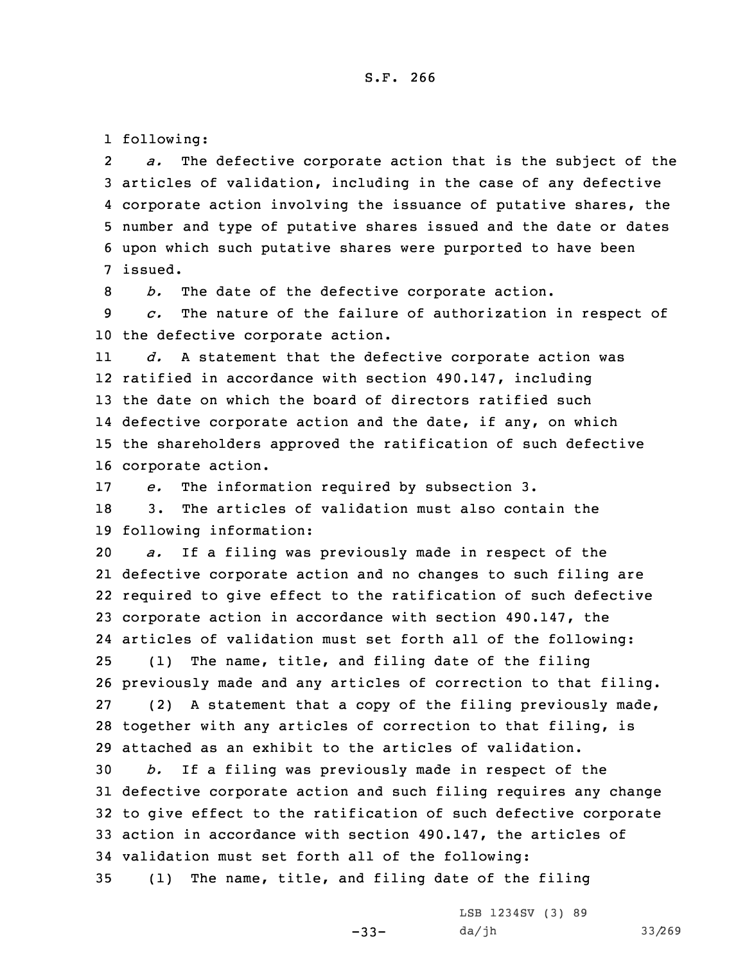1 following:

2 *a.* The defective corporate action that is the subject of the 3 articles of validation, including in the case of any defective 4 corporate action involving the issuance of putative shares, the 5 number and type of putative shares issued and the date or dates 6 upon which such putative shares were purported to have been 7 issued.

8 *b.* The date of the defective corporate action.

9 *c.* The nature of the failure of authorization in respect of 10 the defective corporate action.

11 *d.* <sup>A</sup> statement that the defective corporate action was ratified in accordance with section 490.147, including the date on which the board of directors ratified such defective corporate action and the date, if any, on which the shareholders approved the ratification of such defective corporate action.

17 *e.* The information required by subsection 3.

18 3. The articles of validation must also contain the 19 following information:

 *a.* If <sup>a</sup> filing was previously made in respect of the defective corporate action and no changes to such filing are required to give effect to the ratification of such defective corporate action in accordance with section 490.147, the articles of validation must set forth all of the following: (1) The name, title, and filing date of the filing previously made and any articles of correction to that filing. (2) <sup>A</sup> statement that <sup>a</sup> copy of the filing previously made, together with any articles of correction to that filing, is attached as an exhibit to the articles of validation.

 *b.* If <sup>a</sup> filing was previously made in respect of the defective corporate action and such filing requires any change to give effect to the ratification of such defective corporate action in accordance with section 490.147, the articles of validation must set forth all of the following:

-33-

35 (1) The name, title, and filing date of the filing

LSB 1234SV (3) 89 da/jh 33/269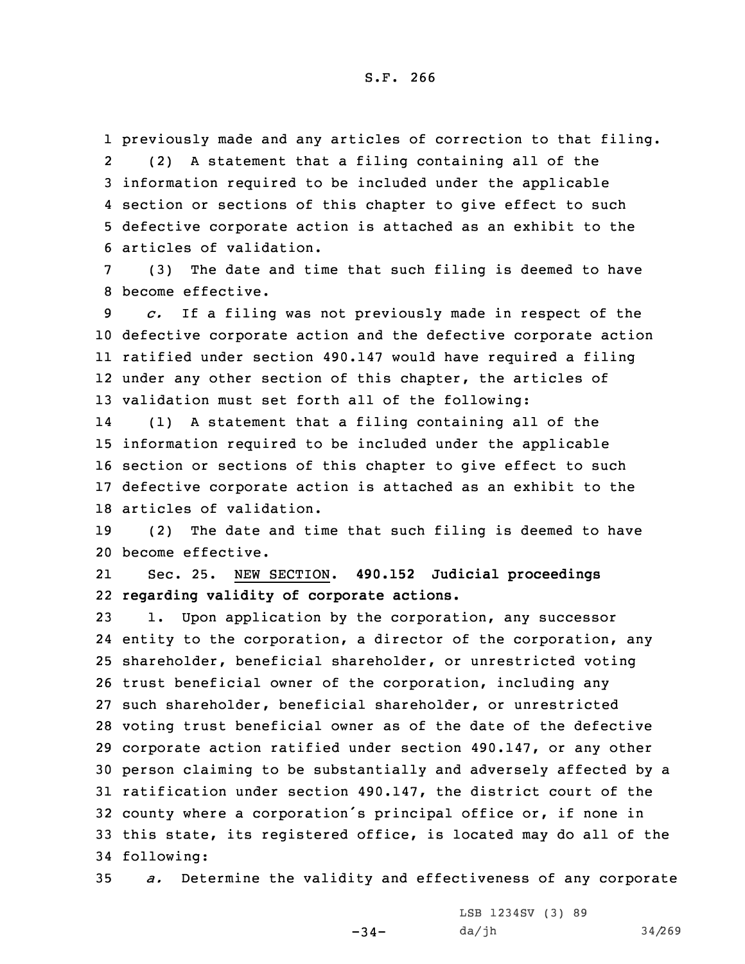previously made and any articles of correction to that filing. 2 (2) <sup>A</sup> statement that <sup>a</sup> filing containing all of the information required to be included under the applicable section or sections of this chapter to give effect to such defective corporate action is attached as an exhibit to the articles of validation.

7 (3) The date and time that such filing is deemed to have 8 become effective.

 *c.* If <sup>a</sup> filing was not previously made in respect of the defective corporate action and the defective corporate action ratified under section 490.147 would have required <sup>a</sup> filing under any other section of this chapter, the articles of validation must set forth all of the following:

14 (1) <sup>A</sup> statement that <sup>a</sup> filing containing all of the information required to be included under the applicable section or sections of this chapter to give effect to such defective corporate action is attached as an exhibit to the articles of validation.

19 (2) The date and time that such filing is deemed to have 20 become effective.

21 Sec. 25. NEW SECTION. **490.152 Judicial proceedings** 22 **regarding validity of corporate actions.**

 1. Upon application by the corporation, any successor entity to the corporation, <sup>a</sup> director of the corporation, any shareholder, beneficial shareholder, or unrestricted voting trust beneficial owner of the corporation, including any such shareholder, beneficial shareholder, or unrestricted voting trust beneficial owner as of the date of the defective corporate action ratified under section 490.147, or any other person claiming to be substantially and adversely affected by <sup>a</sup> ratification under section 490.147, the district court of the county where <sup>a</sup> corporation's principal office or, if none in this state, its registered office, is located may do all of the following:

35 *a.* Determine the validity and effectiveness of any corporate

 $-34-$ 

LSB 1234SV (3) 89 da/jh 34/269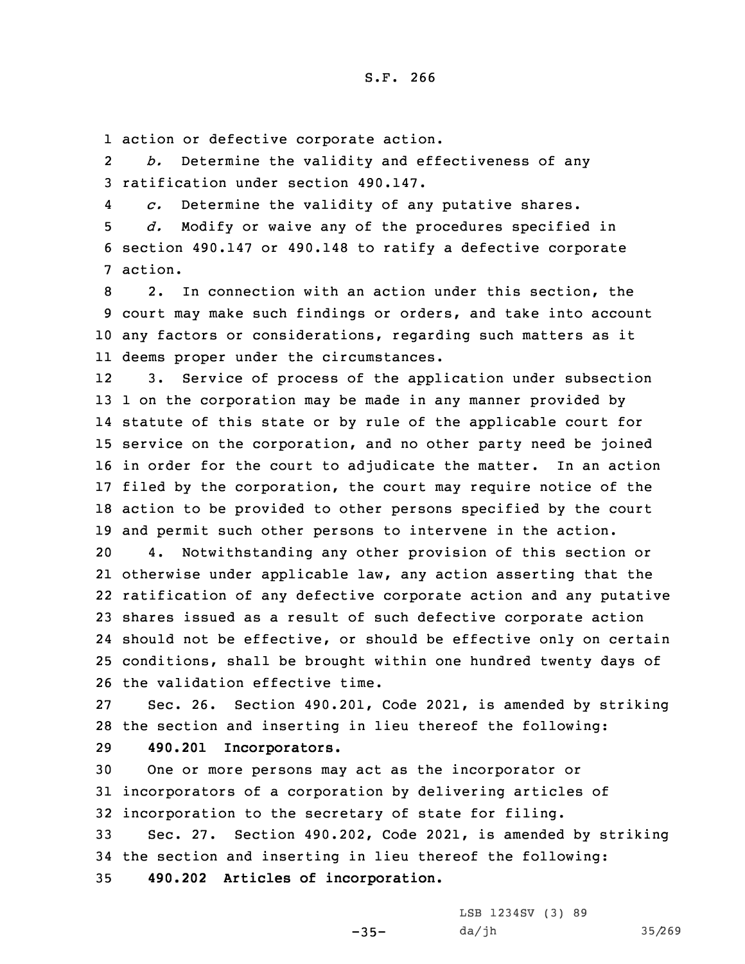1 action or defective corporate action.

2 *b.* Determine the validity and effectiveness of any 3 ratification under section 490.147.

4*c.* Determine the validity of any putative shares.

5 *d.* Modify or waive any of the procedures specified in 6 section 490.147 or 490.148 to ratify <sup>a</sup> defective corporate 7 action.

 2. In connection with an action under this section, the court may make such findings or orders, and take into account any factors or considerations, regarding such matters as it deems proper under the circumstances.

12 3. Service of process of the application under subsection 13 1 on the corporation may be made in any manner provided by statute of this state or by rule of the applicable court for service on the corporation, and no other party need be joined in order for the court to adjudicate the matter. In an action filed by the corporation, the court may require notice of the action to be provided to other persons specified by the court and permit such other persons to intervene in the action.

 4. Notwithstanding any other provision of this section or otherwise under applicable law, any action asserting that the ratification of any defective corporate action and any putative shares issued as <sup>a</sup> result of such defective corporate action should not be effective, or should be effective only on certain conditions, shall be brought within one hundred twenty days of the validation effective time.

27 Sec. 26. Section 490.201, Code 2021, is amended by striking 28 the section and inserting in lieu thereof the following: 29 **490.201 Incorporators.**

30 One or more persons may act as the incorporator or 31 incorporators of <sup>a</sup> corporation by delivering articles of 32 incorporation to the secretary of state for filing.

33 Sec. 27. Section 490.202, Code 2021, is amended by striking 34 the section and inserting in lieu thereof the following: 35 **490.202 Articles of incorporation.**

-35-

LSB 1234SV (3) 89 da/jh 35/269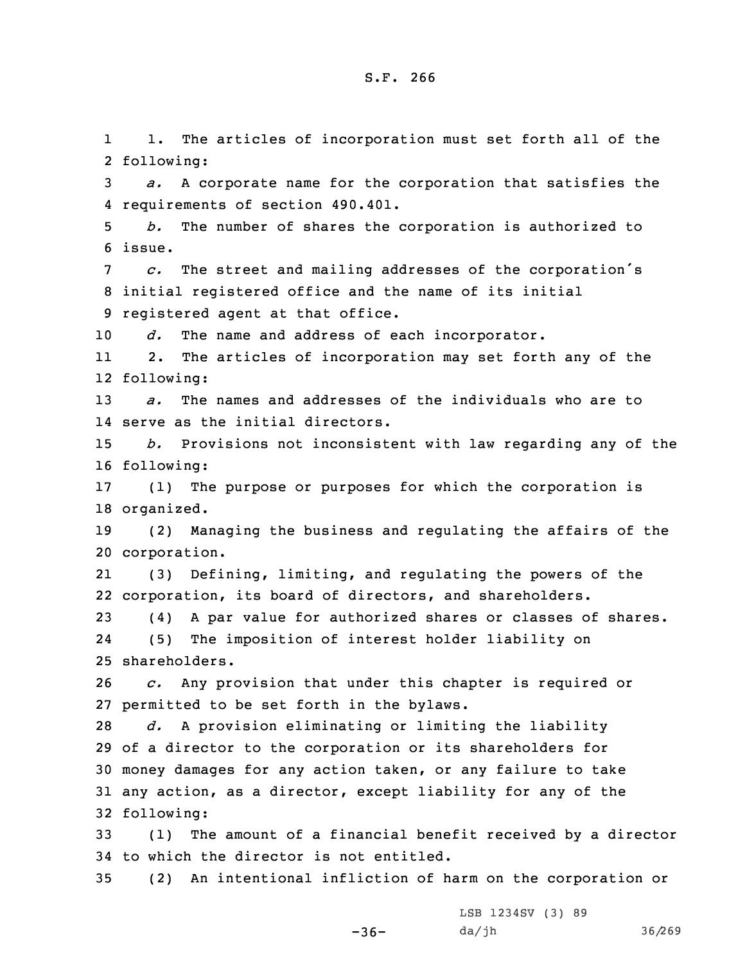1. The articles of incorporation must set forth all of the

1

 following: *a.* <sup>A</sup> corporate name for the corporation that satisfies the requirements of section 490.401. *b.* The number of shares the corporation is authorized to 6 issue. *c.* The street and mailing addresses of the corporation's initial registered office and the name of its initial registered agent at that office. *d.* The name and address of each incorporator. 11 2. The articles of incorporation may set forth any of the following: *a.* The names and addresses of the individuals who are to serve as the initial directors. *b.* Provisions not inconsistent with law regarding any of the following: (1) The purpose or purposes for which the corporation is organized. (2) Managing the business and regulating the affairs of the corporation. 21 (3) Defining, limiting, and regulating the powers of the corporation, its board of directors, and shareholders. (4) <sup>A</sup> par value for authorized shares or classes of shares. 24 (5) The imposition of interest holder liability on shareholders. *c.* Any provision that under this chapter is required or permitted to be set forth in the bylaws. *d.* <sup>A</sup> provision eliminating or limiting the liability of <sup>a</sup> director to the corporation or its shareholders for money damages for any action taken, or any failure to take any action, as <sup>a</sup> director, except liability for any of the following: (1) The amount of <sup>a</sup> financial benefit received by <sup>a</sup> director to which the director is not entitled. (2) An intentional infliction of harm on the corporation or

 $-36-$ 

LSB 1234SV (3) 89 da/jh 36/269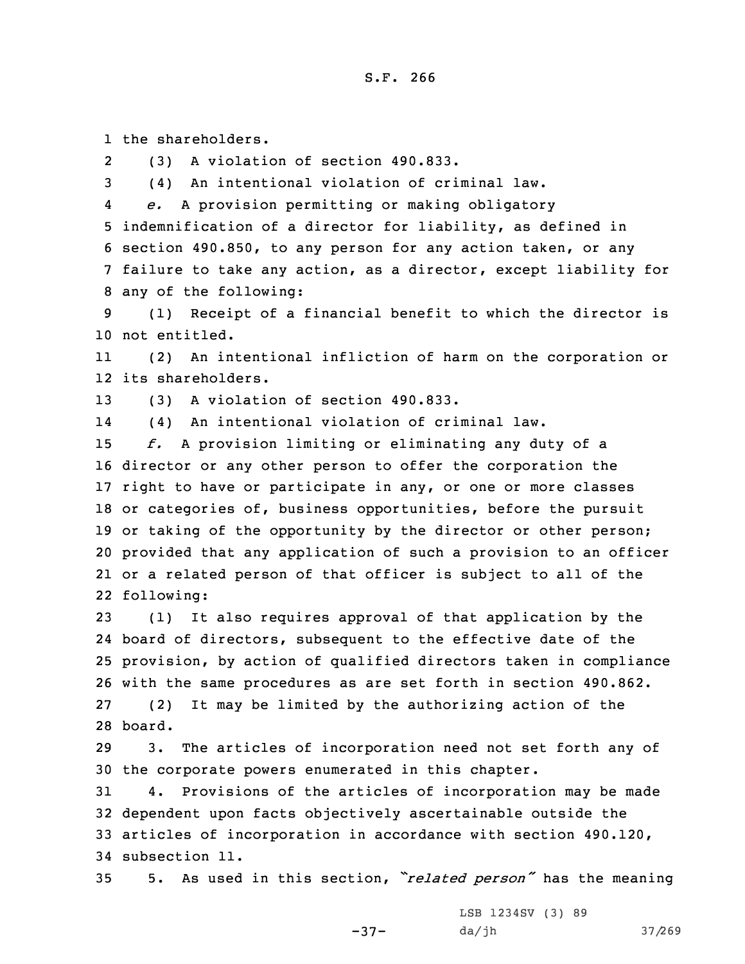1 the shareholders.

2(3) <sup>A</sup> violation of section 490.833.

3 (4) An intentional violation of criminal law.

4 *e.* <sup>A</sup> provision permitting or making obligatory indemnification of <sup>a</sup> director for liability, as defined in section 490.850, to any person for any action taken, or any failure to take any action, as <sup>a</sup> director, except liability for any of the following:

9 (1) Receipt of <sup>a</sup> financial benefit to which the director is 10 not entitled.

11 (2) An intentional infliction of harm on the corporation or 12 its shareholders.

13 (3) <sup>A</sup> violation of section 490.833.

14(4) An intentional violation of criminal law.

 *f.* <sup>A</sup> provision limiting or eliminating any duty of <sup>a</sup> director or any other person to offer the corporation the right to have or participate in any, or one or more classes or categories of, business opportunities, before the pursuit or taking of the opportunity by the director or other person; provided that any application of such <sup>a</sup> provision to an officer or <sup>a</sup> related person of that officer is subject to all of the following:

 (1) It also requires approval of that application by the board of directors, subsequent to the effective date of the provision, by action of qualified directors taken in compliance with the same procedures as are set forth in section 490.862. (2) It may be limited by the authorizing action of the 28 board.

29 3. The articles of incorporation need not set forth any of 30 the corporate powers enumerated in this chapter.

 4. Provisions of the articles of incorporation may be made dependent upon facts objectively ascertainable outside the articles of incorporation in accordance with section 490.120, subsection 11.

<sup>35</sup> 5. As used in this section, *"related person"* has the meaning

-37-

LSB 1234SV (3) 89 da/jh 37/269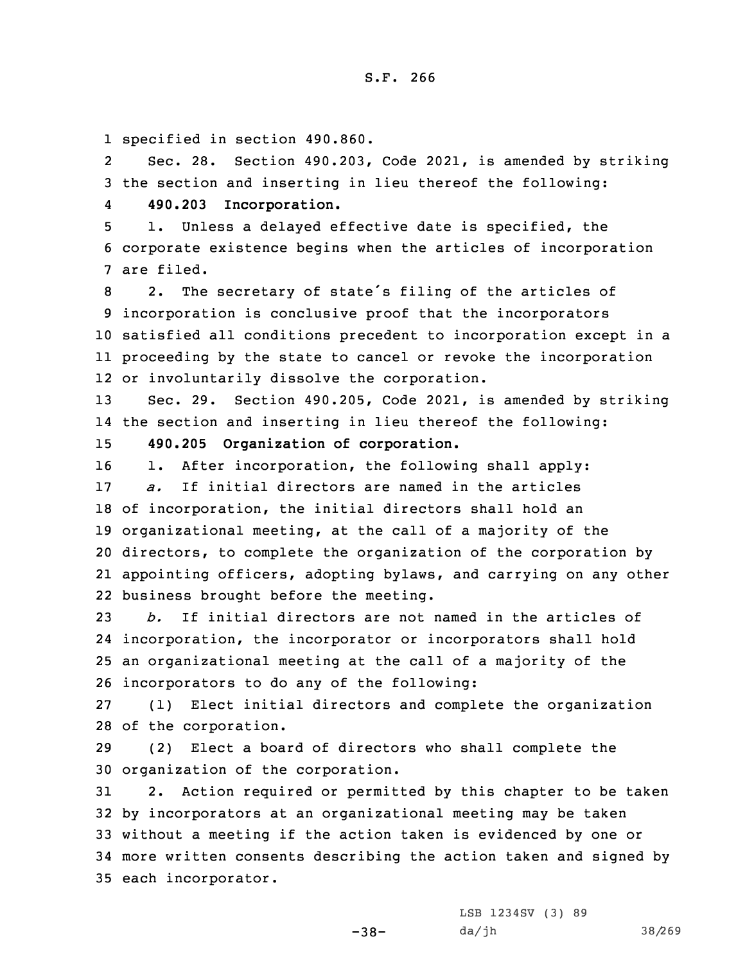1 specified in section 490.860.

2 Sec. 28. Section 490.203, Code 2021, is amended by striking 3 the section and inserting in lieu thereof the following: 4**490.203 Incorporation.**

5 1. Unless <sup>a</sup> delayed effective date is specified, the 6 corporate existence begins when the articles of incorporation 7 are filed.

 2. The secretary of state's filing of the articles of incorporation is conclusive proof that the incorporators satisfied all conditions precedent to incorporation except in <sup>a</sup> proceeding by the state to cancel or revoke the incorporation or involuntarily dissolve the corporation.

13 Sec. 29. Section 490.205, Code 2021, is amended by striking 14 the section and inserting in lieu thereof the following:

15 **490.205 Organization of corporation.**

16 1. After incorporation, the following shall apply: *a.* If initial directors are named in the articles of incorporation, the initial directors shall hold an organizational meeting, at the call of <sup>a</sup> majority of the directors, to complete the organization of the corporation by appointing officers, adopting bylaws, and carrying on any other business brought before the meeting.

 *b.* If initial directors are not named in the articles of incorporation, the incorporator or incorporators shall hold an organizational meeting at the call of <sup>a</sup> majority of the incorporators to do any of the following:

27 (1) Elect initial directors and complete the organization 28 of the corporation.

29 (2) Elect <sup>a</sup> board of directors who shall complete the 30 organization of the corporation.

 2. Action required or permitted by this chapter to be taken by incorporators at an organizational meeting may be taken without <sup>a</sup> meeting if the action taken is evidenced by one or more written consents describing the action taken and signed by each incorporator.

-38-

LSB 1234SV (3) 89 da/jh 38/269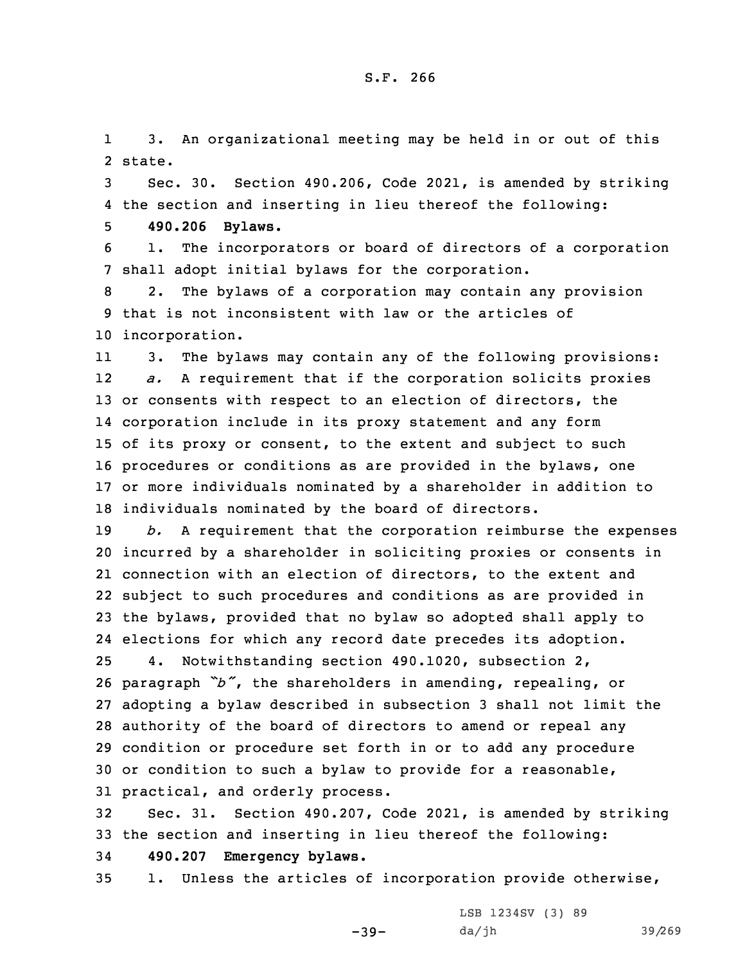1 3. An organizational meeting may be held in or out of this 2 state.

3 Sec. 30. Section 490.206, Code 2021, is amended by striking 4 the section and inserting in lieu thereof the following:

5 **490.206 Bylaws.**

6 1. The incorporators or board of directors of <sup>a</sup> corporation 7 shall adopt initial bylaws for the corporation.

8 2. The bylaws of <sup>a</sup> corporation may contain any provision 9 that is not inconsistent with law or the articles of 10 incorporation.

11 3. The bylaws may contain any of the following provisions: 12 *a.* <sup>A</sup> requirement that if the corporation solicits proxies 13 or consents with respect to an election of directors, the 14 corporation include in its proxy statement and any form 15 of its proxy or consent, to the extent and subject to such 16 procedures or conditions as are provided in the bylaws, one 17 or more individuals nominated by <sup>a</sup> shareholder in addition to 18 individuals nominated by the board of directors.

 *b.* <sup>A</sup> requirement that the corporation reimburse the expenses incurred by <sup>a</sup> shareholder in soliciting proxies or consents in connection with an election of directors, to the extent and subject to such procedures and conditions as are provided in the bylaws, provided that no bylaw so adopted shall apply to elections for which any record date precedes its adoption. 4. Notwithstanding section 490.1020, subsection 2,

 paragraph *"b"*, the shareholders in amending, repealing, or adopting <sup>a</sup> bylaw described in subsection 3 shall not limit the authority of the board of directors to amend or repeal any condition or procedure set forth in or to add any procedure or condition to such <sup>a</sup> bylaw to provide for <sup>a</sup> reasonable, practical, and orderly process.

32 Sec. 31. Section 490.207, Code 2021, is amended by striking 33 the section and inserting in lieu thereof the following:

34 **490.207 Emergency bylaws.**

35 1. Unless the articles of incorporation provide otherwise,

-39-

LSB 1234SV (3) 89 da/jh 39/269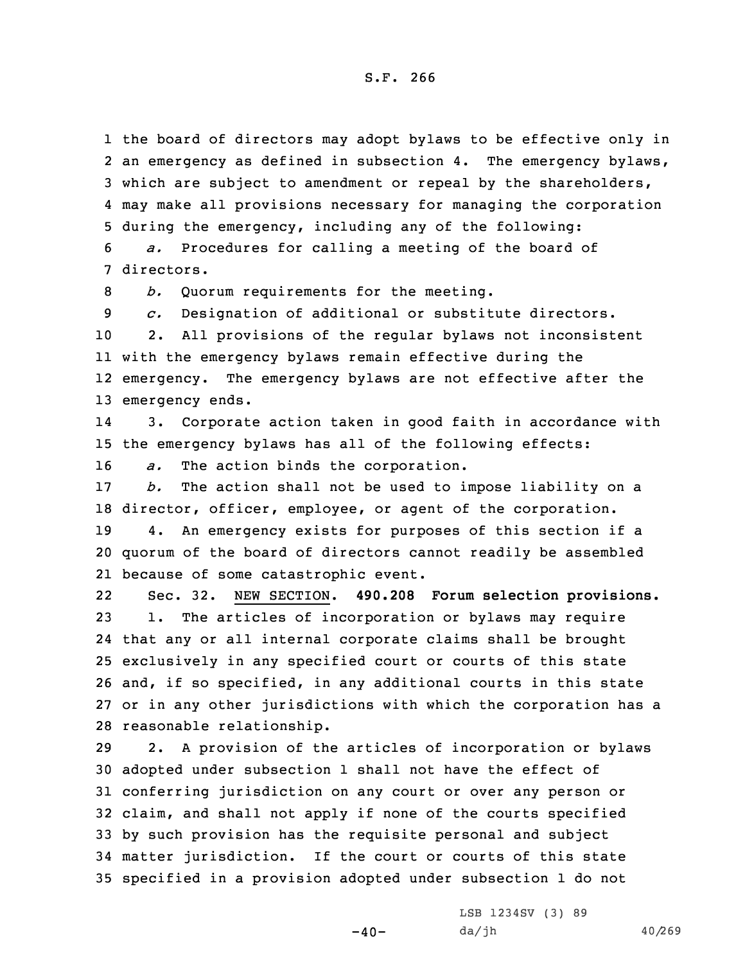S.F. 266

 the board of directors may adopt bylaws to be effective only in an emergency as defined in subsection 4. The emergency bylaws, which are subject to amendment or repeal by the shareholders, may make all provisions necessary for managing the corporation during the emergency, including any of the following:

6 *a.* Procedures for calling <sup>a</sup> meeting of the board of 7 directors.

8 *b.* Quorum requirements for the meeting.

 *c.* Designation of additional or substitute directors. 2. All provisions of the regular bylaws not inconsistent with the emergency bylaws remain effective during the emergency. The emergency bylaws are not effective after the emergency ends.

14 3. Corporate action taken in good faith in accordance with 15 the emergency bylaws has all of the following effects: 16 *a.* The action binds the corporation.

17 *b.* The action shall not be used to impose liability on <sup>a</sup> 18 director, officer, employee, or agent of the corporation.

19 4. An emergency exists for purposes of this section if <sup>a</sup> 20 quorum of the board of directors cannot readily be assembled 21 because of some catastrophic event.

22 Sec. 32. NEW SECTION. **490.208 Forum selection provisions.** 1. The articles of incorporation or bylaws may require that any or all internal corporate claims shall be brought exclusively in any specified court or courts of this state and, if so specified, in any additional courts in this state or in any other jurisdictions with which the corporation has <sup>a</sup> reasonable relationship.

 2. <sup>A</sup> provision of the articles of incorporation or bylaws adopted under subsection 1 shall not have the effect of conferring jurisdiction on any court or over any person or claim, and shall not apply if none of the courts specified by such provision has the requisite personal and subject matter jurisdiction. If the court or courts of this state specified in <sup>a</sup> provision adopted under subsection 1 do not

 $-40-$ 

LSB 1234SV (3) 89 da/jh 40/269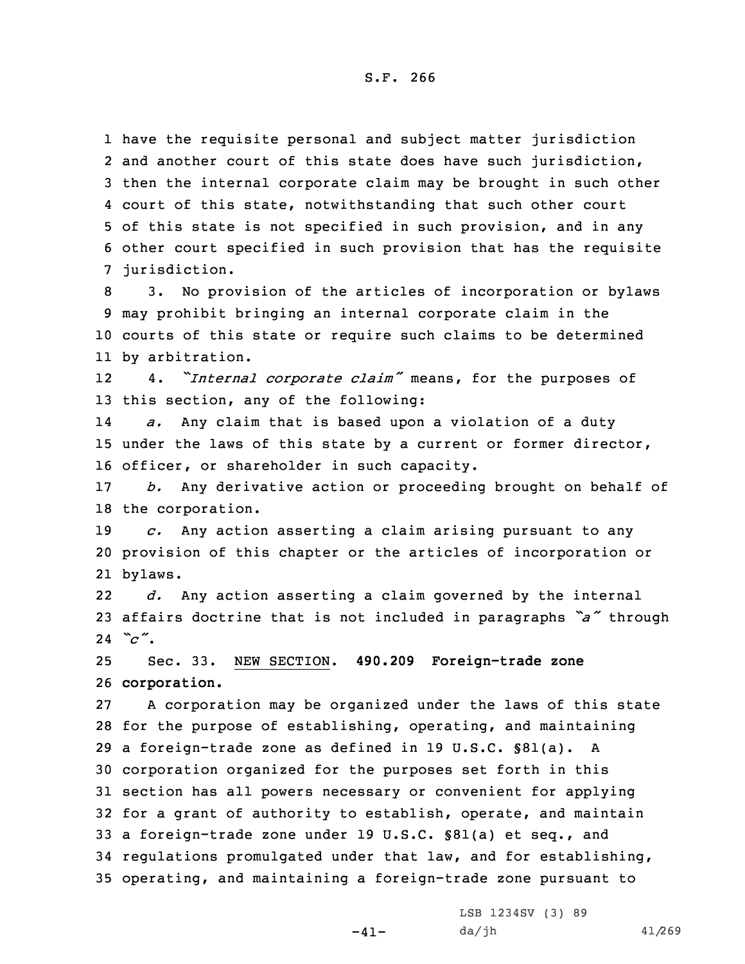have the requisite personal and subject matter jurisdiction and another court of this state does have such jurisdiction, then the internal corporate claim may be brought in such other court of this state, notwithstanding that such other court of this state is not specified in such provision, and in any other court specified in such provision that has the requisite jurisdiction.

 3. No provision of the articles of incorporation or bylaws may prohibit bringing an internal corporate claim in the courts of this state or require such claims to be determined by arbitration.

12 4. *"Internal corporate claim"* means, for the purposes of 13 this section, any of the following:

14 *a.* Any claim that is based upon <sup>a</sup> violation of <sup>a</sup> duty 15 under the laws of this state by <sup>a</sup> current or former director, 16 officer, or shareholder in such capacity.

17 *b.* Any derivative action or proceeding brought on behalf of 18 the corporation.

19 *c.* Any action asserting <sup>a</sup> claim arising pursuant to any 20 provision of this chapter or the articles of incorporation or 21 bylaws.

22 *d.* Any action asserting <sup>a</sup> claim governed by the internal <sup>23</sup> affairs doctrine that is not included in paragraphs *"a"* through 24 *"c"*.

25 Sec. 33. NEW SECTION. **490.209 Foreign-trade zone** 26 **corporation.**

 <sup>A</sup> corporation may be organized under the laws of this state for the purpose of establishing, operating, and maintaining <sup>a</sup> foreign-trade zone as defined in 19 U.S.C. §81(a). <sup>A</sup> corporation organized for the purposes set forth in this section has all powers necessary or convenient for applying for <sup>a</sup> grant of authority to establish, operate, and maintain <sup>a</sup> foreign-trade zone under 19 U.S.C. §81(a) et seq., and regulations promulgated under that law, and for establishing, operating, and maintaining <sup>a</sup> foreign-trade zone pursuant to

 $-41-$ 

LSB 1234SV (3) 89 da/jh 41/269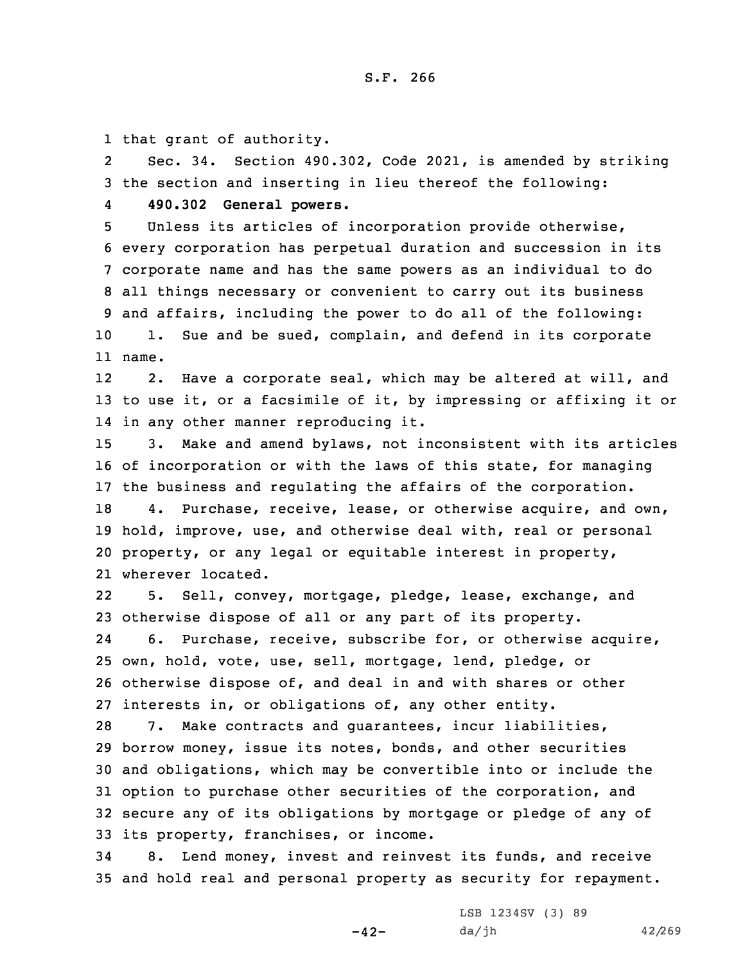1 that grant of authority.

2 Sec. 34. Section 490.302, Code 2021, is amended by striking 3 the section and inserting in lieu thereof the following:

4**490.302 General powers.**

 Unless its articles of incorporation provide otherwise, every corporation has perpetual duration and succession in its corporate name and has the same powers as an individual to do all things necessary or convenient to carry out its business and affairs, including the power to do all of the following: 1. Sue and be sued, complain, and defend in its corporate 11 name.

12 2. Have <sup>a</sup> corporate seal, which may be altered at will, and 13 to use it, or <sup>a</sup> facsimile of it, by impressing or affixing it or 14 in any other manner reproducing it.

 3. Make and amend bylaws, not inconsistent with its articles of incorporation or with the laws of this state, for managing the business and regulating the affairs of the corporation. 4. Purchase, receive, lease, or otherwise acquire, and own, hold, improve, use, and otherwise deal with, real or personal property, or any legal or equitable interest in property, wherever located.

22 5. Sell, convey, mortgage, pledge, lease, exchange, and 23 otherwise dispose of all or any part of its property. 24 6. Purchase, receive, subscribe for, or otherwise acquire, 25 own, hold, vote, use, sell, mortgage, lend, pledge, or 26 otherwise dispose of, and deal in and with shares or other 27 interests in, or obligations of, any other entity.

 7. Make contracts and guarantees, incur liabilities, borrow money, issue its notes, bonds, and other securities and obligations, which may be convertible into or include the option to purchase other securities of the corporation, and secure any of its obligations by mortgage or pledge of any of its property, franchises, or income.

34 8. Lend money, invest and reinvest its funds, and receive 35 and hold real and personal property as security for repayment.

 $-42-$ 

LSB 1234SV (3) 89 da/jh 42/269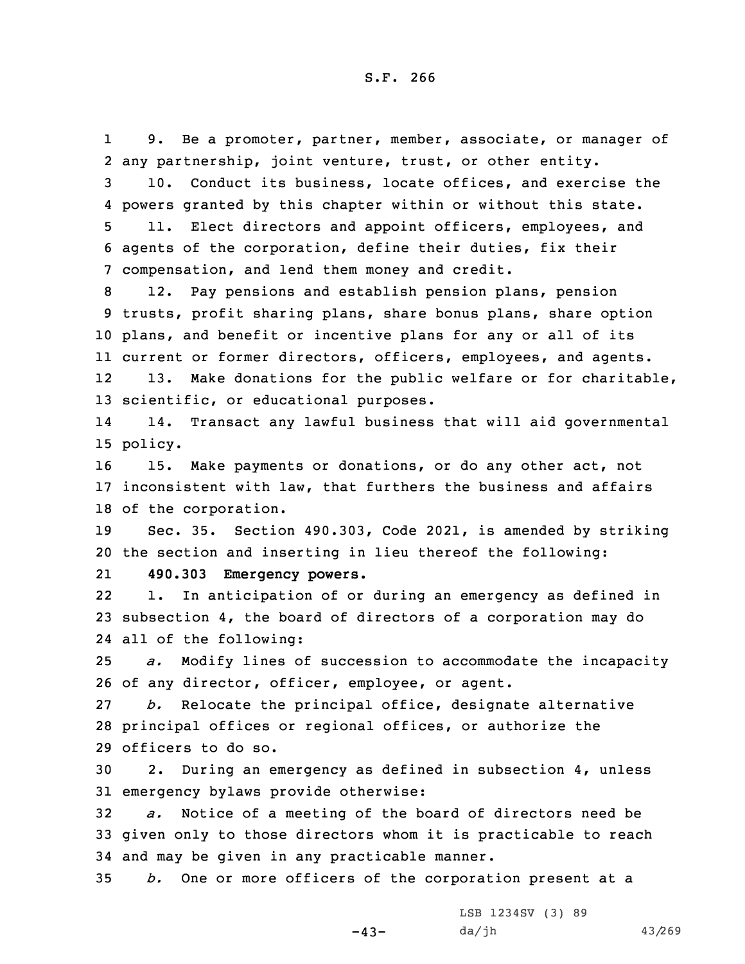1 9. Be <sup>a</sup> promoter, partner, member, associate, or manager of 2 any partnership, joint venture, trust, or other entity.

3 10. Conduct its business, locate offices, and exercise the 4 powers granted by this chapter within or without this state.

5 11. Elect directors and appoint officers, employees, and 6 agents of the corporation, define their duties, fix their 7 compensation, and lend them money and credit.

 12. Pay pensions and establish pension plans, pension trusts, profit sharing plans, share bonus plans, share option plans, and benefit or incentive plans for any or all of its current or former directors, officers, employees, and agents. 12 13. Make donations for the public welfare or for charitable, scientific, or educational purposes.

14 14. Transact any lawful business that will aid governmental 15 policy.

16 15. Make payments or donations, or do any other act, not 17 inconsistent with law, that furthers the business and affairs 18 of the corporation.

19 Sec. 35. Section 490.303, Code 2021, is amended by striking 20 the section and inserting in lieu thereof the following:

21**490.303 Emergency powers.**

22 1. In anticipation of or during an emergency as defined in 23 subsection 4, the board of directors of <sup>a</sup> corporation may do 24 all of the following:

25 *a.* Modify lines of succession to accommodate the incapacity 26 of any director, officer, employee, or agent.

27 *b.* Relocate the principal office, designate alternative 28 principal offices or regional offices, or authorize the 29 officers to do so.

30 2. During an emergency as defined in subsection 4, unless 31 emergency bylaws provide otherwise:

32 *a.* Notice of <sup>a</sup> meeting of the board of directors need be 33 given only to those directors whom it is practicable to reach 34 and may be given in any practicable manner.

35 *b.* One or more officers of the corporation present at <sup>a</sup>

 $-43-$ 

LSB 1234SV (3) 89 da/jh 43/269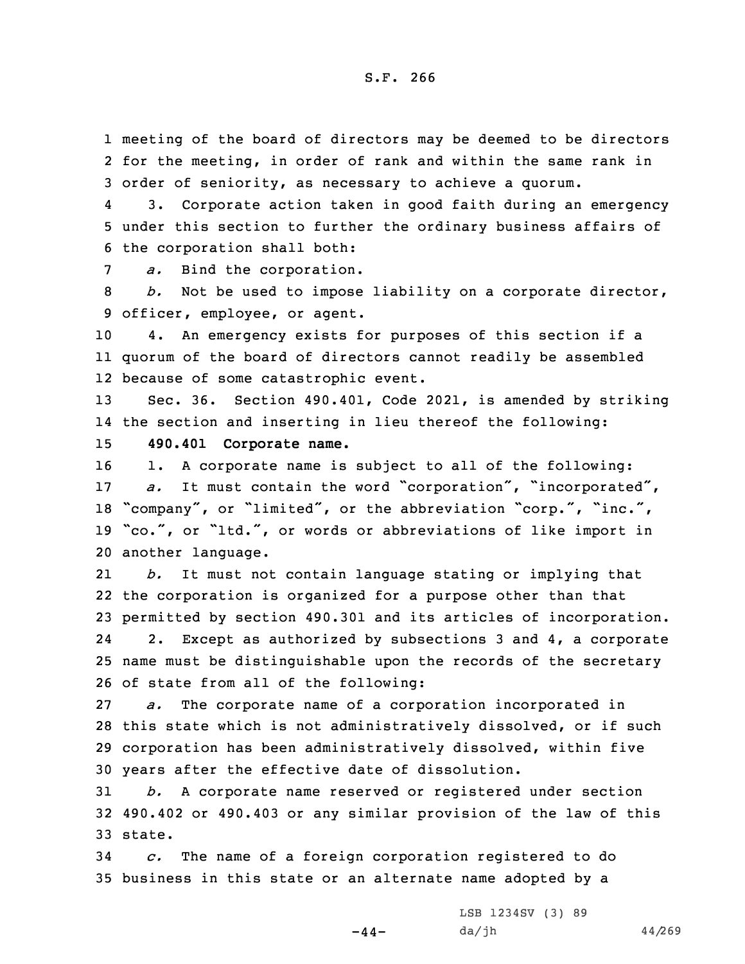S.F. 266

1 meeting of the board of directors may be deemed to be directors 2 for the meeting, in order of rank and within the same rank in 3 order of seniority, as necessary to achieve <sup>a</sup> quorum.

4 3. Corporate action taken in good faith during an emergency 5 under this section to further the ordinary business affairs of 6 the corporation shall both:

7 *a.* Bind the corporation.

8 *b.* Not be used to impose liability on <sup>a</sup> corporate director, 9 officer, employee, or agent.

10 4. An emergency exists for purposes of this section if <sup>a</sup> 11 quorum of the board of directors cannot readily be assembled 12 because of some catastrophic event.

13 Sec. 36. Section 490.401, Code 2021, is amended by striking 14 the section and inserting in lieu thereof the following:

15 **490.401 Corporate name.**

 1. <sup>A</sup> corporate name is subject to all of the following: *a.* It must contain the word "corporation", "incorporated", "company", or "limited", or the abbreviation "corp.", "inc.", "co.", or "ltd.", or words or abbreviations of like import in another language.

21 *b.* It must not contain language stating or implying that 22 the corporation is organized for <sup>a</sup> purpose other than that 23 permitted by section 490.301 and its articles of incorporation. 24 2. Except as authorized by subsections 3 and 4, <sup>a</sup> corporate 25 name must be distinguishable upon the records of the secretary 26 of state from all of the following:

 *a.* The corporate name of <sup>a</sup> corporation incorporated in this state which is not administratively dissolved, or if such corporation has been administratively dissolved, within five years after the effective date of dissolution.

31 *b.* <sup>A</sup> corporate name reserved or registered under section 32 490.402 or 490.403 or any similar provision of the law of this 33 state.

34 *c.* The name of <sup>a</sup> foreign corporation registered to do 35 business in this state or an alternate name adopted by <sup>a</sup>

 $-44-$ 

LSB 1234SV (3) 89 da/jh 44/269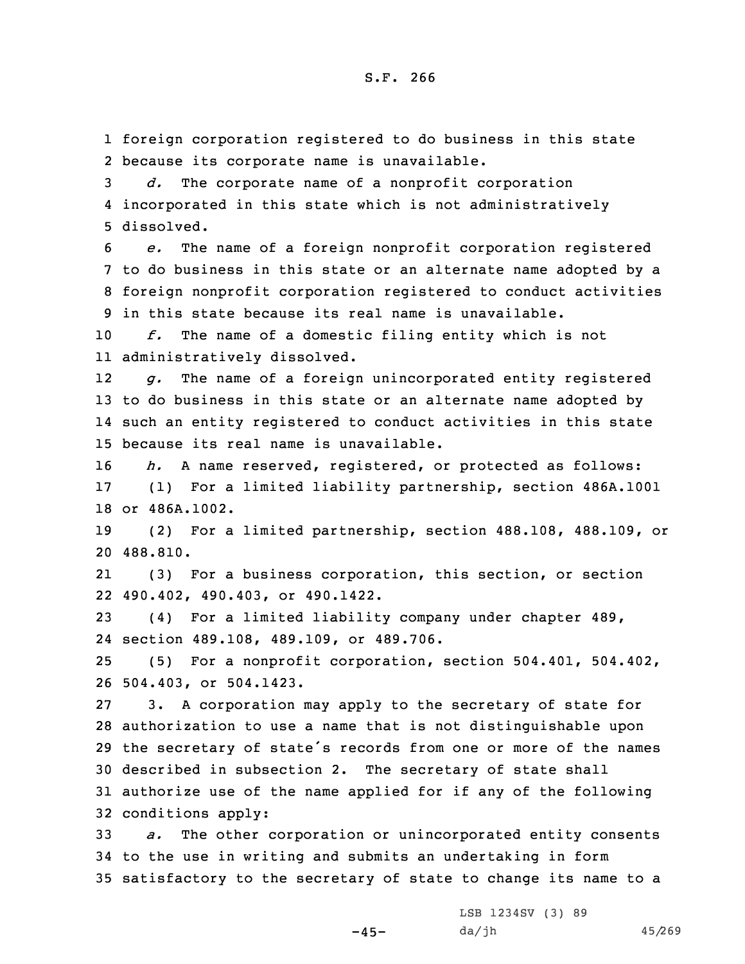1 foreign corporation registered to do business in this state 2 because its corporate name is unavailable.

3 *d.* The corporate name of <sup>a</sup> nonprofit corporation 4 incorporated in this state which is not administratively 5 dissolved.

 *e.* The name of <sup>a</sup> foreign nonprofit corporation registered to do business in this state or an alternate name adopted by <sup>a</sup> foreign nonprofit corporation registered to conduct activities in this state because its real name is unavailable.

10 *f.* The name of <sup>a</sup> domestic filing entity which is not 11 administratively dissolved.

12 *g.* The name of <sup>a</sup> foreign unincorporated entity registered 13 to do business in this state or an alternate name adopted by 14 such an entity registered to conduct activities in this state 15 because its real name is unavailable.

16 *h.* <sup>A</sup> name reserved, registered, or protected as follows: 17 (1) For <sup>a</sup> limited liability partnership, section 486A.1001 18 or 486A.1002.

19 (2) For <sup>a</sup> limited partnership, section 488.108, 488.109, or 20 488.810.

21 (3) For <sup>a</sup> business corporation, this section, or section 22 490.402, 490.403, or 490.1422.

23 (4) For <sup>a</sup> limited liability company under chapter 489, 24 section 489.108, 489.109, or 489.706.

25 (5) For <sup>a</sup> nonprofit corporation, section 504.401, 504.402, 26 504.403, or 504.1423.

 3. <sup>A</sup> corporation may apply to the secretary of state for authorization to use <sup>a</sup> name that is not distinguishable upon the secretary of state's records from one or more of the names described in subsection 2. The secretary of state shall authorize use of the name applied for if any of the following conditions apply:

33 *a.* The other corporation or unincorporated entity consents 34 to the use in writing and submits an undertaking in form 35 satisfactory to the secretary of state to change its name to <sup>a</sup>

 $-45-$ 

LSB 1234SV (3) 89 da/jh 45/269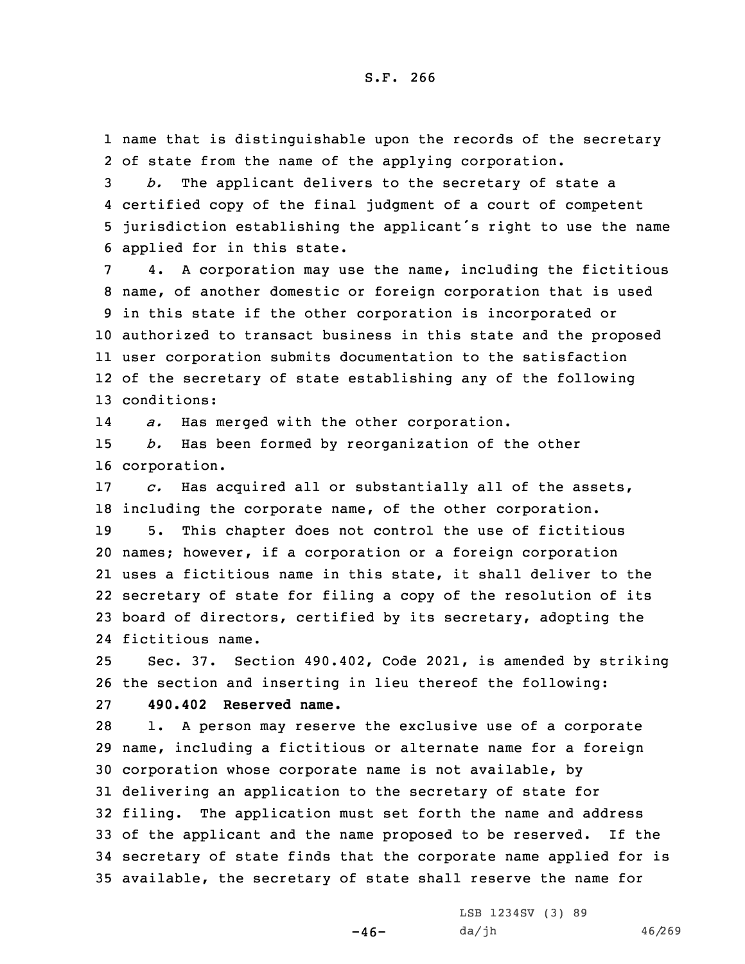1 name that is distinguishable upon the records of the secretary 2 of state from the name of the applying corporation.

 *b.* The applicant delivers to the secretary of state <sup>a</sup> certified copy of the final judgment of <sup>a</sup> court of competent jurisdiction establishing the applicant's right to use the name applied for in this state.

 4. <sup>A</sup> corporation may use the name, including the fictitious name, of another domestic or foreign corporation that is used in this state if the other corporation is incorporated or authorized to transact business in this state and the proposed user corporation submits documentation to the satisfaction of the secretary of state establishing any of the following conditions:

14*a.* Has merged with the other corporation.

15 *b.* Has been formed by reorganization of the other 16 corporation.

 *c.* Has acquired all or substantially all of the assets, including the corporate name, of the other corporation. 5. This chapter does not control the use of fictitious names; however, if <sup>a</sup> corporation or <sup>a</sup> foreign corporation uses <sup>a</sup> fictitious name in this state, it shall deliver to the secretary of state for filing <sup>a</sup> copy of the resolution of its board of directors, certified by its secretary, adopting the fictitious name.

25 Sec. 37. Section 490.402, Code 2021, is amended by striking 26 the section and inserting in lieu thereof the following:

27 **490.402 Reserved name.**

 1. <sup>A</sup> person may reserve the exclusive use of <sup>a</sup> corporate name, including <sup>a</sup> fictitious or alternate name for <sup>a</sup> foreign corporation whose corporate name is not available, by delivering an application to the secretary of state for filing. The application must set forth the name and address of the applicant and the name proposed to be reserved. If the secretary of state finds that the corporate name applied for is available, the secretary of state shall reserve the name for

 $-46-$ 

LSB 1234SV (3) 89 da/jh 46/269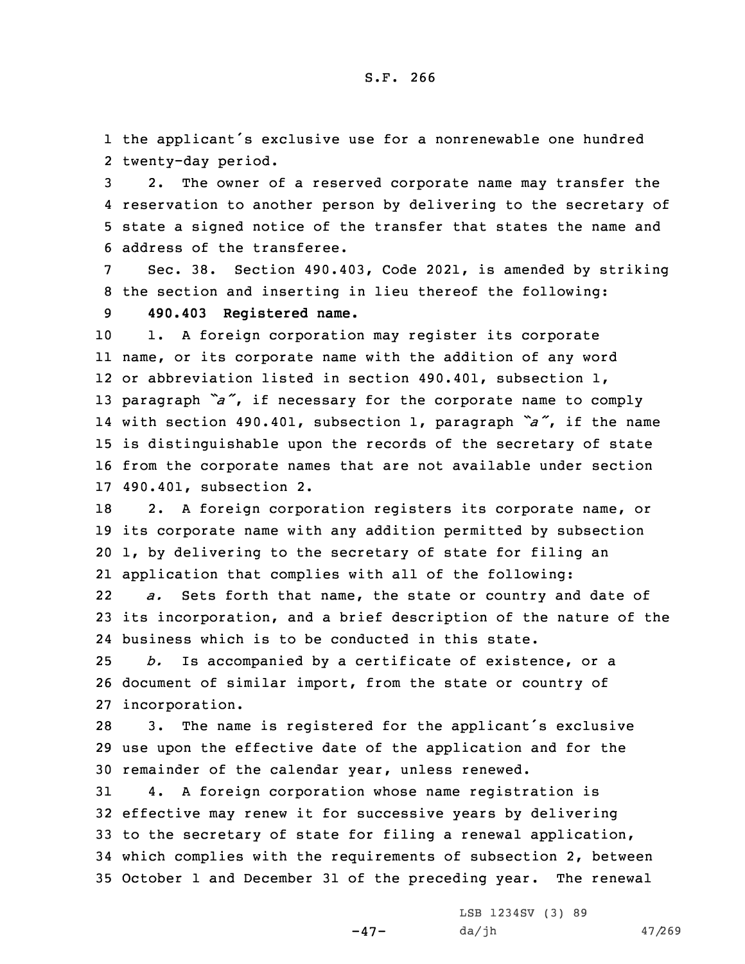1 the applicant's exclusive use for <sup>a</sup> nonrenewable one hundred 2 twenty-day period.

 2. The owner of <sup>a</sup> reserved corporate name may transfer the reservation to another person by delivering to the secretary of state <sup>a</sup> signed notice of the transfer that states the name and address of the transferee.

Sec. 38. Section 490.403, Code 2021, is amended by striking 8 the section and inserting in lieu thereof the following:

9 **490.403 Registered name.**

 1. <sup>A</sup> foreign corporation may register its corporate name, or its corporate name with the addition of any word or abbreviation listed in section 490.401, subsection 1, paragraph *"a"*, if necessary for the corporate name to comply with section 490.401, subsection 1, paragraph *"a"*, if the name is distinguishable upon the records of the secretary of state from the corporate names that are not available under section 490.401, subsection 2.

 2. <sup>A</sup> foreign corporation registers its corporate name, or its corporate name with any addition permitted by subsection 1, by delivering to the secretary of state for filing an application that complies with all of the following:

22 *a.* Sets forth that name, the state or country and date of 23 its incorporation, and <sup>a</sup> brief description of the nature of the 24 business which is to be conducted in this state.

25 *b.* Is accompanied by <sup>a</sup> certificate of existence, or <sup>a</sup> 26 document of similar import, from the state or country of 27 incorporation.

<sup>28</sup> 3. The name is registered for the applicant's exclusive 29 use upon the effective date of the application and for the 30 remainder of the calendar year, unless renewed.

 4. <sup>A</sup> foreign corporation whose name registration is effective may renew it for successive years by delivering to the secretary of state for filing <sup>a</sup> renewal application, which complies with the requirements of subsection 2, between October 1 and December 31 of the preceding year. The renewal

 $-47-$ 

LSB 1234SV (3) 89 da/jh 47/269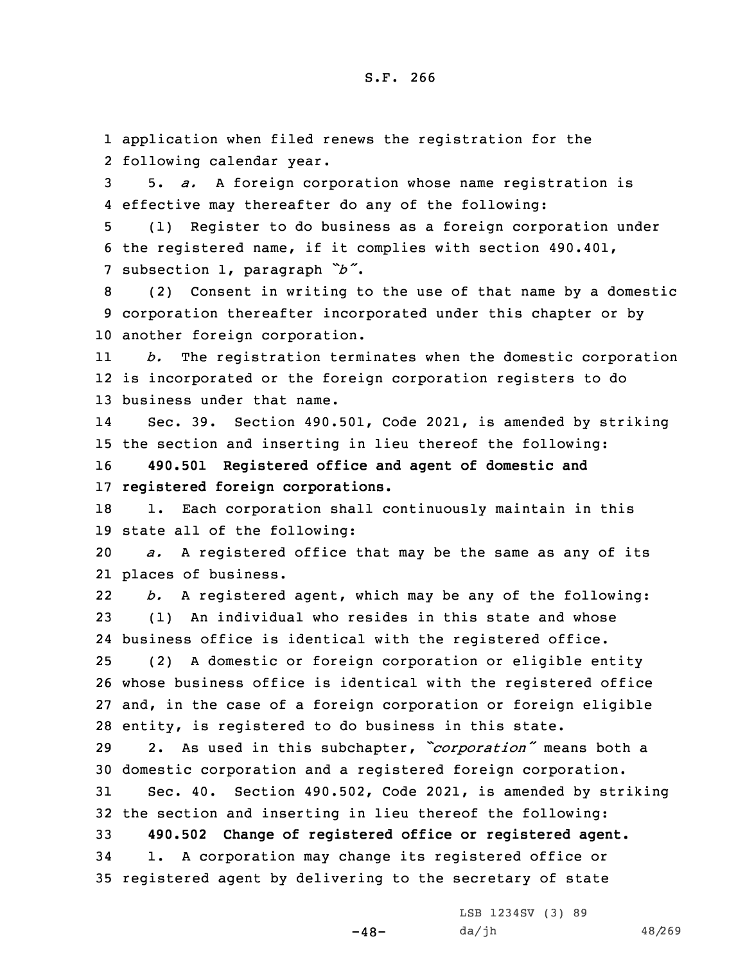1 application when filed renews the registration for the 2 following calendar year.

3 5. *a.* <sup>A</sup> foreign corporation whose name registration is 4 effective may thereafter do any of the following:

5 (1) Register to do business as <sup>a</sup> foreign corporation under 6 the registered name, if it complies with section 490.401, <sup>7</sup> subsection 1, paragraph *"b"*.

8 (2) Consent in writing to the use of that name by <sup>a</sup> domestic 9 corporation thereafter incorporated under this chapter or by 10 another foreign corporation.

11 *b.* The registration terminates when the domestic corporation 12 is incorporated or the foreign corporation registers to do 13 business under that name.

14 Sec. 39. Section 490.501, Code 2021, is amended by striking 15 the section and inserting in lieu thereof the following:

16 **490.501 Registered office and agent of domestic and** 17 **registered foreign corporations.**

18 1. Each corporation shall continuously maintain in this 19 state all of the following:

20 *a.* <sup>A</sup> registered office that may be the same as any of its 21 places of business.

22 *b.* <sup>A</sup> registered agent, which may be any of the following: 23 (1) An individual who resides in this state and whose 24 business office is identical with the registered office.

 (2) <sup>A</sup> domestic or foreign corporation or eligible entity whose business office is identical with the registered office and, in the case of <sup>a</sup> foreign corporation or foreign eligible entity, is registered to do business in this state.

<sup>29</sup> 2. As used in this subchapter, *"corporation"* means both <sup>a</sup> 30 domestic corporation and <sup>a</sup> registered foreign corporation.

31 Sec. 40. Section 490.502, Code 2021, is amended by striking 32 the section and inserting in lieu thereof the following:

33 **490.502 Change of registered office or registered agent.** 34 1. <sup>A</sup> corporation may change its registered office or 35 registered agent by delivering to the secretary of state

 $-48-$ 

LSB 1234SV (3) 89 da/jh 48/269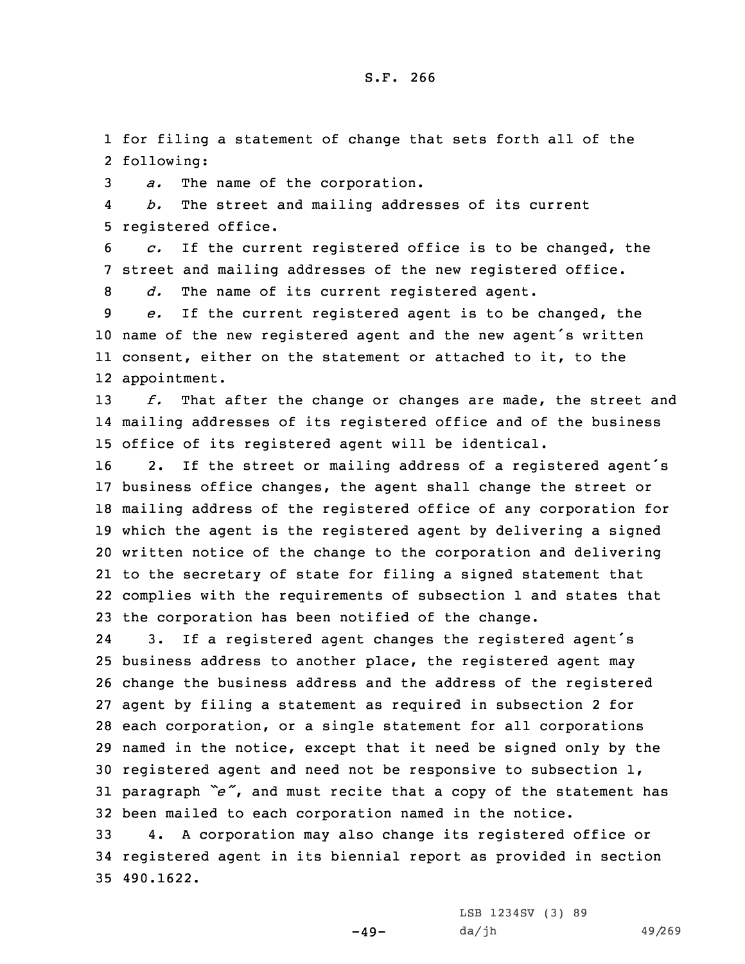1 for filing <sup>a</sup> statement of change that sets forth all of the 2 following:

3 *a.* The name of the corporation.

4 *b.* The street and mailing addresses of its current 5 registered office.

6 *c.* If the current registered office is to be changed, the 7 street and mailing addresses of the new registered office.

8 *d.* The name of its current registered agent.

 *e.* If the current registered agent is to be changed, the name of the new registered agent and the new agent's written consent, either on the statement or attached to it, to the appointment.

13 *f.* That after the change or changes are made, the street and 14 mailing addresses of its registered office and of the business 15 office of its registered agent will be identical.

 2. If the street or mailing address of <sup>a</sup> registered agent's business office changes, the agent shall change the street or mailing address of the registered office of any corporation for which the agent is the registered agent by delivering <sup>a</sup> signed written notice of the change to the corporation and delivering to the secretary of state for filing <sup>a</sup> signed statement that complies with the requirements of subsection 1 and states that the corporation has been notified of the change.

24 3. If <sup>a</sup> registered agent changes the registered agent's business address to another place, the registered agent may change the business address and the address of the registered agent by filing <sup>a</sup> statement as required in subsection 2 for each corporation, or <sup>a</sup> single statement for all corporations named in the notice, except that it need be signed only by the registered agent and need not be responsive to subsection 1, paragraph *"e"*, and must recite that <sup>a</sup> copy of the statement has been mailed to each corporation named in the notice.

33 4. <sup>A</sup> corporation may also change its registered office or 34 registered agent in its biennial report as provided in section 35 490.1622.

 $-49-$ 

LSB 1234SV (3) 89 da/jh 49/269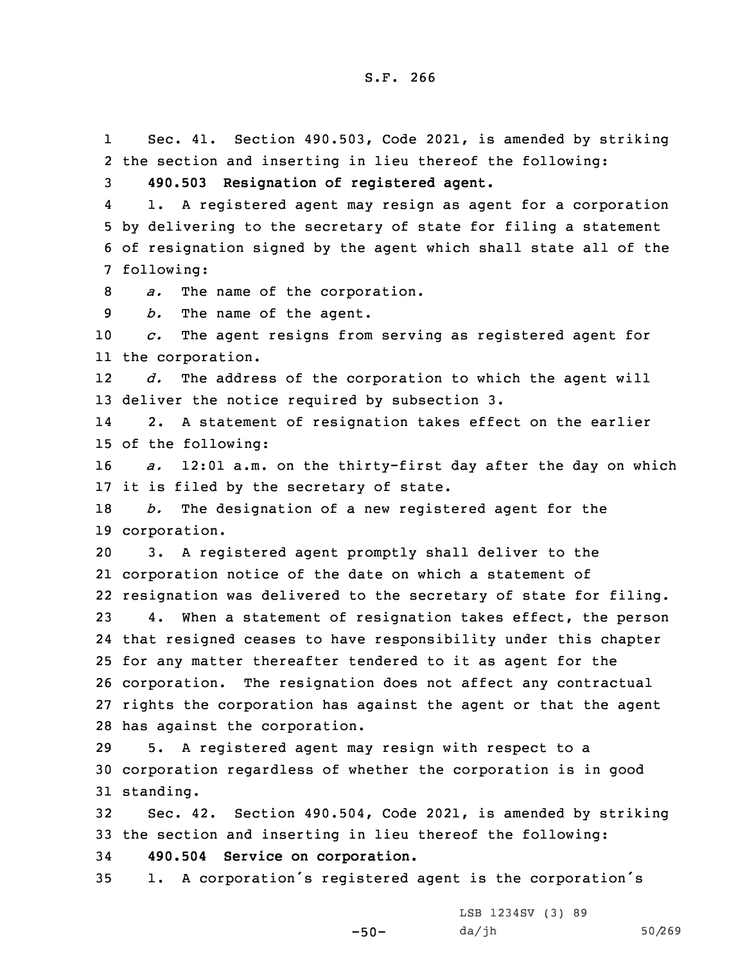1 Sec. 41. Section 490.503, Code 2021, is amended by striking 2 the section and inserting in lieu thereof the following:

3 **490.503 Resignation of registered agent.**

4

 1. <sup>A</sup> registered agent may resign as agent for <sup>a</sup> corporation 5 by delivering to the secretary of state for filing <sup>a</sup> statement

6 of resignation signed by the agent which shall state all of the 7 following:

8 *a.* The name of the corporation.

9 *b.* The name of the agent.

10 *c.* The agent resigns from serving as registered agent for 11 the corporation.

12 *d.* The address of the corporation to which the agent will 13 deliver the notice required by subsection 3.

14 2. <sup>A</sup> statement of resignation takes effect on the earlier 15 of the following:

16 *a.* 12:01 a.m. on the thirty-first day after the day on which 17 it is filed by the secretary of state.

18 *b.* The designation of <sup>a</sup> new registered agent for the 19 corporation.

20 3. <sup>A</sup> registered agent promptly shall deliver to the 21 corporation notice of the date on which <sup>a</sup> statement of 22 resignation was delivered to the secretary of state for filing.

 4. When <sup>a</sup> statement of resignation takes effect, the person that resigned ceases to have responsibility under this chapter for any matter thereafter tendered to it as agent for the corporation. The resignation does not affect any contractual rights the corporation has against the agent or that the agent has against the corporation.

29 5. <sup>A</sup> registered agent may resign with respect to <sup>a</sup> 30 corporation regardless of whether the corporation is in good 31 standing.

 $-50-$ 

32 Sec. 42. Section 490.504, Code 2021, is amended by striking 33 the section and inserting in lieu thereof the following: 34 **490.504 Service on corporation.**

<sup>35</sup> 1. <sup>A</sup> corporation's registered agent is the corporation's

LSB 1234SV (3) 89 da/jh 50/269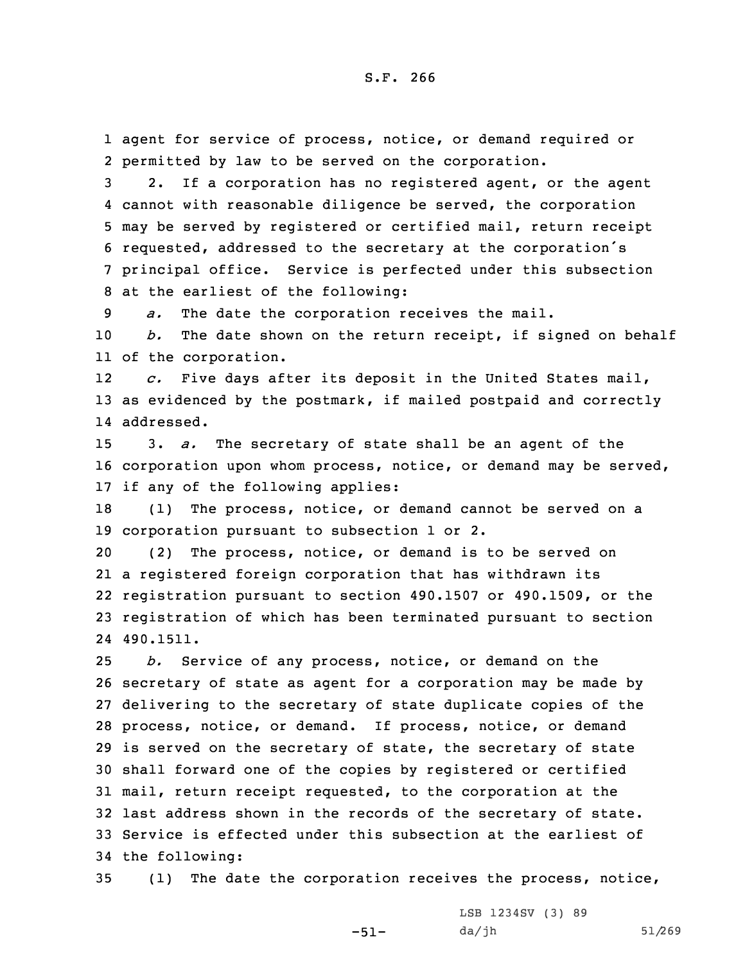1 agent for service of process, notice, or demand required or 2 permitted by law to be served on the corporation.

 2. If <sup>a</sup> corporation has no registered agent, or the agent cannot with reasonable diligence be served, the corporation may be served by registered or certified mail, return receipt requested, addressed to the secretary at the corporation's principal office. Service is perfected under this subsection at the earliest of the following:

9 *a.* The date the corporation receives the mail.

10 *b.* The date shown on the return receipt, if signed on behalf 11 of the corporation.

12 *c.* Five days after its deposit in the United States mail, 13 as evidenced by the postmark, if mailed postpaid and correctly 14 addressed.

15 3. *a.* The secretary of state shall be an agent of the 16 corporation upon whom process, notice, or demand may be served, 17 if any of the following applies:

18 (1) The process, notice, or demand cannot be served on <sup>a</sup> 19 corporation pursuant to subsection 1 or 2.

 (2) The process, notice, or demand is to be served on <sup>a</sup> registered foreign corporation that has withdrawn its registration pursuant to section 490.1507 or 490.1509, or the registration of which has been terminated pursuant to section 490.1511.

 *b.* Service of any process, notice, or demand on the secretary of state as agent for <sup>a</sup> corporation may be made by delivering to the secretary of state duplicate copies of the process, notice, or demand. If process, notice, or demand is served on the secretary of state, the secretary of state shall forward one of the copies by registered or certified mail, return receipt requested, to the corporation at the last address shown in the records of the secretary of state. Service is effected under this subsection at the earliest of the following:

35 (1) The date the corporation receives the process, notice,

-51-

LSB 1234SV (3) 89 da/jh 51/269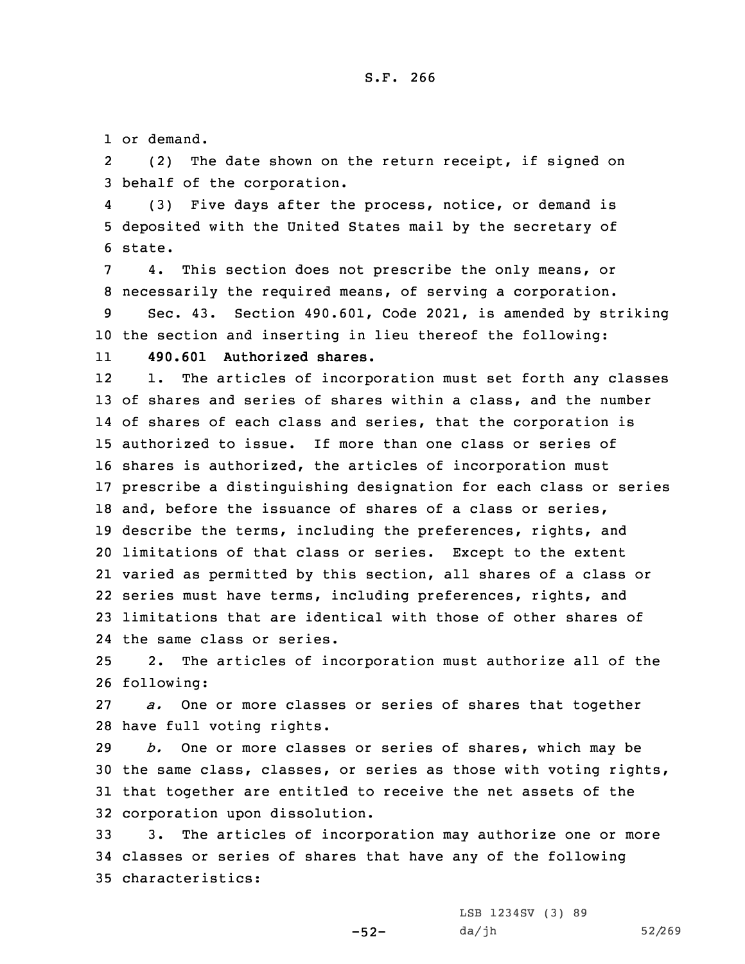1 or demand.

2 (2) The date shown on the return receipt, if signed on 3 behalf of the corporation.

4 (3) Five days after the process, notice, or demand is 5 deposited with the United States mail by the secretary of 6 state.

7 4. This section does not prescribe the only means, or 8 necessarily the required means, of serving <sup>a</sup> corporation.

9 Sec. 43. Section 490.601, Code 2021, is amended by striking 10 the section and inserting in lieu thereof the following:

11**490.601 Authorized shares.**

12 1. The articles of incorporation must set forth any classes of shares and series of shares within <sup>a</sup> class, and the number of shares of each class and series, that the corporation is authorized to issue. If more than one class or series of shares is authorized, the articles of incorporation must prescribe <sup>a</sup> distinguishing designation for each class or series and, before the issuance of shares of <sup>a</sup> class or series, describe the terms, including the preferences, rights, and limitations of that class or series. Except to the extent varied as permitted by this section, all shares of <sup>a</sup> class or series must have terms, including preferences, rights, and limitations that are identical with those of other shares of the same class or series.

25 2. The articles of incorporation must authorize all of the 26 following:

27 *a.* One or more classes or series of shares that together 28 have full voting rights.

 *b.* One or more classes or series of shares, which may be the same class, classes, or series as those with voting rights, that together are entitled to receive the net assets of the corporation upon dissolution.

33 3. The articles of incorporation may authorize one or more 34 classes or series of shares that have any of the following 35 characteristics:

-52-

LSB 1234SV (3) 89 da/jh 52/269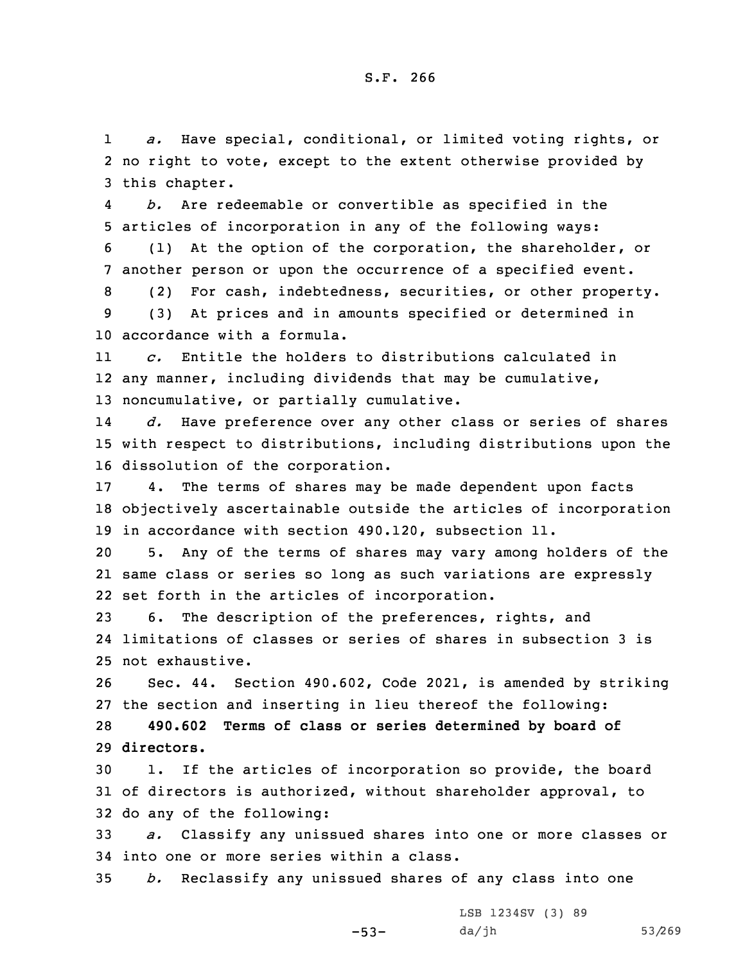1 *a.* Have special, conditional, or limited voting rights, or 2 no right to vote, except to the extent otherwise provided by 3 this chapter.

4 *b.* Are redeemable or convertible as specified in the 5 articles of incorporation in any of the following ways:

6 (1) At the option of the corporation, the shareholder, or 7 another person or upon the occurrence of <sup>a</sup> specified event.

8 (2) For cash, indebtedness, securities, or other property. 9 (3) At prices and in amounts specified or determined in 10 accordance with <sup>a</sup> formula.

11 *c.* Entitle the holders to distributions calculated in 12 any manner, including dividends that may be cumulative, 13 noncumulative, or partially cumulative.

14 *d.* Have preference over any other class or series of shares 15 with respect to distributions, including distributions upon the 16 dissolution of the corporation.

17 4. The terms of shares may be made dependent upon facts 18 objectively ascertainable outside the articles of incorporation 19 in accordance with section 490.120, subsection 11.

20 5. Any of the terms of shares may vary among holders of the 21 same class or series so long as such variations are expressly 22 set forth in the articles of incorporation.

23 6. The description of the preferences, rights, and 24 limitations of classes or series of shares in subsection 3 is 25 not exhaustive.

26 Sec. 44. Section 490.602, Code 2021, is amended by striking 27 the section and inserting in lieu thereof the following: 28 **490.602 Terms of class or series determined by board of**

29 **directors.**

30 1. If the articles of incorporation so provide, the board 31 of directors is authorized, without shareholder approval, to 32 do any of the following:

33 *a.* Classify any unissued shares into one or more classes or 34 into one or more series within <sup>a</sup> class.

-53-

35 *b.* Reclassify any unissued shares of any class into one

LSB 1234SV (3) 89 da/jh 53/269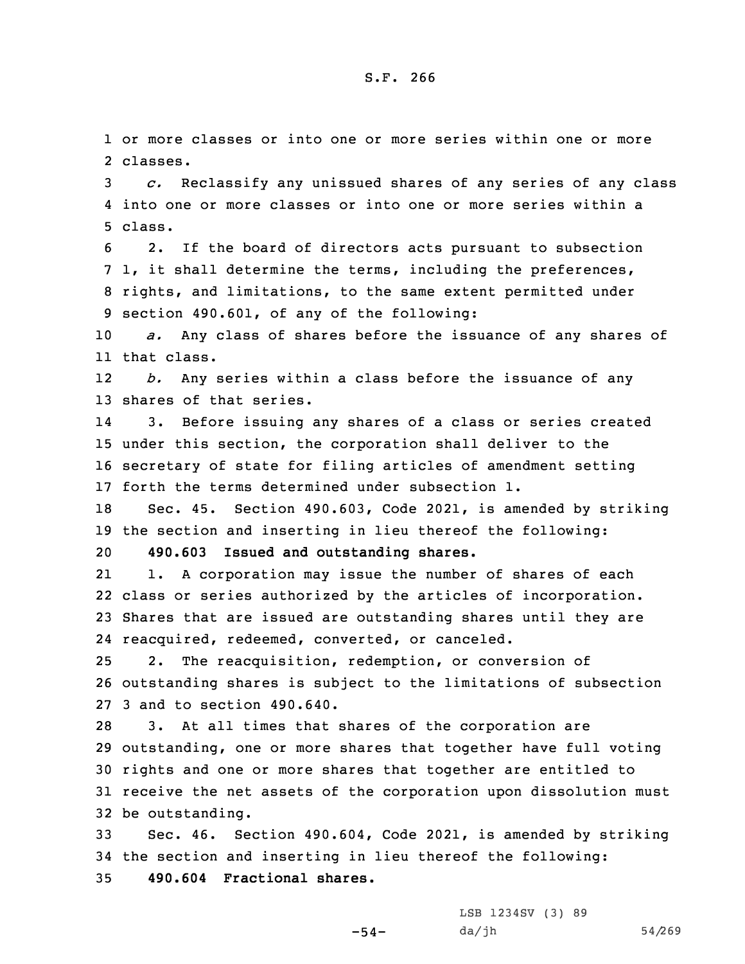1 or more classes or into one or more series within one or more 2 classes.

3 *c.* Reclassify any unissued shares of any series of any class 4 into one or more classes or into one or more series within <sup>a</sup> 5 class.

 2. If the board of directors acts pursuant to subsection 1, it shall determine the terms, including the preferences, rights, and limitations, to the same extent permitted under section 490.601, of any of the following:

10 *a.* Any class of shares before the issuance of any shares of 11 that class.

12 *b.* Any series within <sup>a</sup> class before the issuance of any 13 shares of that series.

14 3. Before issuing any shares of <sup>a</sup> class or series created 15 under this section, the corporation shall deliver to the 16 secretary of state for filing articles of amendment setting 17 forth the terms determined under subsection 1.

18 Sec. 45. Section 490.603, Code 2021, is amended by striking 19 the section and inserting in lieu thereof the following:

20 **490.603 Issued and outstanding shares.**

21 1. <sup>A</sup> corporation may issue the number of shares of each 22 class or series authorized by the articles of incorporation. 23 Shares that are issued are outstanding shares until they are 24 reacquired, redeemed, converted, or canceled.

25 2. The reacquisition, redemption, or conversion of 26 outstanding shares is subject to the limitations of subsection 27 3 and to section 490.640.

 3. At all times that shares of the corporation are outstanding, one or more shares that together have full voting rights and one or more shares that together are entitled to receive the net assets of the corporation upon dissolution must be outstanding.

33 Sec. 46. Section 490.604, Code 2021, is amended by striking 34 the section and inserting in lieu thereof the following: 35 **490.604 Fractional shares.**

> -54- LSB 1234SV (3) 89 da/jh 54/269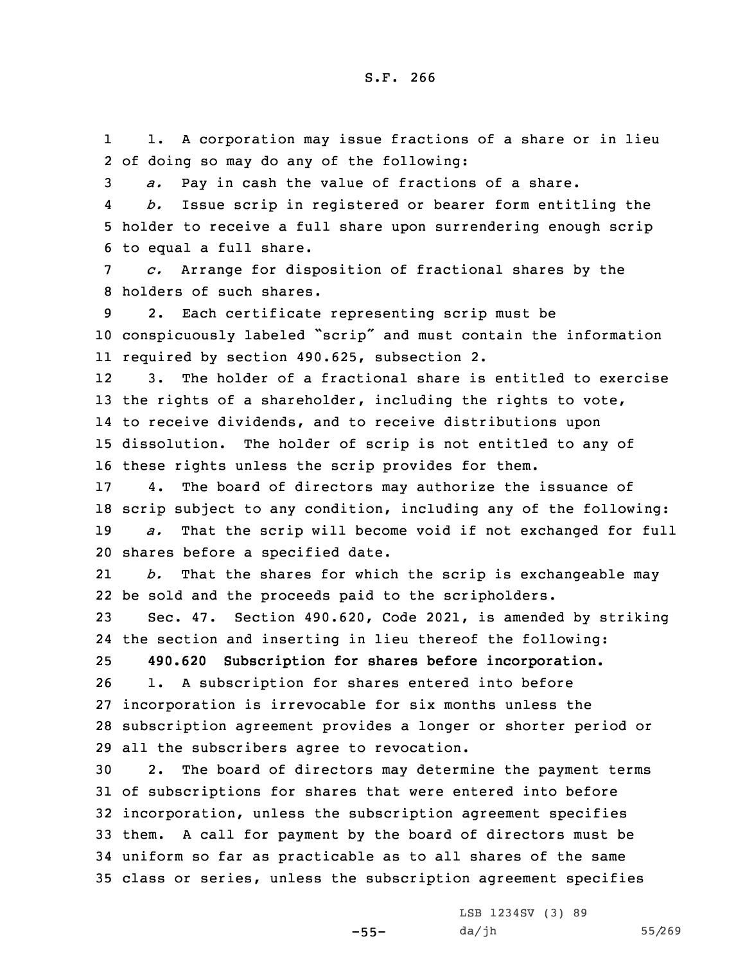1 1. <sup>A</sup> corporation may issue fractions of <sup>a</sup> share or in lieu 2 of doing so may do any of the following:

3 *a.* Pay in cash the value of fractions of <sup>a</sup> share.

4 *b.* Issue scrip in registered or bearer form entitling the 5 holder to receive <sup>a</sup> full share upon surrendering enough scrip 6 to equal <sup>a</sup> full share.

7 *c.* Arrange for disposition of fractional shares by the 8 holders of such shares.

9 2. Each certificate representing scrip must be <sup>10</sup> conspicuously labeled "scrip" and must contain the information 11 required by section 490.625, subsection 2.

12 3. The holder of <sup>a</sup> fractional share is entitled to exercise 13 the rights of a shareholder, including the rights to vote, 14 to receive dividends, and to receive distributions upon 15 dissolution. The holder of scrip is not entitled to any of 16 these rights unless the scrip provides for them.

 4. The board of directors may authorize the issuance of scrip subject to any condition, including any of the following: *a.* That the scrip will become void if not exchanged for full shares before <sup>a</sup> specified date.

21 *b.* That the shares for which the scrip is exchangeable may 22 be sold and the proceeds paid to the scripholders.

23 Sec. 47. Section 490.620, Code 2021, is amended by striking 24 the section and inserting in lieu thereof the following:

25 **490.620 Subscription for shares before incorporation.**

 1. <sup>A</sup> subscription for shares entered into before incorporation is irrevocable for six months unless the subscription agreement provides <sup>a</sup> longer or shorter period or all the subscribers agree to revocation.

 2. The board of directors may determine the payment terms of subscriptions for shares that were entered into before incorporation, unless the subscription agreement specifies them. <sup>A</sup> call for payment by the board of directors must be uniform so far as practicable as to all shares of the same class or series, unless the subscription agreement specifies

-55-

LSB 1234SV (3) 89 da/jh 55/269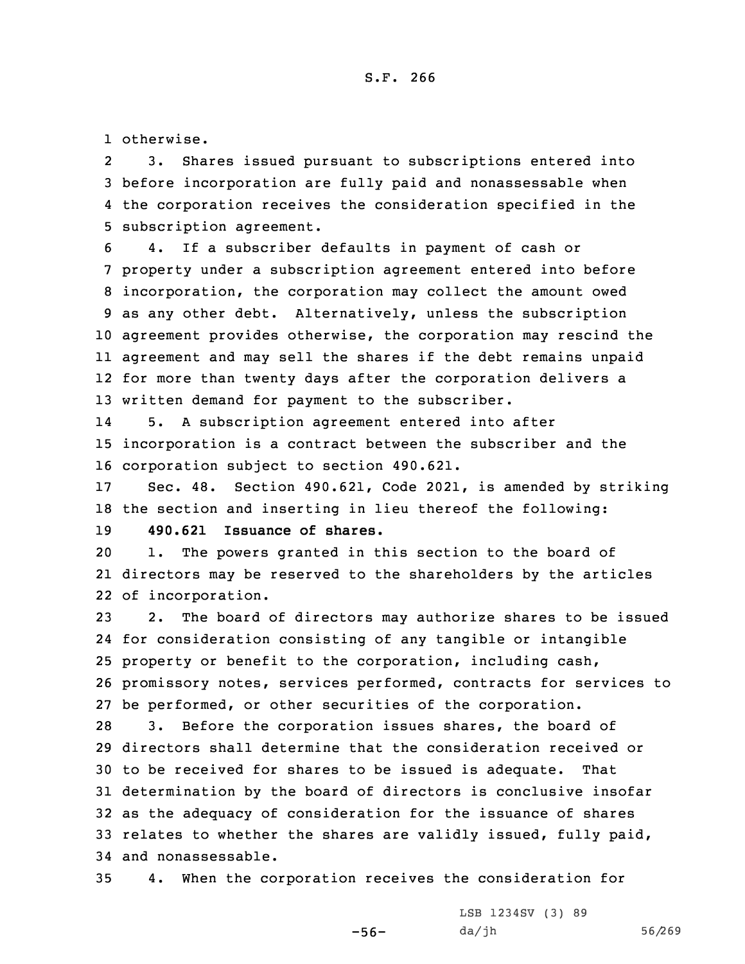1 otherwise.

2 3. Shares issued pursuant to subscriptions entered into 3 before incorporation are fully paid and nonassessable when 4 the corporation receives the consideration specified in the 5 subscription agreement.

 4. If <sup>a</sup> subscriber defaults in payment of cash or property under <sup>a</sup> subscription agreement entered into before incorporation, the corporation may collect the amount owed as any other debt. Alternatively, unless the subscription agreement provides otherwise, the corporation may rescind the agreement and may sell the shares if the debt remains unpaid for more than twenty days after the corporation delivers <sup>a</sup> written demand for payment to the subscriber.

14 5. <sup>A</sup> subscription agreement entered into after 15 incorporation is <sup>a</sup> contract between the subscriber and the 16 corporation subject to section 490.621.

17 Sec. 48. Section 490.621, Code 2021, is amended by striking 18 the section and inserting in lieu thereof the following:

19 **490.621 Issuance of shares.**

20 1. The powers granted in this section to the board of 21 directors may be reserved to the shareholders by the articles 22 of incorporation.

 2. The board of directors may authorize shares to be issued for consideration consisting of any tangible or intangible property or benefit to the corporation, including cash, promissory notes, services performed, contracts for services to be performed, or other securities of the corporation.

 3. Before the corporation issues shares, the board of directors shall determine that the consideration received or to be received for shares to be issued is adequate. That determination by the board of directors is conclusive insofar as the adequacy of consideration for the issuance of shares relates to whether the shares are validly issued, fully paid, and nonassessable.

35 4. When the corporation receives the consideration for

-56-

LSB 1234SV (3) 89 da/jh 56/269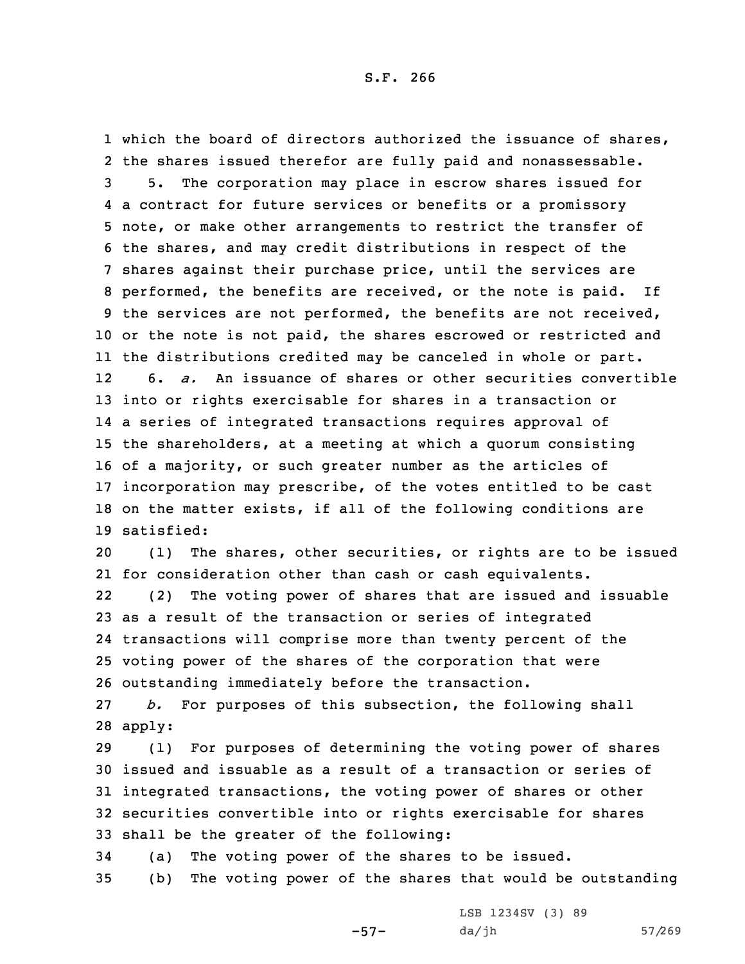1 which the board of directors authorized the issuance of shares, the shares issued therefor are fully paid and nonassessable. 5. The corporation may place in escrow shares issued for <sup>a</sup> contract for future services or benefits or <sup>a</sup> promissory note, or make other arrangements to restrict the transfer of the shares, and may credit distributions in respect of the shares against their purchase price, until the services are performed, the benefits are received, or the note is paid. If the services are not performed, the benefits are not received, or the note is not paid, the shares escrowed or restricted and the distributions credited may be canceled in whole or part. 12 6. *a.* An issuance of shares or other securities convertible into or rights exercisable for shares in <sup>a</sup> transaction or <sup>a</sup> series of integrated transactions requires approval of the shareholders, at <sup>a</sup> meeting at which <sup>a</sup> quorum consisting of <sup>a</sup> majority, or such greater number as the articles of incorporation may prescribe, of the votes entitled to be cast on the matter exists, if all of the following conditions are satisfied:

20 (1) The shares, other securities, or rights are to be issued 21 for consideration other than cash or cash equivalents.

22 (2) The voting power of shares that are issued and issuable as <sup>a</sup> result of the transaction or series of integrated transactions will comprise more than twenty percent of the voting power of the shares of the corporation that were outstanding immediately before the transaction.

27 *b.* For purposes of this subsection, the following shall 28 apply:

 (1) For purposes of determining the voting power of shares issued and issuable as <sup>a</sup> result of <sup>a</sup> transaction or series of integrated transactions, the voting power of shares or other securities convertible into or rights exercisable for shares shall be the greater of the following:

34 (a) The voting power of the shares to be issued.

35 (b) The voting power of the shares that would be outstanding

-57-

LSB 1234SV (3) 89 da/jh 57/269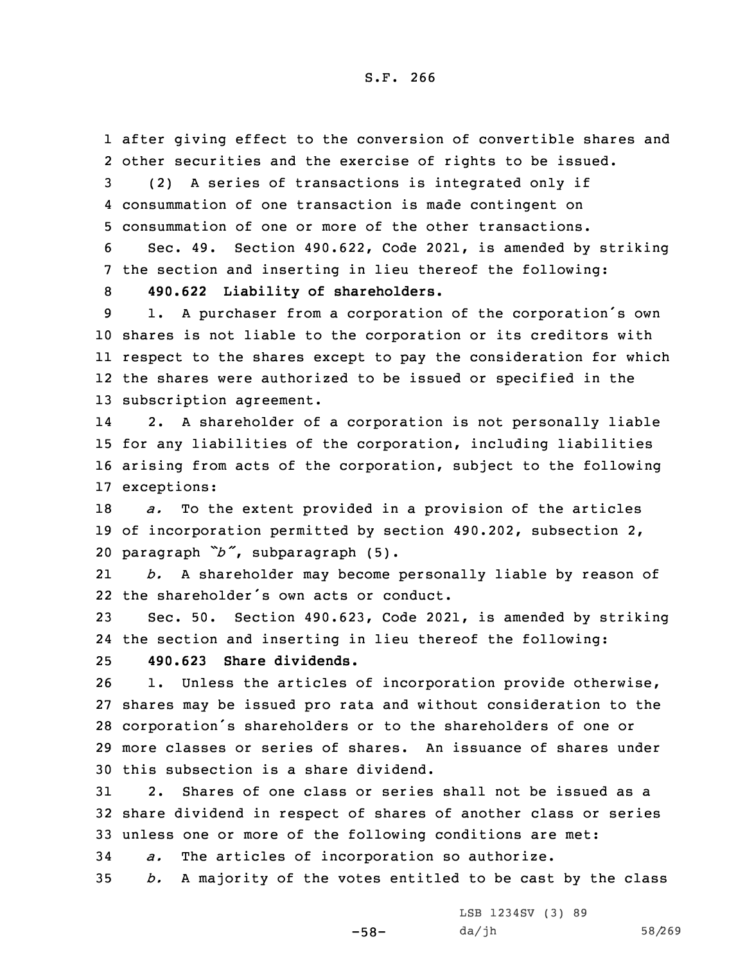S.F. 266

1 after giving effect to the conversion of convertible shares and 2 other securities and the exercise of rights to be issued.

3 (2) <sup>A</sup> series of transactions is integrated only if 4 consummation of one transaction is made contingent on 5 consummation of one or more of the other transactions.

6 Sec. 49. Section 490.622, Code 2021, is amended by striking 7 the section and inserting in lieu thereof the following:

8 **490.622 Liability of shareholders.**

 1. <sup>A</sup> purchaser from <sup>a</sup> corporation of the corporation's own shares is not liable to the corporation or its creditors with respect to the shares except to pay the consideration for which the shares were authorized to be issued or specified in the subscription agreement.

14 2. <sup>A</sup> shareholder of <sup>a</sup> corporation is not personally liable 15 for any liabilities of the corporation, including liabilities 16 arising from acts of the corporation, subject to the following 17 exceptions:

18 *a.* To the extent provided in <sup>a</sup> provision of the articles 19 of incorporation permitted by section 490.202, subsection 2, <sup>20</sup> paragraph *"b"*, subparagraph (5).

21 *b.* <sup>A</sup> shareholder may become personally liable by reason of 22 the shareholder's own acts or conduct.

23 Sec. 50. Section 490.623, Code 2021, is amended by striking 24 the section and inserting in lieu thereof the following:

25 **490.623 Share dividends.**

 1. Unless the articles of incorporation provide otherwise, shares may be issued pro rata and without consideration to the corporation's shareholders or to the shareholders of one or more classes or series of shares. An issuance of shares under this subsection is <sup>a</sup> share dividend.

31 2. Shares of one class or series shall not be issued as <sup>a</sup> 32 share dividend in respect of shares of another class or series 33 unless one or more of the following conditions are met:

34 *a.* The articles of incorporation so authorize.

35 *b.* <sup>A</sup> majority of the votes entitled to be cast by the class

-58-

LSB 1234SV (3) 89 da/jh 58/269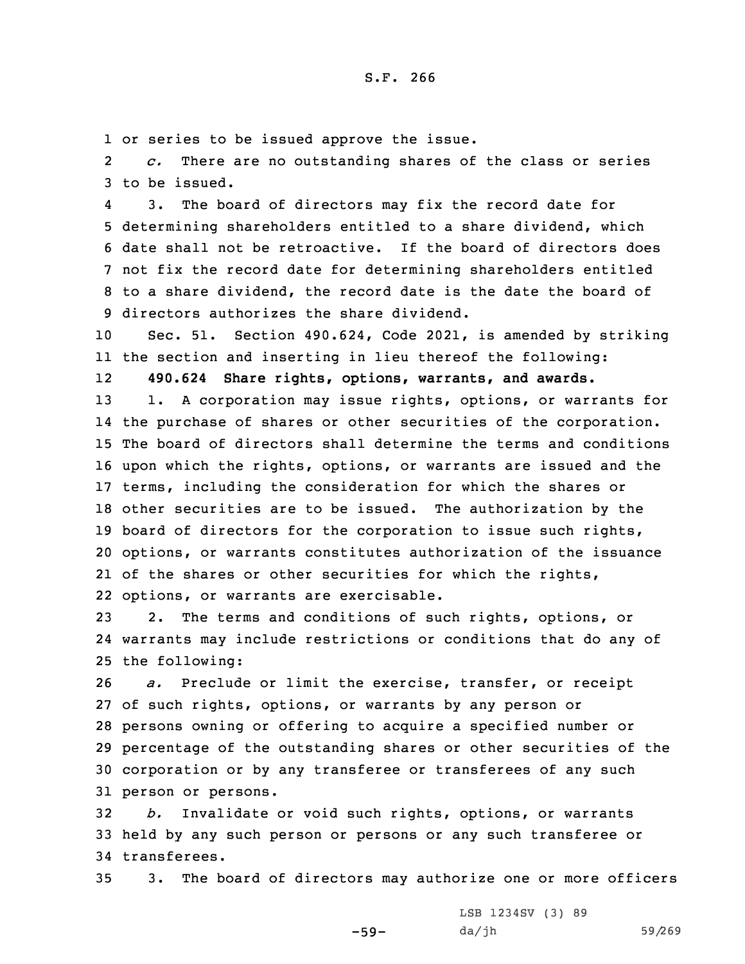1 or series to be issued approve the issue.

2 *c.* There are no outstanding shares of the class or series 3 to be issued.

4 3. The board of directors may fix the record date for determining shareholders entitled to <sup>a</sup> share dividend, which date shall not be retroactive. If the board of directors does not fix the record date for determining shareholders entitled to <sup>a</sup> share dividend, the record date is the date the board of directors authorizes the share dividend.

10 Sec. 51. Section 490.624, Code 2021, is amended by striking 11 the section and inserting in lieu thereof the following:

12**490.624 Share rights, options, warrants, and awards.**

13 1. A corporation may issue rights, options, or warrants for the purchase of shares or other securities of the corporation. The board of directors shall determine the terms and conditions upon which the rights, options, or warrants are issued and the terms, including the consideration for which the shares or other securities are to be issued. The authorization by the board of directors for the corporation to issue such rights, options, or warrants constitutes authorization of the issuance of the shares or other securities for which the rights, options, or warrants are exercisable.

23 2. The terms and conditions of such rights, options, or 24 warrants may include restrictions or conditions that do any of 25 the following:

 *a.* Preclude or limit the exercise, transfer, or receipt of such rights, options, or warrants by any person or persons owning or offering to acquire <sup>a</sup> specified number or percentage of the outstanding shares or other securities of the corporation or by any transferee or transferees of any such person or persons.

32 *b.* Invalidate or void such rights, options, or warrants 33 held by any such person or persons or any such transferee or 34 transferees.

-59-

35 3. The board of directors may authorize one or more officers

LSB 1234SV (3) 89 da/jh 59/269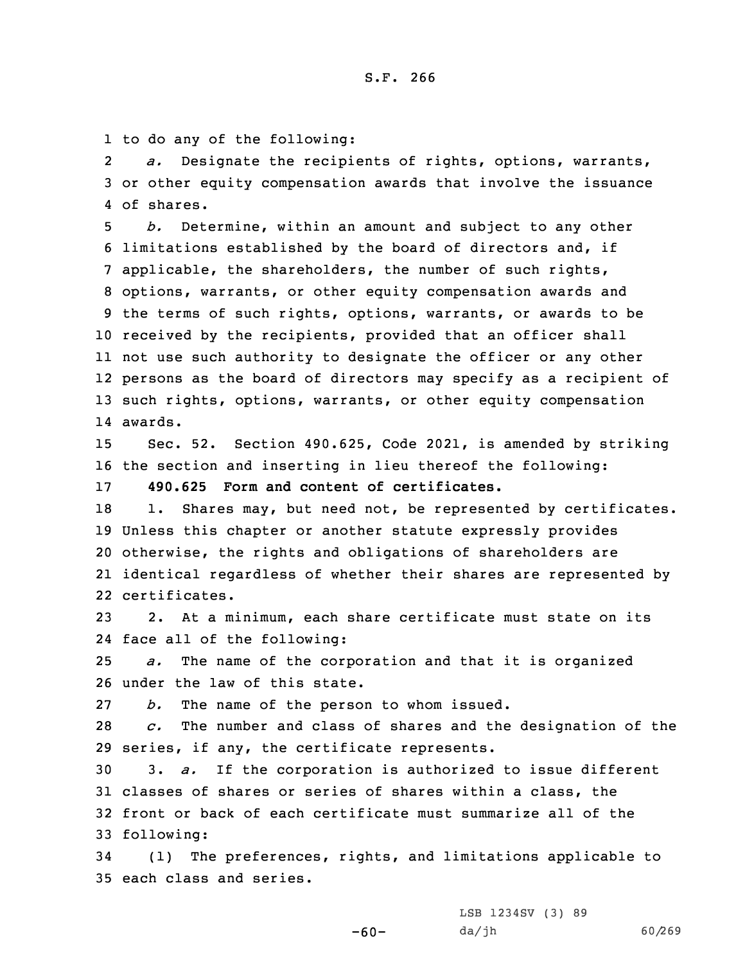1 to do any of the following:

2 *a.* Designate the recipients of rights, options, warrants, 3 or other equity compensation awards that involve the issuance 4 of shares.

 *b.* Determine, within an amount and subject to any other limitations established by the board of directors and, if applicable, the shareholders, the number of such rights, options, warrants, or other equity compensation awards and the terms of such rights, options, warrants, or awards to be received by the recipients, provided that an officer shall not use such authority to designate the officer or any other persons as the board of directors may specify as <sup>a</sup> recipient of such rights, options, warrants, or other equity compensation 14 awards.

15 Sec. 52. Section 490.625, Code 2021, is amended by striking 16 the section and inserting in lieu thereof the following:

17 **490.625 Form and content of certificates.**

18 1. Shares may, but need not, be represented by certificates. Unless this chapter or another statute expressly provides otherwise, the rights and obligations of shareholders are identical regardless of whether their shares are represented by certificates.

23 2. At <sup>a</sup> minimum, each share certificate must state on its 24 face all of the following:

25 *a.* The name of the corporation and that it is organized 26 under the law of this state.

27 *b.* The name of the person to whom issued.

28 *c.* The number and class of shares and the designation of the 29 series, if any, the certificate represents.

 3. *a.* If the corporation is authorized to issue different classes of shares or series of shares within <sup>a</sup> class, the front or back of each certificate must summarize all of the following:

34 (1) The preferences, rights, and limitations applicable to 35 each class and series.

> LSB 1234SV (3) 89 da/jh 60/269

 $-60-$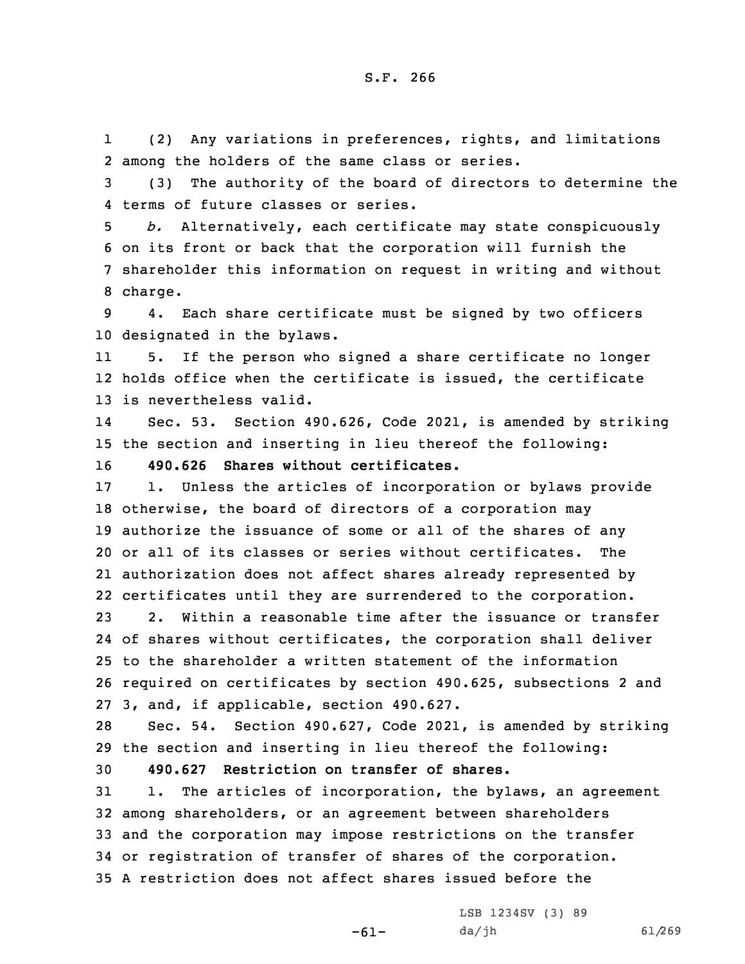S.F. 266

1 (2) Any variations in preferences, rights, and limitations 2 among the holders of the same class or series.

3 (3) The authority of the board of directors to determine the 4 terms of future classes or series.

 *b.* Alternatively, each certificate may state conspicuously on its front or back that the corporation will furnish the shareholder this information on request in writing and without 8 charge.

9 4. Each share certificate must be signed by two officers 10 designated in the bylaws.

11 5. If the person who signed <sup>a</sup> share certificate no longer 12 holds office when the certificate is issued, the certificate 13 is nevertheless valid.

14 Sec. 53. Section 490.626, Code 2021, is amended by striking 15 the section and inserting in lieu thereof the following: 16 **490.626 Shares without certificates.**

 1. Unless the articles of incorporation or bylaws provide otherwise, the board of directors of <sup>a</sup> corporation may authorize the issuance of some or all of the shares of any or all of its classes or series without certificates. The authorization does not affect shares already represented by certificates until they are surrendered to the corporation.

 2. Within <sup>a</sup> reasonable time after the issuance or transfer of shares without certificates, the corporation shall deliver to the shareholder <sup>a</sup> written statement of the information required on certificates by section 490.625, subsections 2 and 3, and, if applicable, section 490.627.

28 Sec. 54. Section 490.627, Code 2021, is amended by striking 29 the section and inserting in lieu thereof the following:

30 **490.627 Restriction on transfer of shares.**

 1. The articles of incorporation, the bylaws, an agreement among shareholders, or an agreement between shareholders and the corporation may impose restrictions on the transfer or registration of transfer of shares of the corporation. A restriction does not affect shares issued before the

-61-

LSB 1234SV (3) 89 da/jh 61/269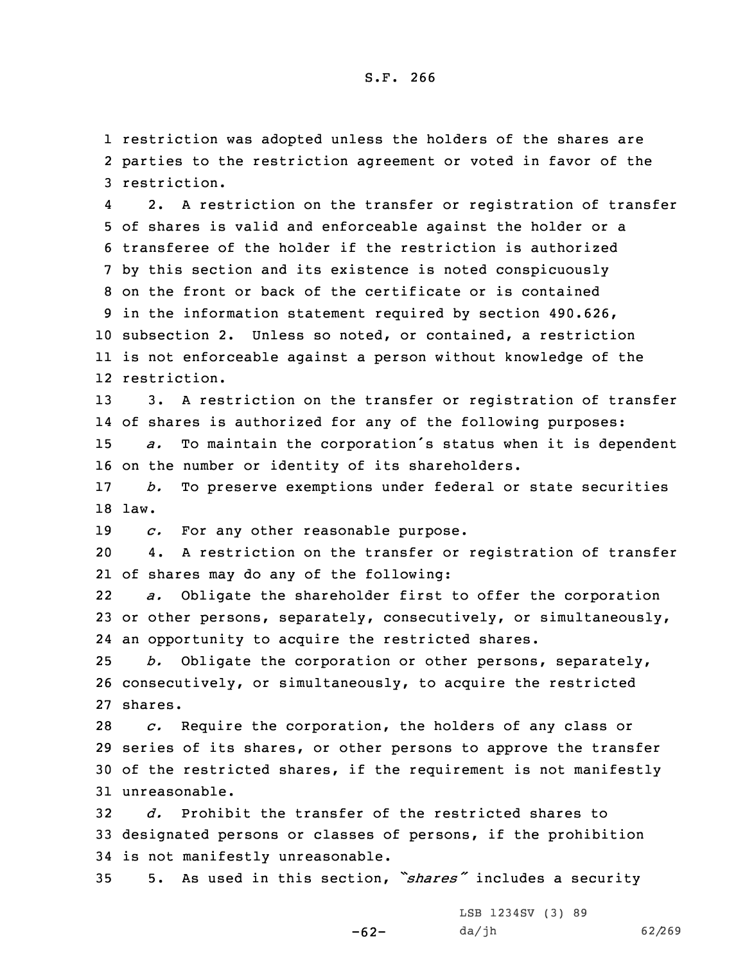1 restriction was adopted unless the holders of the shares are 2 parties to the restriction agreement or voted in favor of the 3 restriction.

4 2. <sup>A</sup> restriction on the transfer or registration of transfer of shares is valid and enforceable against the holder or <sup>a</sup> transferee of the holder if the restriction is authorized by this section and its existence is noted conspicuously on the front or back of the certificate or is contained in the information statement required by section 490.626, subsection 2. Unless so noted, or contained, <sup>a</sup> restriction is not enforceable against <sup>a</sup> person without knowledge of the restriction.

 3. <sup>A</sup> restriction on the transfer or registration of transfer of shares is authorized for any of the following purposes: *a.* To maintain the corporation's status when it is dependent on the number or identity of its shareholders.

17 *b.* To preserve exemptions under federal or state securities 18 law.

19 *c.* For any other reasonable purpose.

20 4. <sup>A</sup> restriction on the transfer or registration of transfer 21 of shares may do any of the following:

22 *a.* Obligate the shareholder first to offer the corporation 23 or other persons, separately, consecutively, or simultaneously, 24 an opportunity to acquire the restricted shares.

25 *b.* Obligate the corporation or other persons, separately, 26 consecutively, or simultaneously, to acquire the restricted 27 shares.

 *c.* Require the corporation, the holders of any class or series of its shares, or other persons to approve the transfer of the restricted shares, if the requirement is not manifestly unreasonable.

32 *d.* Prohibit the transfer of the restricted shares to 33 designated persons or classes of persons, if the prohibition 34 is not manifestly unreasonable.

<sup>35</sup> 5. As used in this section, *"shares"* includes <sup>a</sup> security

 $-62-$ 

LSB 1234SV (3) 89 da/jh 62/269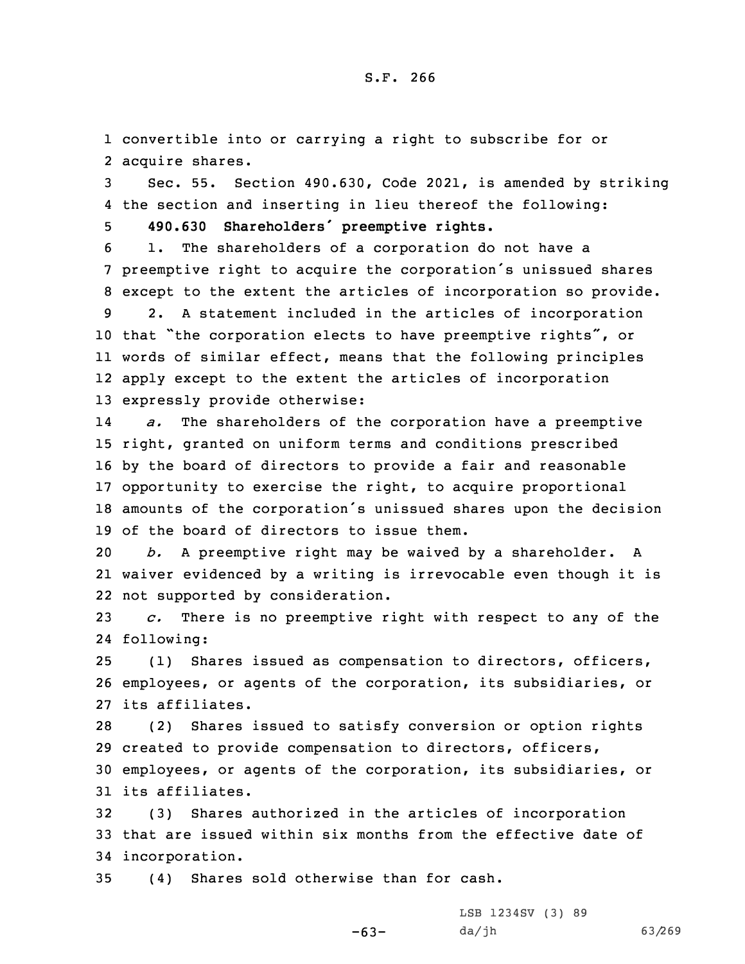1 convertible into or carrying <sup>a</sup> right to subscribe for or 2 acquire shares.

3 Sec. 55. Section 490.630, Code 2021, is amended by striking 4 the section and inserting in lieu thereof the following:

<sup>5</sup> **490.630 Shareholders' preemptive rights.**

6 1. The shareholders of <sup>a</sup> corporation do not have <sup>a</sup> <sup>7</sup> preemptive right to acquire the corporation's unissued shares 8 except to the extent the articles of incorporation so provide.

 2. <sup>A</sup> statement included in the articles of incorporation that "the corporation elects to have preemptive rights", or words of similar effect, means that the following principles apply except to the extent the articles of incorporation expressly provide otherwise:

14 *a.* The shareholders of the corporation have <sup>a</sup> preemptive right, granted on uniform terms and conditions prescribed by the board of directors to provide <sup>a</sup> fair and reasonable opportunity to exercise the right, to acquire proportional amounts of the corporation's unissued shares upon the decision of the board of directors to issue them.

20 *b.* <sup>A</sup> preemptive right may be waived by <sup>a</sup> shareholder. <sup>A</sup> 21 waiver evidenced by <sup>a</sup> writing is irrevocable even though it is 22 not supported by consideration.

23 *c.* There is no preemptive right with respect to any of the 24 following:

25 (1) Shares issued as compensation to directors, officers, 26 employees, or agents of the corporation, its subsidiaries, or 27 its affiliates.

 (2) Shares issued to satisfy conversion or option rights created to provide compensation to directors, officers, employees, or agents of the corporation, its subsidiaries, or its affiliates.

32 (3) Shares authorized in the articles of incorporation 33 that are issued within six months from the effective date of 34 incorporation.

-63-

35 (4) Shares sold otherwise than for cash.

LSB 1234SV (3) 89 da/jh 63/269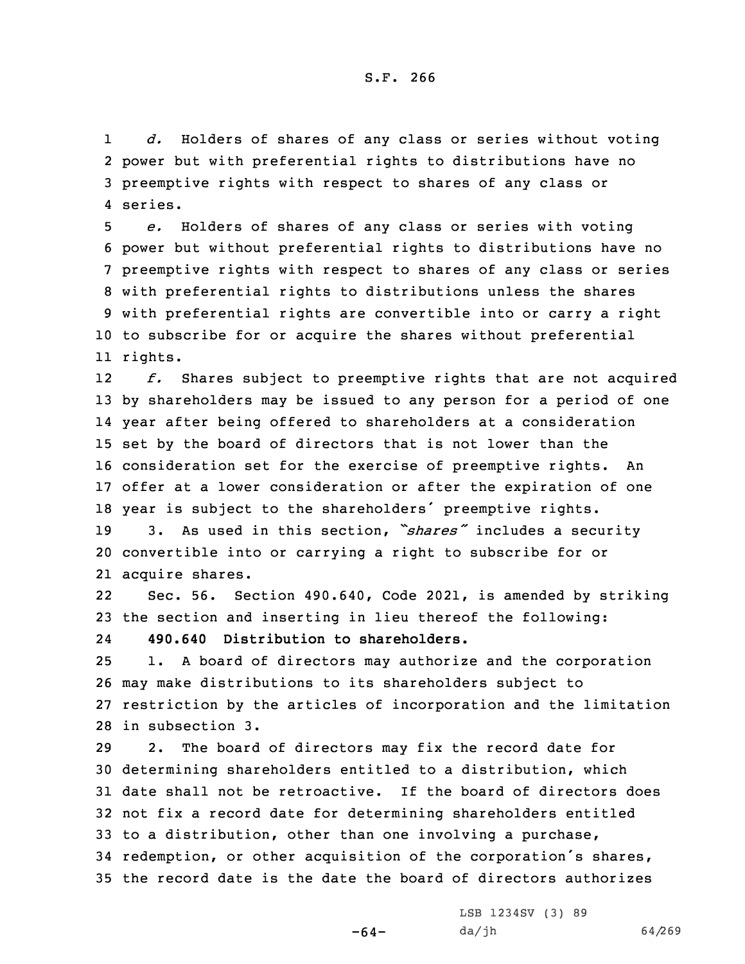1 *d.* Holders of shares of any class or series without voting 2 power but with preferential rights to distributions have no 3 preemptive rights with respect to shares of any class or 4 series.

 *e.* Holders of shares of any class or series with voting power but without preferential rights to distributions have no preemptive rights with respect to shares of any class or series with preferential rights to distributions unless the shares with preferential rights are convertible into or carry <sup>a</sup> right to subscribe for or acquire the shares without preferential 11 rights.

12 *f.* Shares subject to preemptive rights that are not acquired by shareholders may be issued to any person for <sup>a</sup> period of one year after being offered to shareholders at <sup>a</sup> consideration set by the board of directors that is not lower than the consideration set for the exercise of preemptive rights. An offer at <sup>a</sup> lower consideration or after the expiration of one year is subject to the shareholders' preemptive rights.

<sup>19</sup> 3. As used in this section, *"shares"* includes <sup>a</sup> security 20 convertible into or carrying <sup>a</sup> right to subscribe for or 21 acquire shares.

22 Sec. 56. Section 490.640, Code 2021, is amended by striking 23 the section and inserting in lieu thereof the following:

24**490.640 Distribution to shareholders.**

 1. <sup>A</sup> board of directors may authorize and the corporation may make distributions to its shareholders subject to restriction by the articles of incorporation and the limitation in subsection 3.

 2. The board of directors may fix the record date for determining shareholders entitled to <sup>a</sup> distribution, which date shall not be retroactive. If the board of directors does not fix <sup>a</sup> record date for determining shareholders entitled to <sup>a</sup> distribution, other than one involving <sup>a</sup> purchase, redemption, or other acquisition of the corporation's shares, the record date is the date the board of directors authorizes

-64-

LSB 1234SV (3) 89 da/jh 64/269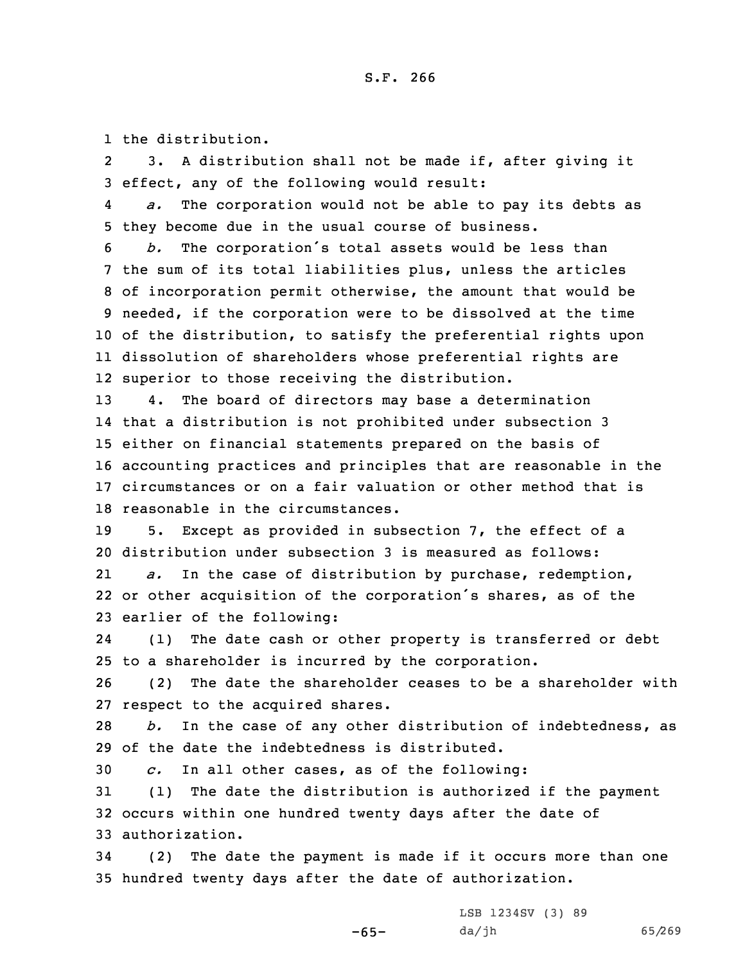1 the distribution.

2 3. <sup>A</sup> distribution shall not be made if, after giving it 3 effect, any of the following would result:

4 *a.* The corporation would not be able to pay its debts as 5 they become due in the usual course of business.

 *b.* The corporation's total assets would be less than the sum of its total liabilities plus, unless the articles of incorporation permit otherwise, the amount that would be needed, if the corporation were to be dissolved at the time of the distribution, to satisfy the preferential rights upon dissolution of shareholders whose preferential rights are superior to those receiving the distribution.

 4. The board of directors may base <sup>a</sup> determination that <sup>a</sup> distribution is not prohibited under subsection 3 either on financial statements prepared on the basis of accounting practices and principles that are reasonable in the circumstances or on <sup>a</sup> fair valuation or other method that is reasonable in the circumstances.

19 5. Except as provided in subsection 7, the effect of <sup>a</sup> 20 distribution under subsection 3 is measured as follows:

21 *a.* In the case of distribution by purchase, redemption, 22 or other acquisition of the corporation's shares, as of the 23 earlier of the following:

24 (1) The date cash or other property is transferred or debt 25 to <sup>a</sup> shareholder is incurred by the corporation.

26 (2) The date the shareholder ceases to be <sup>a</sup> shareholder with 27 respect to the acquired shares.

28 *b.* In the case of any other distribution of indebtedness, as 29 of the date the indebtedness is distributed.

30 *c.* In all other cases, as of the following:

31 (1) The date the distribution is authorized if the payment 32 occurs within one hundred twenty days after the date of 33 authorization.

34 (2) The date the payment is made if it occurs more than one 35 hundred twenty days after the date of authorization.

-65-

LSB 1234SV (3) 89 da/jh 65/269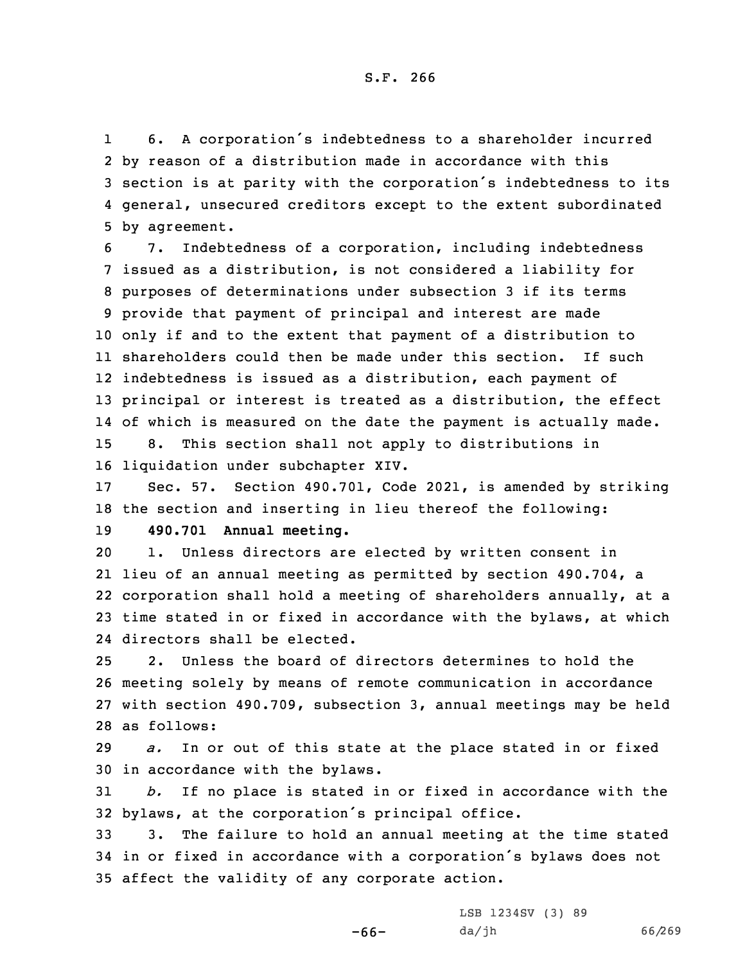1 6. <sup>A</sup> corporation's indebtedness to <sup>a</sup> shareholder incurred by reason of <sup>a</sup> distribution made in accordance with this section is at parity with the corporation's indebtedness to its general, unsecured creditors except to the extent subordinated by agreement.

 7. Indebtedness of <sup>a</sup> corporation, including indebtedness issued as <sup>a</sup> distribution, is not considered <sup>a</sup> liability for purposes of determinations under subsection 3 if its terms provide that payment of principal and interest are made only if and to the extent that payment of <sup>a</sup> distribution to shareholders could then be made under this section. If such indebtedness is issued as <sup>a</sup> distribution, each payment of principal or interest is treated as <sup>a</sup> distribution, the effect of which is measured on the date the payment is actually made. 8. This section shall not apply to distributions in liquidation under subchapter XIV.

17 Sec. 57. Section 490.701, Code 2021, is amended by striking 18 the section and inserting in lieu thereof the following: 19 **490.701 Annual meeting.**

 1. Unless directors are elected by written consent in lieu of an annual meeting as permitted by section 490.704, <sup>a</sup> corporation shall hold <sup>a</sup> meeting of shareholders annually, at <sup>a</sup> time stated in or fixed in accordance with the bylaws, at which directors shall be elected.

 2. Unless the board of directors determines to hold the meeting solely by means of remote communication in accordance with section 490.709, subsection 3, annual meetings may be held as follows:

29 *a.* In or out of this state at the place stated in or fixed 30 in accordance with the bylaws.

31 *b.* If no place is stated in or fixed in accordance with the <sup>32</sup> bylaws, at the corporation's principal office.

33 3. The failure to hold an annual meeting at the time stated <sup>34</sup> in or fixed in accordance with <sup>a</sup> corporation's bylaws does not 35 affect the validity of any corporate action.

-66-

LSB 1234SV (3) 89 da/jh 66/269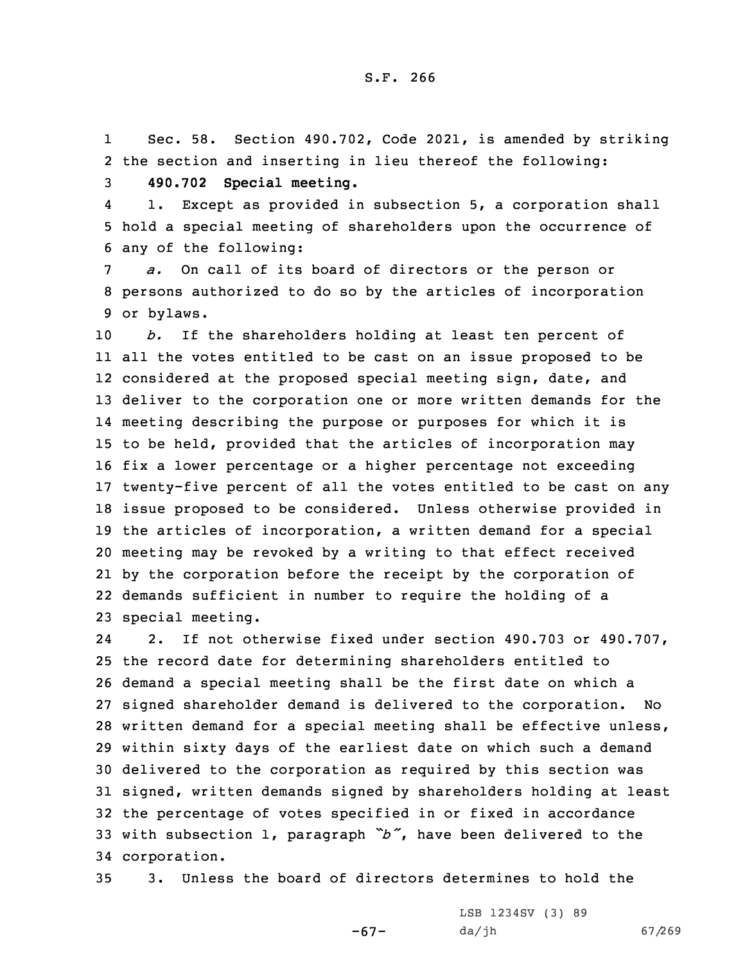1 Sec. 58. Section 490.702, Code 2021, is amended by striking 2 the section and inserting in lieu thereof the following:

3 **490.702 Special meeting.**

4 1. Except as provided in subsection 5, <sup>a</sup> corporation shall 5 hold <sup>a</sup> special meeting of shareholders upon the occurrence of 6 any of the following:

7 *a.* On call of its board of directors or the person or 8 persons authorized to do so by the articles of incorporation 9 or bylaws.

 *b.* If the shareholders holding at least ten percent of all the votes entitled to be cast on an issue proposed to be considered at the proposed special meeting sign, date, and deliver to the corporation one or more written demands for the meeting describing the purpose or purposes for which it is to be held, provided that the articles of incorporation may fix <sup>a</sup> lower percentage or <sup>a</sup> higher percentage not exceeding twenty-five percent of all the votes entitled to be cast on any issue proposed to be considered. Unless otherwise provided in the articles of incorporation, <sup>a</sup> written demand for <sup>a</sup> special meeting may be revoked by <sup>a</sup> writing to that effect received by the corporation before the receipt by the corporation of demands sufficient in number to require the holding of <sup>a</sup> special meeting.

24 2. If not otherwise fixed under section 490.703 or 490.707, the record date for determining shareholders entitled to demand <sup>a</sup> special meeting shall be the first date on which <sup>a</sup> signed shareholder demand is delivered to the corporation. No written demand for <sup>a</sup> special meeting shall be effective unless, within sixty days of the earliest date on which such <sup>a</sup> demand delivered to the corporation as required by this section was signed, written demands signed by shareholders holding at least the percentage of votes specified in or fixed in accordance with subsection 1, paragraph *"b"*, have been delivered to the corporation.

35 3. Unless the board of directors determines to hold the

-67-

LSB 1234SV (3) 89 da/jh 67/269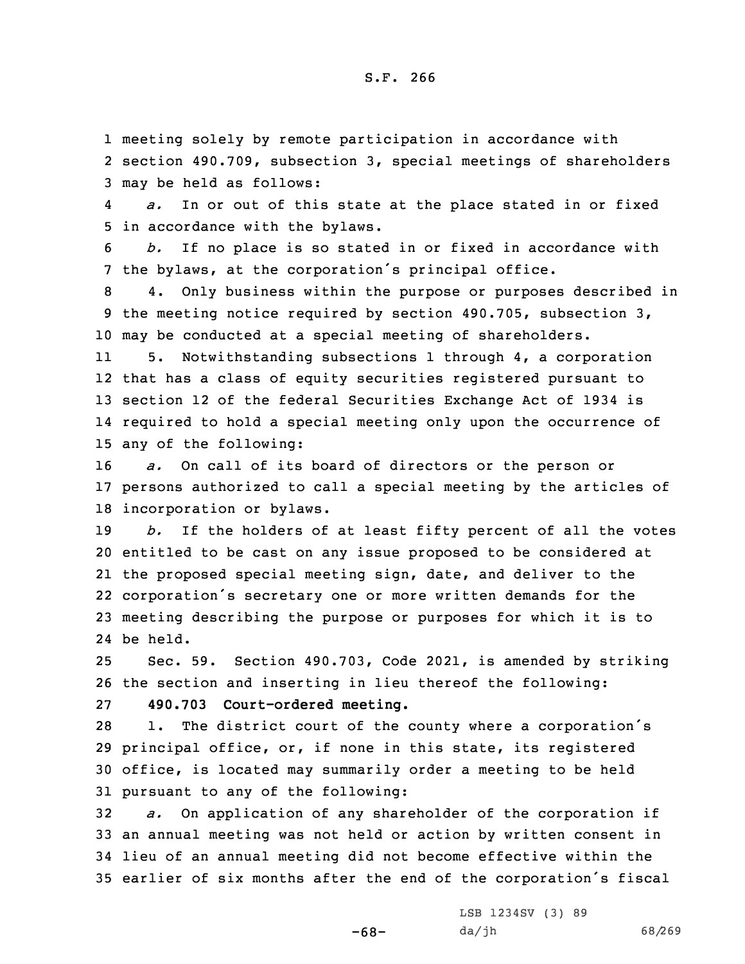1 meeting solely by remote participation in accordance with 2 section 490.709, subsection 3, special meetings of shareholders 3 may be held as follows:

4 *a.* In or out of this state at the place stated in or fixed 5 in accordance with the bylaws.

6 *b.* If no place is so stated in or fixed in accordance with <sup>7</sup> the bylaws, at the corporation's principal office.

8 4. Only business within the purpose or purposes described in 9 the meeting notice required by section 490.705, subsection 3, 10 may be conducted at <sup>a</sup> special meeting of shareholders.

11 5. Notwithstanding subsections 1 through 4, <sup>a</sup> corporation that has <sup>a</sup> class of equity securities registered pursuant to section 12 of the federal Securities Exchange Act of 1934 is required to hold <sup>a</sup> special meeting only upon the occurrence of any of the following:

16 *a.* On call of its board of directors or the person or 17 persons authorized to call <sup>a</sup> special meeting by the articles of 18 incorporation or bylaws.

 *b.* If the holders of at least fifty percent of all the votes entitled to be cast on any issue proposed to be considered at the proposed special meeting sign, date, and deliver to the corporation's secretary one or more written demands for the meeting describing the purpose or purposes for which it is to 24 be held.

25 Sec. 59. Section 490.703, Code 2021, is amended by striking 26 the section and inserting in lieu thereof the following:

27 **490.703 Court-ordered meeting.**

 1. The district court of the county where <sup>a</sup> corporation's principal office, or, if none in this state, its registered office, is located may summarily order <sup>a</sup> meeting to be held pursuant to any of the following:

 *a.* On application of any shareholder of the corporation if an annual meeting was not held or action by written consent in lieu of an annual meeting did not become effective within the earlier of six months after the end of the corporation's fiscal

> LSB 1234SV (3) 89 da/jh 68/269

-68-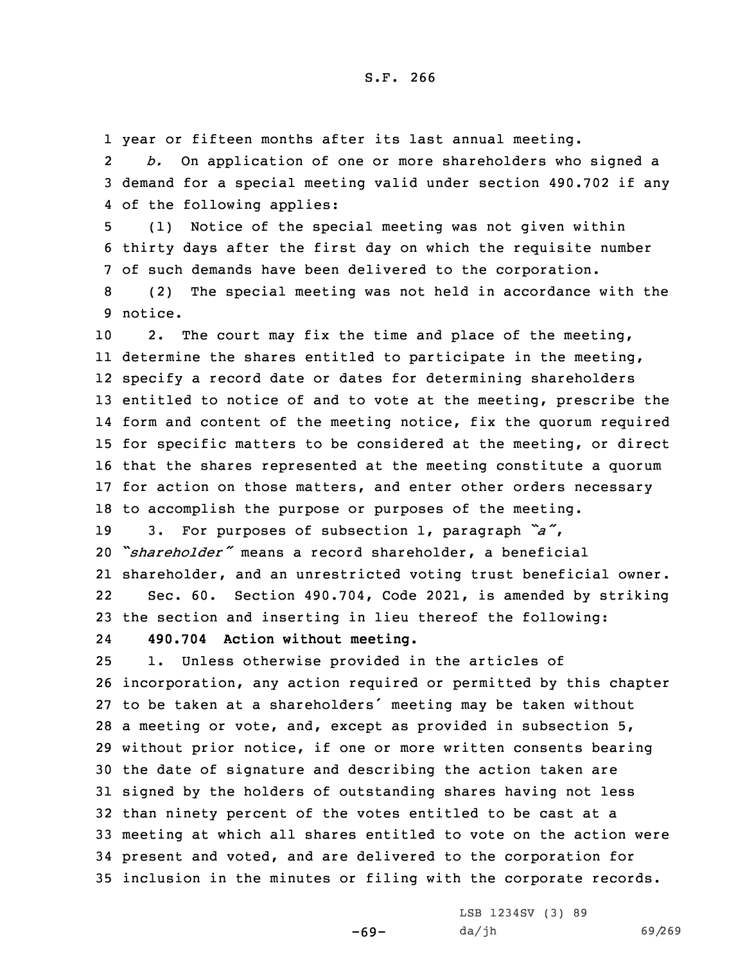1 year or fifteen months after its last annual meeting.

2 *b.* On application of one or more shareholders who signed <sup>a</sup> 3 demand for <sup>a</sup> special meeting valid under section 490.702 if any 4 of the following applies:

5 (1) Notice of the special meeting was not given within 6 thirty days after the first day on which the requisite number 7 of such demands have been delivered to the corporation.

8 (2) The special meeting was not held in accordance with the 9 notice.

 2. The court may fix the time and place of the meeting, determine the shares entitled to participate in the meeting, specify <sup>a</sup> record date or dates for determining shareholders entitled to notice of and to vote at the meeting, prescribe the form and content of the meeting notice, fix the quorum required for specific matters to be considered at the meeting, or direct that the shares represented at the meeting constitute <sup>a</sup> quorum 17 for action on those matters, and enter other orders necessary to accomplish the purpose or purposes of the meeting.

 3. For purposes of subsection 1, paragraph *"a"*, "*shareholder"* means <sup>a</sup> record shareholder, <sup>a</sup> beneficial shareholder, and an unrestricted voting trust beneficial owner. 22 Sec. 60. Section 490.704, Code 2021, is amended by striking the section and inserting in lieu thereof the following:

24**490.704 Action without meeting.**

 1. Unless otherwise provided in the articles of incorporation, any action required or permitted by this chapter to be taken at <sup>a</sup> shareholders' meeting may be taken without <sup>a</sup> meeting or vote, and, except as provided in subsection 5, without prior notice, if one or more written consents bearing the date of signature and describing the action taken are signed by the holders of outstanding shares having not less than ninety percent of the votes entitled to be cast at <sup>a</sup> meeting at which all shares entitled to vote on the action were present and voted, and are delivered to the corporation for inclusion in the minutes or filing with the corporate records.

> LSB 1234SV (3) 89 da/jh 69/269

 $-69-$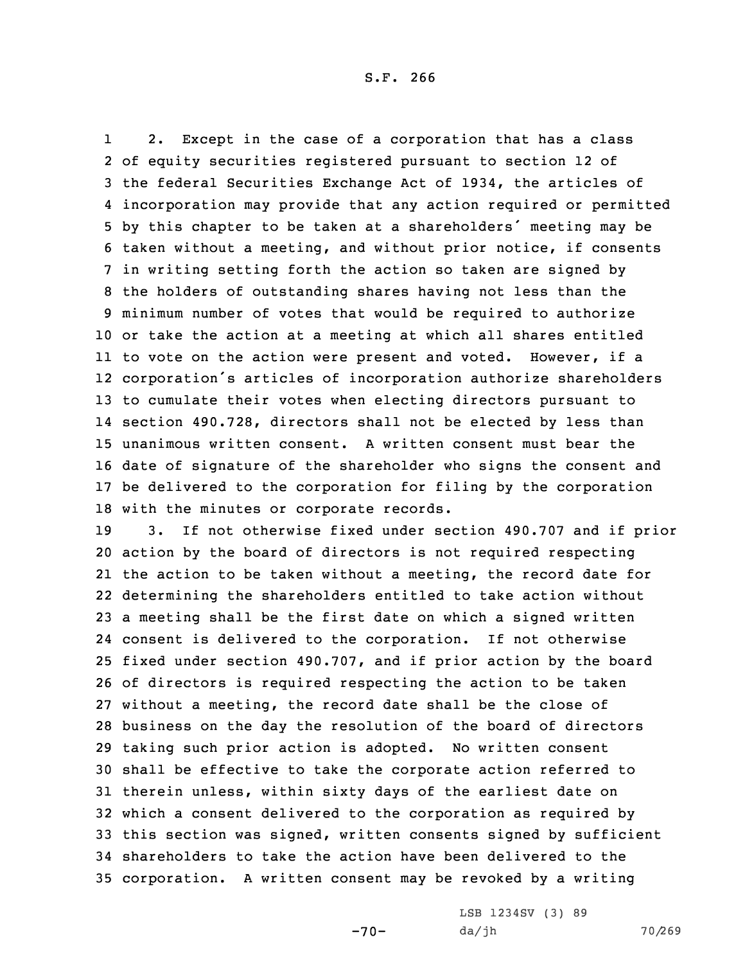S.F. 266

1 2. Except in the case of <sup>a</sup> corporation that has <sup>a</sup> class of equity securities registered pursuant to section 12 of the federal Securities Exchange Act of 1934, the articles of incorporation may provide that any action required or permitted by this chapter to be taken at <sup>a</sup> shareholders' meeting may be taken without <sup>a</sup> meeting, and without prior notice, if consents in writing setting forth the action so taken are signed by the holders of outstanding shares having not less than the minimum number of votes that would be required to authorize or take the action at <sup>a</sup> meeting at which all shares entitled to vote on the action were present and voted. However, if <sup>a</sup> corporation's articles of incorporation authorize shareholders to cumulate their votes when electing directors pursuant to section 490.728, directors shall not be elected by less than unanimous written consent. A written consent must bear the date of signature of the shareholder who signs the consent and be delivered to the corporation for filing by the corporation with the minutes or corporate records.

 3. If not otherwise fixed under section 490.707 and if prior action by the board of directors is not required respecting the action to be taken without <sup>a</sup> meeting, the record date for determining the shareholders entitled to take action without <sup>a</sup> meeting shall be the first date on which <sup>a</sup> signed written consent is delivered to the corporation. If not otherwise fixed under section 490.707, and if prior action by the board of directors is required respecting the action to be taken without <sup>a</sup> meeting, the record date shall be the close of business on the day the resolution of the board of directors taking such prior action is adopted. No written consent shall be effective to take the corporate action referred to therein unless, within sixty days of the earliest date on which <sup>a</sup> consent delivered to the corporation as required by this section was signed, written consents signed by sufficient shareholders to take the action have been delivered to the corporation. <sup>A</sup> written consent may be revoked by <sup>a</sup> writing

 $-70-$ 

LSB 1234SV (3) 89 da/jh 70/269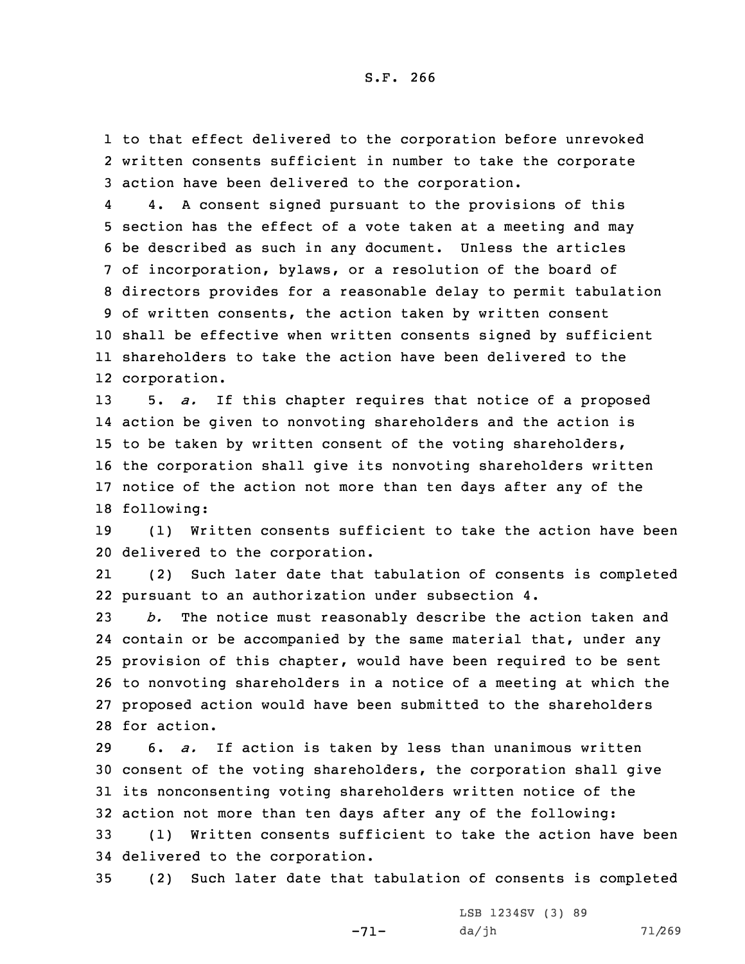1 to that effect delivered to the corporation before unrevoked 2 written consents sufficient in number to take the corporate 3 action have been delivered to the corporation.

4 4. <sup>A</sup> consent signed pursuant to the provisions of this section has the effect of <sup>a</sup> vote taken at <sup>a</sup> meeting and may be described as such in any document. Unless the articles of incorporation, bylaws, or <sup>a</sup> resolution of the board of directors provides for <sup>a</sup> reasonable delay to permit tabulation of written consents, the action taken by written consent shall be effective when written consents signed by sufficient shareholders to take the action have been delivered to the corporation.

 5. *a.* If this chapter requires that notice of <sup>a</sup> proposed action be given to nonvoting shareholders and the action is to be taken by written consent of the voting shareholders, the corporation shall give its nonvoting shareholders written notice of the action not more than ten days after any of the following:

19 (1) Written consents sufficient to take the action have been 20 delivered to the corporation.

21 (2) Such later date that tabulation of consents is completed 22 pursuant to an authorization under subsection 4.

 *b.* The notice must reasonably describe the action taken and contain or be accompanied by the same material that, under any provision of this chapter, would have been required to be sent to nonvoting shareholders in <sup>a</sup> notice of <sup>a</sup> meeting at which the proposed action would have been submitted to the shareholders for action.

 6. *a.* If action is taken by less than unanimous written consent of the voting shareholders, the corporation shall give its nonconsenting voting shareholders written notice of the action not more than ten days after any of the following:

33 (1) Written consents sufficient to take the action have been 34 delivered to the corporation.

35 (2) Such later date that tabulation of consents is completed

-71-

LSB 1234SV (3) 89 da/jh 71/269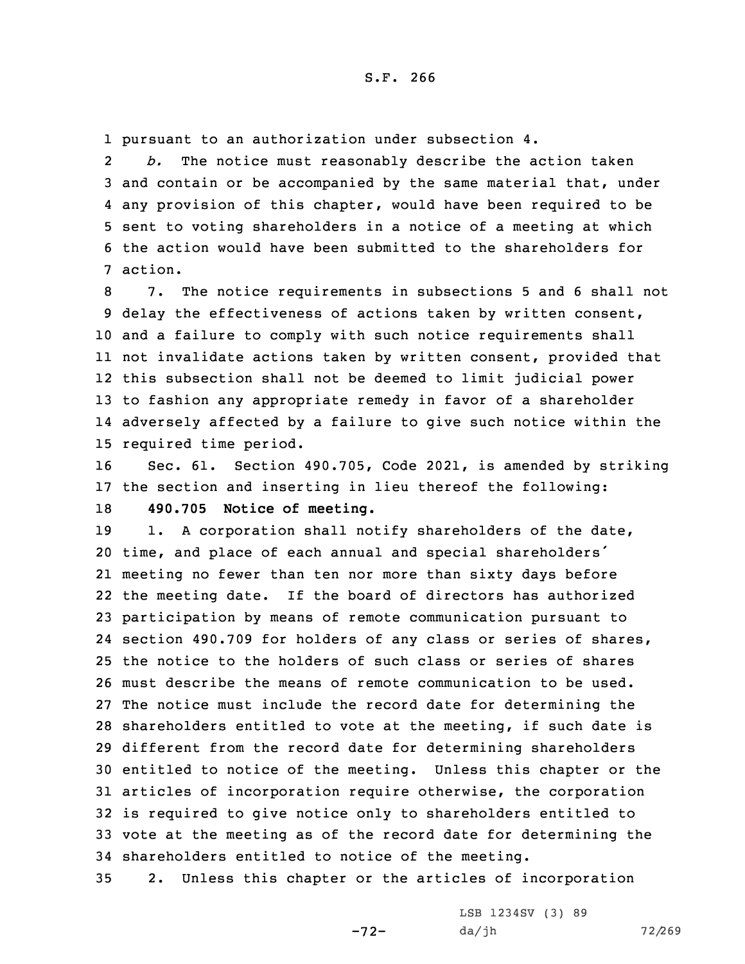1 pursuant to an authorization under subsection 4.

2 *b.* The notice must reasonably describe the action taken 3 and contain or be accompanied by the same material that, under 4 any provision of this chapter, would have been required to be 5 sent to voting shareholders in <sup>a</sup> notice of <sup>a</sup> meeting at which 6 the action would have been submitted to the shareholders for 7 action.

 7. The notice requirements in subsections 5 and 6 shall not delay the effectiveness of actions taken by written consent, and <sup>a</sup> failure to comply with such notice requirements shall not invalidate actions taken by written consent, provided that this subsection shall not be deemed to limit judicial power to fashion any appropriate remedy in favor of <sup>a</sup> shareholder adversely affected by <sup>a</sup> failure to give such notice within the required time period.

16 Sec. 61. Section 490.705, Code 2021, is amended by striking 17 the section and inserting in lieu thereof the following: 18 **490.705 Notice of meeting.**

 1. <sup>A</sup> corporation shall notify shareholders of the date, time, and place of each annual and special shareholders' meeting no fewer than ten nor more than sixty days before the meeting date. If the board of directors has authorized participation by means of remote communication pursuant to section 490.709 for holders of any class or series of shares, the notice to the holders of such class or series of shares must describe the means of remote communication to be used. The notice must include the record date for determining the shareholders entitled to vote at the meeting, if such date is different from the record date for determining shareholders entitled to notice of the meeting. Unless this chapter or the articles of incorporation require otherwise, the corporation is required to give notice only to shareholders entitled to vote at the meeting as of the record date for determining the shareholders entitled to notice of the meeting.

35 2. Unless this chapter or the articles of incorporation

-72-

LSB 1234SV (3) 89 da/jh 72/269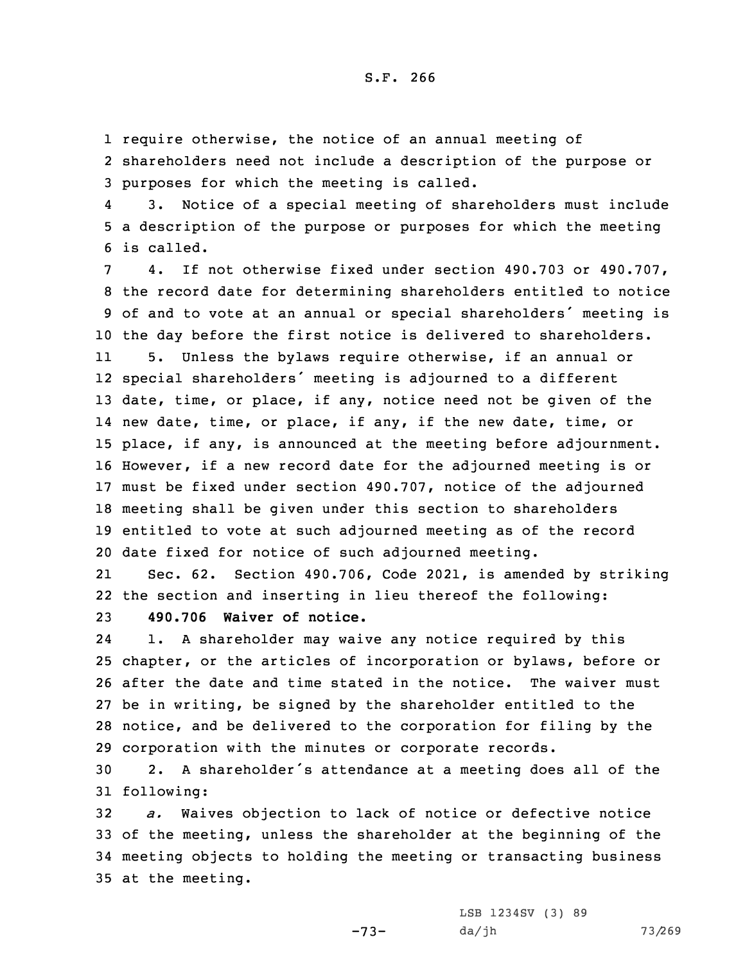1 require otherwise, the notice of an annual meeting of

2 shareholders need not include <sup>a</sup> description of the purpose or 3 purposes for which the meeting is called.

4 3. Notice of <sup>a</sup> special meeting of shareholders must include 5 <sup>a</sup> description of the purpose or purposes for which the meeting 6 is called.

 4. If not otherwise fixed under section 490.703 or 490.707, the record date for determining shareholders entitled to notice of and to vote at an annual or special shareholders' meeting is the day before the first notice is delivered to shareholders.

11 5. Unless the bylaws require otherwise, if an annual or special shareholders' meeting is adjourned to <sup>a</sup> different date, time, or place, if any, notice need not be given of the new date, time, or place, if any, if the new date, time, or place, if any, is announced at the meeting before adjournment. However, if <sup>a</sup> new record date for the adjourned meeting is or must be fixed under section 490.707, notice of the adjourned meeting shall be given under this section to shareholders entitled to vote at such adjourned meeting as of the record date fixed for notice of such adjourned meeting.

21 Sec. 62. Section 490.706, Code 2021, is amended by striking 22 the section and inserting in lieu thereof the following: 23 **490.706 Waiver of notice.**

24 1. <sup>A</sup> shareholder may waive any notice required by this chapter, or the articles of incorporation or bylaws, before or after the date and time stated in the notice. The waiver must be in writing, be signed by the shareholder entitled to the notice, and be delivered to the corporation for filing by the corporation with the minutes or corporate records.

<sup>30</sup> 2. <sup>A</sup> shareholder's attendance at <sup>a</sup> meeting does all of the 31 following:

 *a.* Waives objection to lack of notice or defective notice of the meeting, unless the shareholder at the beginning of the meeting objects to holding the meeting or transacting business at the meeting.

-73-

LSB 1234SV (3) 89 da/jh 73/269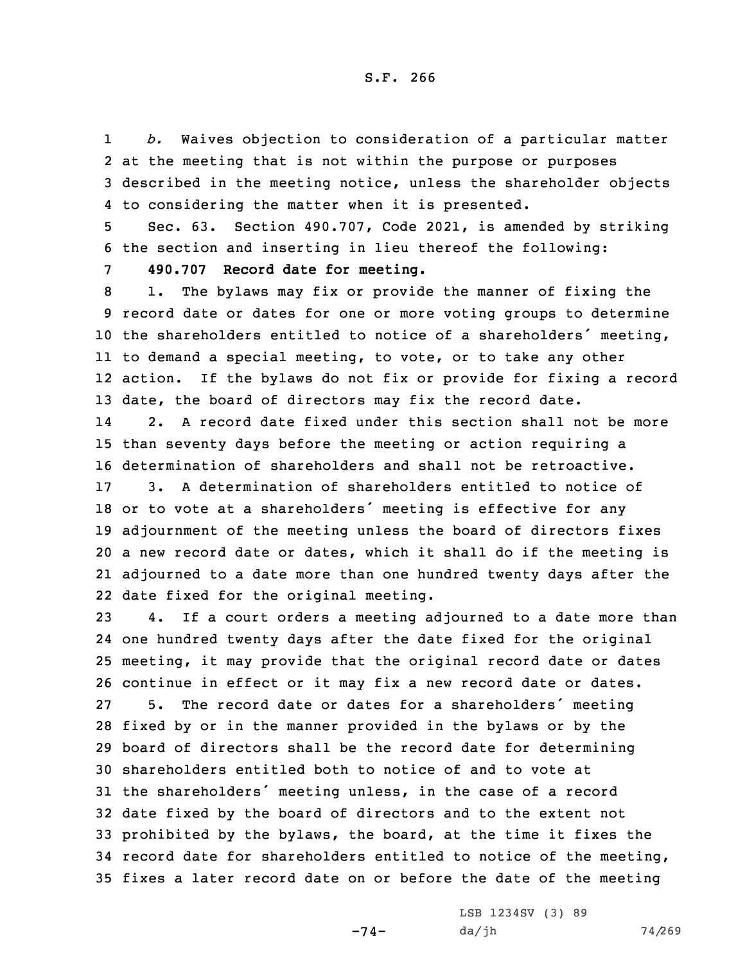1 *b.* Waives objection to consideration of <sup>a</sup> particular matter 2 at the meeting that is not within the purpose or purposes 3 described in the meeting notice, unless the shareholder objects 4 to considering the matter when it is presented.

5 Sec. 63. Section 490.707, Code 2021, is amended by striking 6 the section and inserting in lieu thereof the following:

7 **490.707 Record date for meeting.**

 1. The bylaws may fix or provide the manner of fixing the record date or dates for one or more voting groups to determine the shareholders entitled to notice of <sup>a</sup> shareholders' meeting, to demand <sup>a</sup> special meeting, to vote, or to take any other action. If the bylaws do not fix or provide for fixing <sup>a</sup> record 13 date, the board of directors may fix the record date.

14 2. A record date fixed under this section shall not be more 15 than seventy days before the meeting or action requiring <sup>a</sup> 16 determination of shareholders and shall not be retroactive.

 3. A determination of shareholders entitled to notice of or to vote at <sup>a</sup> shareholders' meeting is effective for any adjournment of the meeting unless the board of directors fixes <sup>a</sup> new record date or dates, which it shall do if the meeting is adjourned to <sup>a</sup> date more than one hundred twenty days after the date fixed for the original meeting.

 4. If <sup>a</sup> court orders <sup>a</sup> meeting adjourned to <sup>a</sup> date more than one hundred twenty days after the date fixed for the original meeting, it may provide that the original record date or dates continue in effect or it may fix <sup>a</sup> new record date or dates. 5. The record date or dates for <sup>a</sup> shareholders' meeting fixed by or in the manner provided in the bylaws or by the board of directors shall be the record date for determining shareholders entitled both to notice of and to vote at the shareholders' meeting unless, in the case of <sup>a</sup> record date fixed by the board of directors and to the extent not prohibited by the bylaws, the board, at the time it fixes the record date for shareholders entitled to notice of the meeting, fixes <sup>a</sup> later record date on or before the date of the meeting

 $-74-$ 

LSB 1234SV (3) 89 da/jh 74/269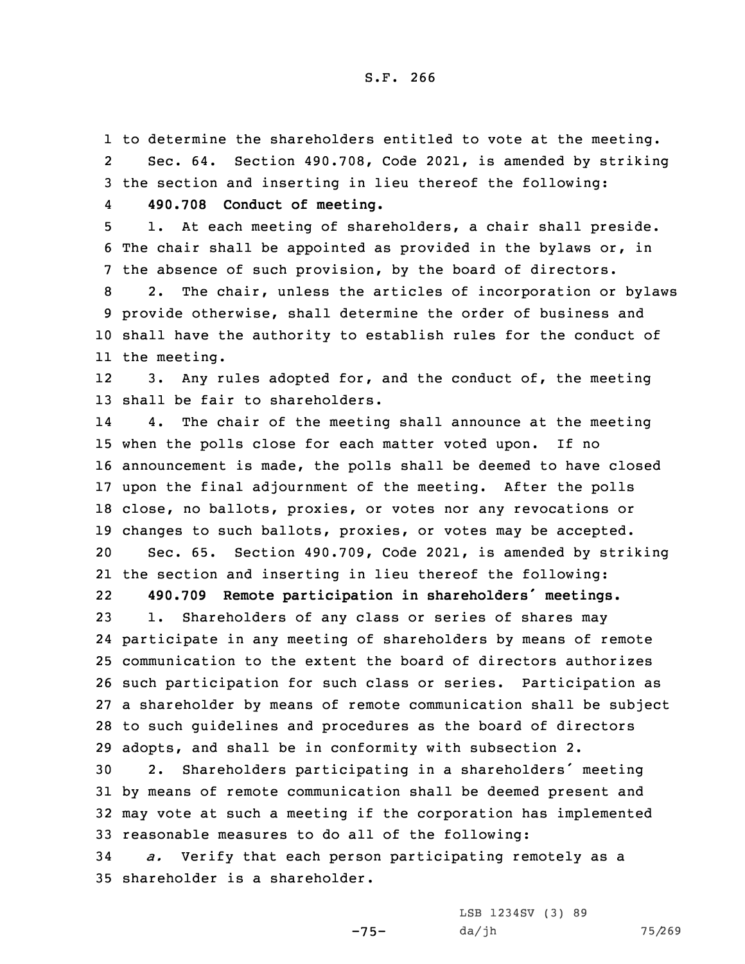1 to determine the shareholders entitled to vote at the meeting.

2 Sec. 64. Section 490.708, Code 2021, is amended by striking 3 the section and inserting in lieu thereof the following: 4

**490.708 Conduct of meeting.**

5 1. At each meeting of shareholders, <sup>a</sup> chair shall preside. 6 The chair shall be appointed as provided in the bylaws or, in 7 the absence of such provision, by the board of directors.

 2. The chair, unless the articles of incorporation or bylaws provide otherwise, shall determine the order of business and shall have the authority to establish rules for the conduct of the meeting.

12 3. Any rules adopted for, and the conduct of, the meeting 13 shall be fair to shareholders.

14 4. The chair of the meeting shall announce at the meeting when the polls close for each matter voted upon. If no announcement is made, the polls shall be deemed to have closed upon the final adjournment of the meeting. After the polls close, no ballots, proxies, or votes nor any revocations or changes to such ballots, proxies, or votes may be accepted. Sec. 65. Section 490.709, Code 2021, is amended by striking the section and inserting in lieu thereof the following:

22**490.709 Remote participation in shareholders' meetings.**

 1. Shareholders of any class or series of shares may participate in any meeting of shareholders by means of remote communication to the extent the board of directors authorizes such participation for such class or series. Participation as <sup>a</sup> shareholder by means of remote communication shall be subject to such guidelines and procedures as the board of directors adopts, and shall be in conformity with subsection 2.

 2. Shareholders participating in <sup>a</sup> shareholders' meeting by means of remote communication shall be deemed present and may vote at such <sup>a</sup> meeting if the corporation has implemented reasonable measures to do all of the following:

-75-

34 *a.* Verify that each person participating remotely as <sup>a</sup> 35 shareholder is <sup>a</sup> shareholder.

> LSB 1234SV (3) 89 da/jh 75/269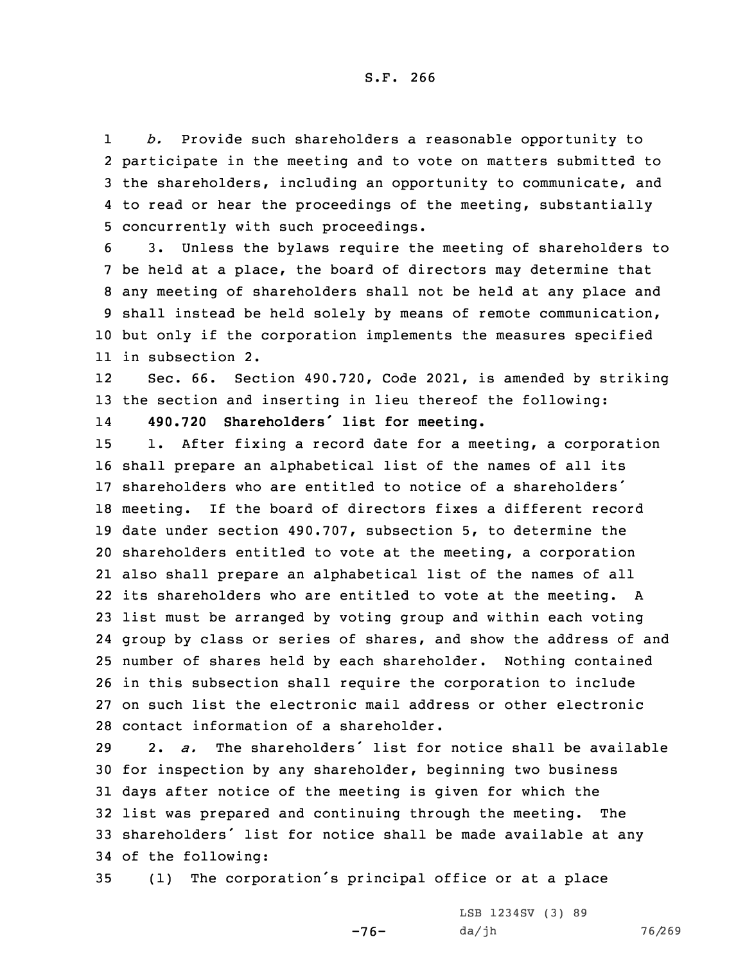S.F. 266

1 *b.* Provide such shareholders <sup>a</sup> reasonable opportunity to 2 participate in the meeting and to vote on matters submitted to 3 the shareholders, including an opportunity to communicate, and 4 to read or hear the proceedings of the meeting, substantially 5 concurrently with such proceedings.

 3. Unless the bylaws require the meeting of shareholders to be held at <sup>a</sup> place, the board of directors may determine that any meeting of shareholders shall not be held at any place and shall instead be held solely by means of remote communication, but only if the corporation implements the measures specified in subsection 2.

12 Sec. 66. Section 490.720, Code 2021, is amended by striking 13 the section and inserting in lieu thereof the following:

14**490.720 Shareholders' list for meeting.**

 1. After fixing <sup>a</sup> record date for <sup>a</sup> meeting, <sup>a</sup> corporation shall prepare an alphabetical list of the names of all its shareholders who are entitled to notice of <sup>a</sup> shareholders' meeting. If the board of directors fixes <sup>a</sup> different record date under section 490.707, subsection 5, to determine the shareholders entitled to vote at the meeting, <sup>a</sup> corporation also shall prepare an alphabetical list of the names of all its shareholders who are entitled to vote at the meeting. <sup>A</sup> list must be arranged by voting group and within each voting group by class or series of shares, and show the address of and number of shares held by each shareholder. Nothing contained in this subsection shall require the corporation to include on such list the electronic mail address or other electronic contact information of <sup>a</sup> shareholder.

 2. *a.* The shareholders' list for notice shall be available for inspection by any shareholder, beginning two business days after notice of the meeting is given for which the list was prepared and continuing through the meeting. The shareholders' list for notice shall be made available at any of the following:

<sup>35</sup> (1) The corporation's principal office or at <sup>a</sup> place

 $-76-$ 

LSB 1234SV (3) 89 da/jh 76/269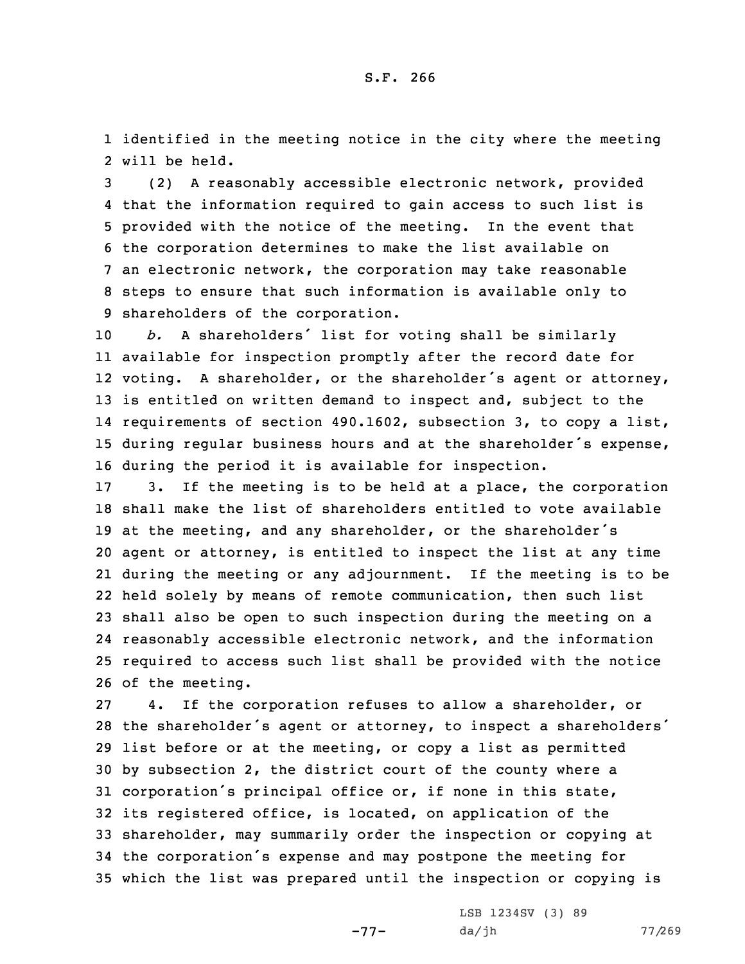1 identified in the meeting notice in the city where the meeting 2 will be held.

 (2) <sup>A</sup> reasonably accessible electronic network, provided that the information required to gain access to such list is provided with the notice of the meeting. In the event that the corporation determines to make the list available on an electronic network, the corporation may take reasonable steps to ensure that such information is available only to shareholders of the corporation.

 *b.* <sup>A</sup> shareholders' list for voting shall be similarly available for inspection promptly after the record date for voting. <sup>A</sup> shareholder, or the shareholder's agent or attorney, is entitled on written demand to inspect and, subject to the requirements of section 490.1602, subsection 3, to copy <sup>a</sup> list, during regular business hours and at the shareholder's expense, during the period it is available for inspection.

 3. If the meeting is to be held at <sup>a</sup> place, the corporation shall make the list of shareholders entitled to vote available at the meeting, and any shareholder, or the shareholder's agent or attorney, is entitled to inspect the list at any time during the meeting or any adjournment. If the meeting is to be held solely by means of remote communication, then such list shall also be open to such inspection during the meeting on <sup>a</sup> reasonably accessible electronic network, and the information required to access such list shall be provided with the notice of the meeting.

 4. If the corporation refuses to allow <sup>a</sup> shareholder, or the shareholder's agent or attorney, to inspect <sup>a</sup> shareholders' list before or at the meeting, or copy <sup>a</sup> list as permitted by subsection 2, the district court of the county where <sup>a</sup> corporation's principal office or, if none in this state, its registered office, is located, on application of the shareholder, may summarily order the inspection or copying at the corporation's expense and may postpone the meeting for which the list was prepared until the inspection or copying is

-77-

LSB 1234SV (3) 89 da/jh 77/269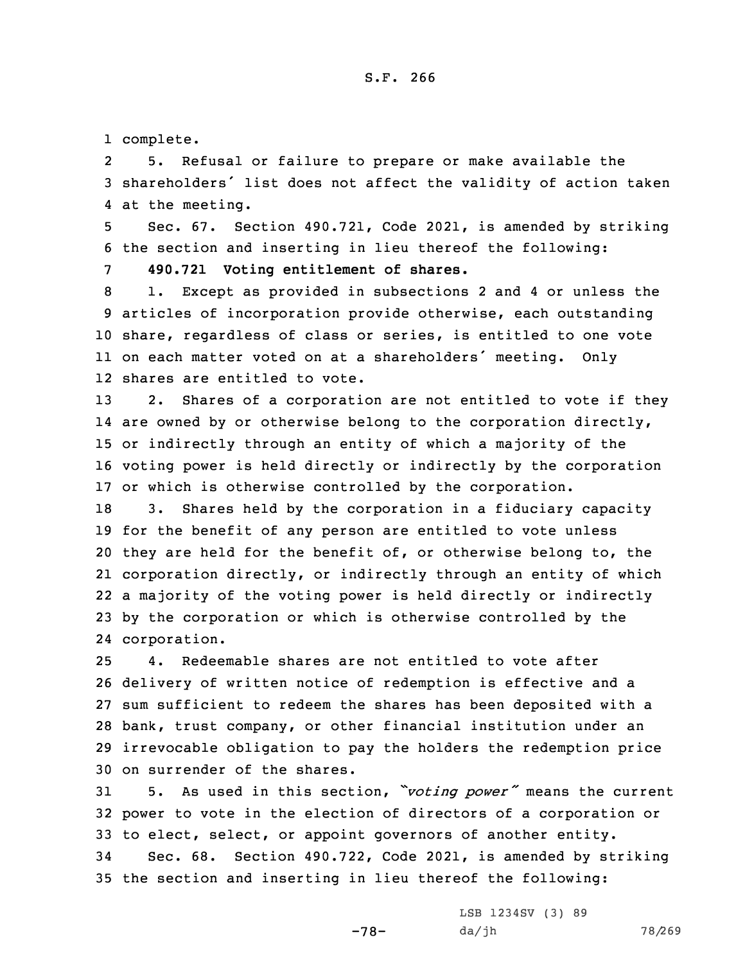1 complete.

2 5. Refusal or failure to prepare or make available the <sup>3</sup> shareholders' list does not affect the validity of action taken 4 at the meeting.

5 Sec. 67. Section 490.721, Code 2021, is amended by striking 6 the section and inserting in lieu thereof the following:

7 **490.721 Voting entitlement of shares.**

 1. Except as provided in subsections 2 and 4 or unless the articles of incorporation provide otherwise, each outstanding share, regardless of class or series, is entitled to one vote on each matter voted on at <sup>a</sup> shareholders' meeting. Only shares are entitled to vote.

13 2. Shares of a corporation are not entitled to vote if they 14 are owned by or otherwise belong to the corporation directly, 15 or indirectly through an entity of which <sup>a</sup> majority of the 16 voting power is held directly or indirectly by the corporation 17 or which is otherwise controlled by the corporation.

 3. Shares held by the corporation in <sup>a</sup> fiduciary capacity for the benefit of any person are entitled to vote unless they are held for the benefit of, or otherwise belong to, the corporation directly, or indirectly through an entity of which <sup>a</sup> majority of the voting power is held directly or indirectly by the corporation or which is otherwise controlled by the corporation.

 4. Redeemable shares are not entitled to vote after delivery of written notice of redemption is effective and <sup>a</sup> sum sufficient to redeem the shares has been deposited with <sup>a</sup> bank, trust company, or other financial institution under an irrevocable obligation to pay the holders the redemption price on surrender of the shares.

 5. As used in this section, *"voting power"* means the current power to vote in the election of directors of <sup>a</sup> corporation or to elect, select, or appoint governors of another entity. Sec. 68. Section 490.722, Code 2021, is amended by striking the section and inserting in lieu thereof the following:

-78-

LSB 1234SV (3) 89 da/jh 78/269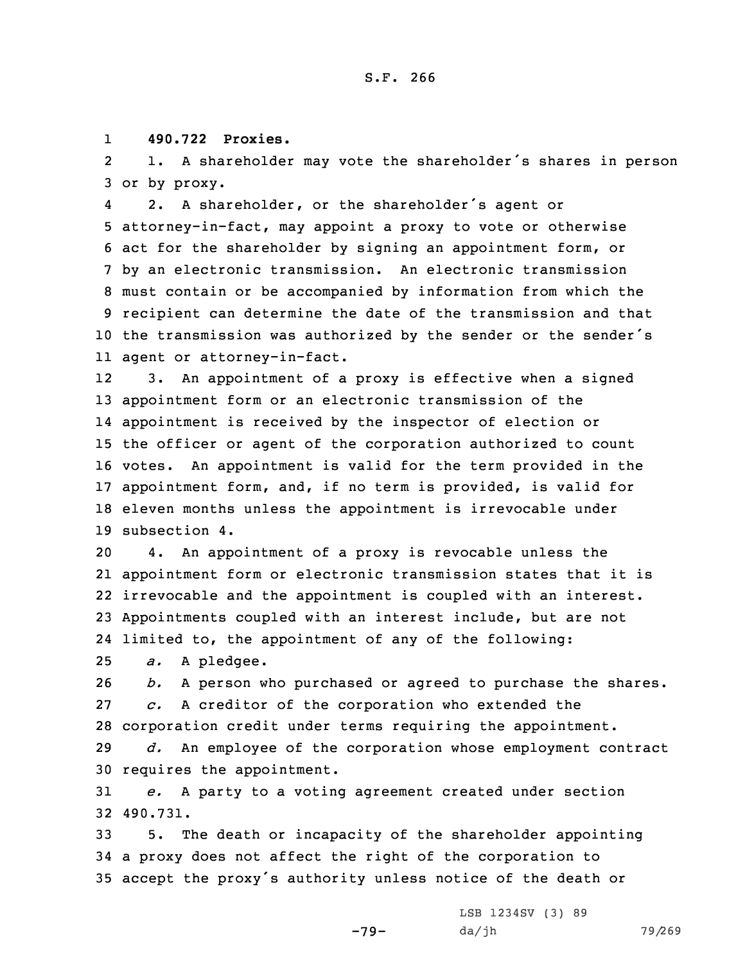1**490.722 Proxies.**

2 1. <sup>A</sup> shareholder may vote the shareholder's shares in person 3 or by proxy.

4 2. <sup>A</sup> shareholder, or the shareholder's agent or attorney-in-fact, may appoint <sup>a</sup> proxy to vote or otherwise act for the shareholder by signing an appointment form, or by an electronic transmission. An electronic transmission must contain or be accompanied by information from which the recipient can determine the date of the transmission and that the transmission was authorized by the sender or the sender's agent or attorney-in-fact.

12 3. An appointment of <sup>a</sup> proxy is effective when <sup>a</sup> signed appointment form or an electronic transmission of the appointment is received by the inspector of election or the officer or agent of the corporation authorized to count votes. An appointment is valid for the term provided in the appointment form, and, if no term is provided, is valid for eleven months unless the appointment is irrevocable under subsection 4.

 4. An appointment of <sup>a</sup> proxy is revocable unless the appointment form or electronic transmission states that it is irrevocable and the appointment is coupled with an interest. Appointments coupled with an interest include, but are not limited to, the appointment of any of the following:

25 *a.* <sup>A</sup> pledgee.

26 *b.* <sup>A</sup> person who purchased or agreed to purchase the shares. 27 *c.* <sup>A</sup> creditor of the corporation who extended the 28 corporation credit under terms requiring the appointment.

29 *d.* An employee of the corporation whose employment contract 30 requires the appointment.

31 *e.* <sup>A</sup> party to <sup>a</sup> voting agreement created under section 32 490.731.

33 5. The death or incapacity of the shareholder appointing 34 <sup>a</sup> proxy does not affect the right of the corporation to <sup>35</sup> accept the proxy's authority unless notice of the death or

-79-

LSB 1234SV (3) 89 da/jh 79/269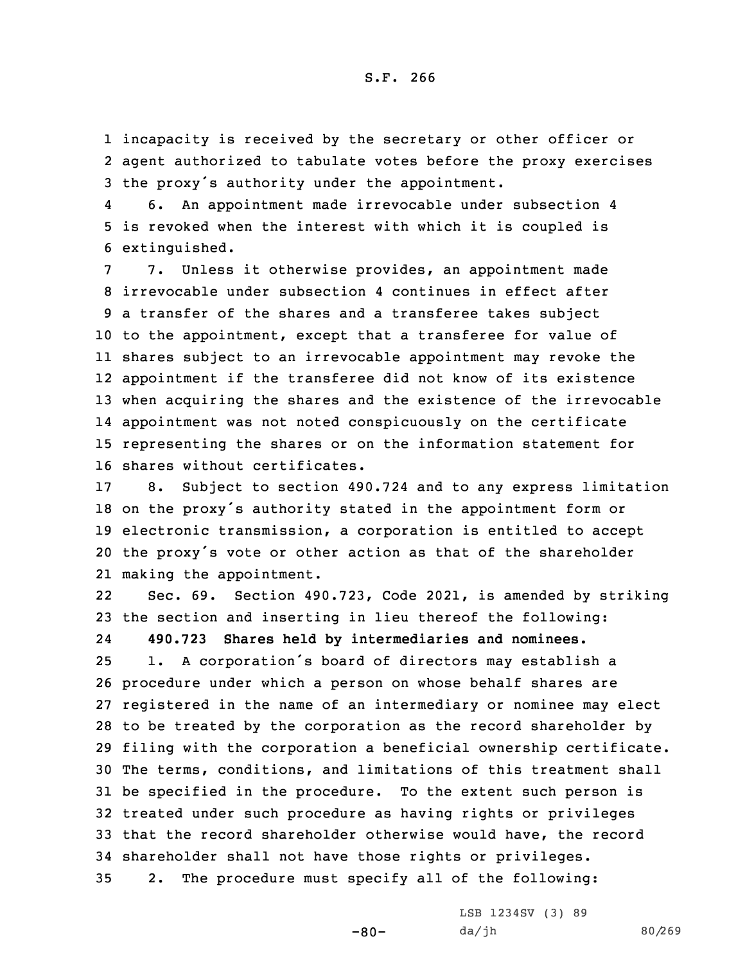1 incapacity is received by the secretary or other officer or 2 agent authorized to tabulate votes before the proxy exercises <sup>3</sup> the proxy's authority under the appointment.

4 6. An appointment made irrevocable under subsection 4 5 is revoked when the interest with which it is coupled is 6 extinguished.

 7. Unless it otherwise provides, an appointment made irrevocable under subsection 4 continues in effect after <sup>a</sup> transfer of the shares and <sup>a</sup> transferee takes subject to the appointment, except that <sup>a</sup> transferee for value of shares subject to an irrevocable appointment may revoke the appointment if the transferee did not know of its existence when acquiring the shares and the existence of the irrevocable appointment was not noted conspicuously on the certificate representing the shares or on the information statement for shares without certificates.

 8. Subject to section 490.724 and to any express limitation on the proxy's authority stated in the appointment form or electronic transmission, <sup>a</sup> corporation is entitled to accept the proxy's vote or other action as that of the shareholder making the appointment.

22 Sec. 69. Section 490.723, Code 2021, is amended by striking 23 the section and inserting in lieu thereof the following:

24**490.723 Shares held by intermediaries and nominees.**

 1. <sup>A</sup> corporation's board of directors may establish <sup>a</sup> procedure under which <sup>a</sup> person on whose behalf shares are registered in the name of an intermediary or nominee may elect to be treated by the corporation as the record shareholder by filing with the corporation <sup>a</sup> beneficial ownership certificate. The terms, conditions, and limitations of this treatment shall be specified in the procedure. To the extent such person is treated under such procedure as having rights or privileges that the record shareholder otherwise would have, the record shareholder shall not have those rights or privileges. 2. The procedure must specify all of the following:

-80-

LSB 1234SV (3) 89 da/jh 80/269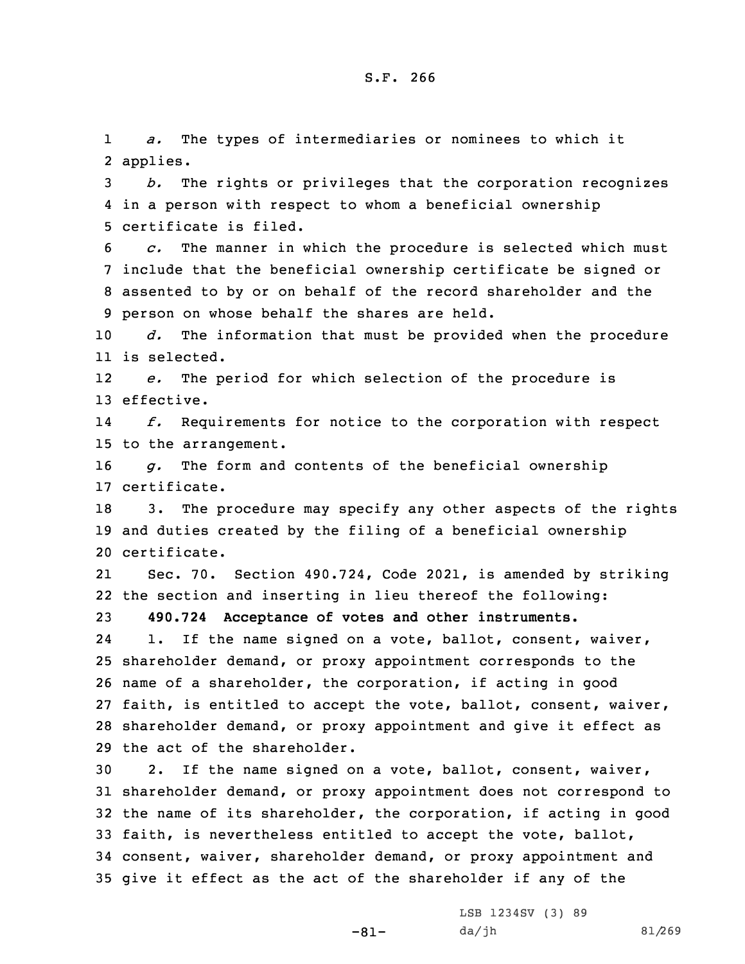1 *a.* The types of intermediaries or nominees to which it 2 applies.

3 *b.* The rights or privileges that the corporation recognizes 4 in <sup>a</sup> person with respect to whom <sup>a</sup> beneficial ownership 5 certificate is filed.

 *c.* The manner in which the procedure is selected which must include that the beneficial ownership certificate be signed or assented to by or on behalf of the record shareholder and the person on whose behalf the shares are held.

10 *d.* The information that must be provided when the procedure 11 is selected.

12 *e.* The period for which selection of the procedure is 13 effective.

14 *f.* Requirements for notice to the corporation with respect 15 to the arrangement.

16 *g.* The form and contents of the beneficial ownership 17 certificate.

18 3. The procedure may specify any other aspects of the rights 19 and duties created by the filing of <sup>a</sup> beneficial ownership 20 certificate.

21 Sec. 70. Section 490.724, Code 2021, is amended by striking 22 the section and inserting in lieu thereof the following:

23 **490.724 Acceptance of votes and other instruments.**

24 1. If the name signed on <sup>a</sup> vote, ballot, consent, waiver, shareholder demand, or proxy appointment corresponds to the name of <sup>a</sup> shareholder, the corporation, if acting in good faith, is entitled to accept the vote, ballot, consent, waiver, shareholder demand, or proxy appointment and give it effect as the act of the shareholder.

 2. If the name signed on <sup>a</sup> vote, ballot, consent, waiver, shareholder demand, or proxy appointment does not correspond to the name of its shareholder, the corporation, if acting in good faith, is nevertheless entitled to accept the vote, ballot, consent, waiver, shareholder demand, or proxy appointment and give it effect as the act of the shareholder if any of the

-81-

LSB 1234SV (3) 89 da/jh 81/269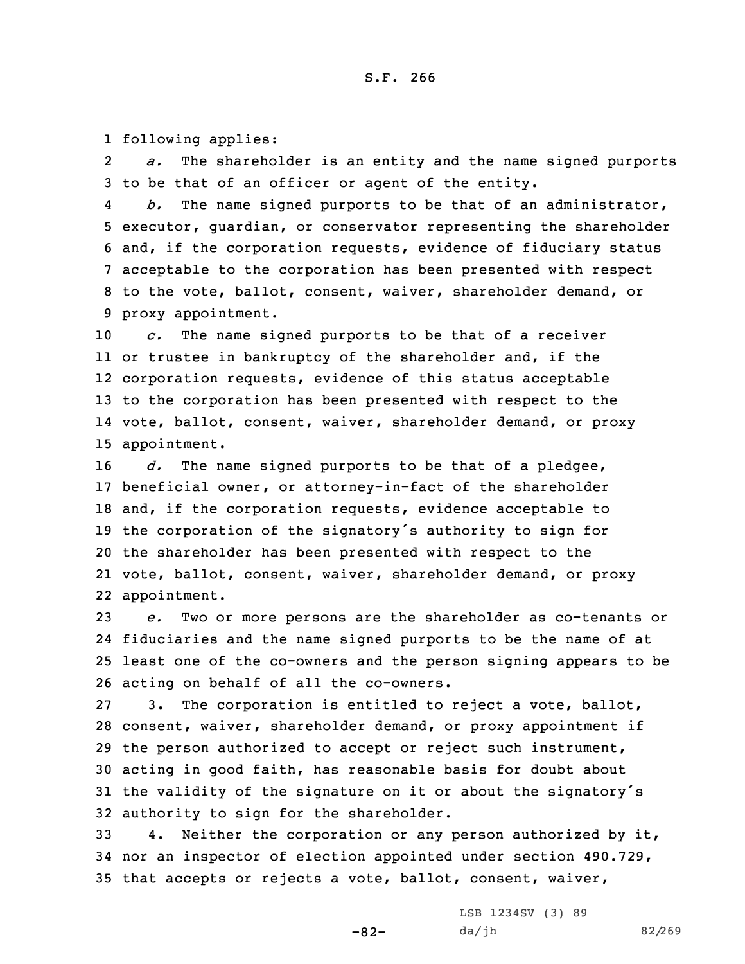1 following applies:

2 *a.* The shareholder is an entity and the name signed purports 3 to be that of an officer or agent of the entity.

4 *b.* The name signed purports to be that of an administrator, executor, guardian, or conservator representing the shareholder and, if the corporation requests, evidence of fiduciary status acceptable to the corporation has been presented with respect to the vote, ballot, consent, waiver, shareholder demand, or proxy appointment.

 *c.* The name signed purports to be that of <sup>a</sup> receiver or trustee in bankruptcy of the shareholder and, if the corporation requests, evidence of this status acceptable to the corporation has been presented with respect to the vote, ballot, consent, waiver, shareholder demand, or proxy appointment.

 *d.* The name signed purports to be that of <sup>a</sup> pledgee, beneficial owner, or attorney-in-fact of the shareholder and, if the corporation requests, evidence acceptable to the corporation of the signatory's authority to sign for the shareholder has been presented with respect to the vote, ballot, consent, waiver, shareholder demand, or proxy appointment.

 *e.* Two or more persons are the shareholder as co-tenants or fiduciaries and the name signed purports to be the name of at least one of the co-owners and the person signing appears to be acting on behalf of all the co-owners.

 3. The corporation is entitled to reject <sup>a</sup> vote, ballot, consent, waiver, shareholder demand, or proxy appointment if the person authorized to accept or reject such instrument, acting in good faith, has reasonable basis for doubt about the validity of the signature on it or about the signatory's authority to sign for the shareholder.

33 4. Neither the corporation or any person authorized by it, 34 nor an inspector of election appointed under section 490.729, 35 that accepts or rejects <sup>a</sup> vote, ballot, consent, waiver,

 $-82-$ 

LSB 1234SV (3) 89 da/jh 82/269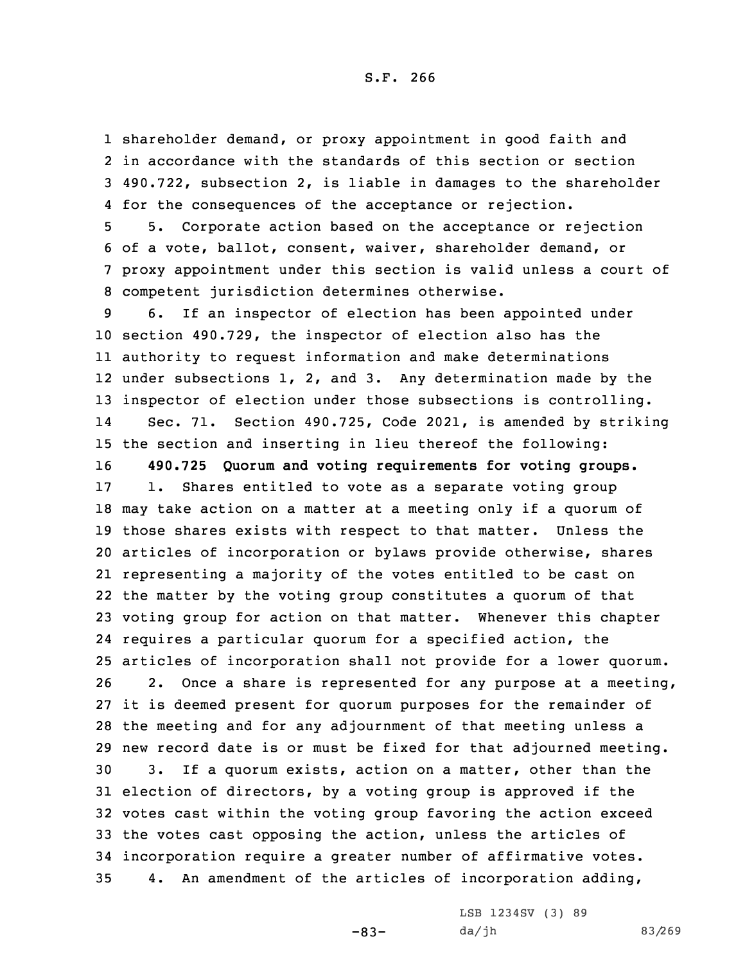S.F. 266

 shareholder demand, or proxy appointment in good faith and in accordance with the standards of this section or section 490.722, subsection 2, is liable in damages to the shareholder for the consequences of the acceptance or rejection.

 5. Corporate action based on the acceptance or rejection of <sup>a</sup> vote, ballot, consent, waiver, shareholder demand, or proxy appointment under this section is valid unless <sup>a</sup> court of competent jurisdiction determines otherwise.

 6. If an inspector of election has been appointed under section 490.729, the inspector of election also has the authority to request information and make determinations under subsections 1, 2, and 3. Any determination made by the inspector of election under those subsections is controlling. 14 Sec. 71. Section 490.725, Code 2021, is amended by striking the section and inserting in lieu thereof the following: **490.725 Quorum and voting requirements for voting groups.** 1. Shares entitled to vote as <sup>a</sup> separate voting group may take action on <sup>a</sup> matter at <sup>a</sup> meeting only if <sup>a</sup> quorum of those shares exists with respect to that matter. Unless the articles of incorporation or bylaws provide otherwise, shares representing <sup>a</sup> majority of the votes entitled to be cast on the matter by the voting group constitutes <sup>a</sup> quorum of that voting group for action on that matter. Whenever this chapter requires <sup>a</sup> particular quorum for <sup>a</sup> specified action, the articles of incorporation shall not provide for <sup>a</sup> lower quorum. 2. Once <sup>a</sup> share is represented for any purpose at <sup>a</sup> meeting, it is deemed present for quorum purposes for the remainder of the meeting and for any adjournment of that meeting unless <sup>a</sup> new record date is or must be fixed for that adjourned meeting. 3. If <sup>a</sup> quorum exists, action on <sup>a</sup> matter, other than the election of directors, by <sup>a</sup> voting group is approved if the votes cast within the voting group favoring the action exceed the votes cast opposing the action, unless the articles of incorporation require <sup>a</sup> greater number of affirmative votes. 4. An amendment of the articles of incorporation adding,

 $-83-$ 

LSB 1234SV (3) 89 da/jh 83/269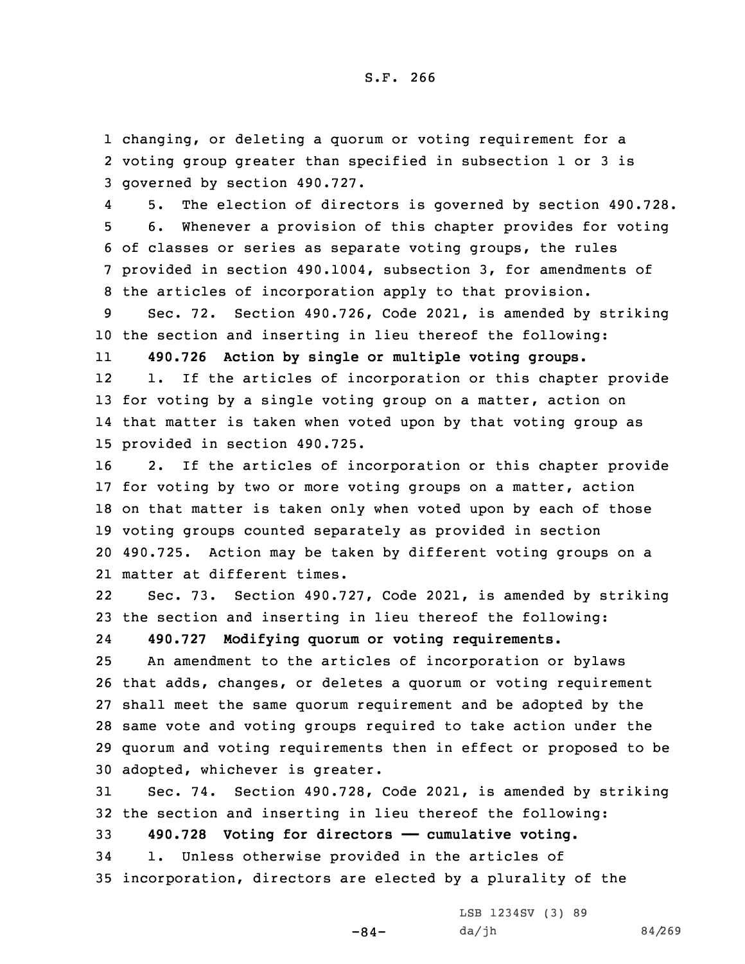1 changing, or deleting <sup>a</sup> quorum or voting requirement for <sup>a</sup> 2 voting group greater than specified in subsection 1 or 3 is 3 governed by section 490.727.

4 5. The election of directors is governed by section 490.728. 6. Whenever <sup>a</sup> provision of this chapter provides for voting of classes or series as separate voting groups, the rules provided in section 490.1004, subsection 3, for amendments of the articles of incorporation apply to that provision.

9 Sec. 72. Section 490.726, Code 2021, is amended by striking 10 the section and inserting in lieu thereof the following:

11**490.726 Action by single or multiple voting groups.**

12 1. If the articles of incorporation or this chapter provide 13 for voting by a single voting group on a matter, action on 14 that matter is taken when voted upon by that voting group as 15 provided in section 490.725.

 2. If the articles of incorporation or this chapter provide for voting by two or more voting groups on <sup>a</sup> matter, action on that matter is taken only when voted upon by each of those voting groups counted separately as provided in section 490.725. Action may be taken by different voting groups on <sup>a</sup> matter at different times.

22 Sec. 73. Section 490.727, Code 2021, is amended by striking 23 the section and inserting in lieu thereof the following:

24**490.727 Modifying quorum or voting requirements.**

 An amendment to the articles of incorporation or bylaws that adds, changes, or deletes <sup>a</sup> quorum or voting requirement shall meet the same quorum requirement and be adopted by the same vote and voting groups required to take action under the quorum and voting requirements then in effect or proposed to be adopted, whichever is greater.

31 Sec. 74. Section 490.728, Code 2021, is amended by striking 32 the section and inserting in lieu thereof the following:

33 **490.728 Voting for directors —— cumulative voting.** 34 1. Unless otherwise provided in the articles of 35 incorporation, directors are elected by <sup>a</sup> plurality of the

 $-84-$ 

LSB 1234SV (3) 89 da/jh 84/269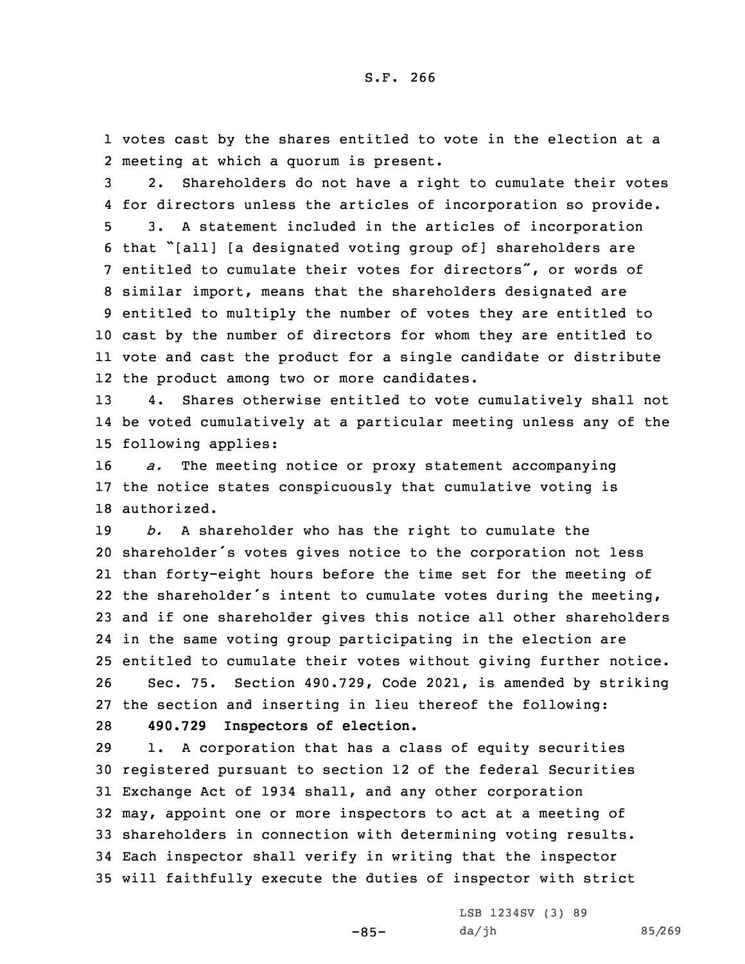1 votes cast by the shares entitled to vote in the election at <sup>a</sup> 2 meeting at which <sup>a</sup> quorum is present.

3 2. Shareholders do not have <sup>a</sup> right to cumulate their votes 4 for directors unless the articles of incorporation so provide.

 3. <sup>A</sup> statement included in the articles of incorporation that "[all] [a designated voting group of] shareholders are entitled to cumulate their votes for directors", or words of similar import, means that the shareholders designated are entitled to multiply the number of votes they are entitled to cast by the number of directors for whom they are entitled to vote and cast the product for <sup>a</sup> single candidate or distribute the product among two or more candidates.

13 4. Shares otherwise entitled to vote cumulatively shall not 14 be voted cumulatively at <sup>a</sup> particular meeting unless any of the 15 following applies:

16 *a.* The meeting notice or proxy statement accompanying 17 the notice states conspicuously that cumulative voting is 18 authorized.

 *b.* <sup>A</sup> shareholder who has the right to cumulate the shareholder's votes gives notice to the corporation not less than forty-eight hours before the time set for the meeting of the shareholder's intent to cumulate votes during the meeting, and if one shareholder gives this notice all other shareholders in the same voting group participating in the election are entitled to cumulate their votes without giving further notice. Sec. 75. Section 490.729, Code 2021, is amended by striking the section and inserting in lieu thereof the following:

28 **490.729 Inspectors of election.**

 1. <sup>A</sup> corporation that has <sup>a</sup> class of equity securities registered pursuant to section 12 of the federal Securities Exchange Act of 1934 shall, and any other corporation may, appoint one or more inspectors to act at <sup>a</sup> meeting of shareholders in connection with determining voting results. Each inspector shall verify in writing that the inspector will faithfully execute the duties of inspector with strict

 $-85-$ 

LSB 1234SV (3) 89 da/jh 85/269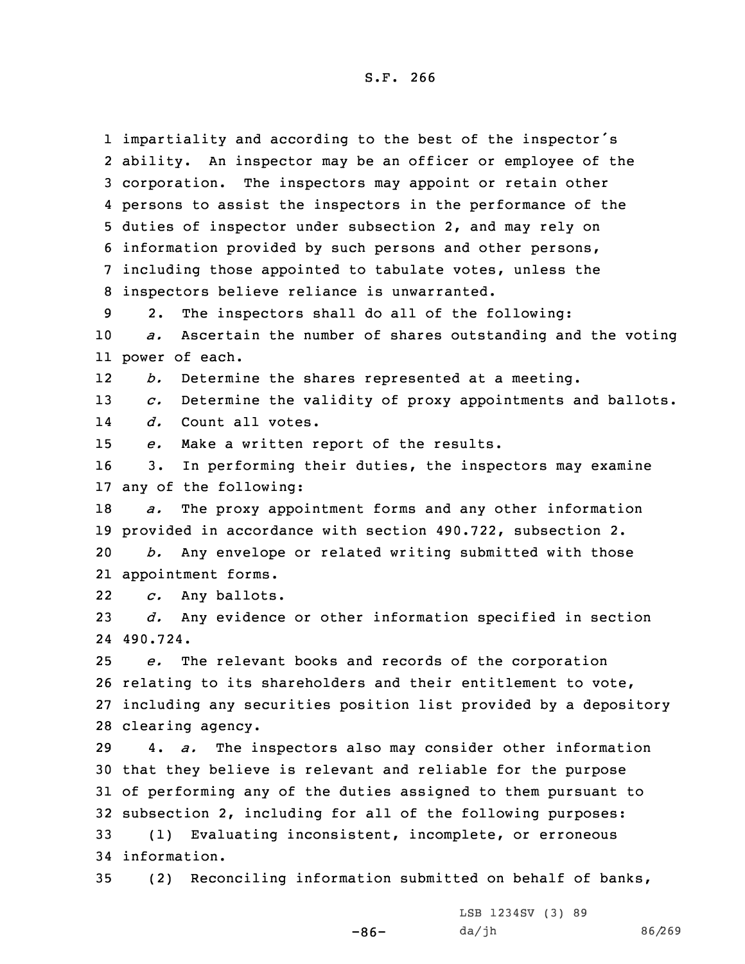S.F. 266

 impartiality and according to the best of the inspector's ability. An inspector may be an officer or employee of the corporation. The inspectors may appoint or retain other persons to assist the inspectors in the performance of the duties of inspector under subsection 2, and may rely on information provided by such persons and other persons, including those appointed to tabulate votes, unless the inspectors believe reliance is unwarranted. 2. The inspectors shall do all of the following: *a.* Ascertain the number of shares outstanding and the voting power of each. 12 *b.* Determine the shares represented at <sup>a</sup> meeting. *c.* Determine the validity of proxy appointments and ballots. 14 *d.* Count all votes. *e.* Make <sup>a</sup> written report of the results. 3. In performing their duties, the inspectors may examine any of the following: *a.* The proxy appointment forms and any other information provided in accordance with section 490.722, subsection 2. *b.* Any envelope or related writing submitted with those appointment forms. 22 *c.* Any ballots. *d.* Any evidence or other information specified in section 24 490.724. *e.* The relevant books and records of the corporation relating to its shareholders and their entitlement to vote, including any securities position list provided by <sup>a</sup> depository clearing agency. 4. *a.* The inspectors also may consider other information that they believe is relevant and reliable for the purpose of performing any of the duties assigned to them pursuant to subsection 2, including for all of the following purposes: (1) Evaluating inconsistent, incomplete, or erroneous information. (2) Reconciling information submitted on behalf of banks,

-86-

LSB 1234SV (3) 89 da/jh 86/269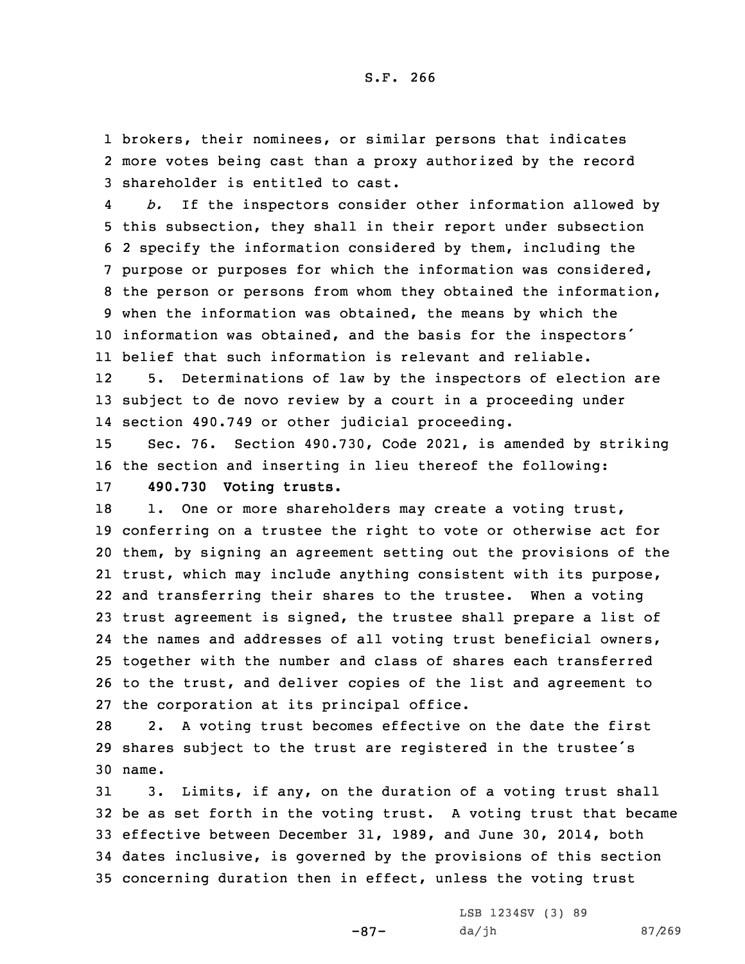1 brokers, their nominees, or similar persons that indicates 2 more votes being cast than <sup>a</sup> proxy authorized by the record 3 shareholder is entitled to cast.

4 *b.* If the inspectors consider other information allowed by this subsection, they shall in their report under subsection 2 specify the information considered by them, including the purpose or purposes for which the information was considered, the person or persons from whom they obtained the information, when the information was obtained, the means by which the information was obtained, and the basis for the inspectors' belief that such information is relevant and reliable.

12 5. Determinations of law by the inspectors of election are 13 subject to de novo review by <sup>a</sup> court in <sup>a</sup> proceeding under 14 section 490.749 or other judicial proceeding.

15 Sec. 76. Section 490.730, Code 2021, is amended by striking 16 the section and inserting in lieu thereof the following: 17 **490.730 Voting trusts.**

18 1. One or more shareholders may create a voting trust, conferring on <sup>a</sup> trustee the right to vote or otherwise act for them, by signing an agreement setting out the provisions of the trust, which may include anything consistent with its purpose, and transferring their shares to the trustee. When <sup>a</sup> voting trust agreement is signed, the trustee shall prepare <sup>a</sup> list of the names and addresses of all voting trust beneficial owners, together with the number and class of shares each transferred to the trust, and deliver copies of the list and agreement to the corporation at its principal office.

28 2. <sup>A</sup> voting trust becomes effective on the date the first <sup>29</sup> shares subject to the trust are registered in the trustee's 30 name.

 3. Limits, if any, on the duration of <sup>a</sup> voting trust shall be as set forth in the voting trust. <sup>A</sup> voting trust that became effective between December 31, 1989, and June 30, 2014, both dates inclusive, is governed by the provisions of this section concerning duration then in effect, unless the voting trust

-87-

LSB 1234SV (3) 89 da/jh 87/269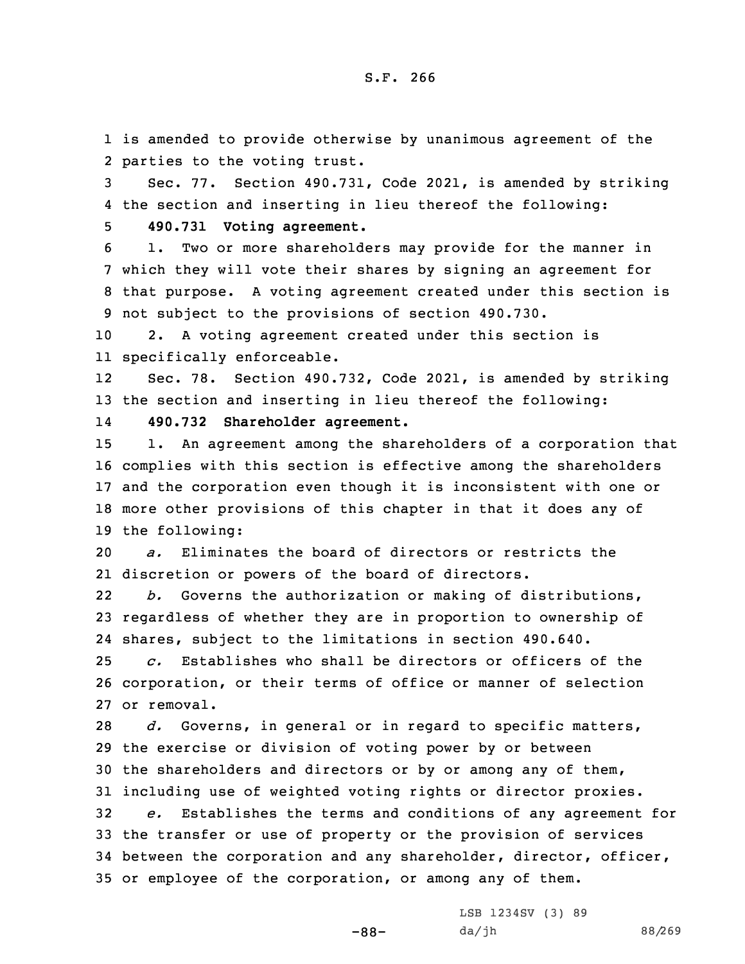1 is amended to provide otherwise by unanimous agreement of the 2 parties to the voting trust.

3 Sec. 77. Section 490.731, Code 2021, is amended by striking 4 the section and inserting in lieu thereof the following:

5 **490.731 Voting agreement.**

 1. Two or more shareholders may provide for the manner in which they will vote their shares by signing an agreement for that purpose. <sup>A</sup> voting agreement created under this section is not subject to the provisions of section 490.730.

10 2. <sup>A</sup> voting agreement created under this section is 11 specifically enforceable.

12 Sec. 78. Section 490.732, Code 2021, is amended by striking 13 the section and inserting in lieu thereof the following:

14**490.732 Shareholder agreement.**

 1. An agreement among the shareholders of <sup>a</sup> corporation that complies with this section is effective among the shareholders and the corporation even though it is inconsistent with one or more other provisions of this chapter in that it does any of the following:

20 *a.* Eliminates the board of directors or restricts the 21 discretion or powers of the board of directors.

22 *b.* Governs the authorization or making of distributions, 23 regardless of whether they are in proportion to ownership of 24 shares, subject to the limitations in section 490.640.

25 *c.* Establishes who shall be directors or officers of the 26 corporation, or their terms of office or manner of selection 27 or removal.

 *d.* Governs, in general or in regard to specific matters, the exercise or division of voting power by or between the shareholders and directors or by or among any of them, including use of weighted voting rights or director proxies. *e.* Establishes the terms and conditions of any agreement for the transfer or use of property or the provision of services between the corporation and any shareholder, director, officer, or employee of the corporation, or among any of them.

-88-

LSB 1234SV (3) 89 da/jh 88/269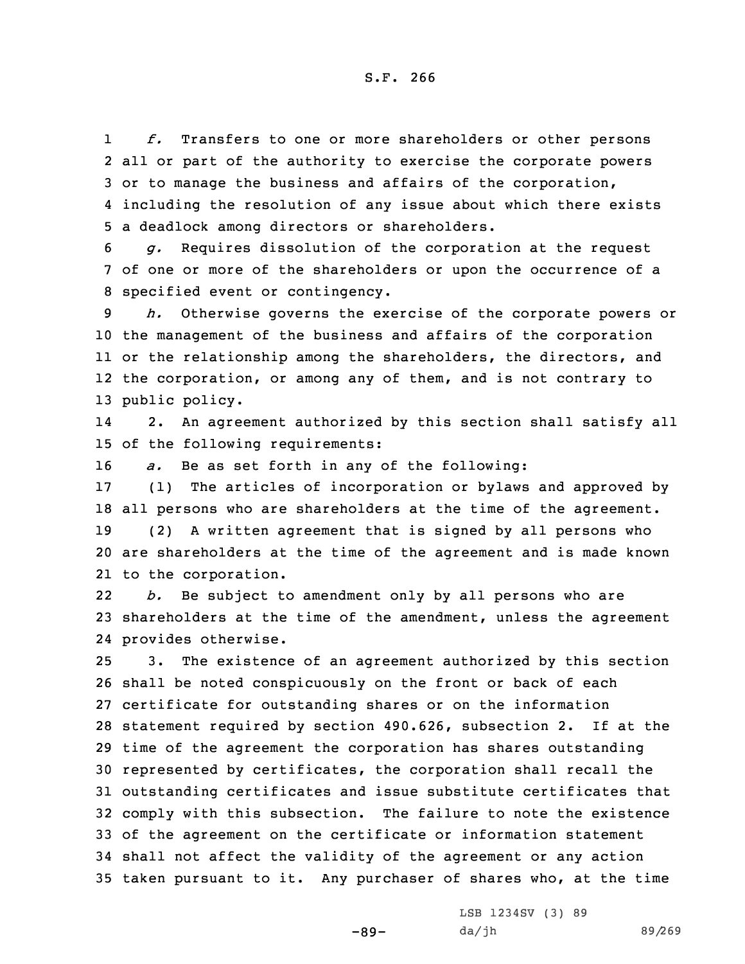1 *f.* Transfers to one or more shareholders or other persons all or part of the authority to exercise the corporate powers or to manage the business and affairs of the corporation, including the resolution of any issue about which there exists <sup>a</sup> deadlock among directors or shareholders.

6 *g.* Requires dissolution of the corporation at the request 7 of one or more of the shareholders or upon the occurrence of <sup>a</sup> 8 specified event or contingency.

 *h.* Otherwise governs the exercise of the corporate powers or the management of the business and affairs of the corporation or the relationship among the shareholders, the directors, and the corporation, or among any of them, and is not contrary to public policy.

14 2. An agreement authorized by this section shall satisfy all 15 of the following requirements:

16 *a.* Be as set forth in any of the following:

 (1) The articles of incorporation or bylaws and approved by all persons who are shareholders at the time of the agreement. (2) <sup>A</sup> written agreement that is signed by all persons who are shareholders at the time of the agreement and is made known to the corporation.

22 *b.* Be subject to amendment only by all persons who are 23 shareholders at the time of the amendment, unless the agreement 24 provides otherwise.

 3. The existence of an agreement authorized by this section shall be noted conspicuously on the front or back of each certificate for outstanding shares or on the information statement required by section 490.626, subsection 2. If at the time of the agreement the corporation has shares outstanding represented by certificates, the corporation shall recall the outstanding certificates and issue substitute certificates that comply with this subsection. The failure to note the existence of the agreement on the certificate or information statement shall not affect the validity of the agreement or any action taken pursuant to it. Any purchaser of shares who, at the time

-89-

LSB 1234SV (3) 89 da/jh 89/269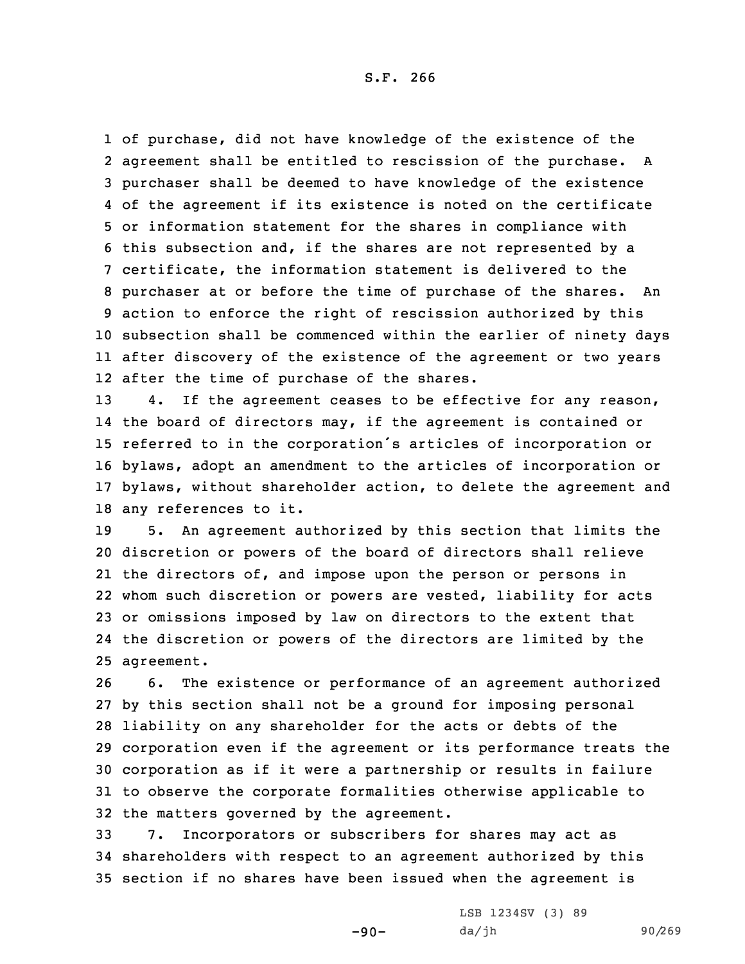S.F. 266

 of purchase, did not have knowledge of the existence of the agreement shall be entitled to rescission of the purchase. <sup>A</sup> purchaser shall be deemed to have knowledge of the existence of the agreement if its existence is noted on the certificate or information statement for the shares in compliance with this subsection and, if the shares are not represented by <sup>a</sup> certificate, the information statement is delivered to the purchaser at or before the time of purchase of the shares. An action to enforce the right of rescission authorized by this subsection shall be commenced within the earlier of ninety days after discovery of the existence of the agreement or two years after the time of purchase of the shares.

13 4. If the agreement ceases to be effective for any reason, the board of directors may, if the agreement is contained or referred to in the corporation's articles of incorporation or bylaws, adopt an amendment to the articles of incorporation or bylaws, without shareholder action, to delete the agreement and any references to it.

 5. An agreement authorized by this section that limits the discretion or powers of the board of directors shall relieve the directors of, and impose upon the person or persons in whom such discretion or powers are vested, liability for acts or omissions imposed by law on directors to the extent that the discretion or powers of the directors are limited by the agreement.

 6. The existence or performance of an agreement authorized by this section shall not be <sup>a</sup> ground for imposing personal liability on any shareholder for the acts or debts of the corporation even if the agreement or its performance treats the corporation as if it were <sup>a</sup> partnership or results in failure to observe the corporate formalities otherwise applicable to the matters governed by the agreement.

33 7. Incorporators or subscribers for shares may act as 34 shareholders with respect to an agreement authorized by this 35 section if no shares have been issued when the agreement is

-90-

LSB 1234SV (3) 89 da/jh 90/269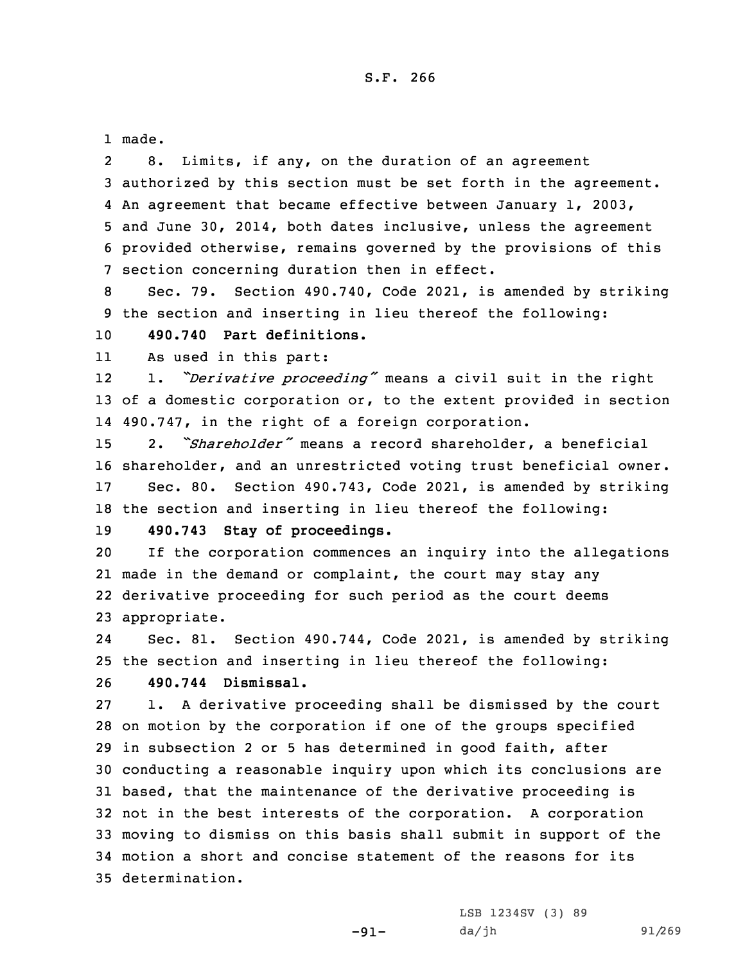1 made. 2 8. Limits, if any, on the duration of an agreement authorized by this section must be set forth in the agreement. An agreement that became effective between January 1, 2003, and June 30, 2014, both dates inclusive, unless the agreement provided otherwise, remains governed by the provisions of this section concerning duration then in effect. Sec. 79. Section 490.740, Code 2021, is amended by striking the section and inserting in lieu thereof the following: **490.740 Part definitions.** 11 As used in this part: 12 1. *"Derivative proceeding"* means <sup>a</sup> civil suit in the right of <sup>a</sup> domestic corporation or, to the extent provided in section 490.747, in the right of <sup>a</sup> foreign corporation. 2. *"Shareholder"* means <sup>a</sup> record shareholder, <sup>a</sup> beneficial shareholder, and an unrestricted voting trust beneficial owner. Sec. 80. Section 490.743, Code 2021, is amended by striking the section and inserting in lieu thereof the following: **490.743 Stay of proceedings.** If the corporation commences an inquiry into the allegations made in the demand or complaint, the court may stay any derivative proceeding for such period as the court deems appropriate. 24 Sec. 81. Section 490.744, Code 2021, is amended by striking the section and inserting in lieu thereof the following: **490.744 Dismissal.** 1. <sup>A</sup> derivative proceeding shall be dismissed by the court on motion by the corporation if one of the groups specified in subsection 2 or 5 has determined in good faith, after conducting <sup>a</sup> reasonable inquiry upon which its conclusions are based, that the maintenance of the derivative proceeding is not in the best interests of the corporation. <sup>A</sup> corporation moving to dismiss on this basis shall submit in support of the motion <sup>a</sup> short and concise statement of the reasons for its determination.

-91-

LSB 1234SV (3) 89 da/jh 91/269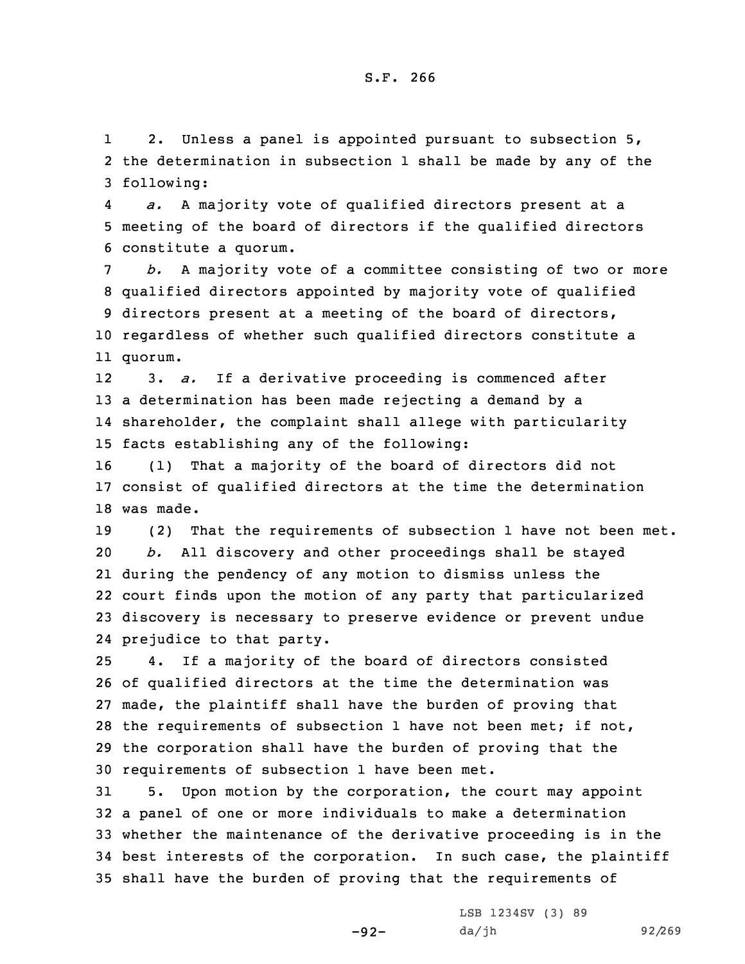1 2. Unless <sup>a</sup> panel is appointed pursuant to subsection 5, 2 the determination in subsection 1 shall be made by any of the 3 following:

4 *a.* <sup>A</sup> majority vote of qualified directors present at <sup>a</sup> 5 meeting of the board of directors if the qualified directors 6 constitute <sup>a</sup> quorum.

 *b.* <sup>A</sup> majority vote of <sup>a</sup> committee consisting of two or more qualified directors appointed by majority vote of qualified directors present at <sup>a</sup> meeting of the board of directors, regardless of whether such qualified directors constitute <sup>a</sup> 11 quorum.

12 3. *a.* If <sup>a</sup> derivative proceeding is commenced after 13 <sup>a</sup> determination has been made rejecting <sup>a</sup> demand by <sup>a</sup> 14 shareholder, the complaint shall allege with particularity 15 facts establishing any of the following:

16 (1) That <sup>a</sup> majority of the board of directors did not 17 consist of qualified directors at the time the determination 18 was made.

 (2) That the requirements of subsection 1 have not been met. *b.* All discovery and other proceedings shall be stayed during the pendency of any motion to dismiss unless the court finds upon the motion of any party that particularized discovery is necessary to preserve evidence or prevent undue prejudice to that party.

 4. If <sup>a</sup> majority of the board of directors consisted of qualified directors at the time the determination was made, the plaintiff shall have the burden of proving that the requirements of subsection 1 have not been met; if not, the corporation shall have the burden of proving that the requirements of subsection 1 have been met.

 5. Upon motion by the corporation, the court may appoint <sup>a</sup> panel of one or more individuals to make <sup>a</sup> determination whether the maintenance of the derivative proceeding is in the best interests of the corporation. In such case, the plaintiff shall have the burden of proving that the requirements of

-92-

LSB 1234SV (3) 89 da/jh 92/269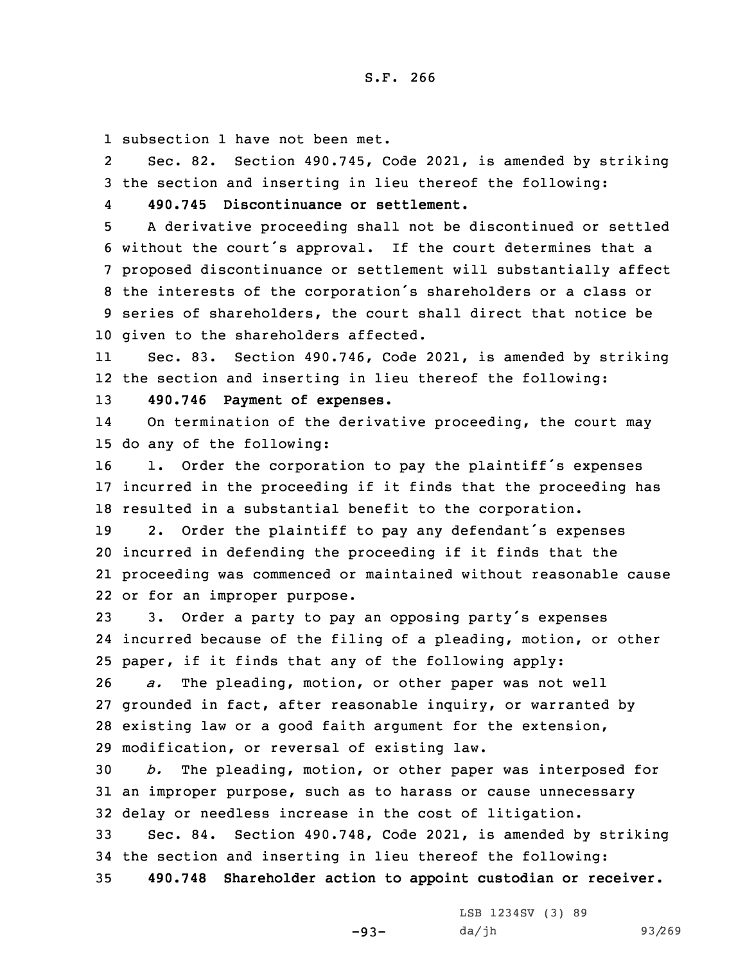1 subsection 1 have not been met.

2 Sec. 82. Section 490.745, Code 2021, is amended by striking 3 the section and inserting in lieu thereof the following:

4**490.745 Discontinuance or settlement.**

 <sup>A</sup> derivative proceeding shall not be discontinued or settled without the court's approval. If the court determines that <sup>a</sup> proposed discontinuance or settlement will substantially affect the interests of the corporation's shareholders or <sup>a</sup> class or series of shareholders, the court shall direct that notice be given to the shareholders affected.

11 Sec. 83. Section 490.746, Code 2021, is amended by striking 12 the section and inserting in lieu thereof the following:

13 **490.746 Payment of expenses.**

14 On termination of the derivative proceeding, the court may 15 do any of the following:

16 1. Order the corporation to pay the plaintiff's expenses 17 incurred in the proceeding if it finds that the proceeding has 18 resulted in <sup>a</sup> substantial benefit to the corporation.

 2. Order the plaintiff to pay any defendant's expenses incurred in defending the proceeding if it finds that the proceeding was commenced or maintained without reasonable cause or for an improper purpose.

<sup>23</sup> 3. Order <sup>a</sup> party to pay an opposing party's expenses 24 incurred because of the filing of <sup>a</sup> pleading, motion, or other 25 paper, if it finds that any of the following apply:

 *a.* The pleading, motion, or other paper was not well grounded in fact, after reasonable inquiry, or warranted by existing law or <sup>a</sup> good faith argument for the extension, modification, or reversal of existing law.

30 *b.* The pleading, motion, or other paper was interposed for 31 an improper purpose, such as to harass or cause unnecessary 32 delay or needless increase in the cost of litigation.

33 Sec. 84. Section 490.748, Code 2021, is amended by striking 34 the section and inserting in lieu thereof the following: 35 **490.748 Shareholder action to appoint custodian or receiver.**

-93-

LSB 1234SV (3) 89 da/jh 93/269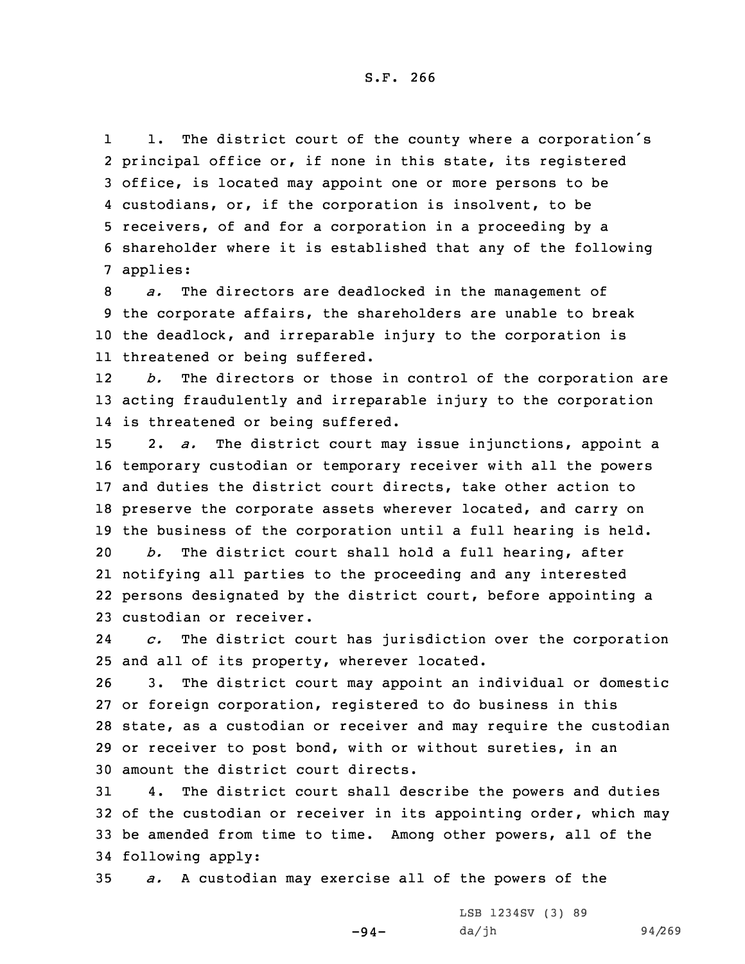1 1. The district court of the county where <sup>a</sup> corporation's principal office or, if none in this state, its registered office, is located may appoint one or more persons to be custodians, or, if the corporation is insolvent, to be receivers, of and for <sup>a</sup> corporation in <sup>a</sup> proceeding by <sup>a</sup> shareholder where it is established that any of the following 7 applies:

 *a.* The directors are deadlocked in the management of the corporate affairs, the shareholders are unable to break the deadlock, and irreparable injury to the corporation is threatened or being suffered.

12 *b.* The directors or those in control of the corporation are 13 acting fraudulently and irreparable injury to the corporation 14 is threatened or being suffered.

 2. *a.* The district court may issue injunctions, appoint <sup>a</sup> temporary custodian or temporary receiver with all the powers and duties the district court directs, take other action to preserve the corporate assets wherever located, and carry on the business of the corporation until <sup>a</sup> full hearing is held. *b.* The district court shall hold <sup>a</sup> full hearing, after notifying all parties to the proceeding and any interested persons designated by the district court, before appointing <sup>a</sup> custodian or receiver.

24 *c.* The district court has jurisdiction over the corporation 25 and all of its property, wherever located.

 3. The district court may appoint an individual or domestic or foreign corporation, registered to do business in this state, as <sup>a</sup> custodian or receiver and may require the custodian or receiver to post bond, with or without sureties, in an amount the district court directs.

 4. The district court shall describe the powers and duties of the custodian or receiver in its appointing order, which may be amended from time to time. Among other powers, all of the following apply:

35 *a.* <sup>A</sup> custodian may exercise all of the powers of the

-94-

LSB 1234SV (3) 89 da/jh 94/269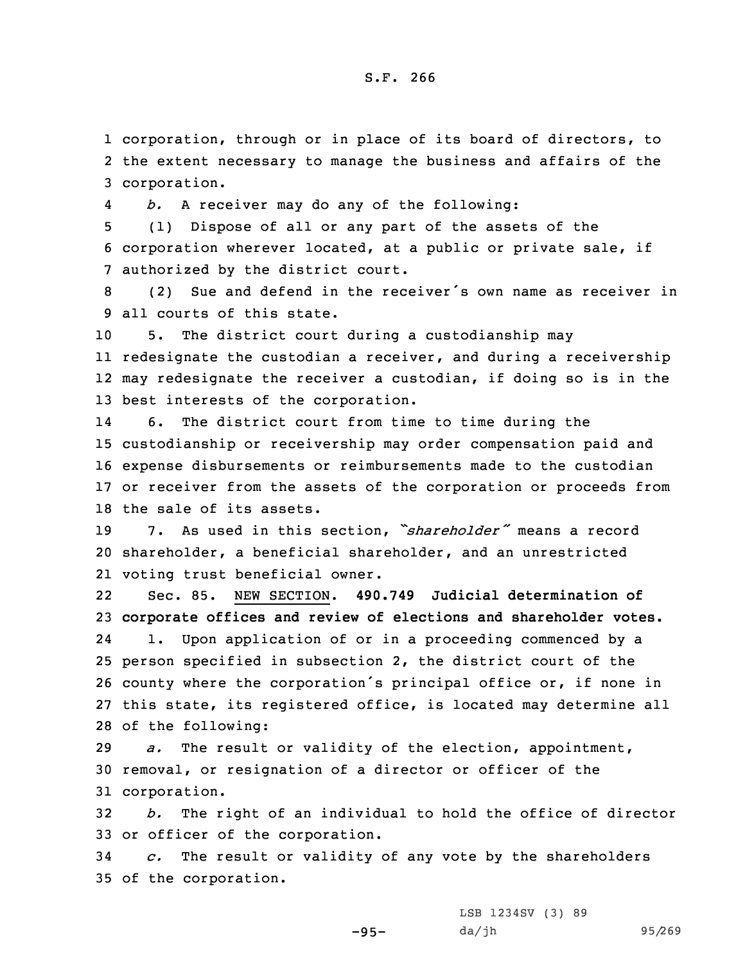1 corporation, through or in place of its board of directors, to 2 the extent necessary to manage the business and affairs of the 3 corporation.

4*b.* <sup>A</sup> receiver may do any of the following:

5 (1) Dispose of all or any part of the assets of the 6 corporation wherever located, at <sup>a</sup> public or private sale, if 7 authorized by the district court.

<sup>8</sup> (2) Sue and defend in the receiver's own name as receiver in 9 all courts of this state.

 5. The district court during <sup>a</sup> custodianship may redesignate the custodian <sup>a</sup> receiver, and during <sup>a</sup> receivership may redesignate the receiver <sup>a</sup> custodian, if doing so is in the best interests of the corporation.

14 6. The district court from time to time during the custodianship or receivership may order compensation paid and expense disbursements or reimbursements made to the custodian or receiver from the assets of the corporation or proceeds from the sale of its assets.

19 7. As used in this section, *"shareholder"* means <sup>a</sup> record 20 shareholder, <sup>a</sup> beneficial shareholder, and an unrestricted 21 voting trust beneficial owner.

22 Sec. 85. NEW SECTION. **490.749 Judicial determination of** 23 **corporate offices and review of elections and shareholder votes.** 24 1. Upon application of or in <sup>a</sup> proceeding commenced by <sup>a</sup> 25 person specified in subsection 2, the district court of the <sup>26</sup> county where the corporation's principal office or, if none in 27 this state, its registered office, is located may determine all 28 of the following:

29 *a.* The result or validity of the election, appointment, 30 removal, or resignation of <sup>a</sup> director or officer of the 31 corporation.

32 *b.* The right of an individual to hold the office of director 33 or officer of the corporation.

34 *c.* The result or validity of any vote by the shareholders 35 of the corporation.

 $-95-$ 

LSB 1234SV (3) 89 da/jh 95/269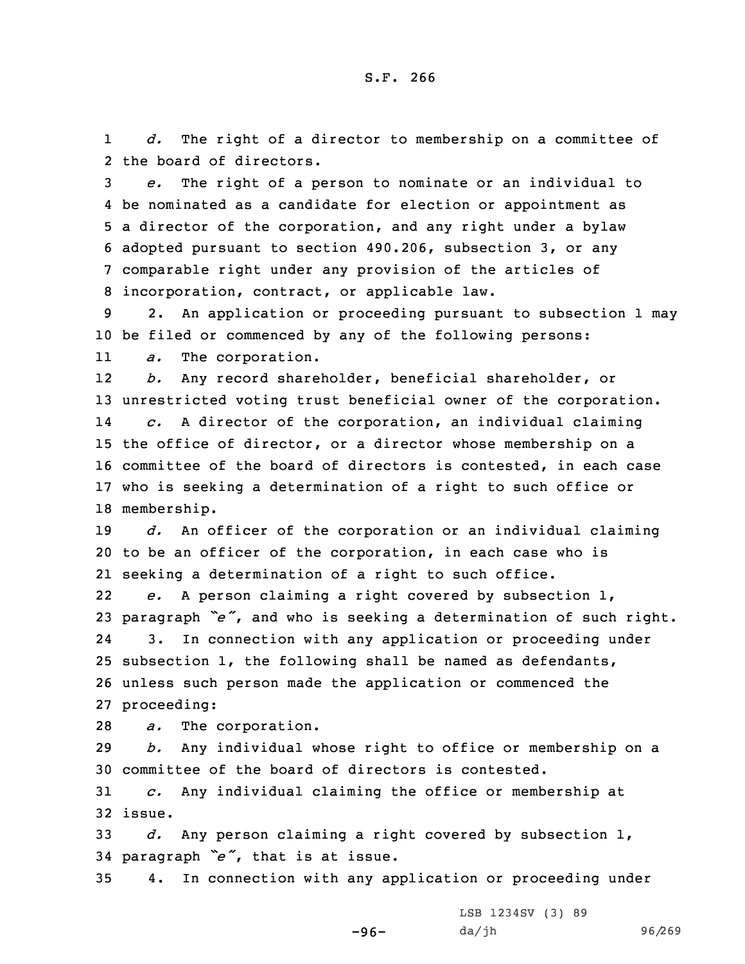1 *d.* The right of <sup>a</sup> director to membership on <sup>a</sup> committee of 2 the board of directors.

 *e.* The right of <sup>a</sup> person to nominate or an individual to be nominated as <sup>a</sup> candidate for election or appointment as <sup>a</sup> director of the corporation, and any right under <sup>a</sup> bylaw adopted pursuant to section 490.206, subsection 3, or any comparable right under any provision of the articles of incorporation, contract, or applicable law.

9 2. An application or proceeding pursuant to subsection 1 may 10 be filed or commenced by any of the following persons:

11*a.* The corporation.

12 *b.* Any record shareholder, beneficial shareholder, or 13 unrestricted voting trust beneficial owner of the corporation. 14 *c.* <sup>A</sup> director of the corporation, an individual claiming 15 the office of director, or <sup>a</sup> director whose membership on <sup>a</sup> 16 committee of the board of directors is contested, in each case 17 who is seeking <sup>a</sup> determination of <sup>a</sup> right to such office or 18 membership.

19 *d.* An officer of the corporation or an individual claiming 20 to be an officer of the corporation, in each case who is 21 seeking <sup>a</sup> determination of <sup>a</sup> right to such office.

22 *e.* <sup>A</sup> person claiming <sup>a</sup> right covered by subsection 1, <sup>23</sup> paragraph *"e"*, and who is seeking <sup>a</sup> determination of such right. 24 3. In connection with any application or proceeding under 25 subsection 1, the following shall be named as defendants, 26 unless such person made the application or commenced the 27 proceeding:

28 *a.* The corporation.

29 *b.* Any individual whose right to office or membership on <sup>a</sup> 30 committee of the board of directors is contested.

31 *c.* Any individual claiming the office or membership at 32 issue.

33 *d.* Any person claiming <sup>a</sup> right covered by subsection 1, <sup>34</sup> paragraph *"e"*, that is at issue.

35 4. In connection with any application or proceeding under

-96-

LSB 1234SV (3) 89 da/jh 96/269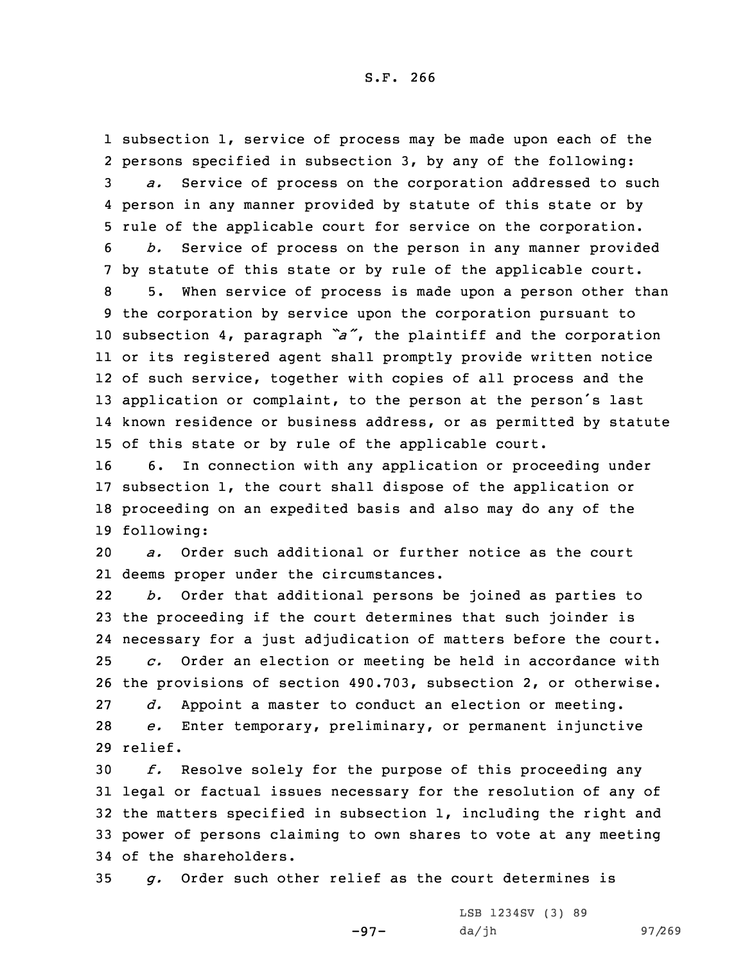subsection 1, service of process may be made upon each of the persons specified in subsection 3, by any of the following: *a.* Service of process on the corporation addressed to such person in any manner provided by statute of this state or by rule of the applicable court for service on the corporation. *b.* Service of process on the person in any manner provided by statute of this state or by rule of the applicable court. 5. When service of process is made upon <sup>a</sup> person other than the corporation by service upon the corporation pursuant to subsection 4, paragraph *"a"*, the plaintiff and the corporation or its registered agent shall promptly provide written notice of such service, together with copies of all process and the application or complaint, to the person at the person's last known residence or business address, or as permitted by statute of this state or by rule of the applicable court.

 6. In connection with any application or proceeding under subsection 1, the court shall dispose of the application or proceeding on an expedited basis and also may do any of the following:

20 *a.* Order such additional or further notice as the court 21 deems proper under the circumstances.

22 *b.* Order that additional persons be joined as parties to the proceeding if the court determines that such joinder is necessary for <sup>a</sup> just adjudication of matters before the court. *c.* Order an election or meeting be held in accordance with the provisions of section 490.703, subsection 2, or otherwise. *d.* Appoint <sup>a</sup> master to conduct an election or meeting. *e.* Enter temporary, preliminary, or permanent injunctive

29 relief.

 *f.* Resolve solely for the purpose of this proceeding any legal or factual issues necessary for the resolution of any of the matters specified in subsection 1, including the right and power of persons claiming to own shares to vote at any meeting of the shareholders.

35 *g.* Order such other relief as the court determines is

-97-

LSB 1234SV (3) 89 da/jh 97/269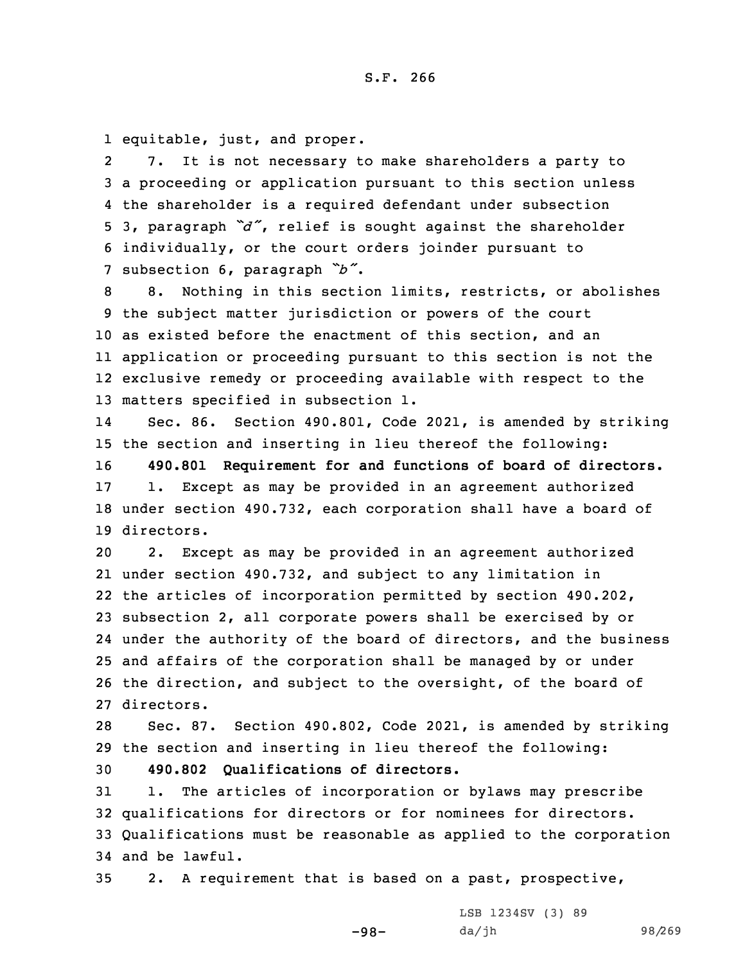1 equitable, just, and proper.

2 7. It is not necessary to make shareholders <sup>a</sup> party to <sup>a</sup> proceeding or application pursuant to this section unless the shareholder is <sup>a</sup> required defendant under subsection 3, paragraph *"d"*, relief is sought against the shareholder individually, or the court orders joinder pursuant to subsection 6, paragraph *"b"*.

 8. Nothing in this section limits, restricts, or abolishes the subject matter jurisdiction or powers of the court as existed before the enactment of this section, and an application or proceeding pursuant to this section is not the exclusive remedy or proceeding available with respect to the matters specified in subsection 1.

14 Sec. 86. Section 490.801, Code 2021, is amended by striking 15 the section and inserting in lieu thereof the following: 16 **490.801 Requirement for and functions of board of directors.**

17 1. Except as may be provided in an agreement authorized 18 under section 490.732, each corporation shall have <sup>a</sup> board of 19 directors.

 2. Except as may be provided in an agreement authorized under section 490.732, and subject to any limitation in the articles of incorporation permitted by section 490.202, subsection 2, all corporate powers shall be exercised by or under the authority of the board of directors, and the business and affairs of the corporation shall be managed by or under the direction, and subject to the oversight, of the board of directors.

28 Sec. 87. Section 490.802, Code 2021, is amended by striking 29 the section and inserting in lieu thereof the following:

30 **490.802 Qualifications of directors.**

 1. The articles of incorporation or bylaws may prescribe qualifications for directors or for nominees for directors. Qualifications must be reasonable as applied to the corporation and be lawful.

35 2. <sup>A</sup> requirement that is based on <sup>a</sup> past, prospective,

-98-

LSB 1234SV (3) 89 da/jh 98/269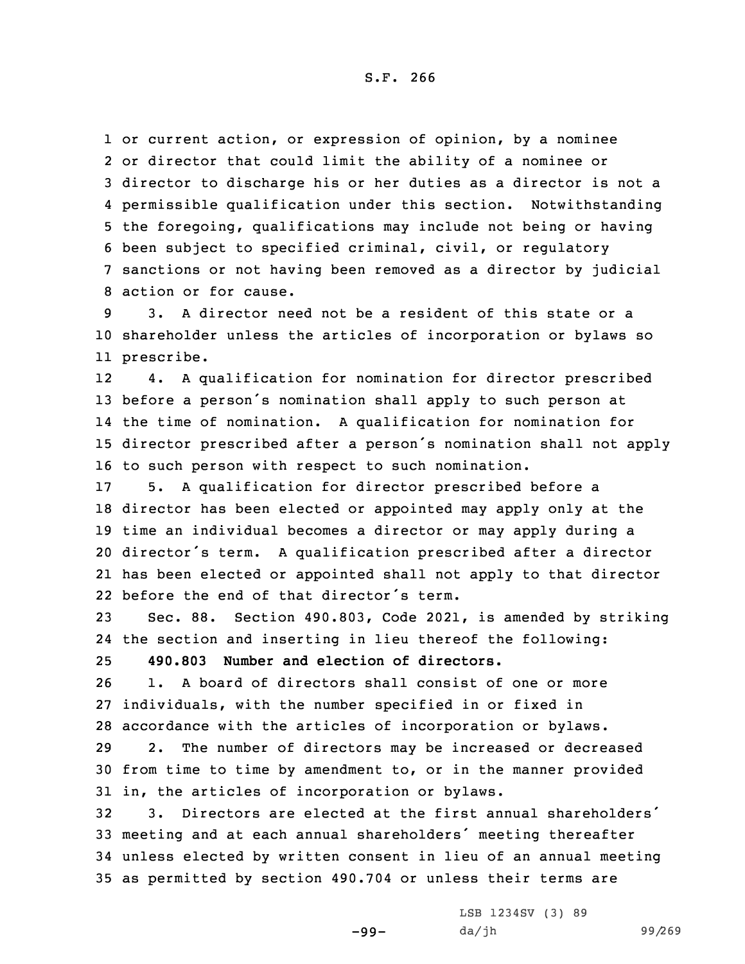S.F. 266

 or current action, or expression of opinion, by <sup>a</sup> nominee or director that could limit the ability of <sup>a</sup> nominee or director to discharge his or her duties as <sup>a</sup> director is not <sup>a</sup> permissible qualification under this section. Notwithstanding the foregoing, qualifications may include not being or having been subject to specified criminal, civil, or regulatory sanctions or not having been removed as <sup>a</sup> director by judicial action or for cause.

9 3. A director need not be <sup>a</sup> resident of this state or <sup>a</sup> 10 shareholder unless the articles of incorporation or bylaws so 11 prescribe.

12 4. <sup>A</sup> qualification for nomination for director prescribed before <sup>a</sup> person's nomination shall apply to such person at the time of nomination. <sup>A</sup> qualification for nomination for director prescribed after <sup>a</sup> person's nomination shall not apply to such person with respect to such nomination.

 5. <sup>A</sup> qualification for director prescribed before <sup>a</sup> director has been elected or appointed may apply only at the time an individual becomes <sup>a</sup> director or may apply during <sup>a</sup> director's term. <sup>A</sup> qualification prescribed after <sup>a</sup> director has been elected or appointed shall not apply to that director before the end of that director's term.

23 Sec. 88. Section 490.803, Code 2021, is amended by striking 24 the section and inserting in lieu thereof the following:

25 **490.803 Number and election of directors.**

26 1. A board of directors shall consist of one or more 27 individuals, with the number specified in or fixed in 28 accordance with the articles of incorporation or bylaws.

29 2. The number of directors may be increased or decreased 30 from time to time by amendment to, or in the manner provided 31 in, the articles of incorporation or bylaws.

 3. Directors are elected at the first annual shareholders' meeting and at each annual shareholders' meeting thereafter unless elected by written consent in lieu of an annual meeting as permitted by section 490.704 or unless their terms are

-99-

LSB 1234SV (3) 89 da/jh 99/269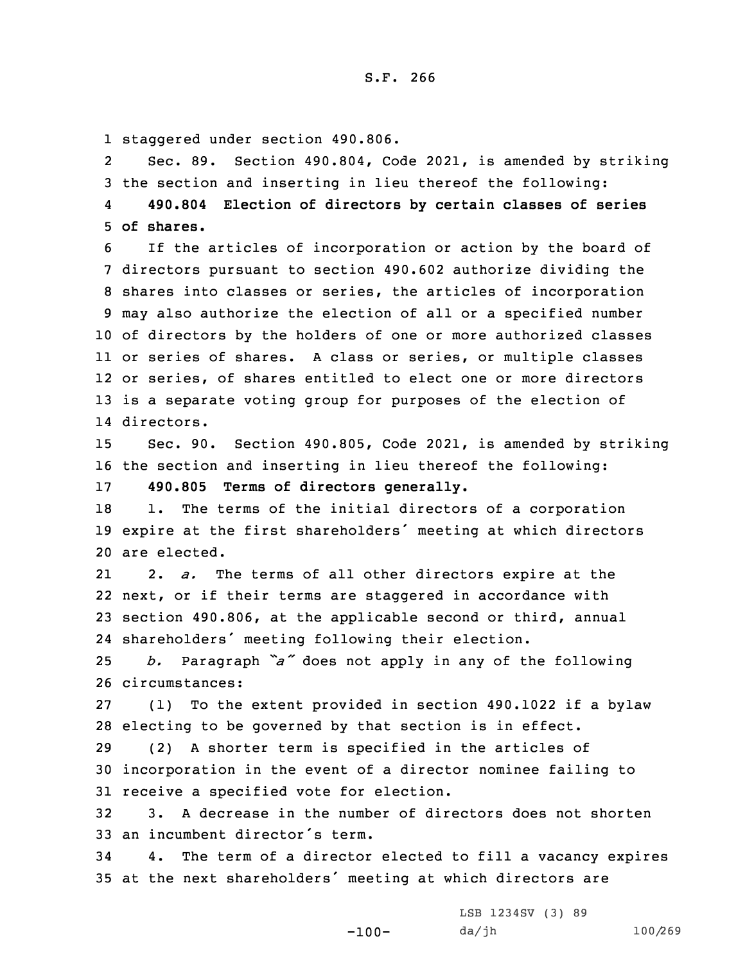1 staggered under section 490.806.

2 Sec. 89. Section 490.804, Code 2021, is amended by striking 3 the section and inserting in lieu thereof the following:

4 **490.804 Election of directors by certain classes of series** 5 **of shares.**

 If the articles of incorporation or action by the board of directors pursuant to section 490.602 authorize dividing the shares into classes or series, the articles of incorporation may also authorize the election of all or <sup>a</sup> specified number of directors by the holders of one or more authorized classes or series of shares. <sup>A</sup> class or series, or multiple classes or series, of shares entitled to elect one or more directors is <sup>a</sup> separate voting group for purposes of the election of directors.

15 Sec. 90. Section 490.805, Code 2021, is amended by striking 16 the section and inserting in lieu thereof the following:

17 **490.805 Terms of directors generally.**

18 1. The terms of the initial directors of a corporation <sup>19</sup> expire at the first shareholders' meeting at which directors 20 are elected.

21 2. *a.* The terms of all other directors expire at the 22 next, or if their terms are staggered in accordance with 23 section 490.806, at the applicable second or third, annual 24 shareholders' meeting following their election.

<sup>25</sup> *b.* Paragraph *"a"* does not apply in any of the following 26 circumstances:

27 (1) To the extent provided in section 490.1022 if <sup>a</sup> bylaw 28 electing to be governed by that section is in effect.

29 (2) <sup>A</sup> shorter term is specified in the articles of 30 incorporation in the event of <sup>a</sup> director nominee failing to 31 receive <sup>a</sup> specified vote for election.

32 3. A decrease in the number of directors does not shorten 33 an incumbent director's term.

34 4. The term of <sup>a</sup> director elected to fill <sup>a</sup> vacancy expires <sup>35</sup> at the next shareholders' meeting at which directors are

-100-

LSB 1234SV (3) 89 da/jh 100/269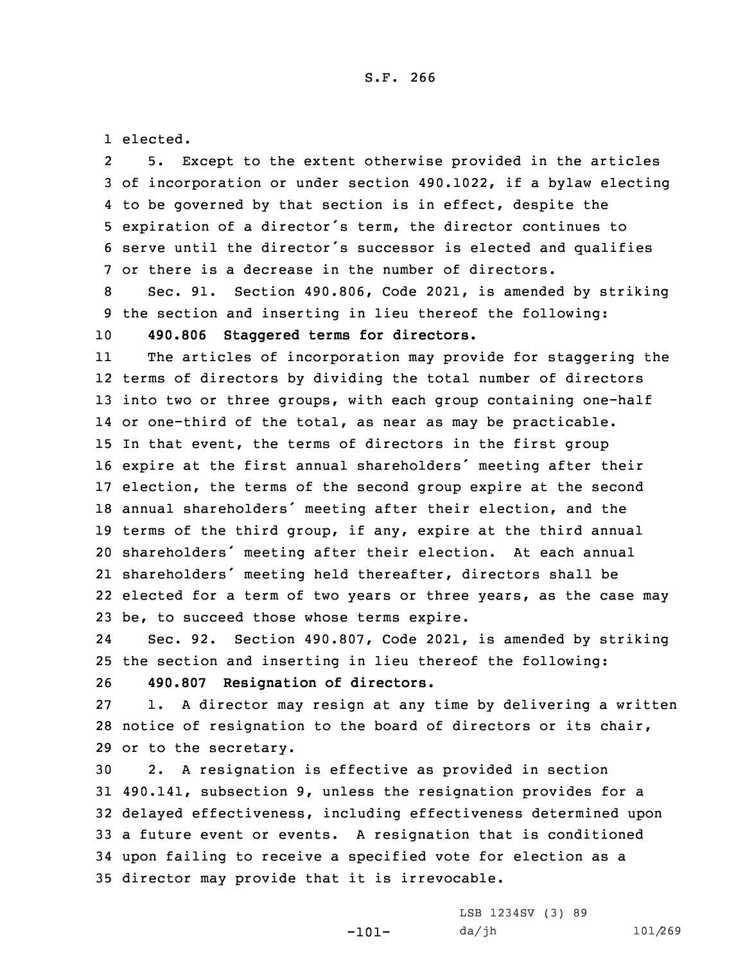1 elected.

2 5. Except to the extent otherwise provided in the articles of incorporation or under section 490.1022, if <sup>a</sup> bylaw electing to be governed by that section is in effect, despite the expiration of <sup>a</sup> director's term, the director continues to serve until the director's successor is elected and qualifies or there is <sup>a</sup> decrease in the number of directors.

8 Sec. 91. Section 490.806, Code 2021, is amended by striking 9 the section and inserting in lieu thereof the following: 10 **490.806 Staggered terms for directors.**

11 The articles of incorporation may provide for staggering the terms of directors by dividing the total number of directors into two or three groups, with each group containing one-half or one-third of the total, as near as may be practicable. In that event, the terms of directors in the first group expire at the first annual shareholders' meeting after their election, the terms of the second group expire at the second annual shareholders' meeting after their election, and the terms of the third group, if any, expire at the third annual shareholders' meeting after their election. At each annual shareholders' meeting held thereafter, directors shall be elected for <sup>a</sup> term of two years or three years, as the case may be, to succeed those whose terms expire.

24 Sec. 92. Section 490.807, Code 2021, is amended by striking 25 the section and inserting in lieu thereof the following: 26 **490.807 Resignation of directors.**

27 1. <sup>A</sup> director may resign at any time by delivering <sup>a</sup> written 28 notice of resignation to the board of directors or its chair, 29 or to the secretary.

 2. <sup>A</sup> resignation is effective as provided in section 490.141, subsection 9, unless the resignation provides for <sup>a</sup> delayed effectiveness, including effectiveness determined upon <sup>a</sup> future event or events. <sup>A</sup> resignation that is conditioned upon failing to receive <sup>a</sup> specified vote for election as <sup>a</sup> director may provide that it is irrevocable.

-101-

LSB 1234SV (3) 89 da/jh 101/269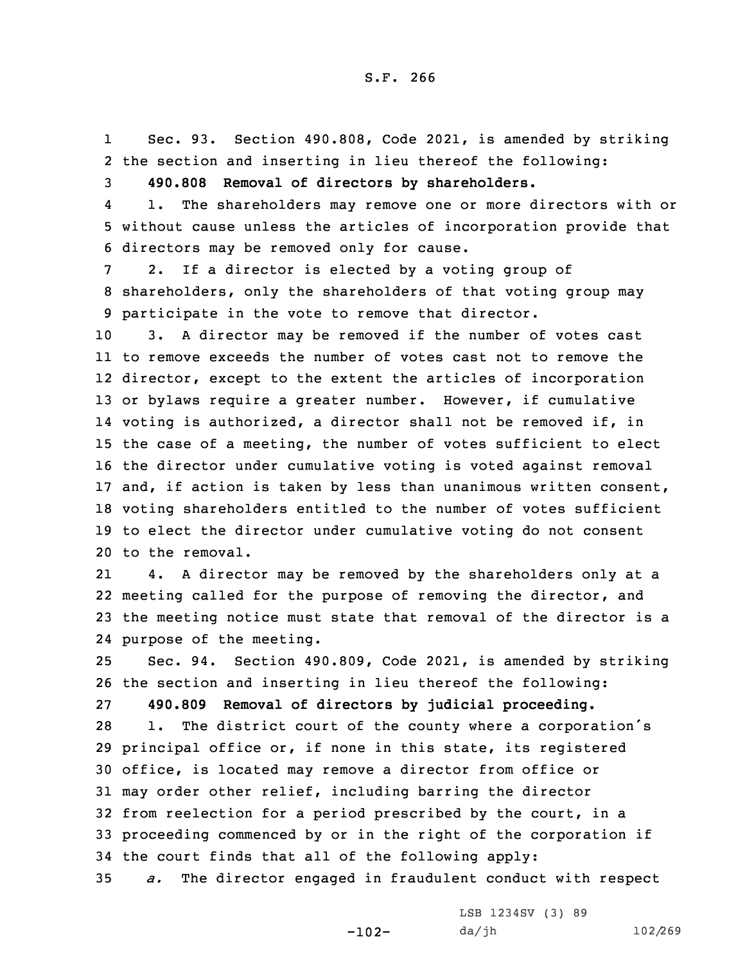1 Sec. 93. Section 490.808, Code 2021, is amended by striking 2 the section and inserting in lieu thereof the following:

3 **490.808 Removal of directors by shareholders.**

4 1. The shareholders may remove one or more directors with or 5 without cause unless the articles of incorporation provide that 6 directors may be removed only for cause.

7 2. If <sup>a</sup> director is elected by <sup>a</sup> voting group of 8 shareholders, only the shareholders of that voting group may 9 participate in the vote to remove that director.

 3. <sup>A</sup> director may be removed if the number of votes cast to remove exceeds the number of votes cast not to remove the director, except to the extent the articles of incorporation or bylaws require <sup>a</sup> greater number. However, if cumulative voting is authorized, <sup>a</sup> director shall not be removed if, in the case of <sup>a</sup> meeting, the number of votes sufficient to elect the director under cumulative voting is voted against removal and, if action is taken by less than unanimous written consent, voting shareholders entitled to the number of votes sufficient to elect the director under cumulative voting do not consent to the removal.

21 4. <sup>A</sup> director may be removed by the shareholders only at <sup>a</sup> 22 meeting called for the purpose of removing the director, and 23 the meeting notice must state that removal of the director is <sup>a</sup> 24 purpose of the meeting.

25 Sec. 94. Section 490.809, Code 2021, is amended by striking 26 the section and inserting in lieu thereof the following:

 **490.809 Removal of directors by judicial proceeding.** 1. The district court of the county where <sup>a</sup> corporation's principal office or, if none in this state, its registered office, is located may remove <sup>a</sup> director from office or may order other relief, including barring the director from reelection for <sup>a</sup> period prescribed by the court, in <sup>a</sup> proceeding commenced by or in the right of the corporation if the court finds that all of the following apply: *a.* The director engaged in fraudulent conduct with respect

-102-

LSB 1234SV (3) 89 da/jh 102/269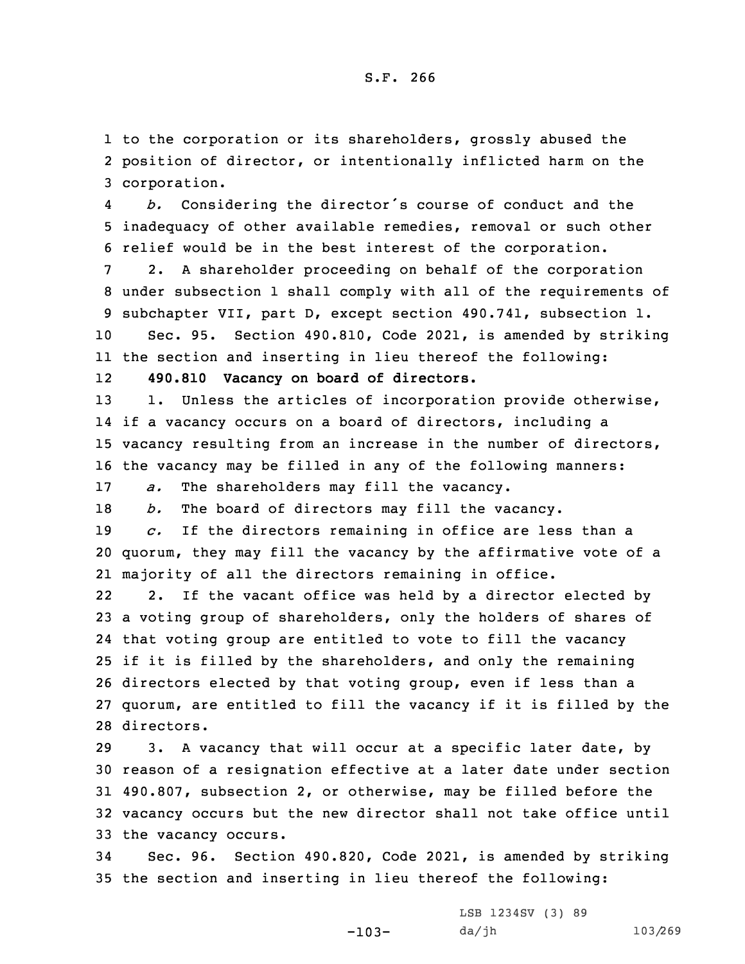1 to the corporation or its shareholders, grossly abused the 2 position of director, or intentionally inflicted harm on the 3 corporation.

4 *b.* Considering the director's course of conduct and the 5 inadequacy of other available remedies, removal or such other 6 relief would be in the best interest of the corporation.

7 2. <sup>A</sup> shareholder proceeding on behalf of the corporation 8 under subsection 1 shall comply with all of the requirements of 9 subchapter VII, part D, except section 490.741, subsection 1.

10 Sec. 95. Section 490.810, Code 2021, is amended by striking 11 the section and inserting in lieu thereof the following: 12**490.810 Vacancy on board of directors.**

13 1. Unless the articles of incorporation provide otherwise, if <sup>a</sup> vacancy occurs on <sup>a</sup> board of directors, including <sup>a</sup> vacancy resulting from an increase in the number of directors, the vacancy may be filled in any of the following manners:

17 *a.* The shareholders may fill the vacancy.

18 *b.* The board of directors may fill the vacancy.

19 *c.* If the directors remaining in office are less than <sup>a</sup> 20 quorum, they may fill the vacancy by the affirmative vote of <sup>a</sup> 21 majority of all the directors remaining in office.

22 2. If the vacant office was held by <sup>a</sup> director elected by <sup>a</sup> voting group of shareholders, only the holders of shares of that voting group are entitled to vote to fill the vacancy if it is filled by the shareholders, and only the remaining directors elected by that voting group, even if less than <sup>a</sup> quorum, are entitled to fill the vacancy if it is filled by the directors.

 3. <sup>A</sup> vacancy that will occur at <sup>a</sup> specific later date, by reason of <sup>a</sup> resignation effective at <sup>a</sup> later date under section 490.807, subsection 2, or otherwise, may be filled before the vacancy occurs but the new director shall not take office until the vacancy occurs.

34 Sec. 96. Section 490.820, Code 2021, is amended by striking 35 the section and inserting in lieu thereof the following:

-103-

LSB 1234SV (3) 89 da/jh 103/269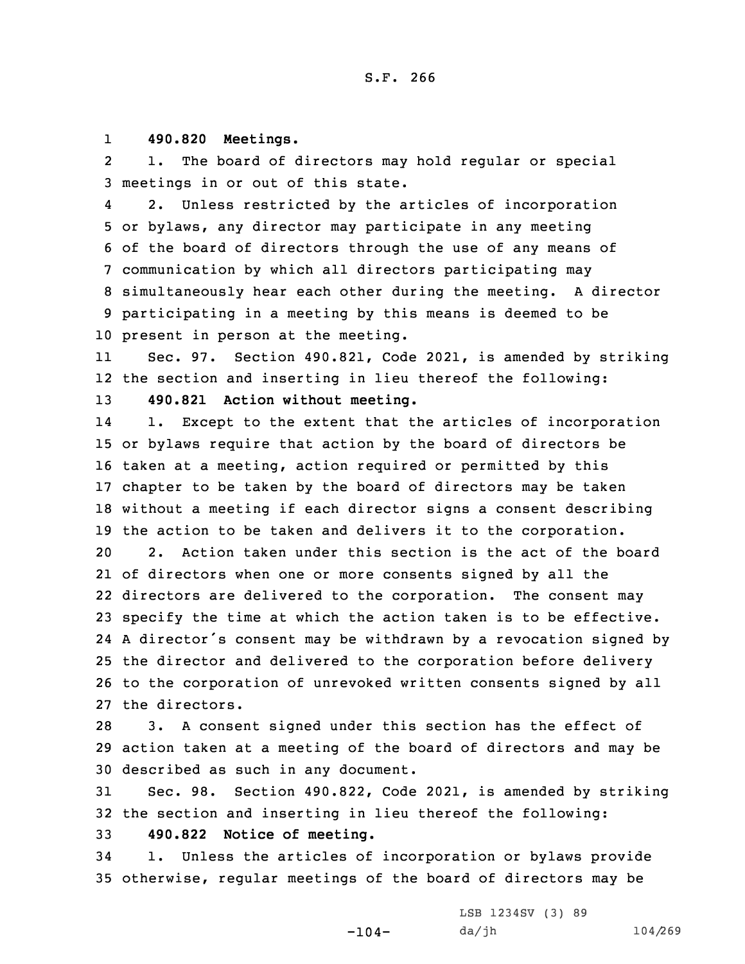1**490.820 Meetings.**

2 1. The board of directors may hold regular or special 3 meetings in or out of this state.

4 2. Unless restricted by the articles of incorporation or bylaws, any director may participate in any meeting of the board of directors through the use of any means of communication by which all directors participating may simultaneously hear each other during the meeting. <sup>A</sup> director participating in <sup>a</sup> meeting by this means is deemed to be present in person at the meeting.

11 Sec. 97. Section 490.821, Code 2021, is amended by striking 12 the section and inserting in lieu thereof the following:

13 **490.821 Action without meeting.**

14 1. Except to the extent that the articles of incorporation or bylaws require that action by the board of directors be taken at <sup>a</sup> meeting, action required or permitted by this chapter to be taken by the board of directors may be taken without <sup>a</sup> meeting if each director signs <sup>a</sup> consent describing the action to be taken and delivers it to the corporation. 2. Action taken under this section is the act of the board of directors when one or more consents signed by all the directors are delivered to the corporation. The consent may specify the time at which the action taken is to be effective. <sup>A</sup> director's consent may be withdrawn by <sup>a</sup> revocation signed by the director and delivered to the corporation before delivery to the corporation of unrevoked written consents signed by all the directors.

28 3. <sup>A</sup> consent signed under this section has the effect of 29 action taken at <sup>a</sup> meeting of the board of directors and may be 30 described as such in any document.

31 Sec. 98. Section 490.822, Code 2021, is amended by striking 32 the section and inserting in lieu thereof the following:

33 **490.822 Notice of meeting.**

34 1. Unless the articles of incorporation or bylaws provide 35 otherwise, regular meetings of the board of directors may be

 $-104-$ 

LSB 1234SV (3) 89 da/jh 104/269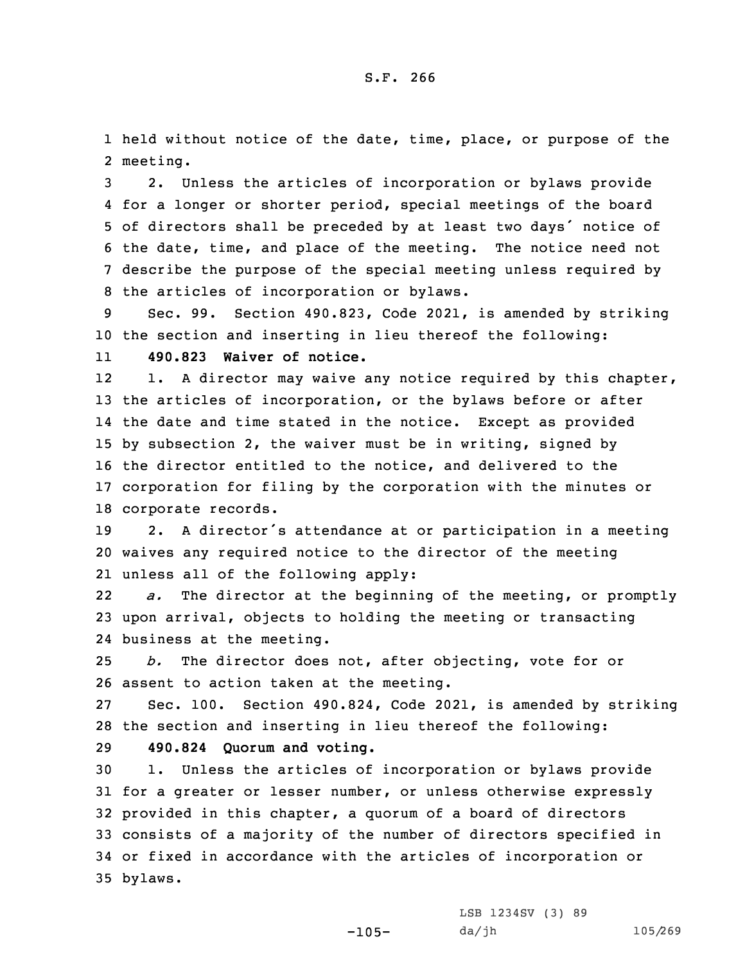1 held without notice of the date, time, place, or purpose of the 2 meeting.

 2. Unless the articles of incorporation or bylaws provide for <sup>a</sup> longer or shorter period, special meetings of the board of directors shall be preceded by at least two days' notice of the date, time, and place of the meeting. The notice need not describe the purpose of the special meeting unless required by the articles of incorporation or bylaws.

9 Sec. 99. Section 490.823, Code 2021, is amended by striking 10 the section and inserting in lieu thereof the following:

11**490.823 Waiver of notice.**

12 1. <sup>A</sup> director may waive any notice required by this chapter, the articles of incorporation, or the bylaws before or after the date and time stated in the notice. Except as provided by subsection 2, the waiver must be in writing, signed by the director entitled to the notice, and delivered to the corporation for filing by the corporation with the minutes or corporate records.

<sup>19</sup> 2. <sup>A</sup> director's attendance at or participation in <sup>a</sup> meeting 20 waives any required notice to the director of the meeting 21 unless all of the following apply:

22 *a.* The director at the beginning of the meeting, or promptly 23 upon arrival, objects to holding the meeting or transacting 24 business at the meeting.

25 *b.* The director does not, after objecting, vote for or 26 assent to action taken at the meeting.

27 Sec. 100. Section 490.824, Code 2021, is amended by striking 28 the section and inserting in lieu thereof the following:

29 **490.824 Quorum and voting.**

 1. Unless the articles of incorporation or bylaws provide for <sup>a</sup> greater or lesser number, or unless otherwise expressly provided in this chapter, <sup>a</sup> quorum of <sup>a</sup> board of directors consists of <sup>a</sup> majority of the number of directors specified in or fixed in accordance with the articles of incorporation or 35 bylaws.

 $-105-$ 

LSB 1234SV (3) 89 da/jh 105/269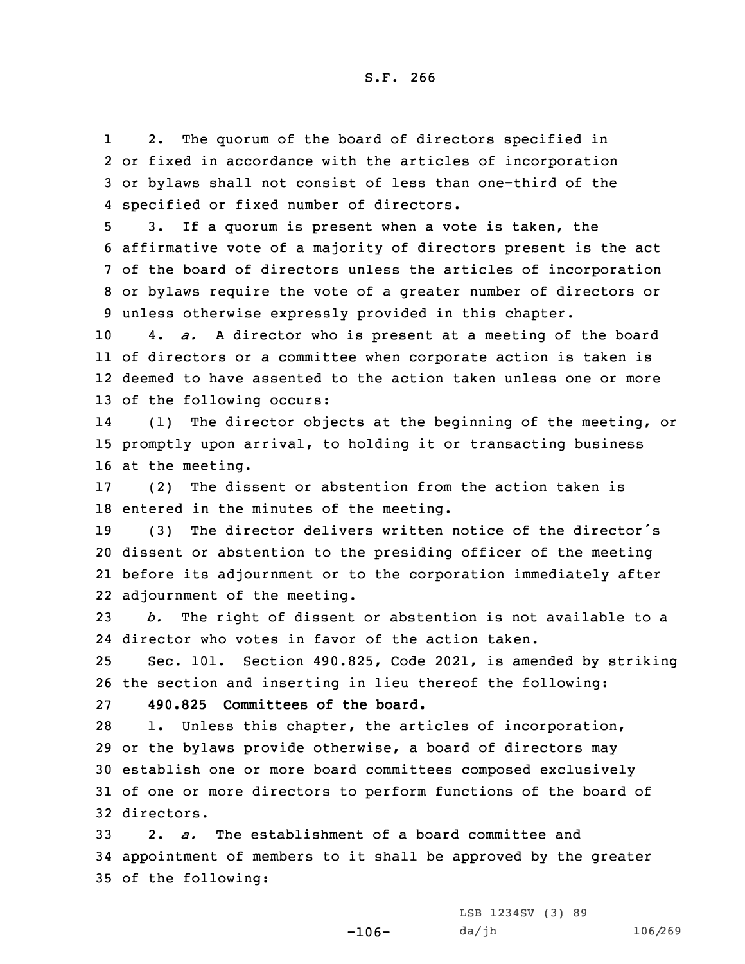1 2. The quorum of the board of directors specified in 2 or fixed in accordance with the articles of incorporation 3 or bylaws shall not consist of less than one-third of the 4 specified or fixed number of directors.

 3. If <sup>a</sup> quorum is present when <sup>a</sup> vote is taken, the affirmative vote of <sup>a</sup> majority of directors present is the act of the board of directors unless the articles of incorporation or bylaws require the vote of <sup>a</sup> greater number of directors or unless otherwise expressly provided in this chapter.

 4. *a.* <sup>A</sup> director who is present at <sup>a</sup> meeting of the board of directors or <sup>a</sup> committee when corporate action is taken is deemed to have assented to the action taken unless one or more of the following occurs:

14 (1) The director objects at the beginning of the meeting, or 15 promptly upon arrival, to holding it or transacting business 16 at the meeting.

17 (2) The dissent or abstention from the action taken is 18 entered in the minutes of the meeting.

 (3) The director delivers written notice of the director's dissent or abstention to the presiding officer of the meeting before its adjournment or to the corporation immediately after adjournment of the meeting.

23 *b.* The right of dissent or abstention is not available to <sup>a</sup> 24 director who votes in favor of the action taken.

25 Sec. 101. Section 490.825, Code 2021, is amended by striking 26 the section and inserting in lieu thereof the following:

27 **490.825 Committees of the board.**

 1. Unless this chapter, the articles of incorporation, or the bylaws provide otherwise, <sup>a</sup> board of directors may establish one or more board committees composed exclusively of one or more directors to perform functions of the board of directors.

33 2. *a.* The establishment of <sup>a</sup> board committee and 34 appointment of members to it shall be approved by the greater 35 of the following:

-106-

LSB 1234SV (3) 89 da/jh 106/269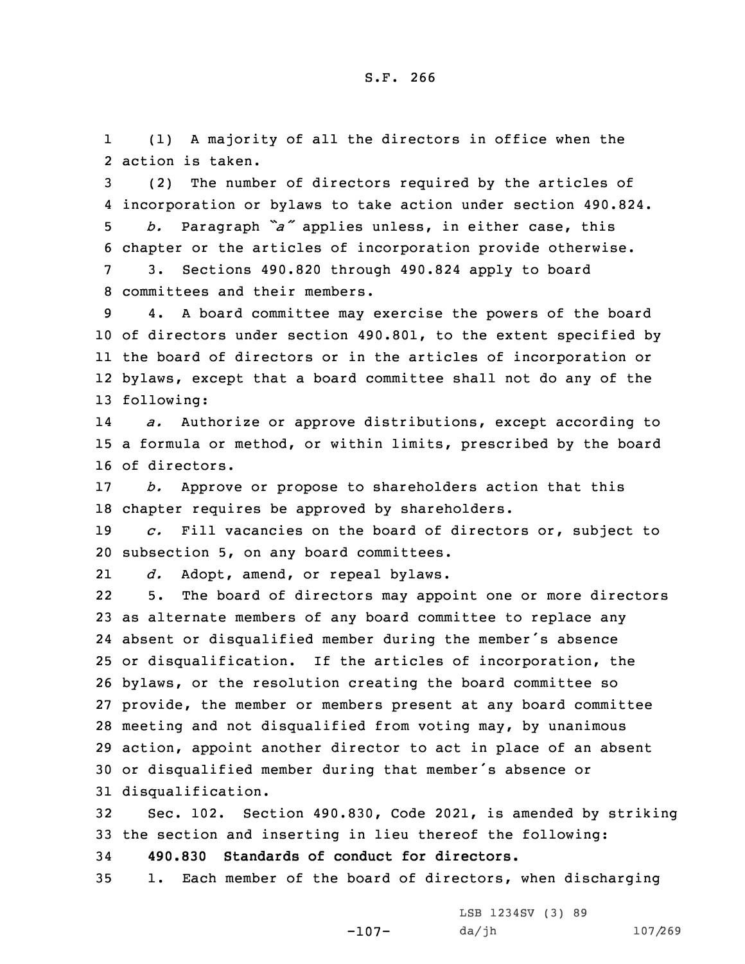1 (1) <sup>A</sup> majority of all the directors in office when the 2 action is taken.

3 (2) The number of directors required by the articles of 4 incorporation or bylaws to take action under section 490.824.

<sup>5</sup> *b.* Paragraph *"a"* applies unless, in either case, this 6 chapter or the articles of incorporation provide otherwise. 7 3. Sections 490.820 through 490.824 apply to board

8 committees and their members.

 4. <sup>A</sup> board committee may exercise the powers of the board of directors under section 490.801, to the extent specified by the board of directors or in the articles of incorporation or bylaws, except that <sup>a</sup> board committee shall not do any of the following:

14 *a.* Authorize or approve distributions, except according to 15 <sup>a</sup> formula or method, or within limits, prescribed by the board 16 of directors.

17 *b.* Approve or propose to shareholders action that this 18 chapter requires be approved by shareholders.

19 *c.* Fill vacancies on the board of directors or, subject to 20 subsection 5, on any board committees.

21*d.* Adopt, amend, or repeal bylaws.

22 5. The board of directors may appoint one or more directors as alternate members of any board committee to replace any absent or disqualified member during the member's absence or disqualification. If the articles of incorporation, the bylaws, or the resolution creating the board committee so provide, the member or members present at any board committee meeting and not disqualified from voting may, by unanimous action, appoint another director to act in place of an absent or disqualified member during that member's absence or disqualification.

32 Sec. 102. Section 490.830, Code 2021, is amended by striking 33 the section and inserting in lieu thereof the following:

34 **490.830 Standards of conduct for directors.**

35 1. Each member of the board of directors, when discharging

-107-

LSB 1234SV (3) 89 da/jh 107/269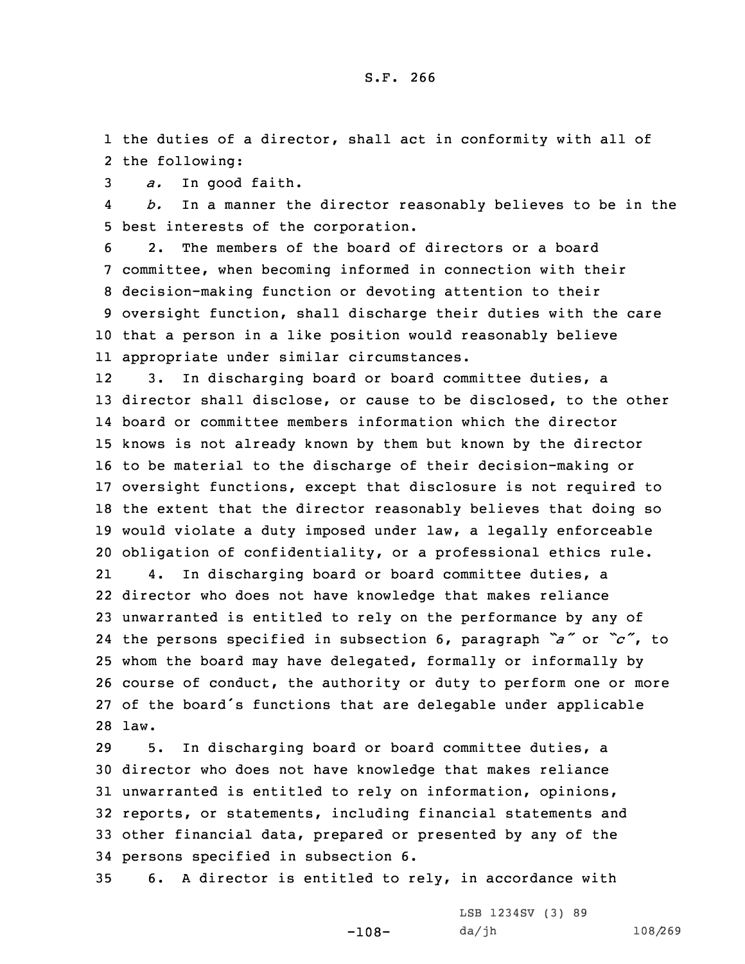1 the duties of <sup>a</sup> director, shall act in conformity with all of 2 the following:

3 *a.* In good faith.

4 *b.* In <sup>a</sup> manner the director reasonably believes to be in the 5 best interests of the corporation.

 2. The members of the board of directors or <sup>a</sup> board committee, when becoming informed in connection with their decision-making function or devoting attention to their oversight function, shall discharge their duties with the care that <sup>a</sup> person in <sup>a</sup> like position would reasonably believe appropriate under similar circumstances.

12 3. In discharging board or board committee duties, <sup>a</sup> director shall disclose, or cause to be disclosed, to the other board or committee members information which the director knows is not already known by them but known by the director to be material to the discharge of their decision-making or oversight functions, except that disclosure is not required to the extent that the director reasonably believes that doing so would violate <sup>a</sup> duty imposed under law, <sup>a</sup> legally enforceable obligation of confidentiality, or <sup>a</sup> professional ethics rule.

21 4. In discharging board or board committee duties, <sup>a</sup> director who does not have knowledge that makes reliance unwarranted is entitled to rely on the performance by any of the persons specified in subsection 6, paragraph *"a"* or *"c"*, to whom the board may have delegated, formally or informally by course of conduct, the authority or duty to perform one or more of the board's functions that are delegable under applicable 28 law.

 5. In discharging board or board committee duties, <sup>a</sup> director who does not have knowledge that makes reliance unwarranted is entitled to rely on information, opinions, reports, or statements, including financial statements and other financial data, prepared or presented by any of the persons specified in subsection 6.

35 6. <sup>A</sup> director is entitled to rely, in accordance with

-108-

LSB 1234SV (3) 89 da/jh 108/269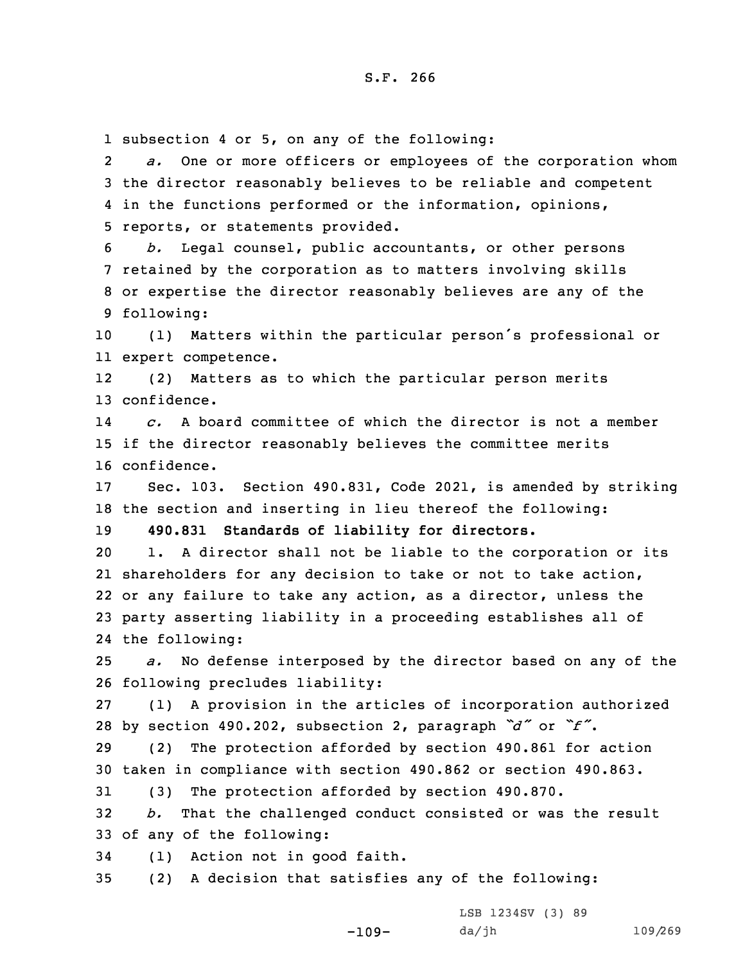1 subsection 4 or 5, on any of the following:

2 *a.* One or more officers or employees of the corporation whom 3 the director reasonably believes to be reliable and competent 4 in the functions performed or the information, opinions, 5 reports, or statements provided.

 *b.* Legal counsel, public accountants, or other persons retained by the corporation as to matters involving skills or expertise the director reasonably believes are any of the following:

<sup>10</sup> (1) Matters within the particular person's professional or 11 expert competence.

12 (2) Matters as to which the particular person merits 13 confidence.

14 *c.* A board committee of which the director is not <sup>a</sup> member 15 if the director reasonably believes the committee merits 16 confidence.

17 Sec. 103. Section 490.831, Code 2021, is amended by striking 18 the section and inserting in lieu thereof the following:

19 **490.831 Standards of liability for directors.**

 1. <sup>A</sup> director shall not be liable to the corporation or its shareholders for any decision to take or not to take action, or any failure to take any action, as <sup>a</sup> director, unless the party asserting liability in <sup>a</sup> proceeding establishes all of the following:

25 *a.* No defense interposed by the director based on any of the 26 following precludes liability:

27 (1) <sup>A</sup> provision in the articles of incorporation authorized <sup>28</sup> by section 490.202, subsection 2, paragraph *"d"* or *"f"*.

29 (2) The protection afforded by section 490.861 for action 30 taken in compliance with section 490.862 or section 490.863.

31 (3) The protection afforded by section 490.870.

32 *b.* That the challenged conduct consisted or was the result 33 of any of the following:

-109-

34 (1) Action not in good faith.

35 (2) <sup>A</sup> decision that satisfies any of the following:

LSB 1234SV (3) 89 da/jh 109/269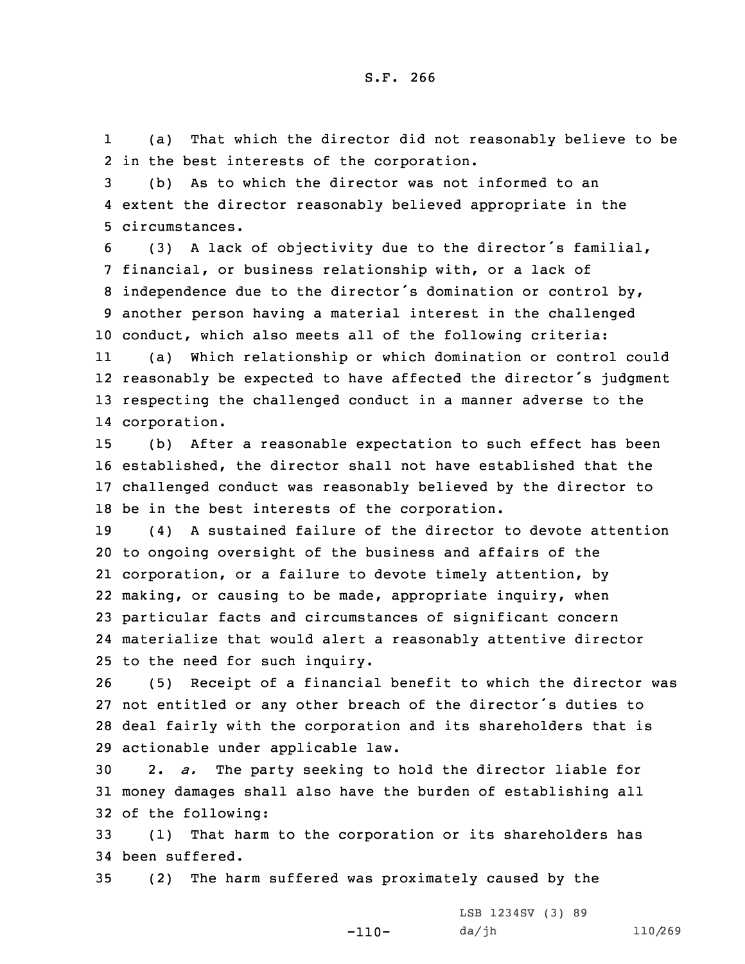1 (a) That which the director did not reasonably believe to be 2 in the best interests of the corporation.

3 (b) As to which the director was not informed to an 4 extent the director reasonably believed appropriate in the 5 circumstances.

 (3) <sup>A</sup> lack of objectivity due to the director's familial, financial, or business relationship with, or <sup>a</sup> lack of independence due to the director's domination or control by, another person having <sup>a</sup> material interest in the challenged conduct, which also meets all of the following criteria:

11 (a) Which relationship or which domination or control could 12 reasonably be expected to have affected the director's judgment 13 respecting the challenged conduct in <sup>a</sup> manner adverse to the 14 corporation.

 (b) After <sup>a</sup> reasonable expectation to such effect has been established, the director shall not have established that the challenged conduct was reasonably believed by the director to be in the best interests of the corporation.

 (4) <sup>A</sup> sustained failure of the director to devote attention to ongoing oversight of the business and affairs of the corporation, or <sup>a</sup> failure to devote timely attention, by making, or causing to be made, appropriate inquiry, when particular facts and circumstances of significant concern materialize that would alert <sup>a</sup> reasonably attentive director to the need for such inquiry.

 (5) Receipt of <sup>a</sup> financial benefit to which the director was not entitled or any other breach of the director's duties to deal fairly with the corporation and its shareholders that is actionable under applicable law.

30 2. *a.* The party seeking to hold the director liable for 31 money damages shall also have the burden of establishing all 32 of the following:

33 (1) That harm to the corporation or its shareholders has 34 been suffered.

-110-

35 (2) The harm suffered was proximately caused by the

LSB 1234SV (3) 89 da/jh 110/269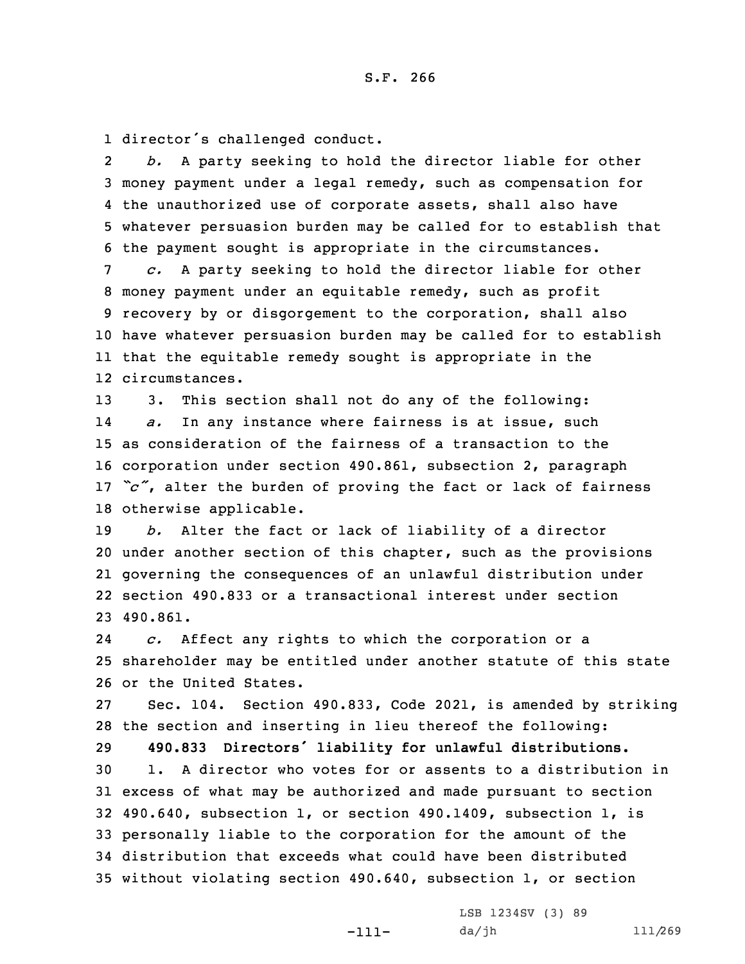1 director's challenged conduct.

2 *b.* <sup>A</sup> party seeking to hold the director liable for other money payment under <sup>a</sup> legal remedy, such as compensation for the unauthorized use of corporate assets, shall also have whatever persuasion burden may be called for to establish that the payment sought is appropriate in the circumstances.

 *c.* <sup>A</sup> party seeking to hold the director liable for other money payment under an equitable remedy, such as profit recovery by or disgorgement to the corporation, shall also have whatever persuasion burden may be called for to establish that the equitable remedy sought is appropriate in the circumstances.

 3. This section shall not do any of the following: 14 *a.* In any instance where fairness is at issue, such as consideration of the fairness of <sup>a</sup> transaction to the corporation under section 490.861, subsection 2, paragraph *"c"*, alter the burden of proving the fact or lack of fairness otherwise applicable.

 *b.* Alter the fact or lack of liability of <sup>a</sup> director under another section of this chapter, such as the provisions governing the consequences of an unlawful distribution under section 490.833 or <sup>a</sup> transactional interest under section 23 490.861.

24 *c.* Affect any rights to which the corporation or <sup>a</sup> 25 shareholder may be entitled under another statute of this state 26 or the United States.

27 Sec. 104. Section 490.833, Code 2021, is amended by striking 28 the section and inserting in lieu thereof the following:

 **490.833 Directors' liability for unlawful distributions.** 1. A director who votes for or assents to <sup>a</sup> distribution in excess of what may be authorized and made pursuant to section 490.640, subsection 1, or section 490.1409, subsection 1, is personally liable to the corporation for the amount of the distribution that exceeds what could have been distributed without violating section 490.640, subsection 1, or section

> LSB 1234SV (3) 89 da/jh 111/269

-111-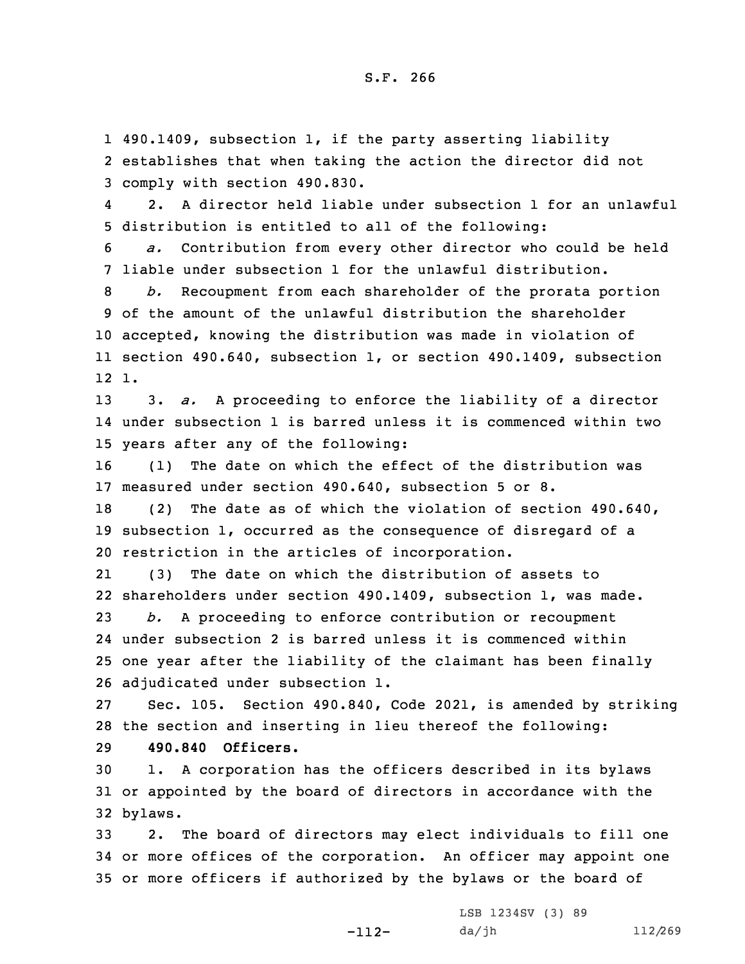1 490.1409, subsection 1, if the party asserting liability 2 establishes that when taking the action the director did not 3 comply with section 490.830.

4 2. A director held liable under subsection 1 for an unlawful 5 distribution is entitled to all of the following:

6 *a.* Contribution from every other director who could be held 7 liable under subsection 1 for the unlawful distribution.

 *b.* Recoupment from each shareholder of the prorata portion of the amount of the unlawful distribution the shareholder accepted, knowing the distribution was made in violation of section 490.640, subsection 1, or section 490.1409, subsection 12 1.

13 3. *a.* <sup>A</sup> proceeding to enforce the liability of <sup>a</sup> director 14 under subsection 1 is barred unless it is commenced within two 15 years after any of the following:

16 (1) The date on which the effect of the distribution was 17 measured under section 490.640, subsection 5 or 8.

18 (2) The date as of which the violation of section 490.640, 19 subsection 1, occurred as the consequence of disregard of <sup>a</sup> 20 restriction in the articles of incorporation.

21 (3) The date on which the distribution of assets to 22 shareholders under section 490.1409, subsection 1, was made.

 *b.* <sup>A</sup> proceeding to enforce contribution or recoupment under subsection 2 is barred unless it is commenced within one year after the liability of the claimant has been finally adjudicated under subsection 1.

27 Sec. 105. Section 490.840, Code 2021, is amended by striking 28 the section and inserting in lieu thereof the following: 29 **490.840 Officers.**

30 1. <sup>A</sup> corporation has the officers described in its bylaws 31 or appointed by the board of directors in accordance with the 32 bylaws.

33 2. The board of directors may elect individuals to fill one 34 or more offices of the corporation. An officer may appoint one 35 or more officers if authorized by the bylaws or the board of

> LSB 1234SV (3) 89 da/jh 112/269

-112-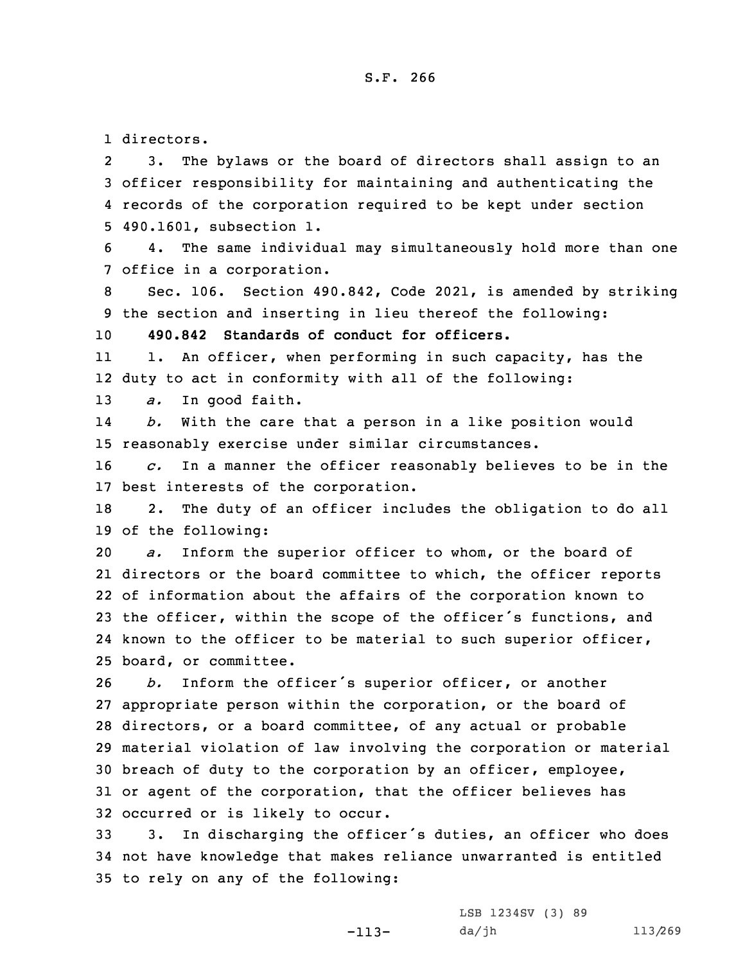1 directors.

2 3. The bylaws or the board of directors shall assign to an 3 officer responsibility for maintaining and authenticating the 4 records of the corporation required to be kept under section 5 490.1601, subsection 1.

6 4. The same individual may simultaneously hold more than one 7 office in <sup>a</sup> corporation.

8 Sec. 106. Section 490.842, Code 2021, is amended by striking 9 the section and inserting in lieu thereof the following:

10 **490.842 Standards of conduct for officers.**

11 1. An officer, when performing in such capacity, has the 12 duty to act in conformity with all of the following:

13 *a.* In good faith.

14 *b.* With the care that <sup>a</sup> person in <sup>a</sup> like position would 15 reasonably exercise under similar circumstances.

16 *c.* In <sup>a</sup> manner the officer reasonably believes to be in the 17 best interests of the corporation.

18 2. The duty of an officer includes the obligation to do all 19 of the following:

 *a.* Inform the superior officer to whom, or the board of directors or the board committee to which, the officer reports of information about the affairs of the corporation known to the officer, within the scope of the officer's functions, and known to the officer to be material to such superior officer, board, or committee.

 *b.* Inform the officer's superior officer, or another appropriate person within the corporation, or the board of directors, or <sup>a</sup> board committee, of any actual or probable material violation of law involving the corporation or material breach of duty to the corporation by an officer, employee, or agent of the corporation, that the officer believes has occurred or is likely to occur.

<sup>33</sup> 3. In discharging the officer's duties, an officer who does 34 not have knowledge that makes reliance unwarranted is entitled 35 to rely on any of the following:

> -113- LSB 1234SV (3) 89 da/jh 113/269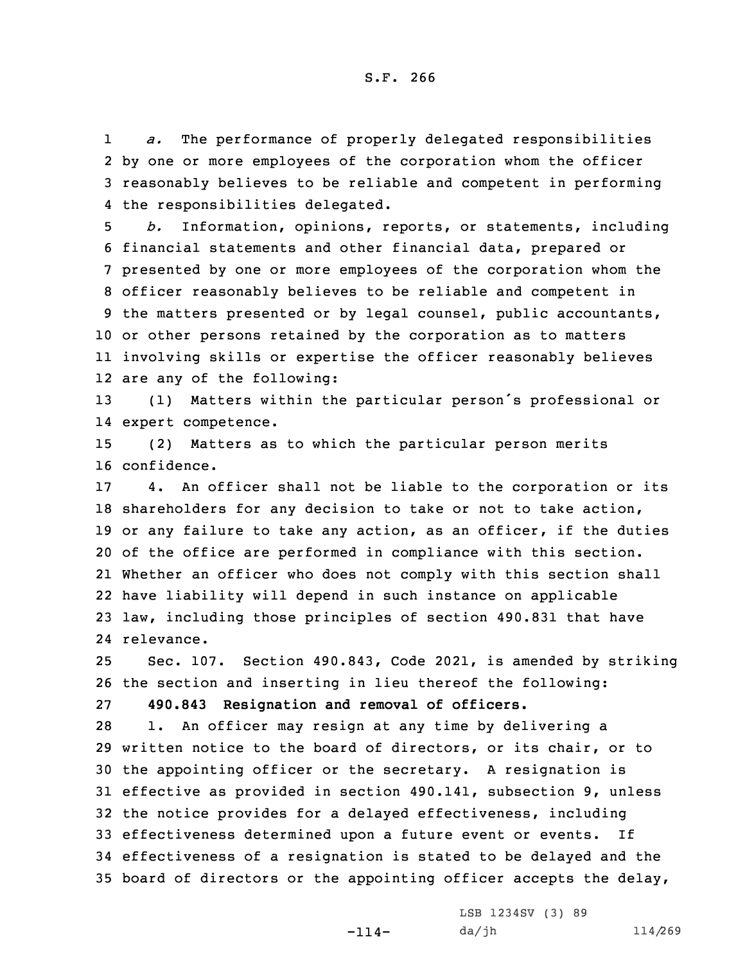1 *a.* The performance of properly delegated responsibilities 2 by one or more employees of the corporation whom the officer 3 reasonably believes to be reliable and competent in performing 4 the responsibilities delegated.

 *b.* Information, opinions, reports, or statements, including financial statements and other financial data, prepared or presented by one or more employees of the corporation whom the officer reasonably believes to be reliable and competent in the matters presented or by legal counsel, public accountants, or other persons retained by the corporation as to matters involving skills or expertise the officer reasonably believes are any of the following:

<sup>13</sup> (1) Matters within the particular person's professional or 14 expert competence.

15 (2) Matters as to which the particular person merits 16 confidence.

 4. An officer shall not be liable to the corporation or its shareholders for any decision to take or not to take action, or any failure to take any action, as an officer, if the duties of the office are performed in compliance with this section. Whether an officer who does not comply with this section shall have liability will depend in such instance on applicable law, including those principles of section 490.831 that have relevance.

25 Sec. 107. Section 490.843, Code 2021, is amended by striking 26 the section and inserting in lieu thereof the following:

27 **490.843 Resignation and removal of officers.**

 1. An officer may resign at any time by delivering <sup>a</sup> written notice to the board of directors, or its chair, or to the appointing officer or the secretary. <sup>A</sup> resignation is effective as provided in section 490.141, subsection 9, unless the notice provides for <sup>a</sup> delayed effectiveness, including effectiveness determined upon <sup>a</sup> future event or events. If effectiveness of <sup>a</sup> resignation is stated to be delayed and the board of directors or the appointing officer accepts the delay,

 $-114-$ 

LSB 1234SV (3) 89 da/jh 114/269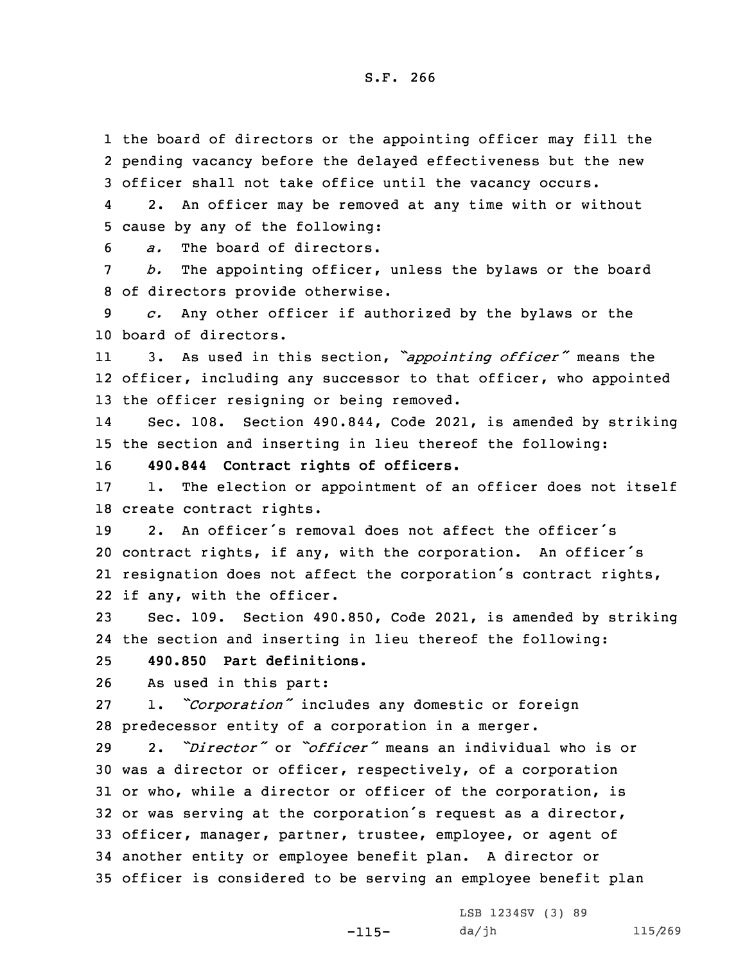S.F. 266

1 the board of directors or the appointing officer may fill the 2 pending vacancy before the delayed effectiveness but the new 3 officer shall not take office until the vacancy occurs.

4 2. An officer may be removed at any time with or without 5 cause by any of the following:

6 *a.* The board of directors.

7 *b.* The appointing officer, unless the bylaws or the board 8 of directors provide otherwise.

9 *c.* Any other officer if authorized by the bylaws or the 10 board of directors.

11 3. As used in this section, *"appointing officer"* means the 12 officer, including any successor to that officer, who appointed 13 the officer resigning or being removed.

14 Sec. 108. Section 490.844, Code 2021, is amended by striking 15 the section and inserting in lieu thereof the following:

16 **490.844 Contract rights of officers.**

17 1. The election or appointment of an officer does not itself 18 create contract rights.

 2. An officer's removal does not affect the officer's contract rights, if any, with the corporation. An officer's resignation does not affect the corporation's contract rights, if any, with the officer.

23 Sec. 109. Section 490.850, Code 2021, is amended by striking 24 the section and inserting in lieu thereof the following:

25 **490.850 Part definitions.**

26 As used in this part:

27 1. *"Corporation"* includes any domestic or foreign 28 predecessor entity of <sup>a</sup> corporation in <sup>a</sup> merger.

 2. *"Director"* or *"officer"* means an individual who is or was <sup>a</sup> director or officer, respectively, of <sup>a</sup> corporation or who, while <sup>a</sup> director or officer of the corporation, is or was serving at the corporation's request as <sup>a</sup> director, officer, manager, partner, trustee, employee, or agent of another entity or employee benefit plan. <sup>A</sup> director or officer is considered to be serving an employee benefit plan

-115-

LSB 1234SV (3) 89 da/jh 115/269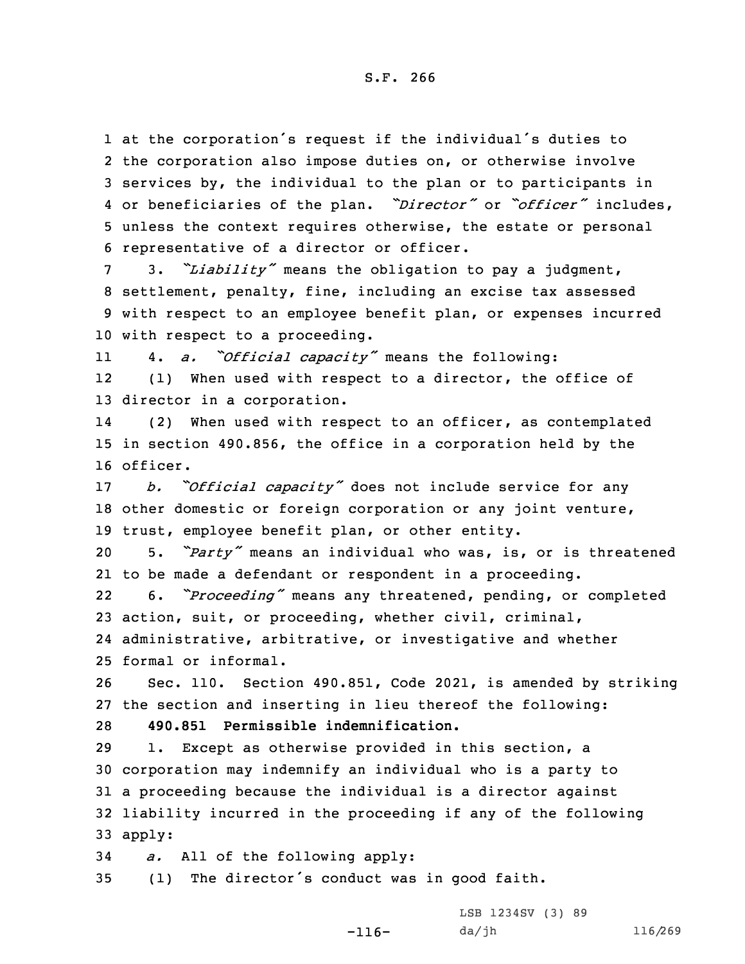at the corporation's request if the individual's duties to the corporation also impose duties on, or otherwise involve services by, the individual to the plan or to participants in or beneficiaries of the plan. *"Director"* or *"officer"* includes, unless the context requires otherwise, the estate or personal representative of <sup>a</sup> director or officer.

 3. *"Liability"* means the obligation to pay <sup>a</sup> judgment, settlement, penalty, fine, including an excise tax assessed with respect to an employee benefit plan, or expenses incurred with respect to <sup>a</sup> proceeding.

11 4. *a. "Official capacity"* means the following: 12 (1) When used with respect to <sup>a</sup> director, the office of 13 director in <sup>a</sup> corporation.

14 (2) When used with respect to an officer, as contemplated 15 in section 490.856, the office in <sup>a</sup> corporation held by the 16 officer.

<sup>17</sup> *b. "Official capacity"* does not include service for any 18 other domestic or foreign corporation or any joint venture, 19 trust, employee benefit plan, or other entity.

<sup>20</sup> 5. *"Party"* means an individual who was, is, or is threatened 21 to be made <sup>a</sup> defendant or respondent in <sup>a</sup> proceeding.

22 6. *"Proceeding"* means any threatened, pending, or completed 23 action, suit, or proceeding, whether civil, criminal,

24 administrative, arbitrative, or investigative and whether 25 formal or informal.

26 Sec. 110. Section 490.851, Code 2021, is amended by striking 27 the section and inserting in lieu thereof the following:

28 **490.851 Permissible indemnification.**

 1. Except as otherwise provided in this section, <sup>a</sup> corporation may indemnify an individual who is <sup>a</sup> party to <sup>a</sup> proceeding because the individual is <sup>a</sup> director against liability incurred in the proceeding if any of the following 33 apply:

-116-

34 *a.* All of the following apply:

<sup>35</sup> (1) The director's conduct was in good faith.

LSB 1234SV (3) 89 da/jh 116/269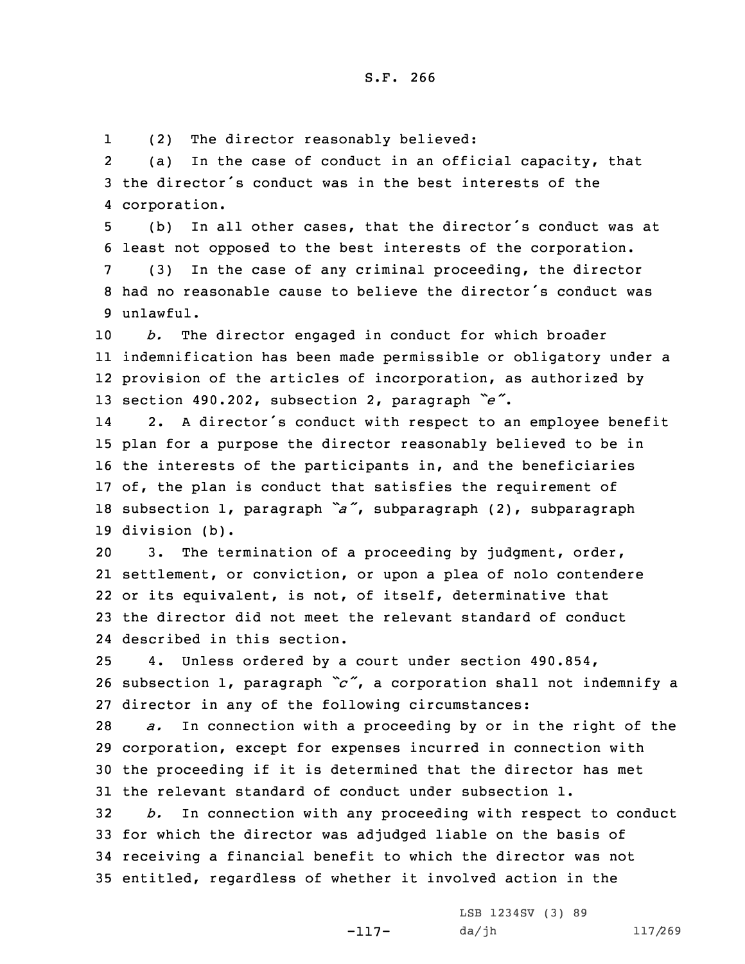1(2) The director reasonably believed:

2 (a) In the case of conduct in an official capacity, that 3 the director's conduct was in the best interests of the 4 corporation.

<sup>5</sup> (b) In all other cases, that the director's conduct was at 6 least not opposed to the best interests of the corporation.

7 (3) In the case of any criminal proceeding, the director 8 had no reasonable cause to believe the director's conduct was 9 unlawful.

 *b.* The director engaged in conduct for which broader indemnification has been made permissible or obligatory under <sup>a</sup> provision of the articles of incorporation, as authorized by section 490.202, subsection 2, paragraph *"e"*.

14 2. <sup>A</sup> director's conduct with respect to an employee benefit 15 plan for <sup>a</sup> purpose the director reasonably believed to be in 16 the interests of the participants in, and the beneficiaries 17 of, the plan is conduct that satisfies the requirement of <sup>18</sup> subsection 1, paragraph *"a"*, subparagraph (2), subparagraph 19 division (b).

 3. The termination of <sup>a</sup> proceeding by judgment, order, settlement, or conviction, or upon <sup>a</sup> plea of nolo contendere or its equivalent, is not, of itself, determinative that the director did not meet the relevant standard of conduct described in this section.

25 4. Unless ordered by <sup>a</sup> court under section 490.854, <sup>26</sup> subsection 1, paragraph *"c"*, <sup>a</sup> corporation shall not indemnify <sup>a</sup> 27 director in any of the following circumstances:

 *a.* In connection with <sup>a</sup> proceeding by or in the right of the corporation, except for expenses incurred in connection with the proceeding if it is determined that the director has met the relevant standard of conduct under subsection 1.

 *b.* In connection with any proceeding with respect to conduct for which the director was adjudged liable on the basis of receiving <sup>a</sup> financial benefit to which the director was not entitled, regardless of whether it involved action in the

-117-

LSB 1234SV (3) 89 da/jh 117/269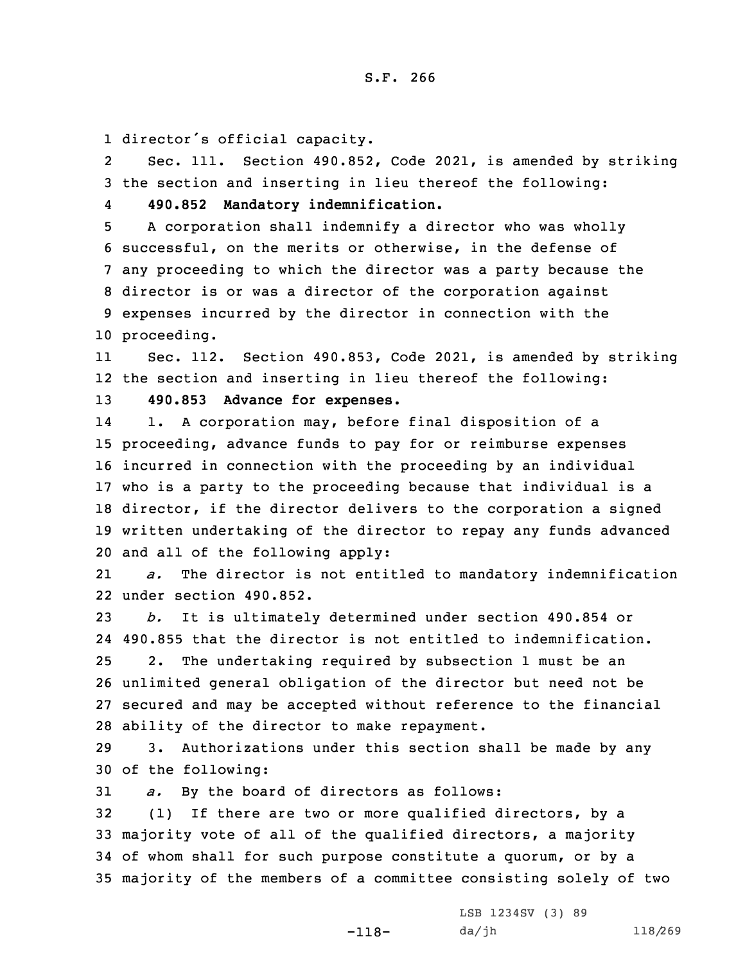1 director's official capacity.

2 Sec. 111. Section 490.852, Code 2021, is amended by striking 3 the section and inserting in lieu thereof the following:

4**490.852 Mandatory indemnification.**

 <sup>A</sup> corporation shall indemnify <sup>a</sup> director who was wholly successful, on the merits or otherwise, in the defense of any proceeding to which the director was <sup>a</sup> party because the director is or was <sup>a</sup> director of the corporation against expenses incurred by the director in connection with the proceeding.

11 Sec. 112. Section 490.853, Code 2021, is amended by striking 12 the section and inserting in lieu thereof the following:

13 **490.853 Advance for expenses.**

14 1. <sup>A</sup> corporation may, before final disposition of <sup>a</sup> proceeding, advance funds to pay for or reimburse expenses incurred in connection with the proceeding by an individual who is <sup>a</sup> party to the proceeding because that individual is <sup>a</sup> director, if the director delivers to the corporation <sup>a</sup> signed written undertaking of the director to repay any funds advanced and all of the following apply:

21 *a.* The director is not entitled to mandatory indemnification 22 under section 490.852.

 *b.* It is ultimately determined under section 490.854 or 490.855 that the director is not entitled to indemnification. 2. The undertaking required by subsection 1 must be an unlimited general obligation of the director but need not be secured and may be accepted without reference to the financial ability of the director to make repayment.

29 3. Authorizations under this section shall be made by any 30 of the following:

31 *a.* By the board of directors as follows:

 (1) If there are two or more qualified directors, by <sup>a</sup> majority vote of all of the qualified directors, <sup>a</sup> majority of whom shall for such purpose constitute <sup>a</sup> quorum, or by <sup>a</sup> majority of the members of <sup>a</sup> committee consisting solely of two

-118-

LSB 1234SV (3) 89 da/jh 118/269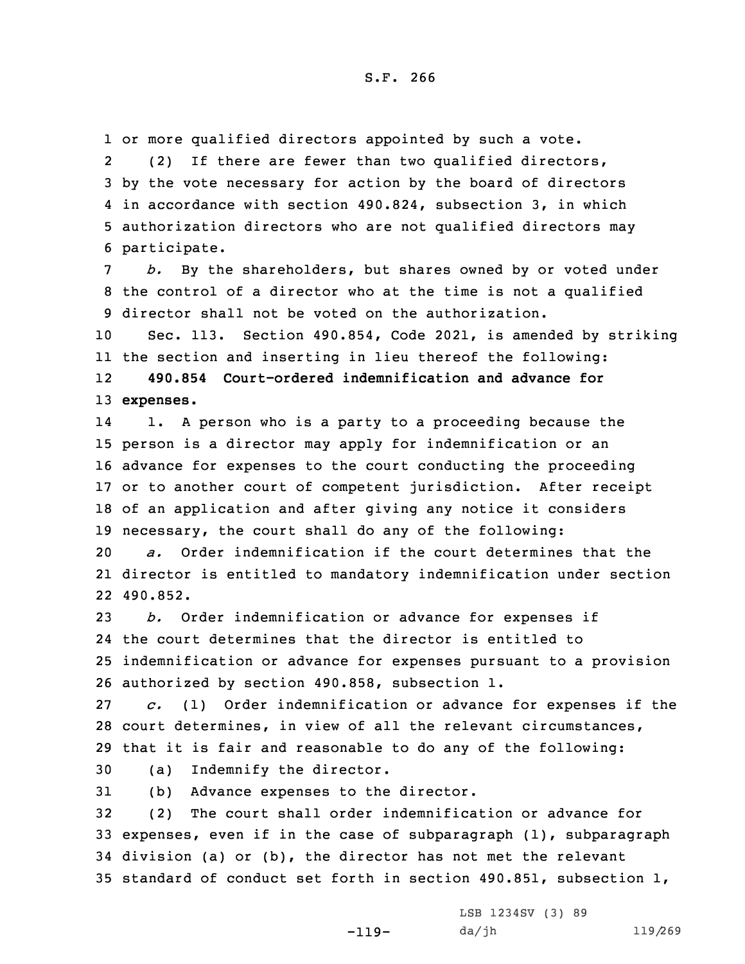1 or more qualified directors appointed by such <sup>a</sup> vote.

2 (2) If there are fewer than two qualified directors, by the vote necessary for action by the board of directors in accordance with section 490.824, subsection 3, in which authorization directors who are not qualified directors may participate.

7 *b.* By the shareholders, but shares owned by or voted under 8 the control of <sup>a</sup> director who at the time is not <sup>a</sup> qualified 9 director shall not be voted on the authorization.

10 Sec. 113. Section 490.854, Code 2021, is amended by striking 11 the section and inserting in lieu thereof the following: 12 **490.854 Court-ordered indemnification and advance for** 13 **expenses.**

14 1. <sup>A</sup> person who is <sup>a</sup> party to <sup>a</sup> proceeding because the person is <sup>a</sup> director may apply for indemnification or an advance for expenses to the court conducting the proceeding or to another court of competent jurisdiction. After receipt of an application and after giving any notice it considers necessary, the court shall do any of the following:

20 *a.* Order indemnification if the court determines that the 21 director is entitled to mandatory indemnification under section 22 490.852.

 *b.* Order indemnification or advance for expenses if the court determines that the director is entitled to indemnification or advance for expenses pursuant to <sup>a</sup> provision authorized by section 490.858, subsection 1.

27 *c.* (1) Order indemnification or advance for expenses if the 28 court determines, in view of all the relevant circumstances, 29 that it is fair and reasonable to do any of the following:

30 (a) Indemnify the director.

31 (b) Advance expenses to the director.

 (2) The court shall order indemnification or advance for expenses, even if in the case of subparagraph (1), subparagraph division (a) or (b), the director has not met the relevant standard of conduct set forth in section 490.851, subsection 1,

-119-

LSB 1234SV (3) 89 da/jh 119/269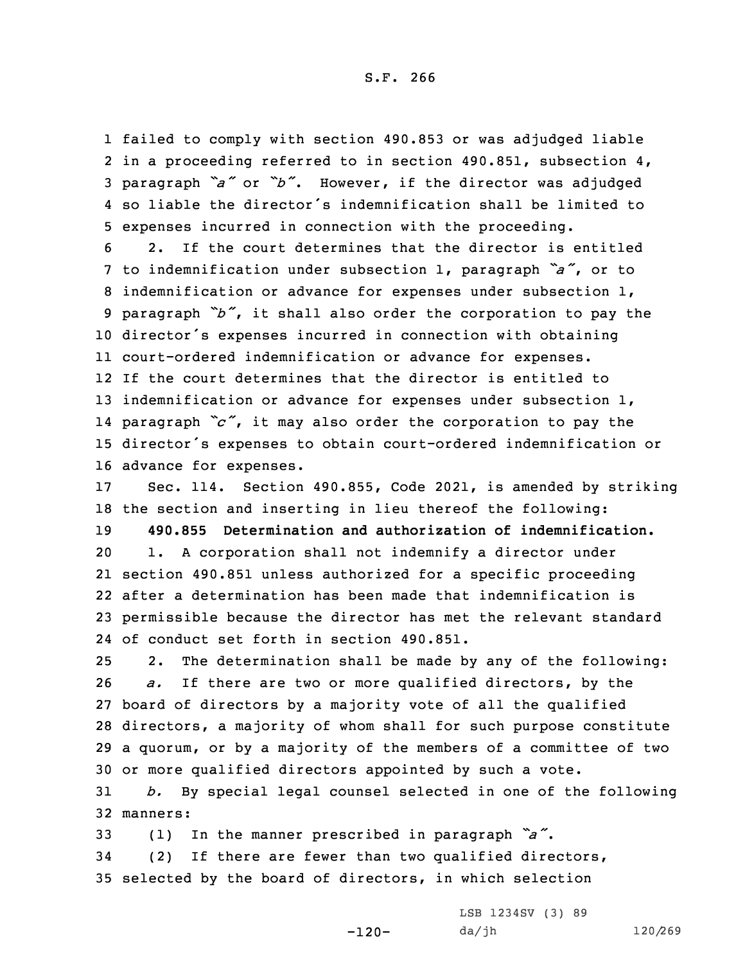S.F. 266

 failed to comply with section 490.853 or was adjudged liable in <sup>a</sup> proceeding referred to in section 490.851, subsection 4, paragraph *"a"* or *"b"*. However, if the director was adjudged so liable the director's indemnification shall be limited to expenses incurred in connection with the proceeding.

 2. If the court determines that the director is entitled to indemnification under subsection 1, paragraph *"a"*, or to indemnification or advance for expenses under subsection 1, paragraph *"b"*, it shall also order the corporation to pay the director's expenses incurred in connection with obtaining court-ordered indemnification or advance for expenses. If the court determines that the director is entitled to 13 indemnification or advance for expenses under subsection 1, paragraph *"c"*, it may also order the corporation to pay the director's expenses to obtain court-ordered indemnification or advance for expenses.

17 Sec. 114. Section 490.855, Code 2021, is amended by striking 18 the section and inserting in lieu thereof the following:

 **490.855 Determination and authorization of indemnification.** 1. <sup>A</sup> corporation shall not indemnify <sup>a</sup> director under section 490.851 unless authorized for <sup>a</sup> specific proceeding after <sup>a</sup> determination has been made that indemnification is permissible because the director has met the relevant standard of conduct set forth in section 490.851.

 2. The determination shall be made by any of the following: *a.* If there are two or more qualified directors, by the board of directors by <sup>a</sup> majority vote of all the qualified directors, <sup>a</sup> majority of whom shall for such purpose constitute <sup>a</sup> quorum, or by <sup>a</sup> majority of the members of <sup>a</sup> committee of two or more qualified directors appointed by such <sup>a</sup> vote.

31 *b.* By special legal counsel selected in one of the following 32 manners:

-120-

<sup>33</sup> (1) In the manner prescribed in paragraph *"a"*.

34 (2) If there are fewer than two qualified directors, 35 selected by the board of directors, in which selection

> LSB 1234SV (3) 89 da/jh 120/269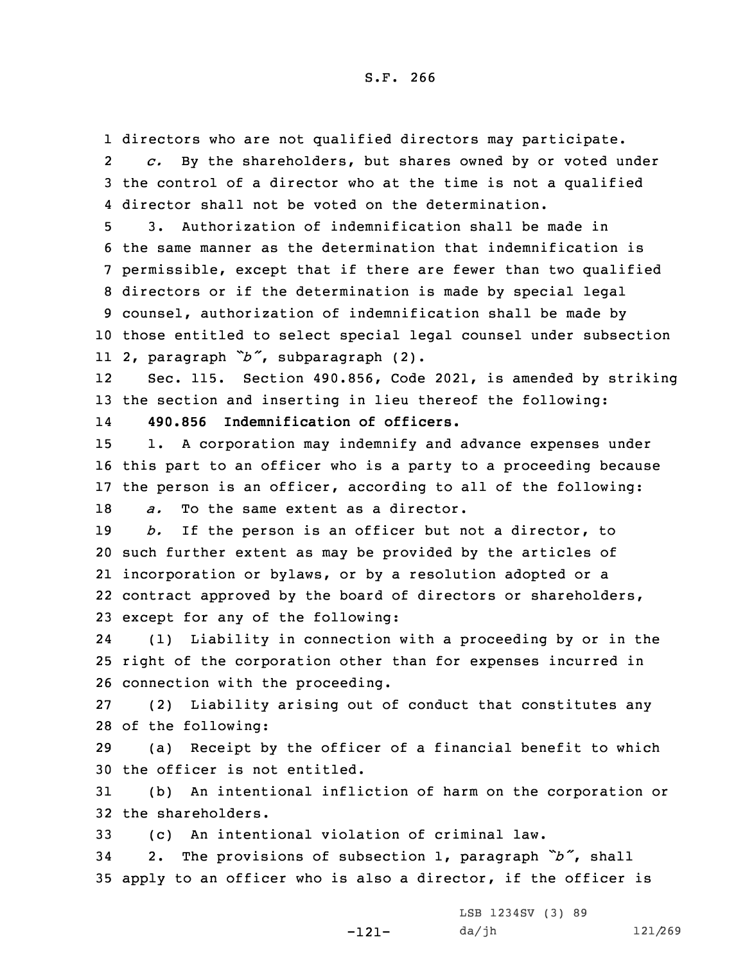1 directors who are not qualified directors may participate.

2 *c.* By the shareholders, but shares owned by or voted under 3 the control of <sup>a</sup> director who at the time is not <sup>a</sup> qualified 4 director shall not be voted on the determination.

 3. Authorization of indemnification shall be made in the same manner as the determination that indemnification is permissible, except that if there are fewer than two qualified directors or if the determination is made by special legal counsel, authorization of indemnification shall be made by those entitled to select special legal counsel under subsection 2, paragraph *"b"*, subparagraph (2).

12 Sec. 115. Section 490.856, Code 2021, is amended by striking 13 the section and inserting in lieu thereof the following:

14**490.856 Indemnification of officers.**

 1. <sup>A</sup> corporation may indemnify and advance expenses under this part to an officer who is <sup>a</sup> party to <sup>a</sup> proceeding because the person is an officer, according to all of the following: *a.* To the same extent as <sup>a</sup> director.

 *b.* If the person is an officer but not <sup>a</sup> director, to such further extent as may be provided by the articles of incorporation or bylaws, or by <sup>a</sup> resolution adopted or <sup>a</sup> contract approved by the board of directors or shareholders, except for any of the following:

24 (1) Liability in connection with <sup>a</sup> proceeding by or in the 25 right of the corporation other than for expenses incurred in 26 connection with the proceeding.

27 (2) Liability arising out of conduct that constitutes any 28 of the following:

29 (a) Receipt by the officer of <sup>a</sup> financial benefit to which 30 the officer is not entitled.

31 (b) An intentional infliction of harm on the corporation or 32 the shareholders.

33 (c) An intentional violation of criminal law.

<sup>34</sup> 2. The provisions of subsection 1, paragraph *"b"*, shall 35 apply to an officer who is also <sup>a</sup> director, if the officer is

-121-

LSB 1234SV (3) 89 da/jh 121/269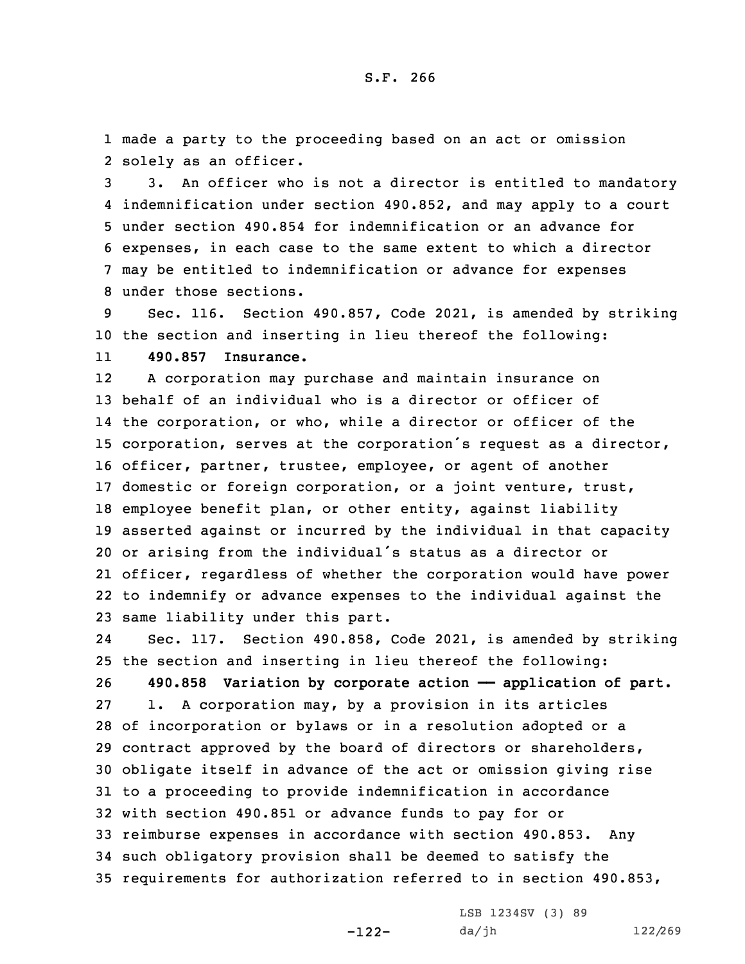1 made <sup>a</sup> party to the proceeding based on an act or omission 2 solely as an officer.

 3. An officer who is not <sup>a</sup> director is entitled to mandatory indemnification under section 490.852, and may apply to <sup>a</sup> court under section 490.854 for indemnification or an advance for expenses, in each case to the same extent to which <sup>a</sup> director may be entitled to indemnification or advance for expenses under those sections.

9 Sec. 116. Section 490.857, Code 2021, is amended by striking 10 the section and inserting in lieu thereof the following:

11**490.857 Insurance.**

12 <sup>A</sup> corporation may purchase and maintain insurance on behalf of an individual who is <sup>a</sup> director or officer of the corporation, or who, while <sup>a</sup> director or officer of the corporation, serves at the corporation's request as <sup>a</sup> director, officer, partner, trustee, employee, or agent of another domestic or foreign corporation, or <sup>a</sup> joint venture, trust, employee benefit plan, or other entity, against liability asserted against or incurred by the individual in that capacity or arising from the individual's status as <sup>a</sup> director or officer, regardless of whether the corporation would have power to indemnify or advance expenses to the individual against the same liability under this part.

24 Sec. 117. Section 490.858, Code 2021, is amended by striking 25 the section and inserting in lieu thereof the following:

 **490.858 Variation by corporate action —— application of part.** 1. <sup>A</sup> corporation may, by <sup>a</sup> provision in its articles of incorporation or bylaws or in <sup>a</sup> resolution adopted or <sup>a</sup> contract approved by the board of directors or shareholders, obligate itself in advance of the act or omission giving rise to <sup>a</sup> proceeding to provide indemnification in accordance with section 490.851 or advance funds to pay for or reimburse expenses in accordance with section 490.853. Any such obligatory provision shall be deemed to satisfy the requirements for authorization referred to in section 490.853,

-122-

LSB 1234SV (3) 89 da/jh 122/269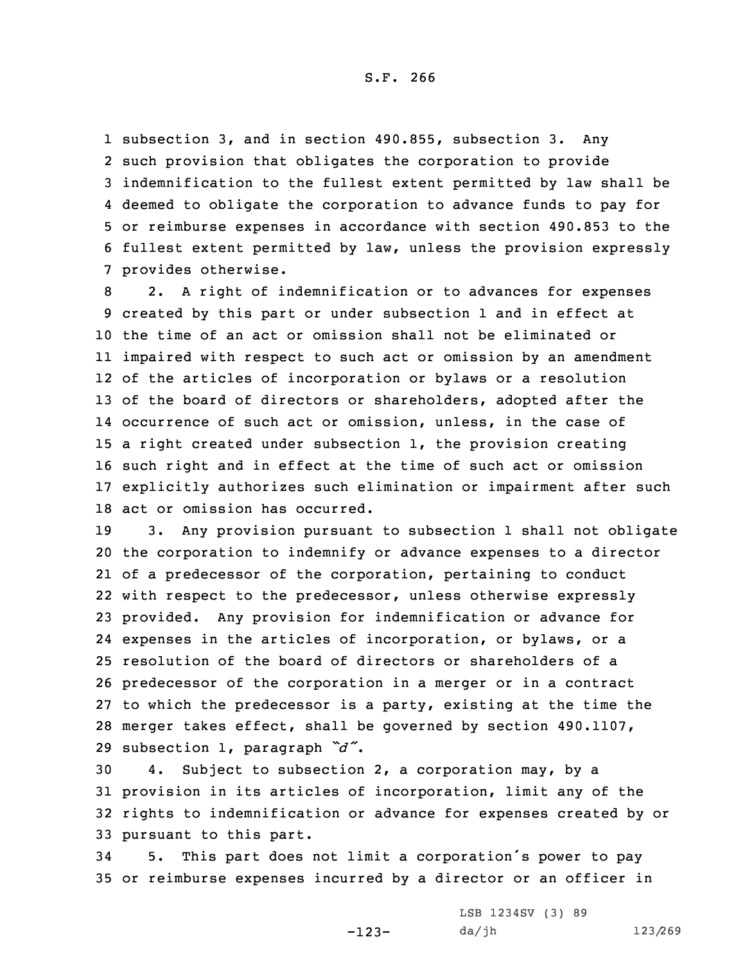S.F. 266

 subsection 3, and in section 490.855, subsection 3. Any such provision that obligates the corporation to provide indemnification to the fullest extent permitted by law shall be deemed to obligate the corporation to advance funds to pay for or reimburse expenses in accordance with section 490.853 to the fullest extent permitted by law, unless the provision expressly provides otherwise.

 2. <sup>A</sup> right of indemnification or to advances for expenses created by this part or under subsection 1 and in effect at the time of an act or omission shall not be eliminated or impaired with respect to such act or omission by an amendment of the articles of incorporation or bylaws or <sup>a</sup> resolution 13 of the board of directors or shareholders, adopted after the occurrence of such act or omission, unless, in the case of <sup>a</sup> right created under subsection 1, the provision creating such right and in effect at the time of such act or omission explicitly authorizes such elimination or impairment after such act or omission has occurred.

 3. Any provision pursuant to subsection 1 shall not obligate the corporation to indemnify or advance expenses to <sup>a</sup> director of <sup>a</sup> predecessor of the corporation, pertaining to conduct with respect to the predecessor, unless otherwise expressly provided. Any provision for indemnification or advance for expenses in the articles of incorporation, or bylaws, or <sup>a</sup> resolution of the board of directors or shareholders of <sup>a</sup> predecessor of the corporation in <sup>a</sup> merger or in <sup>a</sup> contract to which the predecessor is <sup>a</sup> party, existing at the time the merger takes effect, shall be governed by section 490.1107, subsection 1, paragraph *"d"*.

 4. Subject to subsection 2, <sup>a</sup> corporation may, by <sup>a</sup> provision in its articles of incorporation, limit any of the rights to indemnification or advance for expenses created by or pursuant to this part.

<sup>34</sup> 5. This part does not limit <sup>a</sup> corporation's power to pay 35 or reimburse expenses incurred by <sup>a</sup> director or an officer in

-123-

LSB 1234SV (3) 89 da/jh 123/269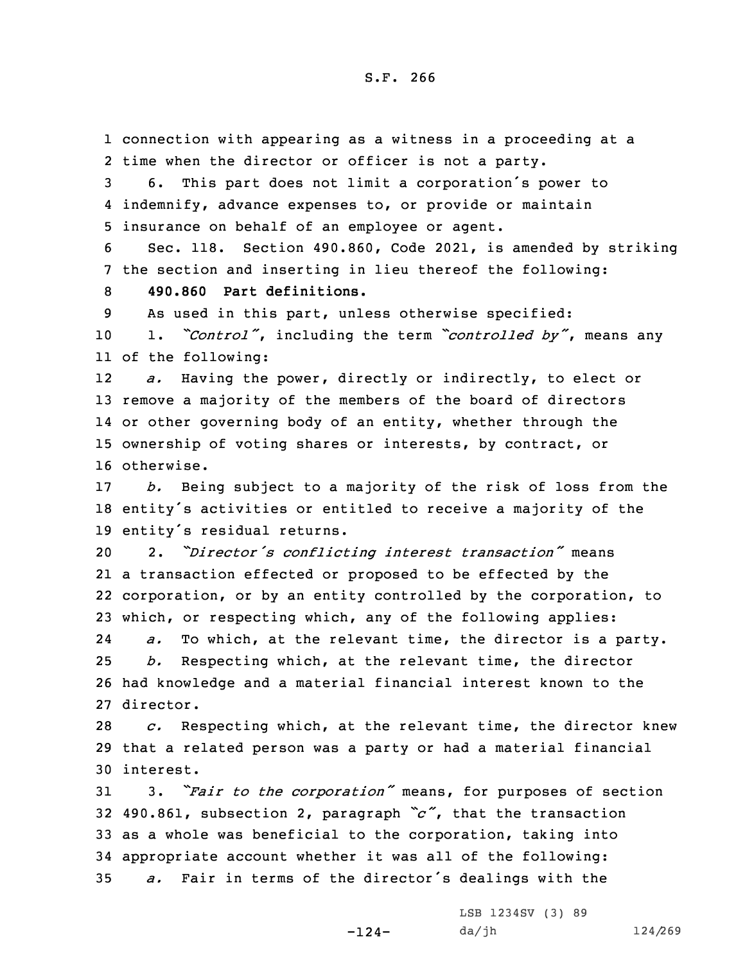1 connection with appearing as <sup>a</sup> witness in <sup>a</sup> proceeding at <sup>a</sup> 2 time when the director or officer is not <sup>a</sup> party.

<sup>3</sup> 6. This part does not limit <sup>a</sup> corporation's power to 4 indemnify, advance expenses to, or provide or maintain 5 insurance on behalf of an employee or agent.

6 Sec. 118. Section 490.860, Code 2021, is amended by striking 7 the section and inserting in lieu thereof the following:

8 **490.860 Part definitions.**

9 As used in this part, unless otherwise specified:

<sup>10</sup> 1. *"Control"*, including the term *"controlled by"*, means any 11 of the following:

12 *a.* Having the power, directly or indirectly, to elect or remove <sup>a</sup> majority of the members of the board of directors or other governing body of an entity, whether through the ownership of voting shares or interests, by contract, or otherwise.

17 *b.* Being subject to <sup>a</sup> majority of the risk of loss from the <sup>18</sup> entity's activities or entitled to receive <sup>a</sup> majority of the <sup>19</sup> entity's residual returns.

 2. *"Director's conflicting interest transaction"* means <sup>a</sup> transaction effected or proposed to be effected by the corporation, or by an entity controlled by the corporation, to which, or respecting which, any of the following applies:

24 *a.* To which, at the relevant time, the director is <sup>a</sup> party. 25 *b.* Respecting which, at the relevant time, the director 26 had knowledge and <sup>a</sup> material financial interest known to the 27 director.

28 *c.* Respecting which, at the relevant time, the director knew 29 that <sup>a</sup> related person was <sup>a</sup> party or had <sup>a</sup> material financial 30 interest.

 3. *"Fair to the corporation"* means, for purposes of section 490.861, subsection 2, paragraph *"c"*, that the transaction as <sup>a</sup> whole was beneficial to the corporation, taking into appropriate account whether it was all of the following: *a.* Fair in terms of the director's dealings with the

-124-

LSB 1234SV (3) 89 da/jh 124/269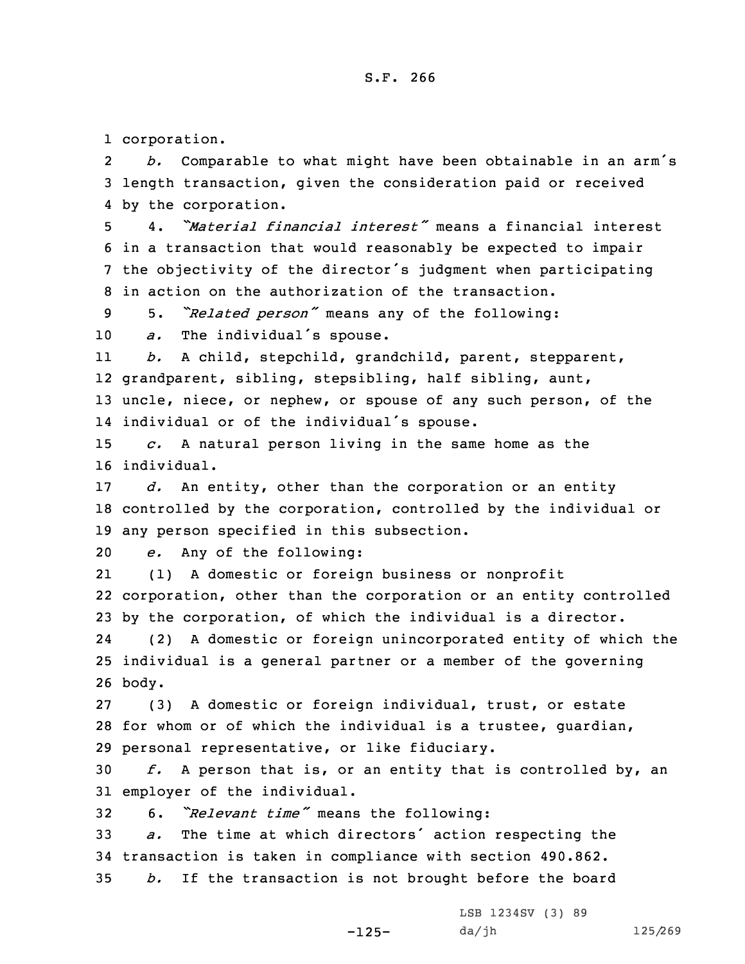1 corporation.

2 *b.* Comparable to what might have been obtainable in an arm's 3 length transaction, given the consideration paid or received 4 by the corporation.

 4. *"Material financial interest"* means <sup>a</sup> financial interest in <sup>a</sup> transaction that would reasonably be expected to impair the objectivity of the director's judgment when participating in action on the authorization of the transaction.

<sup>9</sup> 5. *"Related person"* means any of the following:

<sup>10</sup> *a.* The individual's spouse.

11 *b.* <sup>A</sup> child, stepchild, grandchild, parent, stepparent, 12 grandparent, sibling, stepsibling, half sibling, aunt, 13 uncle, niece, or nephew, or spouse of any such person, of the 14 individual or of the individual's spouse.

15 *c.* <sup>A</sup> natural person living in the same home as the 16 individual.

17 *d.* An entity, other than the corporation or an entity 18 controlled by the corporation, controlled by the individual or 19 any person specified in this subsection.

20 *e.* Any of the following:

21 (1) <sup>A</sup> domestic or foreign business or nonprofit 22 corporation, other than the corporation or an entity controlled 23 by the corporation, of which the individual is <sup>a</sup> director.

24 (2) <sup>A</sup> domestic or foreign unincorporated entity of which the 25 individual is <sup>a</sup> general partner or <sup>a</sup> member of the governing 26 body.

27 (3) <sup>A</sup> domestic or foreign individual, trust, or estate 28 for whom or of which the individual is <sup>a</sup> trustee, guardian, 29 personal representative, or like fiduciary.

30 *f.* <sup>A</sup> person that is, or an entity that is controlled by, an 31 employer of the individual.

<sup>32</sup> 6. *"Relevant time"* means the following:

<sup>33</sup> *a.* The time at which directors' action respecting the 34 transaction is taken in compliance with section 490.862.

35 *b.* If the transaction is not brought before the board

-125-

LSB 1234SV (3) 89 da/jh 125/269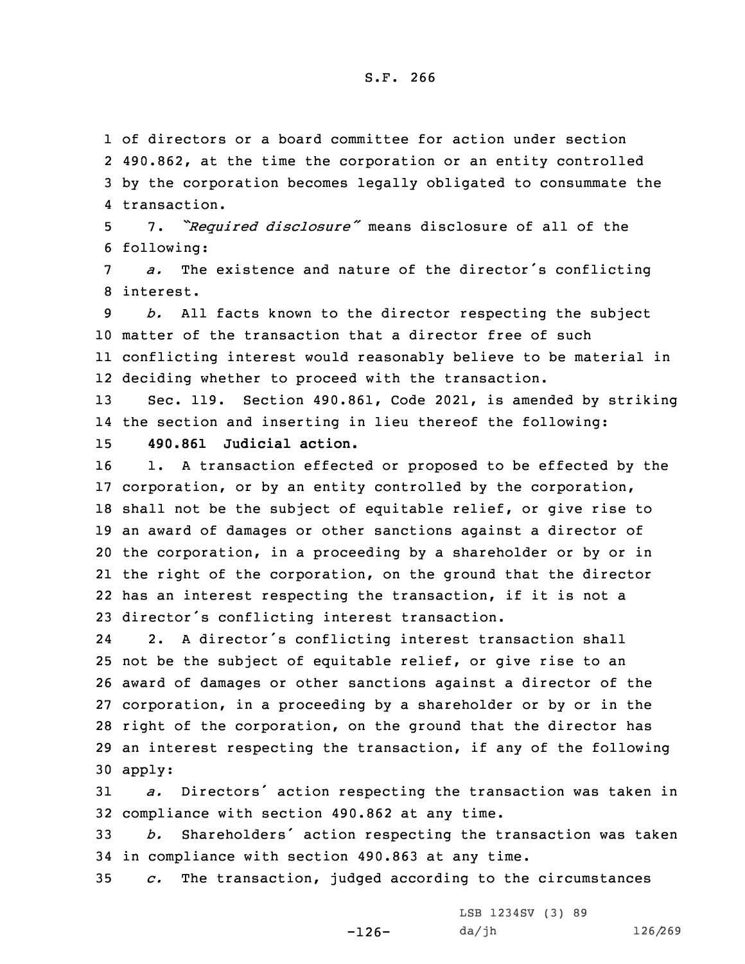of directors or <sup>a</sup> board committee for action under section 490.862, at the time the corporation or an entity controlled by the corporation becomes legally obligated to consummate the transaction.

<sup>5</sup> 7. *"Required disclosure"* means disclosure of all of the 6 following:

<sup>7</sup> *a.* The existence and nature of the director's conflicting 8 interest.

 *b.* All facts known to the director respecting the subject matter of the transaction that <sup>a</sup> director free of such conflicting interest would reasonably believe to be material in deciding whether to proceed with the transaction.

13 Sec. 119. Section 490.861, Code 2021, is amended by striking 14 the section and inserting in lieu thereof the following:

15 **490.861 Judicial action.**

16 1. A transaction effected or proposed to be effected by the corporation, or by an entity controlled by the corporation, shall not be the subject of equitable relief, or give rise to an award of damages or other sanctions against <sup>a</sup> director of the corporation, in <sup>a</sup> proceeding by <sup>a</sup> shareholder or by or in the right of the corporation, on the ground that the director has an interest respecting the transaction, if it is not <sup>a</sup> director's conflicting interest transaction.

24 2. <sup>A</sup> director's conflicting interest transaction shall not be the subject of equitable relief, or give rise to an award of damages or other sanctions against <sup>a</sup> director of the corporation, in <sup>a</sup> proceeding by <sup>a</sup> shareholder or by or in the right of the corporation, on the ground that the director has an interest respecting the transaction, if any of the following 30 apply:

<sup>31</sup> *a.* Directors' action respecting the transaction was taken in 32 compliance with section 490.862 at any time.

<sup>33</sup> *b.* Shareholders' action respecting the transaction was taken 34 in compliance with section 490.863 at any time.

-126-

35 *c.* The transaction, judged according to the circumstances

LSB 1234SV (3) 89 da/jh 126/269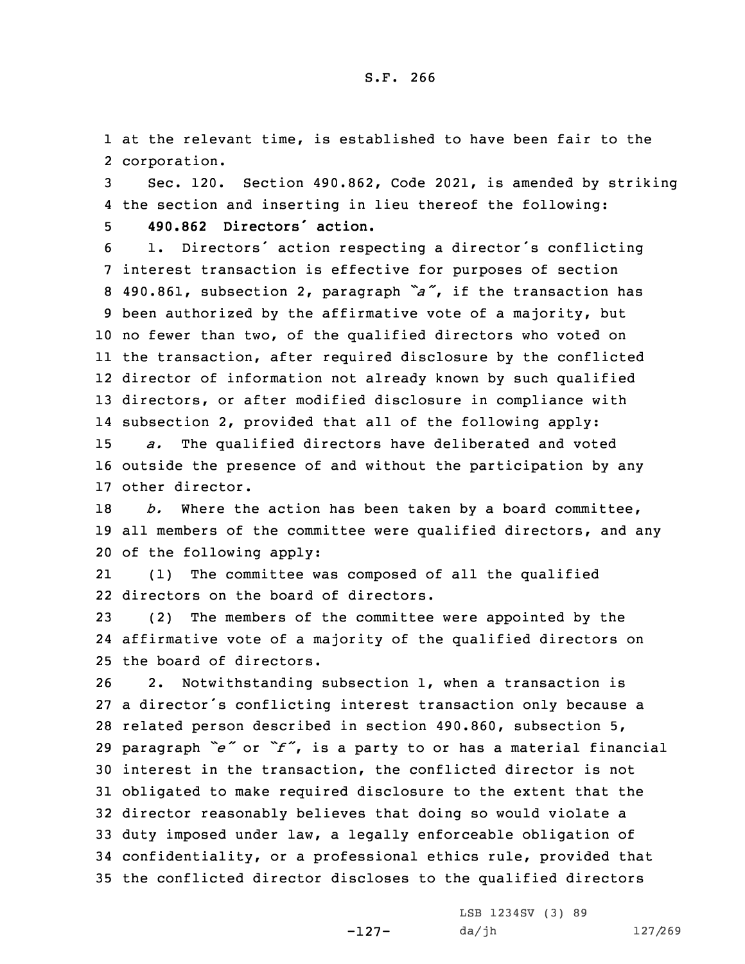1 at the relevant time, is established to have been fair to the 2 corporation.

3 Sec. 120. Section 490.862, Code 2021, is amended by striking 4 the section and inserting in lieu thereof the following:

5 **490.862 Directors' action.**

 1. Directors' action respecting <sup>a</sup> director's conflicting interest transaction is effective for purposes of section 490.861, subsection 2, paragraph *"a"*, if the transaction has been authorized by the affirmative vote of <sup>a</sup> majority, but no fewer than two, of the qualified directors who voted on the transaction, after required disclosure by the conflicted director of information not already known by such qualified directors, or after modified disclosure in compliance with subsection 2, provided that all of the following apply: *a.* The qualified directors have deliberated and voted outside the presence of and without the participation by any

17 other director.

18 *b.* Where the action has been taken by <sup>a</sup> board committee, 19 all members of the committee were qualified directors, and any 20 of the following apply:

21 (1) The committee was composed of all the qualified 22 directors on the board of directors.

23 (2) The members of the committee were appointed by the 24 affirmative vote of <sup>a</sup> majority of the qualified directors on 25 the board of directors.

 2. Notwithstanding subsection 1, when <sup>a</sup> transaction is <sup>a</sup> director's conflicting interest transaction only because <sup>a</sup> related person described in section 490.860, subsection 5, paragraph *"e"* or *"f"*, is <sup>a</sup> party to or has <sup>a</sup> material financial interest in the transaction, the conflicted director is not obligated to make required disclosure to the extent that the director reasonably believes that doing so would violate <sup>a</sup> duty imposed under law, <sup>a</sup> legally enforceable obligation of confidentiality, or <sup>a</sup> professional ethics rule, provided that the conflicted director discloses to the qualified directors

-127-

LSB 1234SV (3) 89 da/jh 127/269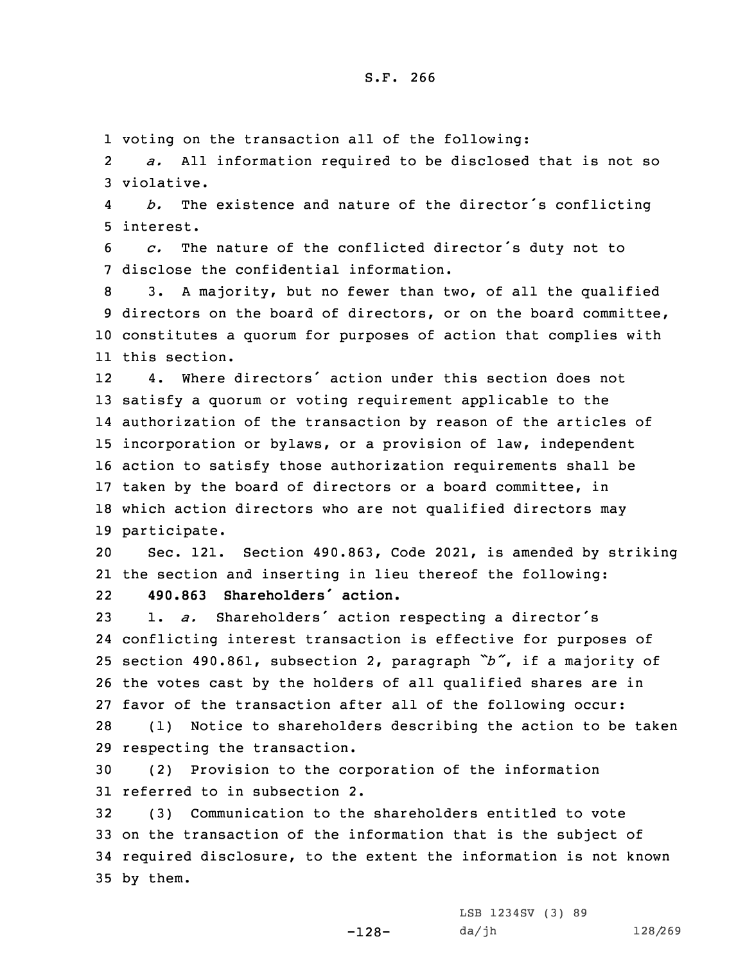1 voting on the transaction all of the following:

2 *a.* All information required to be disclosed that is not so 3 violative.

4 *b.* The existence and nature of the director's conflicting 5 interest.

<sup>6</sup> *c.* The nature of the conflicted director's duty not to 7 disclose the confidential information.

 3. <sup>A</sup> majority, but no fewer than two, of all the qualified directors on the board of directors, or on the board committee, constitutes <sup>a</sup> quorum for purposes of action that complies with this section.

12 4. Where directors' action under this section does not satisfy <sup>a</sup> quorum or voting requirement applicable to the authorization of the transaction by reason of the articles of incorporation or bylaws, or <sup>a</sup> provision of law, independent action to satisfy those authorization requirements shall be taken by the board of directors or <sup>a</sup> board committee, in which action directors who are not qualified directors may participate.

20 Sec. 121. Section 490.863, Code 2021, is amended by striking 21 the section and inserting in lieu thereof the following:

22**490.863 Shareholders' action.**

 1. *a.* Shareholders' action respecting <sup>a</sup> director's conflicting interest transaction is effective for purposes of section 490.861, subsection 2, paragraph *"b"*, if <sup>a</sup> majority of the votes cast by the holders of all qualified shares are in favor of the transaction after all of the following occur: (1) Notice to shareholders describing the action to be taken

29 respecting the transaction.

30 (2) Provision to the corporation of the information 31 referred to in subsection 2.

 (3) Communication to the shareholders entitled to vote on the transaction of the information that is the subject of required disclosure, to the extent the information is not known 35 by them.

-128-

LSB 1234SV (3) 89 da/jh 128/269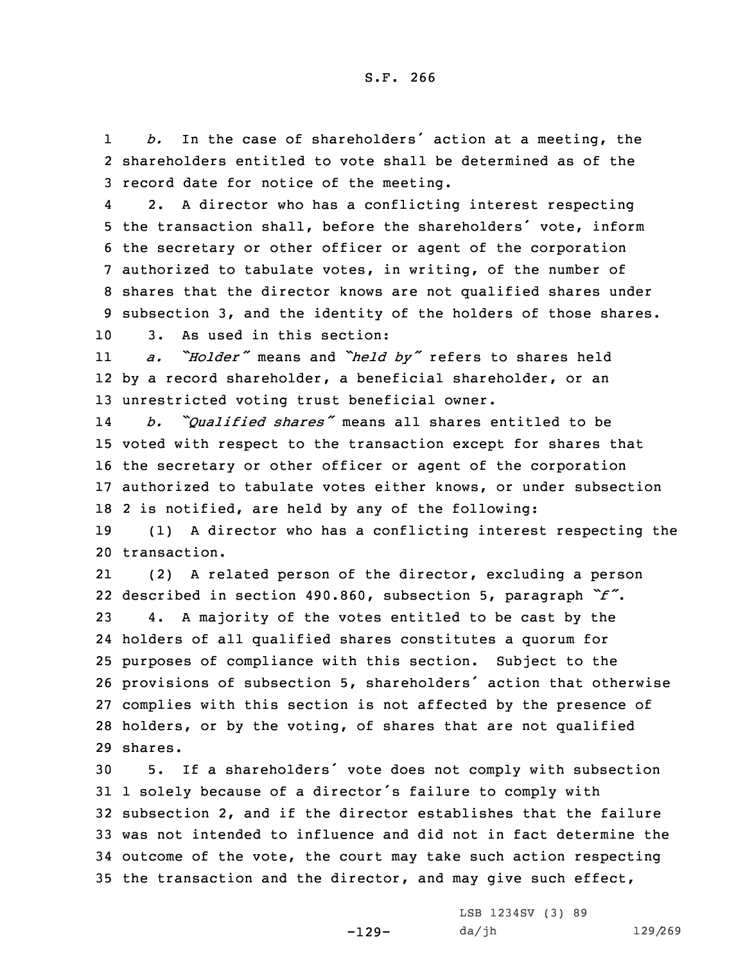1 *b.* In the case of shareholders' action at <sup>a</sup> meeting, the 2 shareholders entitled to vote shall be determined as of the 3 record date for notice of the meeting.

4 2. <sup>A</sup> director who has <sup>a</sup> conflicting interest respecting the transaction shall, before the shareholders' vote, inform the secretary or other officer or agent of the corporation authorized to tabulate votes, in writing, of the number of shares that the director knows are not qualified shares under subsection 3, and the identity of the holders of those shares.

10 3. As used in this section:

11 *a. "Holder"* means and *"held by"* refers to shares held 12 by <sup>a</sup> record shareholder, <sup>a</sup> beneficial shareholder, or an 13 unrestricted voting trust beneficial owner.

14 *b. "Qualified shares"* means all shares entitled to be voted with respect to the transaction except for shares that the secretary or other officer or agent of the corporation authorized to tabulate votes either knows, or under subsection 2 is notified, are held by any of the following:

19 (1) <sup>A</sup> director who has <sup>a</sup> conflicting interest respecting the 20 transaction.

21 (2) <sup>A</sup> related person of the director, excluding <sup>a</sup> person described in section 490.860, subsection 5, paragraph *"f"*. 4. <sup>A</sup> majority of the votes entitled to be cast by the holders of all qualified shares constitutes <sup>a</sup> quorum for purposes of compliance with this section. Subject to the provisions of subsection 5, shareholders' action that otherwise complies with this section is not affected by the presence of holders, or by the voting, of shares that are not qualified 29 shares.

 5. If <sup>a</sup> shareholders' vote does not comply with subsection <sup>1</sup> solely because of <sup>a</sup> director's failure to comply with subsection 2, and if the director establishes that the failure was not intended to influence and did not in fact determine the outcome of the vote, the court may take such action respecting the transaction and the director, and may give such effect,

-129-

LSB 1234SV (3) 89 da/jh 129/269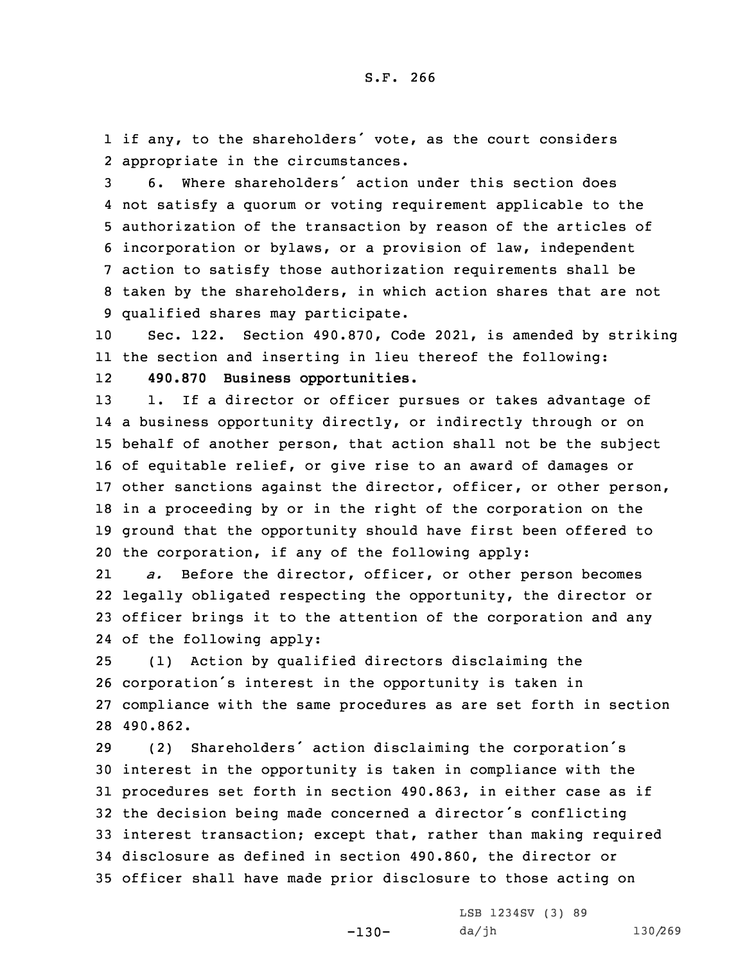1 if any, to the shareholders' vote, as the court considers 2 appropriate in the circumstances.

 6. Where shareholders' action under this section does not satisfy <sup>a</sup> quorum or voting requirement applicable to the authorization of the transaction by reason of the articles of incorporation or bylaws, or <sup>a</sup> provision of law, independent action to satisfy those authorization requirements shall be taken by the shareholders, in which action shares that are not qualified shares may participate.

10 Sec. 122. Section 490.870, Code 2021, is amended by striking 11 the section and inserting in lieu thereof the following: 12**490.870 Business opportunities.**

13 1. If a director or officer pursues or takes advantage of <sup>a</sup> business opportunity directly, or indirectly through or on behalf of another person, that action shall not be the subject of equitable relief, or give rise to an award of damages or other sanctions against the director, officer, or other person, in <sup>a</sup> proceeding by or in the right of the corporation on the ground that the opportunity should have first been offered to the corporation, if any of the following apply:

21 *a.* Before the director, officer, or other person becomes 22 legally obligated respecting the opportunity, the director or 23 officer brings it to the attention of the corporation and any 24 of the following apply:

 (1) Action by qualified directors disclaiming the corporation's interest in the opportunity is taken in compliance with the same procedures as are set forth in section 28 490.862.

 (2) Shareholders' action disclaiming the corporation's interest in the opportunity is taken in compliance with the procedures set forth in section 490.863, in either case as if the decision being made concerned <sup>a</sup> director's conflicting interest transaction; except that, rather than making required disclosure as defined in section 490.860, the director or officer shall have made prior disclosure to those acting on

 $-130-$ 

LSB 1234SV (3) 89 da/jh 130/269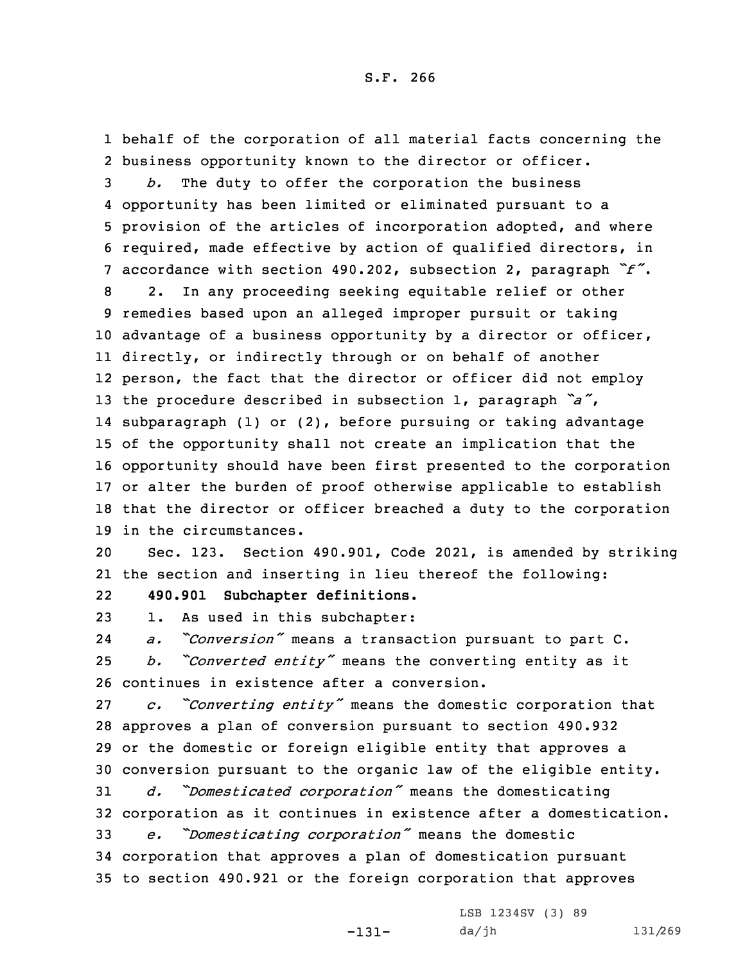behalf of the corporation of all material facts concerning the business opportunity known to the director or officer. *b.* The duty to offer the corporation the business opportunity has been limited or eliminated pursuant to <sup>a</sup> provision of the articles of incorporation adopted, and where required, made effective by action of qualified directors, in accordance with section 490.202, subsection 2, paragraph *"f"*. 2. In any proceeding seeking equitable relief or other remedies based upon an alleged improper pursuit or taking advantage of <sup>a</sup> business opportunity by <sup>a</sup> director or officer, directly, or indirectly through or on behalf of another person, the fact that the director or officer did not employ the procedure described in subsection 1, paragraph *"a"*, subparagraph (1) or (2), before pursuing or taking advantage of the opportunity shall not create an implication that the opportunity should have been first presented to the corporation or alter the burden of proof otherwise applicable to establish that the director or officer breached <sup>a</sup> duty to the corporation in the circumstances.

20 Sec. 123. Section 490.901, Code 2021, is amended by striking 21 the section and inserting in lieu thereof the following:

22**490.901 Subchapter definitions.**

23 1. As used in this subchapter:

24*a. "Conversion"* means <sup>a</sup> transaction pursuant to part C.

<sup>25</sup> *b. "Converted entity"* means the converting entity as it 26 continues in existence after <sup>a</sup> conversion.

 *c. "Converting entity"* means the domestic corporation that approves <sup>a</sup> plan of conversion pursuant to section 490.932 or the domestic or foreign eligible entity that approves <sup>a</sup> conversion pursuant to the organic law of the eligible entity.

<sup>31</sup> *d. "Domesticated corporation"* means the domesticating 32 corporation as it continues in existence after <sup>a</sup> domestication.

<sup>33</sup> *e. "Domesticating corporation"* means the domestic 34 corporation that approves <sup>a</sup> plan of domestication pursuant 35 to section 490.921 or the foreign corporation that approves

-131-

LSB 1234SV (3) 89 da/jh 131/269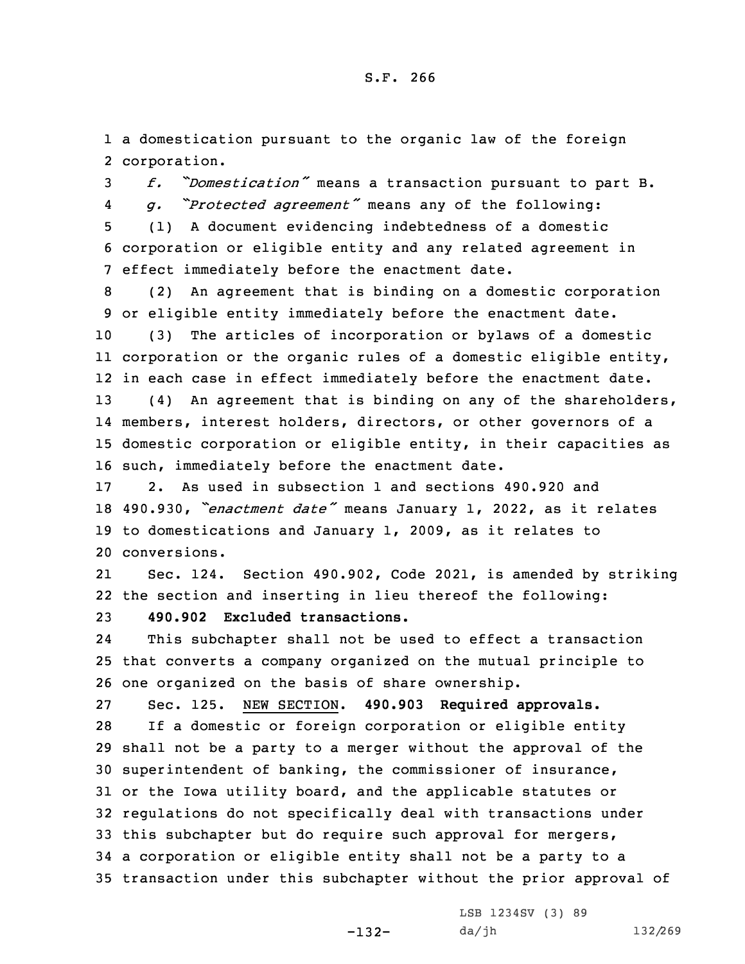1 <sup>a</sup> domestication pursuant to the organic law of the foreign 2 corporation.

 *f. "Domestication"* means <sup>a</sup> transaction pursuant to part B. 4 *g. "Protected agreement"* means any of the following: (1) <sup>A</sup> document evidencing indebtedness of <sup>a</sup> domestic corporation or eligible entity and any related agreement in effect immediately before the enactment date.

8 (2) An agreement that is binding on <sup>a</sup> domestic corporation 9 or eligible entity immediately before the enactment date.

10 (3) The articles of incorporation or bylaws of <sup>a</sup> domestic 11 corporation or the organic rules of <sup>a</sup> domestic eligible entity, 12 in each case in effect immediately before the enactment date.

 (4) An agreement that is binding on any of the shareholders, members, interest holders, directors, or other governors of <sup>a</sup> domestic corporation or eligible entity, in their capacities as such, immediately before the enactment date.

 2. As used in subsection 1 and sections 490.920 and 490.930, *"enactment date"* means January 1, 2022, as it relates to domestications and January 1, 2009, as it relates to conversions.

21 Sec. 124. Section 490.902, Code 2021, is amended by striking 22 the section and inserting in lieu thereof the following:

23 **490.902 Excluded transactions.**

24 This subchapter shall not be used to effect <sup>a</sup> transaction 25 that converts <sup>a</sup> company organized on the mutual principle to 26 one organized on the basis of share ownership.

27 Sec. 125. NEW SECTION. **490.903 Required approvals.**

 If <sup>a</sup> domestic or foreign corporation or eligible entity shall not be <sup>a</sup> party to <sup>a</sup> merger without the approval of the superintendent of banking, the commissioner of insurance, or the Iowa utility board, and the applicable statutes or regulations do not specifically deal with transactions under this subchapter but do require such approval for mergers, <sup>a</sup> corporation or eligible entity shall not be <sup>a</sup> party to <sup>a</sup> transaction under this subchapter without the prior approval of

-132-

LSB 1234SV (3) 89 da/jh 132/269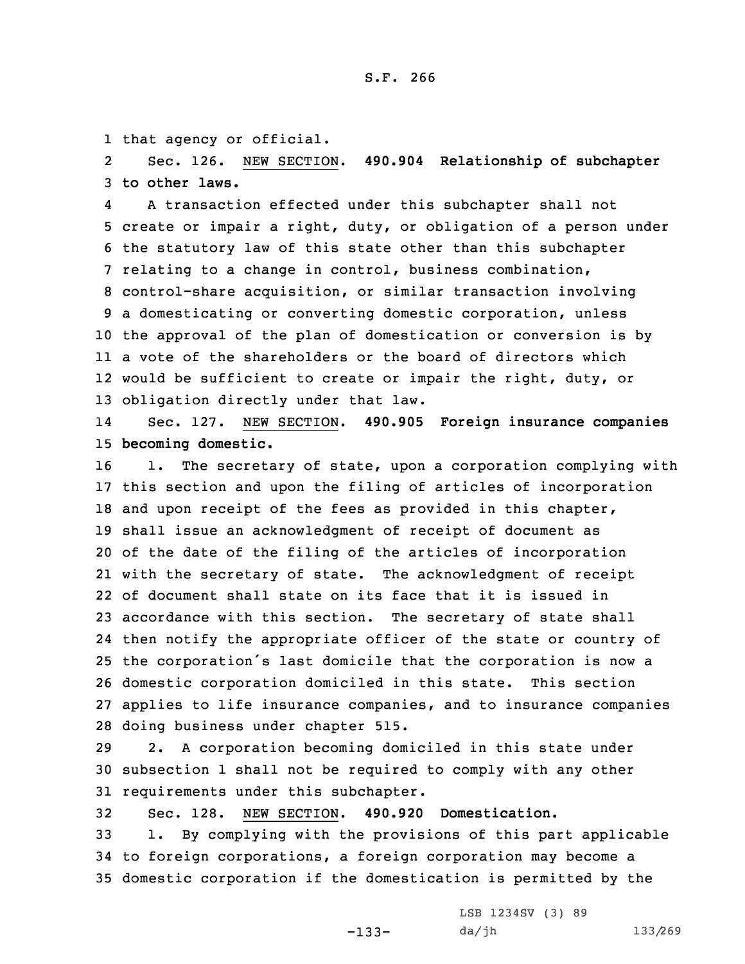1 that agency or official.

2 Sec. 126. NEW SECTION. **490.904 Relationship of subchapter** 3 **to other laws.**

4 <sup>A</sup> transaction effected under this subchapter shall not create or impair <sup>a</sup> right, duty, or obligation of <sup>a</sup> person under the statutory law of this state other than this subchapter relating to <sup>a</sup> change in control, business combination, control-share acquisition, or similar transaction involving <sup>a</sup> domesticating or converting domestic corporation, unless the approval of the plan of domestication or conversion is by <sup>a</sup> vote of the shareholders or the board of directors which would be sufficient to create or impair the right, duty, or obligation directly under that law.

14 Sec. 127. NEW SECTION. **490.905 Foreign insurance companies** 15 **becoming domestic.**

16 1. The secretary of state, upon a corporation complying with this section and upon the filing of articles of incorporation 18 and upon receipt of the fees as provided in this chapter, shall issue an acknowledgment of receipt of document as of the date of the filing of the articles of incorporation with the secretary of state. The acknowledgment of receipt of document shall state on its face that it is issued in accordance with this section. The secretary of state shall then notify the appropriate officer of the state or country of the corporation's last domicile that the corporation is now <sup>a</sup> domestic corporation domiciled in this state. This section applies to life insurance companies, and to insurance companies doing business under chapter 515.

29 2. <sup>A</sup> corporation becoming domiciled in this state under 30 subsection 1 shall not be required to comply with any other 31 requirements under this subchapter.

32 Sec. 128. NEW SECTION. **490.920 Domestication.**

33 1. By complying with the provisions of this part applicable 34 to foreign corporations, <sup>a</sup> foreign corporation may become <sup>a</sup> 35 domestic corporation if the domestication is permitted by the

-133-

LSB 1234SV (3) 89 da/jh 133/269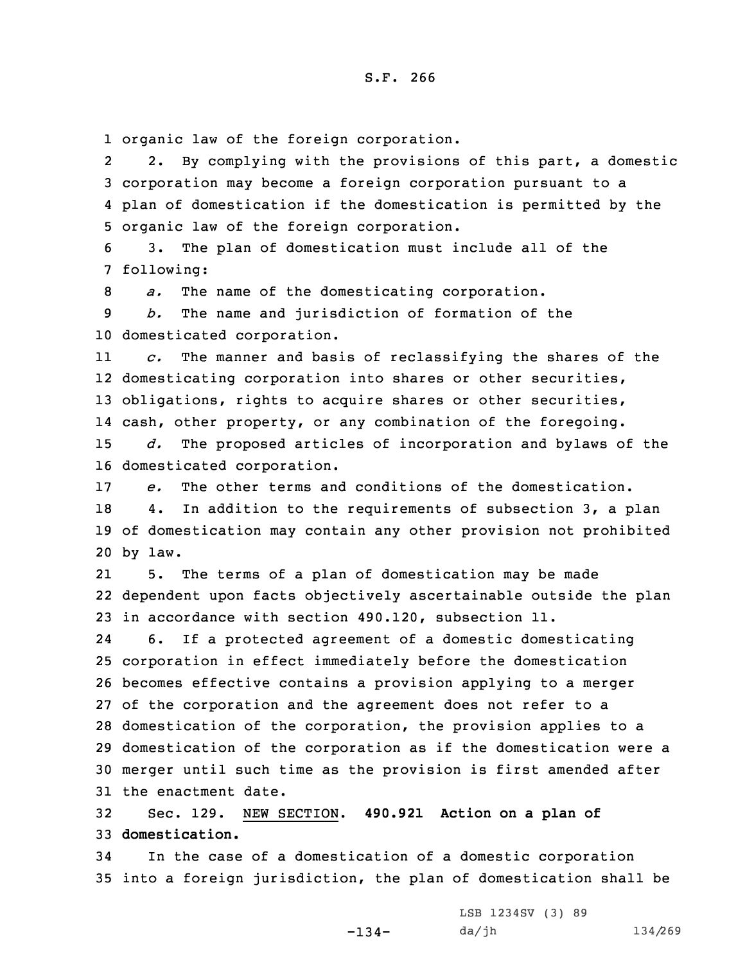1 organic law of the foreign corporation.

2 2. By complying with the provisions of this part, <sup>a</sup> domestic 3 corporation may become <sup>a</sup> foreign corporation pursuant to <sup>a</sup> 4 plan of domestication if the domestication is permitted by the 5 organic law of the foreign corporation.

6 3. The plan of domestication must include all of the 7 following:

8 *a.* The name of the domesticating corporation.

9 *b.* The name and jurisdiction of formation of the 10 domesticated corporation.

11 *c.* The manner and basis of reclassifying the shares of the domesticating corporation into shares or other securities, obligations, rights to acquire shares or other securities, cash, other property, or any combination of the foregoing. *d.* The proposed articles of incorporation and bylaws of the domesticated corporation.

 *e.* The other terms and conditions of the domestication. 4. In addition to the requirements of subsection 3, <sup>a</sup> plan of domestication may contain any other provision not prohibited 20 by law.

21 5. The terms of <sup>a</sup> plan of domestication may be made 22 dependent upon facts objectively ascertainable outside the plan 23 in accordance with section 490.120, subsection 11.

24 6. If <sup>a</sup> protected agreement of <sup>a</sup> domestic domesticating corporation in effect immediately before the domestication becomes effective contains <sup>a</sup> provision applying to <sup>a</sup> merger of the corporation and the agreement does not refer to <sup>a</sup> domestication of the corporation, the provision applies to <sup>a</sup> domestication of the corporation as if the domestication were <sup>a</sup> merger until such time as the provision is first amended after the enactment date.

32 Sec. 129. NEW SECTION. **490.921 Action on <sup>a</sup> plan of** 33 **domestication.**

34 In the case of <sup>a</sup> domestication of <sup>a</sup> domestic corporation 35 into <sup>a</sup> foreign jurisdiction, the plan of domestication shall be

-134-

LSB 1234SV (3) 89 da/jh 134/269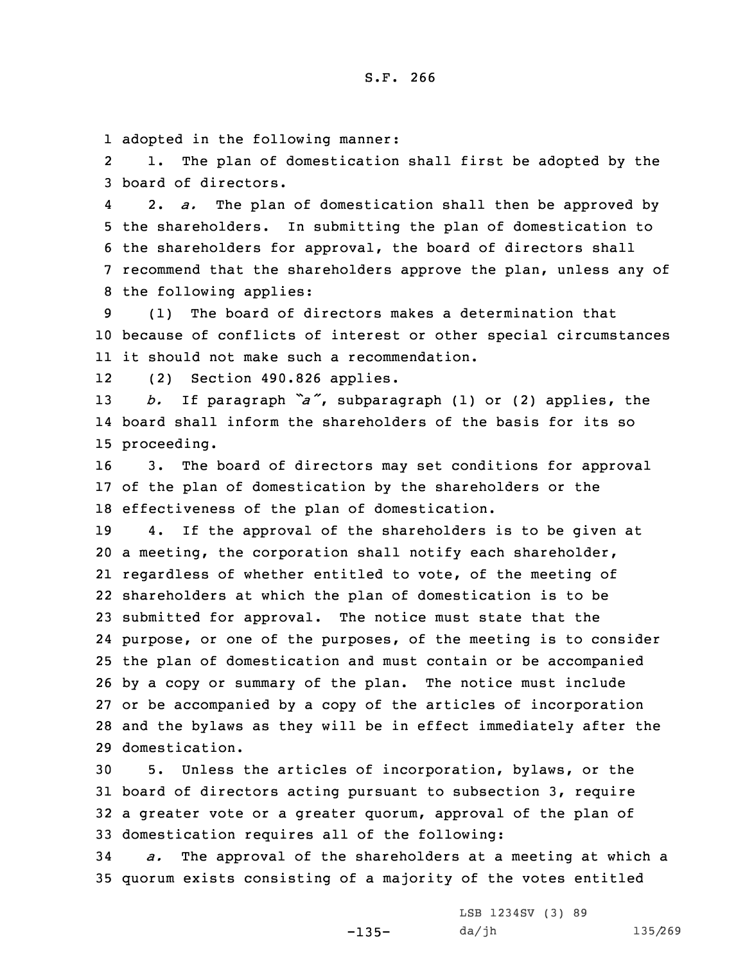1 adopted in the following manner:

2 1. The plan of domestication shall first be adopted by the 3 board of directors.

4 2. *a.* The plan of domestication shall then be approved by the shareholders. In submitting the plan of domestication to the shareholders for approval, the board of directors shall recommend that the shareholders approve the plan, unless any of the following applies:

9 (1) The board of directors makes <sup>a</sup> determination that 10 because of conflicts of interest or other special circumstances 11 it should not make such <sup>a</sup> recommendation.

12(2) Section 490.826 applies.

<sup>13</sup> *b.* If paragraph *"a"*, subparagraph (1) or (2) applies, the 14 board shall inform the shareholders of the basis for its so 15 proceeding.

16 3. The board of directors may set conditions for approval 17 of the plan of domestication by the shareholders or the 18 effectiveness of the plan of domestication.

 4. If the approval of the shareholders is to be given at <sup>a</sup> meeting, the corporation shall notify each shareholder, regardless of whether entitled to vote, of the meeting of shareholders at which the plan of domestication is to be submitted for approval. The notice must state that the purpose, or one of the purposes, of the meeting is to consider the plan of domestication and must contain or be accompanied by <sup>a</sup> copy or summary of the plan. The notice must include or be accompanied by <sup>a</sup> copy of the articles of incorporation and the bylaws as they will be in effect immediately after the domestication.

 5. Unless the articles of incorporation, bylaws, or the board of directors acting pursuant to subsection 3, require <sup>a</sup> greater vote or <sup>a</sup> greater quorum, approval of the plan of domestication requires all of the following:

34 *a.* The approval of the shareholders at <sup>a</sup> meeting at which <sup>a</sup> 35 quorum exists consisting of <sup>a</sup> majority of the votes entitled

-135-

LSB 1234SV (3) 89 da/jh 135/269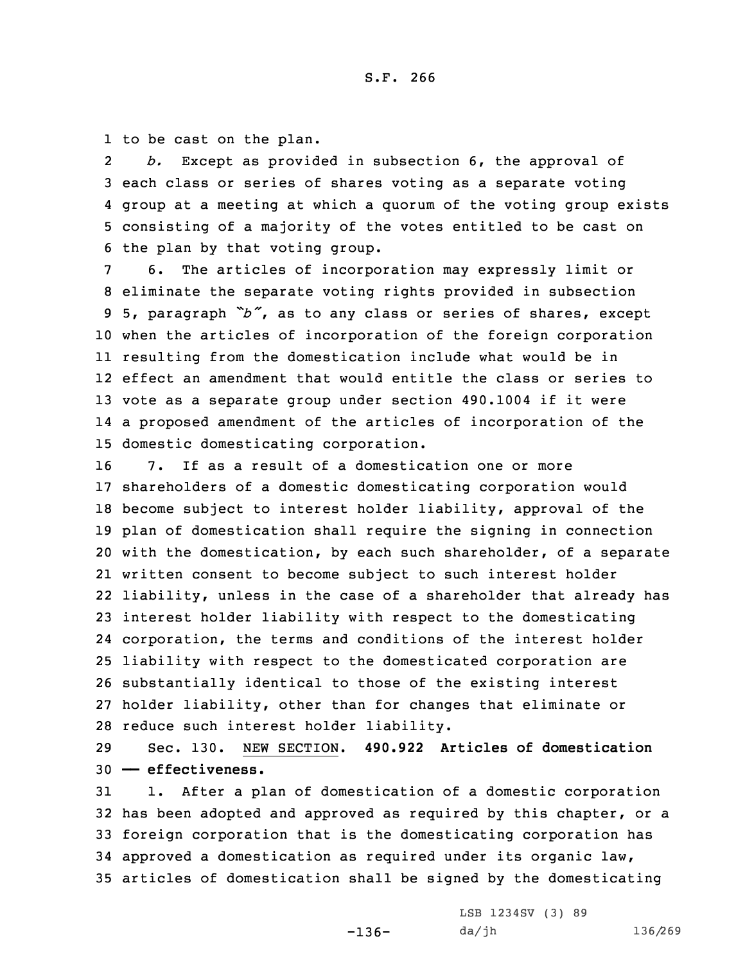1 to be cast on the plan.

2 *b.* Except as provided in subsection 6, the approval of each class or series of shares voting as <sup>a</sup> separate voting group at <sup>a</sup> meeting at which <sup>a</sup> quorum of the voting group exists consisting of <sup>a</sup> majority of the votes entitled to be cast on the plan by that voting group.

 6. The articles of incorporation may expressly limit or eliminate the separate voting rights provided in subsection 5, paragraph *"b"*, as to any class or series of shares, except when the articles of incorporation of the foreign corporation resulting from the domestication include what would be in effect an amendment that would entitle the class or series to vote as <sup>a</sup> separate group under section 490.1004 if it were <sup>a</sup> proposed amendment of the articles of incorporation of the domestic domesticating corporation.

 7. If as <sup>a</sup> result of <sup>a</sup> domestication one or more shareholders of <sup>a</sup> domestic domesticating corporation would become subject to interest holder liability, approval of the plan of domestication shall require the signing in connection with the domestication, by each such shareholder, of <sup>a</sup> separate written consent to become subject to such interest holder liability, unless in the case of <sup>a</sup> shareholder that already has interest holder liability with respect to the domesticating corporation, the terms and conditions of the interest holder liability with respect to the domesticated corporation are substantially identical to those of the existing interest holder liability, other than for changes that eliminate or reduce such interest holder liability.

29 Sec. 130. NEW SECTION. **490.922 Articles of domestication** 30 **—— effectiveness.**

 1. After <sup>a</sup> plan of domestication of <sup>a</sup> domestic corporation has been adopted and approved as required by this chapter, or <sup>a</sup> foreign corporation that is the domesticating corporation has approved <sup>a</sup> domestication as required under its organic law, articles of domestication shall be signed by the domesticating

-136-

LSB 1234SV (3) 89 da/jh 136/269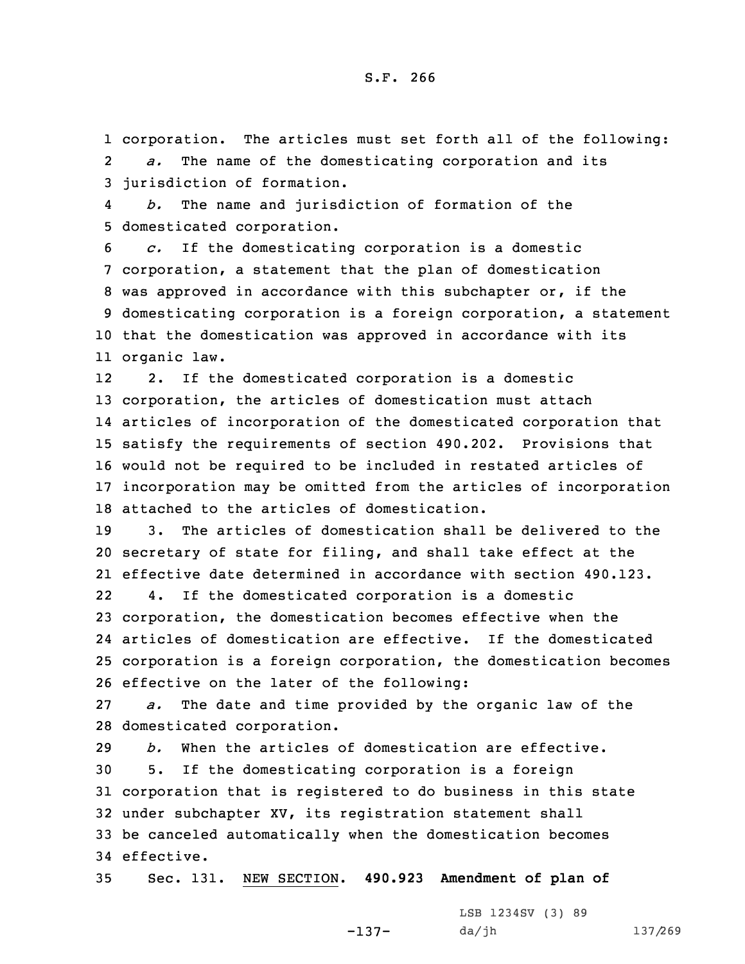1 corporation. The articles must set forth all of the following: 2 *a.* The name of the domesticating corporation and its 3 jurisdiction of formation.

4 *b.* The name and jurisdiction of formation of the 5 domesticated corporation.

 *c.* If the domesticating corporation is <sup>a</sup> domestic corporation, <sup>a</sup> statement that the plan of domestication was approved in accordance with this subchapter or, if the domesticating corporation is <sup>a</sup> foreign corporation, <sup>a</sup> statement that the domestication was approved in accordance with its organic law.

12 2. If the domesticated corporation is <sup>a</sup> domestic corporation, the articles of domestication must attach articles of incorporation of the domesticated corporation that satisfy the requirements of section 490.202. Provisions that would not be required to be included in restated articles of incorporation may be omitted from the articles of incorporation attached to the articles of domestication.

19 3. The articles of domestication shall be delivered to the 20 secretary of state for filing, and shall take effect at the 21 effective date determined in accordance with section 490.123.

22 4. If the domesticated corporation is <sup>a</sup> domestic corporation, the domestication becomes effective when the articles of domestication are effective. If the domesticated corporation is <sup>a</sup> foreign corporation, the domestication becomes effective on the later of the following:

27 *a.* The date and time provided by the organic law of the 28 domesticated corporation.

 *b.* When the articles of domestication are effective. 5. If the domesticating corporation is <sup>a</sup> foreign corporation that is registered to do business in this state under subchapter XV, its registration statement shall be canceled automatically when the domestication becomes effective.

35 Sec. 131. NEW SECTION. **490.923 Amendment of plan of**

-137-

LSB 1234SV (3) 89 da/jh 137/269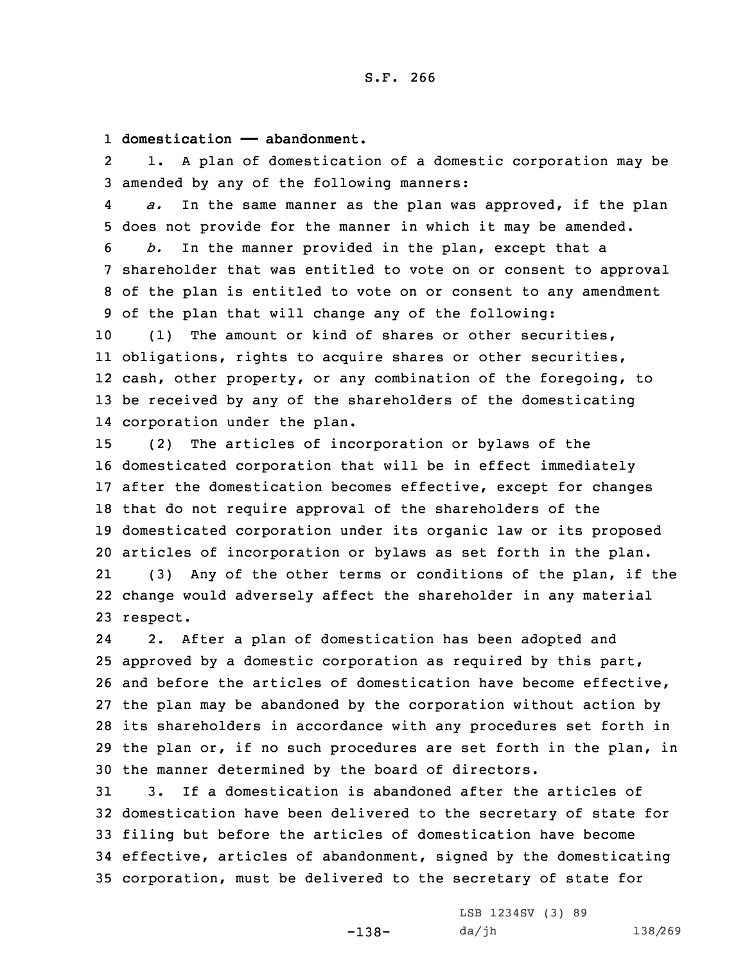1 **domestication —— abandonment.**

2 1. <sup>A</sup> plan of domestication of <sup>a</sup> domestic corporation may be 3 amended by any of the following manners:

4 *a.* In the same manner as the plan was approved, if the plan 5 does not provide for the manner in which it may be amended.

 *b.* In the manner provided in the plan, except that <sup>a</sup> shareholder that was entitled to vote on or consent to approval of the plan is entitled to vote on or consent to any amendment of the plan that will change any of the following:

 (1) The amount or kind of shares or other securities, obligations, rights to acquire shares or other securities, cash, other property, or any combination of the foregoing, to be received by any of the shareholders of the domesticating corporation under the plan.

 (2) The articles of incorporation or bylaws of the domesticated corporation that will be in effect immediately after the domestication becomes effective, except for changes that do not require approval of the shareholders of the domesticated corporation under its organic law or its proposed articles of incorporation or bylaws as set forth in the plan. 21 (3) Any of the other terms or conditions of the plan, if the change would adversely affect the shareholder in any material 23 respect.

24 2. After <sup>a</sup> plan of domestication has been adopted and approved by <sup>a</sup> domestic corporation as required by this part, and before the articles of domestication have become effective, the plan may be abandoned by the corporation without action by its shareholders in accordance with any procedures set forth in the plan or, if no such procedures are set forth in the plan, in the manner determined by the board of directors.

 3. If <sup>a</sup> domestication is abandoned after the articles of domestication have been delivered to the secretary of state for filing but before the articles of domestication have become effective, articles of abandonment, signed by the domesticating corporation, must be delivered to the secretary of state for

-138-

LSB 1234SV (3) 89 da/jh 138/269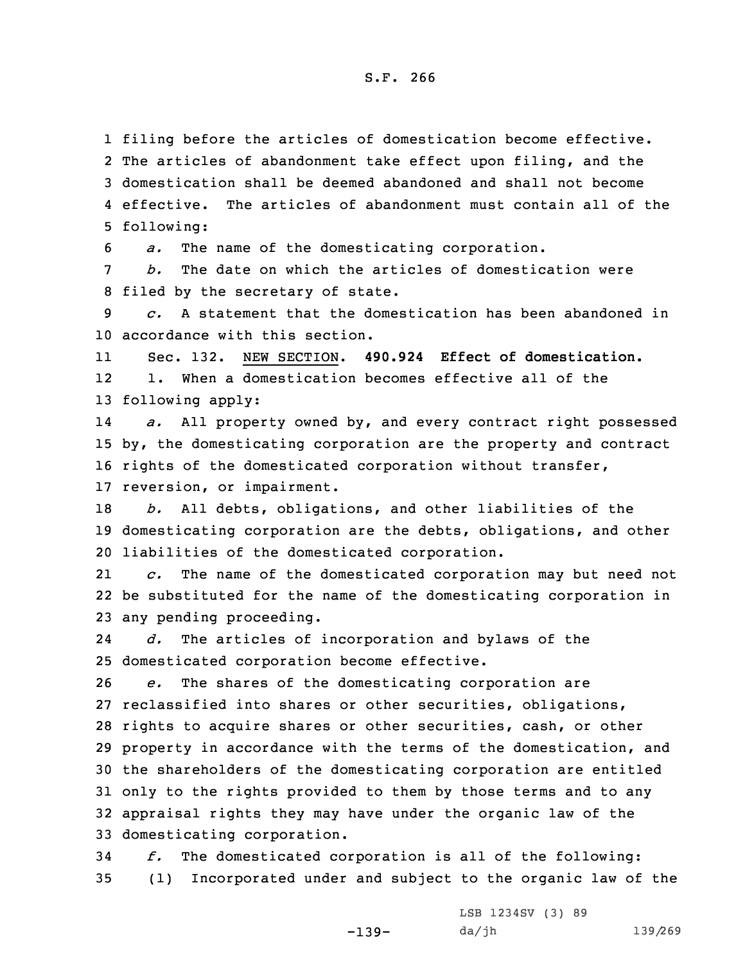filing before the articles of domestication become effective. 2 The articles of abandonment take effect upon filing, and the domestication shall be deemed abandoned and shall not become effective. The articles of abandonment must contain all of the following:

6 *a.* The name of the domesticating corporation.

7 *b.* The date on which the articles of domestication were 8 filed by the secretary of state.

9 *c.* A statement that the domestication has been abandoned in 10 accordance with this section.

11 Sec. 132. NEW SECTION. **490.924 Effect of domestication.** 12 1. When <sup>a</sup> domestication becomes effective all of the 13 following apply:

14 *a.* All property owned by, and every contract right possessed 15 by, the domesticating corporation are the property and contract 16 rights of the domesticated corporation without transfer, 17 reversion, or impairment.

18 *b.* All debts, obligations, and other liabilities of the 19 domesticating corporation are the debts, obligations, and other 20 liabilities of the domesticated corporation.

21 *c.* The name of the domesticated corporation may but need not 22 be substituted for the name of the domesticating corporation in 23 any pending proceeding.

24 *d.* The articles of incorporation and bylaws of the 25 domesticated corporation become effective.

 *e.* The shares of the domesticating corporation are reclassified into shares or other securities, obligations, rights to acquire shares or other securities, cash, or other property in accordance with the terms of the domestication, and the shareholders of the domesticating corporation are entitled only to the rights provided to them by those terms and to any appraisal rights they may have under the organic law of the domesticating corporation.

34 *f.* The domesticated corporation is all of the following: 35 (1) Incorporated under and subject to the organic law of the

-139-

LSB 1234SV (3) 89 da/jh 139/269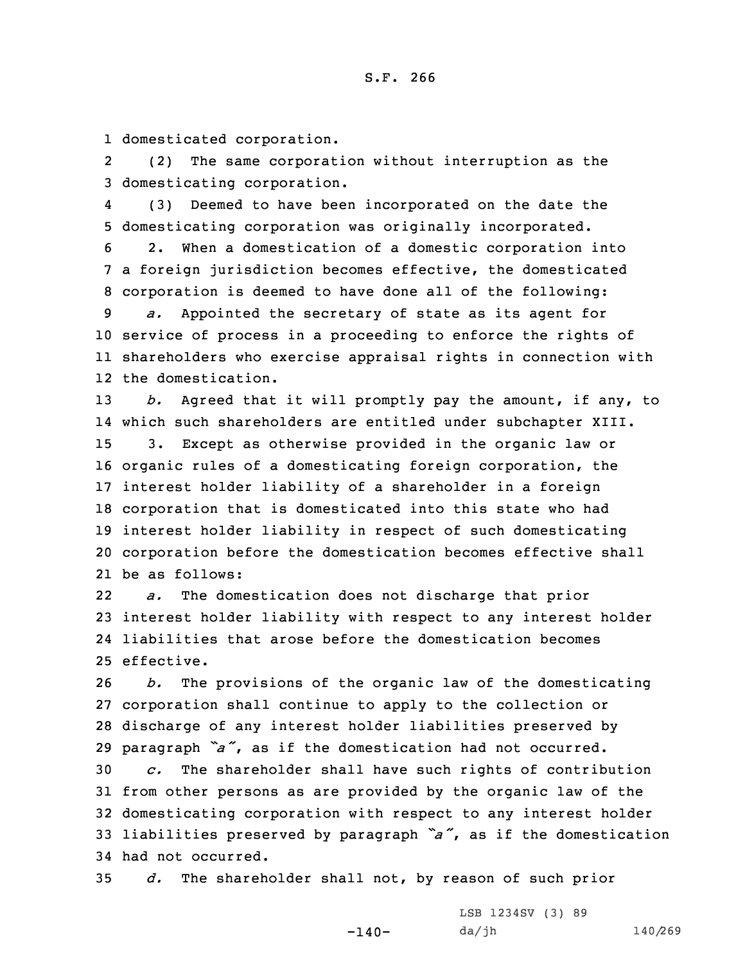1 domesticated corporation.

2 (2) The same corporation without interruption as the 3 domesticating corporation.

4 (3) Deemed to have been incorporated on the date the 5 domesticating corporation was originally incorporated.

6 2. When <sup>a</sup> domestication of <sup>a</sup> domestic corporation into 7 <sup>a</sup> foreign jurisdiction becomes effective, the domesticated 8 corporation is deemed to have done all of the following:

 *a.* Appointed the secretary of state as its agent for service of process in <sup>a</sup> proceeding to enforce the rights of shareholders who exercise appraisal rights in connection with the domestication.

 *b.* Agreed that it will promptly pay the amount, if any, to which such shareholders are entitled under subchapter XIII. 3. Except as otherwise provided in the organic law or organic rules of <sup>a</sup> domesticating foreign corporation, the interest holder liability of <sup>a</sup> shareholder in <sup>a</sup> foreign corporation that is domesticated into this state who had interest holder liability in respect of such domesticating corporation before the domestication becomes effective shall be as follows:

22 *a.* The domestication does not discharge that prior 23 interest holder liability with respect to any interest holder 24 liabilities that arose before the domestication becomes 25 effective.

 *b.* The provisions of the organic law of the domesticating corporation shall continue to apply to the collection or discharge of any interest holder liabilities preserved by paragraph *"a"*, as if the domestication had not occurred. *c.* The shareholder shall have such rights of contribution from other persons as are provided by the organic law of the domesticating corporation with respect to any interest holder liabilities preserved by paragraph *"a"*, as if the domestication had not occurred.

35 *d.* The shareholder shall not, by reason of such prior

 $-140-$ 

LSB 1234SV (3) 89 da/jh 140/269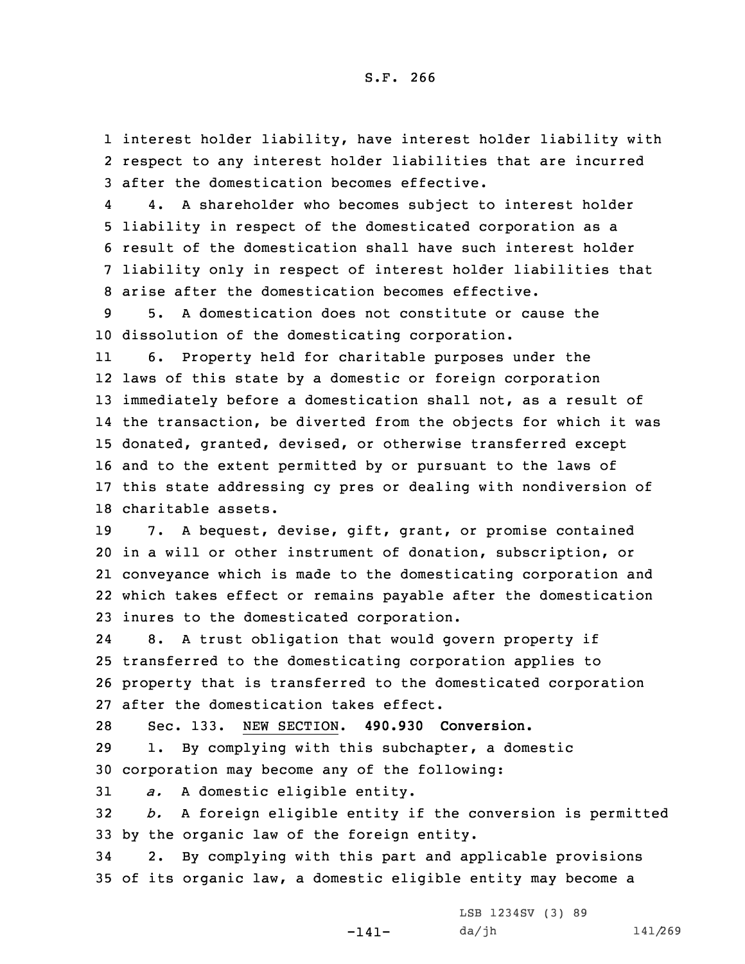1 interest holder liability, have interest holder liability with 2 respect to any interest holder liabilities that are incurred 3 after the domestication becomes effective.

4 4. <sup>A</sup> shareholder who becomes subject to interest holder liability in respect of the domesticated corporation as <sup>a</sup> result of the domestication shall have such interest holder liability only in respect of interest holder liabilities that arise after the domestication becomes effective.

9 5. A domestication does not constitute or cause the 10 dissolution of the domesticating corporation.

11 6. Property held for charitable purposes under the laws of this state by <sup>a</sup> domestic or foreign corporation immediately before <sup>a</sup> domestication shall not, as <sup>a</sup> result of the transaction, be diverted from the objects for which it was donated, granted, devised, or otherwise transferred except and to the extent permitted by or pursuant to the laws of this state addressing cy pres or dealing with nondiversion of charitable assets.

 7. <sup>A</sup> bequest, devise, gift, grant, or promise contained in <sup>a</sup> will or other instrument of donation, subscription, or conveyance which is made to the domesticating corporation and which takes effect or remains payable after the domestication inures to the domesticated corporation.

24 8. <sup>A</sup> trust obligation that would govern property if 25 transferred to the domesticating corporation applies to 26 property that is transferred to the domesticated corporation 27 after the domestication takes effect.

28 Sec. 133. NEW SECTION. **490.930 Conversion.** 29 1. By complying with this subchapter, <sup>a</sup> domestic 30 corporation may become any of the following:

31 *a.* <sup>A</sup> domestic eligible entity.

32 *b.* <sup>A</sup> foreign eligible entity if the conversion is permitted 33 by the organic law of the foreign entity.

34 2. By complying with this part and applicable provisions 35 of its organic law, <sup>a</sup> domestic eligible entity may become <sup>a</sup>

-141-

LSB 1234SV (3) 89 da/jh 141/269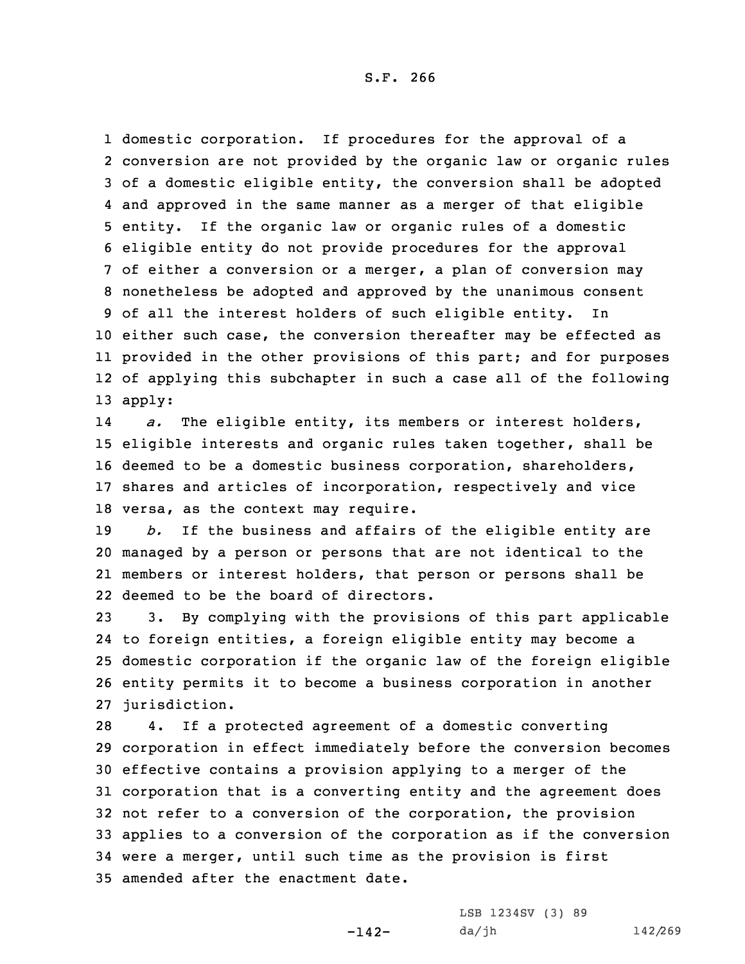S.F. 266

 domestic corporation. If procedures for the approval of <sup>a</sup> conversion are not provided by the organic law or organic rules of <sup>a</sup> domestic eligible entity, the conversion shall be adopted and approved in the same manner as <sup>a</sup> merger of that eligible entity. If the organic law or organic rules of <sup>a</sup> domestic eligible entity do not provide procedures for the approval of either <sup>a</sup> conversion or <sup>a</sup> merger, <sup>a</sup> plan of conversion may nonetheless be adopted and approved by the unanimous consent of all the interest holders of such eligible entity. In either such case, the conversion thereafter may be effected as provided in the other provisions of this part; and for purposes of applying this subchapter in such <sup>a</sup> case all of the following 13 apply:

14 *a.* The eligible entity, its members or interest holders, eligible interests and organic rules taken together, shall be deemed to be <sup>a</sup> domestic business corporation, shareholders, shares and articles of incorporation, respectively and vice versa, as the context may require.

 *b.* If the business and affairs of the eligible entity are managed by <sup>a</sup> person or persons that are not identical to the members or interest holders, that person or persons shall be deemed to be the board of directors.

 3. By complying with the provisions of this part applicable to foreign entities, <sup>a</sup> foreign eligible entity may become <sup>a</sup> domestic corporation if the organic law of the foreign eligible entity permits it to become <sup>a</sup> business corporation in another jurisdiction.

 4. If <sup>a</sup> protected agreement of <sup>a</sup> domestic converting corporation in effect immediately before the conversion becomes effective contains <sup>a</sup> provision applying to <sup>a</sup> merger of the corporation that is <sup>a</sup> converting entity and the agreement does not refer to <sup>a</sup> conversion of the corporation, the provision applies to <sup>a</sup> conversion of the corporation as if the conversion were <sup>a</sup> merger, until such time as the provision is first amended after the enactment date.

> LSB 1234SV (3) 89 da/jh 142/269

-142-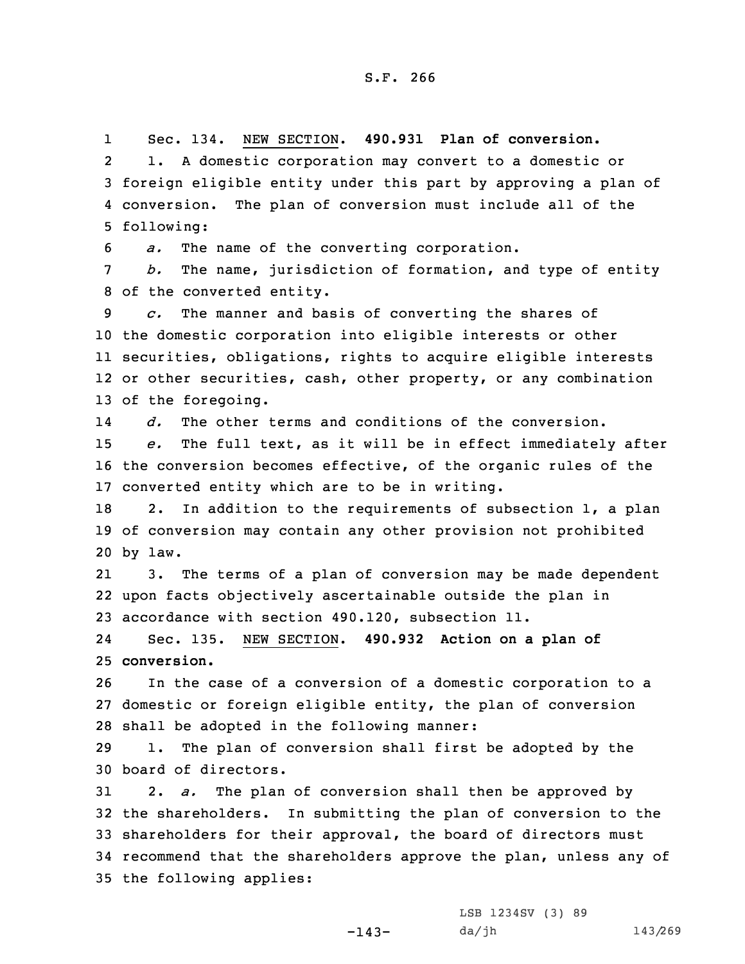1 Sec. 134. NEW SECTION. **490.931 Plan of conversion.** 2 1. <sup>A</sup> domestic corporation may convert to <sup>a</sup> domestic or 3 foreign eligible entity under this part by approving <sup>a</sup> plan of 4 conversion. The plan of conversion must include all of the 5 following:

6 *a.* The name of the converting corporation.

7 *b.* The name, jurisdiction of formation, and type of entity 8 of the converted entity.

 *c.* The manner and basis of converting the shares of the domestic corporation into eligible interests or other securities, obligations, rights to acquire eligible interests or other securities, cash, other property, or any combination of the foregoing.

14 *d.* The other terms and conditions of the conversion. 15 *e.* The full text, as it will be in effect immediately after 16 the conversion becomes effective, of the organic rules of the 17 converted entity which are to be in writing.

18 2. In addition to the requirements of subsection 1, a plan 19 of conversion may contain any other provision not prohibited 20 by law.

21 3. The terms of <sup>a</sup> plan of conversion may be made dependent 22 upon facts objectively ascertainable outside the plan in 23 accordance with section 490.120, subsection 11.

24 Sec. 135. NEW SECTION. **490.932 Action on <sup>a</sup> plan of** 25 **conversion.**

26 In the case of <sup>a</sup> conversion of <sup>a</sup> domestic corporation to <sup>a</sup> 27 domestic or foreign eligible entity, the plan of conversion 28 shall be adopted in the following manner:

29 1. The plan of conversion shall first be adopted by the 30 board of directors.

 2. *a.* The plan of conversion shall then be approved by the shareholders. In submitting the plan of conversion to the shareholders for their approval, the board of directors must recommend that the shareholders approve the plan, unless any of the following applies:

 $-143-$ 

LSB 1234SV (3) 89 da/jh 143/269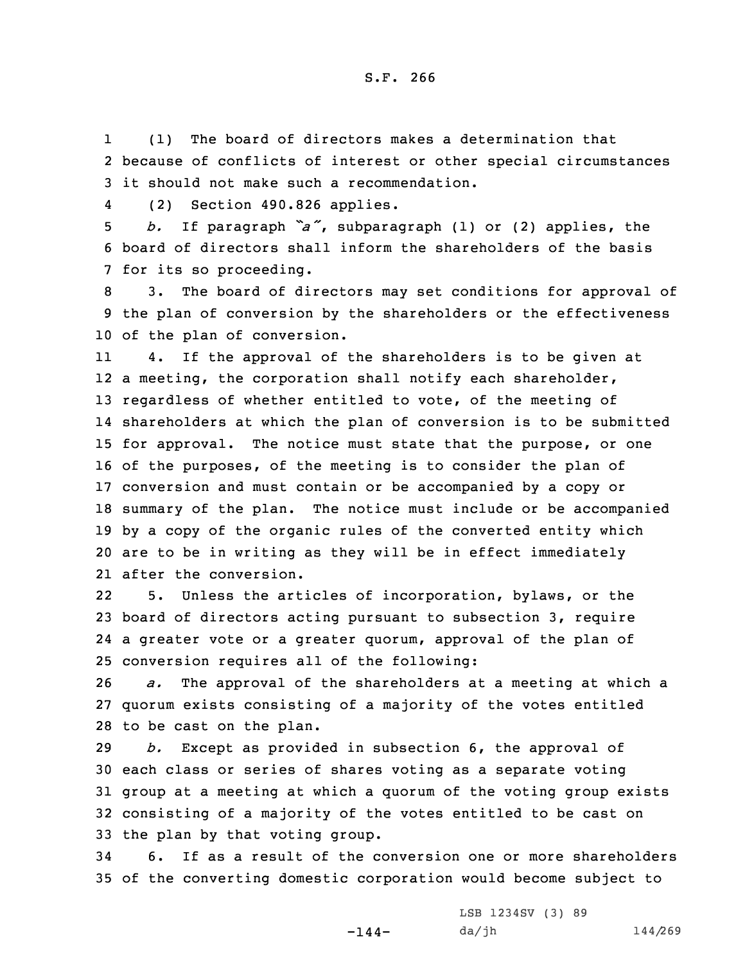S.F. 266

1 (1) The board of directors makes <sup>a</sup> determination that 2 because of conflicts of interest or other special circumstances 3 it should not make such <sup>a</sup> recommendation.

4(2) Section 490.826 applies.

<sup>5</sup> *b.* If paragraph *"a"*, subparagraph (1) or (2) applies, the 6 board of directors shall inform the shareholders of the basis 7 for its so proceeding.

8 3. The board of directors may set conditions for approval of 9 the plan of conversion by the shareholders or the effectiveness 10 of the plan of conversion.

11 4. If the approval of the shareholders is to be given at <sup>a</sup> meeting, the corporation shall notify each shareholder, regardless of whether entitled to vote, of the meeting of shareholders at which the plan of conversion is to be submitted for approval. The notice must state that the purpose, or one of the purposes, of the meeting is to consider the plan of conversion and must contain or be accompanied by <sup>a</sup> copy or summary of the plan. The notice must include or be accompanied by <sup>a</sup> copy of the organic rules of the converted entity which are to be in writing as they will be in effect immediately after the conversion.

22 5. Unless the articles of incorporation, bylaws, or the 23 board of directors acting pursuant to subsection 3, require 24 <sup>a</sup> greater vote or <sup>a</sup> greater quorum, approval of the plan of 25 conversion requires all of the following:

26 *a.* The approval of the shareholders at <sup>a</sup> meeting at which <sup>a</sup> 27 quorum exists consisting of <sup>a</sup> majority of the votes entitled 28 to be cast on the plan.

 *b.* Except as provided in subsection 6, the approval of each class or series of shares voting as <sup>a</sup> separate voting group at <sup>a</sup> meeting at which <sup>a</sup> quorum of the voting group exists consisting of <sup>a</sup> majority of the votes entitled to be cast on the plan by that voting group.

34 6. If as <sup>a</sup> result of the conversion one or more shareholders 35 of the converting domestic corporation would become subject to

 $-144-$ 

LSB 1234SV (3) 89 da/jh 144/269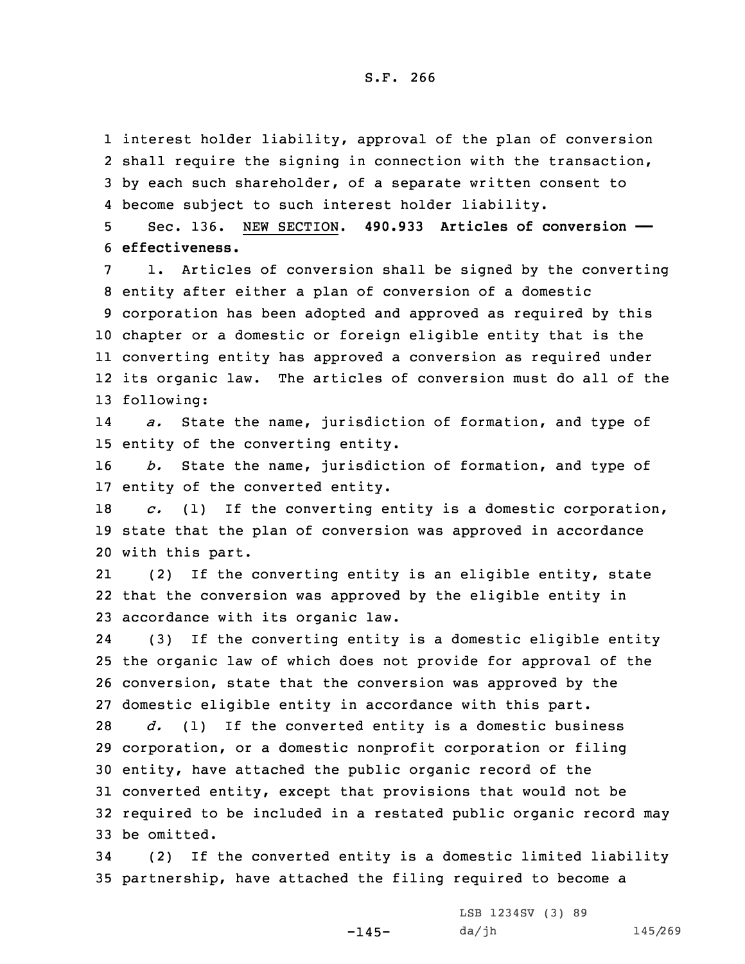interest holder liability, approval of the plan of conversion shall require the signing in connection with the transaction, by each such shareholder, of <sup>a</sup> separate written consent to become subject to such interest holder liability.

5 Sec. 136. NEW SECTION. **490.933 Articles of conversion ——** 6 **effectiveness.**

1. Articles of conversion shall be signed by the converting entity after either <sup>a</sup> plan of conversion of <sup>a</sup> domestic corporation has been adopted and approved as required by this chapter or <sup>a</sup> domestic or foreign eligible entity that is the converting entity has approved <sup>a</sup> conversion as required under its organic law. The articles of conversion must do all of the following:

14 *a.* State the name, jurisdiction of formation, and type of 15 entity of the converting entity.

16 *b.* State the name, jurisdiction of formation, and type of 17 entity of the converted entity.

18 *c.* (1) If the converting entity is <sup>a</sup> domestic corporation, 19 state that the plan of conversion was approved in accordance 20 with this part.

21 (2) If the converting entity is an eligible entity, state 22 that the conversion was approved by the eligible entity in 23 accordance with its organic law.

24 (3) If the converting entity is <sup>a</sup> domestic eligible entity 25 the organic law of which does not provide for approval of the 26 conversion, state that the conversion was approved by the 27 domestic eligible entity in accordance with this part.

 *d.* (1) If the converted entity is <sup>a</sup> domestic business corporation, or <sup>a</sup> domestic nonprofit corporation or filing entity, have attached the public organic record of the converted entity, except that provisions that would not be required to be included in <sup>a</sup> restated public organic record may be omitted.

34 (2) If the converted entity is <sup>a</sup> domestic limited liability 35 partnership, have attached the filing required to become <sup>a</sup>

-145-

LSB 1234SV (3) 89 da/jh 145/269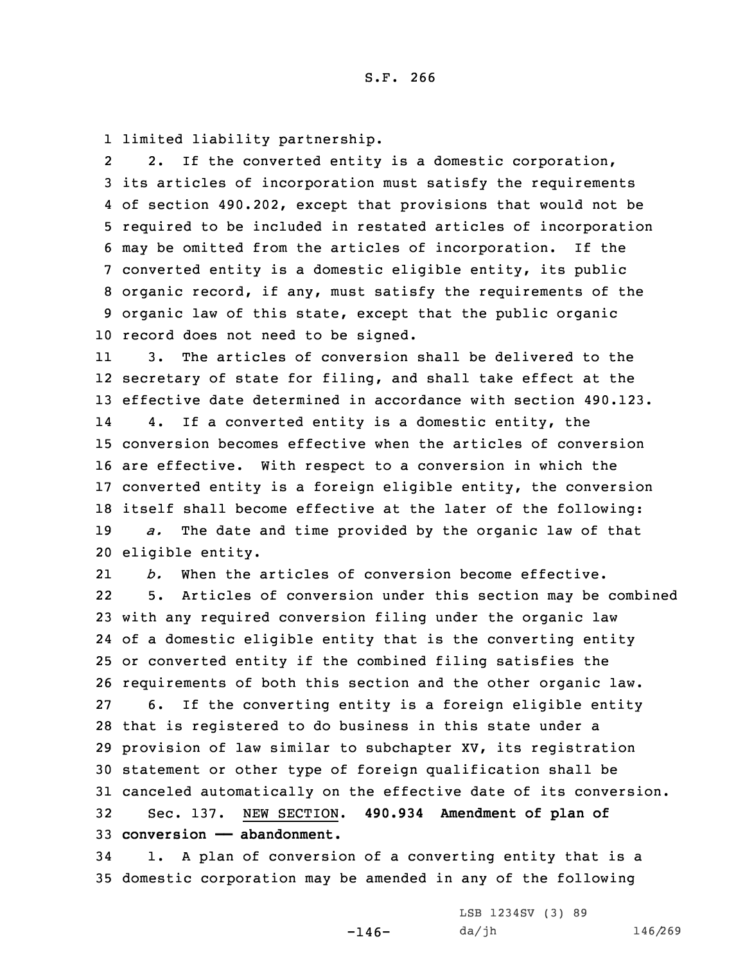1 limited liability partnership.

2 2. If the converted entity is <sup>a</sup> domestic corporation, its articles of incorporation must satisfy the requirements of section 490.202, except that provisions that would not be required to be included in restated articles of incorporation may be omitted from the articles of incorporation. If the converted entity is <sup>a</sup> domestic eligible entity, its public organic record, if any, must satisfy the requirements of the organic law of this state, except that the public organic record does not need to be signed.

11 3. The articles of conversion shall be delivered to the secretary of state for filing, and shall take effect at the effective date determined in accordance with section 490.123. 14 4. If <sup>a</sup> converted entity is <sup>a</sup> domestic entity, the conversion becomes effective when the articles of conversion are effective. With respect to <sup>a</sup> conversion in which the converted entity is <sup>a</sup> foreign eligible entity, the conversion itself shall become effective at the later of the following: *a.* The date and time provided by the organic law of that eligible entity.

21 *b.* When the articles of conversion become effective. 22 5. Articles of conversion under this section may be combined with any required conversion filing under the organic law of <sup>a</sup> domestic eligible entity that is the converting entity or converted entity if the combined filing satisfies the requirements of both this section and the other organic law. 6. If the converting entity is <sup>a</sup> foreign eligible entity that is registered to do business in this state under <sup>a</sup> provision of law similar to subchapter XV, its registration statement or other type of foreign qualification shall be canceled automatically on the effective date of its conversion. Sec. 137. NEW SECTION. **490.934 Amendment of plan of conversion —— abandonment.**

34 1. <sup>A</sup> plan of conversion of <sup>a</sup> converting entity that is <sup>a</sup> 35 domestic corporation may be amended in any of the following

-146-

LSB 1234SV (3) 89 da/jh 146/269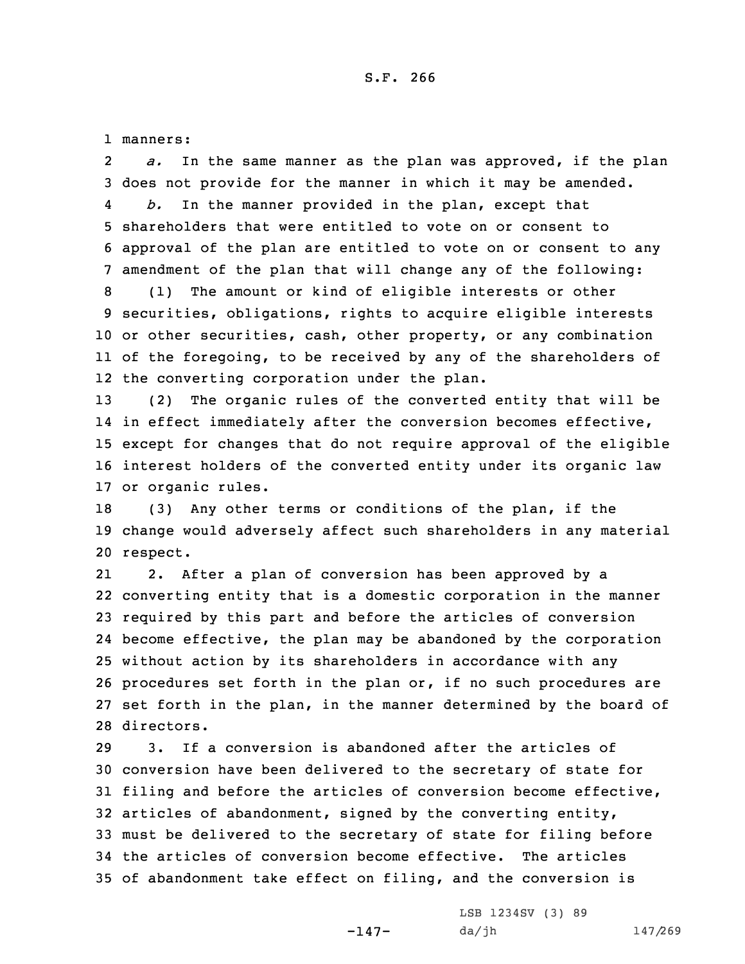1 manners:

2 *a.* In the same manner as the plan was approved, if the plan 3 does not provide for the manner in which it may be amended.

4 *b.* In the manner provided in the plan, except that 5 shareholders that were entitled to vote on or consent to 6 approval of the plan are entitled to vote on or consent to any 7 amendment of the plan that will change any of the following:

 (1) The amount or kind of eligible interests or other securities, obligations, rights to acquire eligible interests or other securities, cash, other property, or any combination of the foregoing, to be received by any of the shareholders of the converting corporation under the plan.

 (2) The organic rules of the converted entity that will be 14 in effect immediately after the conversion becomes effective, except for changes that do not require approval of the eligible interest holders of the converted entity under its organic law or organic rules.

18 (3) Any other terms or conditions of the plan, if the 19 change would adversely affect such shareholders in any material 20 respect.

21 2. After <sup>a</sup> plan of conversion has been approved by <sup>a</sup> converting entity that is <sup>a</sup> domestic corporation in the manner required by this part and before the articles of conversion become effective, the plan may be abandoned by the corporation without action by its shareholders in accordance with any procedures set forth in the plan or, if no such procedures are set forth in the plan, in the manner determined by the board of directors.

 3. If <sup>a</sup> conversion is abandoned after the articles of conversion have been delivered to the secretary of state for filing and before the articles of conversion become effective, articles of abandonment, signed by the converting entity, must be delivered to the secretary of state for filing before the articles of conversion become effective. The articles of abandonment take effect on filing, and the conversion is

-147-

LSB 1234SV (3) 89 da/jh 147/269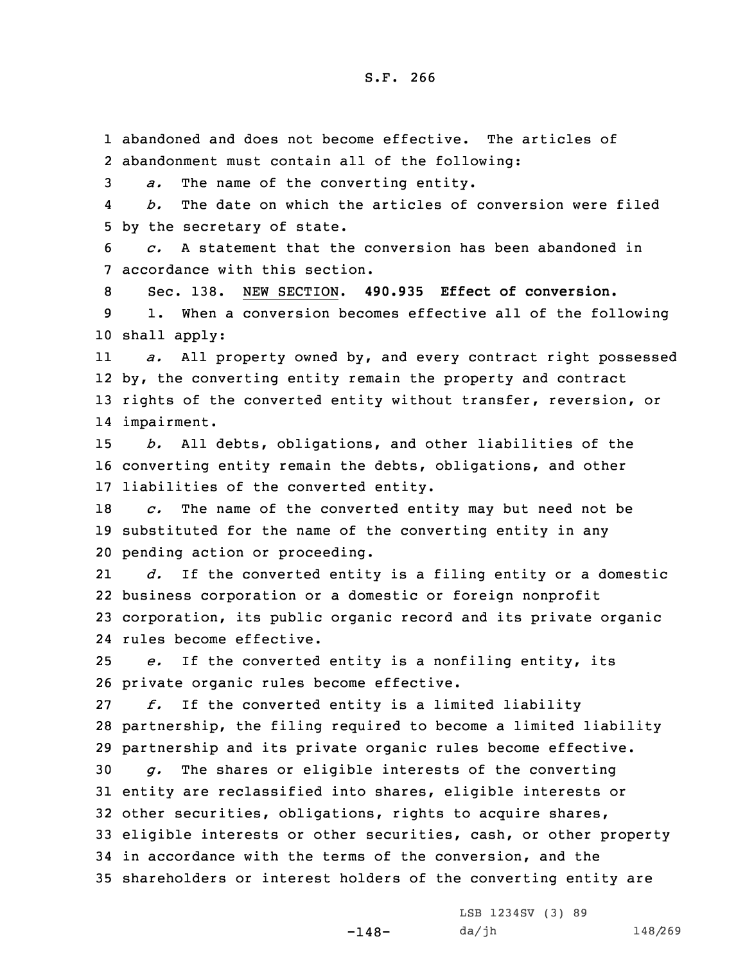## S.F. 266

1 abandoned and does not become effective. The articles of 2 abandonment must contain all of the following:

3 *a.* The name of the converting entity.

4 *b.* The date on which the articles of conversion were filed 5 by the secretary of state.

6 *c.* A statement that the conversion has been abandoned in 7 accordance with this section.

8 Sec. 138. NEW SECTION. **490.935 Effect of conversion.** 9 1. When <sup>a</sup> conversion becomes effective all of the following 10 shall apply:

11 *a.* All property owned by, and every contract right possessed 12 by, the converting entity remain the property and contract 13 rights of the converted entity without transfer, reversion, or 14 impairment.

15 *b.* All debts, obligations, and other liabilities of the 16 converting entity remain the debts, obligations, and other 17 liabilities of the converted entity.

18 *c.* The name of the converted entity may but need not be 19 substituted for the name of the converting entity in any 20 pending action or proceeding.

21 *d.* If the converted entity is <sup>a</sup> filing entity or <sup>a</sup> domestic 22 business corporation or <sup>a</sup> domestic or foreign nonprofit 23 corporation, its public organic record and its private organic 24 rules become effective.

25 *e.* If the converted entity is <sup>a</sup> nonfiling entity, its 26 private organic rules become effective.

27 *f.* If the converted entity is <sup>a</sup> limited liability 28 partnership, the filing required to become <sup>a</sup> limited liability 29 partnership and its private organic rules become effective.

 *g.* The shares or eligible interests of the converting entity are reclassified into shares, eligible interests or other securities, obligations, rights to acquire shares, eligible interests or other securities, cash, or other property in accordance with the terms of the conversion, and the shareholders or interest holders of the converting entity are

> LSB 1234SV (3) 89 da/jh 148/269

-148-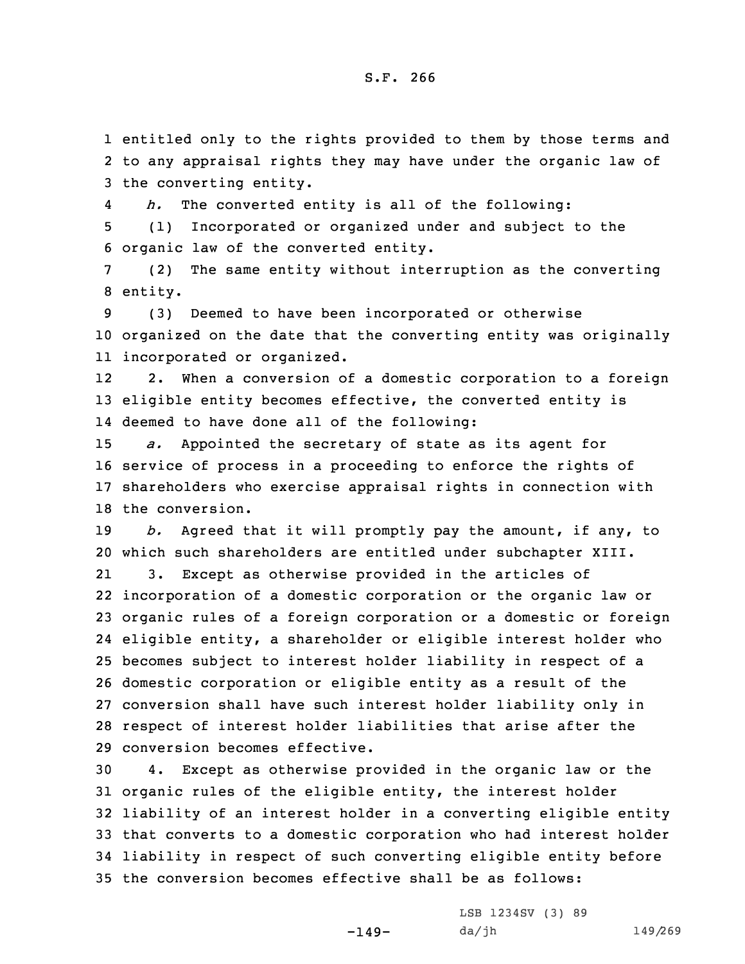1 entitled only to the rights provided to them by those terms and 2 to any appraisal rights they may have under the organic law of 3 the converting entity.

4*h.* The converted entity is all of the following:

5 (1) Incorporated or organized under and subject to the 6 organic law of the converted entity.

7 (2) The same entity without interruption as the converting 8 entity.

9 (3) Deemed to have been incorporated or otherwise 10 organized on the date that the converting entity was originally 11 incorporated or organized.

12 2. When <sup>a</sup> conversion of <sup>a</sup> domestic corporation to <sup>a</sup> foreign 13 eligible entity becomes effective, the converted entity is 14 deemed to have done all of the following:

 *a.* Appointed the secretary of state as its agent for service of process in <sup>a</sup> proceeding to enforce the rights of shareholders who exercise appraisal rights in connection with the conversion.

19 *b.* Agreed that it will promptly pay the amount, if any, to 20 which such shareholders are entitled under subchapter XIII. 213. Except as otherwise provided in the articles of

 incorporation of <sup>a</sup> domestic corporation or the organic law or organic rules of <sup>a</sup> foreign corporation or <sup>a</sup> domestic or foreign eligible entity, <sup>a</sup> shareholder or eligible interest holder who becomes subject to interest holder liability in respect of <sup>a</sup> domestic corporation or eligible entity as <sup>a</sup> result of the conversion shall have such interest holder liability only in respect of interest holder liabilities that arise after the conversion becomes effective.

 4. Except as otherwise provided in the organic law or the organic rules of the eligible entity, the interest holder liability of an interest holder in <sup>a</sup> converting eligible entity that converts to <sup>a</sup> domestic corporation who had interest holder liability in respect of such converting eligible entity before the conversion becomes effective shall be as follows:

-149-

LSB 1234SV (3) 89 da/jh 149/269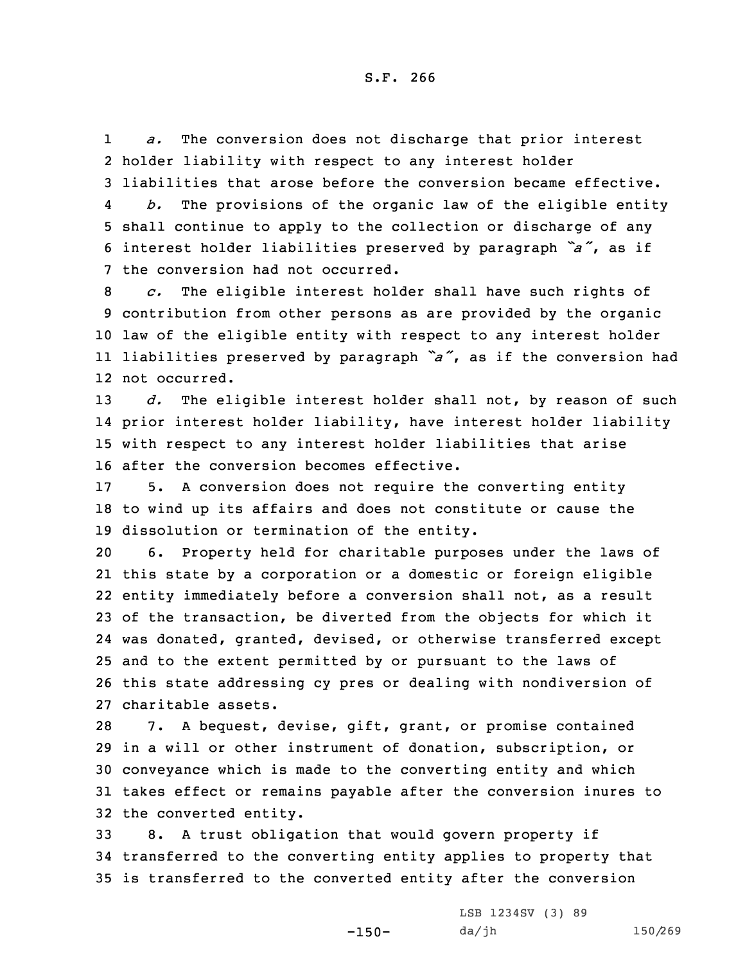1 *a.* The conversion does not discharge that prior interest 2 holder liability with respect to any interest holder

3 liabilities that arose before the conversion became effective.

4 *b.* The provisions of the organic law of the eligible entity 5 shall continue to apply to the collection or discharge of any <sup>6</sup> interest holder liabilities preserved by paragraph *"a"*, as if 7 the conversion had not occurred.

 *c.* The eligible interest holder shall have such rights of contribution from other persons as are provided by the organic law of the eligible entity with respect to any interest holder liabilities preserved by paragraph *"a"*, as if the conversion had not occurred.

 *d.* The eligible interest holder shall not, by reason of such prior interest holder liability, have interest holder liability with respect to any interest holder liabilities that arise after the conversion becomes effective.

17 5. <sup>A</sup> conversion does not require the converting entity 18 to wind up its affairs and does not constitute or cause the 19 dissolution or termination of the entity.

 6. Property held for charitable purposes under the laws of this state by <sup>a</sup> corporation or <sup>a</sup> domestic or foreign eligible entity immediately before <sup>a</sup> conversion shall not, as <sup>a</sup> result of the transaction, be diverted from the objects for which it was donated, granted, devised, or otherwise transferred except and to the extent permitted by or pursuant to the laws of this state addressing cy pres or dealing with nondiversion of charitable assets.

 7. <sup>A</sup> bequest, devise, gift, grant, or promise contained in <sup>a</sup> will or other instrument of donation, subscription, or conveyance which is made to the converting entity and which takes effect or remains payable after the conversion inures to the converted entity.

33 8. <sup>A</sup> trust obligation that would govern property if 34 transferred to the converting entity applies to property that 35 is transferred to the converted entity after the conversion

 $-150-$ 

LSB 1234SV (3) 89 da/jh 150/269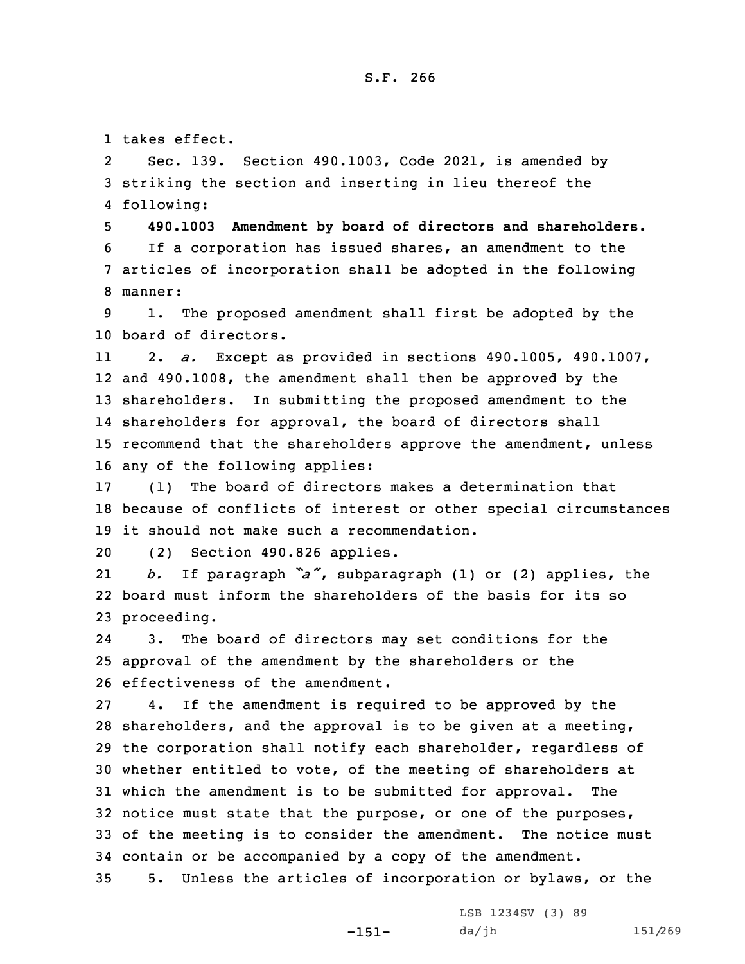1 takes effect.

2 Sec. 139. Section 490.1003, Code 2021, is amended by 3 striking the section and inserting in lieu thereof the 4 following:

 **490.1003 Amendment by board of directors and shareholders.** If <sup>a</sup> corporation has issued shares, an amendment to the articles of incorporation shall be adopted in the following 8 manner:

9 1. The proposed amendment shall first be adopted by the 10 board of directors.

11 2. *a.* Except as provided in sections 490.1005, 490.1007, and 490.1008, the amendment shall then be approved by the shareholders. In submitting the proposed amendment to the shareholders for approval, the board of directors shall recommend that the shareholders approve the amendment, unless any of the following applies:

17 (1) The board of directors makes <sup>a</sup> determination that 18 because of conflicts of interest or other special circumstances 19 it should not make such <sup>a</sup> recommendation.

20 (2) Section 490.826 applies.

21 *b.* If paragraph *"a"*, subparagraph (1) or (2) applies, the 22 board must inform the shareholders of the basis for its so 23 proceeding.

24 3. The board of directors may set conditions for the 25 approval of the amendment by the shareholders or the 26 effectiveness of the amendment.

 4. If the amendment is required to be approved by the shareholders, and the approval is to be given at <sup>a</sup> meeting, the corporation shall notify each shareholder, regardless of whether entitled to vote, of the meeting of shareholders at which the amendment is to be submitted for approval. The notice must state that the purpose, or one of the purposes, of the meeting is to consider the amendment. The notice must contain or be accompanied by <sup>a</sup> copy of the amendment. 5. Unless the articles of incorporation or bylaws, or the

-151-

LSB 1234SV (3) 89 da/jh 151/269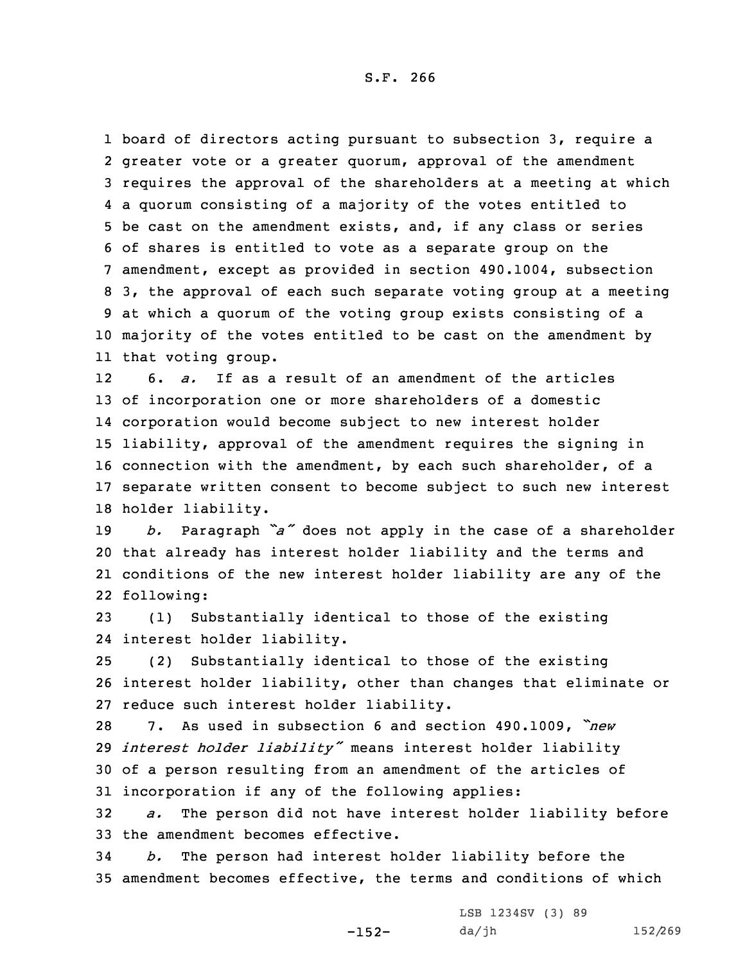S.F. 266

 board of directors acting pursuant to subsection 3, require <sup>a</sup> greater vote or <sup>a</sup> greater quorum, approval of the amendment requires the approval of the shareholders at <sup>a</sup> meeting at which <sup>a</sup> quorum consisting of <sup>a</sup> majority of the votes entitled to be cast on the amendment exists, and, if any class or series of shares is entitled to vote as <sup>a</sup> separate group on the amendment, except as provided in section 490.1004, subsection 3, the approval of each such separate voting group at <sup>a</sup> meeting at which <sup>a</sup> quorum of the voting group exists consisting of <sup>a</sup> majority of the votes entitled to be cast on the amendment by that voting group.

12 6. *a.* If as <sup>a</sup> result of an amendment of the articles of incorporation one or more shareholders of <sup>a</sup> domestic corporation would become subject to new interest holder liability, approval of the amendment requires the signing in connection with the amendment, by each such shareholder, of <sup>a</sup> separate written consent to become subject to such new interest holder liability.

 *b.* Paragraph *"a"* does not apply in the case of <sup>a</sup> shareholder that already has interest holder liability and the terms and conditions of the new interest holder liability are any of the following:

23 (1) Substantially identical to those of the existing 24 interest holder liability.

25 (2) Substantially identical to those of the existing 26 interest holder liability, other than changes that eliminate or 27 reduce such interest holder liability.

 7. As used in subsection 6 and section 490.1009, *"new interest holder liability"* means interest holder liability of <sup>a</sup> person resulting from an amendment of the articles of incorporation if any of the following applies:

32 *a.* The person did not have interest holder liability before 33 the amendment becomes effective.

34 *b.* The person had interest holder liability before the 35 amendment becomes effective, the terms and conditions of which

-152-

LSB 1234SV (3) 89 da/jh 152/269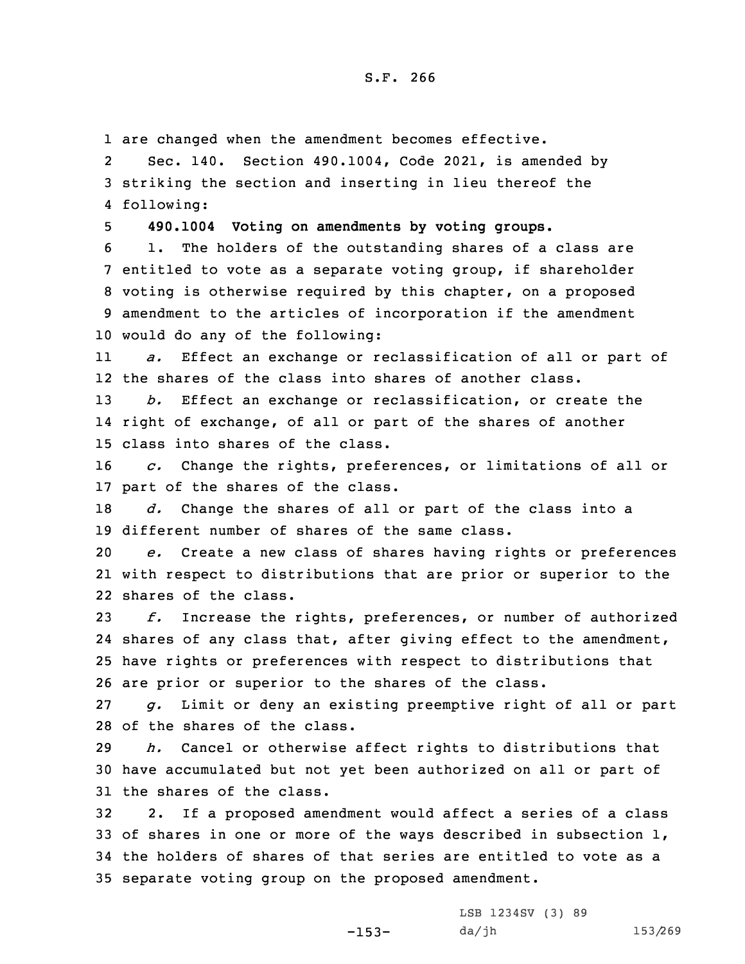1 are changed when the amendment becomes effective.

2 Sec. 140. Section 490.1004, Code 2021, is amended by 3 striking the section and inserting in lieu thereof the 4 following:

5 **490.1004 Voting on amendments by voting groups.**

 1. The holders of the outstanding shares of <sup>a</sup> class are entitled to vote as <sup>a</sup> separate voting group, if shareholder voting is otherwise required by this chapter, on <sup>a</sup> proposed amendment to the articles of incorporation if the amendment would do any of the following:

11 *a.* Effect an exchange or reclassification of all or part of 12 the shares of the class into shares of another class.

13 *b.* Effect an exchange or reclassification, or create the 14 right of exchange, of all or part of the shares of another 15 class into shares of the class.

16 *c.* Change the rights, preferences, or limitations of all or 17 part of the shares of the class.

18 *d.* Change the shares of all or part of the class into <sup>a</sup> 19 different number of shares of the same class.

20 *e.* Create <sup>a</sup> new class of shares having rights or preferences 21 with respect to distributions that are prior or superior to the 22 shares of the class.

 *f.* Increase the rights, preferences, or number of authorized shares of any class that, after giving effect to the amendment, have rights or preferences with respect to distributions that are prior or superior to the shares of the class.

27 *g.* Limit or deny an existing preemptive right of all or part 28 of the shares of the class.

29 *h.* Cancel or otherwise affect rights to distributions that 30 have accumulated but not yet been authorized on all or part of 31 the shares of the class.

 2. If <sup>a</sup> proposed amendment would affect <sup>a</sup> series of <sup>a</sup> class of shares in one or more of the ways described in subsection 1, the holders of shares of that series are entitled to vote as <sup>a</sup> separate voting group on the proposed amendment.

> LSB 1234SV (3) 89 da/jh 153/269

-153-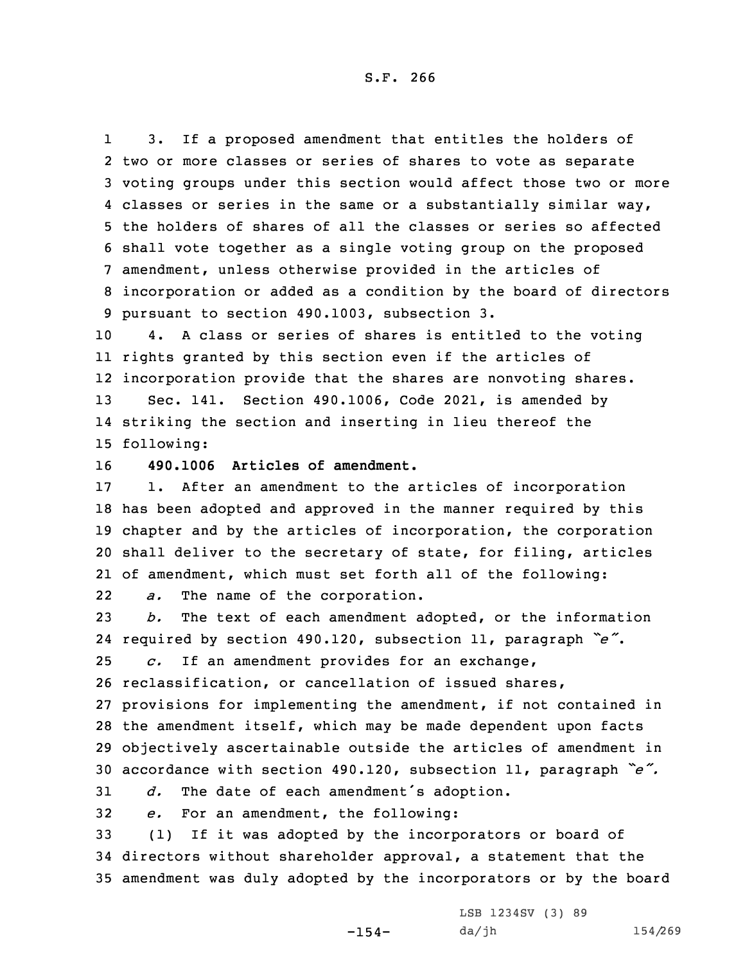1 3. If <sup>a</sup> proposed amendment that entitles the holders of two or more classes or series of shares to vote as separate voting groups under this section would affect those two or more classes or series in the same or <sup>a</sup> substantially similar way, the holders of shares of all the classes or series so affected shall vote together as <sup>a</sup> single voting group on the proposed amendment, unless otherwise provided in the articles of incorporation or added as <sup>a</sup> condition by the board of directors pursuant to section 490.1003, subsection 3.

10 4. <sup>A</sup> class or series of shares is entitled to the voting 11 rights granted by this section even if the articles of 12 incorporation provide that the shares are nonvoting shares.

13 Sec. 141. Section 490.1006, Code 2021, is amended by 14 striking the section and inserting in lieu thereof the 15 following:

16 **490.1006 Articles of amendment.**

 1. After an amendment to the articles of incorporation has been adopted and approved in the manner required by this chapter and by the articles of incorporation, the corporation shall deliver to the secretary of state, for filing, articles of amendment, which must set forth all of the following: 22*a.* The name of the corporation.

23 *b.* The text of each amendment adopted, or the information 24 required by section 490.120, subsection 11, paragraph *"e"*.

25 *c.* If an amendment provides for an exchange,

26 reclassification, or cancellation of issued shares,

 provisions for implementing the amendment, if not contained in the amendment itself, which may be made dependent upon facts objectively ascertainable outside the articles of amendment in accordance with section 490.120, subsection 11, paragraph *"e".*

<sup>31</sup> *d.* The date of each amendment's adoption.

32 *e.* For an amendment, the following:

33 (1) If it was adopted by the incorporators or board of 34 directors without shareholder approval, <sup>a</sup> statement that the 35 amendment was duly adopted by the incorporators or by the board

-154-

LSB 1234SV (3) 89 da/jh 154/269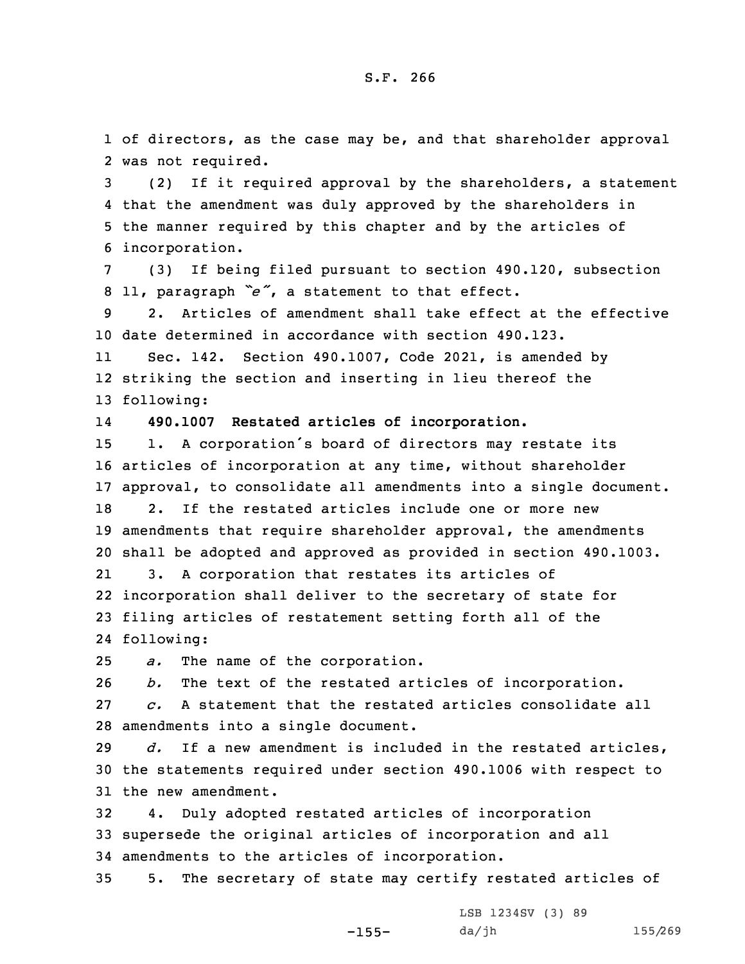1 of directors, as the case may be, and that shareholder approval 2 was not required.

 (2) If it required approval by the shareholders, <sup>a</sup> statement that the amendment was duly approved by the shareholders in the manner required by this chapter and by the articles of incorporation.

7 (3) If being filed pursuant to section 490.120, subsection <sup>8</sup> 11, paragraph *"e"*, <sup>a</sup> statement to that effect.

9 2. Articles of amendment shall take effect at the effective 10 date determined in accordance with section 490.123.

11 Sec. 142. Section 490.1007, Code 2021, is amended by 12 striking the section and inserting in lieu thereof the 13 following:

14**490.1007 Restated articles of incorporation.**

 1. <sup>A</sup> corporation's board of directors may restate its articles of incorporation at any time, without shareholder approval, to consolidate all amendments into <sup>a</sup> single document. 2. If the restated articles include one or more new amendments that require shareholder approval, the amendments shall be adopted and approved as provided in section 490.1003. 213. <sup>A</sup> corporation that restates its articles of

22 incorporation shall deliver to the secretary of state for 23 filing articles of restatement setting forth all of the 24 following:

25 *a.* The name of the corporation.

26 *b.* The text of the restated articles of incorporation. 27 *c.* A statement that the restated articles consolidate all 28 amendments into <sup>a</sup> single document.

29 *d.* If <sup>a</sup> new amendment is included in the restated articles, 30 the statements required under section 490.1006 with respect to 31 the new amendment.

32 4. Duly adopted restated articles of incorporation 33 supersede the original articles of incorporation and all 34 amendments to the articles of incorporation.

35 5. The secretary of state may certify restated articles of

-155-

LSB 1234SV (3) 89 da/jh 155/269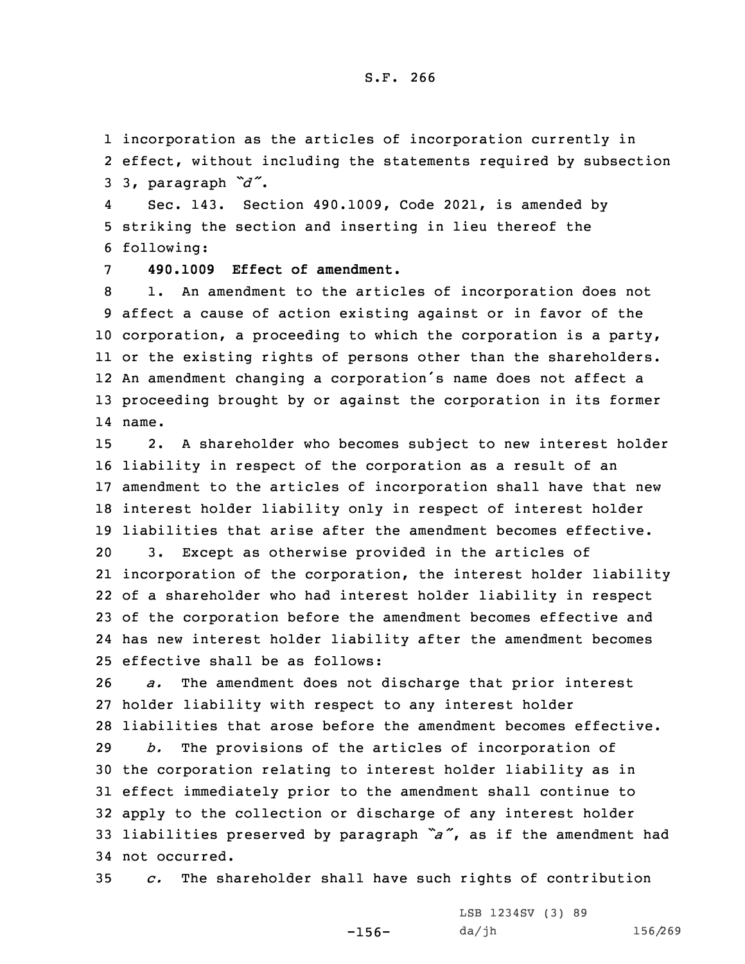1 incorporation as the articles of incorporation currently in 2 effect, without including the statements required by subsection <sup>3</sup> 3, paragraph *"d"*.

4 Sec. 143. Section 490.1009, Code 2021, is amended by 5 striking the section and inserting in lieu thereof the 6 following:

7 **490.1009 Effect of amendment.**

 1. An amendment to the articles of incorporation does not affect <sup>a</sup> cause of action existing against or in favor of the corporation, <sup>a</sup> proceeding to which the corporation is <sup>a</sup> party, or the existing rights of persons other than the shareholders. An amendment changing <sup>a</sup> corporation's name does not affect <sup>a</sup> proceeding brought by or against the corporation in its former 14 name.

 2. <sup>A</sup> shareholder who becomes subject to new interest holder liability in respect of the corporation as <sup>a</sup> result of an amendment to the articles of incorporation shall have that new interest holder liability only in respect of interest holder liabilities that arise after the amendment becomes effective. 3. Except as otherwise provided in the articles of incorporation of the corporation, the interest holder liability of <sup>a</sup> shareholder who had interest holder liability in respect of the corporation before the amendment becomes effective and has new interest holder liability after the amendment becomes effective shall be as follows:

26 *a.* The amendment does not discharge that prior interest 27 holder liability with respect to any interest holder 28 liabilities that arose before the amendment becomes effective.

 *b.* The provisions of the articles of incorporation of the corporation relating to interest holder liability as in effect immediately prior to the amendment shall continue to apply to the collection or discharge of any interest holder liabilities preserved by paragraph *"a"*, as if the amendment had not occurred.

35 *c.* The shareholder shall have such rights of contribution

-156-

LSB 1234SV (3) 89 da/jh 156/269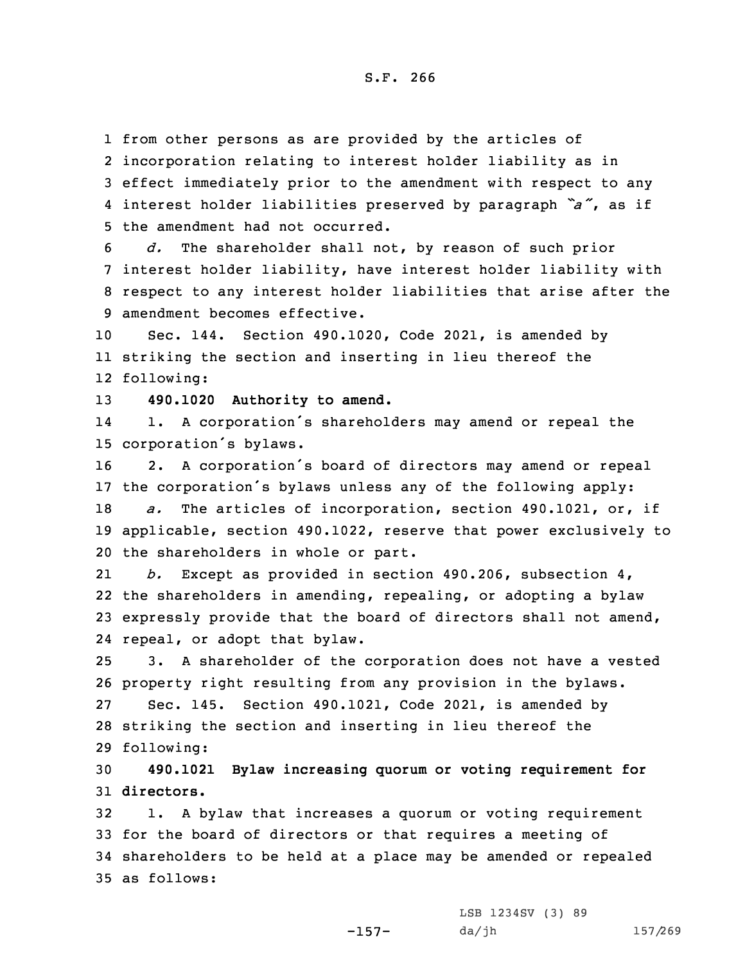1 from other persons as are provided by the articles of

 incorporation relating to interest holder liability as in effect immediately prior to the amendment with respect to any interest holder liabilities preserved by paragraph *"a"*, as if the amendment had not occurred.

 *d.* The shareholder shall not, by reason of such prior interest holder liability, have interest holder liability with respect to any interest holder liabilities that arise after the amendment becomes effective.

10 Sec. 144. Section 490.1020, Code 2021, is amended by 11 striking the section and inserting in lieu thereof the 12 following:

13 **490.1020 Authority to amend.**

14 1. <sup>A</sup> corporation's shareholders may amend or repeal the <sup>15</sup> corporation's bylaws.

 2. <sup>A</sup> corporation's board of directors may amend or repeal the corporation's bylaws unless any of the following apply: *a.* The articles of incorporation, section 490.1021, or, if applicable, section 490.1022, reserve that power exclusively to

20 the shareholders in whole or part.

21 *b.* Except as provided in section 490.206, subsection 4, 22 the shareholders in amending, repealing, or adopting <sup>a</sup> bylaw 23 expressly provide that the board of directors shall not amend, 24 repeal, or adopt that bylaw.

 3. <sup>A</sup> shareholder of the corporation does not have <sup>a</sup> vested property right resulting from any provision in the bylaws. Sec. 145. Section 490.1021, Code 2021, is amended by striking the section and inserting in lieu thereof the following:

30 **490.1021 Bylaw increasing quorum or voting requirement for** 31 **directors.**

 1. <sup>A</sup> bylaw that increases <sup>a</sup> quorum or voting requirement for the board of directors or that requires <sup>a</sup> meeting of shareholders to be held at <sup>a</sup> place may be amended or repealed as follows:

 $-157-$ 

LSB 1234SV (3) 89 da/jh 157/269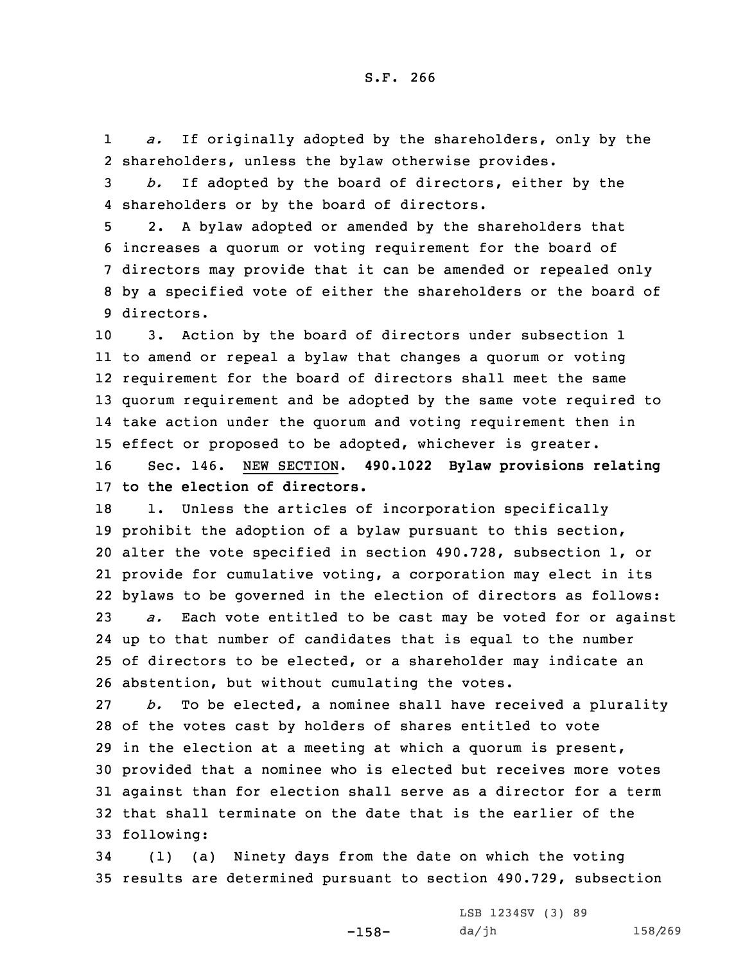1 *a.* If originally adopted by the shareholders, only by the 2 shareholders, unless the bylaw otherwise provides.

3 *b.* If adopted by the board of directors, either by the 4 shareholders or by the board of directors.

 2. <sup>A</sup> bylaw adopted or amended by the shareholders that increases <sup>a</sup> quorum or voting requirement for the board of directors may provide that it can be amended or repealed only by <sup>a</sup> specified vote of either the shareholders or the board of directors.

 3. Action by the board of directors under subsection 1 to amend or repeal <sup>a</sup> bylaw that changes <sup>a</sup> quorum or voting requirement for the board of directors shall meet the same quorum requirement and be adopted by the same vote required to take action under the quorum and voting requirement then in effect or proposed to be adopted, whichever is greater. Sec. 146. NEW SECTION. **490.1022 Bylaw provisions relating**

17 **to the election of directors.**

18 1. Unless the articles of incorporation specifically prohibit the adoption of <sup>a</sup> bylaw pursuant to this section, alter the vote specified in section 490.728, subsection 1, or provide for cumulative voting, <sup>a</sup> corporation may elect in its bylaws to be governed in the election of directors as follows: *a.* Each vote entitled to be cast may be voted for or against up to that number of candidates that is equal to the number

25 of directors to be elected, or <sup>a</sup> shareholder may indicate an 26 abstention, but without cumulating the votes.

 *b.* To be elected, <sup>a</sup> nominee shall have received <sup>a</sup> plurality of the votes cast by holders of shares entitled to vote in the election at <sup>a</sup> meeting at which <sup>a</sup> quorum is present, provided that <sup>a</sup> nominee who is elected but receives more votes against than for election shall serve as <sup>a</sup> director for <sup>a</sup> term that shall terminate on the date that is the earlier of the following:

34 (1) (a) Ninety days from the date on which the voting 35 results are determined pursuant to section 490.729, subsection

-158-

LSB 1234SV (3) 89 da/jh 158/269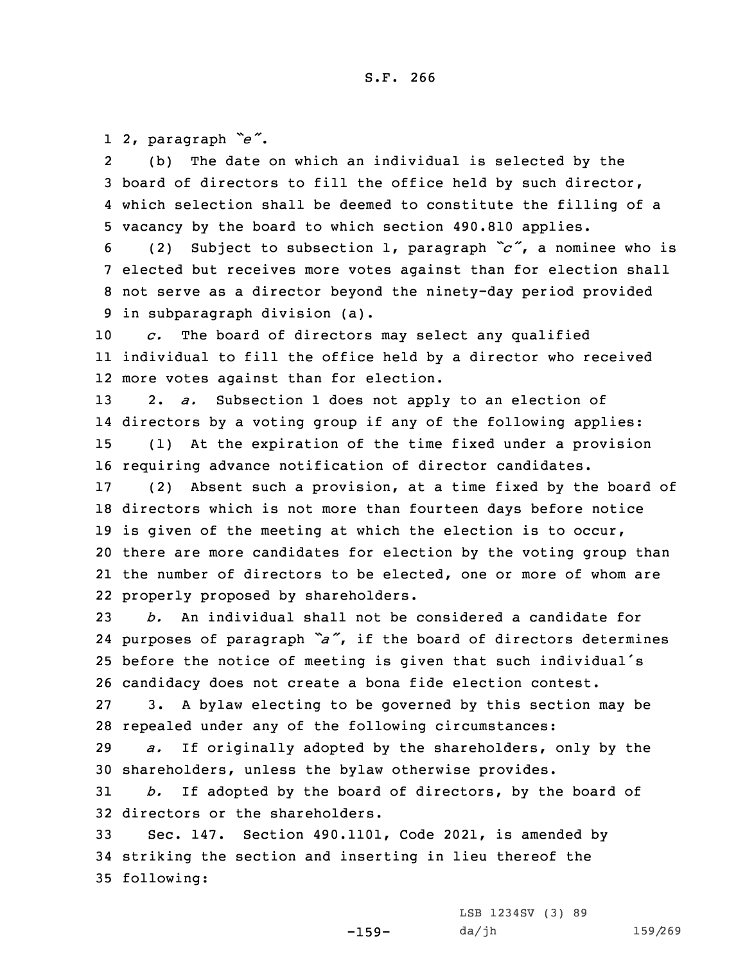1 2, paragraph *"e"*.

2 (b) The date on which an individual is selected by the 3 board of directors to fill the office held by such director, 4 which selection shall be deemed to constitute the filling of <sup>a</sup> 5 vacancy by the board to which section 490.810 applies.

 (2) Subject to subsection 1, paragraph *"c"*, <sup>a</sup> nominee who is elected but receives more votes against than for election shall not serve as <sup>a</sup> director beyond the ninety-day period provided in subparagraph division (a).

10 *c.* The board of directors may select any qualified 11 individual to fill the office held by <sup>a</sup> director who received 12 more votes against than for election.

 2. *a.* Subsection 1 does not apply to an election of directors by <sup>a</sup> voting group if any of the fo1lowing applies: (1) At the expiration of the time fixed under <sup>a</sup> provision requiring advance notification of director candidates.

 (2) Absent such <sup>a</sup> provision, at <sup>a</sup> time fixed by the board of directors which is not more than fourteen days before notice is given of the meeting at which the election is to occur, there are more candidates for election by the voting group than the number of directors to be elected, one or more of whom are properly proposed by shareholders.

 *b.* An individual shall not be considered <sup>a</sup> candidate for purposes of paragraph *"a"*, if the board of directors determines before the notice of meeting is given that such individual's candidacy does not create <sup>a</sup> bona fide election contest.

27 3. <sup>A</sup> bylaw electing to be governed by this section may be 28 repealed under any of the following circumstances:

29 *a.* If originally adopted by the shareholders, only by the 30 shareholders, unless the bylaw otherwise provides.

31 *b.* If adopted by the board of directors, by the board of 32 directors or the shareholders.

-159-

33 Sec. 147. Section 490.1101, Code 2021, is amended by 34 striking the section and inserting in lieu thereof the 35 following:

> LSB 1234SV (3) 89 da/jh 159/269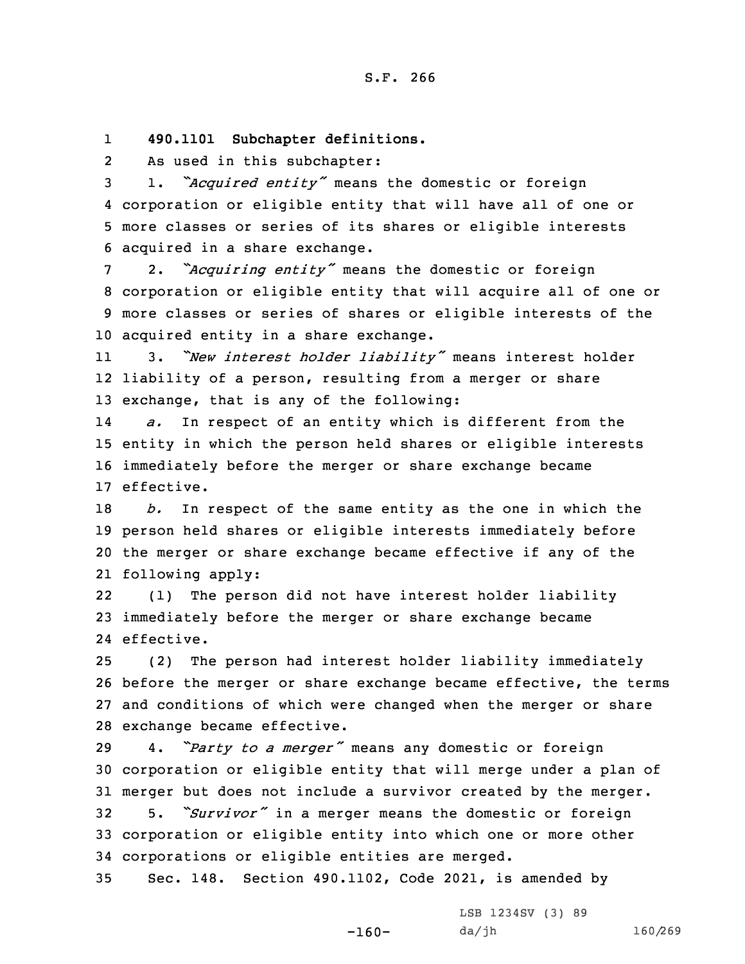## 1**490.1101 Subchapter definitions.**

2As used in this subchapter:

 1. *"Acquired entity"* means the domestic or foreign corporation or eligible entity that will have all of one or more classes or series of its shares or eligible interests acquired in <sup>a</sup> share exchange.

 2. *"Acquiring entity"* means the domestic or foreign corporation or eligible entity that will acquire all of one or more classes or series of shares or eligible interests of the acquired entity in <sup>a</sup> share exchange.

11 3. *"New interest holder liability"* means interest holder 12 liability of <sup>a</sup> person, resulting from <sup>a</sup> merger or share 13 exchange, that is any of the following:

14 *a.* In respect of an entity which is different from the 15 entity in which the person held shares or eligible interests 16 immediately before the merger or share exchange became 17 effective.

 *b.* In respect of the same entity as the one in which the person held shares or eligible interests immediately before the merger or share exchange became effective if any of the following apply:

22 (1) The person did not have interest holder liability 23 immediately before the merger or share exchange became 24 effective.

 (2) The person had interest holder liability immediately before the merger or share exchange became effective, the terms and conditions of which were changed when the merger or share exchange became effective.

 4. *"Party to <sup>a</sup> merger"* means any domestic or foreign corporation or eligible entity that will merge under <sup>a</sup> plan of merger but does not include <sup>a</sup> survivor created by the merger. 5. *"Survivor"* in <sup>a</sup> merger means the domestic or foreign corporation or eligible entity into which one or more other corporations or eligible entities are merged.

35 Sec. 148. Section 490.1102, Code 2021, is amended by

 $-160-$ 

LSB 1234SV (3) 89 da/jh 160/269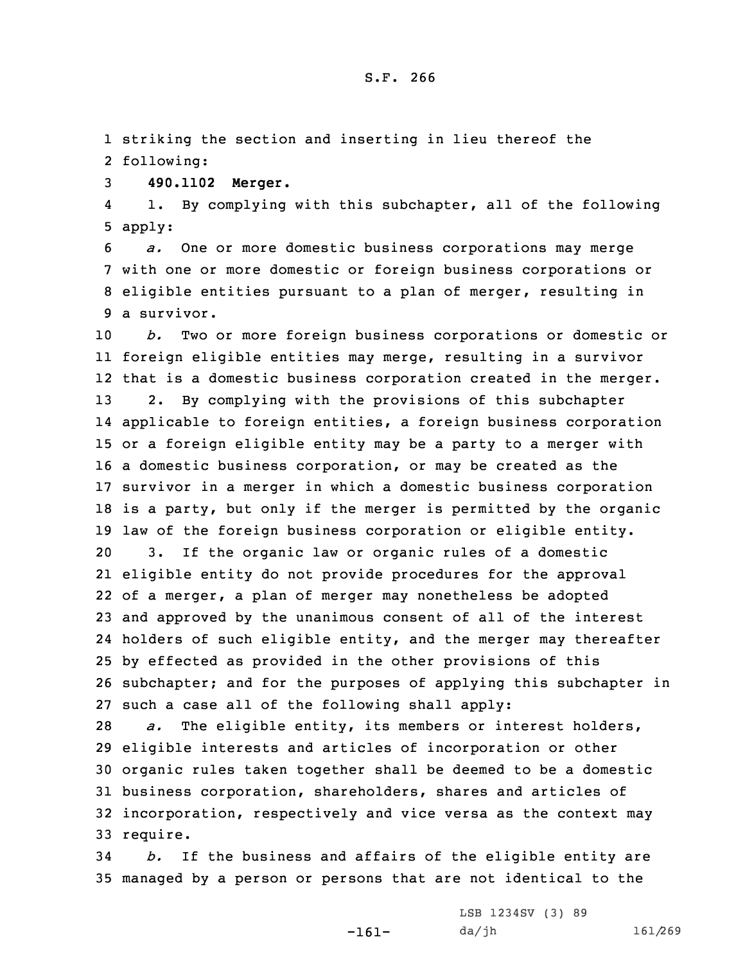1 striking the section and inserting in lieu thereof the 2 following:

3 **490.1102 Merger.**

4 1. By complying with this subchapter, all of the following 5 apply:

 *a.* One or more domestic business corporations may merge with one or more domestic or foreign business corporations or eligible entities pursuant to <sup>a</sup> plan of merger, resulting in <sup>a</sup> survivor.

 *b.* Two or more foreign business corporations or domestic or foreign eligible entities may merge, resulting in <sup>a</sup> survivor that is <sup>a</sup> domestic business corporation created in the merger. 2. By complying with the provisions of this subchapter applicable to foreign entities, <sup>a</sup> foreign business corporation or <sup>a</sup> foreign eligible entity may be <sup>a</sup> party to <sup>a</sup> merger with <sup>a</sup> domestic business corporation, or may be created as the survivor in <sup>a</sup> merger in which <sup>a</sup> domestic business corporation is <sup>a</sup> party, but only if the merger is permitted by the organic law of the foreign business corporation or eligible entity. 3. If the organic law or organic rules of <sup>a</sup> domestic eligible entity do not provide procedures for the approval of <sup>a</sup> merger, <sup>a</sup> plan of merger may nonetheless be adopted and approved by the unanimous consent of all of the interest holders of such eligible entity, and the merger may thereafter by effected as provided in the other provisions of this subchapter; and for the purposes of applying this subchapter in such <sup>a</sup> case all of the following shall apply: *a.* The eligible entity, its members or interest holders,

 eligible interests and articles of incorporation or other organic rules taken together shall be deemed to be <sup>a</sup> domestic business corporation, shareholders, shares and articles of incorporation, respectively and vice versa as the context may 33 require.

34 *b.* If the business and affairs of the eligible entity are 35 managed by <sup>a</sup> person or persons that are not identical to the

-161-

LSB 1234SV (3) 89 da/jh 161/269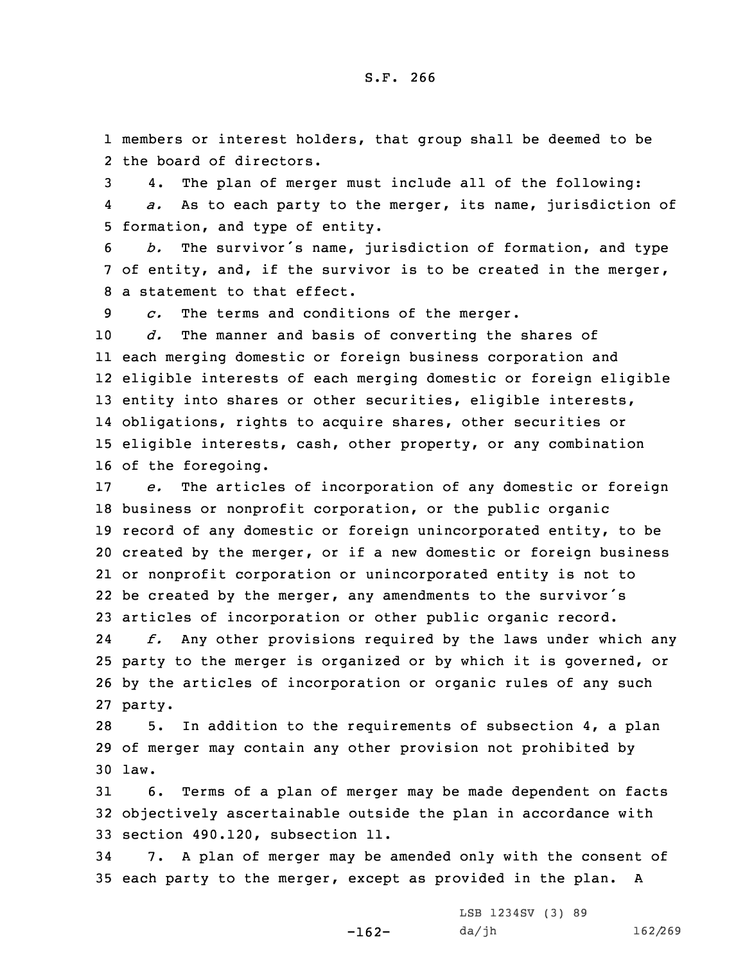1 members or interest holders, that group shall be deemed to be 2 the board of directors.

3 4. The plan of merger must include all of the following: 4 *a.* As to each party to the merger, its name, jurisdiction of 5 formation, and type of entity.

<sup>6</sup> *b.* The survivor's name, jurisdiction of formation, and type 7 of entity, and, if the survivor is to be created in the merger, 8 a statement to that effect.

9 *c.* The terms and conditions of the merger.

 *d.* The manner and basis of converting the shares of each merging domestic or foreign business corporation and eligible interests of each merging domestic or foreign eligible 13 entity into shares or other securities, eligible interests, obligations, rights to acquire shares, other securities or eligible interests, cash, other property, or any combination of the foregoing.

 *e.* The articles of incorporation of any domestic or foreign business or nonprofit corporation, or the public organic record of any domestic or foreign unincorporated entity, to be created by the merger, or if <sup>a</sup> new domestic or foreign business or nonprofit corporation or unincorporated entity is not to be created by the merger, any amendments to the survivor's articles of incorporation or other public organic record.

24 *f.* Any other provisions required by the laws under which any 25 party to the merger is organized or by which it is governed, or 26 by the articles of incorporation or organic rules of any such 27 party.

28  $-5$ . In addition to the requirements of subsection 4, a plan 29 of merger may contain any other provision not prohibited by 30 law.

31 6. Terms of <sup>a</sup> plan of merger may be made dependent on facts 32 objectively ascertainable outside the plan in accordance with 33 section 490.120, subsection 11.

34 7. <sup>A</sup> plan of merger may be amended only with the consent of 35 each party to the merger, except as provided in the plan. <sup>A</sup>

-162-

LSB 1234SV (3) 89 da/jh 162/269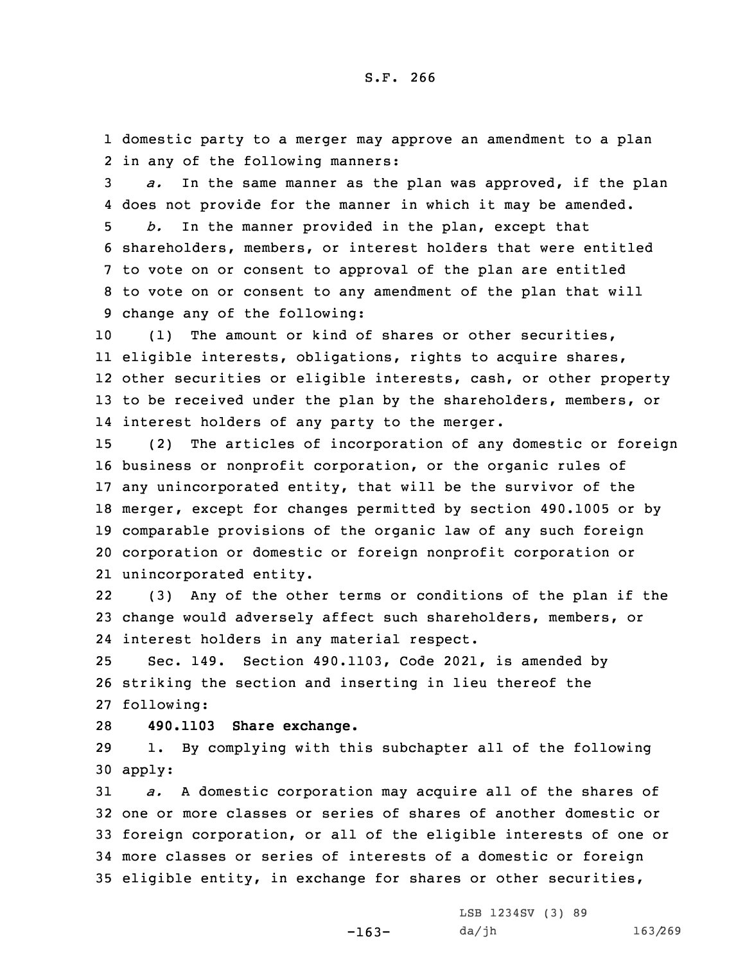1 domestic party to <sup>a</sup> merger may approve an amendment to <sup>a</sup> plan 2 in any of the following manners:

3 *a.* In the same manner as the plan was approved, if the plan 4 does not provide for the manner in which it may be amended.

 *b.* In the manner provided in the plan, except that shareholders, members, or interest holders that were entitled to vote on or consent to approval of the plan are entitled to vote on or consent to any amendment of the plan that will change any of the following:

 (1) The amount or kind of shares or other securities, eligible interests, obligations, rights to acquire shares, other securities or eligible interests, cash, or other property 13 to be received under the plan by the shareholders, members, or interest holders of any party to the merger.

 (2) The articles of incorporation of any domestic or foreign business or nonprofit corporation, or the organic rules of any unincorporated entity, that will be the survivor of the merger, except for changes permitted by section 490.1005 or by comparable provisions of the organic law of any such foreign corporation or domestic or foreign nonprofit corporation or unincorporated entity.

22 (3) Any of the other terms or conditions of the plan if the 23 change would adversely affect such shareholders, members, or 24 interest holders in any material respect.

25 Sec. 149. Section 490.1103, Code 2021, is amended by 26 striking the section and inserting in lieu thereof the 27 following:

28 **490.1103 Share exchange.**

29 1. By complying with this subchapter all of the following 30 apply:

 *a.* <sup>A</sup> domestic corporation may acquire all of the shares of one or more classes or series of shares of another domestic or foreign corporation, or all of the eligible interests of one or more classes or series of interests of <sup>a</sup> domestic or foreign eligible entity, in exchange for shares or other securities,

-163-

LSB 1234SV (3) 89 da/jh 163/269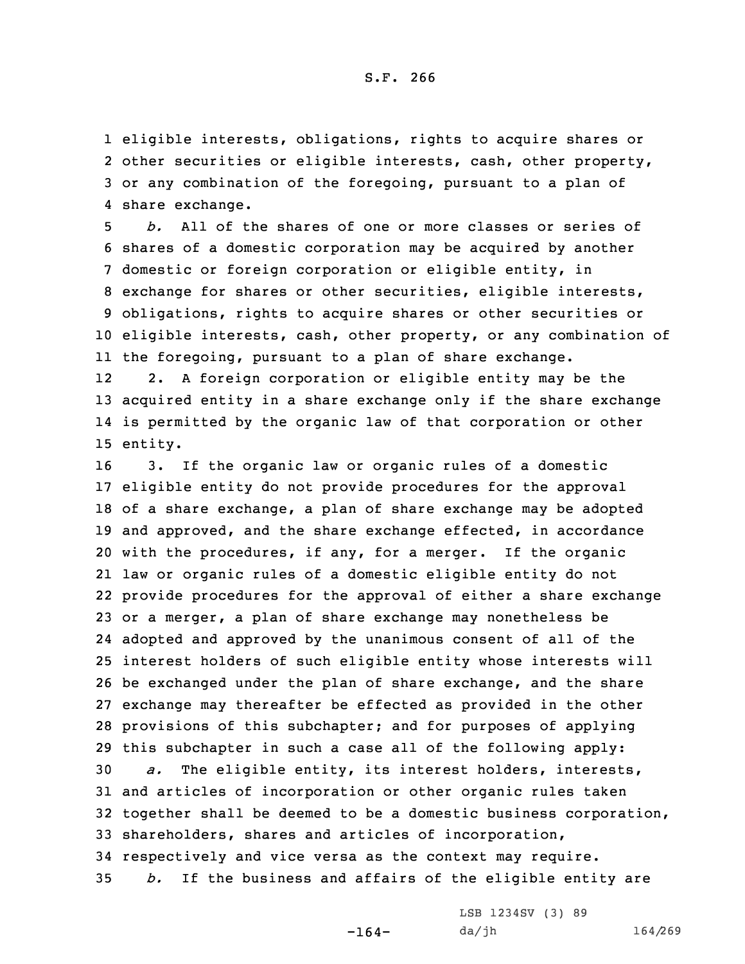eligible interests, obligations, rights to acquire shares or other securities or eligible interests, cash, other property, or any combination of the foregoing, pursuant to <sup>a</sup> plan of share exchange.

 *b.* All of the shares of one or more classes or series of shares of <sup>a</sup> domestic corporation may be acquired by another domestic or foreign corporation or eligible entity, in exchange for shares or other securities, eligible interests, obligations, rights to acquire shares or other securities or eligible interests, cash, other property, or any combination of the foregoing, pursuant to <sup>a</sup> plan of share exchange.

12 2. <sup>A</sup> foreign corporation or eligible entity may be the 13 acquired entity in <sup>a</sup> share exchange only if the share exchange 14 is permitted by the organic law of that corporation or other 15 entity.

 3. If the organic law or organic rules of <sup>a</sup> domestic eligible entity do not provide procedures for the approval of <sup>a</sup> share exchange, <sup>a</sup> plan of share exchange may be adopted 19 and approved, and the share exchange effected, in accordance with the procedures, if any, for <sup>a</sup> merger. If the organic law or organic rules of <sup>a</sup> domestic eligible entity do not provide procedures for the approval of either <sup>a</sup> share exchange or <sup>a</sup> merger, <sup>a</sup> plan of share exchange may nonetheless be adopted and approved by the unanimous consent of all of the interest holders of such eligible entity whose interests will be exchanged under the plan of share exchange, and the share exchange may thereafter be effected as provided in the other provisions of this subchapter; and for purposes of applying this subchapter in such <sup>a</sup> case all of the following apply: *a.* The eligible entity, its interest holders, interests, and articles of incorporation or other organic rules taken together shall be deemed to be <sup>a</sup> domestic business corporation, shareholders, shares and articles of incorporation, respectively and vice versa as the context may require. *b.* If the business and affairs of the eligible entity are

 $-164-$ 

LSB 1234SV (3) 89 da/jh 164/269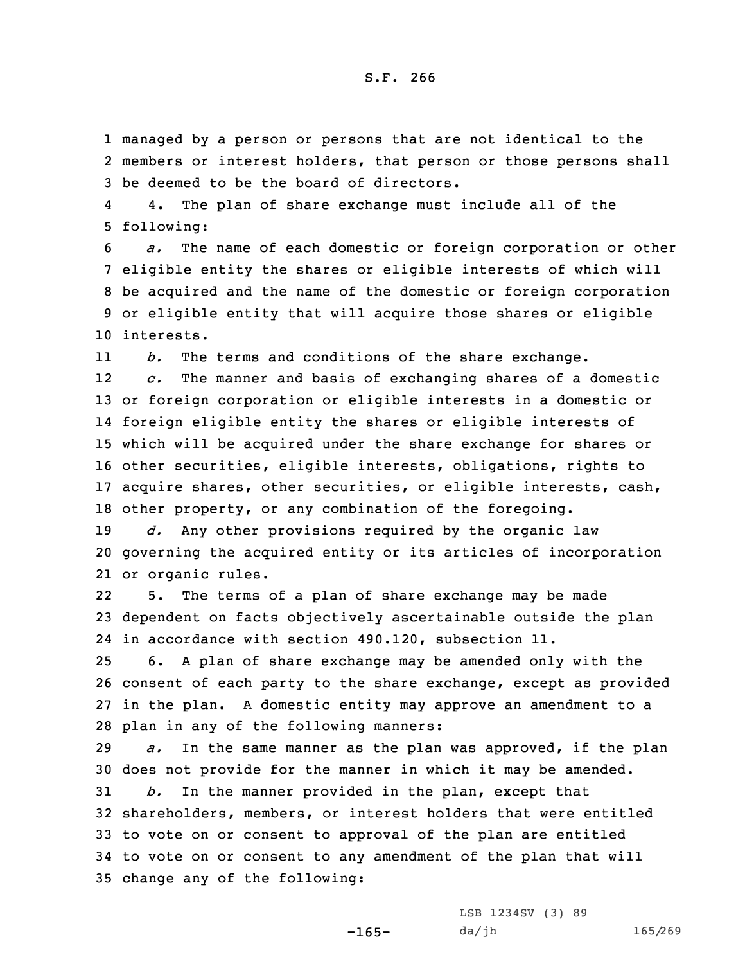S.F. 266

1 managed by <sup>a</sup> person or persons that are not identical to the 2 members or interest holders, that person or those persons shall 3 be deemed to be the board of directors.

4 4. The plan of share exchange must include all of the 5 following:

 *a.* The name of each domestic or foreign corporation or other eligible entity the shares or eligible interests of which will be acquired and the name of the domestic or foreign corporation or eligible entity that will acquire those shares or eligible interests.

11*b.* The terms and conditions of the share exchange.

12 *c.* The manner and basis of exchanging shares of <sup>a</sup> domestic or foreign corporation or eligible interests in <sup>a</sup> domestic or foreign eligible entity the shares or eligible interests of which will be acquired under the share exchange for shares or other securities, eligible interests, obligations, rights to acquire shares, other securities, or eligible interests, cash, other property, or any combination of the foregoing.

19 *d.* Any other provisions required by the organic law 20 governing the acquired entity or its articles of incorporation 21 or organic rules.

22 5. The terms of <sup>a</sup> plan of share exchange may be made 23 dependent on facts objectively ascertainable outside the plan 24 in accordance with section 490.120, subsection 11.

 6. <sup>A</sup> plan of share exchange may be amended only with the consent of each party to the share exchange, except as provided in the plan. <sup>A</sup> domestic entity may approve an amendment to <sup>a</sup> plan in any of the following manners:

 *a.* In the same manner as the plan was approved, if the plan does not provide for the manner in which it may be amended. *b.* In the manner provided in the plan, except that shareholders, members, or interest holders that were entitled to vote on or consent to approval of the plan are entitled to vote on or consent to any amendment of the plan that will change any of the following:

> LSB 1234SV (3) 89 da/jh 165/269

-165-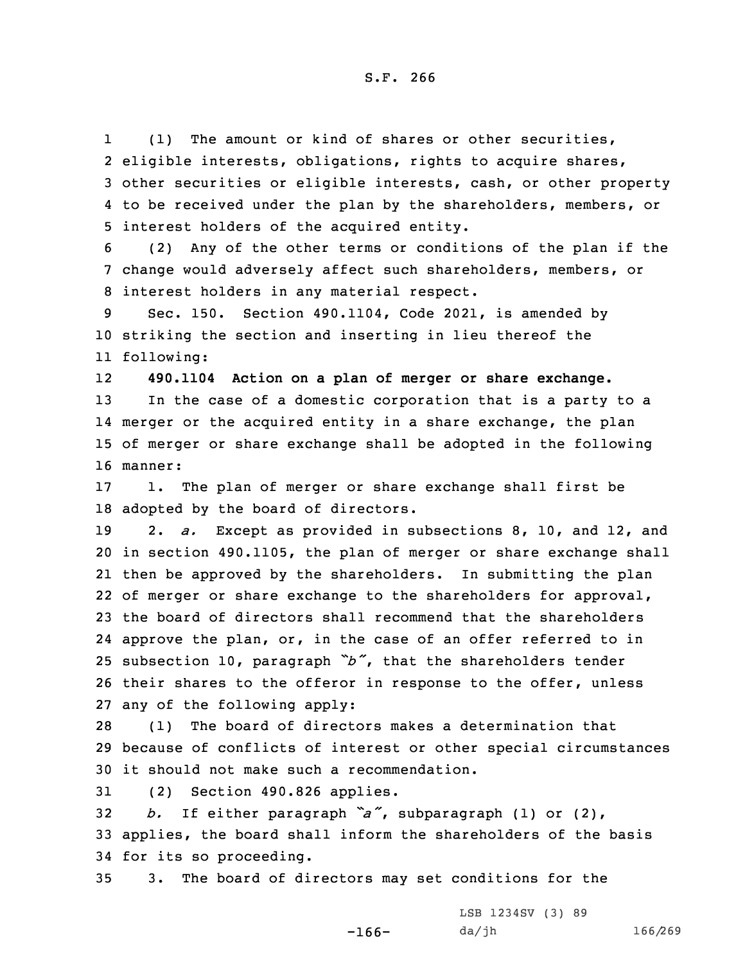1 (1) The amount or kind of shares or other securities, eligible interests, obligations, rights to acquire shares, other securities or eligible interests, cash, or other property to be received under the plan by the shareholders, members, or interest holders of the acquired entity.

6 (2) Any of the other terms or conditions of the plan if the 7 change would adversely affect such shareholders, members, or 8 interest holders in any material respect.

9 Sec. 150. Section 490.1104, Code 2021, is amended by 10 striking the section and inserting in lieu thereof the 11 following:

12**490.1104 Action on <sup>a</sup> plan of merger or share exchange.**

 In the case of <sup>a</sup> domestic corporation that is <sup>a</sup> party to <sup>a</sup> merger or the acquired entity in <sup>a</sup> share exchange, the plan of merger or share exchange shall be adopted in the following 16 manner:

17 1. The plan of merger or share exchange shall first be 18 adopted by the board of directors.

 2. *a.* Except as provided in subsections 8, 10, and 12, and in section 490.1105, the plan of merger or share exchange shall then be approved by the shareholders. In submitting the plan of merger or share exchange to the shareholders for approval, the board of directors shall recommend that the shareholders approve the plan, or, in the case of an offer referred to in subsection 10, paragraph *"b"*, that the shareholders tender their shares to the offeror in response to the offer, unless any of the following apply:

28 (1) The board of directors makes <sup>a</sup> determination that 29 because of conflicts of interest or other special circumstances 30 it should not make such <sup>a</sup> recommendation.

31 (2) Section 490.826 applies.

<sup>32</sup> *b.* If either paragraph *"a"*, subparagraph (1) or (2), 33 applies, the board shall inform the shareholders of the basis 34 for its so proceeding.

-166-

35 3. The board of directors may set conditions for the

LSB 1234SV (3) 89 da/jh 166/269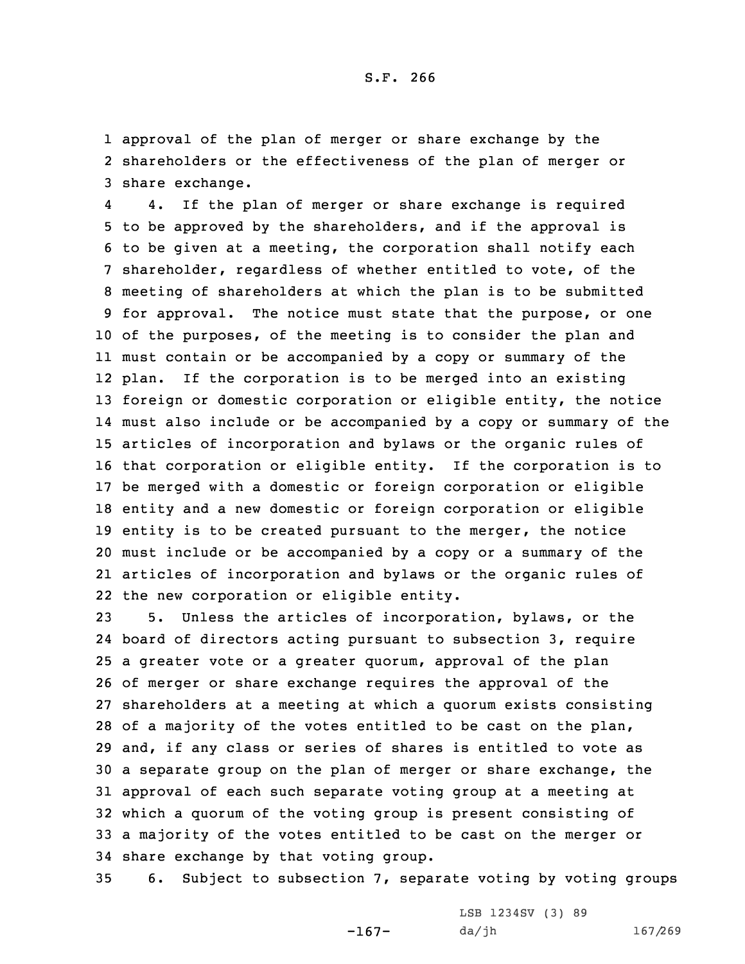1 approval of the plan of merger or share exchange by the 2 shareholders or the effectiveness of the plan of merger or 3 share exchange.

4 4. If the plan of merger or share exchange is required to be approved by the shareholders, and if the approval is to be given at <sup>a</sup> meeting, the corporation shall notify each shareholder, regardless of whether entitled to vote, of the meeting of shareholders at which the plan is to be submitted for approval. The notice must state that the purpose, or one of the purposes, of the meeting is to consider the plan and must contain or be accompanied by <sup>a</sup> copy or summary of the plan. If the corporation is to be merged into an existing foreign or domestic corporation or eligible entity, the notice must also include or be accompanied by <sup>a</sup> copy or summary of the articles of incorporation and bylaws or the organic rules of that corporation or eligible entity. If the corporation is to be merged with <sup>a</sup> domestic or foreign corporation or eligible entity and <sup>a</sup> new domestic or foreign corporation or eligible entity is to be created pursuant to the merger, the notice must include or be accompanied by <sup>a</sup> copy or <sup>a</sup> summary of the articles of incorporation and bylaws or the organic rules of the new corporation or eligible entity.

 5. Unless the articles of incorporation, bylaws, or the board of directors acting pursuant to subsection 3, require <sup>a</sup> greater vote or <sup>a</sup> greater quorum, approval of the plan of merger or share exchange requires the approval of the shareholders at <sup>a</sup> meeting at which <sup>a</sup> quorum exists consisting of <sup>a</sup> majority of the votes entitled to be cast on the plan, and, if any class or series of shares is entitled to vote as <sup>a</sup> separate group on the plan of merger or share exchange, the approval of each such separate voting group at <sup>a</sup> meeting at which <sup>a</sup> quorum of the voting group is present consisting of <sup>a</sup> majority of the votes entitled to be cast on the merger or share exchange by that voting group.

35 6. Subject to subsection 7, separate voting by voting groups

-167-

LSB 1234SV (3) 89 da/jh 167/269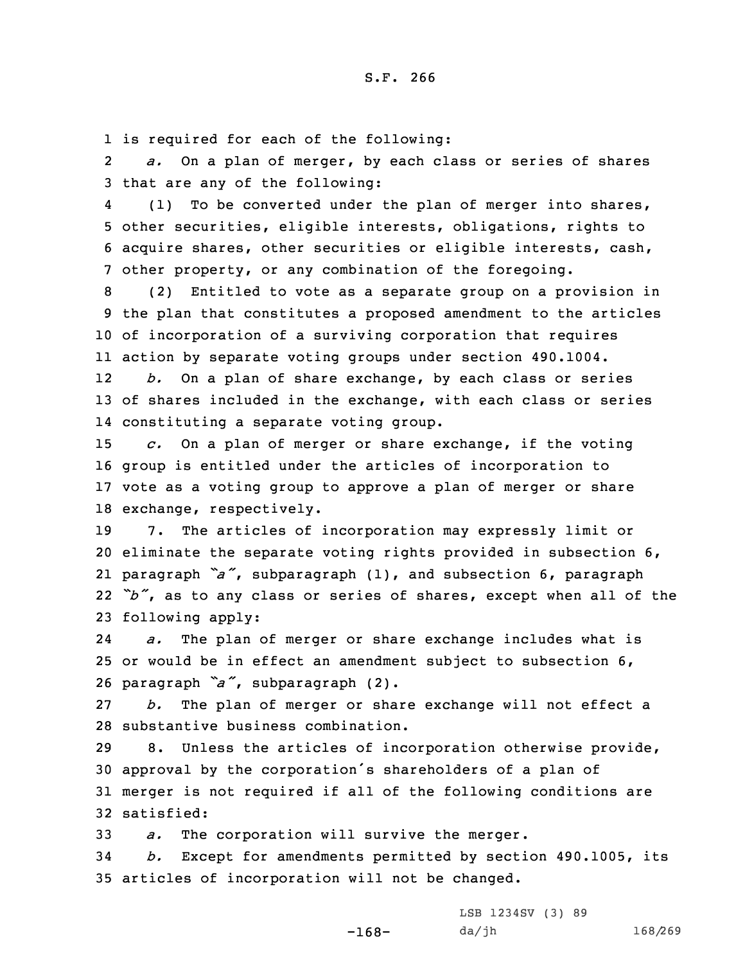1 is required for each of the following:

2 *a.* On <sup>a</sup> plan of merger, by each class or series of shares 3 that are any of the following:

4 (1) To be converted under the plan of merger into shares, 5 other securities, eligible interests, obligations, rights to 6 acquire shares, other securities or eligible interests, cash, 7 other property, or any combination of the foregoing.

 (2) Entitled to vote as <sup>a</sup> separate group on <sup>a</sup> provision in the plan that constitutes <sup>a</sup> proposed amendment to the articles of incorporation of <sup>a</sup> surviving corporation that requires action by separate voting groups under section 490.1004.

12 *b.* On <sup>a</sup> plan of share exchange, by each class or series 13 of shares included in the exchange, with each class or series 14 constituting <sup>a</sup> separate voting group.

 *c.* On <sup>a</sup> plan of merger or share exchange, if the voting group is entitled under the articles of incorporation to vote as <sup>a</sup> voting group to approve <sup>a</sup> plan of merger or share exchange, respectively.

 7. The articles of incorporation may expressly limit or eliminate the separate voting rights provided in subsection 6, paragraph *"a"*, subparagraph (1), and subsection 6, paragraph *"b"*, as to any class or series of shares, except when all of the following apply:

24 *a.* The plan of merger or share exchange includes what is 25 or would be in effect an amendment subject to subsection 6, <sup>26</sup> paragraph *"a"*, subparagraph (2).

27 *b.* The plan of merger or share exchange will not effect <sup>a</sup> 28 substantive business combination.

 8. Unless the articles of incorporation otherwise provide, approval by the corporation's shareholders of <sup>a</sup> plan of merger is not required if all of the following conditions are satisfied:

33 *a.* The corporation will survive the merger.

34 *b.* Except for amendments permitted by section 490.1005, its 35 articles of incorporation will not be changed.

-168-

LSB 1234SV (3) 89 da/jh 168/269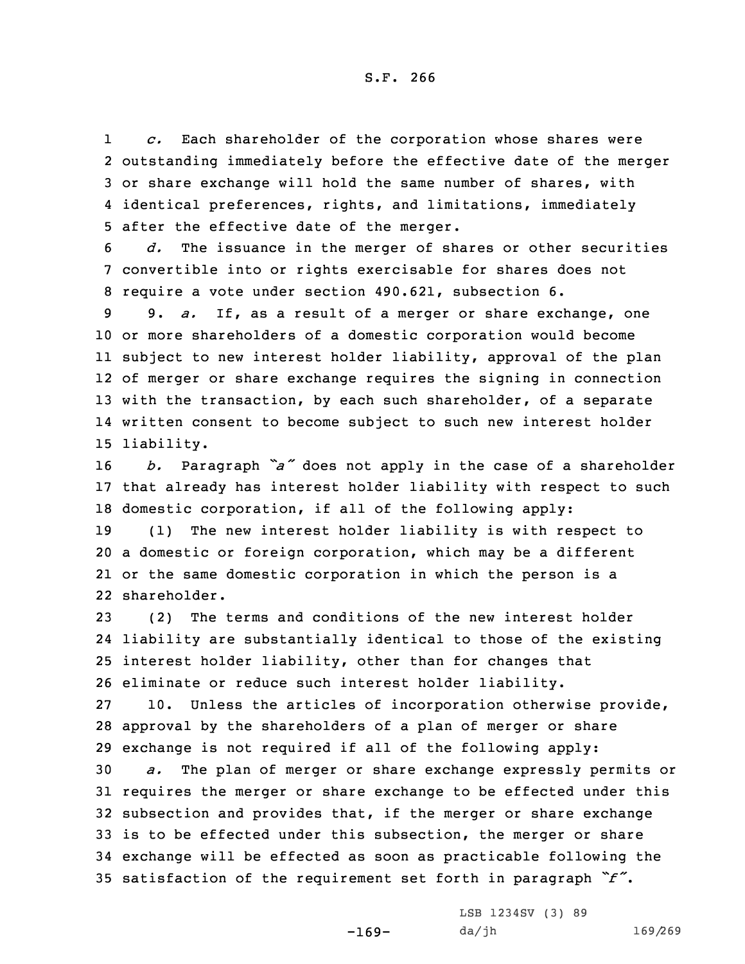1 *c.* Each shareholder of the corporation whose shares were outstanding immediately before the effective date of the merger or share exchange will hold the same number of shares, with identical preferences, rights, and limitations, immediately after the effective date of the merger.

6 *d.* The issuance in the merger of shares or other securities 7 convertible into or rights exercisable for shares does not 8 require <sup>a</sup> vote under section 490.621, subsection 6.

 9. *a.* If, as <sup>a</sup> result of <sup>a</sup> merger or share exchange, one or more shareholders of <sup>a</sup> domestic corporation would become subject to new interest holder liability, approval of the plan of merger or share exchange requires the signing in connection with the transaction, by each such shareholder, of <sup>a</sup> separate written consent to become subject to such new interest holder liability.

<sup>16</sup> *b.* Paragraph *"a"* does not apply in the case of <sup>a</sup> shareholder 17 that already has interest holder liability with respect to such 18 domestic corporation, if all of the following apply:

 (1) The new interest holder liability is with respect to <sup>a</sup> domestic or foreign corporation, which may be <sup>a</sup> different or the same domestic corporation in which the person is <sup>a</sup> shareholder.

 (2) The terms and conditions of the new interest holder liability are substantially identical to those of the existing interest holder liability, other than for changes that eliminate or reduce such interest holder liability.

27 10. Unless the articles of incorporation otherwise provide, 28 approval by the shareholders of <sup>a</sup> plan of merger or share 29 exchange is not required if all of the following apply:

 *a.* The plan of merger or share exchange expressly permits or requires the merger or share exchange to be effected under this subsection and provides that, if the merger or share exchange is to be effected under this subsection, the merger or share exchange will be effected as soon as practicable following the satisfaction of the requirement set forth in paragraph *"f"*.

 $-169-$ 

LSB 1234SV (3) 89 da/jh 169/269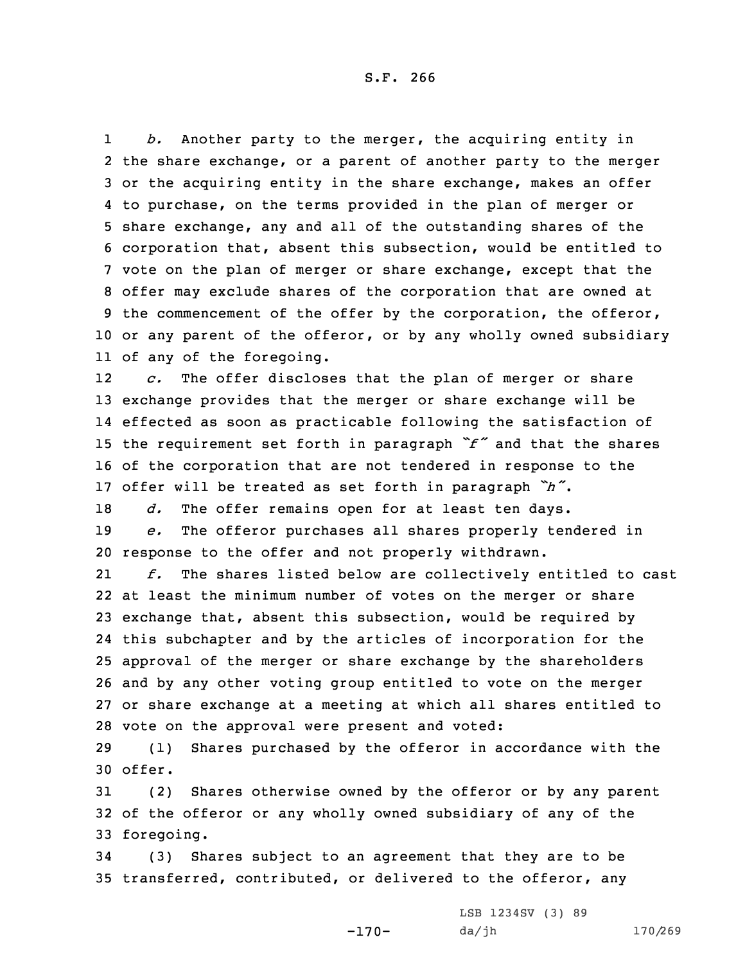S.F. 266

1 *b.* Another party to the merger, the acquiring entity in the share exchange, or <sup>a</sup> parent of another party to the merger or the acquiring entity in the share exchange, makes an offer to purchase, on the terms provided in the plan of merger or share exchange, any and all of the outstanding shares of the corporation that, absent this subsection, would be entitled to vote on the plan of merger or share exchange, except that the offer may exclude shares of the corporation that are owned at the commencement of the offer by the corporation, the offeror, or any parent of the offeror, or by any wholly owned subsidiary of any of the foregoing.

12 *c.* The offer discloses that the plan of merger or share exchange provides that the merger or share exchange will be effected as soon as practicable following the satisfaction of the requirement set forth in paragraph *"f"* and that the shares of the corporation that are not tendered in response to the offer will be treated as set forth in paragraph *"h"*.

18 *d.* The offer remains open for at least ten days.

19 *e.* The offeror purchases all shares properly tendered in 20 response to the offer and not properly withdrawn.

21 *f.* The shares listed below are collectively entitled to cast at least the minimum number of votes on the merger or share exchange that, absent this subsection, would be required by this subchapter and by the articles of incorporation for the approval of the merger or share exchange by the shareholders and by any other voting group entitled to vote on the merger or share exchange at <sup>a</sup> meeting at which all shares entitled to vote on the approval were present and voted:

29 (1) Shares purchased by the offeror in accordance with the 30 offer.

31 (2) Shares otherwise owned by the offeror or by any parent 32 of the offeror or any wholly owned subsidiary of any of the 33 foregoing.

34 (3) Shares subject to an agreement that they are to be 35 transferred, contributed, or delivered to the offeror, any

 $-170-$ 

LSB 1234SV (3) 89 da/jh 170/269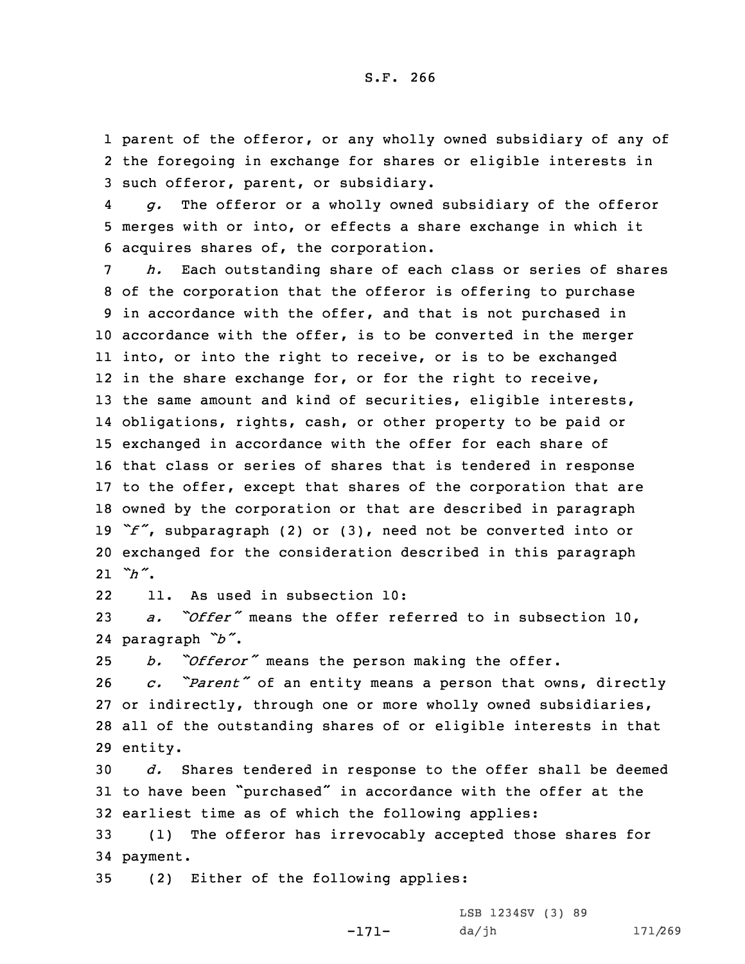S.F. 266

1 parent of the offeror, or any wholly owned subsidiary of any of 2 the foregoing in exchange for shares or eligible interests in 3 such offeror, parent, or subsidiary.

4 *g.* The offeror or <sup>a</sup> wholly owned subsidiary of the offeror 5 merges with or into, or effects <sup>a</sup> share exchange in which it 6 acquires shares of, the corporation.

 *h.* Each outstanding share of each class or series of shares of the corporation that the offeror is offering to purchase in accordance with the offer, and that is not purchased in accordance with the offer, is to be converted in the merger into, or into the right to receive, or is to be exchanged 12 in the share exchange for, or for the right to receive, the same amount and kind of securities, eligible interests, obligations, rights, cash, or other property to be paid or exchanged in accordance with the offer for each share of that class or series of shares that is tendered in response 17 to the offer, except that shares of the corporation that are owned by the corporation or that are described in paragraph *"f"*, subparagraph (2) or (3), need not be converted into or exchanged for the consideration described in this paragraph 21 *"h"*.

2211. As used in subsection 10:

23 *a. "Offer"* means the offer referred to in subsection 10, 24 paragraph *"b"*.

<sup>25</sup> *b. "Offeror"* means the person making the offer.

 *c. "Parent"* of an entity means <sup>a</sup> person that owns, directly or indirectly, through one or more wholly owned subsidiaries, all of the outstanding shares of or eligible interests in that 29 entity.

30 *d.* Shares tendered in response to the offer shall be deemed <sup>31</sup> to have been "purchased" in accordance with the offer at the 32 earliest time as of which the following applies:

33 (1) The offeror has irrevocably accepted those shares for 34 payment.

-171-

35 (2) Either of the following applies:

LSB 1234SV (3) 89 da/jh 171/269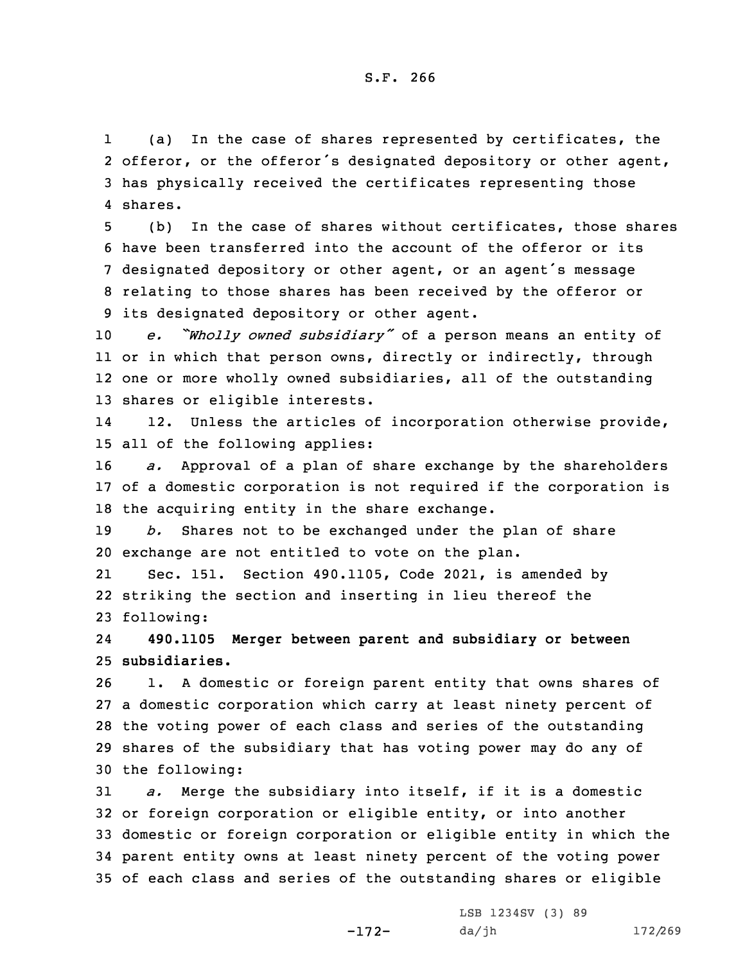1 (a) In the case of shares represented by certificates, the 2 offeror, or the offeror's designated depository or other agent, 3 has physically received the certificates representing those 4 shares.

 (b) In the case of shares without certificates, those shares have been transferred into the account of the offeror or its designated depository or other agent, or an agent's message relating to those shares has been received by the offeror or its designated depository or other agent.

 *e. "Wholly owned subsidiary"* of <sup>a</sup> person means an entity of or in which that person owns, directly or indirectly, through one or more wholly owned subsidiaries, all of the outstanding shares or eligible interests.

14 12. Unless the articles of incorporation otherwise provide, 15 all of the following applies:

16 *a.* Approval of <sup>a</sup> plan of share exchange by the shareholders 17 of <sup>a</sup> domestic corporation is not required if the corporation is 18 the acquiring entity in the share exchange.

19 *b.* Shares not to be exchanged under the plan of share 20 exchange are not entitled to vote on the plan.

21 Sec. 151. Section 490.1105, Code 2021, is amended by 22 striking the section and inserting in lieu thereof the 23 following:

24 **490.1105 Merger between parent and subsidiary or between** 25 **subsidiaries.**

 1. <sup>A</sup> domestic or foreign parent entity that owns shares of <sup>a</sup> domestic corporation which carry at least ninety percent of the voting power of each class and series of the outstanding shares of the subsidiary that has voting power may do any of the following:

 *a.* Merge the subsidiary into itself, if it is <sup>a</sup> domestic or foreign corporation or eligible entity, or into another domestic or foreign corporation or eligible entity in which the parent entity owns at least ninety percent of the voting power of each class and series of the outstanding shares or eligible

-172-

LSB 1234SV (3) 89 da/jh 172/269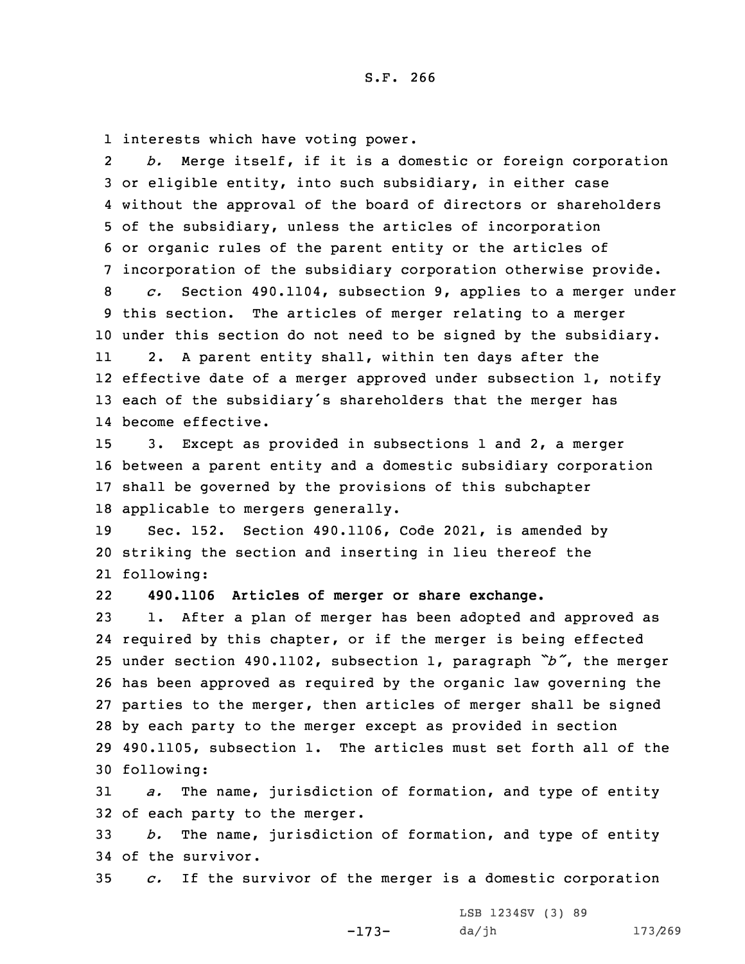1 interests which have voting power.

2 *b.* Merge itself, if it is <sup>a</sup> domestic or foreign corporation or eligible entity, into such subsidiary, in either case without the approval of the board of directors or shareholders of the subsidiary, unless the articles of incorporation or organic rules of the parent entity or the articles of incorporation of the subsidiary corporation otherwise provide. *c.* Section 490.1104, subsection 9, applies to <sup>a</sup> merger under this section. The articles of merger relating to <sup>a</sup> merger under this section do not need to be signed by the subsidiary. 11 2. <sup>A</sup> parent entity shall, within ten days after the effective date of <sup>a</sup> merger approved under subsection 1, notify each of the subsidiary's shareholders that the merger has become effective. 3. Except as provided in subsections 1 and 2, <sup>a</sup> merger

16 between <sup>a</sup> parent entity and <sup>a</sup> domestic subsidiary corporation 17 shall be governed by the provisions of this subchapter 18 applicable to mergers generally.

19 Sec. 152. Section 490.1106, Code 2021, is amended by 20 striking the section and inserting in lieu thereof the 21 following:

22**490.1106 Articles of merger or share exchange.**

 1. After <sup>a</sup> plan of merger has been adopted and approved as required by this chapter, or if the merger is being effected under section 490.1102, subsection 1, paragraph *"b"*, the merger has been approved as required by the organic law governing the parties to the merger, then articles of merger shall be signed by each party to the merger except as provided in section 490.1105, subsection 1. The articles must set forth all of the following:

31 *a.* The name, jurisdiction of formation, and type of entity 32 of each party to the merger.

33 *b.* The name, jurisdiction of formation, and type of entity 34 of the survivor.

35 *c.* If the survivor of the merger is <sup>a</sup> domestic corporation

-173-

LSB 1234SV (3) 89 da/jh 173/269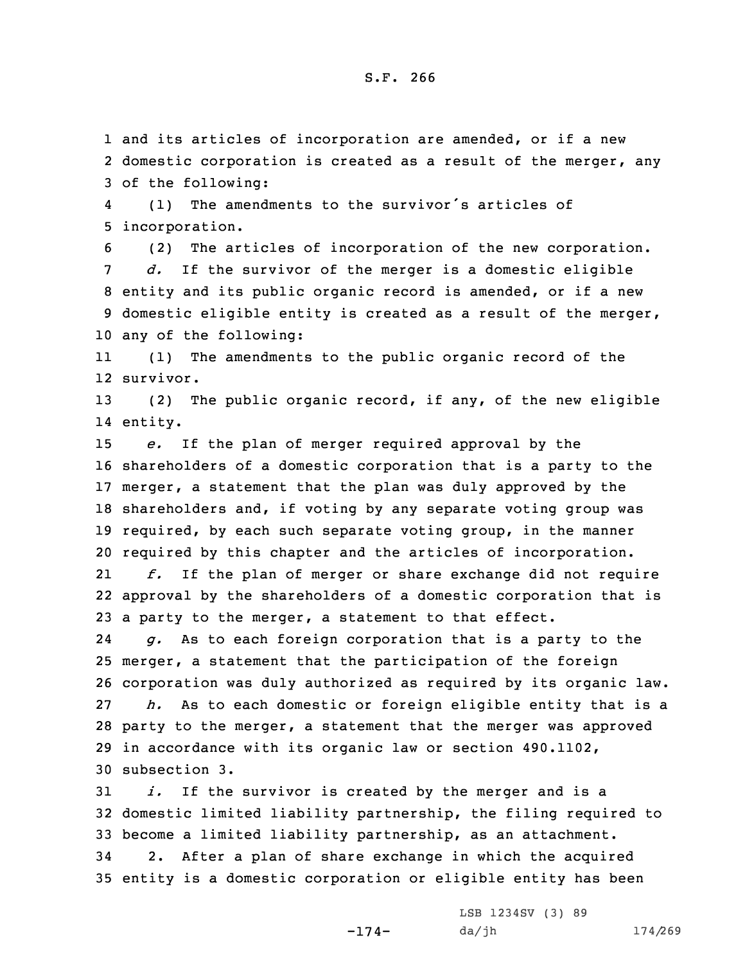1 and its articles of incorporation are amended, or if <sup>a</sup> new 2 domestic corporation is created as a result of the merger, any 3 of the following:

4 (1) The amendments to the survivor's articles of 5 incorporation.

 (2) The articles of incorporation of the new corporation. *d.* If the survivor of the merger is <sup>a</sup> domestic eligible entity and its public organic record is amended, or if <sup>a</sup> new domestic eligible entity is created as <sup>a</sup> result of the merger, any of the following:

11 (1) The amendments to the public organic record of the 12 survivor.

13 (2) The public organic record, if any, of the new eligible 14 entity.

 *e.* If the plan of merger required approval by the shareholders of <sup>a</sup> domestic corporation that is <sup>a</sup> party to the merger, <sup>a</sup> statement that the plan was duly approved by the shareholders and, if voting by any separate voting group was required, by each such separate voting group, in the manner required by this chapter and the articles of incorporation. 21 *f.* If the plan of merger or share exchange did not require approval by the shareholders of <sup>a</sup> domestic corporation that is <sup>a</sup> party to the merger, <sup>a</sup> statement to that effect.

24 *g.* As to each foreign corporation that is <sup>a</sup> party to the merger, <sup>a</sup> statement that the participation of the foreign corporation was duly authorized as required by its organic law. *h.* As to each domestic or foreign eligible entity that is <sup>a</sup> party to the merger, <sup>a</sup> statement that the merger was approved in accordance with its organic law or section 490.1102, subsection 3.

 *i.* If the survivor is created by the merger and is <sup>a</sup> domestic limited liability partnership, the filing required to become <sup>a</sup> limited liability partnership, as an attachment. 2. After <sup>a</sup> plan of share exchange in which the acquired entity is <sup>a</sup> domestic corporation or eligible entity has been

 $-174-$ 

LSB 1234SV (3) 89 da/jh 174/269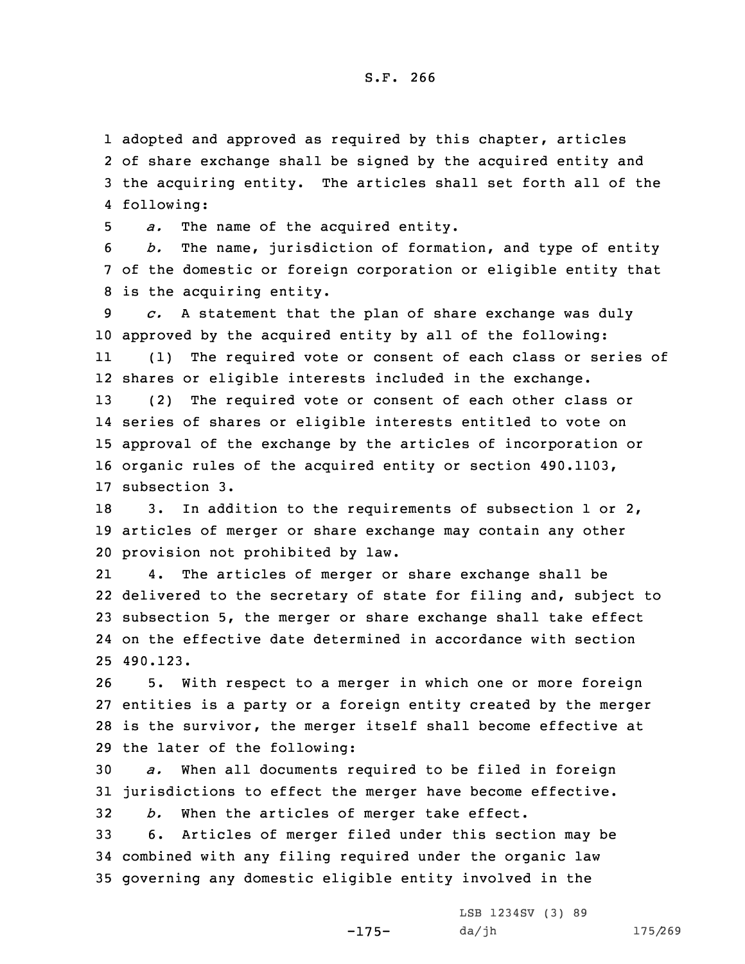adopted and approved as required by this chapter, articles of share exchange shall be signed by the acquired entity and the acquiring entity. The articles shall set forth all of the following:

5 *a.* The name of the acquired entity.

6 *b.* The name, jurisdiction of formation, and type of entity 7 of the domestic or foreign corporation or eligible entity that 8 is the acquiring entity.

 *c.* <sup>A</sup> statement that the plan of share exchange was duly approved by the acquired entity by all of the following: 11 (1) The required vote or consent of each class or series of shares or eligible interests included in the exchange. (2) The required vote or consent of each other class or series of shares or eligible interests entitled to vote on approval of the exchange by the articles of incorporation or organic rules of the acquired entity or section 490.1103, subsection 3.

18 3. In addition to the requirements of subsection 1 or 2, 19 articles of merger or share exchange may contain any other 20 provision not prohibited by law.

21 4. The articles of merger or share exchange shall be 22 delivered to the secretary of state for filing and, subject to 23 subsection 5, the merger or share exchange shall take effect 24 on the effective date determined in accordance with section 25 490.123.

 5. With respect to <sup>a</sup> merger in which one or more foreign entities is <sup>a</sup> party or <sup>a</sup> foreign entity created by the merger is the survivor, the merger itself shall become effective at the later of the following:

30 *a.* When all documents required to be filed in foreign 31 jurisdictions to effect the merger have become effective. 32 *b.* When the articles of merger take effect.

33 6. Articles of merger filed under this section may be 34 combined with any filing required under the organic law 35 governing any domestic eligible entity involved in the

-175-

LSB 1234SV (3) 89 da/jh 175/269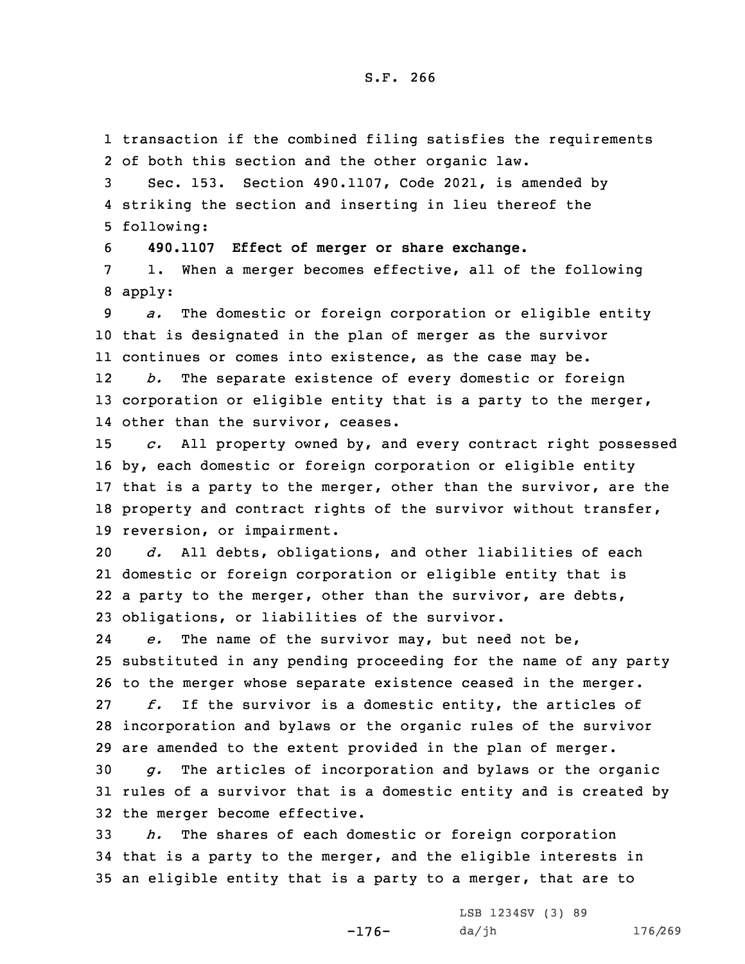1 transaction if the combined filing satisfies the requirements 2 of both this section and the other organic law.

3 Sec. 153. Section 490.1107, Code 2021, is amended by 4 striking the section and inserting in lieu thereof the 5 following:

6 **490.1107 Effect of merger or share exchange.** 7 1. When <sup>a</sup> merger becomes effective, all of the following 8 apply:

9 *a.* The domestic or foreign corporation or eligible entity 10 that is designated in the plan of merger as the survivor 11 continues or comes into existence, as the case may be. 12*b.* The separate existence of every domestic or foreign

13 corporation or eligible entity that is <sup>a</sup> party to the merger, 14 other than the survivor, ceases.

 *c.* All property owned by, and every contract right possessed by, each domestic or foreign corporation or eligible entity that is <sup>a</sup> party to the merger, other than the survivor, are the property and contract rights of the survivor without transfer, reversion, or impairment.

 *d.* All debts, obligations, and other liabilities of each domestic or foreign corporation or eligible entity that is <sup>a</sup> party to the merger, other than the survivor, are debts, obligations, or liabilities of the survivor.

24 *e.* The name of the survivor may, but need not be, substituted in any pending proceeding for the name of any party to the merger whose separate existence ceased in the merger. *f.* If the survivor is <sup>a</sup> domestic entity, the articles of incorporation and bylaws or the organic rules of the survivor are amended to the extent provided in the plan of merger.

30 *g.* The articles of incorporation and bylaws or the organic 31 rules of <sup>a</sup> survivor that is <sup>a</sup> domestic entity and is created by 32 the merger become effective.

33 *h.* The shares of each domestic or foreign corporation 34 that is <sup>a</sup> party to the merger, and the eligible interests in 35 an eligible entity that is <sup>a</sup> party to <sup>a</sup> merger, that are to

-176-

LSB 1234SV (3) 89 da/jh 176/269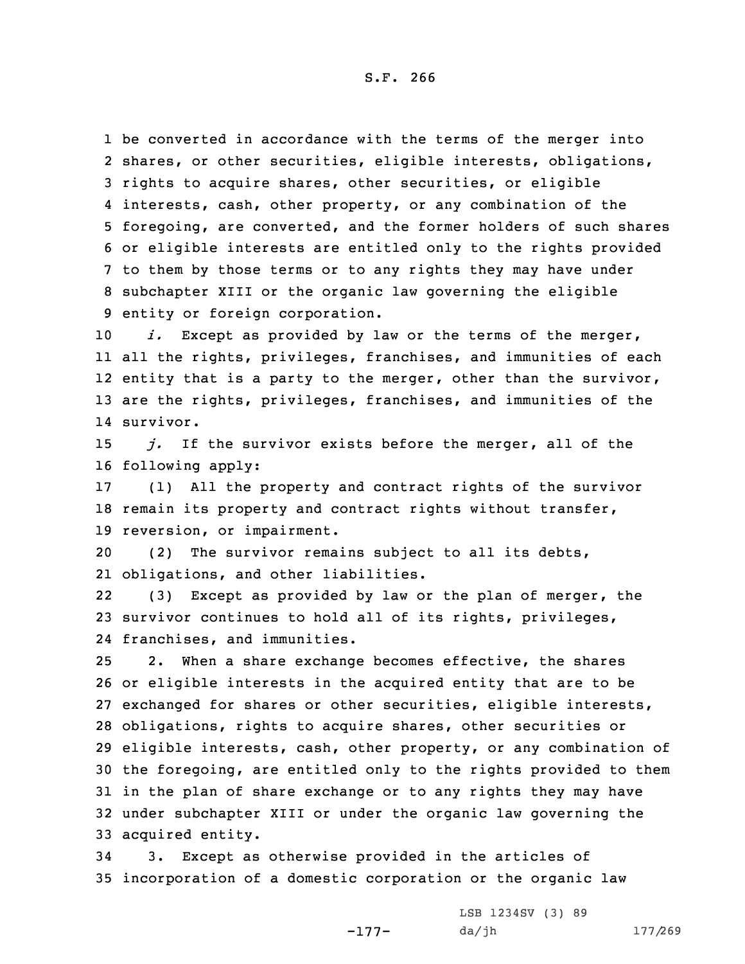S.F. 266

 be converted in accordance with the terms of the merger into shares, or other securities, eligible interests, obligations, rights to acquire shares, other securities, or eligible interests, cash, other property, or any combination of the foregoing, are converted, and the former holders of such shares or eligible interests are entitled only to the rights provided to them by those terms or to any rights they may have under subchapter XIII or the organic law governing the eligible entity or foreign corporation.

 *i.* Except as provided by law or the terms of the merger, all the rights, privileges, franchises, and immunities of each 12 entity that is a party to the merger, other than the survivor, are the rights, privileges, franchises, and immunities of the survivor.

15 *j.* If the survivor exists before the merger, all of the 16 following apply:

17 (1) All the property and contract rights of the survivor 18 remain its property and contract rights without transfer, 19 reversion, or impairment.

20 (2) The survivor remains subject to all its debts, 21 obligations, and other liabilities.

22 (3) Except as provided by law or the plan of merger, the 23 survivor continues to hold all of its rights, privileges, 24 franchises, and immunities.

 2. When <sup>a</sup> share exchange becomes effective, the shares or eligible interests in the acquired entity that are to be exchanged for shares or other securities, eligible interests, obligations, rights to acquire shares, other securities or eligible interests, cash, other property, or any combination of the foregoing, are entitled only to the rights provided to them in the plan of share exchange or to any rights they may have under subchapter XIII or under the organic law governing the acquired entity.

34 3. Except as otherwise provided in the articles of 35 incorporation of <sup>a</sup> domestic corporation or the organic law

-177-

LSB 1234SV (3) 89 da/jh 177/269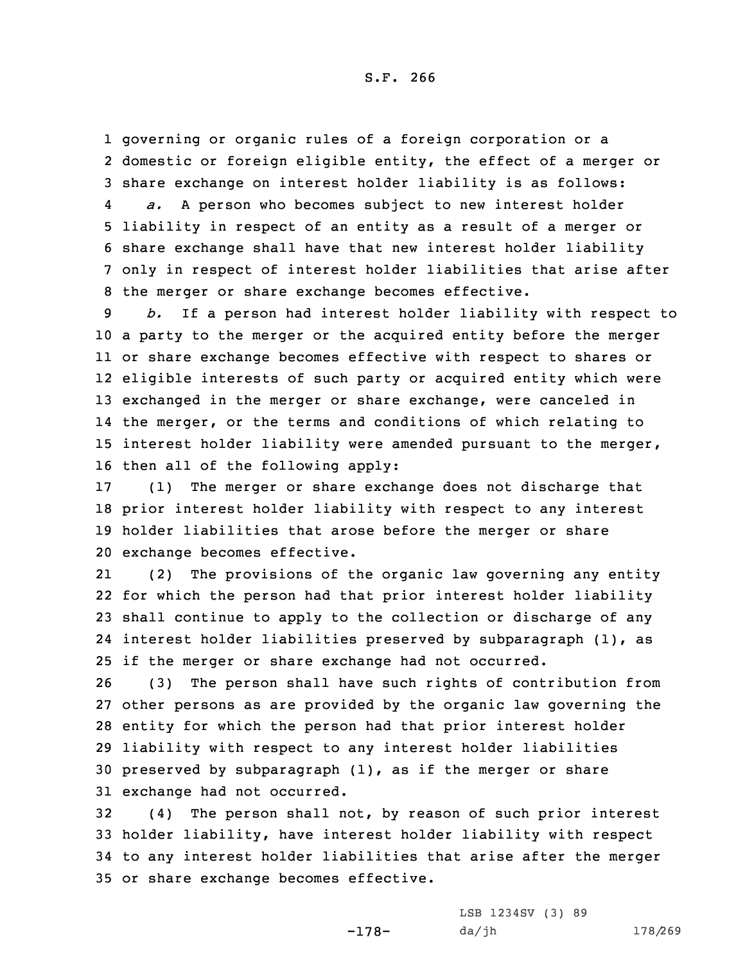1 governing or organic rules of <sup>a</sup> foreign corporation or <sup>a</sup> 2 domestic or foreign eligible entity, the effect of <sup>a</sup> merger or 3 share exchange on interest holder liability is as follows:

4 *a.* <sup>A</sup> person who becomes subject to new interest holder liability in respect of an entity as <sup>a</sup> result of <sup>a</sup> merger or share exchange shall have that new interest holder liability only in respect of interest holder liabilities that arise after the merger or share exchange becomes effective.

 *b.* If <sup>a</sup> person had interest holder liability with respect to <sup>a</sup> party to the merger or the acquired entity before the merger or share exchange becomes effective with respect to shares or eligible interests of such party or acquired entity which were exchanged in the merger or share exchange, were canceled in the merger, or the terms and conditions of which relating to interest holder liability were amended pursuant to the merger, then all of the following apply:

 (1) The merger or share exchange does not discharge that prior interest holder liability with respect to any interest holder liabilities that arose before the merger or share exchange becomes effective.

21 (2) The provisions of the organic law governing any entity for which the person had that prior interest holder liability shall continue to apply to the collection or discharge of any interest holder liabilities preserved by subparagraph (1), as if the merger or share exchange had not occurred.

 (3) The person shall have such rights of contribution from other persons as are provided by the organic law governing the entity for which the person had that prior interest holder liability with respect to any interest holder liabilities preserved by subparagraph (1), as if the merger or share exchange had not occurred.

 (4) The person shall not, by reason of such prior interest holder liability, have interest holder liability with respect to any interest holder liabilities that arise after the merger or share exchange becomes effective.

> LSB 1234SV (3) 89 da/jh 178/269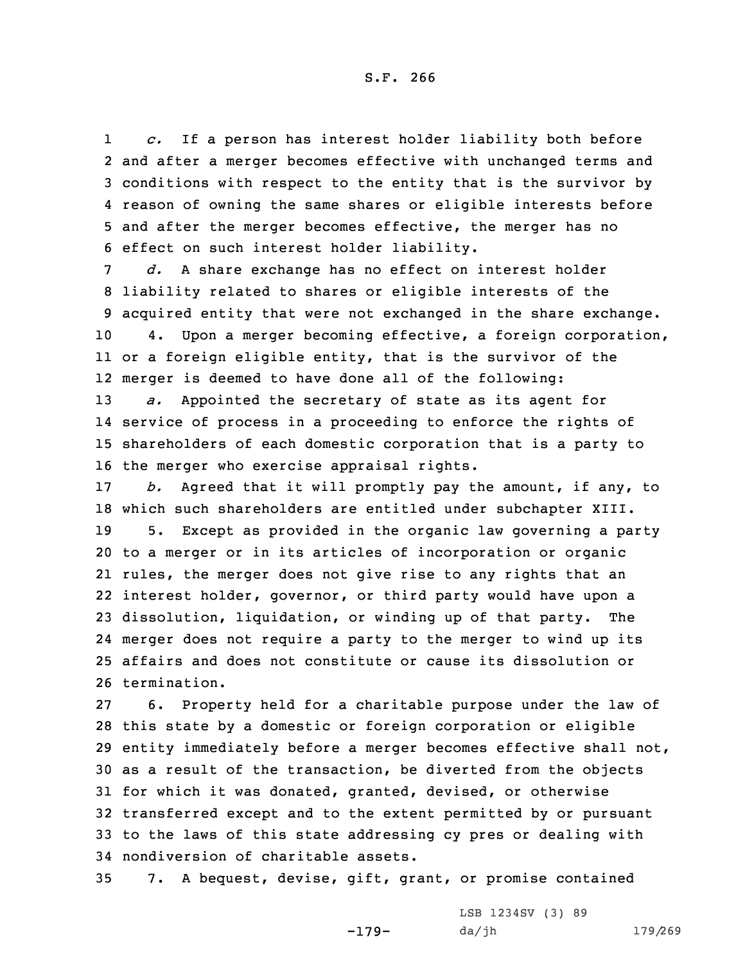1 *c.* If <sup>a</sup> person has interest holder liability both before and after <sup>a</sup> merger becomes effective with unchanged terms and conditions with respect to the entity that is the survivor by reason of owning the same shares or eligible interests before and after the merger becomes effective, the merger has no effect on such interest holder liability.

 *d.* <sup>A</sup> share exchange has no effect on interest holder liability related to shares or eligible interests of the acquired entity that were not exchanged in the share exchange. 4. Upon <sup>a</sup> merger becoming effective, <sup>a</sup> foreign corporation, or <sup>a</sup> foreign eligible entity, that is the survivor of the merger is deemed to have done all of the following:

 *a.* Appointed the secretary of state as its agent for service of process in <sup>a</sup> proceeding to enforce the rights of shareholders of each domestic corporation that is <sup>a</sup> party to the merger who exercise appraisal rights.

 *b.* Agreed that it will promptly pay the amount, if any, to which such shareholders are entitled under subchapter XIII. 5. Except as provided in the organic law governing <sup>a</sup> party to <sup>a</sup> merger or in its articles of incorporation or organic rules, the merger does not give rise to any rights that an interest holder, governor, or third party would have upon <sup>a</sup> dissolution, liquidation, or winding up of that party. The merger does not require <sup>a</sup> party to the merger to wind up its affairs and does not constitute or cause its dissolution or termination.

 6. Property held for <sup>a</sup> charitable purpose under the law of this state by <sup>a</sup> domestic or foreign corporation or eligible entity immediately before <sup>a</sup> merger becomes effective shall not, as <sup>a</sup> result of the transaction, be diverted from the objects for which it was donated, granted, devised, or otherwise transferred except and to the extent permitted by or pursuant to the laws of this state addressing cy pres or dealing with nondiversion of charitable assets.

35 7. <sup>A</sup> bequest, devise, gift, grant, or promise contained

-179-

LSB 1234SV (3) 89 da/jh 179/269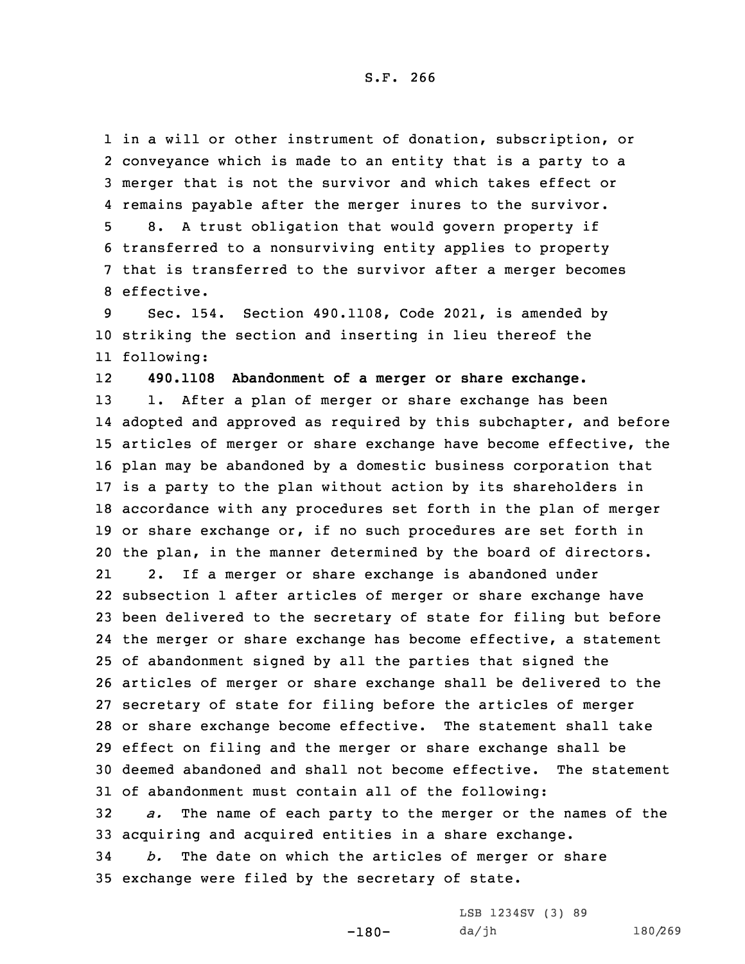S.F. 266

 in <sup>a</sup> will or other instrument of donation, subscription, or conveyance which is made to an entity that is <sup>a</sup> party to <sup>a</sup> merger that is not the survivor and which takes effect or remains payable after the merger inures to the survivor. 8. <sup>A</sup> trust obligation that would govern property if transferred to <sup>a</sup> nonsurviving entity applies to property

7 that is transferred to the survivor after <sup>a</sup> merger becomes 8 effective.

9 Sec. 154. Section 490.1108, Code 2021, is amended by 10 striking the section and inserting in lieu thereof the 11 following:

12**490.1108 Abandonment of <sup>a</sup> merger or share exchange.**

13 1. After a plan of merger or share exchange has been adopted and approved as required by this subchapter, and before articles of merger or share exchange have become effective, the plan may be abandoned by <sup>a</sup> domestic business corporation that is <sup>a</sup> party to the plan without action by its shareholders in accordance with any procedures set forth in the plan of merger or share exchange or, if no such procedures are set forth in the plan, in the manner determined by the board of directors. 21 2. If <sup>a</sup> merger or share exchange is abandoned under subsection 1 after articles of merger or share exchange have been delivered to the secretary of state for filing but before the merger or share exchange has become effective, <sup>a</sup> statement of abandonment signed by all the parties that signed the articles of merger or share exchange shall be delivered to the secretary of state for filing before the articles of merger or share exchange become effective. The statement shall take effect on filing and the merger or share exchange shall be deemed abandoned and shall not become effective. The statement of abandonment must contain all of the following: *a.* The name of each party to the merger or the names of the acquiring and acquired entities in <sup>a</sup> share exchange. *b.* The date on which the articles of merger or share

35 exchange were filed by the secretary of state.

-180-

LSB 1234SV (3) 89 da/jh 180/269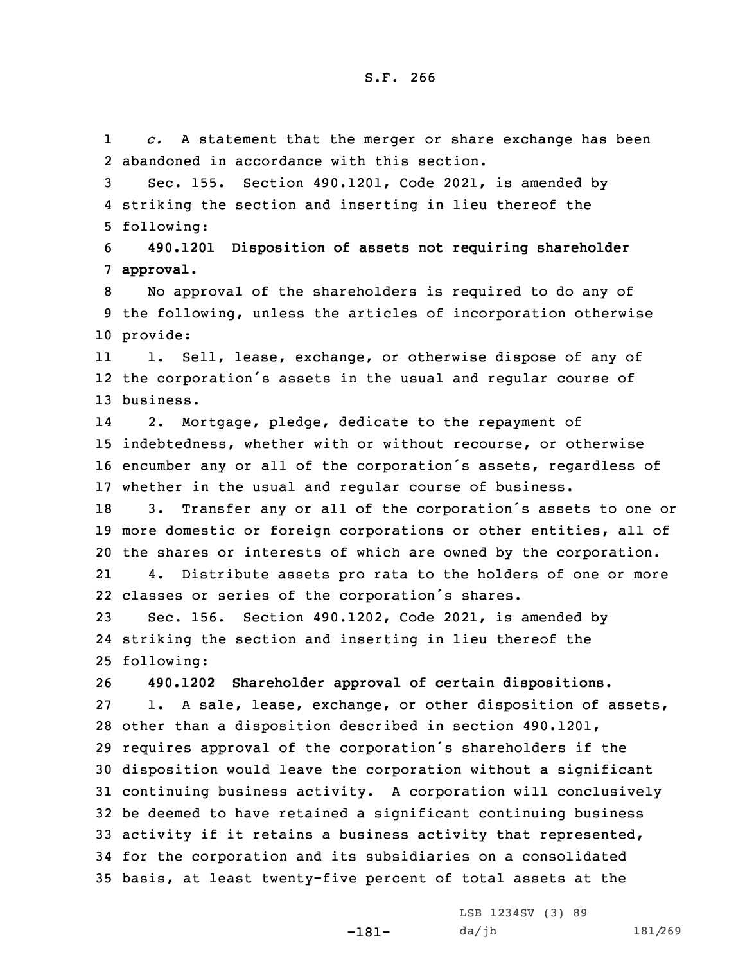1 *c.* <sup>A</sup> statement that the merger or share exchange has been 2 abandoned in accordance with this section.

3 Sec. 155. Section 490.1201, Code 2021, is amended by 4 striking the section and inserting in lieu thereof the 5 following:

6 **490.1201 Disposition of assets not requiring shareholder** 7 **approval.**

8 No approval of the shareholders is required to do any of 9 the following, unless the articles of incorporation otherwise 10 provide:

11 1. Sell, lease, exchange, or otherwise dispose of any of 12 the corporation's assets in the usual and regular course of 13 business.

14 2. Mortgage, pledge, dedicate to the repayment of 15 indebtedness, whether with or without recourse, or otherwise <sup>16</sup> encumber any or all of the corporation's assets, regardless of 17 whether in the usual and regular course of business.

 3. Transfer any or all of the corporation's assets to one or more domestic or foreign corporations or other entities, all of the shares or interests of which are owned by the corporation. 21 4. Distribute assets pro rata to the holders of one or more classes or series of the corporation's shares.

23 Sec. 156. Section 490.1202, Code 2021, is amended by 24 striking the section and inserting in lieu thereof the 25 following:

26 **490.1202 Shareholder approval of certain dispositions.**

 1. <sup>A</sup> sale, lease, exchange, or other disposition of assets, other than <sup>a</sup> disposition described in section 490.1201, requires approval of the corporation's shareholders if the disposition would leave the corporation without <sup>a</sup> significant continuing business activity. <sup>A</sup> corporation will conclusively be deemed to have retained <sup>a</sup> significant continuing business activity if it retains <sup>a</sup> business activity that represented, for the corporation and its subsidiaries on <sup>a</sup> consolidated basis, at least twenty-five percent of total assets at the

-181-

LSB 1234SV (3) 89 da/jh 181/269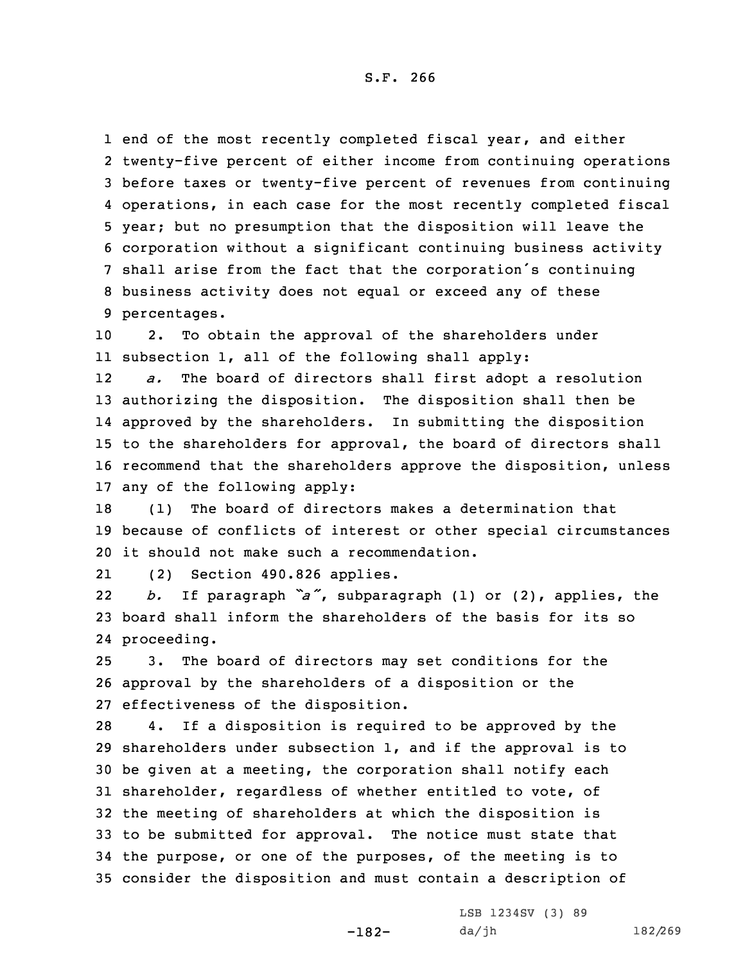end of the most recently completed fiscal year, and either twenty-five percent of either income from continuing operations before taxes or twenty-five percent of revenues from continuing operations, in each case for the most recently completed fiscal year; but no presumption that the disposition will leave the corporation without <sup>a</sup> significant continuing business activity shall arise from the fact that the corporation's continuing business activity does not equal or exceed any of these percentages.

10 2. To obtain the approval of the shareholders under 11 subsection 1, all of the following shall apply:

12 *a.* The board of directors shall first adopt <sup>a</sup> resolution authorizing the disposition. The disposition shall then be approved by the shareholders. In submitting the disposition to the shareholders for approval, the board of directors shall recommend that the shareholders approve the disposition, unless any of the following apply:

18 (1) The board of directors makes <sup>a</sup> determination that 19 because of conflicts of interest or other special circumstances 20 it should not make such <sup>a</sup> recommendation.

21(2) Section 490.826 applies.

22 *b.* If paragraph *"a"*, subparagraph (1) or (2), applies, the 23 board shall inform the shareholders of the basis for its so 24 proceeding.

25 3. The board of directors may set conditions for the 26 approval by the shareholders of <sup>a</sup> disposition or the 27 effectiveness of the disposition.

 4. If <sup>a</sup> disposition is required to be approved by the 29 shareholders under subsection  $l$ , and if the approval is to be given at <sup>a</sup> meeting, the corporation shall notify each shareholder, regardless of whether entitled to vote, of the meeting of shareholders at which the disposition is to be submitted for approval. The notice must state that the purpose, or one of the purposes, of the meeting is to consider the disposition and must contain <sup>a</sup> description of

-182-

LSB 1234SV (3) 89 da/jh 182/269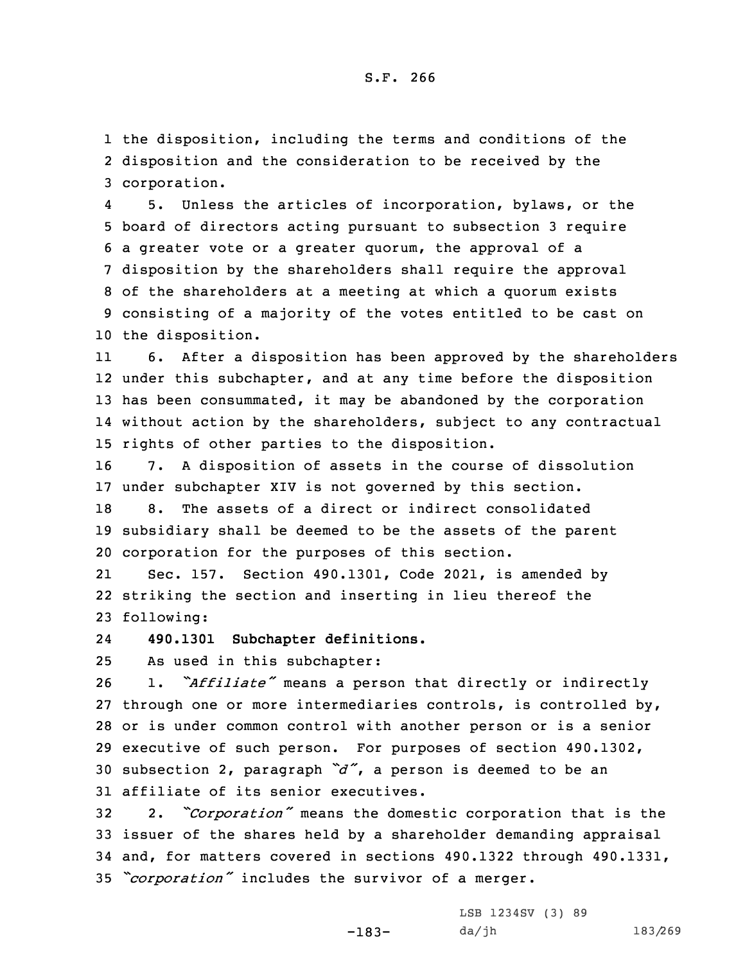1 the disposition, including the terms and conditions of the 2 disposition and the consideration to be received by the 3 corporation.

4 5. Unless the articles of incorporation, bylaws, or the board of directors acting pursuant to subsection 3 require <sup>a</sup> greater vote or <sup>a</sup> greater quorum, the approval of <sup>a</sup> disposition by the shareholders shall require the approval of the shareholders at <sup>a</sup> meeting at which <sup>a</sup> quorum exists consisting of <sup>a</sup> majority of the votes entitled to be cast on the disposition.

11 6. After <sup>a</sup> disposition has been approved by the shareholders under this subchapter, and at any time before the disposition has been consummated, it may be abandoned by the corporation without action by the shareholders, subject to any contractual rights of other parties to the disposition.

16 7. <sup>A</sup> disposition of assets in the course of dissolution 17 under subchapter XIV is not governed by this section.

18 8. The assets of <sup>a</sup> direct or indirect consolidated 19 subsidiary shall be deemed to be the assets of the parent 20 corporation for the purposes of this section.

21 Sec. 157. Section 490.1301, Code 2021, is amended by 22 striking the section and inserting in lieu thereof the 23 following:

24**490.1301 Subchapter definitions.**

25 As used in this subchapter:

 1. *"Affiliate"* means <sup>a</sup> person that directly or indirectly through one or more intermediaries controls, is controlled by, or is under common control with another person or is <sup>a</sup> senior executive of such person. For purposes of section 490.1302, subsection 2, paragraph *"d"*, <sup>a</sup> person is deemed to be an affiliate of its senior executives.

 2. *"Corporation"* means the domestic corporation that is the issuer of the shares held by <sup>a</sup> shareholder demanding appraisal and, for matters covered in sections 490.1322 through 490.1331, *"corporation"* includes the survivor of <sup>a</sup> merger.

-183-

LSB 1234SV (3) 89 da/jh 183/269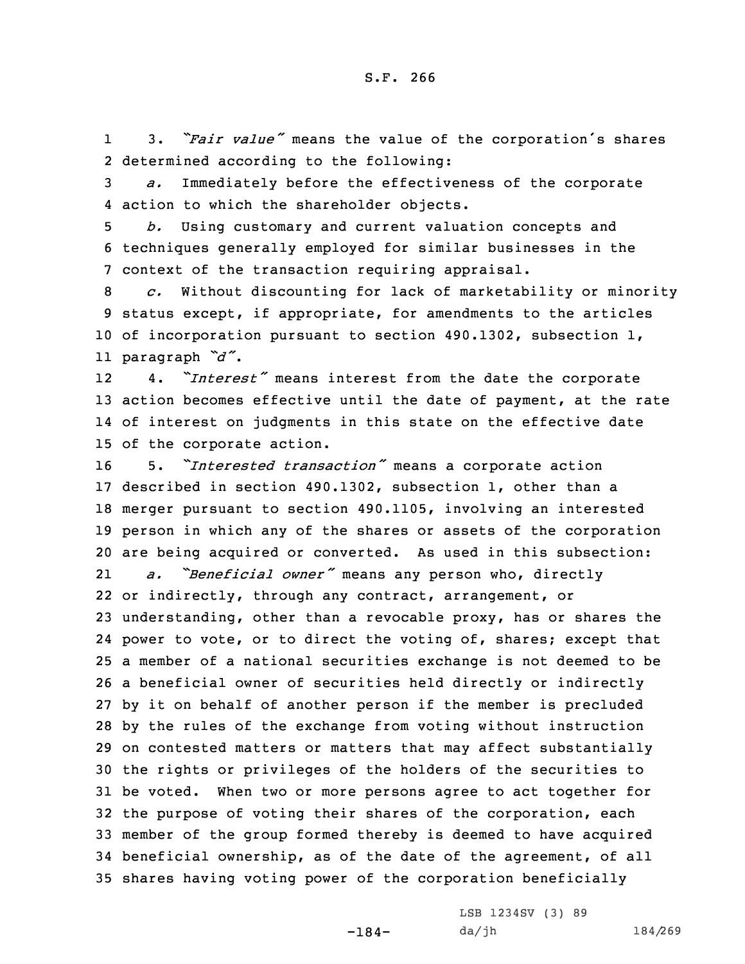1 3. *"Fair value"* means the value of the corporation's shares 2 determined according to the following:

3 *a.* Immediately before the effectiveness of the corporate 4 action to which the shareholder objects.

5 *b.* Using customary and current valuation concepts and 6 techniques generally employed for similar businesses in the 7 context of the transaction requiring appraisal.

 *c.* Without discounting for lack of marketability or minority status except, if appropriate, for amendments to the articles of incorporation pursuant to section 490.1302, subsection 1, paragraph *"d"*.

12 4. *"Interest"* means interest from the date the corporate 13 action becomes effective until the date of payment, at the rate 14 of interest on judgments in this state on the effective date 15 of the corporate action.

 5. *"Interested transaction"* means <sup>a</sup> corporate action described in section 490.1302, subsection 1, other than <sup>a</sup> merger pursuant to section 490.1105, involving an interested person in which any of the shares or assets of the corporation are being acquired or converted. As used in this subsection: 21 *a. "Beneficial owner"* means any person who, directly or indirectly, through any contract, arrangement, or understanding, other than <sup>a</sup> revocable proxy, has or shares the power to vote, or to direct the voting of, shares; except that <sup>a</sup> member of <sup>a</sup> national securities exchange is not deemed to be <sup>a</sup> beneficial owner of securities held directly or indirectly by it on behalf of another person if the member is precluded by the rules of the exchange from voting without instruction on contested matters or matters that may affect substantially the rights or privileges of the holders of the securities to be voted. When two or more persons agree to act together for the purpose of voting their shares of the corporation, each member of the group formed thereby is deemed to have acquired beneficial ownership, as of the date of the agreement, of all shares having voting power of the corporation beneficially

-184-

LSB 1234SV (3) 89 da/jh 184/269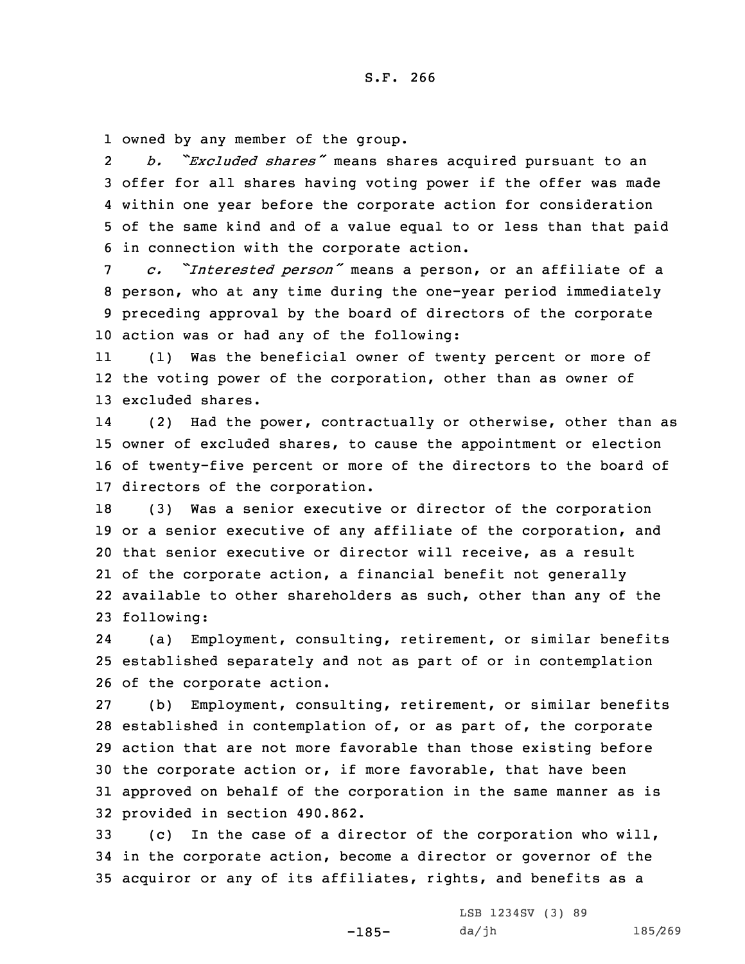1 owned by any member of the group.

2 *b. "Excluded shares"* means shares acquired pursuant to an offer for all shares having voting power if the offer was made within one year before the corporate action for consideration of the same kind and of <sup>a</sup> value equal to or less than that paid in connection with the corporate action.

 *c. "Interested person"* means <sup>a</sup> person, or an affiliate of <sup>a</sup> person, who at any time during the one-year period immediately preceding approval by the board of directors of the corporate action was or had any of the following:

11 (1) Was the beneficial owner of twenty percent or more of 12 the voting power of the corporation, other than as owner of 13 excluded shares.

14 (2) Had the power, contractually or otherwise, other than as 15 owner of excluded shares, to cause the appointment or election 16 of twenty-five percent or more of the directors to the board of 17 directors of the corporation.

 (3) Was <sup>a</sup> senior executive or director of the corporation or <sup>a</sup> senior executive of any affiliate of the corporation, and that senior executive or director will receive, as <sup>a</sup> result of the corporate action, <sup>a</sup> financial benefit not generally available to other shareholders as such, other than any of the following:

24 (a) Employment, consulting, retirement, or similar benefits 25 established separately and not as part of or in contemplation 26 of the corporate action.

 (b) Employment, consulting, retirement, or similar benefits established in contemplation of, or as part of, the corporate action that are not more favorable than those existing before the corporate action or, if more favorable, that have been approved on behalf of the corporation in the same manner as is provided in section 490.862.

33 (c) In the case of <sup>a</sup> director of the corporation who will, 34 in the corporate action, become <sup>a</sup> director or governor of the 35 acquiror or any of its affiliates, rights, and benefits as <sup>a</sup>

-185-

LSB 1234SV (3) 89 da/jh 185/269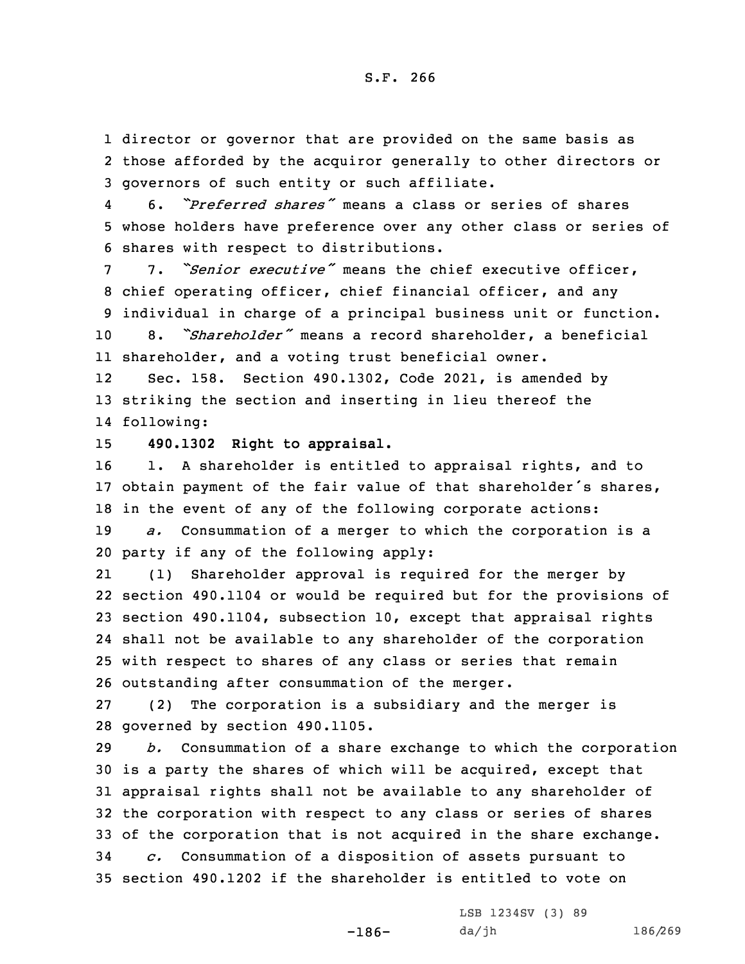1 director or governor that are provided on the same basis as 2 those afforded by the acquiror generally to other directors or 3 governors of such entity or such affiliate.

4 6. *"Preferred shares"* means <sup>a</sup> class or series of shares 5 whose holders have preference over any other class or series of 6 shares with respect to distributions.

7 7. *"Senior executive"* means the chief executive officer, 8 chief operating officer, chief financial officer, and any 9 individual in charge of <sup>a</sup> principal business unit or function.

10 8. *"Shareholder"* means <sup>a</sup> record shareholder, <sup>a</sup> beneficial 11 shareholder, and <sup>a</sup> voting trust beneficial owner.

12 Sec. 158. Section 490.1302, Code 2021, is amended by 13 striking the section and inserting in lieu thereof the 14 following:

15 **490.1302 Right to appraisal.**

 1. <sup>A</sup> shareholder is entitled to appraisal rights, and to obtain payment of the fair value of that shareholder's shares, in the event of any of the following corporate actions: *a.* Consummation of <sup>a</sup> merger to which the corporation is <sup>a</sup> party if any of the following apply:

21 (1) Shareholder approval is required for the merger by section 490.1104 or would be required but for the provisions of section 490.1104, subsection 10, except that appraisal rights shall not be available to any shareholder of the corporation with respect to shares of any class or series that remain outstanding after consummation of the merger.

27 (2) The corporation is <sup>a</sup> subsidiary and the merger is 28 governed by section 490.1105.

 *b.* Consummation of <sup>a</sup> share exchange to which the corporation is <sup>a</sup> party the shares of which will be acquired, except that appraisal rights shall not be available to any shareholder of the corporation with respect to any class or series of shares of the corporation that is not acquired in the share exchange. *c.* Consummation of <sup>a</sup> disposition of assets pursuant to section 490.1202 if the shareholder is entitled to vote on

-186-

LSB 1234SV (3) 89 da/jh 186/269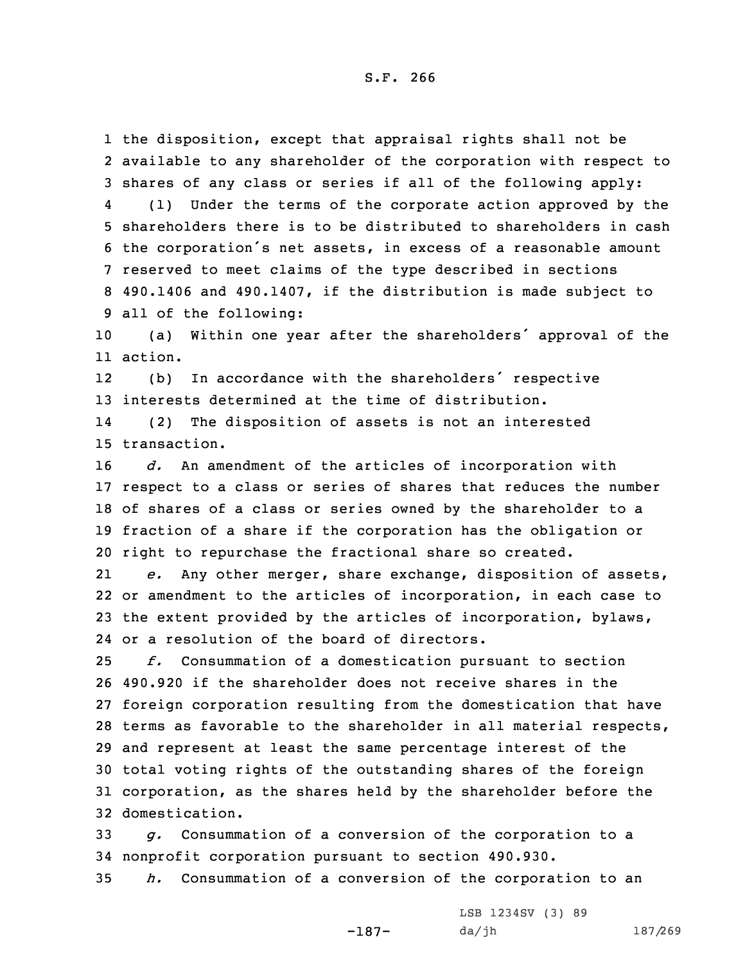1 the disposition, except that appraisal rights shall not be 2 available to any shareholder of the corporation with respect to 3 shares of any class or series if all of the following apply:

4 (1) Under the terms of the corporate action approved by the shareholders there is to be distributed to shareholders in cash the corporation's net assets, in excess of <sup>a</sup> reasonable amount reserved to meet claims of the type described in sections 490.1406 and 490.1407, if the distribution is made subject to all of the following:

<sup>10</sup> (a) Within one year after the shareholders' approval of the 11 action.

12 (b) In accordance with the shareholders' respective 13 interests determined at the time of distribution.

14 (2) The disposition of assets is not an interested 15 transaction.

 *d.* An amendment of the articles of incorporation with respect to <sup>a</sup> class or series of shares that reduces the number of shares of <sup>a</sup> class or series owned by the shareholder to <sup>a</sup> fraction of <sup>a</sup> share if the corporation has the obligation or right to repurchase the fractional share so created.

21 *e.* Any other merger, share exchange, disposition of assets, 22 or amendment to the articles of incorporation, in each case to 23 the extent provided by the articles of incorporation, bylaws, 24 or <sup>a</sup> resolution of the board of directors.

 *f.* Consummation of <sup>a</sup> domestication pursuant to section 490.920 if the shareholder does not receive shares in the foreign corporation resulting from the domestication that have terms as favorable to the shareholder in all material respects, and represent at least the same percentage interest of the total voting rights of the outstanding shares of the foreign corporation, as the shares held by the shareholder before the domestication.

33 *g.* Consummation of <sup>a</sup> conversion of the corporation to <sup>a</sup> 34 nonprofit corporation pursuant to section 490.930.

35 *h.* Consummation of <sup>a</sup> conversion of the corporation to an

-187-

LSB 1234SV (3) 89 da/jh 187/269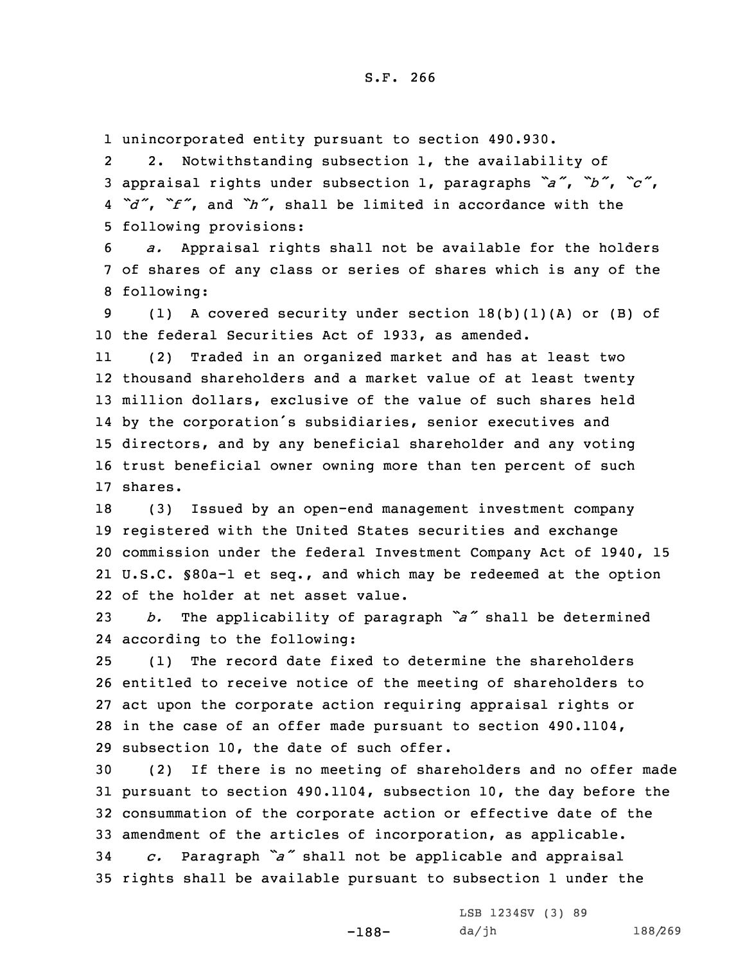1 unincorporated entity pursuant to section 490.930.

2 2. Notwithstanding subsection 1, the availability of <sup>3</sup> appraisal rights under subsection 1, paragraphs *"a"*, *"b"*, *"c"*, 4 *"d"*, *"f"*, and *"h"*, shall be limited in accordance with the 5 following provisions:

6 *a.* Appraisal rights shall not be available for the holders 7 of shares of any class or series of shares which is any of the 8 following:

9 (1) <sup>A</sup> covered security under section 18(b)(1)(A) or (B) of 10 the federal Securities Act of 1933, as amended.

11 (2) Traded in an organized market and has at least two thousand shareholders and <sup>a</sup> market value of at least twenty million dollars, exclusive of the value of such shares held by the corporation's subsidiaries, senior executives and directors, and by any beneficial shareholder and any voting trust beneficial owner owning more than ten percent of such 17 shares.

 (3) Issued by an open-end management investment company registered with the United States securities and exchange commission under the federal Investment Company Act of 1940, 15 U.S.C. §80a-1 et seq., and which may be redeemed at the option of the holder at net asset value.

<sup>23</sup> *b.* The applicability of paragraph *"a"* shall be determined 24 according to the following:

 (1) The record date fixed to determine the shareholders entitled to receive notice of the meeting of shareholders to act upon the corporate action requiring appraisal rights or in the case of an offer made pursuant to section 490.1104, subsection 10, the date of such offer.

 (2) If there is no meeting of shareholders and no offer made pursuant to section 490.1104, subsection 10, the day before the consummation of the corporate action or effective date of the amendment of the articles of incorporation, as applicable. *c.* Paragraph *"a"* shall not be applicable and appraisal rights shall be available pursuant to subsection 1 under the

-188-

LSB 1234SV (3) 89 da/jh 188/269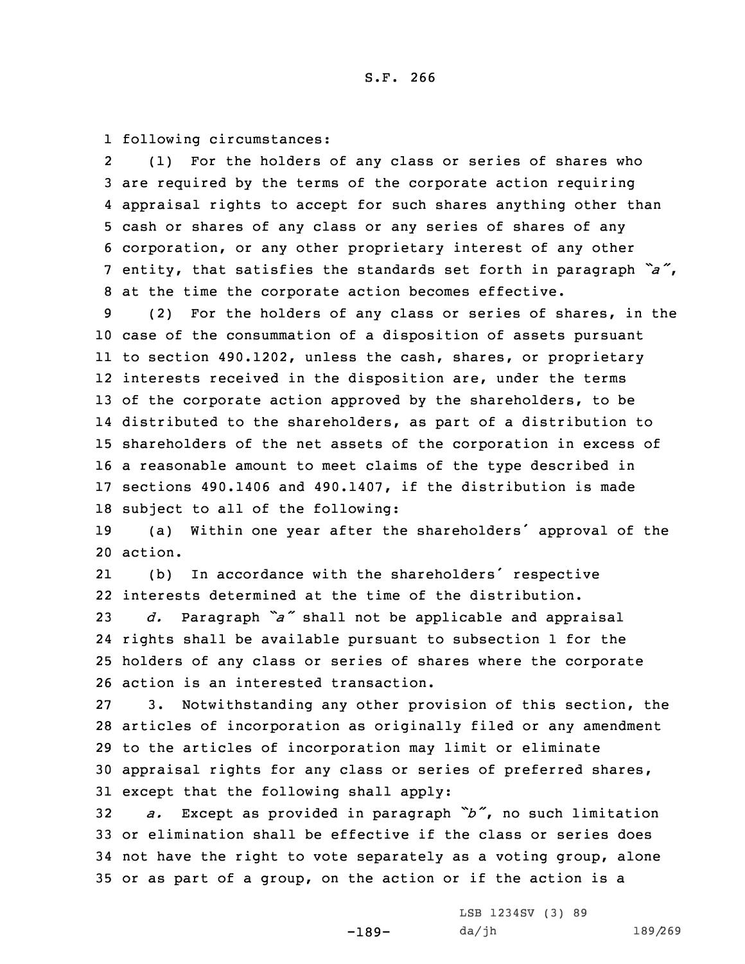1 following circumstances:

2 (1) For the holders of any class or series of shares who are required by the terms of the corporate action requiring appraisal rights to accept for such shares anything other than cash or shares of any class or any series of shares of any corporation, or any other proprietary interest of any other entity, that satisfies the standards set forth in paragraph *"a"*, at the time the corporate action becomes effective.

 (2) For the holders of any class or series of shares, in the case of the consummation of <sup>a</sup> disposition of assets pursuant to section 490.1202, unless the cash, shares, or proprietary interests received in the disposition are, under the terms 13 of the corporate action approved by the shareholders, to be distributed to the shareholders, as part of <sup>a</sup> distribution to shareholders of the net assets of the corporation in excess of <sup>a</sup> reasonable amount to meet claims of the type described in sections 490.1406 and 490.1407, if the distribution is made subject to all of the following:

<sup>19</sup> (a) Within one year after the shareholders' approval of the 20 action.

21 (b) In accordance with the shareholders' respective 22 interests determined at the time of the distribution.

 *d.* Paragraph *"a"* shall not be applicable and appraisal rights shall be available pursuant to subsection 1 for the holders of any class or series of shares where the corporate action is an interested transaction.

 3. Notwithstanding any other provision of this section, the articles of incorporation as originally filed or any amendment to the articles of incorporation may limit or eliminate appraisal rights for any class or series of preferred shares, except that the following shall apply:

 *a.* Except as provided in paragraph *"b"*, no such limitation or elimination shall be effective if the class or series does not have the right to vote separately as <sup>a</sup> voting group, alone or as part of <sup>a</sup> group, on the action or if the action is <sup>a</sup>

-189-

LSB 1234SV (3) 89 da/jh 189/269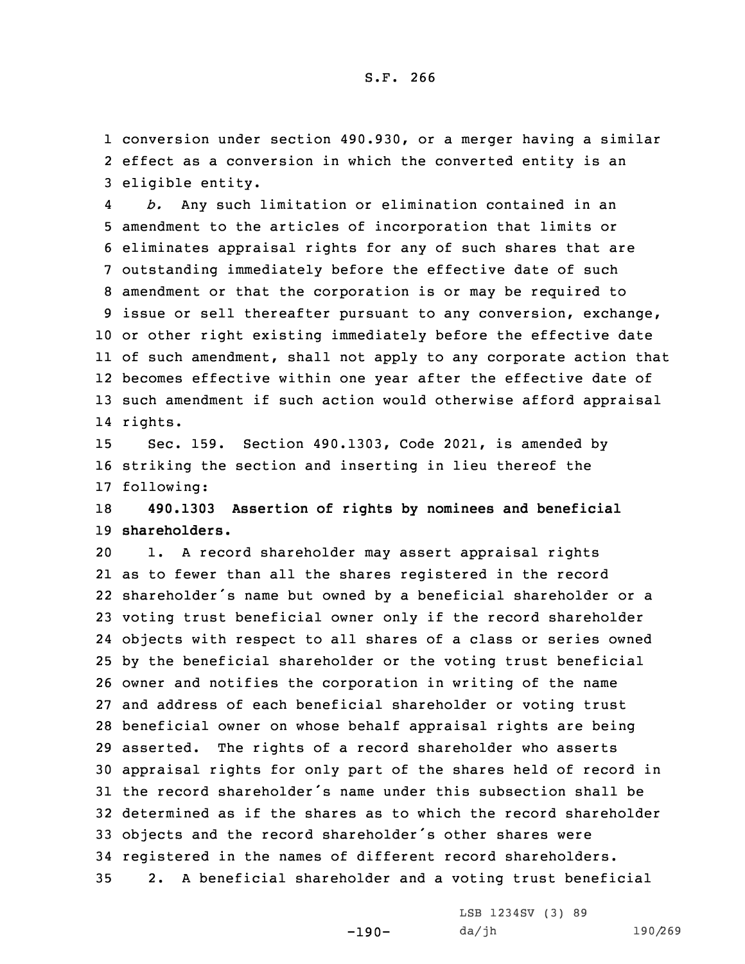1 conversion under section 490.930, or <sup>a</sup> merger having <sup>a</sup> similar 2 effect as <sup>a</sup> conversion in which the converted entity is an 3 eligible entity.

4 *b.* Any such limitation or elimination contained in an amendment to the articles of incorporation that limits or eliminates appraisal rights for any of such shares that are outstanding immediately before the effective date of such amendment or that the corporation is or may be required to issue or sell thereafter pursuant to any conversion, exchange, or other right existing immediately before the effective date of such amendment, shall not apply to any corporate action that becomes effective within one year after the effective date of such amendment if such action would otherwise afford appraisal 14 rights.

15 Sec. 159. Section 490.1303, Code 2021, is amended by 16 striking the section and inserting in lieu thereof the 17 following:

18 **490.1303 Assertion of rights by nominees and beneficial** 19 **shareholders.**

 1. <sup>A</sup> record shareholder may assert appraisal rights as to fewer than all the shares registered in the record shareholder's name but owned by <sup>a</sup> beneficial shareholder or <sup>a</sup> voting trust beneficial owner only if the record shareholder objects with respect to all shares of <sup>a</sup> class or series owned by the beneficial shareholder or the voting trust beneficial owner and notifies the corporation in writing of the name and address of each beneficial shareholder or voting trust beneficial owner on whose behalf appraisal rights are being asserted. The rights of <sup>a</sup> record shareholder who asserts appraisal rights for only part of the shares held of record in the record shareholder's name under this subsection shall be determined as if the shares as to which the record shareholder objects and the record shareholder's other shares were registered in the names of different record shareholders. 2. <sup>A</sup> beneficial shareholder and <sup>a</sup> voting trust beneficial

-190-

LSB 1234SV (3) 89 da/jh 190/269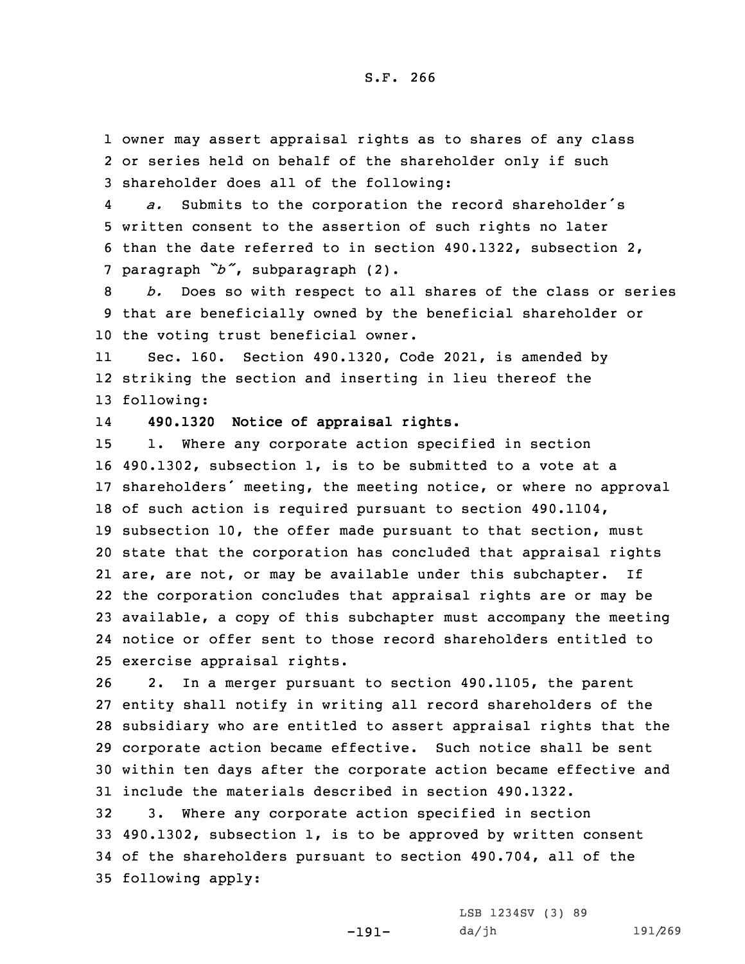1 owner may assert appraisal rights as to shares of any class 2 or series held on behalf of the shareholder only if such 3 shareholder does all of the following:

4 *a.* Submits to the corporation the record shareholder's 5 written consent to the assertion of such rights no later 6 than the date referred to in section 490.1322, subsection 2, <sup>7</sup> paragraph *"b"*, subparagraph (2).

8 *b.* Does so with respect to all shares of the class or series 9 that are beneficially owned by the beneficial shareholder or 10 the voting trust beneficial owner.

11 Sec. 160. Section 490.1320, Code 2021, is amended by 12 striking the section and inserting in lieu thereof the 13 following:

14**490.1320 Notice of appraisal rights.**

 1. Where any corporate action specified in section 490.1302, subsection 1, is to be submitted to <sup>a</sup> vote at <sup>a</sup> shareholders' meeting, the meeting notice, or where no approval of such action is required pursuant to section 490.1104, subsection 10, the offer made pursuant to that section, must state that the corporation has concluded that appraisal rights are, are not, or may be available under this subchapter. If the corporation concludes that appraisal rights are or may be available, <sup>a</sup> copy of this subchapter must accompany the meeting notice or offer sent to those record shareholders entitled to exercise appraisal rights.

 2. In <sup>a</sup> merger pursuant to section 490.1105, the parent entity shall notify in writing all record shareholders of the subsidiary who are entitled to assert appraisal rights that the corporate action became effective. Such notice shall be sent within ten days after the corporate action became effective and include the materials described in section 490.1322. 3. Where any corporate action specified in section 490.1302, subsection 1, is to be approved by written consent of the shareholders pursuant to section 490.704, all of the following apply:

> LSB 1234SV (3) 89 da/jh 191/269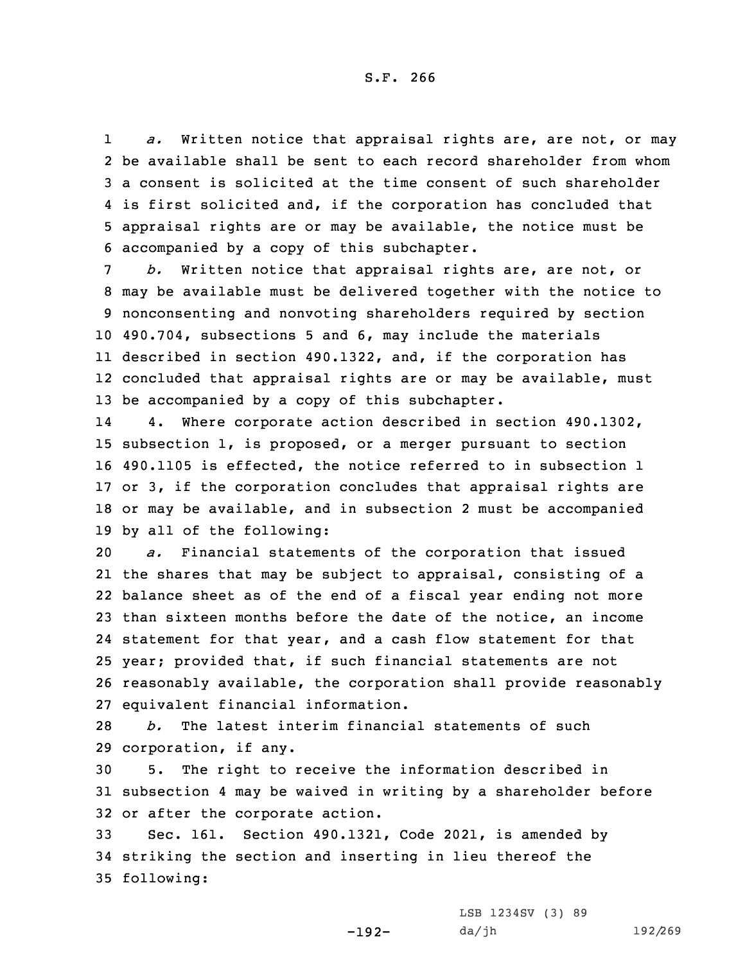1 *a.* Written notice that appraisal rights are, are not, or may be available shall be sent to each record shareholder from whom <sup>a</sup> consent is solicited at the time consent of such shareholder is first solicited and, if the corporation has concluded that appraisal rights are or may be available, the notice must be accompanied by <sup>a</sup> copy of this subchapter.

 *b.* Written notice that appraisal rights are, are not, or may be available must be delivered together with the notice to nonconsenting and nonvoting shareholders required by section 490.704, subsections 5 and 6, may include the materials described in section 490.1322, and, if the corporation has concluded that appraisal rights are or may be available, must be accompanied by <sup>a</sup> copy of this subchapter.

14 4. Where corporate action described in section 490.1302, subsection 1, is proposed, or <sup>a</sup> merger pursuant to section 490.1105 is effected, the notice referred to in subsection 1 or 3, if the corporation concludes that appraisal rights are or may be available, and in subsection 2 must be accompanied by all of the following:

 *a.* Financial statements of the corporation that issued the shares that may be subject to appraisal, consisting of <sup>a</sup> balance sheet as of the end of <sup>a</sup> fiscal year ending not more than sixteen months before the date of the notice, an income statement for that year, and <sup>a</sup> cash flow statement for that year; provided that, if such financial statements are not reasonably available, the corporation shall provide reasonably equivalent financial information.

28 *b.* The latest interim financial statements of such 29 corporation, if any.

30 5. The right to receive the information described in 31 subsection 4 may be waived in writing by <sup>a</sup> shareholder before 32 or after the corporate action.

33 Sec. 161. Section 490.1321, Code 2021, is amended by 34 striking the section and inserting in lieu thereof the 35 following:

-192-

LSB 1234SV (3) 89 da/jh 192/269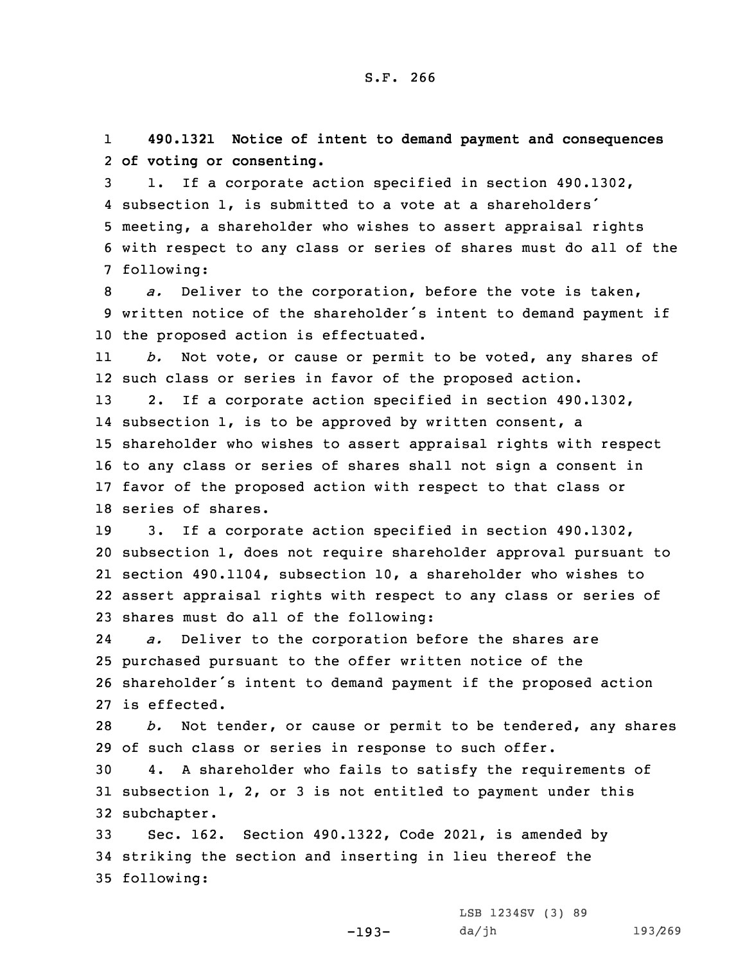1 **490.1321 Notice of intent to demand payment and consequences** 2 **of voting or consenting.**

 1. If <sup>a</sup> corporate action specified in section 490.1302, subsection 1, is submitted to <sup>a</sup> vote at <sup>a</sup> shareholders' meeting, <sup>a</sup> shareholder who wishes to assert appraisal rights with respect to any class or series of shares must do all of the following:

8 *a.* Deliver to the corporation, before the vote is taken, <sup>9</sup> written notice of the shareholder's intent to demand payment if 10 the proposed action is effectuated.

11 *b.* Not vote, or cause or permit to be voted, any shares of 12 such class or series in favor of the proposed action.

 2. If <sup>a</sup> corporate action specified in section 490.1302, subsection 1, is to be approved by written consent, <sup>a</sup> shareholder who wishes to assert appraisal rights with respect to any class or series of shares shall not sign <sup>a</sup> consent in favor of the proposed action with respect to that class or series of shares.

 3. If <sup>a</sup> corporate action specified in section 490.1302, subsection 1, does not require shareholder approval pursuant to section 490.1104, subsection 10, <sup>a</sup> shareholder who wishes to assert appraisal rights with respect to any class or series of shares must do all of the following:

24 *a.* Deliver to the corporation before the shares are 25 purchased pursuant to the offer written notice of the <sup>26</sup> shareholder's intent to demand payment if the proposed action 27 is effected.

28 *b.* Not tender, or cause or permit to be tendered, any shares 29 of such class or series in response to such offer.

30 4. <sup>A</sup> shareholder who fails to satisfy the requirements of 31 subsection 1, 2, or 3 is not entitled to payment under this 32 subchapter.

33 Sec. 162. Section 490.1322, Code 2021, is amended by 34 striking the section and inserting in lieu thereof the 35 following:

-193-

LSB 1234SV (3) 89 da/jh 193/269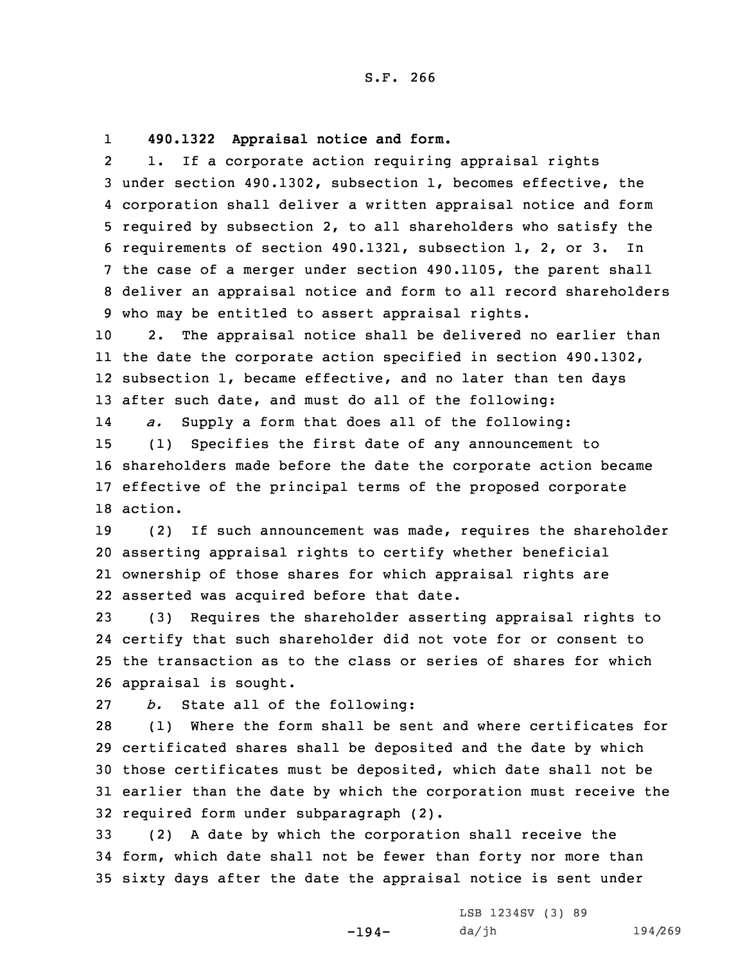## 1**490.1322 Appraisal notice and form.**

2 1. If <sup>a</sup> corporate action requiring appraisal rights under section 490.1302, subsection 1, becomes effective, the corporation shall deliver <sup>a</sup> written appraisal notice and form required by subsection 2, to all shareholders who satisfy the requirements of section 490.1321, subsection 1, 2, or 3. In the case of <sup>a</sup> merger under section 490.1105, the parent shall deliver an appraisal notice and form to all record shareholders who may be entitled to assert appraisal rights.

 2. The appraisal notice shall be delivered no earlier than the date the corporate action specified in section 490.1302, subsection 1, became effective, and no later than ten days after such date, and must do all of the following:

14 *a.* Supply <sup>a</sup> form that does all of the following: 15 (1) Specifies the first date of any announcement to 16 shareholders made before the date the corporate action became 17 effective of the principal terms of the proposed corporate 18 action.

19 (2) If such announcement was made, requires the shareholder asserting appraisal rights to certify whether beneficial ownership of those shares for which appraisal rights are asserted was acquired before that date.

 (3) Requires the shareholder asserting appraisal rights to certify that such shareholder did not vote for or consent to the transaction as to the class or series of shares for which appraisal is sought.

27 *b.* State all of the following:

 (1) Where the form shall be sent and where certificates for certificated shares shall be deposited and the date by which those certificates must be deposited, which date shall not be earlier than the date by which the corporation must receive the required form under subparagraph (2).

33 (2) <sup>A</sup> date by which the corporation shall receive the 34 form, which date shall not be fewer than forty nor more than 35 sixty days after the date the appraisal notice is sent under

 $-194-$ 

LSB 1234SV (3) 89 da/jh 194/269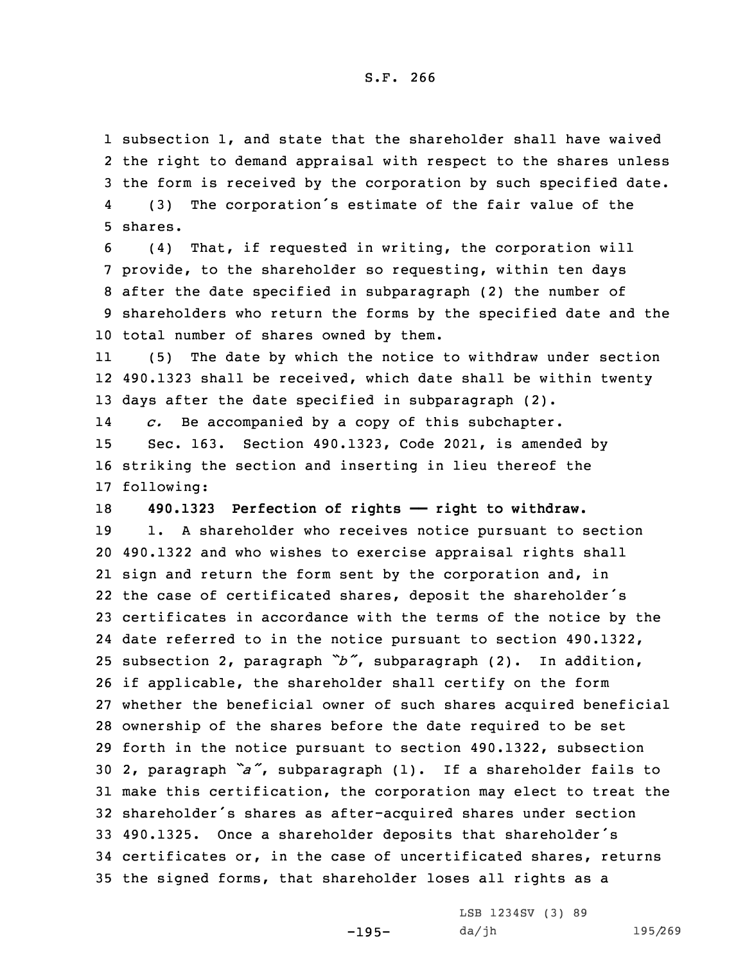1 subsection 1, and state that the shareholder shall have waived 2 the right to demand appraisal with respect to the shares unless 3 the form is received by the corporation by such specified date. 4 (3) The corporation's estimate of the fair value of the 5 shares.

 (4) That, if requested in writing, the corporation will provide, to the shareholder so requesting, within ten days after the date specified in subparagraph (2) the number of shareholders who return the forms by the specified date and the total number of shares owned by them.

11 (5) The date by which the notice to withdraw under section 12 490.1323 shall be received, which date shall be within twenty 13 days after the date specified in subparagraph (2).

14 *c.* Be accompanied by <sup>a</sup> copy of this subchapter. 15 Sec. 163. Section 490.1323, Code 2021, is amended by 16 striking the section and inserting in lieu thereof the 17 following:

18 **490.1323 Perfection of rights —— right to withdraw.**

 1. <sup>A</sup> shareholder who receives notice pursuant to section 490.1322 and who wishes to exercise appraisal rights shall sign and return the form sent by the corporation and, in the case of certificated shares, deposit the shareholder's certificates in accordance with the terms of the notice by the date referred to in the notice pursuant to section 490.1322, subsection 2, paragraph *"b"*, subparagraph (2). In addition, if applicable, the shareholder shall certify on the form whether the beneficial owner of such shares acquired beneficial ownership of the shares before the date required to be set forth in the notice pursuant to section 490.1322, subsection 2, paragraph *"a"*, subparagraph (1). If <sup>a</sup> shareholder fails to make this certification, the corporation may elect to treat the shareholder's shares as after-acquired shares under section 490.1325. Once <sup>a</sup> shareholder deposits that shareholder's certificates or, in the case of uncertificated shares, returns the signed forms, that shareholder loses all rights as <sup>a</sup>

 $-195-$ 

LSB 1234SV (3) 89 da/jh 195/269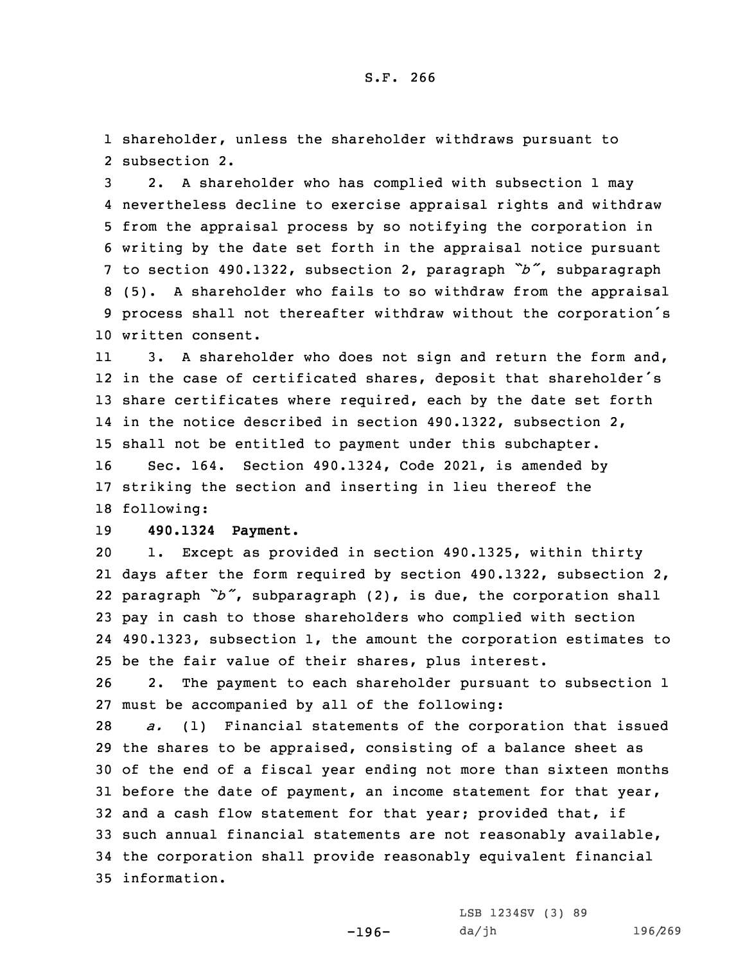1 shareholder, unless the shareholder withdraws pursuant to 2 subsection 2.

 2. <sup>A</sup> shareholder who has complied with subsection 1 may nevertheless decline to exercise appraisal rights and withdraw from the appraisal process by so notifying the corporation in writing by the date set forth in the appraisal notice pursuant to section 490.1322, subsection 2, paragraph *"b"*, subparagraph (5). <sup>A</sup> shareholder who fails to so withdraw from the appraisal process shall not thereafter withdraw without the corporation's written consent.

11 3. <sup>A</sup> shareholder who does not sign and return the form and, in the case of certificated shares, deposit that shareholder's share certificates where required, each by the date set forth in the notice described in section 490.1322, subsection 2, shall not be entitled to payment under this subchapter. Sec. 164. Section 490.1324, Code 2021, is amended by striking the section and inserting in lieu thereof the following:

19 **490.1324 Payment.**

 1. Except as provided in section 490.1325, within thirty days after the form required by section 490.1322, subsection 2, paragraph *"b"*, subparagraph (2), is due, the corporation shall pay in cash to those shareholders who complied with section 490.1323, subsection 1, the amount the corporation estimates to be the fair value of their shares, plus interest.

26 2. The payment to each shareholder pursuant to subsection 1 27 must be accompanied by all of the following:

 *a.* (1) Financial statements of the corporation that issued the shares to be appraised, consisting of <sup>a</sup> balance sheet as of the end of <sup>a</sup> fiscal year ending not more than sixteen months before the date of payment, an income statement for that year, and <sup>a</sup> cash flow statement for that year; provided that, if such annual financial statements are not reasonably available, the corporation shall provide reasonably equivalent financial information.

-196-

LSB 1234SV (3) 89 da/jh 196/269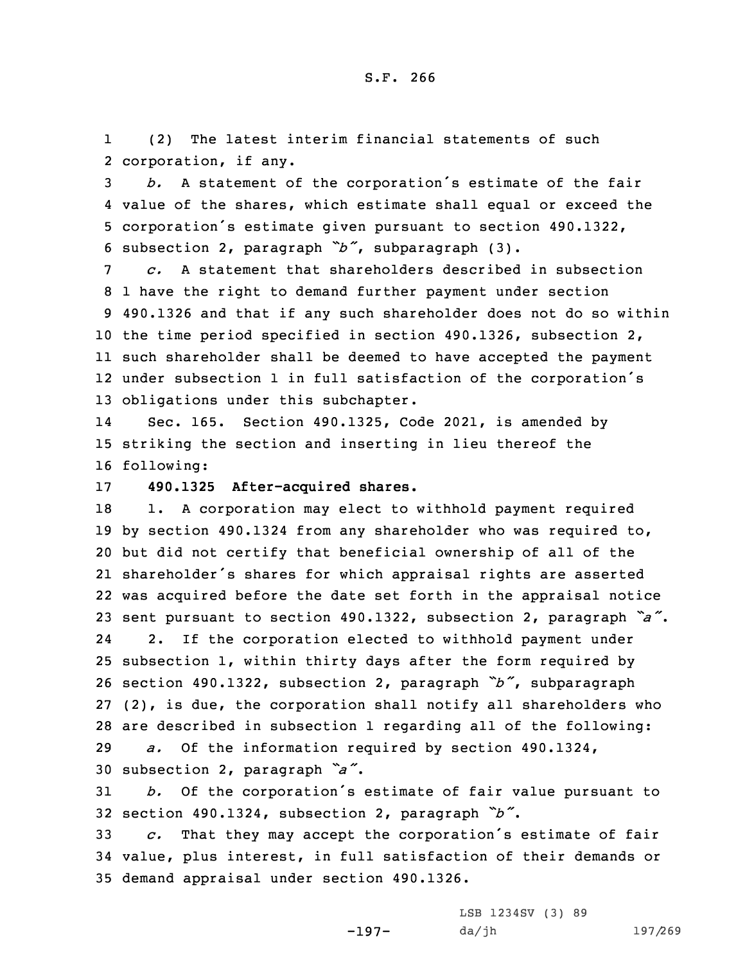1 (2) The latest interim financial statements of such 2 corporation, if any.

 *b.* <sup>A</sup> statement of the corporation's estimate of the fair value of the shares, which estimate shall equal or exceed the corporation's estimate given pursuant to section 490.1322, subsection 2, paragraph *"b"*, subparagraph (3).

 *c.* A statement that shareholders described in subsection 1 have the right to demand further payment under section 490.1326 and that if any such shareholder does not do so within the time period specified in section 490.1326, subsection 2, such shareholder shall be deemed to have accepted the payment under subsection <sup>1</sup> in full satisfaction of the corporation's obligations under this subchapter.

14 Sec. 165. Section 490.1325, Code 2021, is amended by 15 striking the section and inserting in lieu thereof the 16 following:

17 **490.1325 After-acquired shares.**

18 1. A corporation may elect to withhold payment required by section 490.1324 from any shareholder who was required to, but did not certify that beneficial ownership of all of the shareholder's shares for which appraisal rights are asserted was acquired before the date set forth in the appraisal notice sent pursuant to section 490.1322, subsection 2, paragraph *"a"*. 24 2. If the corporation elected to withhold payment under subsection 1, within thirty days after the form required by section 490.1322, subsection 2, paragraph *"b"*, subparagraph (2), is due, the corporation shall notify all shareholders who are described in subsection 1 regarding all of the following: *a.* Of the information required by section 490.1324, subsection 2, paragraph *"a"*.

<sup>31</sup> *b.* Of the corporation's estimate of fair value pursuant to <sup>32</sup> section 490.1324, subsection 2, paragraph *"b"*.

<sup>33</sup> *c.* That they may accept the corporation's estimate of fair 34 value, plus interest, in full satisfaction of their demands or 35 demand appraisal under section 490.1326.

> -197- LSB 1234SV (3) 89 da/jh 197/269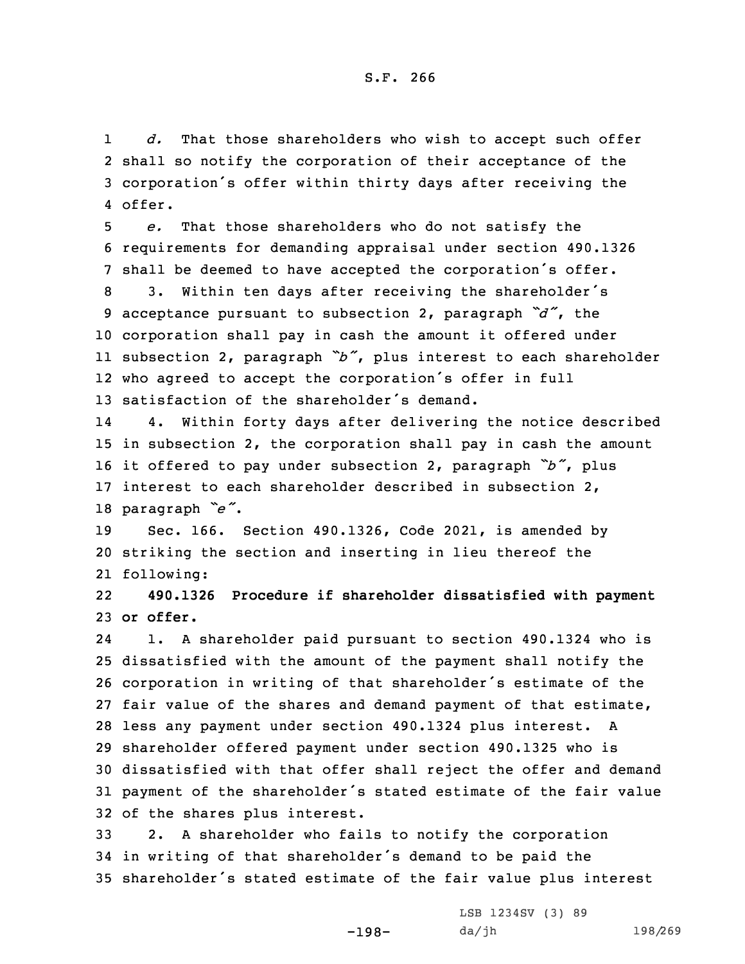1 *d.* That those shareholders who wish to accept such offer 2 shall so notify the corporation of their acceptance of the <sup>3</sup> corporation's offer within thirty days after receiving the 4 offer.

 *e.* That those shareholders who do not satisfy the requirements for demanding appraisal under section 490.1326 shall be deemed to have accepted the corporation's offer. 3. Within ten days after receiving the shareholder's

 acceptance pursuant to subsection 2, paragraph *"d"*, the corporation shall pay in cash the amount it offered under subsection 2, paragraph *"b"*, plus interest to each shareholder who agreed to accept the corporation's offer in full satisfaction of the shareholder's demand.

14 4. Within forty days after delivering the notice described in subsection 2, the corporation shall pay in cash the amount it offered to pay under subsection 2, paragraph *"b"*, plus interest to each shareholder described in subsection 2, paragraph *"e"*.

19 Sec. 166. Section 490.1326, Code 2021, is amended by 20 striking the section and inserting in lieu thereof the 21 following:

22 **490.1326 Procedure if shareholder dissatisfied with payment** 23 **or offer.**

24 1. <sup>A</sup> shareholder paid pursuant to section 490.1324 who is dissatisfied with the amount of the payment shall notify the corporation in writing of that shareholder's estimate of the fair value of the shares and demand payment of that estimate, less any payment under section 490.1324 plus interest. <sup>A</sup> shareholder offered payment under section 490.1325 who is dissatisfied with that offer shall reject the offer and demand payment of the shareholder's stated estimate of the fair value of the shares plus interest.

33 2. <sup>A</sup> shareholder who fails to notify the corporation <sup>34</sup> in writing of that shareholder's demand to be paid the <sup>35</sup> shareholder's stated estimate of the fair value plus interest

-198-

LSB 1234SV (3) 89 da/jh 198/269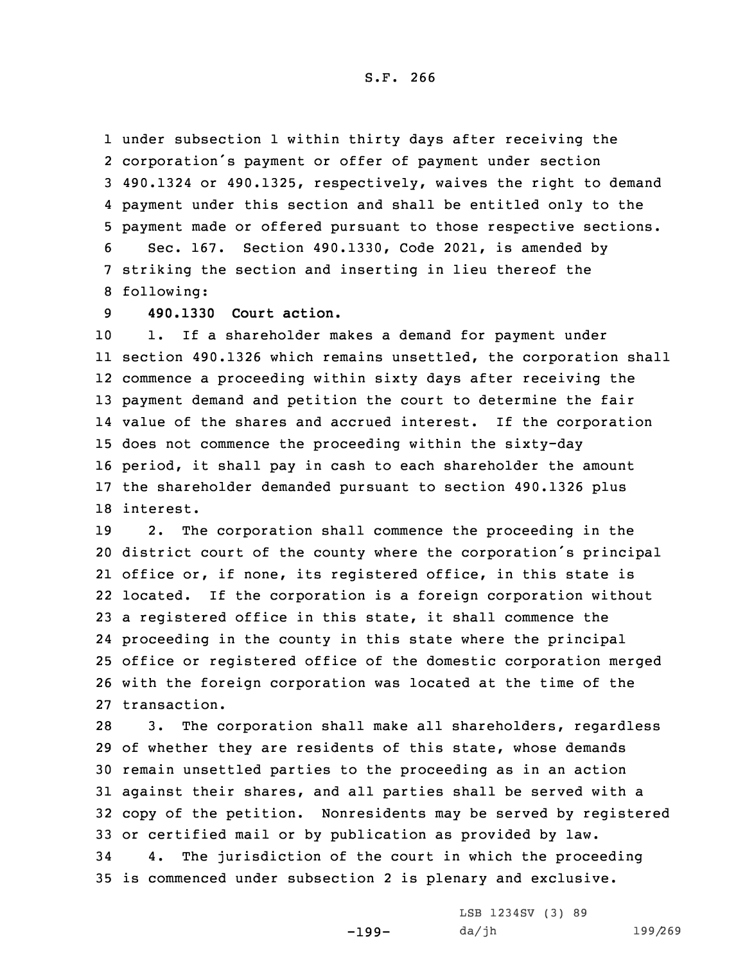S.F. 266

 under subsection 1 within thirty days after receiving the corporation's payment or offer of payment under section 490.1324 or 490.1325, respectively, waives the right to demand payment under this section and shall be entitled only to the payment made or offered pursuant to those respective sections. Sec. 167. Section 490.1330, Code 2021, is amended by striking the section and inserting in lieu thereof the following:

9 **490.1330 Court action.**

 1. If <sup>a</sup> shareholder makes <sup>a</sup> demand for payment under section 490.1326 which remains unsettled, the corporation shall commence <sup>a</sup> proceeding within sixty days after receiving the payment demand and petition the court to determine the fair value of the shares and accrued interest. If the corporation does not commence the proceeding within the sixty-day period, it shall pay in cash to each shareholder the amount the shareholder demanded pursuant to section 490.1326 plus interest.

 2. The corporation shall commence the proceeding in the district court of the county where the corporation's principal office or, if none, its registered office, in this state is located. If the corporation is <sup>a</sup> foreign corporation without <sup>a</sup> registered office in this state, it shall commence the proceeding in the county in this state where the principal office or registered office of the domestic corporation merged with the foreign corporation was located at the time of the transaction.

 3. The corporation shall make all shareholders, regardless of whether they are residents of this state, whose demands remain unsettled parties to the proceeding as in an action against their shares, and all parties shall be served with <sup>a</sup> copy of the petition. Nonresidents may be served by registered or certified mail or by publication as provided by law. 4. The jurisdiction of the court in which the proceeding is commenced under subsection 2 is plenary and exclusive.

-199-

LSB 1234SV (3) 89 da/jh 199/269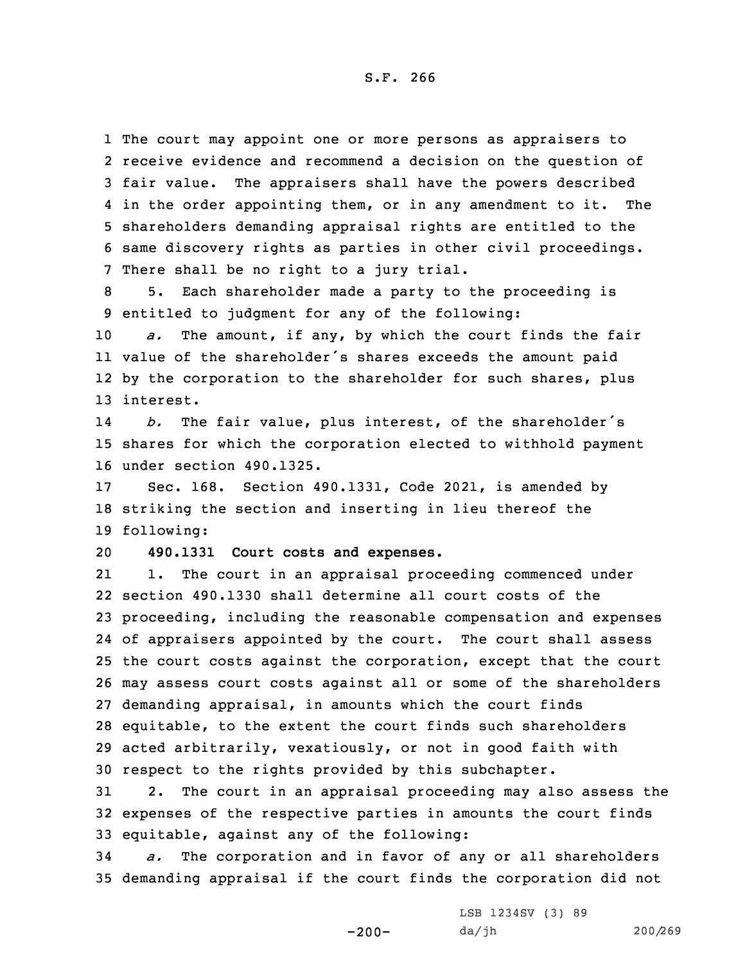The court may appoint one or more persons as appraisers to receive evidence and recommend <sup>a</sup> decision on the question of fair value. The appraisers shall have the powers described in the order appointing them, or in any amendment to it. The shareholders demanding appraisal rights are entitled to the same discovery rights as parties in other civil proceedings. There shall be no right to <sup>a</sup> jury trial.

8 5. Each shareholder made <sup>a</sup> party to the proceeding is 9 entitled to judgment for any of the following:

 *a.* The amount, if any, by which the court finds the fair value of the shareholder's shares exceeds the amount paid 12 by the corporation to the shareholder for such shares, plus interest.

14 *b.* The fair value, plus interest, of the shareholder's 15 shares for which the corporation elected to withhold payment 16 under section 490.1325.

17 Sec. 168. Section 490.1331, Code 2021, is amended by 18 striking the section and inserting in lieu thereof the 19 following:

20 **490.1331 Court costs and expenses.**

21 1. The court in an appraisal proceeding commenced under section 490.1330 shall determine all court costs of the proceeding, including the reasonable compensation and expenses of appraisers appointed by the court. The court shall assess the court costs against the corporation, except that the court may assess court costs against all or some of the shareholders demanding appraisal, in amounts which the court finds equitable, to the extent the court finds such shareholders acted arbitrarily, vexatiously, or not in good faith with respect to the rights provided by this subchapter.

31 2. The court in an appraisal proceeding may also assess the 32 expenses of the respective parties in amounts the court finds 33 equitable, against any of the following:

34 *a.* The corporation and in favor of any or all shareholders 35 demanding appraisal if the court finds the corporation did not

 $-200-$ 

LSB 1234SV (3) 89 da/jh 200/269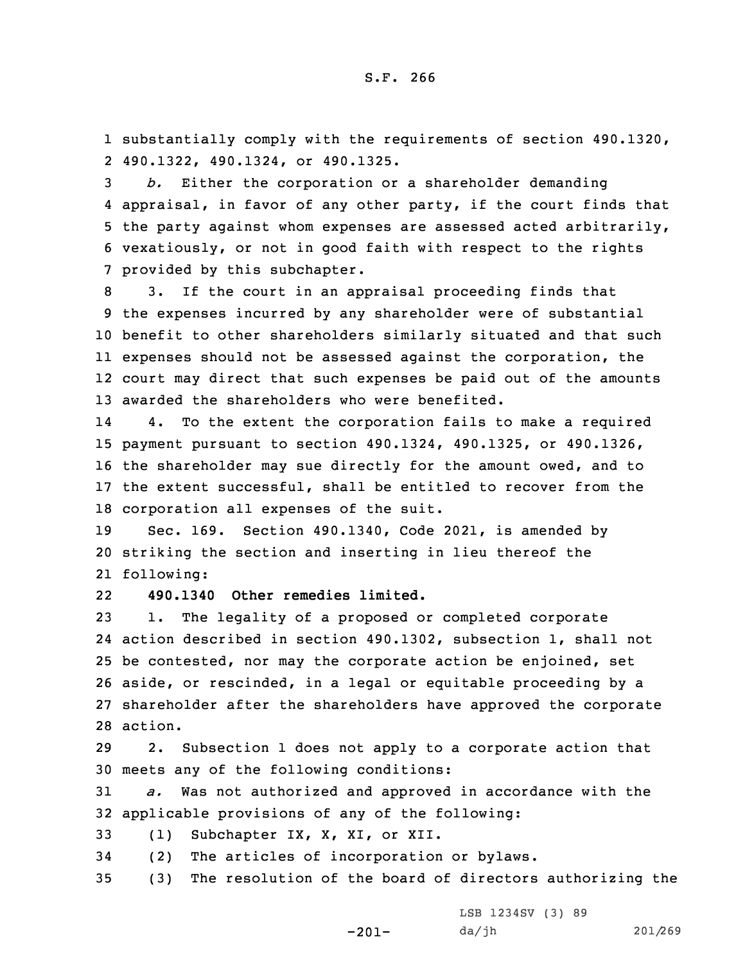1 substantially comply with the requirements of section 490.1320, 2 490.1322, 490.1324, or 490.1325.

 *b.* Either the corporation or <sup>a</sup> shareholder demanding appraisal, in favor of any other party, if the court finds that the party against whom expenses are assessed acted arbitrarily, vexatiously, or not in good faith with respect to the rights provided by this subchapter.

 3. If the court in an appraisal proceeding finds that the expenses incurred by any shareholder were of substantial benefit to other shareholders similarly situated and that such expenses should not be assessed against the corporation, the court may direct that such expenses be paid out of the amounts awarded the shareholders who were benefited.

14 4. To the extent the corporation fails to make <sup>a</sup> required payment pursuant to section 490.1324, 490.1325, or 490.1326, the shareholder may sue directly for the amount owed, and to the extent successful, shall be entitled to recover from the corporation all expenses of the suit.

19 Sec. 169. Section 490.1340, Code 2021, is amended by 20 striking the section and inserting in lieu thereof the 21 following:

22**490.1340 Other remedies limited.**

 1. The legality of <sup>a</sup> proposed or completed corporate action described in section 490.1302, subsection 1, shall not be contested, nor may the corporate action be enjoined, set aside, or rescinded, in <sup>a</sup> legal or equitable proceeding by <sup>a</sup> shareholder after the shareholders have approved the corporate 28 action.

29 2. Subsection 1 does not apply to <sup>a</sup> corporate action that 30 meets any of the following conditions:

31 *a.* Was not authorized and approved in accordance with the 32 applicable provisions of any of the following:

33 (1) Subchapter IX, X, XI, or XII.

34 (2) The articles of incorporation or bylaws.

35 (3) The resolution of the board of directors authorizing the

 $-201-$ 

LSB 1234SV (3) 89 da/jh 201/269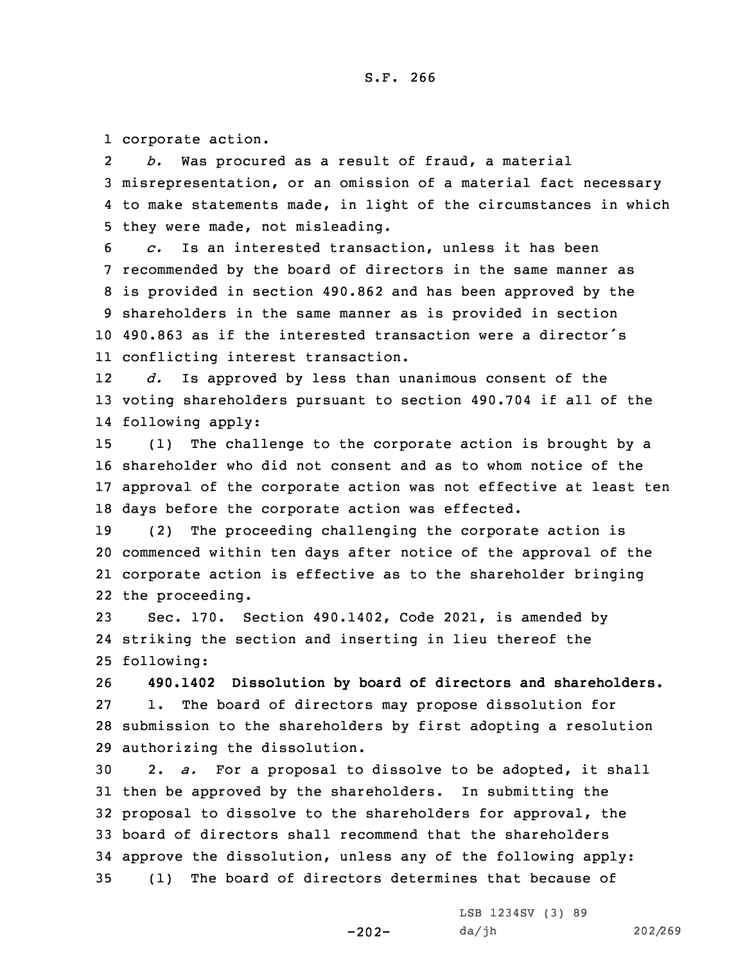1 corporate action.

2 *b.* Was procured as <sup>a</sup> result of fraud, <sup>a</sup> material 3 misrepresentation, or an omission of <sup>a</sup> material fact necessary 4 to make statements made, in light of the circumstances in which 5 they were made, not misleading.

 *c.* Is an interested transaction, unless it has been recommended by the board of directors in the same manner as is provided in section 490.862 and has been approved by the shareholders in the same manner as is provided in section 490.863 as if the interested transaction were <sup>a</sup> director's conflicting interest transaction.

12 *d.* Is approved by less than unanimous consent of the 13 voting shareholders pursuant to section 490.704 if all of the 14 following apply:

 (1) The challenge to the corporate action is brought by <sup>a</sup> shareholder who did not consent and as to whom notice of the approval of the corporate action was not effective at least ten days before the corporate action was effected.

 (2) The proceeding challenging the corporate action is commenced within ten days after notice of the approval of the corporate action is effective as to the shareholder bringing the proceeding.

23 Sec. 170. Section 490.1402, Code 2021, is amended by 24 striking the section and inserting in lieu thereof the 25 following:

 **490.1402 Dissolution by board of directors and shareholders.** 1. The board of directors may propose dissolution for submission to the shareholders by first adopting <sup>a</sup> resolution authorizing the dissolution.

 2. *a.* For <sup>a</sup> proposal to dissolve to be adopted, it shall then be approved by the shareholders. In submitting the proposal to dissolve to the shareholders for approval, the board of directors shall recommend that the shareholders approve the dissolution, unless any of the following apply: (1) The board of directors determines that because of

-202-

LSB 1234SV (3) 89 da/jh 202/269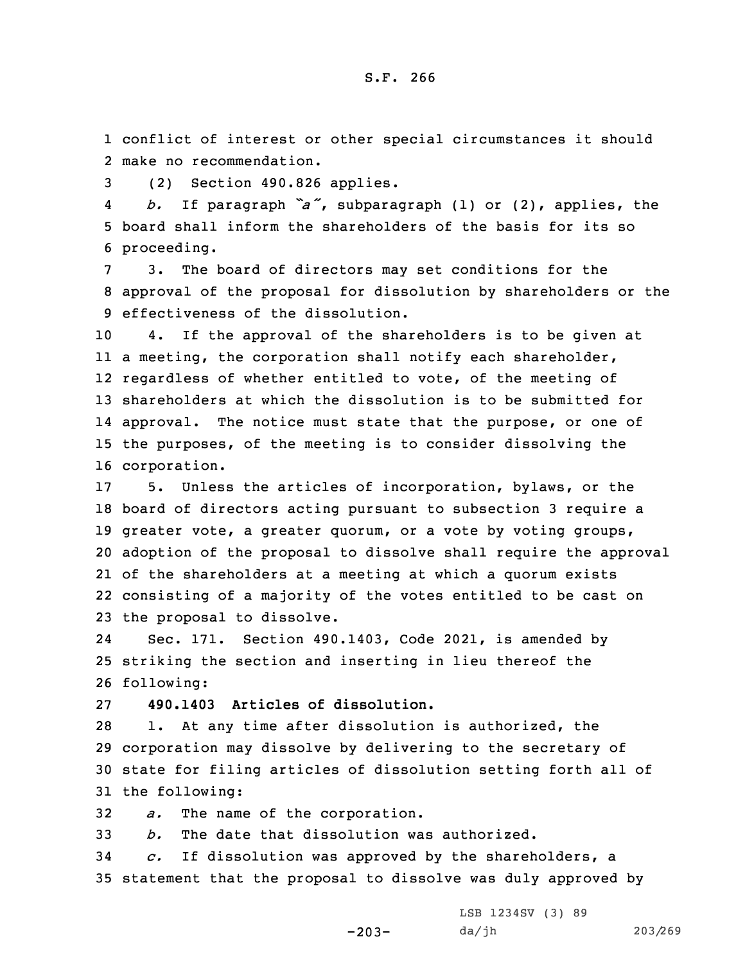1 conflict of interest or other special circumstances it should 2 make no recommendation.

3 (2) Section 490.826 applies.

4 *b.* If paragraph *"a"*, subparagraph (1) or (2), applies, the 5 board shall inform the shareholders of the basis for its so 6 proceeding.

7 3. The board of directors may set conditions for the 8 approval of the proposal for dissolution by shareholders or the 9 effectiveness of the dissolution.

 4. If the approval of the shareholders is to be given at <sup>a</sup> meeting, the corporation shall notify each shareholder, regardless of whether entitled to vote, of the meeting of shareholders at which the dissolution is to be submitted for approval. The notice must state that the purpose, or one of the purposes, of the meeting is to consider dissolving the corporation.

 5. Unless the articles of incorporation, bylaws, or the board of directors acting pursuant to subsection 3 require <sup>a</sup> greater vote, <sup>a</sup> greater quorum, or <sup>a</sup> vote by voting groups, adoption of the proposal to dissolve shall require the approval of the shareholders at <sup>a</sup> meeting at which <sup>a</sup> quorum exists consisting of <sup>a</sup> majority of the votes entitled to be cast on the proposal to dissolve.

24 Sec. 171. Section 490.1403, Code 2021, is amended by 25 striking the section and inserting in lieu thereof the 26 following:

27 **490.1403 Articles of dissolution.**

 1. At any time after dissolution is authorized, the corporation may dissolve by delivering to the secretary of state for filing articles of dissolution setting forth all of the following:

32 *a.* The name of the corporation.

33 *b.* The date that dissolution was authorized.

34 *c.* If dissolution was approved by the shareholders, <sup>a</sup> 35 statement that the proposal to dissolve was duly approved by

-203-

LSB 1234SV (3) 89 da/jh 203/269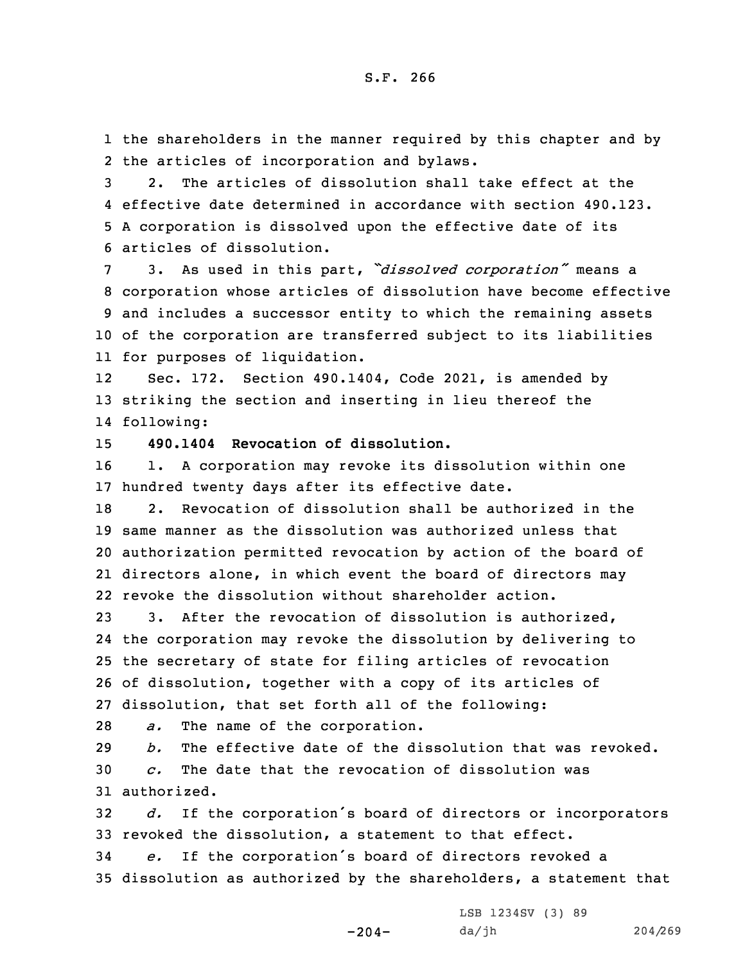1 the shareholders in the manner required by this chapter and by 2 the articles of incorporation and bylaws.

 2. The articles of dissolution shall take effect at the effective date determined in accordance with section 490.123. <sup>A</sup> corporation is dissolved upon the effective date of its articles of dissolution.

 3. As used in this part, *"dissolved corporation"* means <sup>a</sup> corporation whose articles of dissolution have become effective and includes <sup>a</sup> successor entity to which the remaining assets of the corporation are transferred subject to its liabilities for purposes of liquidation.

12 Sec. 172. Section 490.1404, Code 2021, is amended by 13 striking the section and inserting in lieu thereof the 14 following:

15 **490.1404 Revocation of dissolution.**

16 1. A corporation may revoke its dissolution within one 17 hundred twenty days after its effective date.

 2. Revocation of dissolution shall be authorized in the same manner as the dissolution was authorized unless that authorization permitted revocation by action of the board of directors alone, in which event the board of directors may revoke the dissolution without shareholder action.

 3. After the revocation of dissolution is authorized, the corporation may revoke the dissolution by delivering to the secretary of state for filing articles of revocation of dissolution, together with <sup>a</sup> copy of its articles of dissolution, that set forth all of the following:

28 *a.* The name of the corporation.

29 *b.* The effective date of the dissolution that was revoked. 30 *c.* The date that the revocation of dissolution was 31 authorized.

<sup>32</sup> *d.* If the corporation's board of directors or incorporators 33 revoked the dissolution, <sup>a</sup> statement to that effect.

<sup>34</sup> *e.* If the corporation's board of directors revoked <sup>a</sup> 35 dissolution as authorized by the shareholders, <sup>a</sup> statement that

 $-204-$ 

LSB 1234SV (3) 89 da/jh 204/269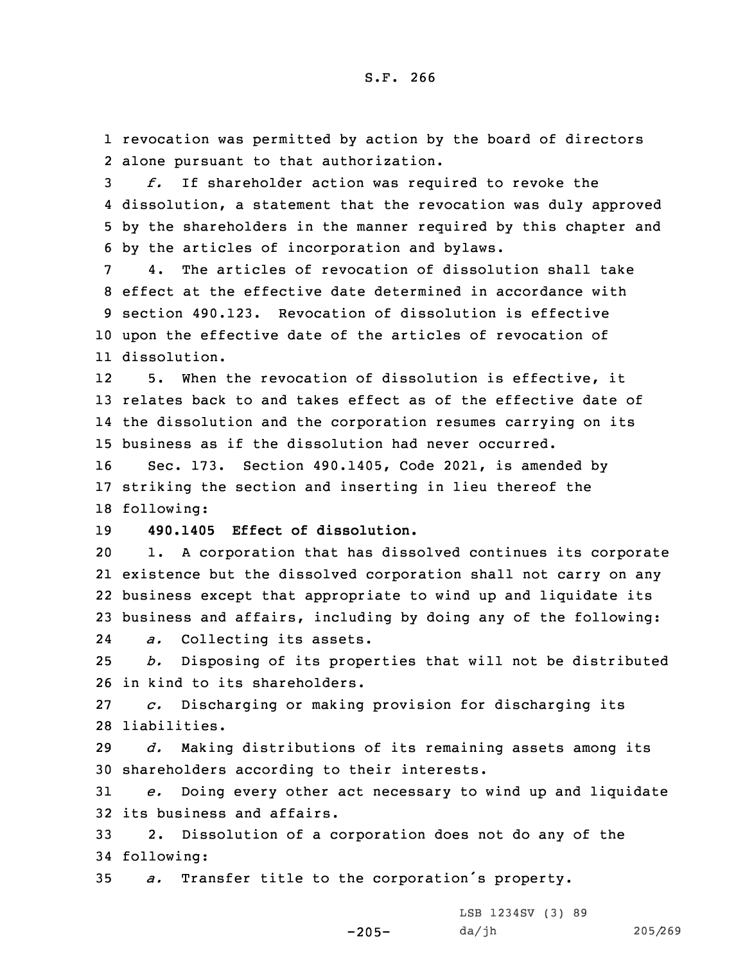1 revocation was permitted by action by the board of directors 2 alone pursuant to that authorization.

 *f.* If shareholder action was required to revoke the dissolution, <sup>a</sup> statement that the revocation was duly approved by the shareholders in the manner required by this chapter and by the articles of incorporation and bylaws.

 4. The articles of revocation of dissolution shall take effect at the effective date determined in accordance with section 490.123. Revocation of dissolution is effective upon the effective date of the articles of revocation of dissolution.

12 5. When the revocation of dissolution is effective, it 13 relates back to and takes effect as of the effective date of 14 the dissolution and the corporation resumes carrying on its 15 business as if the dissolution had never occurred.

16 Sec. 173. Section 490.1405, Code 2021, is amended by 17 striking the section and inserting in lieu thereof the 18 following:

19 **490.1405 Effect of dissolution.**

 1. <sup>A</sup> corporation that has dissolved continues its corporate existence but the dissolved corporation shall not carry on any business except that appropriate to wind up and liquidate its business and affairs, including by doing any of the following:

24*a.* Collecting its assets.

25 *b.* Disposing of its properties that will not be distributed 26 in kind to its shareholders.

27 *c.* Discharging or making provision for discharging its 28 liabilities.

29 *d.* Making distributions of its remaining assets among its 30 shareholders according to their interests.

31 *e.* Doing every other act necessary to wind up and liquidate 32 its business and affairs.

33 2. Dissolution of <sup>a</sup> corporation does not do any of the 34 following:

 $-205-$ 

<sup>35</sup> *a.* Transfer title to the corporation's property.

LSB 1234SV (3) 89 da/jh 205/269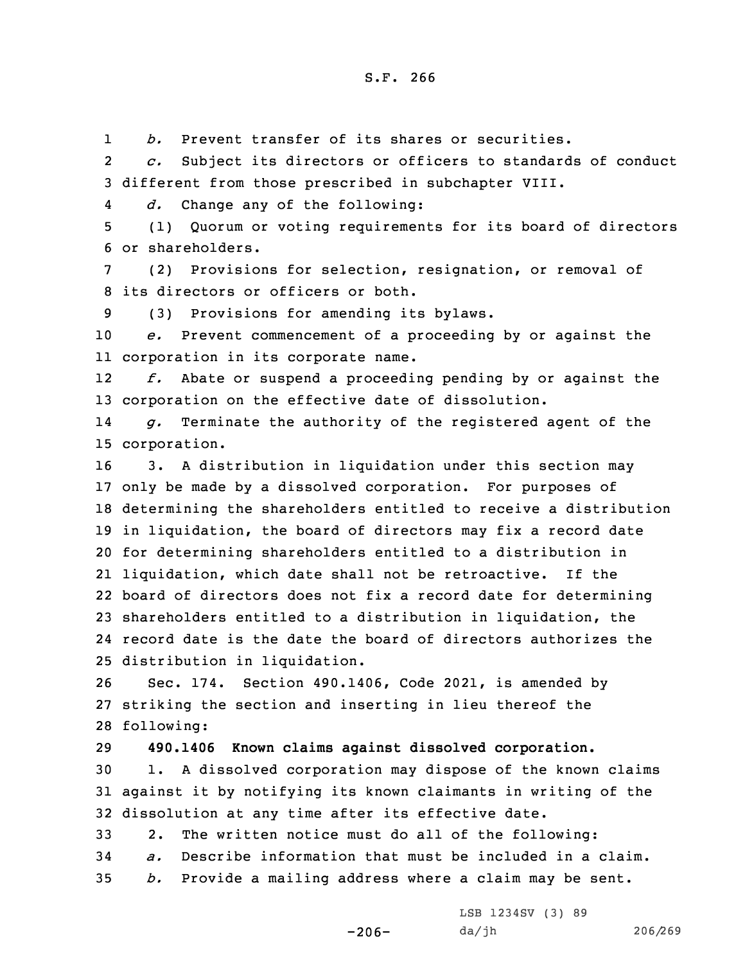1*b.* Prevent transfer of its shares or securities.

2 *c.* Subject its directors or officers to standards of conduct 3 different from those prescribed in subchapter VIII.

4*d.* Change any of the following:

5 (1) Quorum or voting requirements for its board of directors 6 or shareholders.

7 (2) Provisions for selection, resignation, or removal of 8 its directors or officers or both.

9 (3) Provisions for amending its bylaws.

10 *e.* Prevent commencement of <sup>a</sup> proceeding by or against the 11 corporation in its corporate name.

12 *f.* Abate or suspend <sup>a</sup> proceeding pending by or against the 13 corporation on the effective date of dissolution.

14 *g.* Terminate the authority of the registered agent of the 15 corporation.

 3. <sup>A</sup> distribution in liquidation under this section may only be made by <sup>a</sup> dissolved corporation. For purposes of determining the shareholders entitled to receive <sup>a</sup> distribution in liquidation, the board of directors may fix <sup>a</sup> record date for determining shareholders entitled to <sup>a</sup> distribution in liquidation, which date shall not be retroactive. If the board of directors does not fix <sup>a</sup> record date for determining shareholders entitled to <sup>a</sup> distribution in liquidation, the record date is the date the board of directors authorizes the distribution in liquidation.

26 Sec. 174. Section 490.1406, Code 2021, is amended by 27 striking the section and inserting in lieu thereof the 28 following:

29 **490.1406 Known claims against dissolved corporation.**

30 1. <sup>A</sup> dissolved corporation may dispose of the known claims 31 against it by notifying its known claimants in writing of the 32 dissolution at any time after its effective date.

33 2. The written notice must do all of the following: 34 *a.* Describe information that must be included in <sup>a</sup> claim. 35 *b.* Provide <sup>a</sup> mailing address where <sup>a</sup> claim may be sent.

-206-

LSB 1234SV (3) 89 da/jh 206/269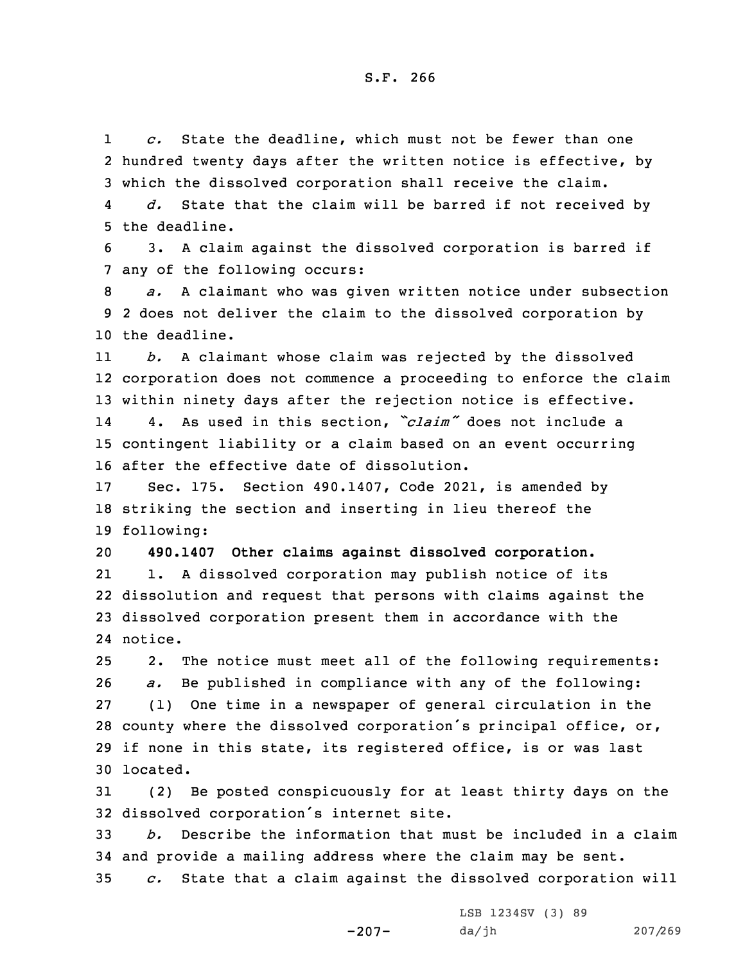1 *c.* State the deadline, which must not be fewer than one 2 hundred twenty days after the written notice is effective, by 3 which the dissolved corporation shall receive the claim.

4 *d.* State that the claim will be barred if not received by 5 the deadline.

6 3. <sup>A</sup> claim against the dissolved corporation is barred if 7 any of the following occurs:

8 *a.* <sup>A</sup> claimant who was given written notice under subsection 9 2 does not deliver the claim to the dissolved corporation by 10 the deadline.

11 *b.* <sup>A</sup> claimant whose claim was rejected by the dissolved 12 corporation does not commence <sup>a</sup> proceeding to enforce the claim 13 within ninety days after the rejection notice is effective. 14 4. As used in this section, *"claim"* does not include <sup>a</sup> 15 contingent liability or <sup>a</sup> claim based on an event occurring 16 after the effective date of dissolution.

17 Sec. 175. Section 490.1407, Code 2021, is amended by 18 striking the section and inserting in lieu thereof the 19 following:

20 **490.1407 Other claims against dissolved corporation.** 21 1. <sup>A</sup> dissolved corporation may publish notice of its 22 dissolution and request that persons with claims against the 23 dissolved corporation present them in accordance with the 24 notice.

 2. The notice must meet all of the following requirements: *a.* Be published in compliance with any of the following: (1) One time in <sup>a</sup> newspaper of general circulation in the county where the dissolved corporation's principal office, or, if none in this state, its registered office, is or was last 30 located.

31 (2) Be posted conspicuously for at least thirty days on the <sup>32</sup> dissolved corporation's internet site.

33 *b.* Describe the information that must be included in <sup>a</sup> claim 34 and provide <sup>a</sup> mailing address where the claim may be sent. 35 *c.* State that <sup>a</sup> claim against the dissolved corporation will

 $-207-$ 

LSB 1234SV (3) 89 da/jh 207/269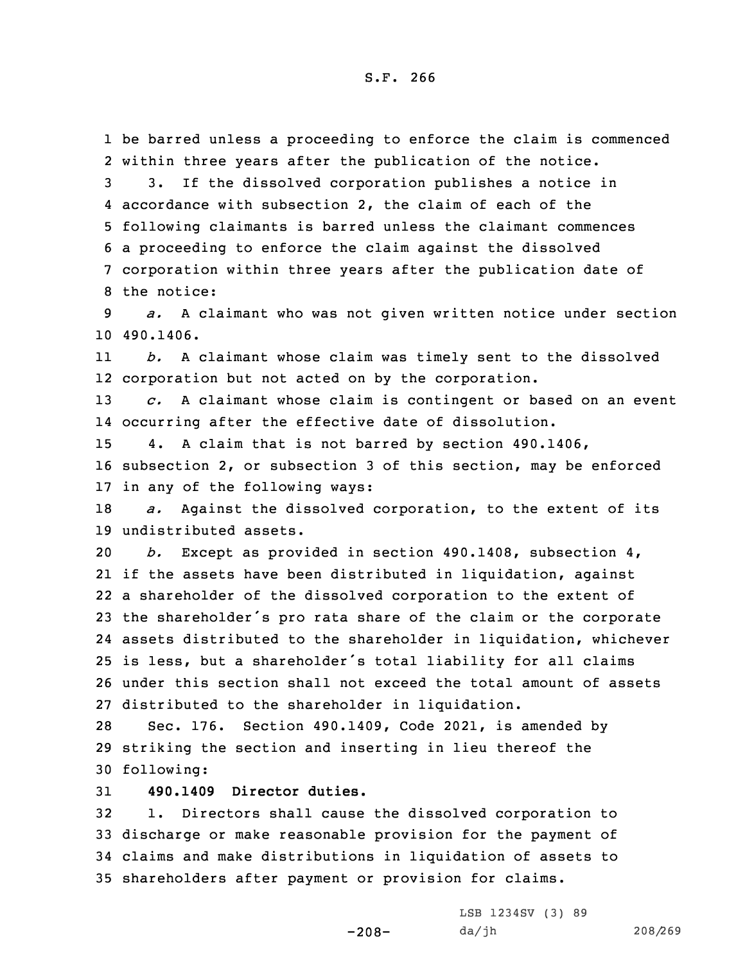1 be barred unless <sup>a</sup> proceeding to enforce the claim is commenced 2 within three years after the publication of the notice.

 3. If the dissolved corporation publishes <sup>a</sup> notice in accordance with subsection 2, the claim of each of the following claimants is barred unless the claimant commences <sup>a</sup> proceeding to enforce the claim against the dissolved corporation within three years after the publication date of the notice:

9 *a.* <sup>A</sup> claimant who was not given written notice under section 10 490.1406.

11 *b.* <sup>A</sup> claimant whose claim was timely sent to the dissolved 12 corporation but not acted on by the corporation.

13 *c.* <sup>A</sup> claimant whose claim is contingent or based on an event 14 occurring after the effective date of dissolution.

15 4. <sup>A</sup> claim that is not barred by section 490.1406, 16 subsection 2, or subsection 3 of this section, may be enforced 17 in any of the following ways:

18 *a.* Against the dissolved corporation, to the extent of its 19 undistributed assets.

 *b.* Except as provided in section 490.1408, subsection 4, if the assets have been distributed in liquidation, against <sup>a</sup> shareholder of the dissolved corporation to the extent of the shareholder's pro rata share of the claim or the corporate assets distributed to the shareholder in liquidation, whichever is less, but <sup>a</sup> shareholder's total liability for all claims under this section shall not exceed the total amount of assets distributed to the shareholder in liquidation.

28 Sec. 176. Section 490.1409, Code 2021, is amended by 29 striking the section and inserting in lieu thereof the 30 following:

31 **490.1409 Director duties.**

 1. Directors shall cause the dissolved corporation to discharge or make reasonable provision for the payment of claims and make distributions in liquidation of assets to shareholders after payment or provision for claims.

 $-208-$ 

LSB 1234SV (3) 89 da/jh 208/269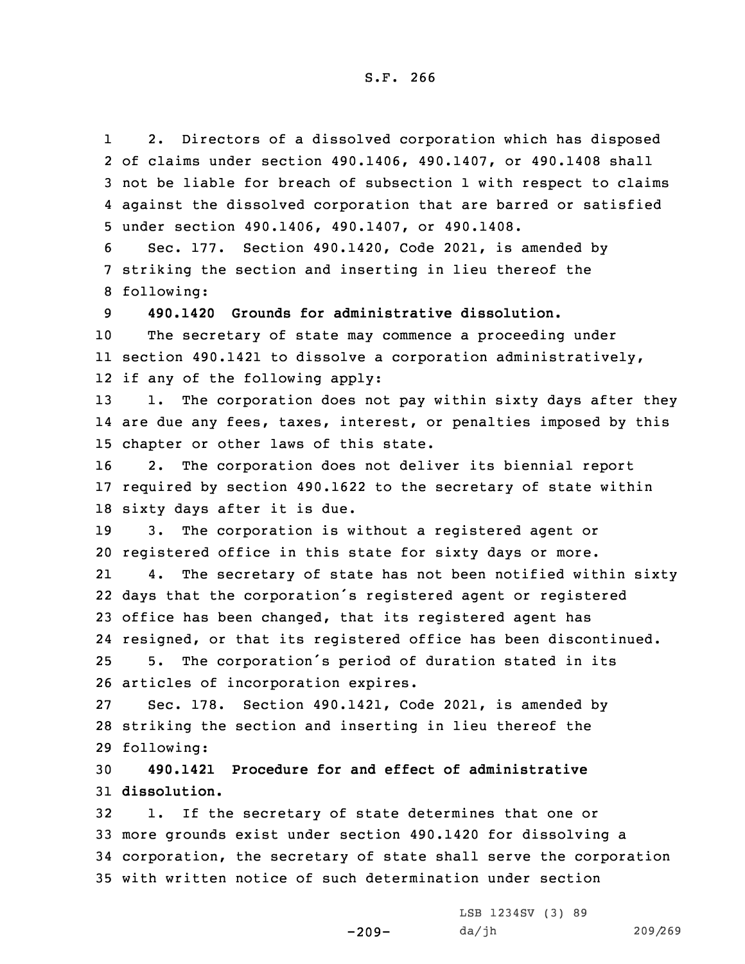1 2. Directors of <sup>a</sup> dissolved corporation which has disposed of claims under section 490.1406, 490.1407, or 490.1408 shall not be liable for breach of subsection 1 with respect to claims against the dissolved corporation that are barred or satisfied under section 490.1406, 490.1407, or 490.1408.

6 Sec. 177. Section 490.1420, Code 2021, is amended by 7 striking the section and inserting in lieu thereof the 8 following:

9 **490.1420 Grounds for administrative dissolution.**

10 The secretary of state may commence <sup>a</sup> proceeding under 11 section 490.1421 to dissolve <sup>a</sup> corporation administratively, 12 if any of the following apply:

13 1. The corporation does not pay within sixty days after they 14 are due any fees, taxes, interest, or penalties imposed by this 15 chapter or other laws of this state.

16 2. The corporation does not deliver its biennial report 17 required by section 490.1622 to the secretary of state within 18 sixty days after it is due.

19 3. The corporation is without <sup>a</sup> registered agent or 20 registered office in this state for sixty days or more.

21 4. The secretary of state has not been notified within sixty days that the corporation's registered agent or registered office has been changed, that its registered agent has resigned, or that its registered office has been discontinued. 5. The corporation's period of duration stated in its articles of incorporation expires.

27 Sec. 178. Section 490.1421, Code 2021, is amended by 28 striking the section and inserting in lieu thereof the 29 following:

30 **490.1421 Procedure for and effect of administrative** 31 **dissolution.**

 1. If the secretary of state determines that one or more grounds exist under section 490.1420 for dissolving <sup>a</sup> corporation, the secretary of state shall serve the corporation with written notice of such determination under section

 $-209-$ 

LSB 1234SV (3) 89 da/jh 209/269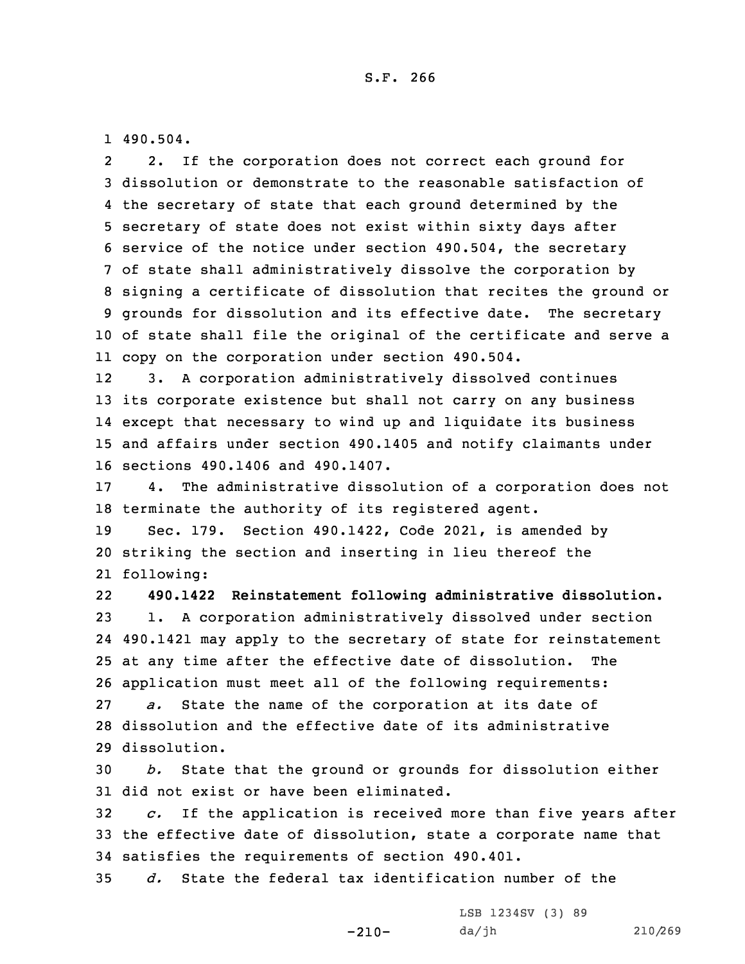1 490.504.

2 2. If the corporation does not correct each ground for dissolution or demonstrate to the reasonable satisfaction of the secretary of state that each ground determined by the secretary of state does not exist within sixty days after service of the notice under section 490.504, the secretary of state shall administratively dissolve the corporation by signing <sup>a</sup> certificate of dissolution that recites the ground or grounds for dissolution and its effective date. The secretary of state shall file the original of the certificate and serve <sup>a</sup> copy on the corporation under section 490.504.

12 3. <sup>A</sup> corporation administratively dissolved continues its corporate existence but shall not carry on any business except that necessary to wind up and liquidate its business and affairs under section 490.1405 and notify claimants under sections 490.1406 and 490.1407.

17 4. The administrative dissolution of <sup>a</sup> corporation does not 18 terminate the authority of its registered agent.

19 Sec. 179. Section 490.1422, Code 2021, is amended by 20 striking the section and inserting in lieu thereof the 21 following:

22 **490.1422 Reinstatement following administrative dissolution.** 1. <sup>A</sup> corporation administratively dissolved under section 490.1421 may apply to the secretary of state for reinstatement at any time after the effective date of dissolution. The application must meet all of the following requirements: *a.* State the name of the corporation at its date of dissolution and the effective date of its administrative dissolution.

30 *b.* State that the ground or grounds for dissolution either 31 did not exist or have been eliminated.

32 *c.* If the application is received more than five years after 33 the effective date of dissolution, state <sup>a</sup> corporate name that 34 satisfies the requirements of section 490.401.

35 *d.* State the federal tax identification number of the

 $-210-$ 

LSB 1234SV (3) 89 da/jh 210/269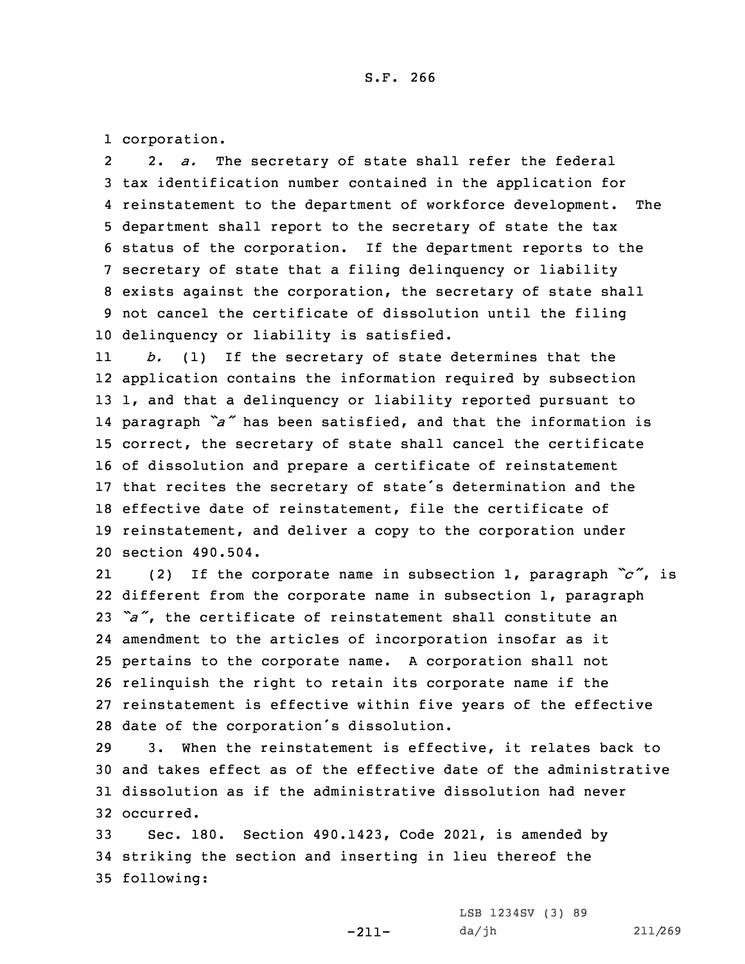1 corporation.

2 2. *a.* The secretary of state shall refer the federal tax identification number contained in the application for reinstatement to the department of workforce development. The department shall report to the secretary of state the tax status of the corporation. If the department reports to the secretary of state that <sup>a</sup> filing delinquency or liability exists against the corporation, the secretary of state shall not cancel the certificate of dissolution until the filing delinquency or liability is satisfied.

11 *b.* (1) If the secretary of state determines that the application contains the information required by subsection 1, and that <sup>a</sup> delinquency or liability reported pursuant to paragraph *"a"* has been satisfied, and that the information is correct, the secretary of state shall cancel the certificate of dissolution and prepare <sup>a</sup> certificate of reinstatement that recites the secretary of state's determination and the effective date of reinstatement, file the certificate of reinstatement, and deliver <sup>a</sup> copy to the corporation under section 490.504.

21 (2) If the corporate name in subsection 1, paragraph *"c"*, is different from the corporate name in subsection 1, paragraph *"a"*, the certificate of reinstatement shall constitute an amendment to the articles of incorporation insofar as it pertains to the corporate name. <sup>A</sup> corporation shall not relinquish the right to retain its corporate name if the reinstatement is effective within five years of the effective date of the corporation's dissolution.

 3. When the reinstatement is effective, it relates back to and takes effect as of the effective date of the administrative dissolution as if the administrative dissolution had never occurred.

33 Sec. 180. Section 490.1423, Code 2021, is amended by 34 striking the section and inserting in lieu thereof the 35 following:

> LSB 1234SV (3) 89 da/jh 211/269

-211-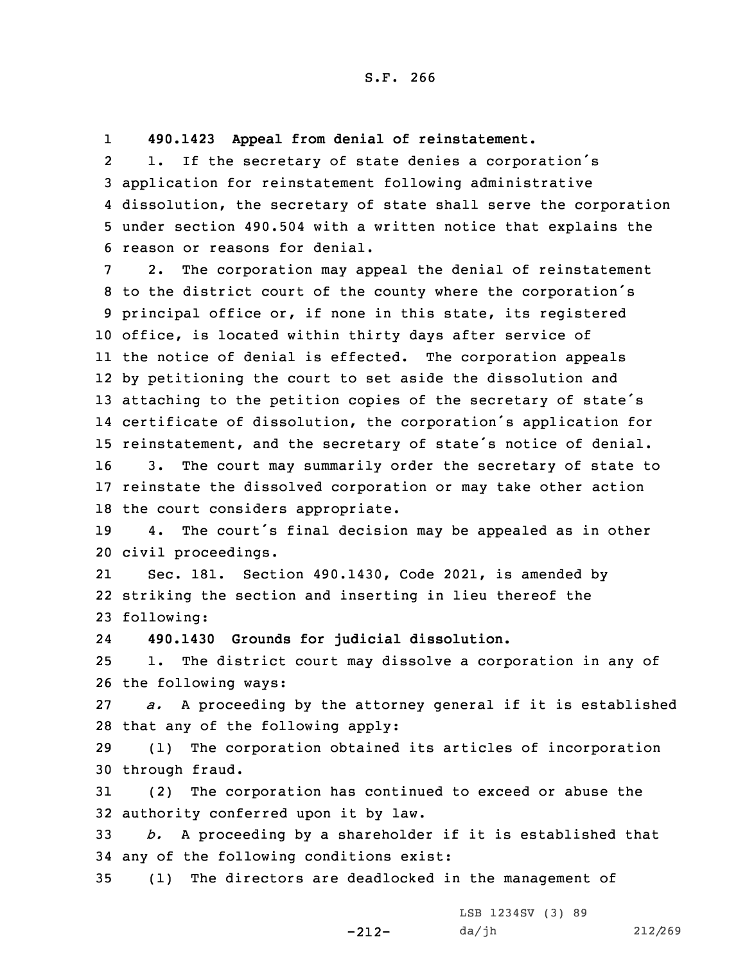1**490.1423 Appeal from denial of reinstatement.**

2 1. If the secretary of state denies <sup>a</sup> corporation's application for reinstatement following administrative dissolution, the secretary of state shall serve the corporation under section 490.504 with <sup>a</sup> written notice that explains the reason or reasons for denial.

 2. The corporation may appeal the denial of reinstatement to the district court of the county where the corporation's principal office or, if none in this state, its registered office, is located within thirty days after service of the notice of denial is effected. The corporation appeals by petitioning the court to set aside the dissolution and attaching to the petition copies of the secretary of state's certificate of dissolution, the corporation's application for reinstatement, and the secretary of state's notice of denial. 3. The court may summarily order the secretary of state to reinstate the dissolved corporation or may take other action

18 the court considers appropriate.

<sup>19</sup> 4. The court's final decision may be appealed as in other 20 civil proceedings.

21 Sec. 181. Section 490.1430, Code 2021, is amended by 22 striking the section and inserting in lieu thereof the 23 following:

24**490.1430 Grounds for judicial dissolution.**

25 1. The district court may dissolve <sup>a</sup> corporation in any of 26 the following ways:

27 *a.* <sup>A</sup> proceeding by the attorney general if it is established 28 that any of the following apply:

29 (1) The corporation obtained its articles of incorporation 30 through fraud.

31 (2) The corporation has continued to exceed or abuse the 32 authority conferred upon it by law.

33 *b.* <sup>A</sup> proceeding by <sup>a</sup> shareholder if it is established that 34 any of the following conditions exist:

-212-

35 (1) The directors are deadlocked in the management of

LSB 1234SV (3) 89 da/jh 212/269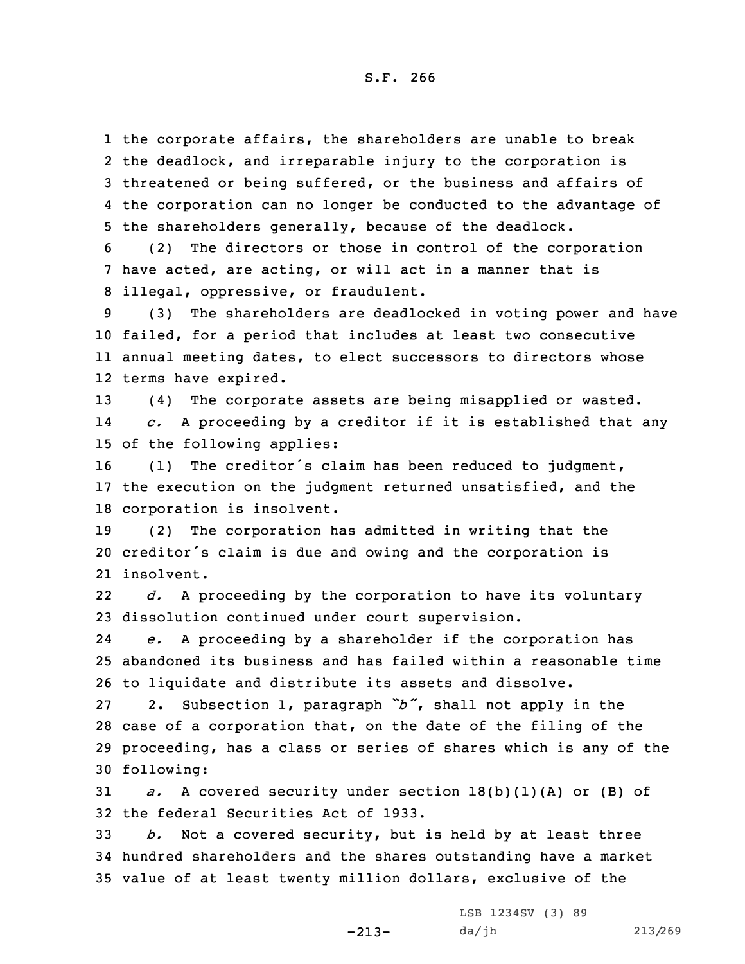the corporate affairs, the shareholders are unable to break the deadlock, and irreparable injury to the corporation is threatened or being suffered, or the business and affairs of the corporation can no longer be conducted to the advantage of the shareholders generally, because of the deadlock.

6 (2) The directors or those in control of the corporation 7 have acted, are acting, or will act in <sup>a</sup> manner that is 8 illegal, oppressive, or fraudulent.

 (3) The shareholders are deadlocked in voting power and have failed, for <sup>a</sup> period that includes at least two consecutive annual meeting dates, to elect successors to directors whose terms have expired.

13 (4) The corporate assets are being misapplied or wasted. 14 *c.* <sup>A</sup> proceeding by <sup>a</sup> creditor if it is established that any 15 of the following applies:

<sup>16</sup> (1) The creditor's claim has been reduced to judgment, 17 the execution on the judgment returned unsatisfied, and the 18 corporation is insolvent.

19 (2) The corporation has admitted in writing that the <sup>20</sup> creditor's claim is due and owing and the corporation is 21 insolvent.

22 *d.* <sup>A</sup> proceeding by the corporation to have its voluntary 23 dissolution continued under court supervision.

24 *e.* <sup>A</sup> proceeding by <sup>a</sup> shareholder if the corporation has 25 abandoned its business and has failed within <sup>a</sup> reasonable time 26 to liquidate and distribute its assets and dissolve.

 2. Subsection 1, paragraph *"b"*, shall not apply in the case of <sup>a</sup> corporation that, on the date of the filing of the proceeding, has <sup>a</sup> class or series of shares which is any of the following:

31 *a.* <sup>A</sup> covered security under section 18(b)(1)(A) or (B) of 32 the federal Securities Act of 1933.

33 *b.* Not <sup>a</sup> covered security, but is held by at least three 34 hundred shareholders and the shares outstanding have <sup>a</sup> market 35 value of at least twenty million dollars, exclusive of the

-213-

LSB 1234SV (3) 89 da/jh 213/269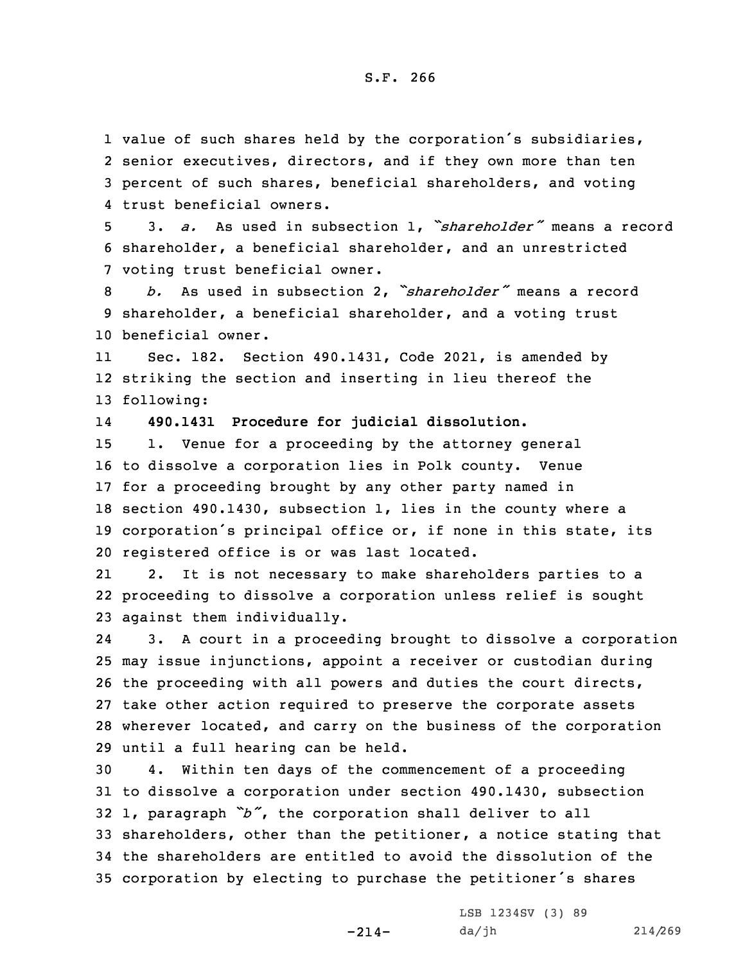value of such shares held by the corporation's subsidiaries, senior executives, directors, and if they own more than ten percent of such shares, beneficial shareholders, and voting trust beneficial owners.

5 3. *a.* As used in subsection 1, *"shareholder"* means <sup>a</sup> record 6 shareholder, <sup>a</sup> beneficial shareholder, and an unrestricted 7 voting trust beneficial owner.

8 *b.* As used in subsection 2, *"shareholder"* means <sup>a</sup> record 9 shareholder, <sup>a</sup> beneficial shareholder, and <sup>a</sup> voting trust 10 beneficial owner.

11 Sec. 182. Section 490.1431, Code 2021, is amended by 12 striking the section and inserting in lieu thereof the 13 following:

14**490.1431 Procedure for judicial dissolution.**

 1. Venue for <sup>a</sup> proceeding by the attorney general to dissolve <sup>a</sup> corporation lies in Polk county. Venue for <sup>a</sup> proceeding brought by any other party named in section 490.1430, subsection 1, lies in the county where <sup>a</sup> corporation's principal office or, if none in this state, its registered office is or was last located.

21 2. It is not necessary to make shareholders parties to <sup>a</sup> 22 proceeding to dissolve <sup>a</sup> corporation unless relief is sought 23 against them individually.

24 3. <sup>A</sup> court in <sup>a</sup> proceeding brought to dissolve <sup>a</sup> corporation may issue injunctions, appoint <sup>a</sup> receiver or custodian during the proceeding with all powers and duties the court directs, take other action required to preserve the corporate assets wherever located, and carry on the business of the corporation until <sup>a</sup> full hearing can be held.

 4. Within ten days of the commencement of <sup>a</sup> proceeding to dissolve <sup>a</sup> corporation under section 490.1430, subsection 1, paragraph *"b"*, the corporation shall deliver to all shareholders, other than the petitioner, <sup>a</sup> notice stating that the shareholders are entitled to avoid the dissolution of the corporation by electing to purchase the petitioner's shares

 $-214-$ 

LSB 1234SV (3) 89 da/jh 214/269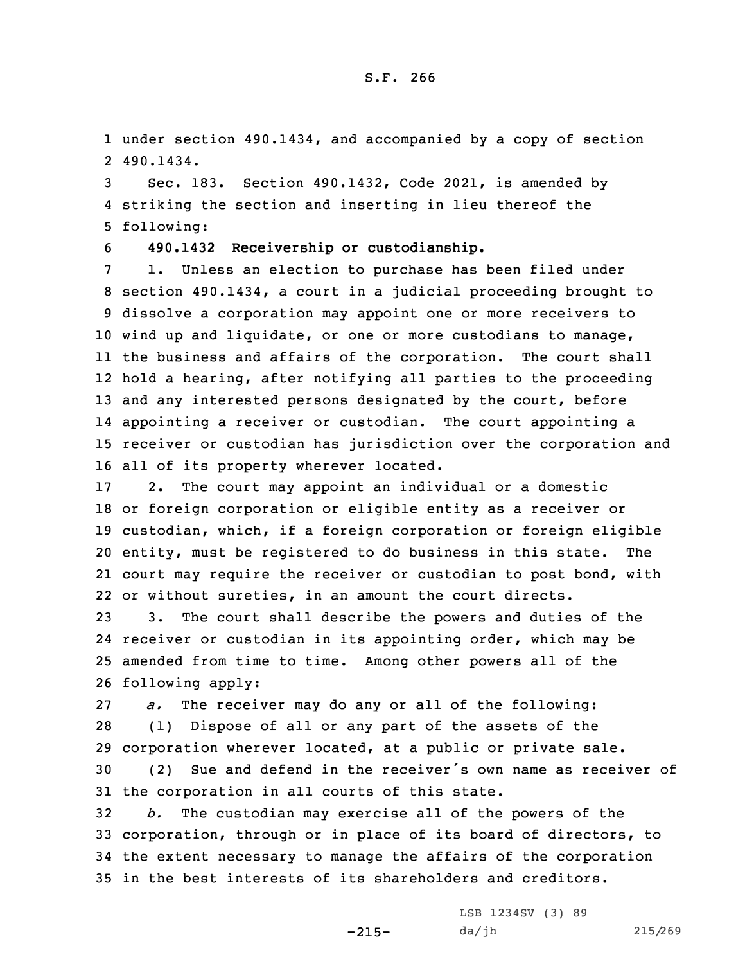1 under section 490.1434, and accompanied by <sup>a</sup> copy of section 2 490.1434.

3 Sec. 183. Section 490.1432, Code 2021, is amended by 4 striking the section and inserting in lieu thereof the 5 following:

6 **490.1432 Receivership or custodianship.**

 1. Unless an election to purchase has been filed under section 490.1434, <sup>a</sup> court in <sup>a</sup> judicial proceeding brought to dissolve <sup>a</sup> corporation may appoint one or more receivers to wind up and liquidate, or one or more custodians to manage, the business and affairs of the corporation. The court shall hold <sup>a</sup> hearing, after notifying all parties to the proceeding 13 and any interested persons designated by the court, before appointing <sup>a</sup> receiver or custodian. The court appointing <sup>a</sup> receiver or custodian has jurisdiction over the corporation and all of its property wherever located.

 2. The court may appoint an individual or <sup>a</sup> domestic or foreign corporation or eligible entity as <sup>a</sup> receiver or custodian, which, if <sup>a</sup> foreign corporation or foreign eligible entity, must be registered to do business in this state. The court may require the receiver or custodian to post bond, with or without sureties, in an amount the court directs.

 3. The court shall describe the powers and duties of the receiver or custodian in its appointing order, which may be amended from time to time. Among other powers all of the following apply:

27 *a.* The receiver may do any or all of the following: 28 (1) Dispose of all or any part of the assets of the 29 corporation wherever located, at <sup>a</sup> public or private sale.

30 (2) Sue and defend in the receiver's own name as receiver of 31 the corporation in all courts of this state.

 *b.* The custodian may exercise all of the powers of the corporation, through or in place of its board of directors, to the extent necessary to manage the affairs of the corporation in the best interests of its shareholders and creditors.

-215-

LSB 1234SV (3) 89 da/jh 215/269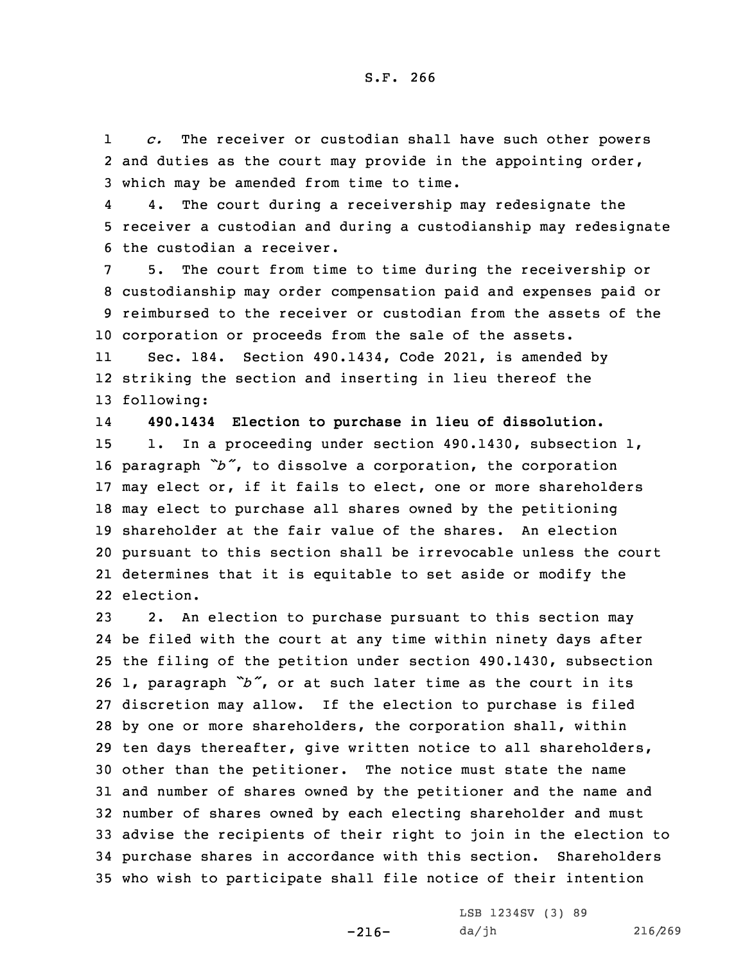1 *c.* The receiver or custodian shall have such other powers 2 and duties as the court may provide in the appointing order, 3 which may be amended from time to time.

4 4. The court during <sup>a</sup> receivership may redesignate the 5 receiver <sup>a</sup> custodian and during <sup>a</sup> custodianship may redesignate 6 the custodian <sup>a</sup> receiver.

5. The court from time to time during the receivership or custodianship may order compensation paid and expenses paid or reimbursed to the receiver or custodian from the assets of the corporation or proceeds from the sale of the assets.

11 Sec. 184. Section 490.1434, Code 2021, is amended by 12 striking the section and inserting in lieu thereof the 13 following:

14 **490.1434 Election to purchase in lieu of dissolution.** 1. In <sup>a</sup> proceeding under section 490.1430, subsection 1, paragraph *"b"*, to dissolve <sup>a</sup> corporation, the corporation may elect or, if it fails to elect, one or more shareholders may elect to purchase all shares owned by the petitioning shareholder at the fair value of the shares. An election pursuant to this section shall be irrevocable unless the court determines that it is equitable to set aside or modify the election.

 2. An election to purchase pursuant to this section may be filed with the court at any time within ninety days after the filing of the petition under section 490.1430, subsection 1, paragraph *"b"*, or at such later time as the court in its discretion may allow. If the election to purchase is filed by one or more shareholders, the corporation shall, within ten days thereafter, give written notice to all shareholders, other than the petitioner. The notice must state the name and number of shares owned by the petitioner and the name and number of shares owned by each electing shareholder and must advise the recipients of their right to join in the election to purchase shares in accordance with this section. Shareholders who wish to participate shall file notice of their intention

-216-

LSB 1234SV (3) 89 da/jh 216/269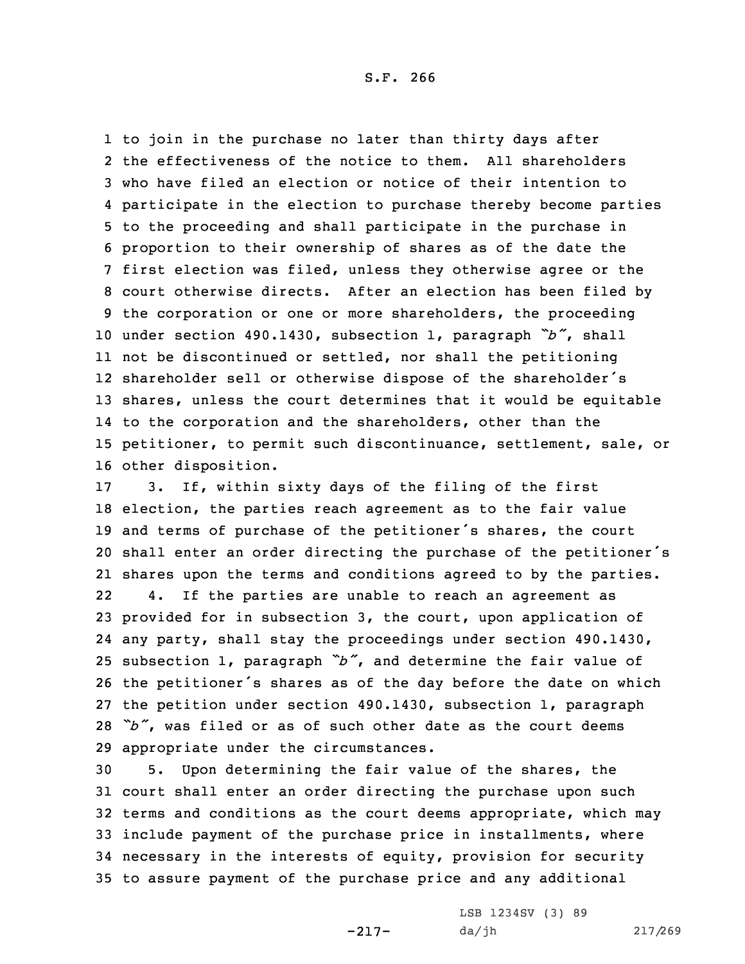to join in the purchase no later than thirty days after the effectiveness of the notice to them. All shareholders who have filed an election or notice of their intention to participate in the election to purchase thereby become parties to the proceeding and shall participate in the purchase in proportion to their ownership of shares as of the date the first election was filed, unless they otherwise agree or the court otherwise directs. After an election has been filed by the corporation or one or more shareholders, the proceeding under section 490.1430, subsection 1, paragraph *"b"*, shall not be discontinued or settled, nor shall the petitioning shareholder sell or otherwise dispose of the shareholder's shares, unless the court determines that it would be equitable to the corporation and the shareholders, other than the petitioner, to permit such discontinuance, settlement, sale, or other disposition.

 3. If, within sixty days of the filing of the first election, the parties reach agreement as to the fair value and terms of purchase of the petitioner's shares, the court shall enter an order directing the purchase of the petitioner's shares upon the terms and conditions agreed to by the parties. 22 4. If the parties are unable to reach an agreement as provided for in subsection 3, the court, upon application of any party, shall stay the proceedings under section 490.1430, subsection 1, paragraph *"b"*, and determine the fair value of the petitioner's shares as of the day before the date on which the petition under section 490.1430, subsection 1, paragraph *"b"*, was filed or as of such other date as the court deems appropriate under the circumstances.

 5. Upon determining the fair value of the shares, the court shall enter an order directing the purchase upon such terms and conditions as the court deems appropriate, which may include payment of the purchase price in installments, where necessary in the interests of equity, provision for security to assure payment of the purchase price and any additional

-217-

LSB 1234SV (3) 89 da/jh 217/269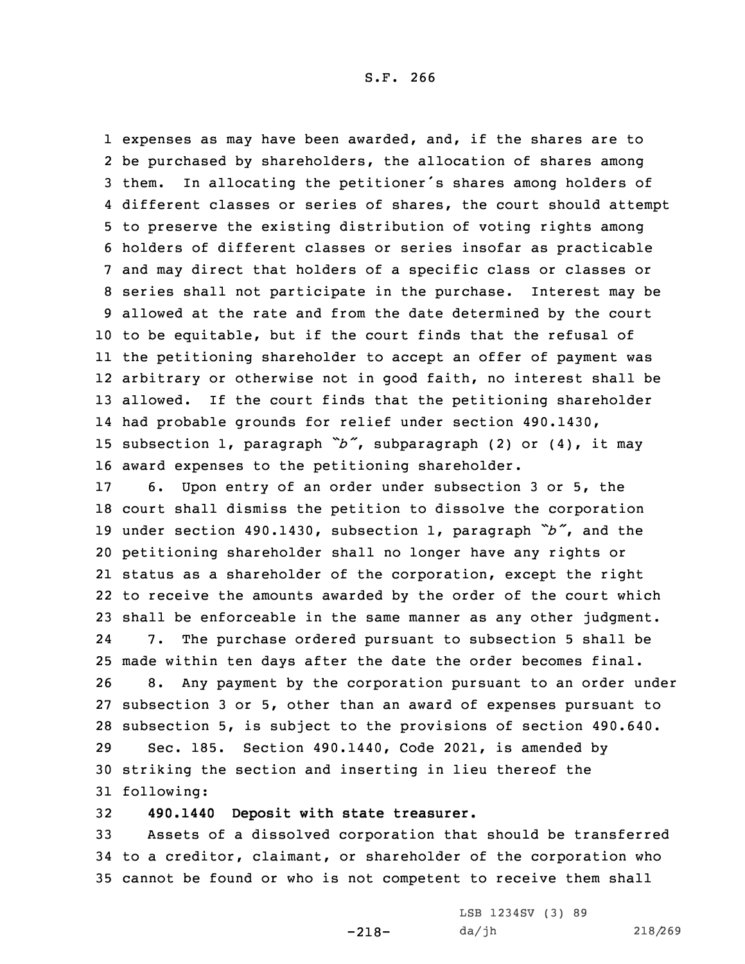expenses as may have been awarded, and, if the shares are to be purchased by shareholders, the allocation of shares among them. In allocating the petitioner's shares among holders of different classes or series of shares, the court should attempt to preserve the existing distribution of voting rights among holders of different classes or series insofar as practicable and may direct that holders of <sup>a</sup> specific class or classes or series shall not participate in the purchase. Interest may be allowed at the rate and from the date determined by the court to be equitable, but if the court finds that the refusal of the petitioning shareholder to accept an offer of payment was arbitrary or otherwise not in good faith, no interest shall be allowed. If the court finds that the petitioning shareholder had probable grounds for relief under section 490.1430, subsection 1, paragraph *"b"*, subparagraph (2) or (4), it may award expenses to the petitioning shareholder.

 6. Upon entry of an order under subsection 3 or 5, the court shall dismiss the petition to dissolve the corporation under section 490.1430, subsection 1, paragraph *"b"*, and the petitioning shareholder shall no longer have any rights or status as <sup>a</sup> shareholder of the corporation, except the right to receive the amounts awarded by the order of the court which shall be enforceable in the same manner as any other judgment. 24 7. The purchase ordered pursuant to subsection 5 shall be made within ten days after the date the order becomes final. 8. Any payment by the corporation pursuant to an order under subsection 3 or 5, other than an award of expenses pursuant to subsection 5, is subject to the provisions of section 490.640. Sec. 185. Section 490.1440, Code 2021, is amended by striking the section and inserting in lieu thereof the following:

## 32 **490.1440 Deposit with state treasurer.**

33 Assets of <sup>a</sup> dissolved corporation that should be transferred 34 to <sup>a</sup> creditor, claimant, or shareholder of the corporation who 35 cannot be found or who is not competent to receive them shall

-218-

LSB 1234SV (3) 89 da/jh 218/269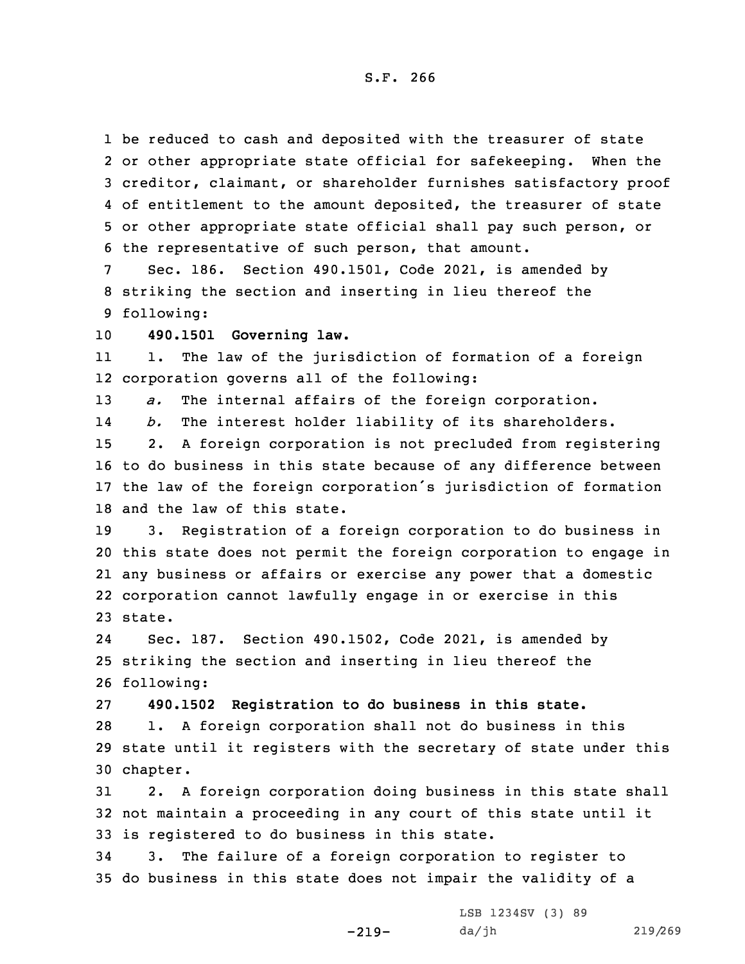be reduced to cash and deposited with the treasurer of state or other appropriate state official for safekeeping. When the creditor, claimant, or shareholder furnishes satisfactory proof of entitlement to the amount deposited, the treasurer of state or other appropriate state official shall pay such person, or the representative of such person, that amount.

7 Sec. 186. Section 490.1501, Code 2021, is amended by 8 striking the section and inserting in lieu thereof the 9 following:

10 **490.1501 Governing law.**

11 1. The law of the jurisdiction of formation of <sup>a</sup> foreign 12 corporation governs all of the following:

13 *a.* The internal affairs of the foreign corporation.

14*b.* The interest holder liability of its shareholders.

 2. <sup>A</sup> foreign corporation is not precluded from registering to do business in this state because of any difference between the law of the foreign corporation's jurisdiction of formation and the law of this state.

 3. Registration of <sup>a</sup> foreign corporation to do business in this state does not permit the foreign corporation to engage in any business or affairs or exercise any power that <sup>a</sup> domestic corporation cannot lawfully engage in or exercise in this 23 state.

24 Sec. 187. Section 490.1502, Code 2021, is amended by 25 striking the section and inserting in lieu thereof the 26 following:

27 **490.1502 Registration to do business in this state.**

28 1. <sup>A</sup> foreign corporation shall not do business in this 29 state until it registers with the secretary of state under this 30 chapter.

31 2. <sup>A</sup> foreign corporation doing business in this state shall 32 not maintain <sup>a</sup> proceeding in any court of this state until it 33 is registered to do business in this state.

34 3. The failure of <sup>a</sup> foreign corporation to register to 35 do business in this state does not impair the validity of <sup>a</sup>

-219-

LSB 1234SV (3) 89 da/jh 219/269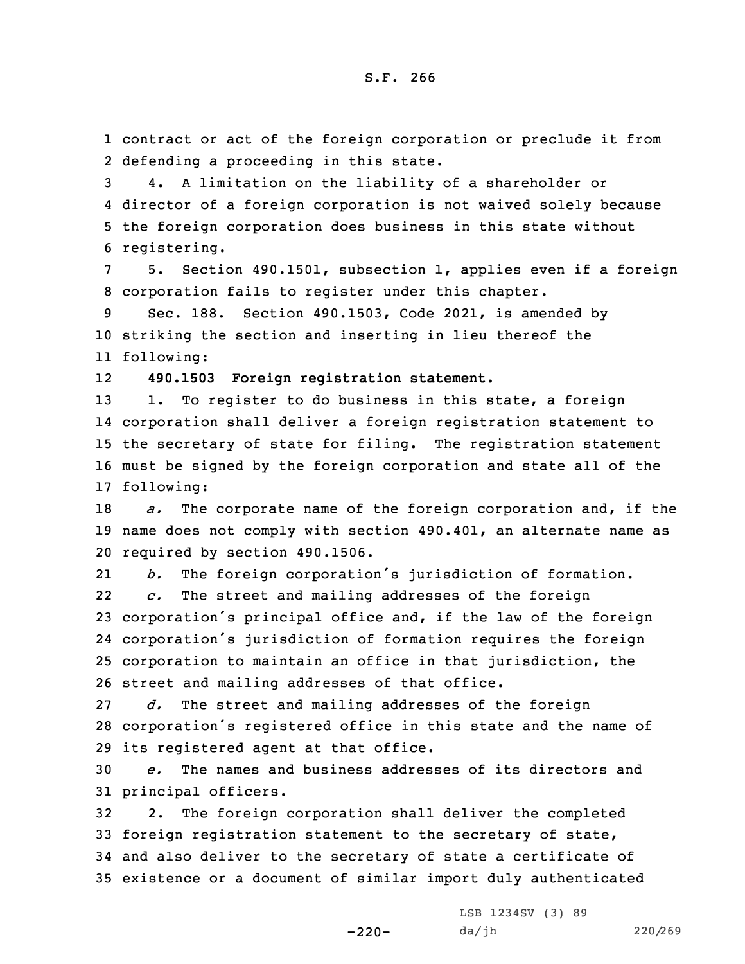1 contract or act of the foreign corporation or preclude it from 2 defending <sup>a</sup> proceeding in this state.

 4. <sup>A</sup> limitation on the liability of <sup>a</sup> shareholder or director of <sup>a</sup> foreign corporation is not waived solely because the foreign corporation does business in this state without registering.

7 5. Section 490.1501, subsection 1, applies even if <sup>a</sup> foreign 8 corporation fails to register under this chapter.

9 Sec. 188. Section 490.1503, Code 2021, is amended by 10 striking the section and inserting in lieu thereof the 11 following:

12**490.1503 Foreign registration statement.**

13 1. To register to do business in this state, a foreign corporation shall deliver <sup>a</sup> foreign registration statement to the secretary of state for filing. The registration statement must be signed by the foreign corporation and state all of the following:

18 *a.* The corporate name of the foreign corporation and, if the 19 name does not comply with section 490.401, an alternate name as 20 required by section 490.1506.

21 *b.* The foreign corporation's jurisdiction of formation. 22 *c.* The street and mailing addresses of the foreign <sup>23</sup> corporation's principal office and, if the law of the foreign 24 corporation's jurisdiction of formation requires the foreign 25 corporation to maintain an office in that jurisdiction, the 26 street and mailing addresses of that office.

27 *d.* The street and mailing addresses of the foreign <sup>28</sup> corporation's registered office in this state and the name of 29 its registered agent at that office.

30 *e.* The names and business addresses of its directors and 31 principal officers.

 2. The foreign corporation shall deliver the completed foreign registration statement to the secretary of state, and also deliver to the secretary of state <sup>a</sup> certificate of existence or <sup>a</sup> document of similar import duly authenticated

 $-220-$ 

LSB 1234SV (3) 89 da/jh 220/269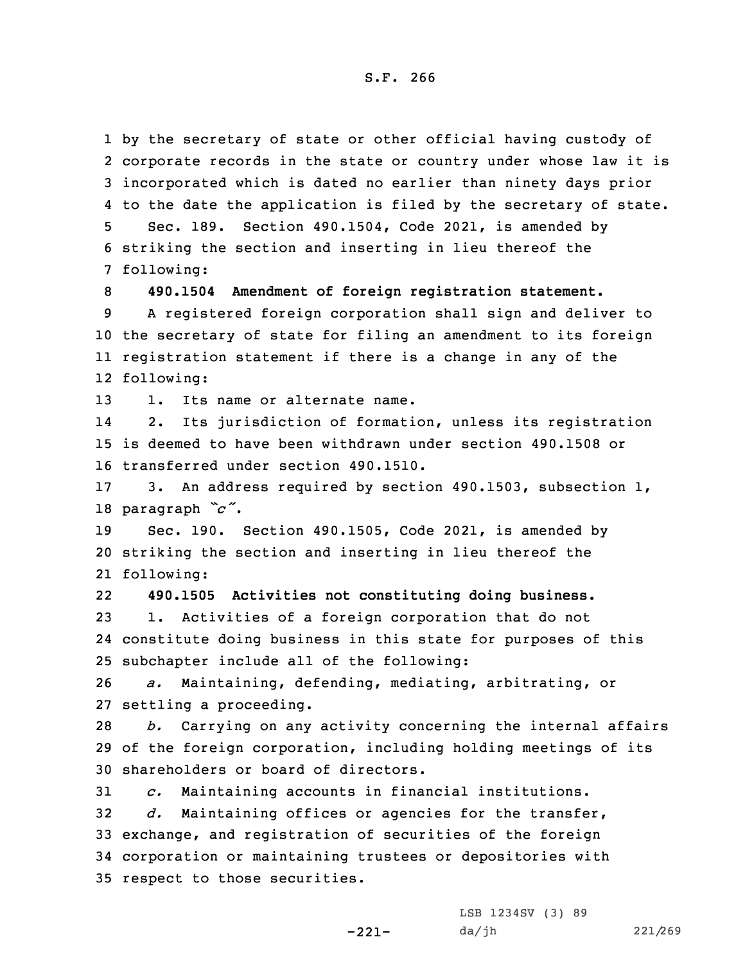by the secretary of state or other official having custody of corporate records in the state or country under whose law it is incorporated which is dated no earlier than ninety days prior to the date the application is filed by the secretary of state. Sec. 189. Section 490.1504, Code 2021, is amended by striking the section and inserting in lieu thereof the following:

 **490.1504 Amendment of foreign registration statement.** <sup>A</sup> registered foreign corporation shall sign and deliver to the secretary of state for filing an amendment to its foreign registration statement if there is <sup>a</sup> change in any of the following:

13 1. Its name or alternate name.

14 2. Its jurisdiction of formation, unless its registration 15 is deemed to have been withdrawn under section 490.1508 or 16 transferred under section 490.1510.

17 3. An address required by section 490.1503, subsection 1, <sup>18</sup> paragraph *"c"*.

19 Sec. 190. Section 490.1505, Code 2021, is amended by 20 striking the section and inserting in lieu thereof the 21 following:

22 **490.1505 Activities not constituting doing business.** 23 1. Activities of <sup>a</sup> foreign corporation that do not 24 constitute doing business in this state for purposes of this 25 subchapter include all of the following:

26 *a.* Maintaining, defending, mediating, arbitrating, or 27 settling <sup>a</sup> proceeding.

28 *b.* Carrying on any activity concerning the internal affairs 29 of the foreign corporation, including holding meetings of its 30 shareholders or board of directors.

 *c.* Maintaining accounts in financial institutions. *d.* Maintaining offices or agencies for the transfer, exchange, and registration of securities of the foreign corporation or maintaining trustees or depositories with respect to those securities.

-221-

LSB 1234SV (3) 89 da/jh 221/269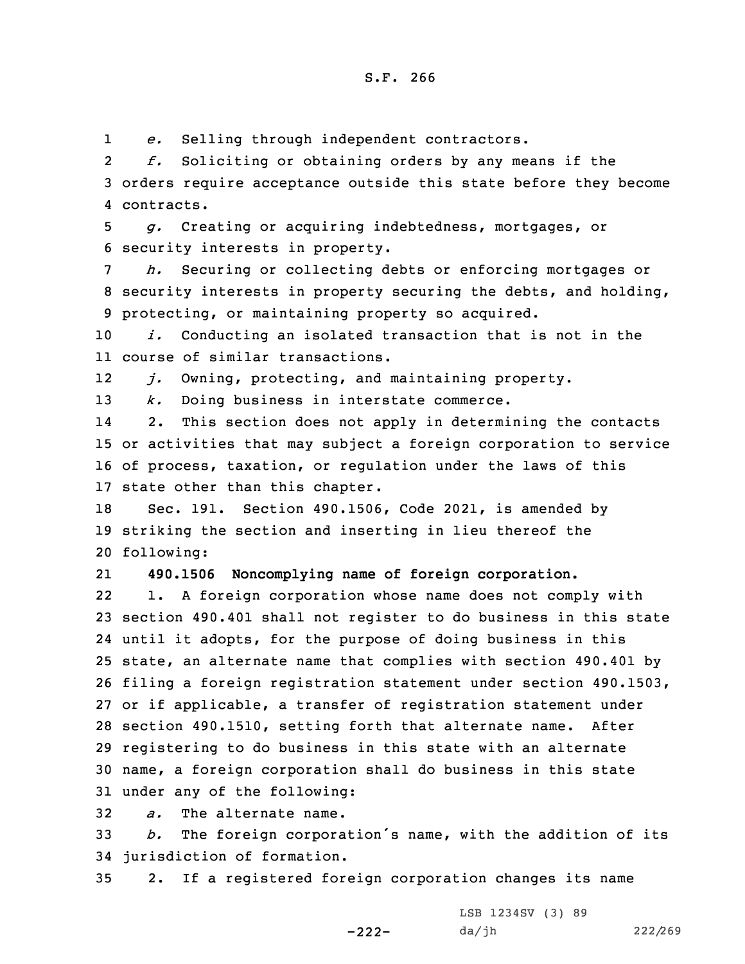1*e.* Selling through independent contractors.

2 *f.* Soliciting or obtaining orders by any means if the 3 orders require acceptance outside this state before they become 4 contracts.

5 *g.* Creating or acquiring indebtedness, mortgages, or 6 security interests in property.

7 *h.* Securing or collecting debts or enforcing mortgages or 8 security interests in property securing the debts, and holding, 9 protecting, or maintaining property so acquired.

10 *i.* Conducting an isolated transaction that is not in the 11 course of similar transactions.

12*j.* Owning, protecting, and maintaining property.

13 *k.* Doing business in interstate commerce.

14 2. This section does not apply in determining the contacts 15 or activities that may subject <sup>a</sup> foreign corporation to service 16 of process, taxation, or regulation under the laws of this 17 state other than this chapter.

18 Sec. 191. Section 490.1506, Code 2021, is amended by 19 striking the section and inserting in lieu thereof the 20 following:

21**490.1506 Noncomplying name of foreign corporation.**

22 1. <sup>A</sup> foreign corporation whose name does not comply with section 490.401 shall not register to do business in this state until it adopts, for the purpose of doing business in this state, an alternate name that complies with section 490.401 by filing <sup>a</sup> foreign registration statement under section 490.1503, or if applicable, <sup>a</sup> transfer of registration statement under section 490.1510, setting forth that alternate name. After registering to do business in this state with an alternate name, <sup>a</sup> foreign corporation shall do business in this state under any of the following:

32 *a.* The alternate name.

<sup>33</sup> *b.* The foreign corporation's name, with the addition of its 34 jurisdiction of formation.

-222-

35 2. If <sup>a</sup> registered foreign corporation changes its name

LSB 1234SV (3) 89 da/jh 222/269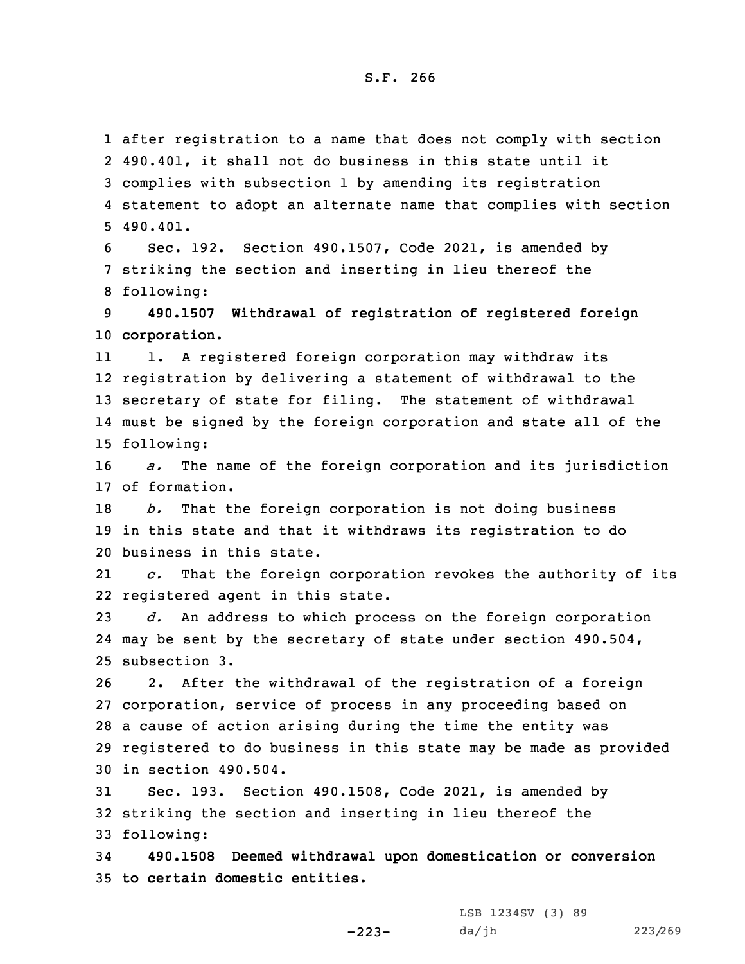after registration to <sup>a</sup> name that does not comply with section 490.401, it shall not do business in this state until it complies with subsection 1 by amending its registration statement to adopt an alternate name that complies with section 5 490.401.

6 Sec. 192. Section 490.1507, Code 2021, is amended by 7 striking the section and inserting in lieu thereof the 8 following:

9 **490.1507 Withdrawal of registration of registered foreign** 10 **corporation.**

11 1. <sup>A</sup> registered foreign corporation may withdraw its registration by delivering <sup>a</sup> statement of withdrawal to the secretary of state for filing. The statement of withdrawal must be signed by the foreign corporation and state all of the following:

16 *a.* The name of the foreign corporation and its jurisdiction 17 of formation.

18 *b.* That the foreign corporation is not doing business 19 in this state and that it withdraws its registration to do 20 business in this state.

21 *c.* That the foreign corporation revokes the authority of its 22 registered agent in this state.

23 *d.* An address to which process on the foreign corporation 24 may be sent by the secretary of state under section 490.504, 25 subsection 3.

 2. After the withdrawal of the registration of <sup>a</sup> foreign corporation, service of process in any proceeding based on <sup>a</sup> cause of action arising during the time the entity was registered to do business in this state may be made as provided in section 490.504.

31 Sec. 193. Section 490.1508, Code 2021, is amended by 32 striking the section and inserting in lieu thereof the 33 following:

34 **490.1508 Deemed withdrawal upon domestication or conversion** 35 **to certain domestic entities.**

> -223- LSB 1234SV (3) 89 da/jh 223/269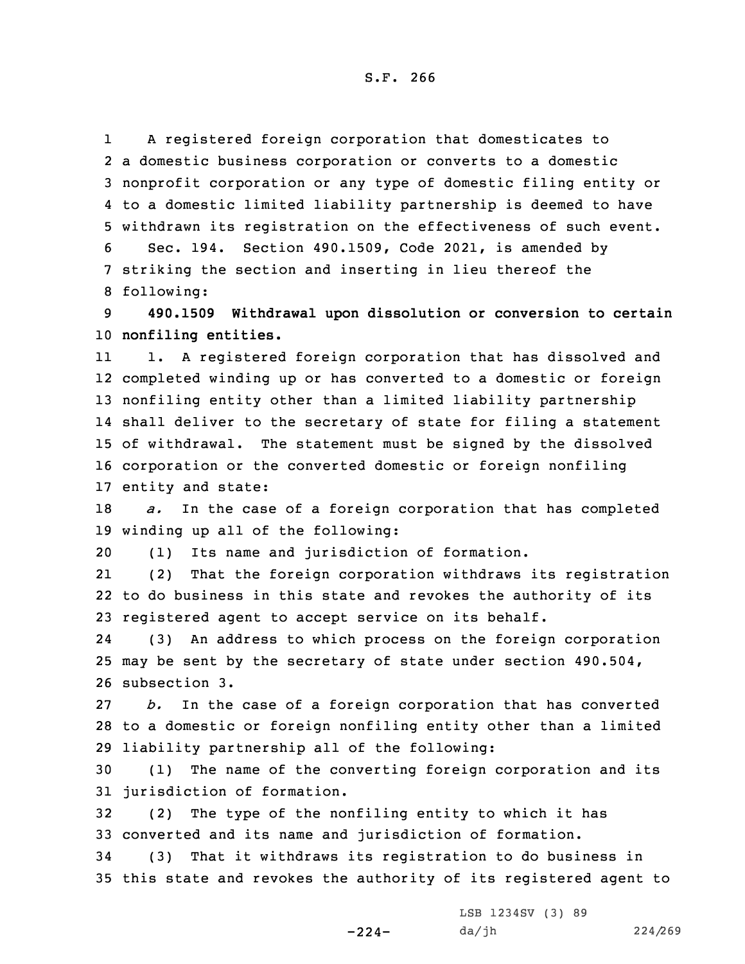1 <sup>A</sup> registered foreign corporation that domesticates to <sup>a</sup> domestic business corporation or converts to <sup>a</sup> domestic nonprofit corporation or any type of domestic filing entity or to <sup>a</sup> domestic limited liability partnership is deemed to have withdrawn its registration on the effectiveness of such event. Sec. 194. Section 490.1509, Code 2021, is amended by striking the section and inserting in lieu thereof the following:

9 **490.1509 Withdrawal upon dissolution or conversion to certain** 10 **nonfiling entities.**

11 1. <sup>A</sup> registered foreign corporation that has dissolved and completed winding up or has converted to <sup>a</sup> domestic or foreign nonfiling entity other than <sup>a</sup> limited liability partnership shall deliver to the secretary of state for filing <sup>a</sup> statement of withdrawal. The statement must be signed by the dissolved corporation or the converted domestic or foreign nonfiling entity and state:

18 *a.* In the case of <sup>a</sup> foreign corporation that has completed 19 winding up all of the following:

20 (1) Its name and jurisdiction of formation.

21 (2) That the foreign corporation withdraws its registration 22 to do business in this state and revokes the authority of its 23 registered agent to accept service on its behalf.

24 (3) An address to which process on the foreign corporation 25 may be sent by the secretary of state under section 490.504, 26 subsection 3.

27 *b.* In the case of <sup>a</sup> foreign corporation that has converted 28 to <sup>a</sup> domestic or foreign nonfiling entity other than <sup>a</sup> limited 29 liability partnership all of the following:

30 (1) The name of the converting foreign corporation and its 31 jurisdiction of formation.

32 (2) The type of the nonfiling entity to which it has 33 converted and its name and jurisdiction of formation.

34 (3) That it withdraws its registration to do business in 35 this state and revokes the authority of its registered agent to

-224-

LSB 1234SV (3) 89 da/jh 224/269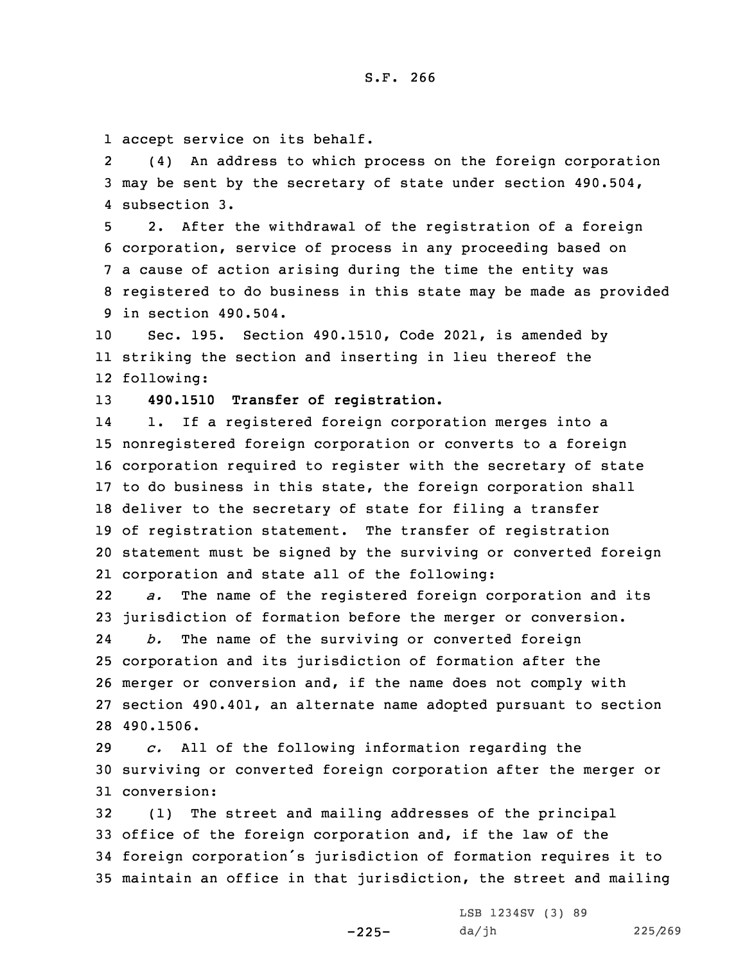1 accept service on its behalf.

2 (4) An address to which process on the foreign corporation 3 may be sent by the secretary of state under section 490.504, 4 subsection 3.

 2. After the withdrawal of the registration of <sup>a</sup> foreign corporation, service of process in any proceeding based on <sup>a</sup> cause of action arising during the time the entity was registered to do business in this state may be made as provided in section 490.504.

10 Sec. 195. Section 490.1510, Code 2021, is amended by 11 striking the section and inserting in lieu thereof the 12 following:

13 **490.1510 Transfer of registration.**

14 1. If <sup>a</sup> registered foreign corporation merges into <sup>a</sup> nonregistered foreign corporation or converts to <sup>a</sup> foreign corporation required to register with the secretary of state to do business in this state, the foreign corporation shall deliver to the secretary of state for filing <sup>a</sup> transfer of registration statement. The transfer of registration statement must be signed by the surviving or converted foreign corporation and state all of the following:

22 *a.* The name of the registered foreign corporation and its 23 jurisdiction of formation before the merger or conversion. 24*b.* The name of the surviving or converted foreign

 corporation and its jurisdiction of formation after the merger or conversion and, if the name does not comply with section 490.401, an alternate name adopted pursuant to section 490.1506.

29 *c.* All of the following information regarding the 30 surviving or converted foreign corporation after the merger or 31 conversion:

 (1) The street and mailing addresses of the principal office of the foreign corporation and, if the law of the foreign corporation's jurisdiction of formation requires it to maintain an office in that jurisdiction, the street and mailing

> LSB 1234SV (3) 89 da/jh 225/269

-225-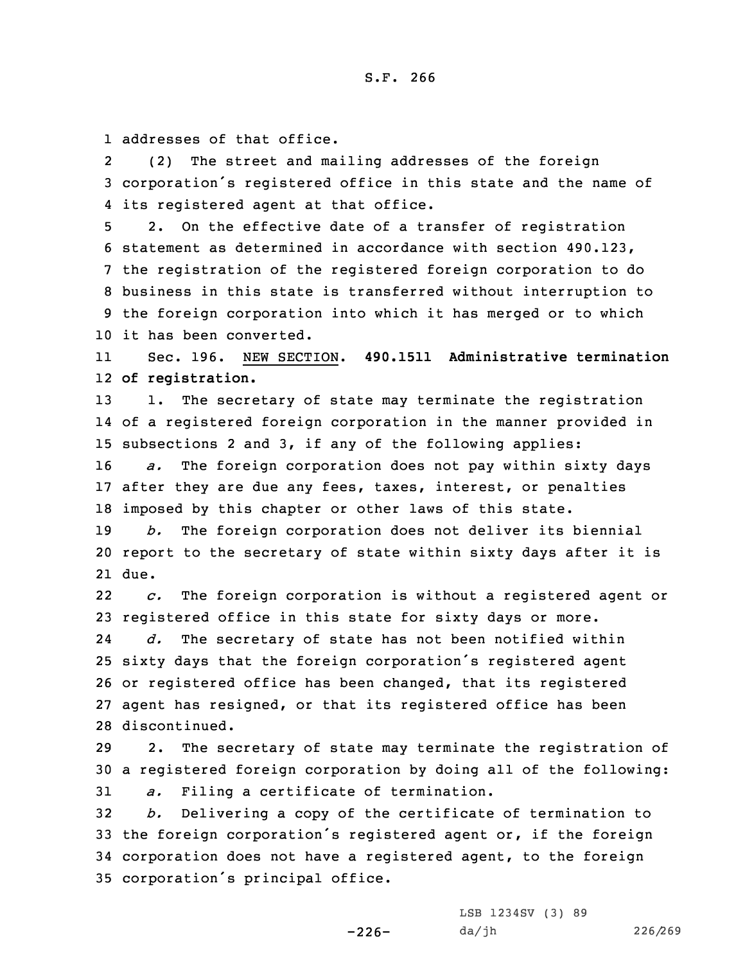1 addresses of that office.

2 (2) The street and mailing addresses of the foreign <sup>3</sup> corporation's registered office in this state and the name of 4 its registered agent at that office.

 2. On the effective date of <sup>a</sup> transfer of registration statement as determined in accordance with section 490.123, the registration of the registered foreign corporation to do business in this state is transferred without interruption to the foreign corporation into which it has merged or to which it has been converted.

11 Sec. 196. NEW SECTION. **490.1511 Administrative termination** 12 **of registration.**

13 1. The secretary of state may terminate the registration 14 of <sup>a</sup> registered foreign corporation in the manner provided in 15 subsections 2 and 3, if any of the following applies:

16 *a.* The foreign corporation does not pay within sixty days 17 after they are due any fees, taxes, interest, or penalties 18 imposed by this chapter or other laws of this state.

19 *b.* The foreign corporation does not deliver its biennial 20 report to the secretary of state within sixty days after it is 21 due.

22 *c.* The foreign corporation is without <sup>a</sup> registered agent or 23 registered office in this state for sixty days or more.

24 *d.* The secretary of state has not been notified within sixty days that the foreign corporation's registered agent or registered office has been changed, that its registered agent has resigned, or that its registered office has been discontinued.

29 2. The secretary of state may terminate the registration of 30 <sup>a</sup> registered foreign corporation by doing all of the following: 31 *a.* Filing <sup>a</sup> certificate of termination.

 *b.* Delivering <sup>a</sup> copy of the certificate of termination to the foreign corporation's registered agent or, if the foreign corporation does not have <sup>a</sup> registered agent, to the foreign corporation's principal office.

 $-226-$ 

LSB 1234SV (3) 89 da/jh 226/269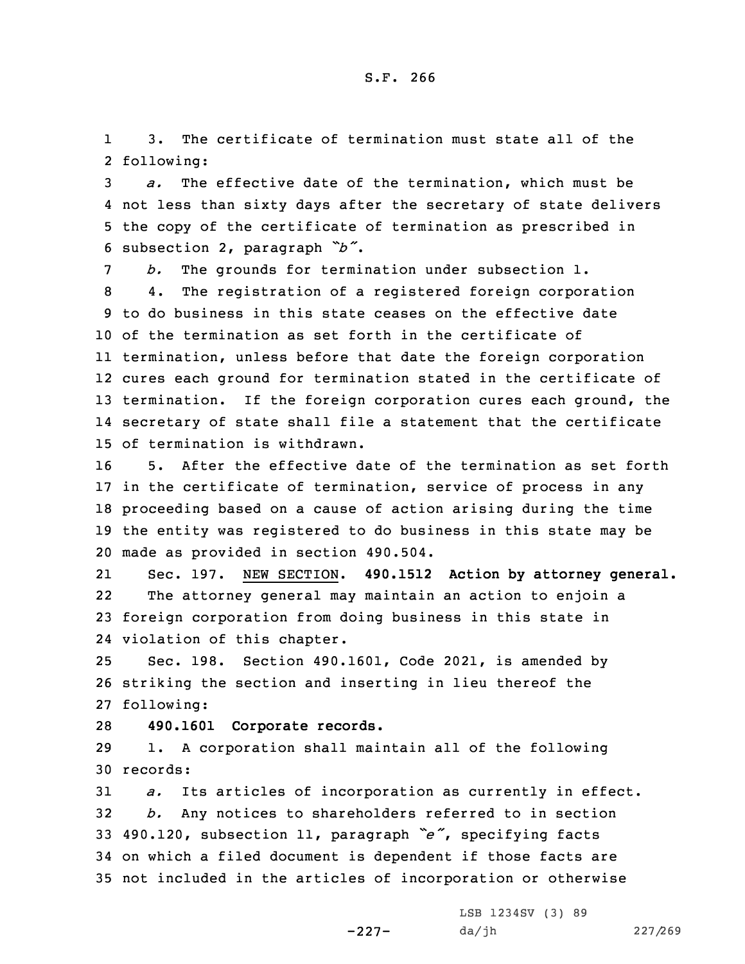1 3. The certificate of termination must state all of the 2 following:

 *a.* The effective date of the termination, which must be not less than sixty days after the secretary of state delivers the copy of the certificate of termination as prescribed in subsection 2, paragraph *"b"*.

 *b.* The grounds for termination under subsection 1. 4. The registration of <sup>a</sup> registered foreign corporation to do business in this state ceases on the effective date of the termination as set forth in the certificate of termination, unless before that date the foreign corporation cures each ground for termination stated in the certificate of termination. If the foreign corporation cures each ground, the secretary of state shall file <sup>a</sup> statement that the certificate of termination is withdrawn.

 5. After the effective date of the termination as set forth in the certificate of termination, service of process in any proceeding based on <sup>a</sup> cause of action arising during the time the entity was registered to do business in this state may be made as provided in section 490.504.

21 Sec. 197. NEW SECTION. **490.1512 Action by attorney general.** 22 The attorney general may maintain an action to enjoin <sup>a</sup> 23 foreign corporation from doing business in this state in 24 violation of this chapter.

25 Sec. 198. Section 490.1601, Code 2021, is amended by 26 striking the section and inserting in lieu thereof the 27 following:

28 **490.1601 Corporate records.**

29 1. <sup>A</sup> corporation shall maintain all of the following 30 records:

 *a.* Its articles of incorporation as currently in effect. *b.* Any notices to shareholders referred to in section 490.120, subsection 11, paragraph *"e"*, specifying facts on which <sup>a</sup> filed document is dependent if those facts are not included in the articles of incorporation or otherwise

-227-

LSB 1234SV (3) 89 da/jh 227/269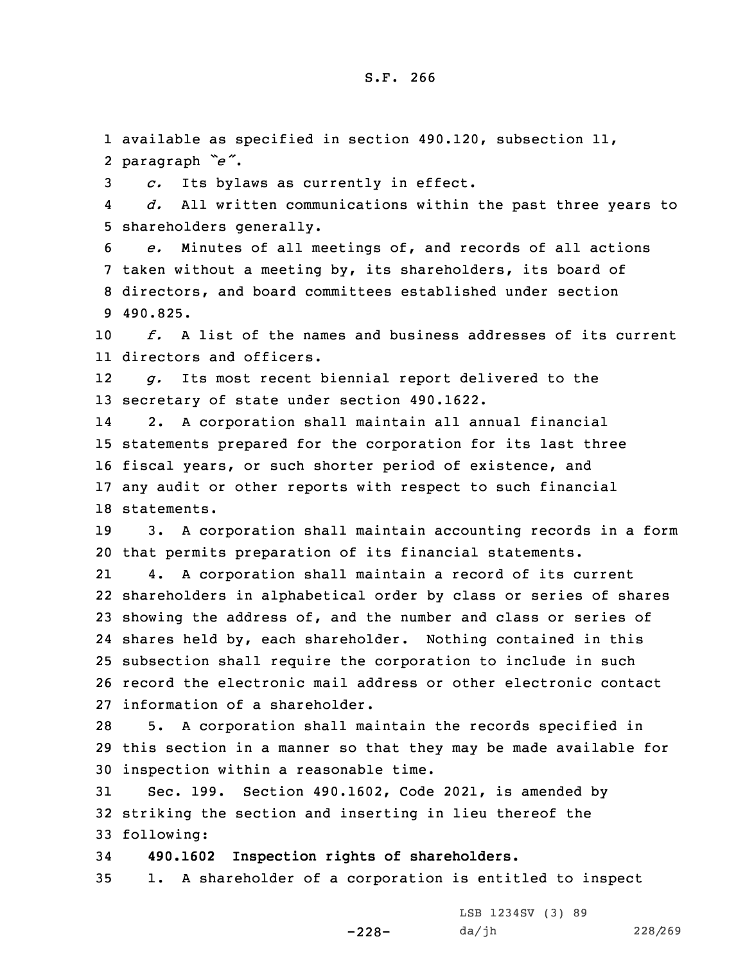1 available as specified in section 490.120, subsection 11, 2 paragraph *"e"*.

3 *c.* Its bylaws as currently in effect.

4 *d.* All written communications within the past three years to 5 shareholders generally.

 *e.* Minutes of all meetings of, and records of all actions taken without <sup>a</sup> meeting by, its shareholders, its board of directors, and board committees established under section 9 490.825.

10 *f.* A list of the names and business addresses of its current 11 directors and officers.

12 *g.* Its most recent biennial report delivered to the 13 secretary of state under section 490.1622.

14 2. <sup>A</sup> corporation shall maintain all annual financial statements prepared for the corporation for its last three fiscal years, or such shorter period of existence, and any audit or other reports with respect to such financial statements.

19 3. <sup>A</sup> corporation shall maintain accounting records in <sup>a</sup> form 20 that permits preparation of its financial statements.

21 4. <sup>A</sup> corporation shall maintain <sup>a</sup> record of its current shareholders in alphabetical order by class or series of shares showing the address of, and the number and class or series of shares held by, each shareholder. Nothing contained in this subsection shall require the corporation to include in such record the electronic mail address or other electronic contact information of <sup>a</sup> shareholder.

28 5. <sup>A</sup> corporation shall maintain the records specified in 29 this section in <sup>a</sup> manner so that they may be made available for 30 inspection within <sup>a</sup> reasonable time.

31 Sec. 199. Section 490.1602, Code 2021, is amended by 32 striking the section and inserting in lieu thereof the 33 following:

34 **490.1602 Inspection rights of shareholders.**

35 1. <sup>A</sup> shareholder of <sup>a</sup> corporation is entitled to inspect

-228-

LSB 1234SV (3) 89 da/jh 228/269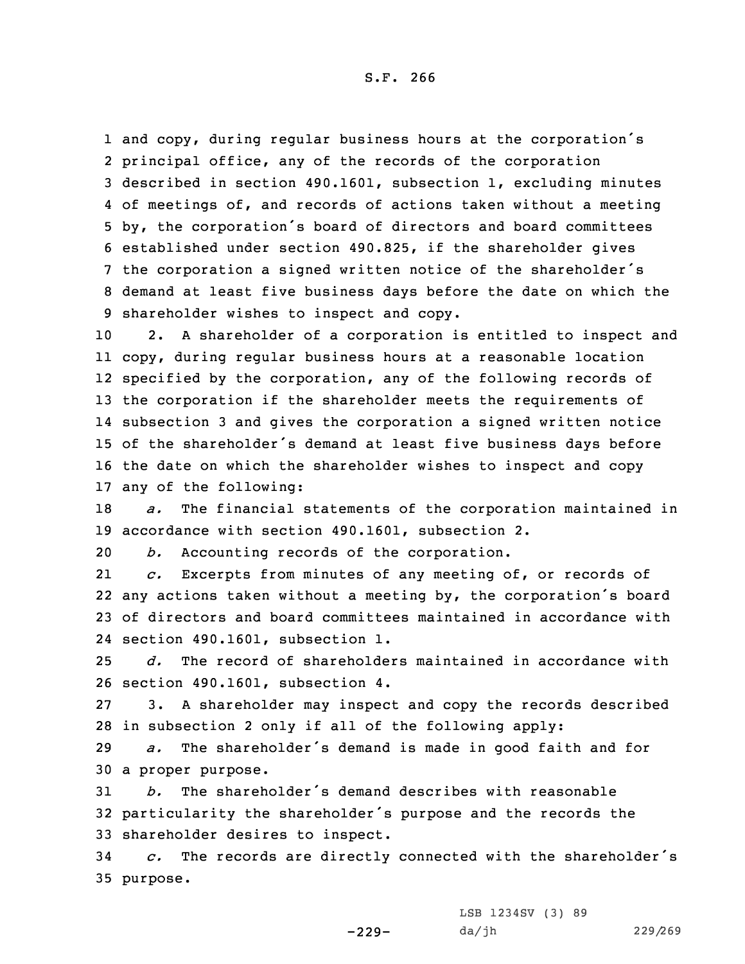and copy, during regular business hours at the corporation's principal office, any of the records of the corporation described in section 490.1601, subsection 1, excluding minutes of meetings of, and records of actions taken without <sup>a</sup> meeting by, the corporation's board of directors and board committees established under section 490.825, if the shareholder gives the corporation <sup>a</sup> signed written notice of the shareholder's demand at least five business days before the date on which the shareholder wishes to inspect and copy.

 2. <sup>A</sup> shareholder of <sup>a</sup> corporation is entitled to inspect and copy, during regular business hours at <sup>a</sup> reasonable location specified by the corporation, any of the following records of the corporation if the shareholder meets the requirements of subsection 3 and gives the corporation <sup>a</sup> signed written notice of the shareholder's demand at least five business days before the date on which the shareholder wishes to inspect and copy any of the following:

18 *a.* The financial statements of the corporation maintained in 19 accordance with section 490.1601, subsection 2.

20 *b.* Accounting records of the corporation.

21 *c.* Excerpts from minutes of any meeting of, or records of 22 any actions taken without <sup>a</sup> meeting by, the corporation's board 23 of directors and board committees maintained in accordance with 24 section 490.1601, subsection 1.

25 *d.* The record of shareholders maintained in accordance with 26 section 490.1601, subsection 4.

27 3. <sup>A</sup> shareholder may inspect and copy the records described 28 in subsection 2 only if all of the following apply:

<sup>29</sup> *a.* The shareholder's demand is made in good faith and for 30 <sup>a</sup> proper purpose.

31 *b.* The shareholder's demand describes with reasonable <sup>32</sup> particularity the shareholder's purpose and the records the 33 shareholder desires to inspect.

-229-

<sup>34</sup> *c.* The records are directly connected with the shareholder's 35 purpose.

> LSB 1234SV (3) 89 da/jh 229/269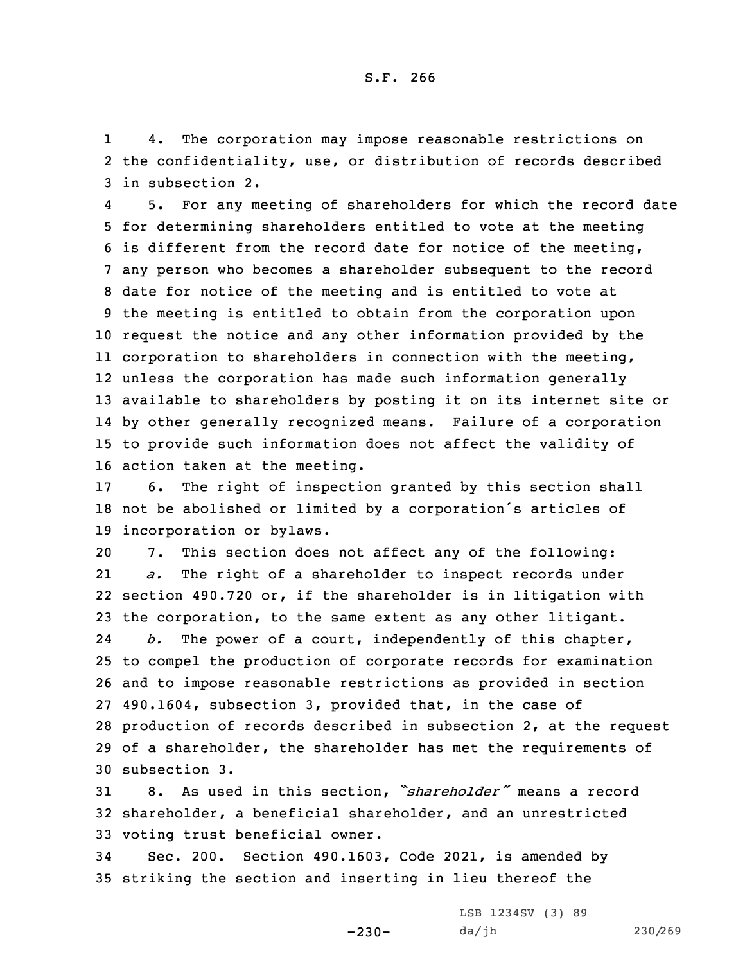1 4. The corporation may impose reasonable restrictions on 2 the confidentiality, use, or distribution of records described 3 in subsection 2.

4 5. For any meeting of shareholders for which the record date for determining shareholders entitled to vote at the meeting is different from the record date for notice of the meeting, any person who becomes <sup>a</sup> shareholder subsequent to the record date for notice of the meeting and is entitled to vote at the meeting is entitled to obtain from the corporation upon request the notice and any other information provided by the corporation to shareholders in connection with the meeting, unless the corporation has made such information generally available to shareholders by posting it on its internet site or by other generally recognized means. Failure of <sup>a</sup> corporation to provide such information does not affect the validity of action taken at the meeting.

17 6. The right of inspection granted by this section shall <sup>18</sup> not be abolished or limited by <sup>a</sup> corporation's articles of 19 incorporation or bylaws.

 7. This section does not affect any of the following: 21 *a.* The right of <sup>a</sup> shareholder to inspect records under section 490.720 or, if the shareholder is in litigation with the corporation, to the same extent as any other litigant. 24 *b.* The power of <sup>a</sup> court, independently of this chapter, to compel the production of corporate records for examination and to impose reasonable restrictions as provided in section 490.1604, subsection 3, provided that, in the case of production of records described in subsection 2, at the request of <sup>a</sup> shareholder, the shareholder has met the requirements of subsection 3.

31 8. As used in this section, *"shareholder"* means <sup>a</sup> record 32 shareholder, <sup>a</sup> beneficial shareholder, and an unrestricted 33 voting trust beneficial owner.

 $-230-$ 

34 Sec. 200. Section 490.1603, Code 2021, is amended by 35 striking the section and inserting in lieu thereof the

> LSB 1234SV (3) 89 da/jh 230/269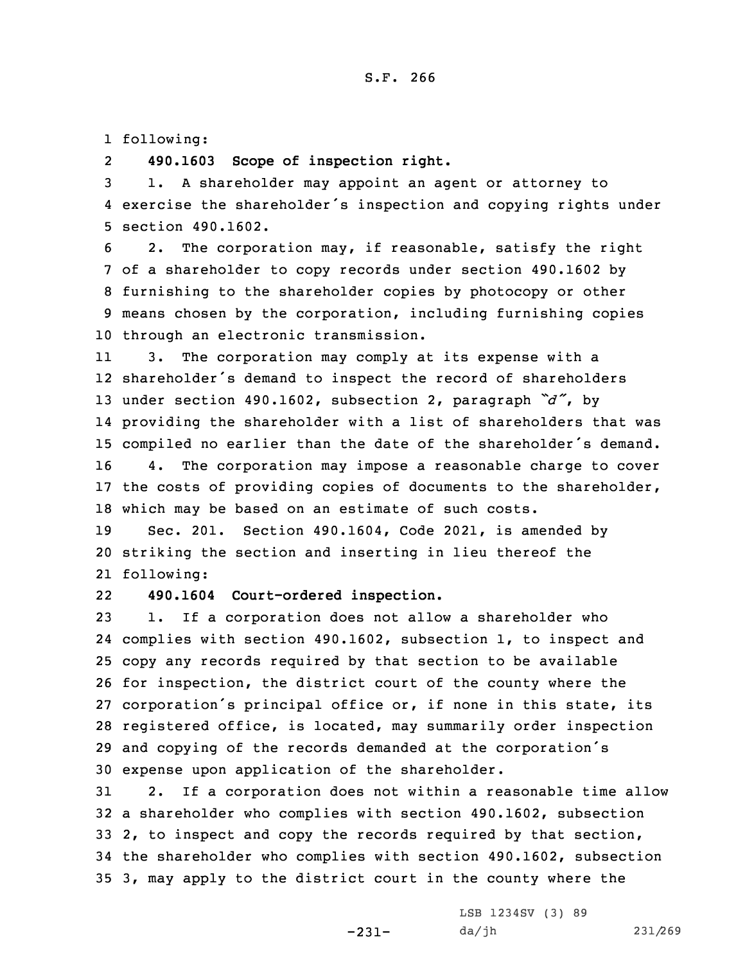1 following:

2**490.1603 Scope of inspection right.**

3 1. <sup>A</sup> shareholder may appoint an agent or attorney to 4 exercise the shareholder's inspection and copying rights under 5 section 490.1602.

 2. The corporation may, if reasonable, satisfy the right of <sup>a</sup> shareholder to copy records under section 490.1602 by furnishing to the shareholder copies by photocopy or other means chosen by the corporation, including furnishing copies through an electronic transmission.

11 3. The corporation may comply at its expense with <sup>a</sup> shareholder's demand to inspect the record of shareholders under section 490.1602, subsection 2, paragraph *"d"*, by providing the shareholder with <sup>a</sup> list of shareholders that was compiled no earlier than the date of the shareholder's demand. 4. The corporation may impose <sup>a</sup> reasonable charge to cover the costs of providing copies of documents to the shareholder, which may be based on an estimate of such costs.

19 Sec. 201. Section 490.1604, Code 2021, is amended by 20 striking the section and inserting in lieu thereof the 21 following:

22**490.1604 Court-ordered inspection.**

 1. If <sup>a</sup> corporation does not allow <sup>a</sup> shareholder who complies with section 490.1602, subsection 1, to inspect and copy any records required by that section to be available for inspection, the district court of the county where the corporation's principal office or, if none in this state, its registered office, is located, may summarily order inspection and copying of the records demanded at the corporation's expense upon application of the shareholder.

 2. If <sup>a</sup> corporation does not within <sup>a</sup> reasonable time allow <sup>a</sup> shareholder who complies with section 490.1602, subsection 2, to inspect and copy the records required by that section, the shareholder who complies with section 490.1602, subsection 3, may apply to the district court in the county where the

-231-

LSB 1234SV (3) 89 da/jh 231/269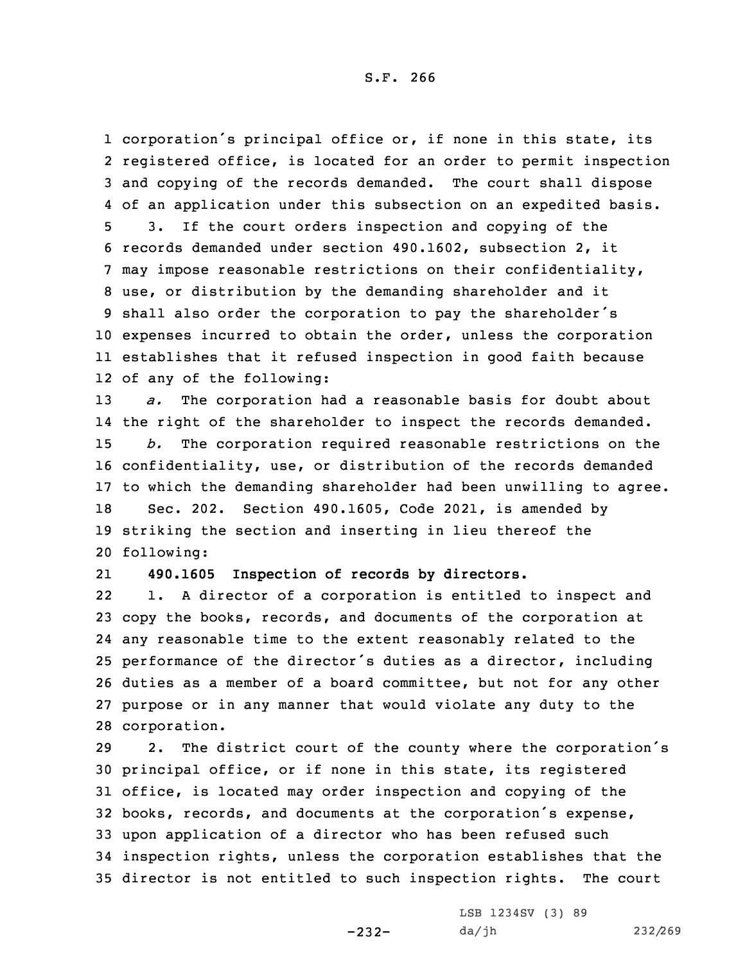corporation's principal office or, if none in this state, its registered office, is located for an order to permit inspection and copying of the records demanded. The court shall dispose of an application under this subsection on an expedited basis. 3. If the court orders inspection and copying of the records demanded under section 490.1602, subsection 2, it may impose reasonable restrictions on their confidentiality, use, or distribution by the demanding shareholder and it shall also order the corporation to pay the shareholder's expenses incurred to obtain the order, unless the corporation establishes that it refused inspection in good faith because of any of the following:

 *a.* The corporation had <sup>a</sup> reasonable basis for doubt about the right of the shareholder to inspect the records demanded. *b.* The corporation required reasonable restrictions on the confidentiality, use, or distribution of the records demanded to which the demanding shareholder had been unwilling to agree. Sec. 202. Section 490.1605, Code 2021, is amended by striking the section and inserting in lieu thereof the following:

## 21**490.1605 Inspection of records by directors.**

22 1. <sup>A</sup> director of <sup>a</sup> corporation is entitled to inspect and copy the books, records, and documents of the corporation at any reasonable time to the extent reasonably related to the performance of the director's duties as <sup>a</sup> director, including duties as <sup>a</sup> member of <sup>a</sup> board committee, but not for any other purpose or in any manner that would violate any duty to the corporation.

 2. The district court of the county where the corporation's principal office, or if none in this state, its registered office, is located may order inspection and copying of the books, records, and documents at the corporation's expense, upon application of <sup>a</sup> director who has been refused such inspection rights, unless the corporation establishes that the director is not entitled to such inspection rights. The court

-232-

LSB 1234SV (3) 89 da/jh 232/269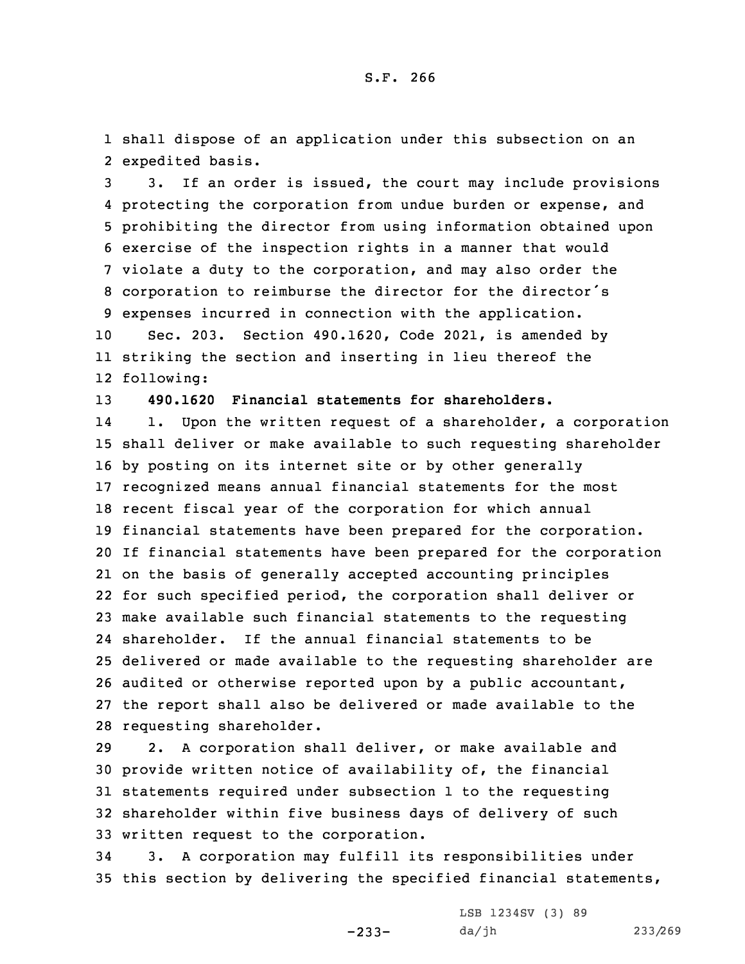1 shall dispose of an application under this subsection on an 2 expedited basis.

 3. If an order is issued, the court may include provisions protecting the corporation from undue burden or expense, and prohibiting the director from using information obtained upon exercise of the inspection rights in <sup>a</sup> manner that would violate <sup>a</sup> duty to the corporation, and may also order the corporation to reimburse the director for the director's expenses incurred in connection with the application.

10 Sec. 203. Section 490.1620, Code 2021, is amended by 11 striking the section and inserting in lieu thereof the 12 following:

13 **490.1620 Financial statements for shareholders.**

14 1. Upon the written request of <sup>a</sup> shareholder, <sup>a</sup> corporation shall deliver or make available to such requesting shareholder by posting on its internet site or by other generally recognized means annual financial statements for the most recent fiscal year of the corporation for which annual financial statements have been prepared for the corporation. If financial statements have been prepared for the corporation on the basis of generally accepted accounting principles for such specified period, the corporation shall deliver or make available such financial statements to the requesting shareholder. If the annual financial statements to be delivered or made available to the requesting shareholder are audited or otherwise reported upon by <sup>a</sup> public accountant, the report shall also be delivered or made available to the requesting shareholder.

 2. <sup>A</sup> corporation shall deliver, or make available and provide written notice of availability of, the financial statements required under subsection 1 to the requesting shareholder within five business days of delivery of such written request to the corporation.

34 3. <sup>A</sup> corporation may fulfill its responsibilities under 35 this section by delivering the specified financial statements,

-233-

LSB 1234SV (3) 89 da/jh 233/269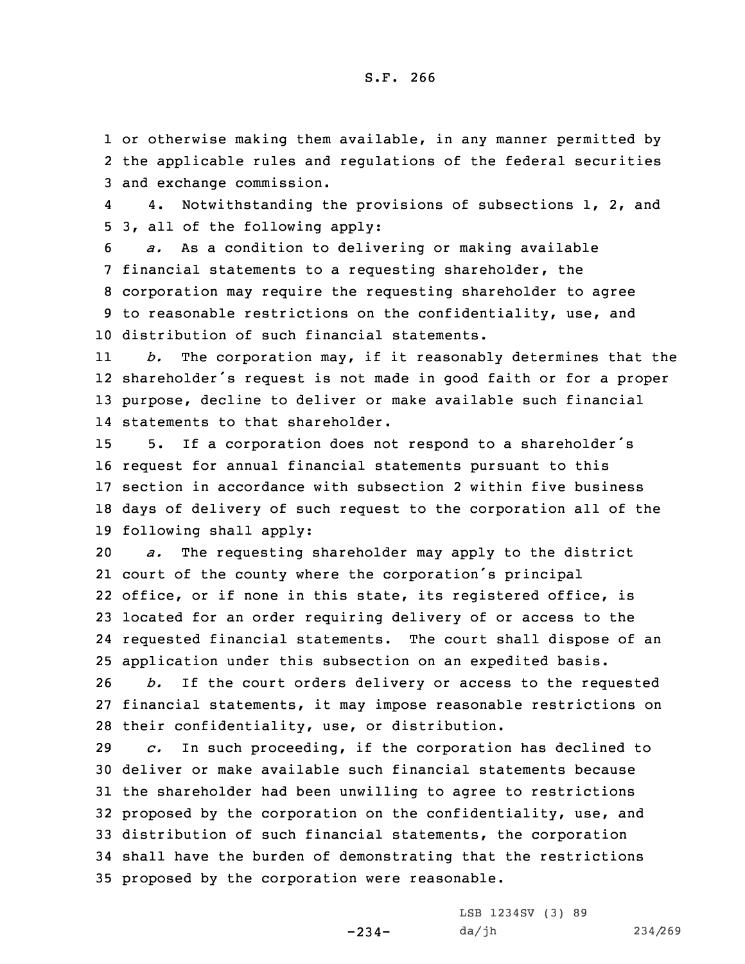1 or otherwise making them available, in any manner permitted by 2 the applicable rules and regulations of the federal securities 3 and exchange commission.

4 4. Notwithstanding the provisions of subsections 1, 2, and 5 3, all of the following apply:

 *a.* As <sup>a</sup> condition to delivering or making available financial statements to <sup>a</sup> requesting shareholder, the corporation may require the requesting shareholder to agree to reasonable restrictions on the confidentiality, use, and distribution of such financial statements.

11 *b.* The corporation may, if it reasonably determines that the 12 shareholder's request is not made in good faith or for <sup>a</sup> proper 13 purpose, decline to deliver or make available such financial 14 statements to that shareholder.

 5. If <sup>a</sup> corporation does not respond to <sup>a</sup> shareholder's request for annual financial statements pursuant to this section in accordance with subsection 2 within five business days of delivery of such request to the corporation all of the following shall apply:

 *a.* The requesting shareholder may apply to the district court of the county where the corporation's principal office, or if none in this state, its registered office, is located for an order requiring delivery of or access to the requested financial statements. The court shall dispose of an application under this subsection on an expedited basis.

26 *b.* If the court orders delivery or access to the requested 27 financial statements, it may impose reasonable restrictions on 28 their confidentiality, use, or distribution.

 *c.* In such proceeding, if the corporation has declined to deliver or make available such financial statements because the shareholder had been unwilling to agree to restrictions proposed by the corporation on the confidentiality, use, and distribution of such financial statements, the corporation shall have the burden of demonstrating that the restrictions proposed by the corporation were reasonable.

-234-

LSB 1234SV (3) 89 da/jh 234/269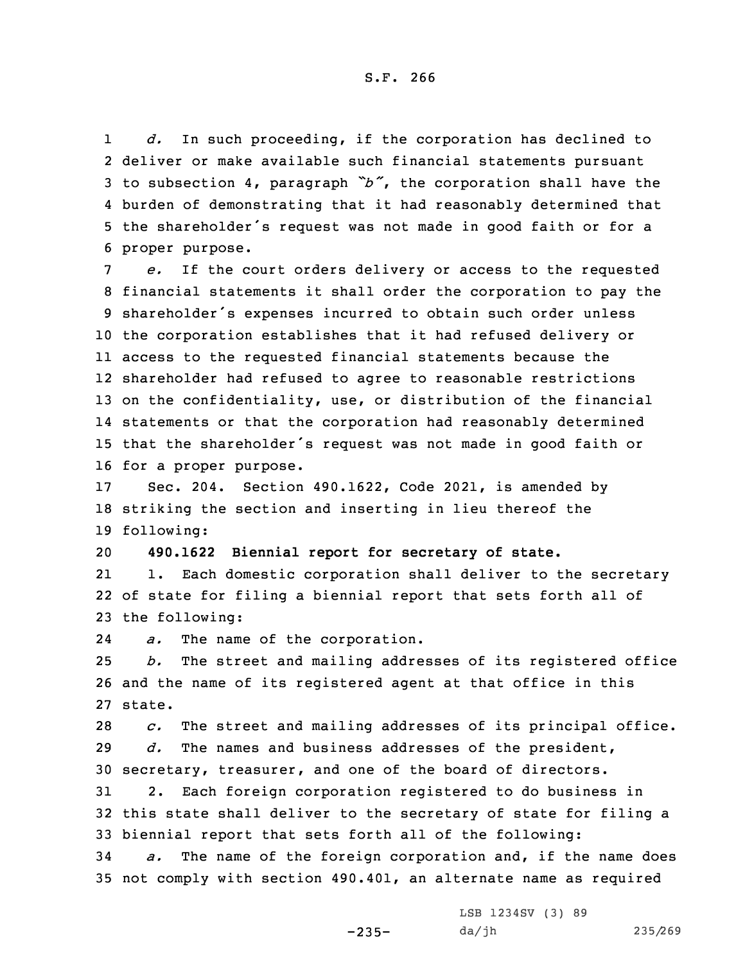1 *d.* In such proceeding, if the corporation has declined to deliver or make available such financial statements pursuant to subsection 4, paragraph *"b"*, the corporation shall have the burden of demonstrating that it had reasonably determined that the shareholder's request was not made in good faith or for <sup>a</sup> proper purpose.

 *e.* If the court orders delivery or access to the requested financial statements it shall order the corporation to pay the shareholder's expenses incurred to obtain such order unless the corporation establishes that it had refused delivery or access to the requested financial statements because the shareholder had refused to agree to reasonable restrictions on the confidentiality, use, or distribution of the financial statements or that the corporation had reasonably determined that the shareholder's request was not made in good faith or for <sup>a</sup> proper purpose.

17 Sec. 204. Section 490.1622, Code 2021, is amended by 18 striking the section and inserting in lieu thereof the 19 following:

20 **490.1622 Biennial report for secretary of state.**

21 1. Each domestic corporation shall deliver to the secretary 22 of state for filing <sup>a</sup> biennial report that sets forth all of 23 the following:

24*a.* The name of the corporation.

25 *b.* The street and mailing addresses of its registered office 26 and the name of its registered agent at that office in this 27 state.

28 *c.* The street and mailing addresses of its principal office. 29 *d.* The names and business addresses of the president, 30 secretary, treasurer, and one of the board of directors.

31 2. Each foreign corporation registered to do business in 32 this state shall deliver to the secretary of state for filing <sup>a</sup> 33 biennial report that sets forth all of the following:

34 *a.* The name of the foreign corporation and, if the name does 35 not comply with section 490.401, an alternate name as required

-235-

LSB 1234SV (3) 89 da/jh 235/269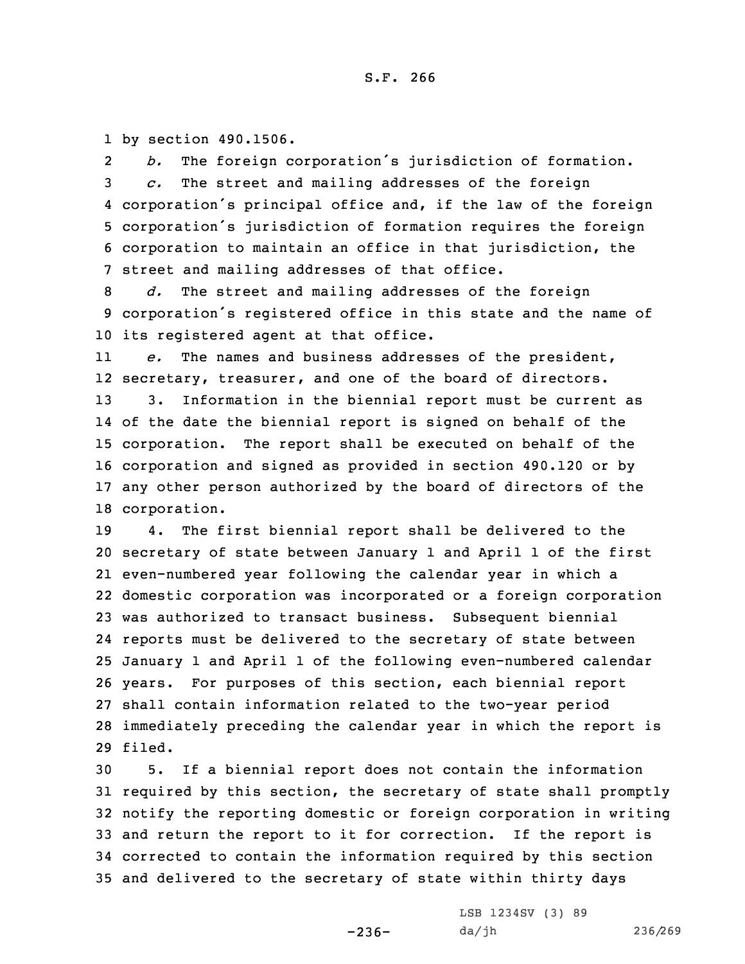1 by section 490.1506.

2 *b.* The foreign corporation's jurisdiction of formation. *c.* The street and mailing addresses of the foreign corporation's principal office and, if the law of the foreign corporation's jurisdiction of formation requires the foreign corporation to maintain an office in that jurisdiction, the street and mailing addresses of that office.

8 *d.* The street and mailing addresses of the foreign <sup>9</sup> corporation's registered office in this state and the name of 10 its registered agent at that office.

11 *e.* The names and business addresses of the president, secretary, treasurer, and one of the board of directors. 3. Information in the biennial report must be current as of the date the biennial report is signed on behalf of the corporation. The report shall be executed on behalf of the corporation and signed as provided in section 490.120 or by any other person authorized by the board of directors of the corporation.

 4. The first biennial report shall be delivered to the secretary of state between January 1 and April 1 of the first even-numbered year following the calendar year in which <sup>a</sup> domestic corporation was incorporated or <sup>a</sup> foreign corporation was authorized to transact business. Subsequent biennial reports must be delivered to the secretary of state between January 1 and April 1 of the following even-numbered calendar years. For purposes of this section, each biennial report shall contain information related to the two-year period immediately preceding the calendar year in which the report is 29 filed.

 5. If <sup>a</sup> biennial report does not contain the information required by this section, the secretary of state shall promptly notify the reporting domestic or foreign corporation in writing and return the report to it for correction. If the report is corrected to contain the information required by this section and delivered to the secretary of state within thirty days

-236-

LSB 1234SV (3) 89 da/jh 236/269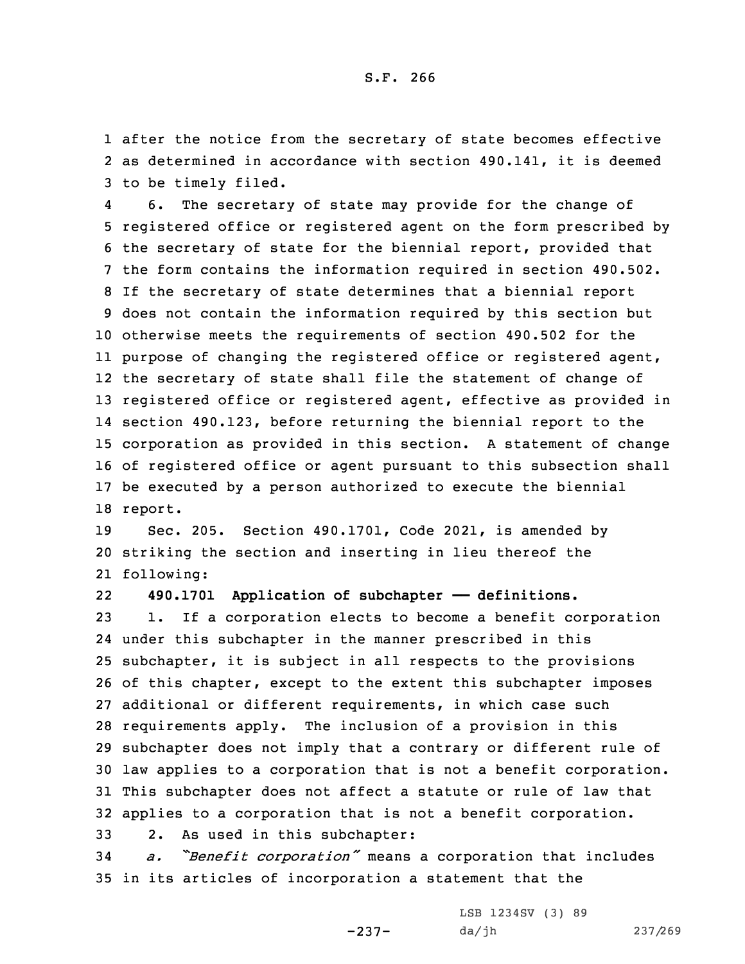1 after the notice from the secretary of state becomes effective 2 as determined in accordance with section 490.141, it is deemed 3 to be timely filed.

4 6. The secretary of state may provide for the change of registered office or registered agent on the form prescribed by the secretary of state for the biennial report, provided that the form contains the information required in section 490.502. If the secretary of state determines that <sup>a</sup> biennial report does not contain the information required by this section but otherwise meets the requirements of section 490.502 for the purpose of changing the registered office or registered agent, the secretary of state shall file the statement of change of registered office or registered agent, effective as provided in section 490.123, before returning the biennial report to the corporation as provided in this section. <sup>A</sup> statement of change of registered office or agent pursuant to this subsection shall be executed by <sup>a</sup> person authorized to execute the biennial 18 report.

19 Sec. 205. Section 490.1701, Code 2021, is amended by 20 striking the section and inserting in lieu thereof the 21 following:

22**490.1701 Application of subchapter —— definitions.**

 1. If <sup>a</sup> corporation elects to become <sup>a</sup> benefit corporation under this subchapter in the manner prescribed in this subchapter, it is subject in all respects to the provisions of this chapter, except to the extent this subchapter imposes additional or different requirements, in which case such requirements apply. The inclusion of <sup>a</sup> provision in this subchapter does not imply that <sup>a</sup> contrary or different rule of law applies to <sup>a</sup> corporation that is not <sup>a</sup> benefit corporation. This subchapter does not affect <sup>a</sup> statute or rule of law that applies to <sup>a</sup> corporation that is not <sup>a</sup> benefit corporation.

33 2. As used in this subchapter:

<sup>34</sup> *a. "Benefit corporation"* means <sup>a</sup> corporation that includes 35 in its articles of incorporation <sup>a</sup> statement that the

-237-

LSB 1234SV (3) 89 da/jh 237/269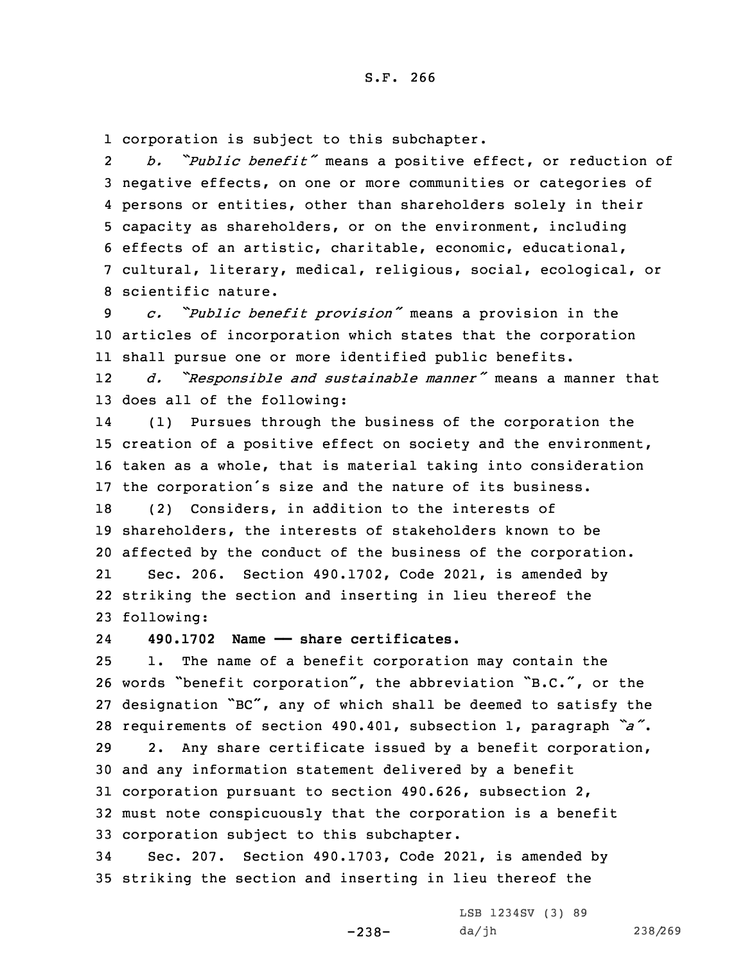1 corporation is subject to this subchapter.

2 *b. "Public benefit"* means <sup>a</sup> positive effect, or reduction of negative effects, on one or more communities or categories of persons or entities, other than shareholders solely in their capacity as shareholders, or on the environment, including effects of an artistic, charitable, economic, educational, cultural, literary, medical, religious, social, ecological, or scientific nature.

<sup>9</sup> *c. "Public benefit provision"* means <sup>a</sup> provision in the 10 articles of incorporation which states that the corporation 11 shall pursue one or more identified public benefits.

12 *d. "Responsible and sustainable manner"* means <sup>a</sup> manner that 13 does all of the following:

14 (1) Pursues through the business of the corporation the 15 creation of <sup>a</sup> positive effect on society and the environment, 16 taken as <sup>a</sup> whole, that is material taking into consideration <sup>17</sup> the corporation's size and the nature of its business.

 (2) Considers, in addition to the interests of shareholders, the interests of stakeholders known to be affected by the conduct of the business of the corporation. 21 Sec. 206. Section 490.1702, Code 2021, is amended by striking the section and inserting in lieu thereof the following:

24**490.1702 Name —— share certificates.**

 1. The name of <sup>a</sup> benefit corporation may contain the words "benefit corporation", the abbreviation "B.C.", or the designation "BC", any of which shall be deemed to satisfy the requirements of section 490.401, subsection 1, paragraph *"a"*. 2. Any share certificate issued by <sup>a</sup> benefit corporation, and any information statement delivered by <sup>a</sup> benefit corporation pursuant to section 490.626, subsection 2, must note conspicuously that the corporation is <sup>a</sup> benefit corporation subject to this subchapter.

34 Sec. 207. Section 490.1703, Code 2021, is amended by 35 striking the section and inserting in lieu thereof the

-238-

LSB 1234SV (3) 89 da/jh 238/269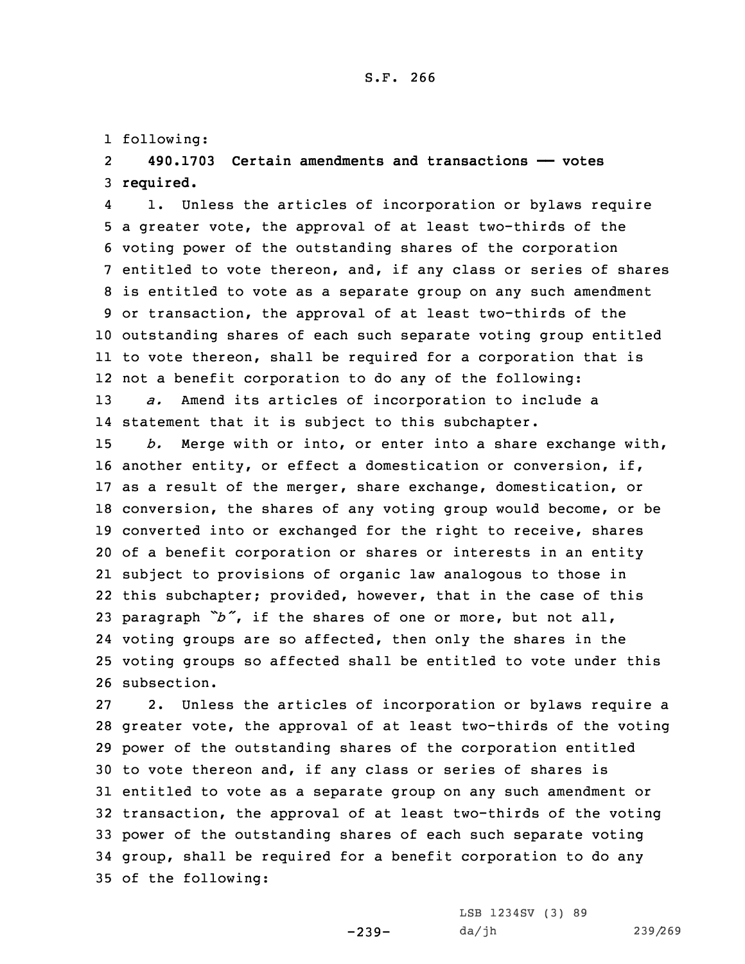1 following:

2 **490.1703 Certain amendments and transactions —— votes** 3 **required.**

4 1. Unless the articles of incorporation or bylaws require <sup>a</sup> greater vote, the approval of at least two-thirds of the voting power of the outstanding shares of the corporation entitled to vote thereon, and, if any class or series of shares is entitled to vote as <sup>a</sup> separate group on any such amendment or transaction, the approval of at least two-thirds of the outstanding shares of each such separate voting group entitled to vote thereon, shall be required for <sup>a</sup> corporation that is not <sup>a</sup> benefit corporation to do any of the following: *a.* Amend its articles of incorporation to include <sup>a</sup>

14 statement that it is subject to this subchapter.

 *b.* Merge with or into, or enter into <sup>a</sup> share exchange with, another entity, or effect <sup>a</sup> domestication or conversion, if, as <sup>a</sup> result of the merger, share exchange, domestication, or conversion, the shares of any voting group would become, or be converted into or exchanged for the right to receive, shares of <sup>a</sup> benefit corporation or shares or interests in an entity subject to provisions of organic law analogous to those in this subchapter; provided, however, that in the case of this paragraph *"b"*, if the shares of one or more, but not all, voting groups are so affected, then only the shares in the voting groups so affected shall be entitled to vote under this subsection.

 2. Unless the articles of incorporation or bylaws require <sup>a</sup> greater vote, the approval of at least two-thirds of the voting power of the outstanding shares of the corporation entitled to vote thereon and, if any class or series of shares is entitled to vote as <sup>a</sup> separate group on any such amendment or transaction, the approval of at least two-thirds of the voting power of the outstanding shares of each such separate voting group, shall be required for <sup>a</sup> benefit corporation to do any of the following:

 $-239-$ 

LSB 1234SV (3) 89 da/jh 239/269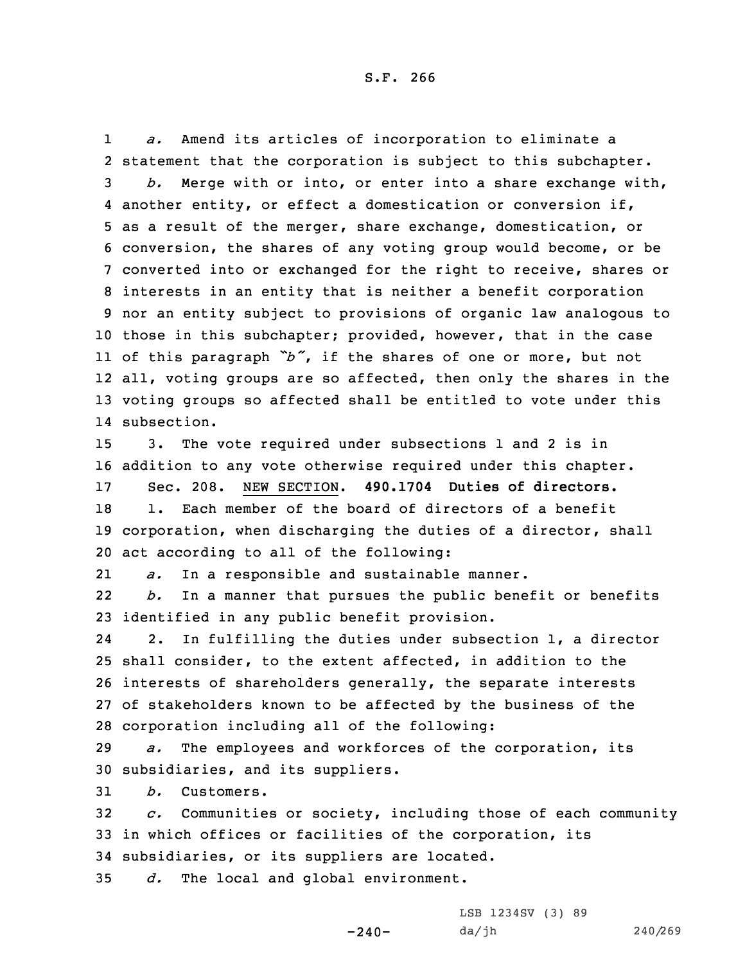1 *a.* Amend its articles of incorporation to eliminate <sup>a</sup> statement that the corporation is subject to this subchapter. *b.* Merge with or into, or enter into <sup>a</sup> share exchange with, another entity, or effect <sup>a</sup> domestication or conversion if, as <sup>a</sup> result of the merger, share exchange, domestication, or conversion, the shares of any voting group would become, or be converted into or exchanged for the right to receive, shares or interests in an entity that is neither <sup>a</sup> benefit corporation nor an entity subject to provisions of organic law analogous to those in this subchapter; provided, however, that in the case of this paragraph *"b"*, if the shares of one or more, but not all, voting groups are so affected, then only the shares in the voting groups so affected shall be entitled to vote under this subsection.

 3. The vote required under subsections 1 and 2 is in addition to any vote otherwise required under this chapter. Sec. 208. NEW SECTION. **490.1704 Duties of directors.** 18 1. Each member of the board of directors of a benefit corporation, when discharging the duties of <sup>a</sup> director, shall act according to all of the following:

21*a.* In <sup>a</sup> responsible and sustainable manner.

22 *b.* In <sup>a</sup> manner that pursues the public benefit or benefits 23 identified in any public benefit provision.

24 2. In fulfilling the duties under subsection 1, <sup>a</sup> director shall consider, to the extent affected, in addition to the interests of shareholders generally, the separate interests of stakeholders known to be affected by the business of the corporation including all of the following:

29 *a.* The employees and workforces of the corporation, its 30 subsidiaries, and its suppliers.

31 *b.* Customers.

32 *c.* Communities or society, including those of each community 33 in which offices or facilities of the corporation, its 34 subsidiaries, or its suppliers are located.

 $-240-$ 

35 *d.* The local and global environment.

LSB 1234SV (3) 89 da/jh 240/269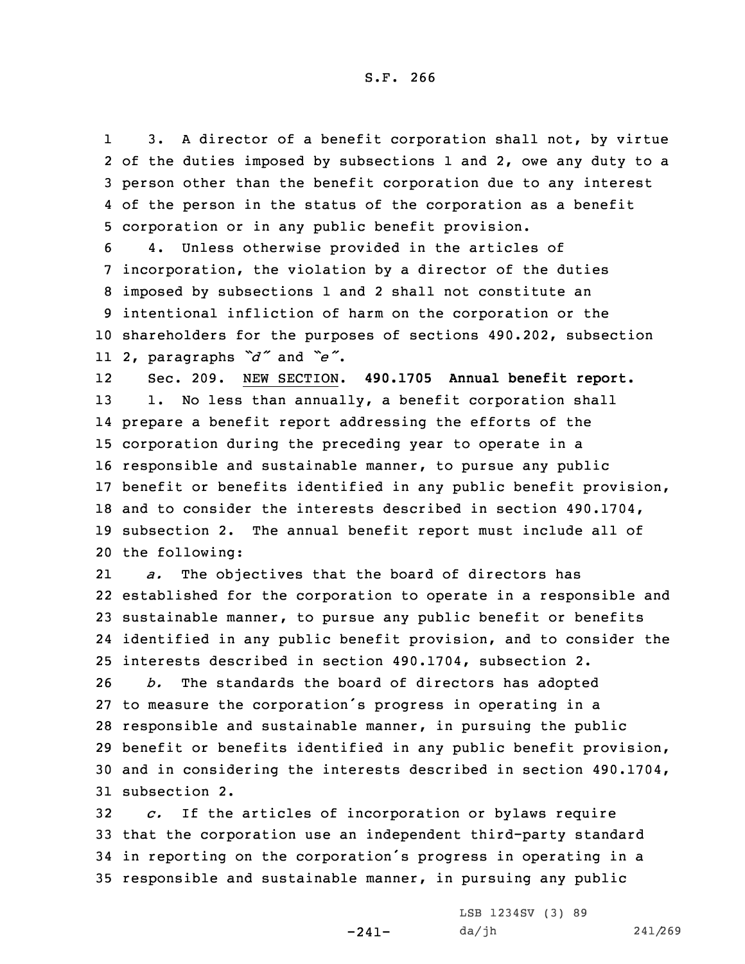1 3. <sup>A</sup> director of <sup>a</sup> benefit corporation shall not, by virtue of the duties imposed by subsections 1 and 2, owe any duty to <sup>a</sup> person other than the benefit corporation due to any interest of the person in the status of the corporation as <sup>a</sup> benefit corporation or in any public benefit provision.

 4. Unless otherwise provided in the articles of incorporation, the violation by <sup>a</sup> director of the duties imposed by subsections 1 and 2 shall not constitute an intentional infliction of harm on the corporation or the shareholders for the purposes of sections 490.202, subsection 2, paragraphs *"d"* and *"e"*.

12 Sec. 209. NEW SECTION. **490.1705 Annual benefit report.** 13 1. No less than annually, a benefit corporation shall prepare <sup>a</sup> benefit report addressing the efforts of the corporation during the preceding year to operate in <sup>a</sup> responsible and sustainable manner, to pursue any public benefit or benefits identified in any public benefit provision, and to consider the interests described in section 490.1704, subsection 2. The annual benefit report must include all of the following:

21 *a.* The objectives that the board of directors has established for the corporation to operate in <sup>a</sup> responsible and sustainable manner, to pursue any public benefit or benefits identified in any public benefit provision, and to consider the interests described in section 490.1704, subsection 2.

 *b.* The standards the board of directors has adopted to measure the corporation's progress in operating in <sup>a</sup> responsible and sustainable manner, in pursuing the public benefit or benefits identified in any public benefit provision, and in considering the interests described in section 490.1704, subsection 2.

 *c.* If the articles of incorporation or bylaws require that the corporation use an independent third-party standard in reporting on the corporation's progress in operating in <sup>a</sup> responsible and sustainable manner, in pursuing any public

 $-241-$ 

LSB 1234SV (3) 89 da/jh 241/269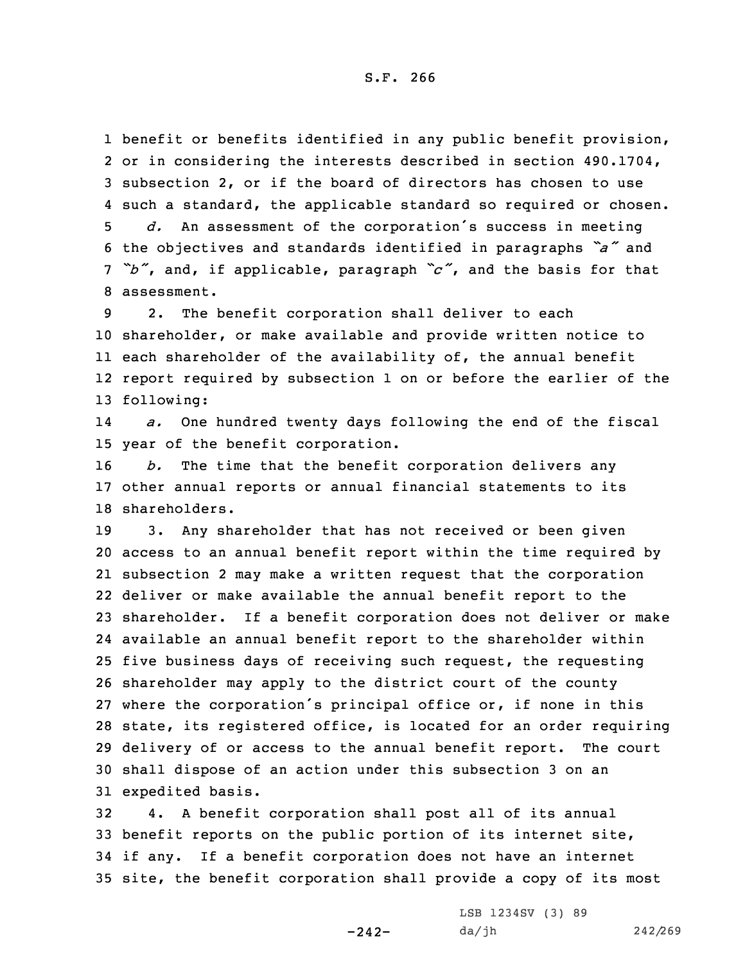benefit or benefits identified in any public benefit provision, or in considering the interests described in section 490.1704, subsection 2, or if the board of directors has chosen to use such <sup>a</sup> standard, the applicable standard so required or chosen. *d.* An assessment of the corporation's success in meeting the objectives and standards identified in paragraphs *"a"* and *"b"*, and, if applicable, paragraph *"c"*, and the basis for that assessment.

 2. The benefit corporation shall deliver to each shareholder, or make available and provide written notice to each shareholder of the availability of, the annual benefit report required by subsection 1 on or before the earlier of the following:

14 *a.* One hundred twenty days following the end of the fiscal 15 year of the benefit corporation.

16 *b.* The time that the benefit corporation delivers any 17 other annual reports or annual financial statements to its 18 shareholders.

 3. Any shareholder that has not received or been given access to an annual benefit report within the time required by subsection 2 may make <sup>a</sup> written request that the corporation deliver or make available the annual benefit report to the shareholder. If <sup>a</sup> benefit corporation does not deliver or make available an annual benefit report to the shareholder within five business days of receiving such request, the requesting shareholder may apply to the district court of the county where the corporation's principal office or, if none in this state, its registered office, is located for an order requiring delivery of or access to the annual benefit report. The court shall dispose of an action under this subsection 3 on an expedited basis.

 4. <sup>A</sup> benefit corporation shall post all of its annual benefit reports on the public portion of its internet site, if any. If <sup>a</sup> benefit corporation does not have an internet site, the benefit corporation shall provide <sup>a</sup> copy of its most

 $-242-$ 

LSB 1234SV (3) 89 da/jh 242/269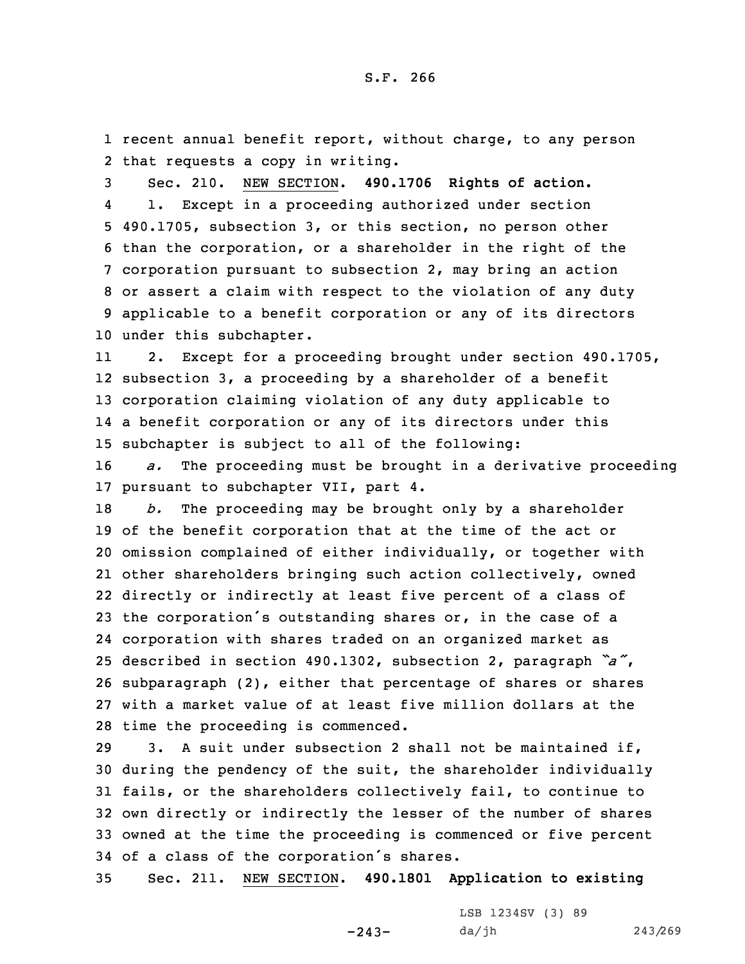1 recent annual benefit report, without charge, to any person 2 that requests <sup>a</sup> copy in writing.

 Sec. 210. NEW SECTION. **490.1706 Rights of action.** 4 1. Except in <sup>a</sup> proceeding authorized under section 490.1705, subsection 3, or this section, no person other than the corporation, or <sup>a</sup> shareholder in the right of the corporation pursuant to subsection 2, may bring an action or assert <sup>a</sup> claim with respect to the violation of any duty applicable to <sup>a</sup> benefit corporation or any of its directors under this subchapter.

11 2. Except for <sup>a</sup> proceeding brought under section 490.1705, subsection 3, <sup>a</sup> proceeding by <sup>a</sup> shareholder of <sup>a</sup> benefit corporation claiming violation of any duty applicable to <sup>a</sup> benefit corporation or any of its directors under this subchapter is subject to all of the following:

16 *a.* The proceeding must be brought in <sup>a</sup> derivative proceeding 17 pursuant to subchapter VII, part 4.

 *b.* The proceeding may be brought only by <sup>a</sup> shareholder of the benefit corporation that at the time of the act or omission complained of either individually, or together with other shareholders bringing such action collectively, owned directly or indirectly at least five percent of <sup>a</sup> class of the corporation's outstanding shares or, in the case of <sup>a</sup> corporation with shares traded on an organized market as described in section 490.1302, subsection 2, paragraph *"a"*, subparagraph (2), either that percentage of shares or shares with <sup>a</sup> market value of at least five million dollars at the time the proceeding is commenced.

 3. A suit under subsection 2 shall not be maintained if, during the pendency of the suit, the shareholder individually fails, or the shareholders collectively fail, to continue to own directly or indirectly the lesser of the number of shares owned at the time the proceeding is commenced or five percent of <sup>a</sup> class of the corporation's shares.

35 Sec. 211. NEW SECTION. **490.1801 Application to existing**

-243-

LSB 1234SV (3) 89 da/jh 243/269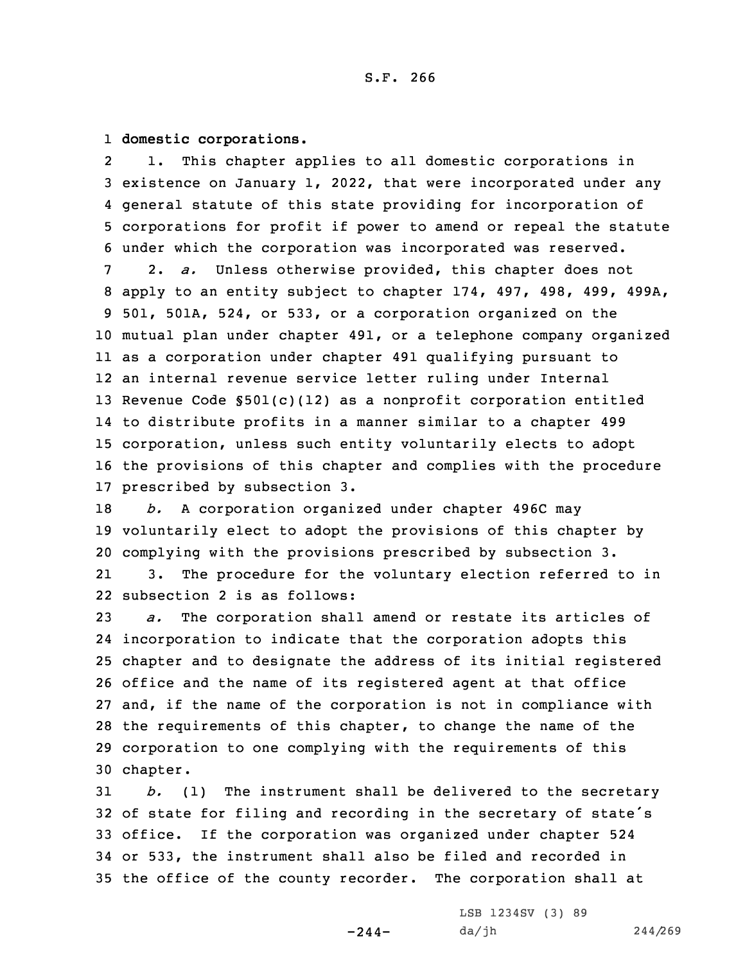## 1 **domestic corporations.**

2 1. This chapter applies to all domestic corporations in existence on January 1, 2022, that were incorporated under any general statute of this state providing for incorporation of corporations for profit if power to amend or repeal the statute under which the corporation was incorporated was reserved. 2. *a.* Unless otherwise provided, this chapter does not apply to an entity subject to chapter 174, 497, 498, 499, 499A, 501, 501A, 524, or 533, or <sup>a</sup> corporation organized on the mutual plan under chapter 491, or <sup>a</sup> telephone company organized as <sup>a</sup> corporation under chapter 491 qualifying pursuant to an internal revenue service letter ruling under Internal Revenue Code §501(c)(12) as <sup>a</sup> nonprofit corporation entitled to distribute profits in <sup>a</sup> manner similar to <sup>a</sup> chapter 499 corporation, unless such entity voluntarily elects to adopt the provisions of this chapter and complies with the procedure prescribed by subsection 3.

18 *b.* <sup>A</sup> corporation organized under chapter 496C may 19 voluntarily elect to adopt the provisions of this chapter by 20 complying with the provisions prescribed by subsection 3.

21 3. The procedure for the voluntary election referred to in 22 subsection 2 is as follows:

 *a.* The corporation shall amend or restate its articles of incorporation to indicate that the corporation adopts this chapter and to designate the address of its initial registered office and the name of its registered agent at that office and, if the name of the corporation is not in compliance with the requirements of this chapter, to change the name of the corporation to one complying with the requirements of this 30 chapter.

 *b.* (1) The instrument shall be delivered to the secretary of state for filing and recording in the secretary of state's office. If the corporation was organized under chapter 524 or 533, the instrument shall also be filed and recorded in the office of the county recorder. The corporation shall at

 $-244-$ 

LSB 1234SV (3) 89 da/jh 244/269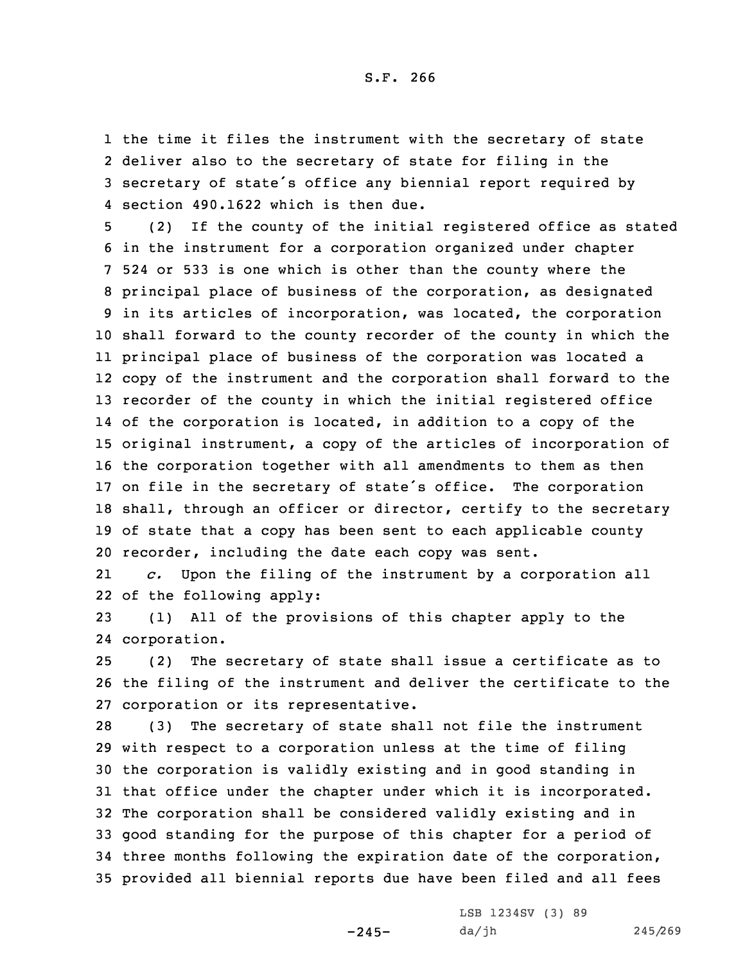the time it files the instrument with the secretary of state deliver also to the secretary of state for filing in the secretary of state's office any biennial report required by section 490.1622 which is then due.

 (2) If the county of the initial registered office as stated in the instrument for <sup>a</sup> corporation organized under chapter 524 or 533 is one which is other than the county where the principal place of business of the corporation, as designated in its articles of incorporation, was located, the corporation shall forward to the county recorder of the county in which the principal place of business of the corporation was located <sup>a</sup> copy of the instrument and the corporation shall forward to the recorder of the county in which the initial registered office of the corporation is located, in addition to <sup>a</sup> copy of the original instrument, <sup>a</sup> copy of the articles of incorporation of the corporation together with all amendments to them as then on file in the secretary of state's office. The corporation shall, through an officer or director, certify to the secretary of state that <sup>a</sup> copy has been sent to each applicable county recorder, including the date each copy was sent.

21 *c.* Upon the filing of the instrument by <sup>a</sup> corporation all 22 of the following apply:

23 (1) All of the provisions of this chapter apply to the 24 corporation.

25 (2) The secretary of state shall issue <sup>a</sup> certificate as to 26 the filing of the instrument and deliver the certificate to the 27 corporation or its representative.

 (3) The secretary of state shall not file the instrument with respect to <sup>a</sup> corporation unless at the time of filing the corporation is validly existing and in good standing in that office under the chapter under which it is incorporated. The corporation shall be considered validly existing and in good standing for the purpose of this chapter for <sup>a</sup> period of three months following the expiration date of the corporation, provided all biennial reports due have been filed and all fees

-245-

LSB 1234SV (3) 89 da/jh 245/269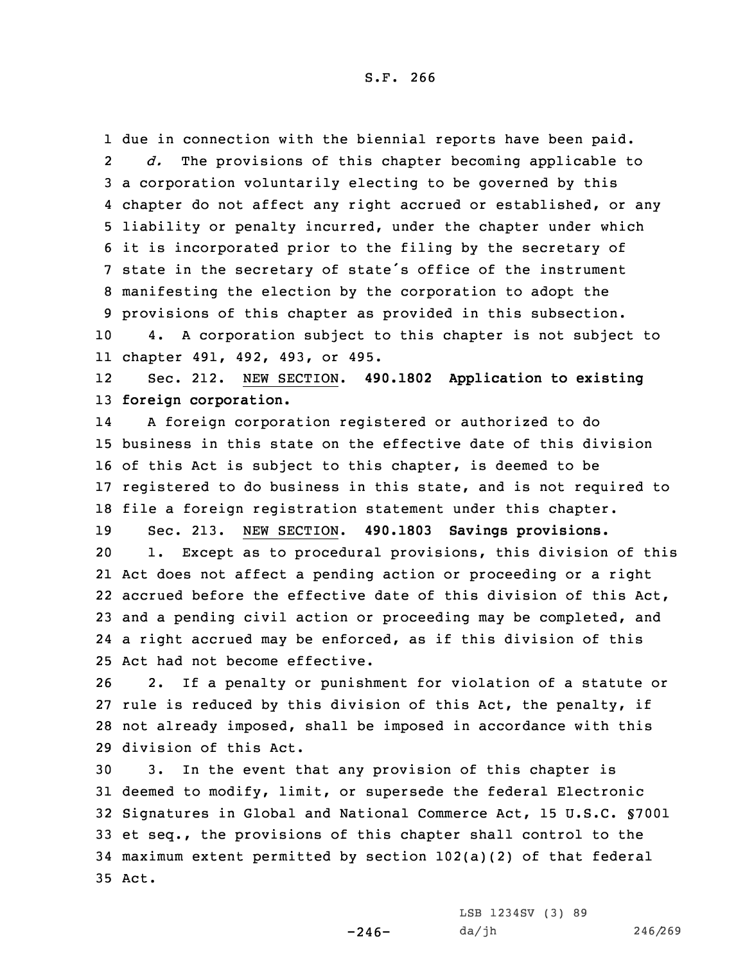due in connection with the biennial reports have been paid. 2 *d.* The provisions of this chapter becoming applicable to <sup>a</sup> corporation voluntarily electing to be governed by this chapter do not affect any right accrued or established, or any liability or penalty incurred, under the chapter under which it is incorporated prior to the filing by the secretary of state in the secretary of state's office of the instrument manifesting the election by the corporation to adopt the provisions of this chapter as provided in this subsection. 4. <sup>A</sup> corporation subject to this chapter is not subject to

12 Sec. 212. NEW SECTION. **490.1802 Application to existing** 13 **foreign corporation.**

11 chapter 491, 492, 493, or 495.

14 <sup>A</sup> foreign corporation registered or authorized to do business in this state on the effective date of this division of this Act is subject to this chapter, is deemed to be registered to do business in this state, and is not required to file <sup>a</sup> foreign registration statement under this chapter. Sec. 213. NEW SECTION. **490.1803 Savings provisions.**

 1. Except as to procedural provisions, this division of this Act does not affect <sup>a</sup> pending action or proceeding or <sup>a</sup> right accrued before the effective date of this division of this Act, and <sup>a</sup> pending civil action or proceeding may be completed, and <sup>a</sup> right accrued may be enforced, as if this division of this Act had not become effective.

 2. If <sup>a</sup> penalty or punishment for violation of <sup>a</sup> statute or rule is reduced by this division of this Act, the penalty, if not already imposed, shall be imposed in accordance with this division of this Act.

 3. In the event that any provision of this chapter is deemed to modify, limit, or supersede the federal Electronic Signatures in Global and National Commerce Act, 15 U.S.C. §7001 et seq., the provisions of this chapter shall control to the maximum extent permitted by section 102(a)(2) of that federal 35 Act.

 $-246-$ 

LSB 1234SV (3) 89 da/jh 246/269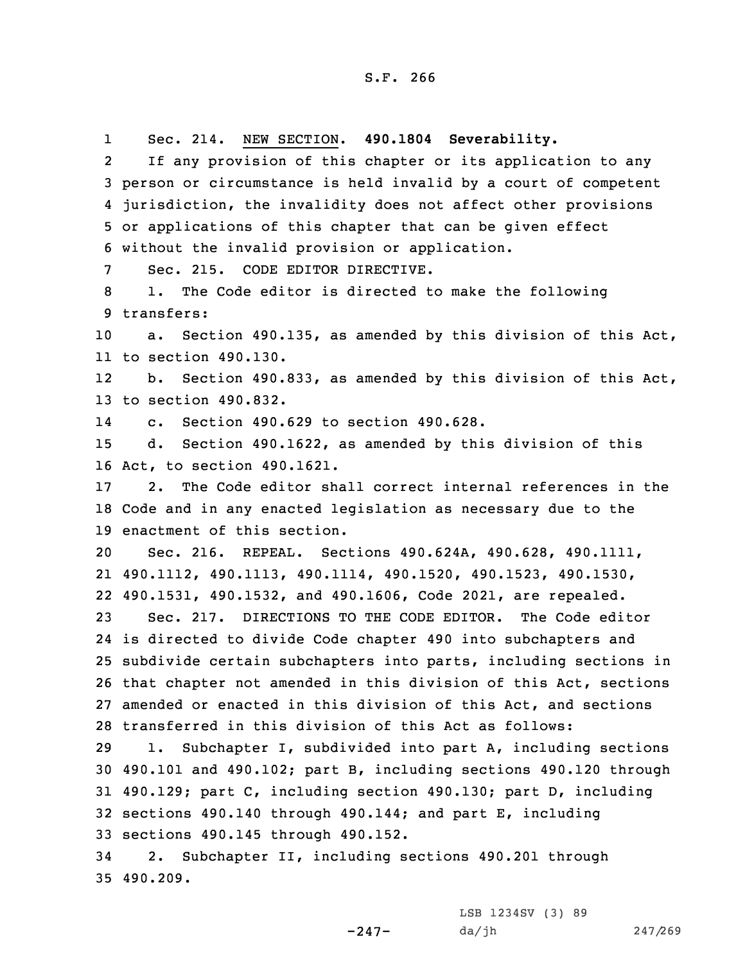1Sec. 214. NEW SECTION. **490.1804 Severability.**

2 If any provision of this chapter or its application to any person or circumstance is held invalid by <sup>a</sup> court of competent jurisdiction, the invalidity does not affect other provisions or applications of this chapter that can be given effect without the invalid provision or application.

7 Sec. 215. CODE EDITOR DIRECTIVE.

8 1. The Code editor is directed to make the following 9 transfers:

10 a. Section 490.135, as amended by this division of this Act, 11 to section 490.130.

12 b. Section 490.833, as amended by this division of this Act, 13 to section 490.832.

14c. Section 490.629 to section 490.628.

15 d. Section 490.1622, as amended by this division of this 16 Act, to section 490.1621.

17 2. The Code editor shall correct internal references in the 18 Code and in any enacted legislation as necessary due to the 19 enactment of this section.

20 Sec. 216. REPEAL. Sections 490.624A, 490.628, 490.1111, 21 490.1112, 490.1113, 490.1114, 490.1520, 490.1523, 490.1530, 22 490.1531, 490.1532, and 490.1606, Code 2021, are repealed.

 Sec. 217. DIRECTIONS TO THE CODE EDITOR. The Code editor is directed to divide Code chapter 490 into subchapters and subdivide certain subchapters into parts, including sections in that chapter not amended in this division of this Act, sections amended or enacted in this division of this Act, and sections transferred in this division of this Act as follows:

 1. Subchapter I, subdivided into part A, including sections 490.101 and 490.102; part B, including sections 490.120 through 490.129; part C, including section 490.130; part D, including sections 490.140 through 490.144; and part E, including sections 490.145 through 490.152.

34 2. Subchapter II, including sections 490.201 through 35 490.209.

 $-247-$ 

LSB 1234SV (3) 89 da/jh 247/269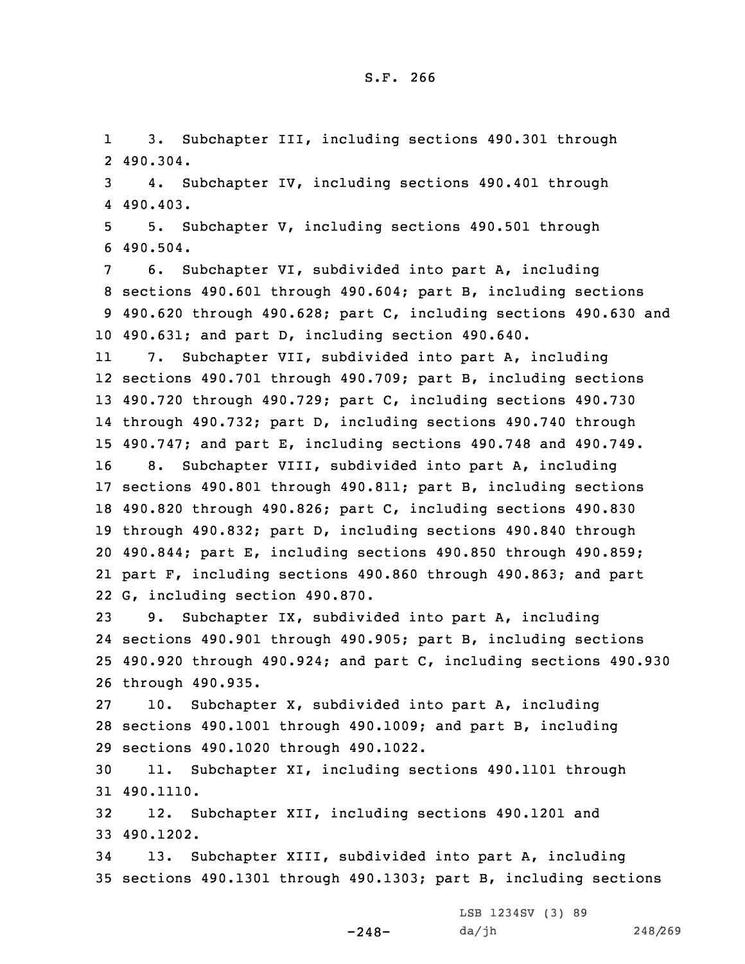1 3. Subchapter III, including sections 490.301 through 2 490.304.

3 4. Subchapter IV, including sections 490.401 through 4 490.403.

5 5. Subchapter V, including sections 490.501 through 6 490.504.

 6. Subchapter VI, subdivided into part A, including sections 490.601 through 490.604; part B, including sections 490.620 through 490.628; part C, including sections 490.630 and 490.631; and part D, including section 490.640.

11 7. Subchapter VII, subdivided into part A, including sections 490.701 through 490.709; part B, including sections 490.720 through 490.729; part C, including sections 490.730 through 490.732; part D, including sections 490.740 through 490.747; and part E, including sections 490.748 and 490.749.

 8. Subchapter VIII, subdivided into part A, including sections 490.801 through 490.811; part B, including sections 490.820 through 490.826; part C, including sections 490.830 through 490.832; part D, including sections 490.840 through 490.844; part E, including sections 490.850 through 490.859; part F, including sections 490.860 through 490.863; and part G, including section 490.870.

 9. Subchapter IX, subdivided into part A, including sections 490.901 through 490.905; part B, including sections 490.920 through 490.924; and part C, including sections 490.930 through 490.935.

27 10. Subchapter X, subdivided into part A, including 28 sections 490.1001 through 490.1009; and part B, including 29 sections 490.1020 through 490.1022.

30 11. Subchapter XI, including sections 490.1101 through 31 490.1110.

32 12. Subchapter XII, including sections 490.1201 and 33 490.1202.

34 13. Subchapter XIII, subdivided into part A, including 35 sections 490.1301 through 490.1303; part B, including sections

 $-248-$ 

LSB 1234SV (3) 89 da/jh 248/269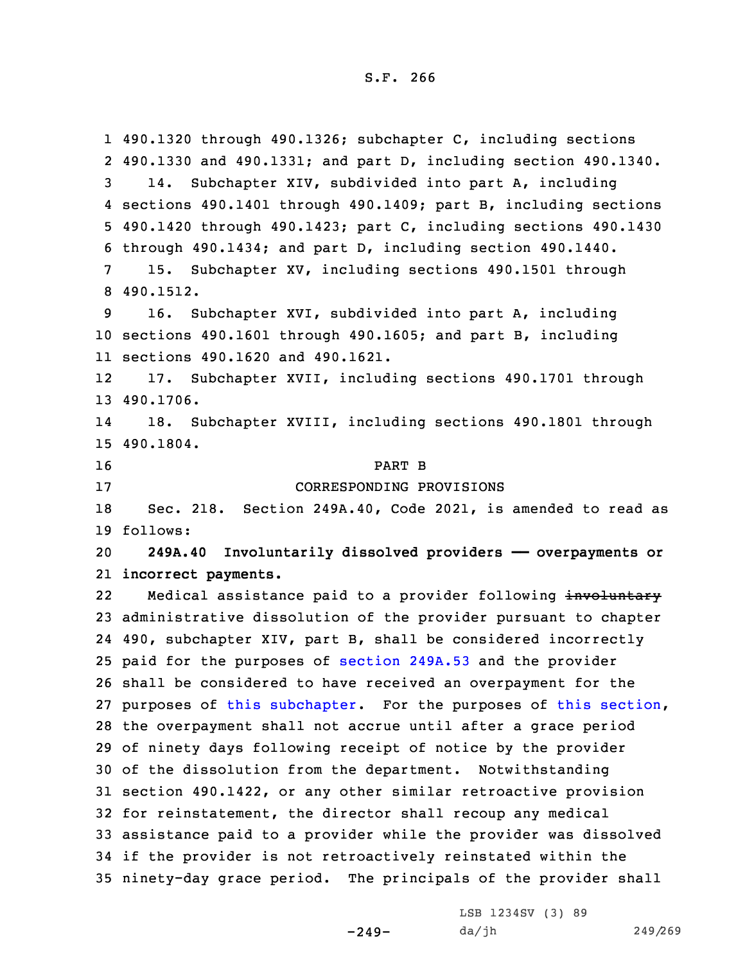490.1320 through 490.1326; subchapter C, including sections 490.1330 and 490.1331; and part D, including section 490.1340. 14. Subchapter XIV, subdivided into part A, including sections 490.1401 through 490.1409; part B, including sections 490.1420 through 490.1423; part C, including sections 490.1430 through 490.1434; and part D, including section 490.1440. 15. Subchapter XV, including sections 490.1501 through 490.1512. 16. Subchapter XVI, subdivided into part A, including sections 490.1601 through 490.1605; and part B, including sections 490.1620 and 490.1621. 12 17. Subchapter XVII, including sections 490.1701 through 490.1706. 14 18. Subchapter XVIII, including sections 490.1801 through 490.1804. 16 PART B 17 CORRESPONDING PROVISIONS Sec. 218. Section 249A.40, Code 2021, is amended to read as 19 follows: **249A.40 Involuntarily dissolved providers —— overpayments or incorrect payments.** 22Medical assistance paid to a provider following involuntary administrative dissolution of the provider pursuant to chapter 490, subchapter XIV, part B, shall be considered incorrectly paid for the purposes of [section](https://www.legis.iowa.gov/docs/code/2021/249A.53.pdf) 249A.53 and the provider shall be considered to have received an overpayment for the purposes of this [subchapter](https://www.legis.iowa.gov/docs/code/2021/249A.pdf). For the purposes of this [section](https://www.legis.iowa.gov/docs/code/2021/249A.40.pdf), the overpayment shall not accrue until after <sup>a</sup> grace period of ninety days following receipt of notice by the provider of the dissolution from the department. Notwithstanding section 490.1422, or any other similar retroactive provision for reinstatement, the director shall recoup any medical assistance paid to <sup>a</sup> provider while the provider was dissolved if the provider is not retroactively reinstated within the ninety-day grace period. The principals of the provider shall

 $-249-$ 

LSB 1234SV (3) 89 da/jh 249/269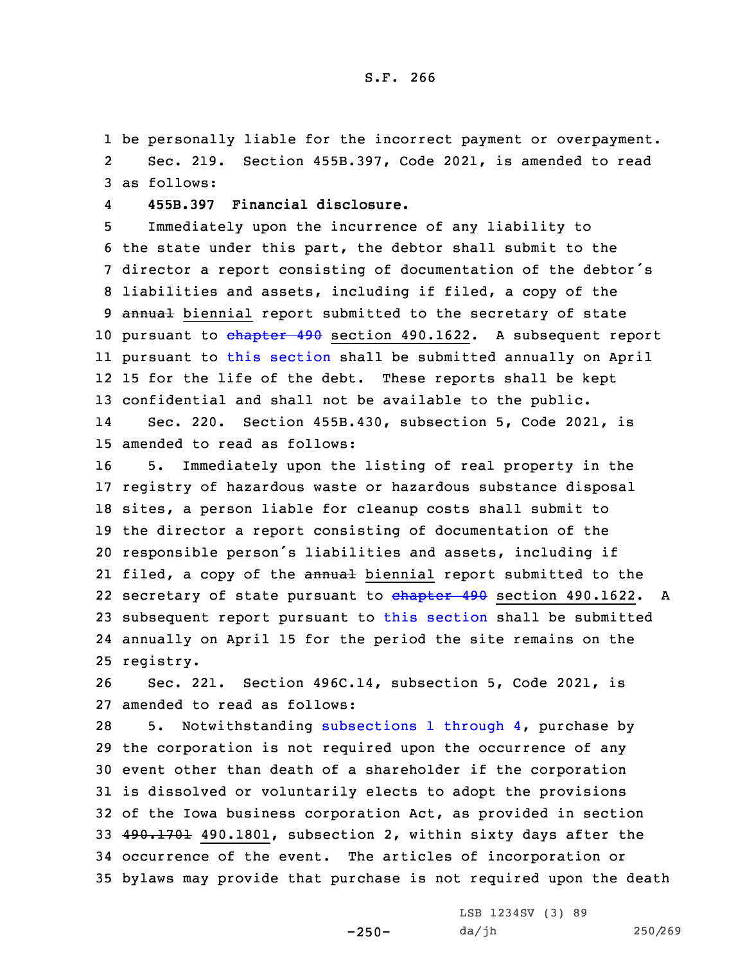1 be personally liable for the incorrect payment or overpayment.

2 Sec. 219. Section 455B.397, Code 2021, is amended to read 3 as follows:

4**455B.397 Financial disclosure.**

 Immediately upon the incurrence of any liability to the state under this part, the debtor shall submit to the director <sup>a</sup> report consisting of documentation of the debtor's liabilities and assets, including if filed, <sup>a</sup> copy of the 9 annual biennial report submitted to the secretary of state 10 pursuant to [chapter](https://www.legis.iowa.gov/docs/code/2021/490.pdf) 490 section 490.1622. A subsequent report pursuant to this [section](https://www.legis.iowa.gov/docs/code/2021/455B.397.pdf) shall be submitted annually on April 15 for the life of the debt. These reports shall be kept confidential and shall not be available to the public. 14Sec. 220. Section 455B.430, subsection 5, Code 2021, is

15 amended to read as follows:

 5. Immediately upon the listing of real property in the registry of hazardous waste or hazardous substance disposal sites, <sup>a</sup> person liable for cleanup costs shall submit to the director <sup>a</sup> report consisting of documentation of the responsible person's liabilities and assets, including if 21 filed, a copy of the <del>annual</del> biennial report submitted to the 22 secretary of state pursuant to [chapter](https://www.legis.iowa.gov/docs/code/2021/490.pdf) 490 section 490.1622. A subsequent report pursuant to this [section](https://www.legis.iowa.gov/docs/code/2021/455B.430.pdf) shall be submitted annually on April 15 for the period the site remains on the registry.

26 Sec. 221. Section 496C.14, subsection 5, Code 2021, is 27 amended to read as follows:

 5. Notwithstanding [subsections](https://www.legis.iowa.gov/docs/code/2021/496C.14.pdf) 1 through 4, purchase by the corporation is not required upon the occurrence of any event other than death of <sup>a</sup> shareholder if the corporation is dissolved or voluntarily elects to adopt the provisions of the Iowa business corporation Act, as provided in section 33 490.1701 490.1801, subsection 2, within sixty days after the occurrence of the event. The articles of incorporation or bylaws may provide that purchase is not required upon the death

 $-250-$ 

LSB 1234SV (3) 89 da/jh 250/269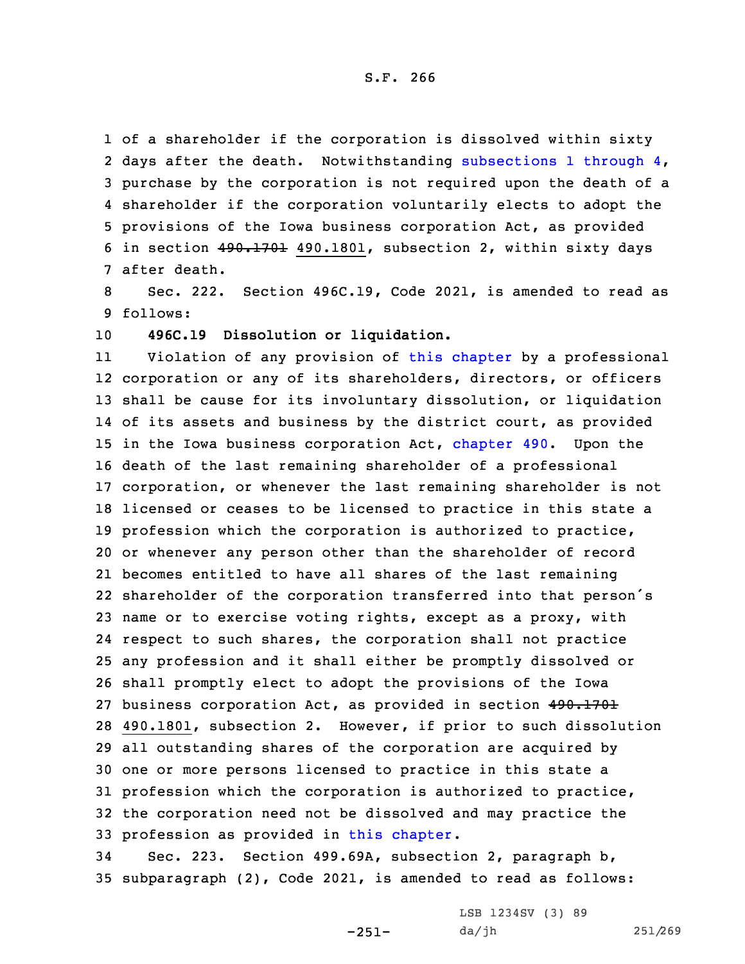of <sup>a</sup> shareholder if the corporation is dissolved within sixty 2 days after the death. Notwithstanding [subsections](https://www.legis.iowa.gov/docs/code/2021/496C.14.pdf) 1 through  $4$ , purchase by the corporation is not required upon the death of <sup>a</sup> shareholder if the corporation voluntarily elects to adopt the provisions of the Iowa business corporation Act, as provided in section 490.1701 490.1801, subsection 2, within sixty days after death.

8 Sec. 222. Section 496C.19, Code 2021, is amended to read as 9 follows:

10 **496C.19 Dissolution or liquidation.**

11 Violation of any provision of this [chapter](https://www.legis.iowa.gov/docs/code/2021/496C.pdf) by <sup>a</sup> professional corporation or any of its shareholders, directors, or officers shall be cause for its involuntary dissolution, or liquidation of its assets and business by the district court, as provided in the Iowa business corporation Act, [chapter](https://www.legis.iowa.gov/docs/code/2021/490.pdf) 490. Upon the death of the last remaining shareholder of <sup>a</sup> professional corporation, or whenever the last remaining shareholder is not licensed or ceases to be licensed to practice in this state <sup>a</sup> profession which the corporation is authorized to practice, or whenever any person other than the shareholder of record becomes entitled to have all shares of the last remaining shareholder of the corporation transferred into that person's name or to exercise voting rights, except as <sup>a</sup> proxy, with respect to such shares, the corporation shall not practice any profession and it shall either be promptly dissolved or shall promptly elect to adopt the provisions of the Iowa 27 business corporation Act, as provided in section 490.1701 490.1801, subsection 2. However, if prior to such dissolution all outstanding shares of the corporation are acquired by one or more persons licensed to practice in this state <sup>a</sup> profession which the corporation is authorized to practice, the corporation need not be dissolved and may practice the profession as provided in this [chapter](https://www.legis.iowa.gov/docs/code/2021/496C.pdf).

34 Sec. 223. Section 499.69A, subsection 2, paragraph b, 35 subparagraph (2), Code 2021, is amended to read as follows:

 $-251-$ 

LSB 1234SV (3) 89 da/jh 251/269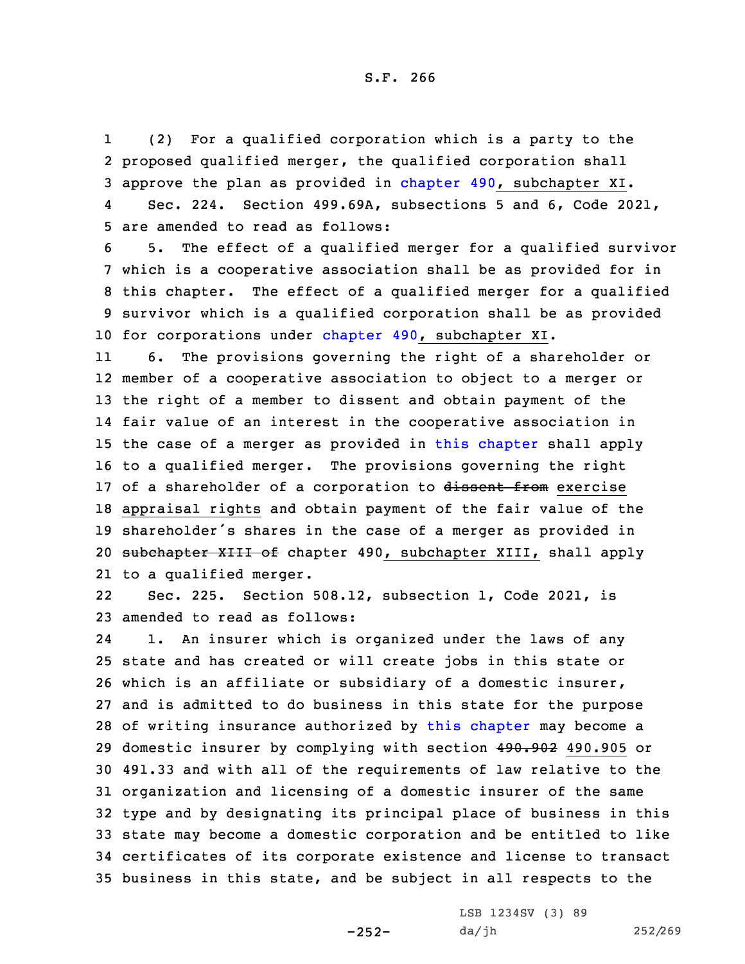1 (2) For <sup>a</sup> qualified corporation which is <sup>a</sup> party to the 2 proposed qualified merger, the qualified corporation shall 3 approve the plan as provided in [chapter](https://www.legis.iowa.gov/docs/code/2021/490.pdf) 490, subchapter XI.

4 Sec. 224. Section 499.69A, subsections 5 and 6, Code 2021, 5 are amended to read as follows:

 5. The effect of <sup>a</sup> qualified merger for <sup>a</sup> qualified survivor which is <sup>a</sup> cooperative association shall be as provided for in this chapter. The effect of <sup>a</sup> qualified merger for <sup>a</sup> qualified survivor which is <sup>a</sup> qualified corporation shall be as provided 10 for corporations under [chapter](https://www.legis.iowa.gov/docs/code/2021/490.pdf) 490, subchapter XI.

11 6. The provisions governing the right of <sup>a</sup> shareholder or member of <sup>a</sup> cooperative association to object to <sup>a</sup> merger or the right of <sup>a</sup> member to dissent and obtain payment of the fair value of an interest in the cooperative association in the case of <sup>a</sup> merger as provided in this [chapter](https://www.legis.iowa.gov/docs/code/2021/499.pdf) shall apply to <sup>a</sup> qualified merger. The provisions governing the right 17 of a shareholder of a corporation to dissent from exercise appraisal rights and obtain payment of the fair value of the shareholder's shares in the case of <sup>a</sup> merger as provided in 20 subchapter XIII of chapter 490, subchapter XIII, shall apply to <sup>a</sup> qualified merger.

22 Sec. 225. Section 508.12, subsection 1, Code 2021, is 23 amended to read as follows:

24 1. An insurer which is organized under the laws of any state and has created or will create jobs in this state or which is an affiliate or subsidiary of <sup>a</sup> domestic insurer, and is admitted to do business in this state for the purpose 28 of writing insurance authorized by this [chapter](https://www.legis.iowa.gov/docs/code/2021/508.pdf) may become a domestic insurer by complying with section 490.902 490.905 or 491.33 and with all of the requirements of law relative to the organization and licensing of <sup>a</sup> domestic insurer of the same type and by designating its principal place of business in this state may become <sup>a</sup> domestic corporation and be entitled to like certificates of its corporate existence and license to transact business in this state, and be subject in all respects to the

-252-

LSB 1234SV (3) 89 da/jh 252/269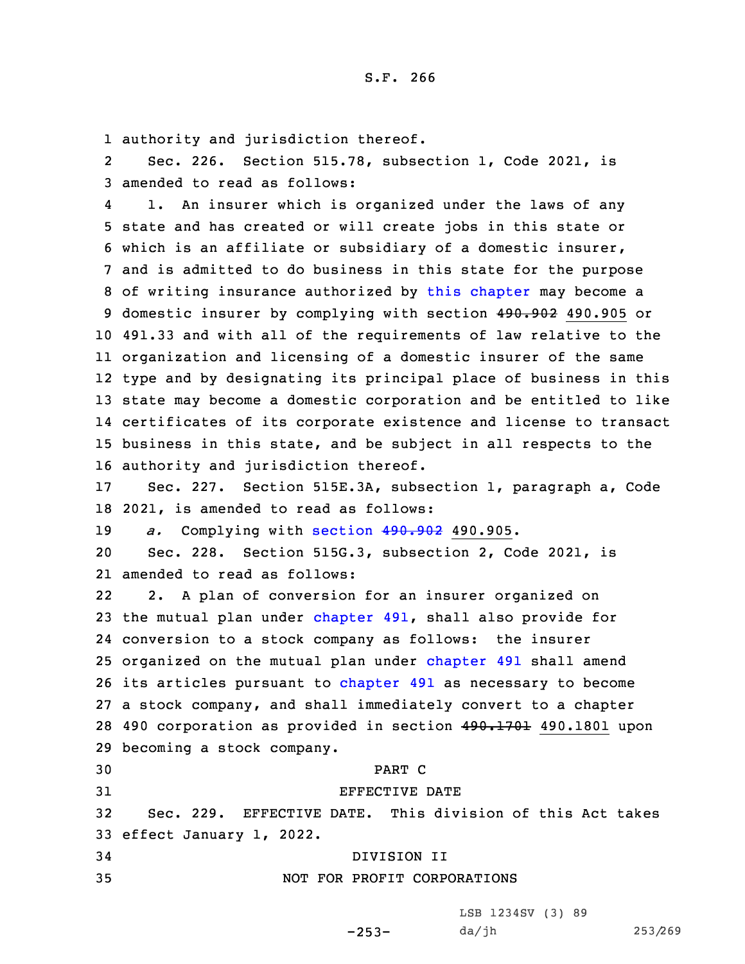1 authority and jurisdiction thereof.

2 Sec. 226. Section 515.78, subsection 1, Code 2021, is 3 amended to read as follows:

4 1. An insurer which is organized under the laws of any state and has created or will create jobs in this state or which is an affiliate or subsidiary of <sup>a</sup> domestic insurer, and is admitted to do business in this state for the purpose of writing insurance authorized by this [chapter](https://www.legis.iowa.gov/docs/code/2021/515.pdf) may become <sup>a</sup> 9 domestic insurer by complying with section 490.902 490.905 or 491.33 and with all of the requirements of law relative to the organization and licensing of <sup>a</sup> domestic insurer of the same type and by designating its principal place of business in this state may become <sup>a</sup> domestic corporation and be entitled to like certificates of its corporate existence and license to transact business in this state, and be subject in all respects to the authority and jurisdiction thereof.

17 Sec. 227. Section 515E.3A, subsection 1, paragraph a, Code 18 2021, is amended to read as follows:

19 *a.* Complying with [section](https://www.legis.iowa.gov/docs/code/2021/490.902.pdf) 490.902 490.905.

20 Sec. 228. Section 515G.3, subsection 2, Code 2021, is 21 amended to read as follows:

22 2. <sup>A</sup> plan of conversion for an insurer organized on the mutual plan under [chapter](https://www.legis.iowa.gov/docs/code/2021/491.pdf) 491, shall also provide for conversion to <sup>a</sup> stock company as follows: the insurer organized on the mutual plan under [chapter](https://www.legis.iowa.gov/docs/code/2021/491.pdf) 491 shall amend its articles pursuant to [chapter](https://www.legis.iowa.gov/docs/code/2021/491.pdf) 491 as necessary to become <sup>a</sup> stock company, and shall immediately convert to <sup>a</sup> chapter 490 corporation as provided in section 490.1701 490.1801 upon becoming <sup>a</sup> stock company.

30 PART C EFFECTIVE DATE Sec. 229. EFFECTIVE DATE. This division of this Act takes effect January 1, 2022. DIVISION II

35 NOT FOR PROFIT CORPORATIONS

LSB 1234SV (3) 89

```
-253-
```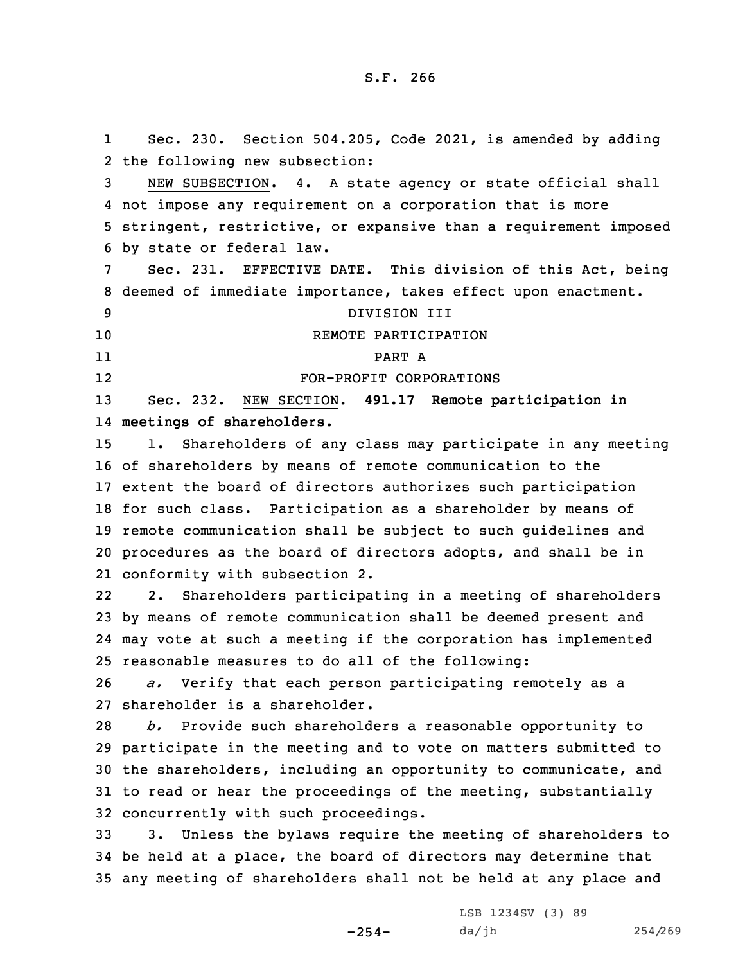1 Sec. 230. Section 504.205, Code 2021, is amended by adding the following new subsection: NEW SUBSECTION. 4. <sup>A</sup> state agency or state official shall not impose any requirement on <sup>a</sup> corporation that is more stringent, restrictive, or expansive than <sup>a</sup> requirement imposed by state or federal law. Sec. 231. EFFECTIVE DATE. This division of this Act, being deemed of immediate importance, takes effect upon enactment. DIVISION III 10 REMOTE PARTICIPATION 11 PART A 12 FOR-PROFIT CORPORATIONS Sec. 232. NEW SECTION. **491.17 Remote participation in meetings of shareholders.** 1. Shareholders of any class may participate in any meeting of shareholders by means of remote communication to the extent the board of directors authorizes such participation for such class. Participation as <sup>a</sup> shareholder by means of remote communication shall be subject to such guidelines and procedures as the board of directors adopts, and shall be in conformity with subsection 2. 22 2. Shareholders participating in <sup>a</sup> meeting of shareholders by means of remote communication shall be deemed present and may vote at such <sup>a</sup> meeting if the corporation has implemented reasonable measures to do all of the following: *a.* Verify that each person participating remotely as <sup>a</sup> shareholder is <sup>a</sup> shareholder. *b.* Provide such shareholders <sup>a</sup> reasonable opportunity to participate in the meeting and to vote on matters submitted to the shareholders, including an opportunity to communicate, and to read or hear the proceedings of the meeting, substantially concurrently with such proceedings. 3. Unless the bylaws require the meeting of shareholders to be held at <sup>a</sup> place, the board of directors may determine that any meeting of shareholders shall not be held at any place and

 $-254-$ 

LSB 1234SV (3) 89 da/jh 254/269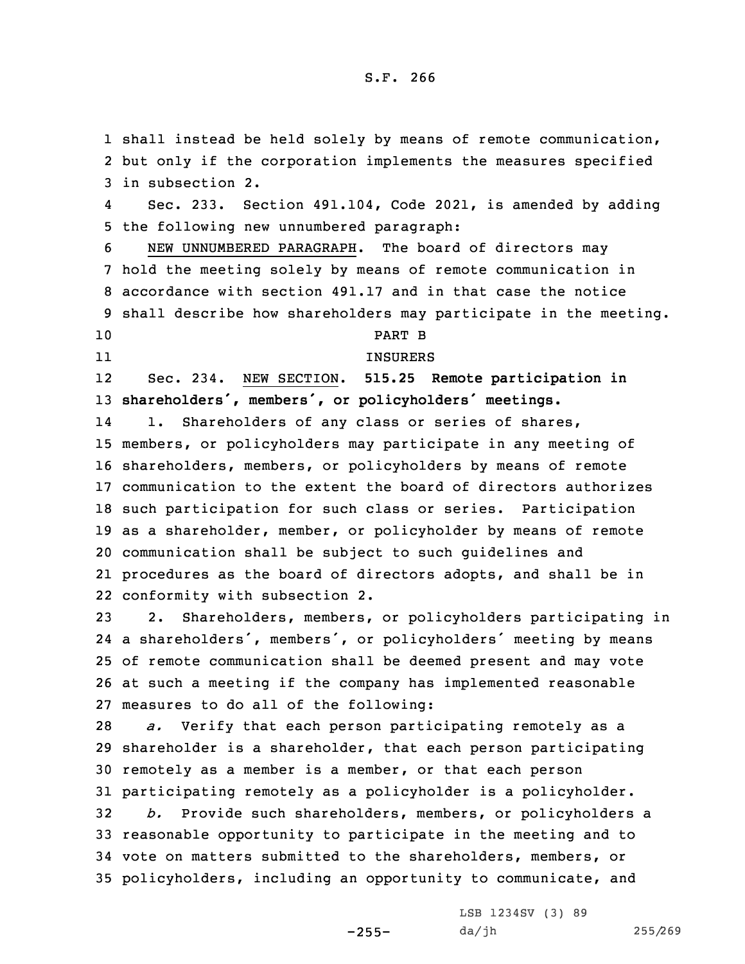shall instead be held solely by means of remote communication, but only if the corporation implements the measures specified in subsection 2. 4 Sec. 233. Section 491.104, Code 2021, is amended by adding the following new unnumbered paragraph: NEW UNNUMBERED PARAGRAPH. The board of directors may hold the meeting solely by means of remote communication in accordance with section 491.17 and in that case the notice shall describe how shareholders may participate in the meeting. 10 PART B 11 INSURERS 12 Sec. 234. NEW SECTION. **515.25 Remote participation in shareholders', members', or policyholders' meetings.** 14 1. Shareholders of any class or series of shares, members, or policyholders may participate in any meeting of shareholders, members, or policyholders by means of remote communication to the extent the board of directors authorizes such participation for such class or series. Participation as <sup>a</sup> shareholder, member, or policyholder by means of remote communication shall be subject to such guidelines and procedures as the board of directors adopts, and shall be in conformity with subsection 2. 2. Shareholders, members, or policyholders participating in <sup>a</sup> shareholders', members', or policyholders' meeting by means of remote communication shall be deemed present and may vote at such <sup>a</sup> meeting if the company has implemented reasonable measures to do all of the following: *a.* Verify that each person participating remotely as <sup>a</sup> shareholder is <sup>a</sup> shareholder, that each person participating remotely as <sup>a</sup> member is <sup>a</sup> member, or that each person participating remotely as <sup>a</sup> policyholder is <sup>a</sup> policyholder. *b.* Provide such shareholders, members, or policyholders <sup>a</sup> reasonable opportunity to participate in the meeting and to vote on matters submitted to the shareholders, members, or policyholders, including an opportunity to communicate, and

 $-255-$ 

LSB 1234SV (3) 89 da/jh 255/269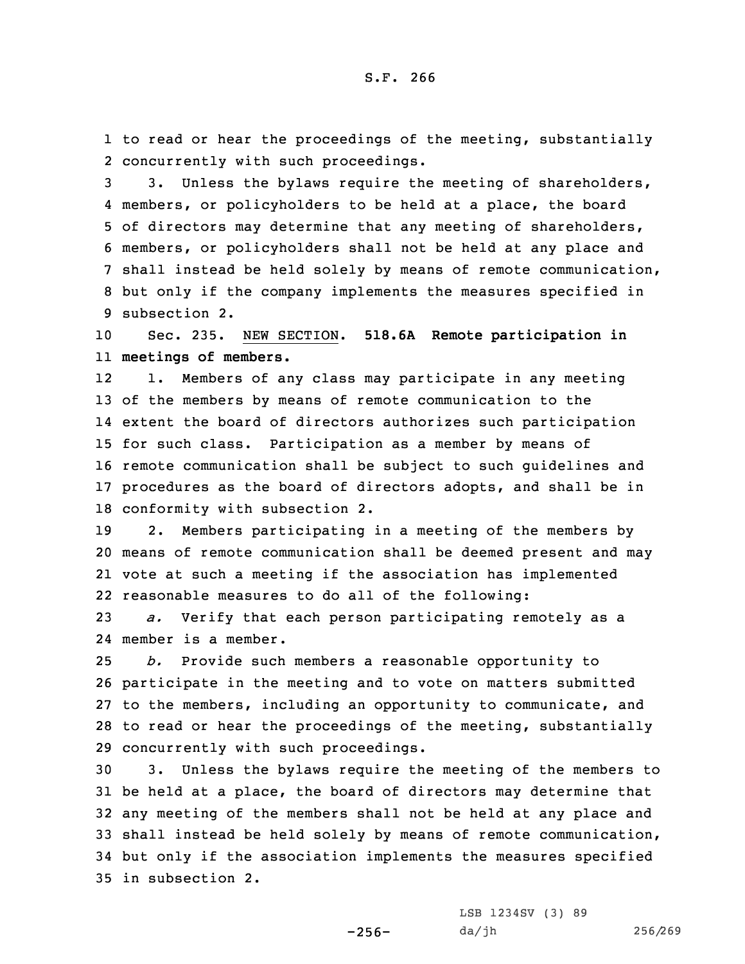1 to read or hear the proceedings of the meeting, substantially 2 concurrently with such proceedings.

 3. Unless the bylaws require the meeting of shareholders, members, or policyholders to be held at <sup>a</sup> place, the board of directors may determine that any meeting of shareholders, members, or policyholders shall not be held at any place and shall instead be held solely by means of remote communication, but only if the company implements the measures specified in subsection 2.

10 Sec. 235. NEW SECTION. **518.6A Remote participation in** 11 **meetings of members.**

12 1. Members of any class may participate in any meeting of the members by means of remote communication to the extent the board of directors authorizes such participation for such class. Participation as <sup>a</sup> member by means of remote communication shall be subject to such guidelines and procedures as the board of directors adopts, and shall be in conformity with subsection 2.

 2. Members participating in <sup>a</sup> meeting of the members by means of remote communication shall be deemed present and may vote at such <sup>a</sup> meeting if the association has implemented reasonable measures to do all of the following:

23 *a.* Verify that each person participating remotely as <sup>a</sup> 24 member is <sup>a</sup> member.

 *b.* Provide such members <sup>a</sup> reasonable opportunity to participate in the meeting and to vote on matters submitted to the members, including an opportunity to communicate, and to read or hear the proceedings of the meeting, substantially concurrently with such proceedings.

 3. Unless the bylaws require the meeting of the members to be held at <sup>a</sup> place, the board of directors may determine that any meeting of the members shall not be held at any place and shall instead be held solely by means of remote communication, but only if the association implements the measures specified in subsection 2.

 $-256-$ 

LSB 1234SV (3) 89 da/jh 256/269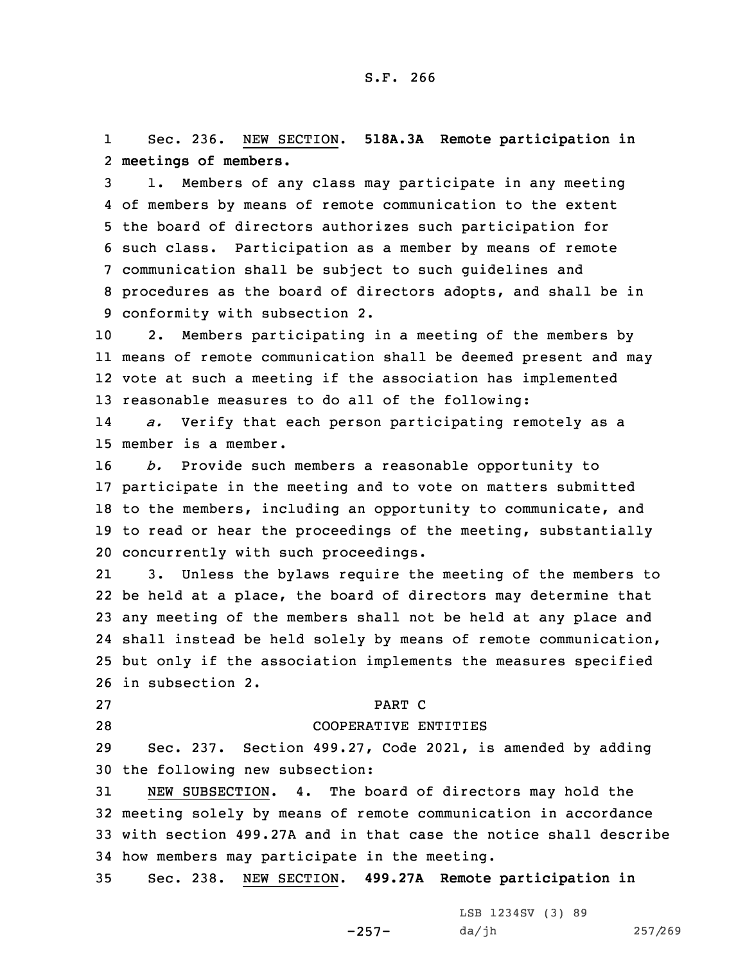1 Sec. 236. NEW SECTION. **518A.3A Remote participation in** 2 **meetings of members.**

 1. Members of any class may participate in any meeting of members by means of remote communication to the extent the board of directors authorizes such participation for such class. Participation as <sup>a</sup> member by means of remote communication shall be subject to such guidelines and procedures as the board of directors adopts, and shall be in conformity with subsection 2.

 2. Members participating in <sup>a</sup> meeting of the members by means of remote communication shall be deemed present and may vote at such <sup>a</sup> meeting if the association has implemented reasonable measures to do all of the following:

14 *a.* Verify that each person participating remotely as <sup>a</sup> 15 member is <sup>a</sup> member.

 *b.* Provide such members <sup>a</sup> reasonable opportunity to participate in the meeting and to vote on matters submitted to the members, including an opportunity to communicate, and to read or hear the proceedings of the meeting, substantially concurrently with such proceedings.

21 3. Unless the bylaws require the meeting of the members to be held at <sup>a</sup> place, the board of directors may determine that any meeting of the members shall not be held at any place and shall instead be held solely by means of remote communication, but only if the association implements the measures specified in subsection 2.

## 27 PART C

## 28 COOPERATIVE ENTITIES

## 29 Sec. 237. Section 499.27, Code 2021, is amended by adding 30 the following new subsection:

 NEW SUBSECTION. 4. The board of directors may hold the meeting solely by means of remote communication in accordance with section 499.27A and in that case the notice shall describe how members may participate in the meeting.

35 Sec. 238. NEW SECTION. **499.27A Remote participation in**

 $-257-$ 

LSB 1234SV (3) 89 da/jh 257/269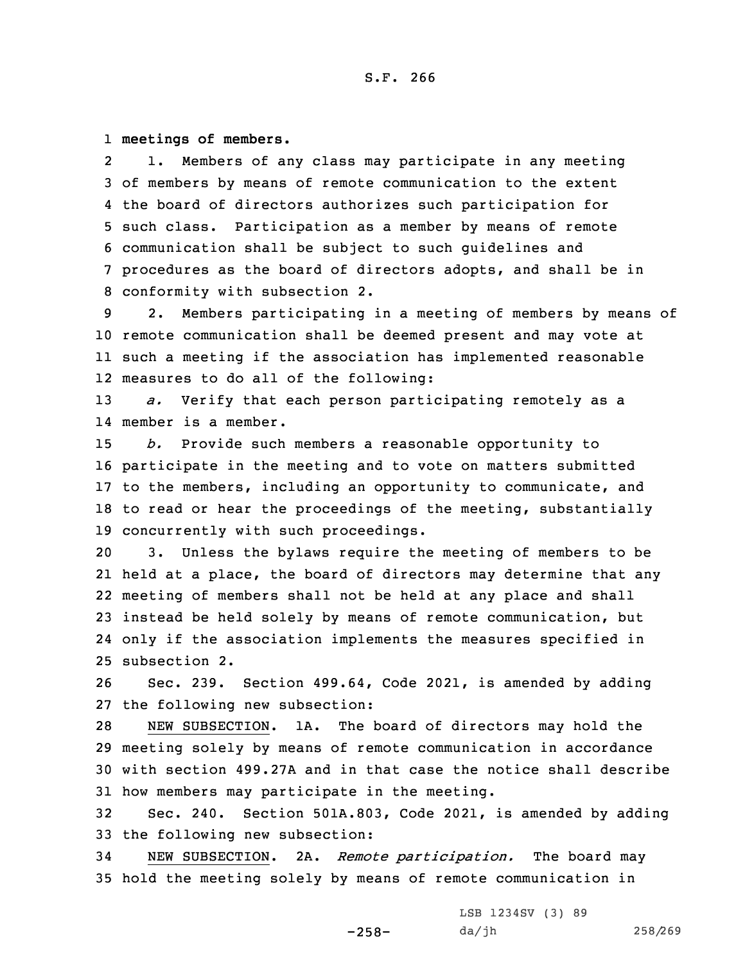1 **meetings of members.**

2 1. Members of any class may participate in any meeting of members by means of remote communication to the extent the board of directors authorizes such participation for such class. Participation as <sup>a</sup> member by means of remote communication shall be subject to such guidelines and procedures as the board of directors adopts, and shall be in conformity with subsection 2.

 2. Members participating in <sup>a</sup> meeting of members by means of remote communication shall be deemed present and may vote at such <sup>a</sup> meeting if the association has implemented reasonable measures to do all of the following:

13 *a.* Verify that each person participating remotely as <sup>a</sup> 14 member is <sup>a</sup> member.

 *b.* Provide such members <sup>a</sup> reasonable opportunity to participate in the meeting and to vote on matters submitted to the members, including an opportunity to communicate, and to read or hear the proceedings of the meeting, substantially concurrently with such proceedings.

 3. Unless the bylaws require the meeting of members to be held at <sup>a</sup> place, the board of directors may determine that any meeting of members shall not be held at any place and shall instead be held solely by means of remote communication, but only if the association implements the measures specified in subsection 2.

26 Sec. 239. Section 499.64, Code 2021, is amended by adding 27 the following new subsection:

 NEW SUBSECTION. 1A. The board of directors may hold the meeting solely by means of remote communication in accordance with section 499.27A and in that case the notice shall describe how members may participate in the meeting.

32 Sec. 240. Section 501A.803, Code 2021, is amended by adding 33 the following new subsection:

34 NEW SUBSECTION. 2A. *Remote participation.* The board may 35 hold the meeting solely by means of remote communication in

 $-258-$ 

LSB 1234SV (3) 89 da/jh 258/269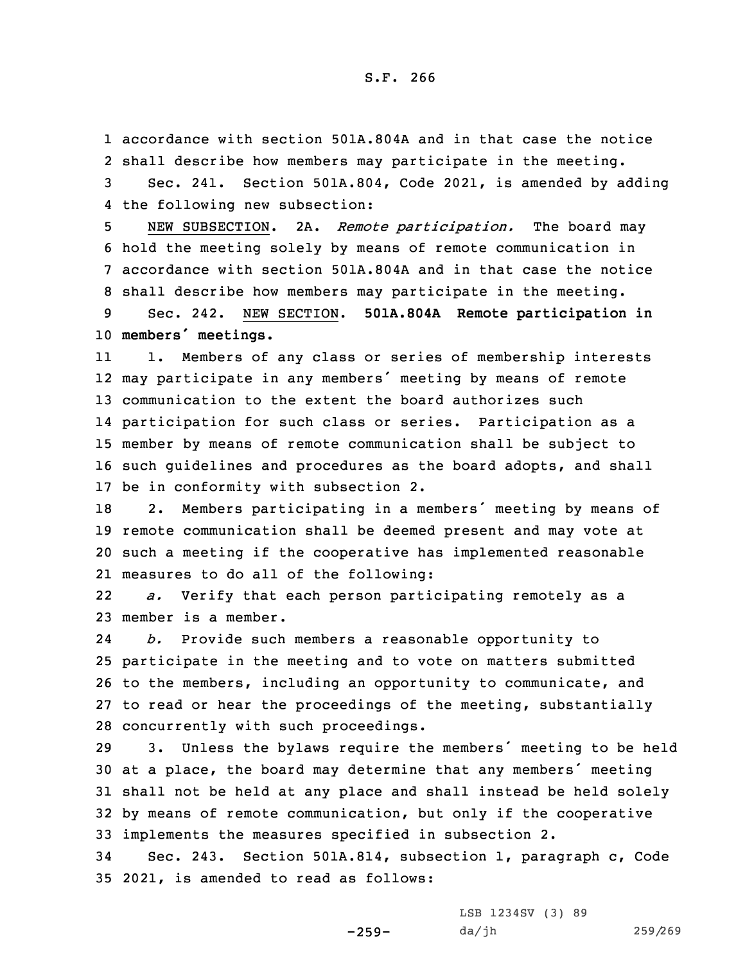1 accordance with section 501A.804A and in that case the notice 2 shall describe how members may participate in the meeting.

3 Sec. 241. Section 501A.804, Code 2021, is amended by adding 4 the following new subsection:

 NEW SUBSECTION. 2A. *Remote participation.* The board may hold the meeting solely by means of remote communication in accordance with section 501A.804A and in that case the notice shall describe how members may participate in the meeting.

9 Sec. 242. NEW SECTION. **501A.804A Remote participation in** <sup>10</sup> **members' meetings.**

11 1. Members of any class or series of membership interests may participate in any members' meeting by means of remote communication to the extent the board authorizes such participation for such class or series. Participation as <sup>a</sup> member by means of remote communication shall be subject to such guidelines and procedures as the board adopts, and shall be in conformity with subsection 2.

 2. Members participating in <sup>a</sup> members' meeting by means of remote communication shall be deemed present and may vote at such <sup>a</sup> meeting if the cooperative has implemented reasonable measures to do all of the following:

22 *a.* Verify that each person participating remotely as <sup>a</sup> 23 member is <sup>a</sup> member.

24 *b.* Provide such members <sup>a</sup> reasonable opportunity to participate in the meeting and to vote on matters submitted to the members, including an opportunity to communicate, and to read or hear the proceedings of the meeting, substantially concurrently with such proceedings.

 3. Unless the bylaws require the members' meeting to be held at <sup>a</sup> place, the board may determine that any members' meeting shall not be held at any place and shall instead be held solely by means of remote communication, but only if the cooperative implements the measures specified in subsection 2.

34 Sec. 243. Section 501A.814, subsection 1, paragraph c, Code 35 2021, is amended to read as follows:

-259-

LSB 1234SV (3) 89 da/jh 259/269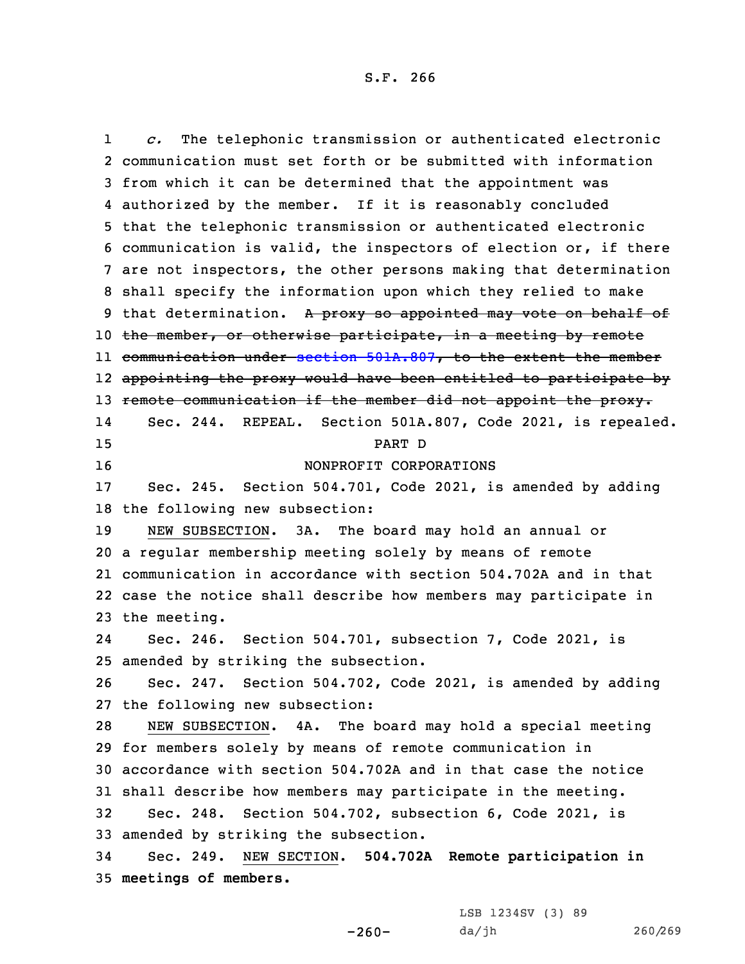1 *c.* The telephonic transmission or authenticated electronic communication must set forth or be submitted with information from which it can be determined that the appointment was authorized by the member. If it is reasonably concluded that the telephonic transmission or authenticated electronic communication is valid, the inspectors of election or, if there are not inspectors, the other persons making that determination shall specify the information upon which they relied to make 9 that determination. A proxy so appointed may vote on behalf of 10 the member, or otherwise participate, in a meeting by remote communication under section [501A.807](https://www.legis.iowa.gov/docs/code/2021/501A.807.pdf), to the extent the member appointing the proxy would have been entitled to participate by 13 remote communication if the member did not appoint the proxy. 14 Sec. 244. REPEAL. Section 501A.807, Code 2021, is repealed. 15 PART D NONPROFIT CORPORATIONS Sec. 245. Section 504.701, Code 2021, is amended by adding the following new subsection: NEW SUBSECTION. 3A. The board may hold an annual or <sup>a</sup> regular membership meeting solely by means of remote communication in accordance with section 504.702A and in that case the notice shall describe how members may participate in the meeting. 24 Sec. 246. Section 504.701, subsection 7, Code 2021, is amended by striking the subsection. Sec. 247. Section 504.702, Code 2021, is amended by adding the following new subsection: NEW SUBSECTION. 4A. The board may hold <sup>a</sup> special meeting for members solely by means of remote communication in accordance with section 504.702A and in that case the notice shall describe how members may participate in the meeting. Sec. 248. Section 504.702, subsection 6, Code 2021, is amended by striking the subsection. Sec. 249. NEW SECTION. **504.702A Remote participation in meetings of members.**

 $-260-$ 

LSB 1234SV (3) 89 da/jh 260/269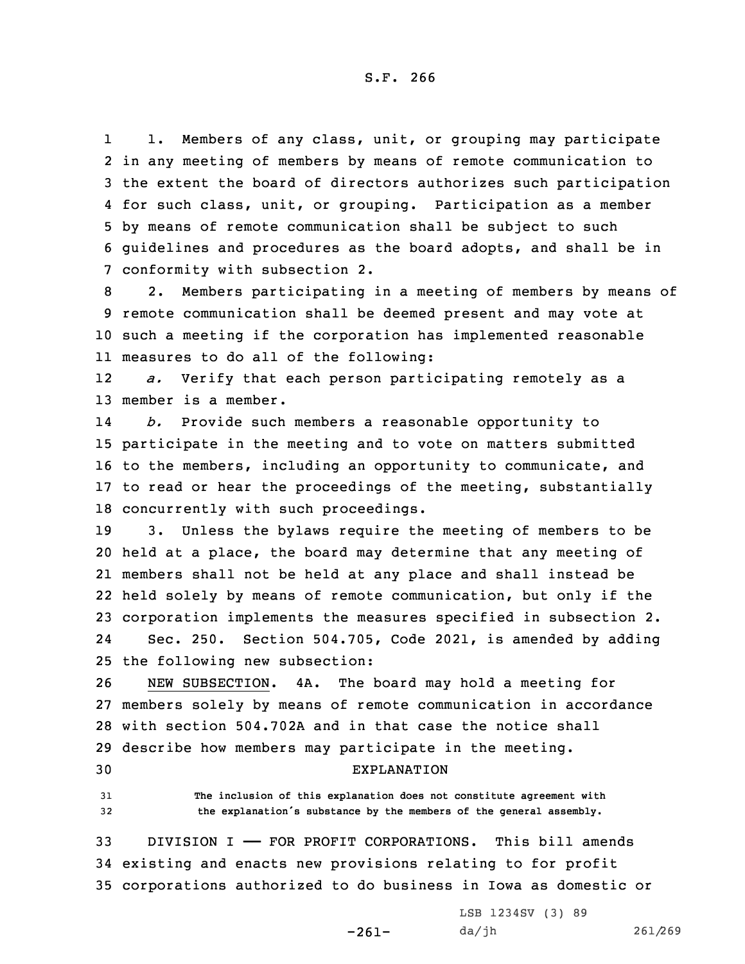1 1. Members of any class, unit, or grouping may participate in any meeting of members by means of remote communication to the extent the board of directors authorizes such participation for such class, unit, or grouping. Participation as <sup>a</sup> member by means of remote communication shall be subject to such guidelines and procedures as the board adopts, and shall be in conformity with subsection 2.

 2. Members participating in <sup>a</sup> meeting of members by means of remote communication shall be deemed present and may vote at such <sup>a</sup> meeting if the corporation has implemented reasonable measures to do all of the following:

12 *a.* Verify that each person participating remotely as <sup>a</sup> 13 member is <sup>a</sup> member.

14 *b.* Provide such members <sup>a</sup> reasonable opportunity to participate in the meeting and to vote on matters submitted to the members, including an opportunity to communicate, and to read or hear the proceedings of the meeting, substantially concurrently with such proceedings.

 3. Unless the bylaws require the meeting of members to be held at <sup>a</sup> place, the board may determine that any meeting of members shall not be held at any place and shall instead be held solely by means of remote communication, but only if the corporation implements the measures specified in subsection 2. 24 Sec. 250. Section 504.705, Code 2021, is amended by adding the following new subsection:

 NEW SUBSECTION. 4A. The board may hold <sup>a</sup> meeting for members solely by means of remote communication in accordance with section 504.702A and in that case the notice shall describe how members may participate in the meeting. EXPLANATION

31 **The inclusion of this explanation does not constitute agreement with** <sup>32</sup> **the explanation's substance by the members of the general assembly.**

33 DIVISION I —— FOR PROFIT CORPORATIONS. This bill amends 34 existing and enacts new provisions relating to for profit 35 corporations authorized to do business in Iowa as domestic or

-261-

LSB 1234SV (3) 89 da/jh 261/269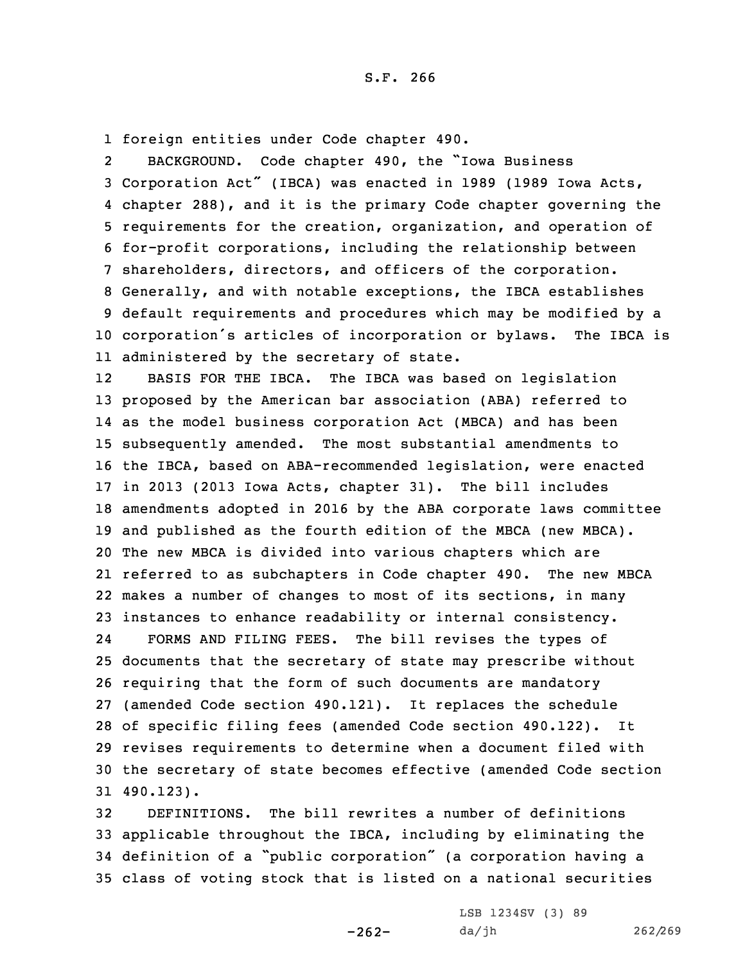1 foreign entities under Code chapter 490.

2 BACKGROUND. Code chapter 490, the "Iowa Business Corporation Act" (IBCA) was enacted in <sup>1989</sup> (1989 Iowa Acts, chapter 288), and it is the primary Code chapter governing the requirements for the creation, organization, and operation of for-profit corporations, including the relationship between shareholders, directors, and officers of the corporation. Generally, and with notable exceptions, the IBCA establishes default requirements and procedures which may be modified by <sup>a</sup> corporation's articles of incorporation or bylaws. The IBCA is administered by the secretary of state.

12 BASIS FOR THE IBCA. The IBCA was based on legislation proposed by the American bar association (ABA) referred to as the model business corporation Act (MBCA) and has been subsequently amended. The most substantial amendments to the IBCA, based on ABA-recommended legislation, were enacted in 2013 (2013 Iowa Acts, chapter 31). The bill includes amendments adopted in 2016 by the ABA corporate laws committee and published as the fourth edition of the MBCA (new MBCA). The new MBCA is divided into various chapters which are referred to as subchapters in Code chapter 490. The new MBCA makes <sup>a</sup> number of changes to most of its sections, in many instances to enhance readability or internal consistency. 24 FORMS AND FILING FEES. The bill revises the types of documents that the secretary of state may prescribe without requiring that the form of such documents are mandatory (amended Code section 490.121). It replaces the schedule of specific filing fees (amended Code section 490.122). It revises requirements to determine when <sup>a</sup> document filed with the secretary of state becomes effective (amended Code section 490.123).

 DEFINITIONS. The bill rewrites <sup>a</sup> number of definitions applicable throughout the IBCA, including by eliminating the definition of <sup>a</sup> "public corporation" (a corporation having <sup>a</sup> class of voting stock that is listed on <sup>a</sup> national securities

 $-262-$ 

LSB 1234SV (3) 89 da/jh 262/269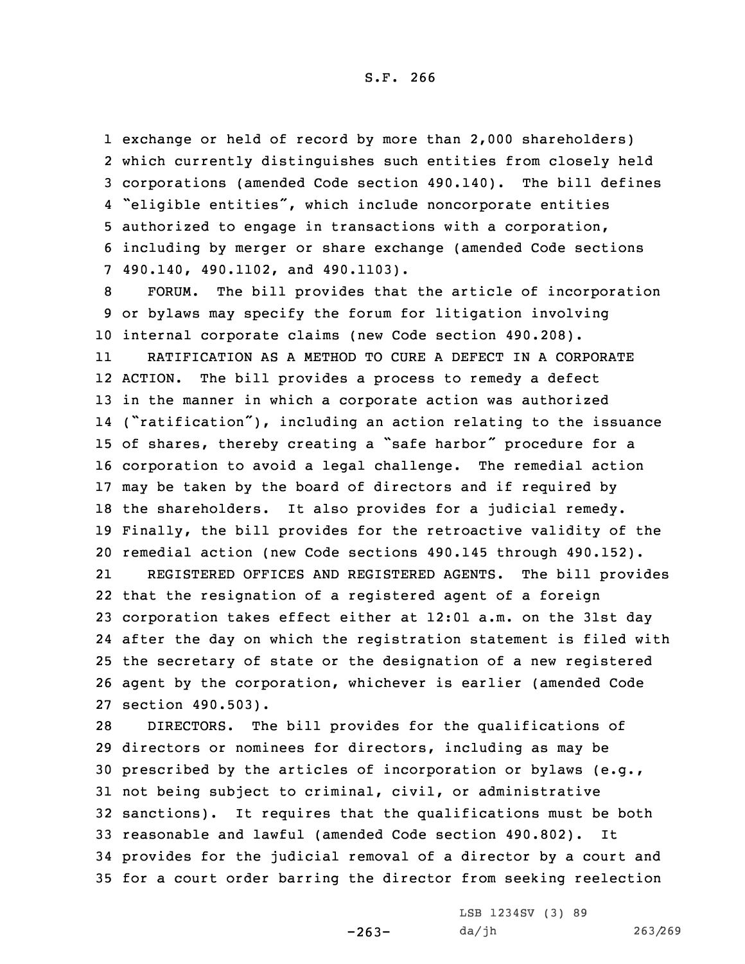exchange or held of record by more than 2,000 shareholders) which currently distinguishes such entities from closely held corporations (amended Code section 490.140). The bill defines "eligible entities", which include noncorporate entities authorized to engage in transactions with <sup>a</sup> corporation, including by merger or share exchange (amended Code sections 490.140, 490.1102, and 490.1103).

8 FORUM. The bill provides that the article of incorporation 9 or bylaws may specify the forum for litigation involving 10 internal corporate claims (new Code section 490.208).

11 RATIFICATION AS A METHOD TO CURE A DEFECT IN A CORPORATE 12 ACTION. The bill provides a process to remedy a defect in the manner in which <sup>a</sup> corporate action was authorized ("ratification"), including an action relating to the issuance of shares, thereby creating <sup>a</sup> "safe harbor" procedure for <sup>a</sup> corporation to avoid <sup>a</sup> legal challenge. The remedial action may be taken by the board of directors and if required by the shareholders. It also provides for <sup>a</sup> judicial remedy. Finally, the bill provides for the retroactive validity of the remedial action (new Code sections 490.145 through 490.152). 21 REGISTERED OFFICES AND REGISTERED AGENTS. The bill provides that the resignation of <sup>a</sup> registered agent of <sup>a</sup> foreign corporation takes effect either at 12:01 a.m. on the 31st day after the day on which the registration statement is filed with the secretary of state or the designation of <sup>a</sup> new registered agent by the corporation, whichever is earlier (amended Code

27 section 490.503).

 DIRECTORS. The bill provides for the qualifications of directors or nominees for directors, including as may be prescribed by the articles of incorporation or bylaws (e.g., not being subject to criminal, civil, or administrative sanctions). It requires that the qualifications must be both reasonable and lawful (amended Code section 490.802). It provides for the judicial removal of <sup>a</sup> director by <sup>a</sup> court and for <sup>a</sup> court order barring the director from seeking reelection

 $-263-$ 

LSB 1234SV (3) 89 da/jh 263/269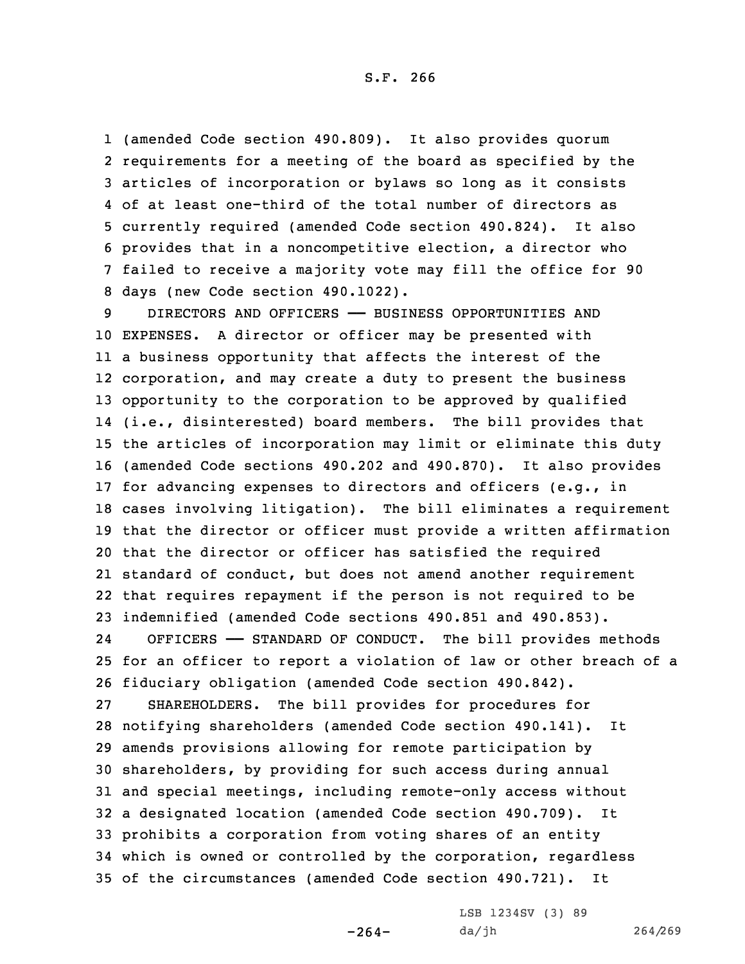(amended Code section 490.809). It also provides quorum requirements for <sup>a</sup> meeting of the board as specified by the articles of incorporation or bylaws so long as it consists of at least one-third of the total number of directors as currently required (amended Code section 490.824). It also provides that in <sup>a</sup> noncompetitive election, <sup>a</sup> director who failed to receive <sup>a</sup> majority vote may fill the office for 90 days (new Code section 490.1022).

 DIRECTORS AND OFFICERS —— BUSINESS OPPORTUNITIES AND EXPENSES. <sup>A</sup> director or officer may be presented with <sup>a</sup> business opportunity that affects the interest of the corporation, and may create <sup>a</sup> duty to present the business opportunity to the corporation to be approved by qualified (i.e., disinterested) board members. The bill provides that the articles of incorporation may limit or eliminate this duty (amended Code sections 490.202 and 490.870). It also provides for advancing expenses to directors and officers (e.g., in cases involving litigation). The bill eliminates <sup>a</sup> requirement that the director or officer must provide <sup>a</sup> written affirmation that the director or officer has satisfied the required standard of conduct, but does not amend another requirement that requires repayment if the person is not required to be indemnified (amended Code sections 490.851 and 490.853). 24 OFFICERS —— STANDARD OF CONDUCT. The bill provides methods for an officer to report <sup>a</sup> violation of law or other breach of <sup>a</sup> fiduciary obligation (amended Code section 490.842). SHAREHOLDERS. The bill provides for procedures for notifying shareholders (amended Code section 490.141). It amends provisions allowing for remote participation by shareholders, by providing for such access during annual and special meetings, including remote-only access without <sup>a</sup> designated location (amended Code section 490.709). It prohibits <sup>a</sup> corporation from voting shares of an entity which is owned or controlled by the corporation, regardless of the circumstances (amended Code section 490.721). It

 $-264-$ 

LSB 1234SV (3) 89 da/jh 264/269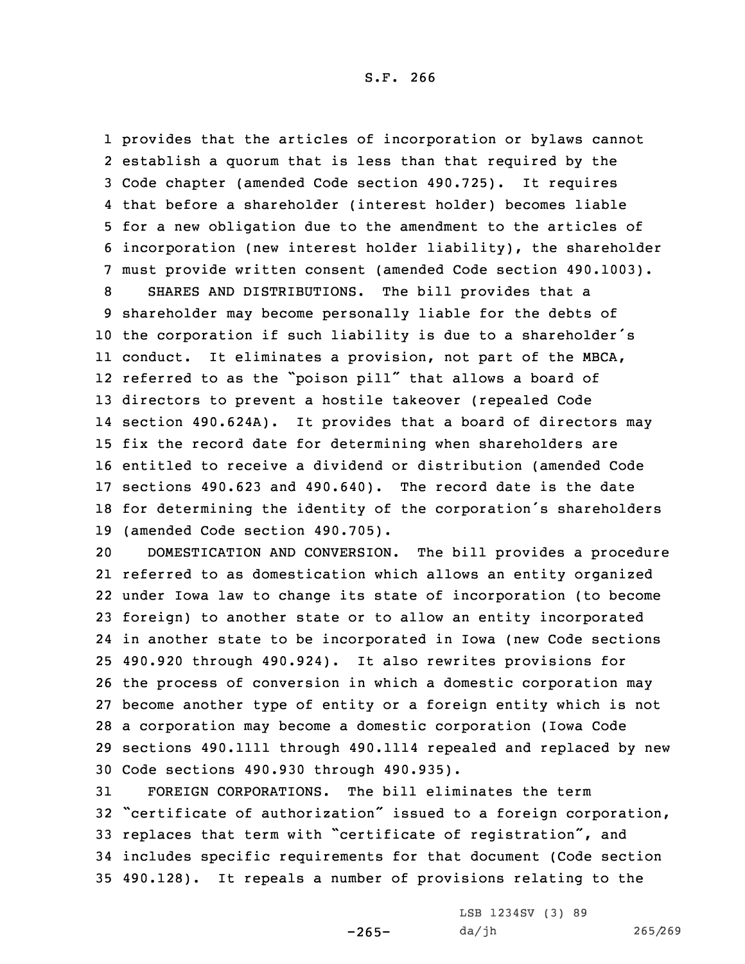provides that the articles of incorporation or bylaws cannot establish <sup>a</sup> quorum that is less than that required by the Code chapter (amended Code section 490.725). It requires that before <sup>a</sup> shareholder (interest holder) becomes liable for <sup>a</sup> new obligation due to the amendment to the articles of incorporation (new interest holder liability), the shareholder must provide written consent (amended Code section 490.1003). SHARES AND DISTRIBUTIONS. The bill provides that <sup>a</sup>

 shareholder may become personally liable for the debts of the corporation if such liability is due to <sup>a</sup> shareholder's conduct. It eliminates <sup>a</sup> provision, not part of the MBCA, referred to as the "poison pill" that allows <sup>a</sup> board of directors to prevent <sup>a</sup> hostile takeover (repealed Code section 490.624A). It provides that <sup>a</sup> board of directors may fix the record date for determining when shareholders are entitled to receive <sup>a</sup> dividend or distribution (amended Code sections 490.623 and 490.640). The record date is the date for determining the identity of the corporation's shareholders (amended Code section 490.705).

 DOMESTICATION AND CONVERSION. The bill provides <sup>a</sup> procedure referred to as domestication which allows an entity organized under Iowa law to change its state of incorporation (to become foreign) to another state or to allow an entity incorporated in another state to be incorporated in Iowa (new Code sections 490.920 through 490.924). It also rewrites provisions for the process of conversion in which <sup>a</sup> domestic corporation may become another type of entity or <sup>a</sup> foreign entity which is not <sup>a</sup> corporation may become <sup>a</sup> domestic corporation (Iowa Code sections 490.1111 through 490.1114 repealed and replaced by new Code sections 490.930 through 490.935).

 FOREIGN CORPORATIONS. The bill eliminates the term "certificate of authorization" issued to <sup>a</sup> foreign corporation, replaces that term with "certificate of registration", and includes specific requirements for that document (Code section 490.128). It repeals <sup>a</sup> number of provisions relating to the

-265-

LSB 1234SV (3) 89 da/jh 265/269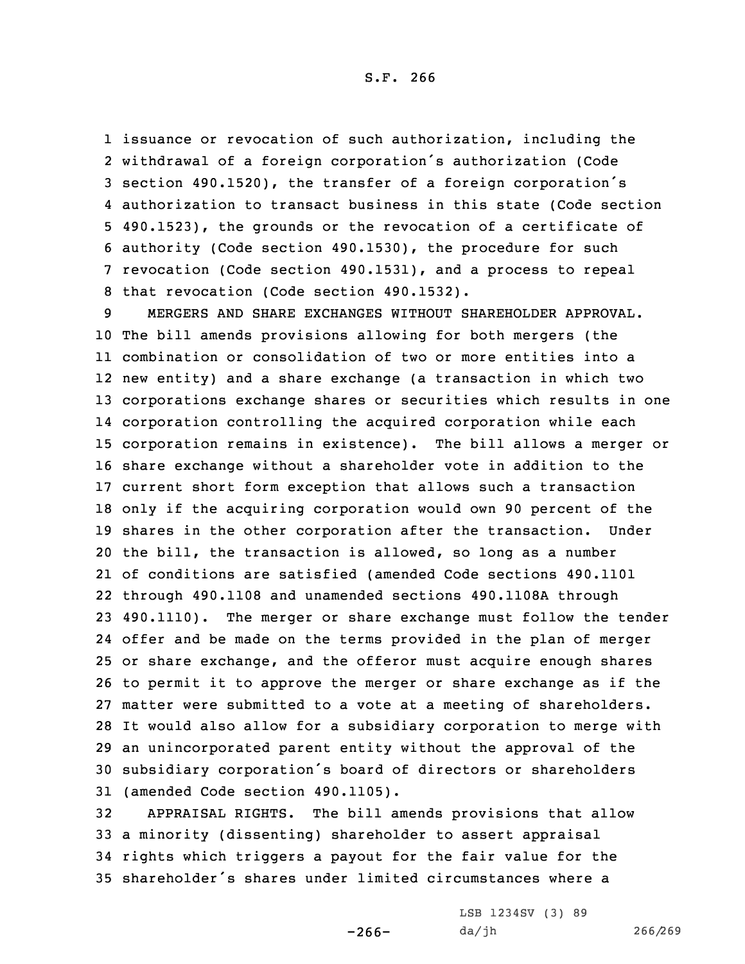issuance or revocation of such authorization, including the withdrawal of <sup>a</sup> foreign corporation's authorization (Code section 490.1520), the transfer of <sup>a</sup> foreign corporation's authorization to transact business in this state (Code section 490.1523), the grounds or the revocation of <sup>a</sup> certificate of authority (Code section 490.1530), the procedure for such revocation (Code section 490.1531), and <sup>a</sup> process to repeal that revocation (Code section 490.1532).

 MERGERS AND SHARE EXCHANGES WITHOUT SHAREHOLDER APPROVAL. The bill amends provisions allowing for both mergers (the combination or consolidation of two or more entities into <sup>a</sup> new entity) and <sup>a</sup> share exchange (a transaction in which two corporations exchange shares or securities which results in one corporation controlling the acquired corporation while each corporation remains in existence). The bill allows <sup>a</sup> merger or share exchange without <sup>a</sup> shareholder vote in addition to the current short form exception that allows such <sup>a</sup> transaction only if the acquiring corporation would own 90 percent of the shares in the other corporation after the transaction. Under the bill, the transaction is allowed, so long as <sup>a</sup> number of conditions are satisfied (amended Code sections 490.1101 through 490.1108 and unamended sections 490.1108A through 490.1110). The merger or share exchange must follow the tender offer and be made on the terms provided in the plan of merger or share exchange, and the offeror must acquire enough shares to permit it to approve the merger or share exchange as if the matter were submitted to <sup>a</sup> vote at <sup>a</sup> meeting of shareholders. It would also allow for <sup>a</sup> subsidiary corporation to merge with an unincorporated parent entity without the approval of the subsidiary corporation's board of directors or shareholders (amended Code section 490.1105).

 APPRAISAL RIGHTS. The bill amends provisions that allow <sup>a</sup> minority (dissenting) shareholder to assert appraisal rights which triggers <sup>a</sup> payout for the fair value for the shareholder's shares under limited circumstances where <sup>a</sup>

 $-266-$ 

LSB 1234SV (3) 89 da/jh 266/269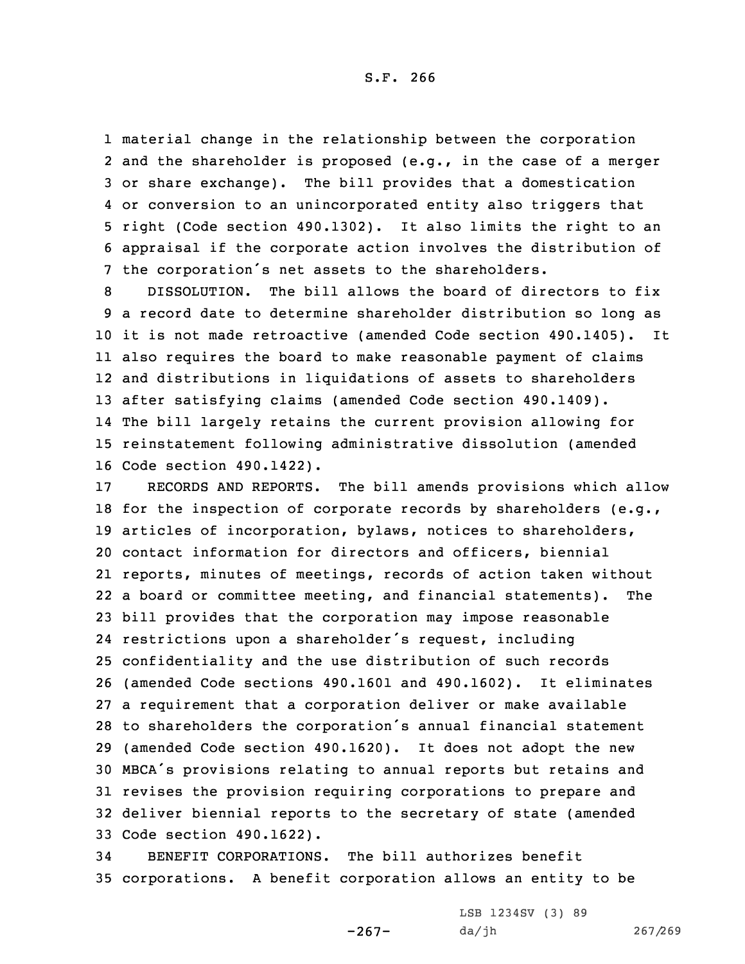material change in the relationship between the corporation and the shareholder is proposed (e.g., in the case of <sup>a</sup> merger or share exchange). The bill provides that <sup>a</sup> domestication or conversion to an unincorporated entity also triggers that right (Code section 490.1302). It also limits the right to an appraisal if the corporate action involves the distribution of the corporation's net assets to the shareholders.

 DISSOLUTION. The bill allows the board of directors to fix <sup>a</sup> record date to determine shareholder distribution so long as it is not made retroactive (amended Code section 490.1405). It also requires the board to make reasonable payment of claims and distributions in liquidations of assets to shareholders after satisfying claims (amended Code section 490.1409). The bill largely retains the current provision allowing for reinstatement following administrative dissolution (amended Code section 490.1422).

 RECORDS AND REPORTS. The bill amends provisions which allow 18 for the inspection of corporate records by shareholders (e.g., articles of incorporation, bylaws, notices to shareholders, contact information for directors and officers, biennial reports, minutes of meetings, records of action taken without <sup>a</sup> board or committee meeting, and financial statements). The bill provides that the corporation may impose reasonable restrictions upon <sup>a</sup> shareholder's request, including confidentiality and the use distribution of such records (amended Code sections 490.1601 and 490.1602). It eliminates <sup>a</sup> requirement that <sup>a</sup> corporation deliver or make available to shareholders the corporation's annual financial statement (amended Code section 490.1620). It does not adopt the new MBCA's provisions relating to annual reports but retains and revises the provision requiring corporations to prepare and deliver biennial reports to the secretary of state (amended Code section 490.1622).

34 BENEFIT CORPORATIONS. The bill authorizes benefit 35 corporations. <sup>A</sup> benefit corporation allows an entity to be

-267-

LSB 1234SV (3) 89 da/jh 267/269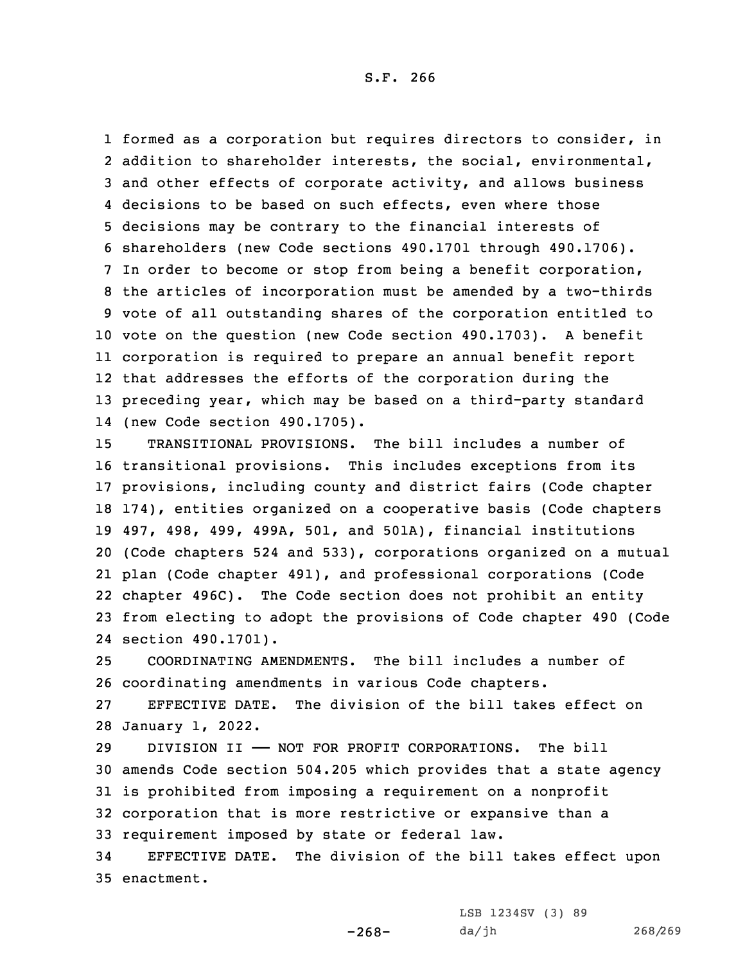formed as <sup>a</sup> corporation but requires directors to consider, in addition to shareholder interests, the social, environmental, and other effects of corporate activity, and allows business decisions to be based on such effects, even where those decisions may be contrary to the financial interests of shareholders (new Code sections 490.1701 through 490.1706). In order to become or stop from being <sup>a</sup> benefit corporation, the articles of incorporation must be amended by <sup>a</sup> two-thirds vote of all outstanding shares of the corporation entitled to vote on the question (new Code section 490.1703). <sup>A</sup> benefit corporation is required to prepare an annual benefit report that addresses the efforts of the corporation during the preceding year, which may be based on <sup>a</sup> third-party standard (new Code section 490.1705).

 TRANSITIONAL PROVISIONS. The bill includes <sup>a</sup> number of transitional provisions. This includes exceptions from its provisions, including county and district fairs (Code chapter 174), entities organized on <sup>a</sup> cooperative basis (Code chapters 497, 498, 499, 499A, 501, and 501A), financial institutions (Code chapters 524 and 533), corporations organized on <sup>a</sup> mutual plan (Code chapter 491), and professional corporations (Code chapter 496C). The Code section does not prohibit an entity from electing to adopt the provisions of Code chapter 490 (Code section 490.1701).

25 COORDINATING AMENDMENTS. The bill includes <sup>a</sup> number of 26 coordinating amendments in various Code chapters.

27 EFFECTIVE DATE. The division of the bill takes effect on 28 January 1, 2022.

 DIVISION II —— NOT FOR PROFIT CORPORATIONS. The bill amends Code section 504.205 which provides that <sup>a</sup> state agency is prohibited from imposing <sup>a</sup> requirement on <sup>a</sup> nonprofit corporation that is more restrictive or expansive than <sup>a</sup> requirement imposed by state or federal law.

34 EFFECTIVE DATE. The division of the bill takes effect upon 35 enactment.

LSB 1234SV (3) 89

-268-

da/jh 268/269